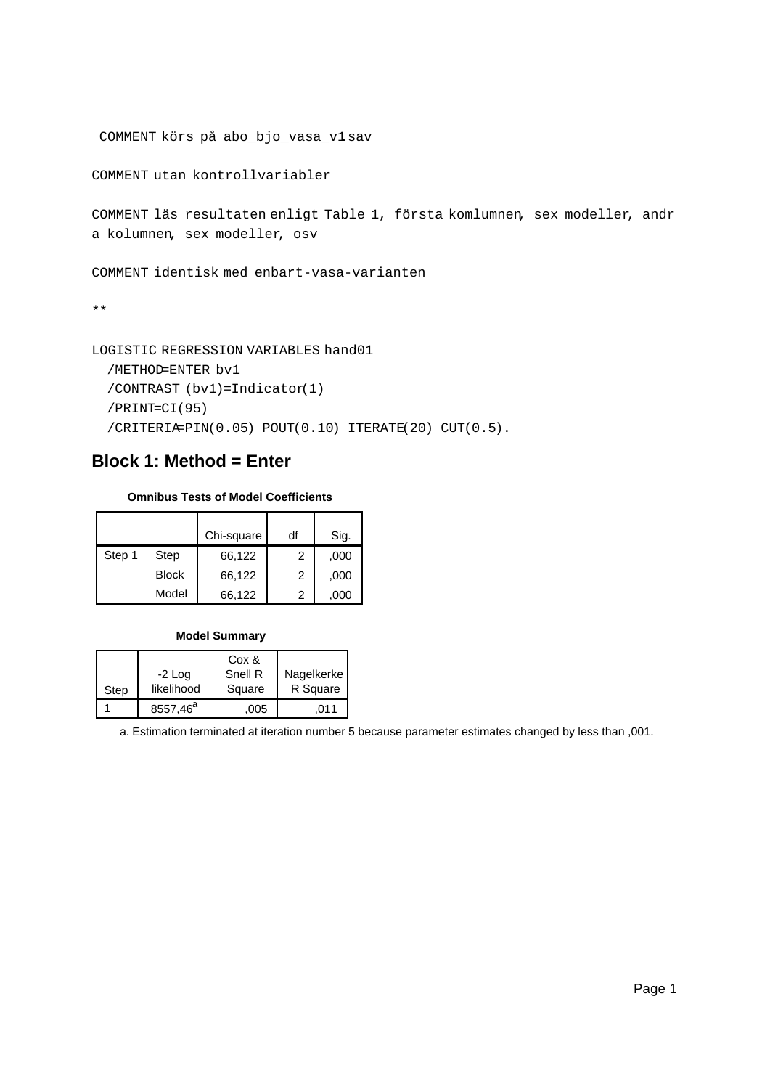```
COMMENT utan kontrollvariabler
```
COMMENT läs resultaten enligt Table 1, första komlumnen, sex modeller, andr a kolumnen, sex modeller, osv

COMMENT identisk med enbart-vasa-varianten

\*\*

```
LOGISTIC REGRESSION VARIABLES hand01
```
COMMENT körs på abo\_bjo\_vasa\_v1.sav

```
 /METHOD=ENTER bv1
/CONTRAST (bv1)=Indicator(1)
/PRINT=CI(95)
/CRITERIA=PIN(0.05) POUT(0.10) ITERATE(20) CUT(0.5).
```
# **Block 1: Method = Enter**

### **Omnibus Tests of Model Coefficients**

|        |              | Chi-square | df | Sig. |
|--------|--------------|------------|----|------|
| Step 1 | Step         | 66,122     | 2  | ,000 |
|        | <b>Block</b> | 66,122     | 2  | ,000 |
|        | Model        | 66.122     | 2  | .000 |

### **Model Summary**

|      |                      | Cox &   |            |
|------|----------------------|---------|------------|
|      | $-2$ Log             | Snell R | Nagelkerke |
| Step | likelihood           | Square  | R Square   |
|      | 8557,46 <sup>a</sup> | .005    | .011       |

a. Estimation terminated at iteration number 5 because parameter estimates changed by less than ,001.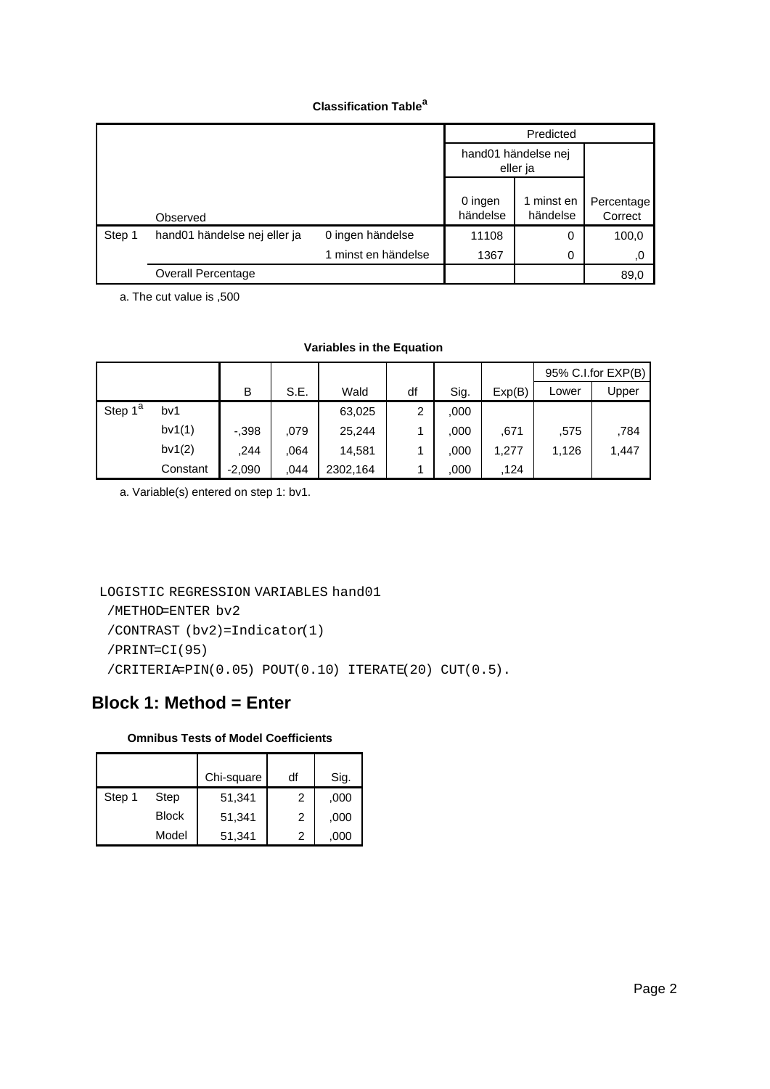|        |                              |                     |                                 | Predicted            |                       |
|--------|------------------------------|---------------------|---------------------------------|----------------------|-----------------------|
|        |                              |                     | hand01 händelse nej<br>eller ja |                      |                       |
|        | Observed                     |                     | 0 ingen<br>händelse             | minst en<br>händelse | Percentage<br>Correct |
| Step 1 | hand01 händelse nej eller ja | 0 ingen händelse    | 11108                           | 0                    | 100,0                 |
|        |                              | 1 minst en händelse | 1367                            | 0                    | .0                    |
|        | Overall Percentage           |                     |                                 |                      | 89,0                  |

a. The cut value is ,500

### **Variables in the Equation**

|                     |          |          |      |          |    |      |        |       | 95% C.I.for EXP(B) |
|---------------------|----------|----------|------|----------|----|------|--------|-------|--------------------|
|                     |          | B        | S.E. | Wald     | df | Sig. | Exp(B) | Lower | Upper              |
| Step 1 <sup>a</sup> | bv1      |          |      | 63,025   | 2  | ,000 |        |       |                    |
|                     | bv1(1)   | $-.398$  | .079 | 25,244   |    | ,000 | ,671   | .575  | .784               |
|                     | bv1(2)   | .244     | .064 | 14,581   |    | ,000 | 1,277  | 1,126 | 1,447              |
|                     | Constant | $-2,090$ | .044 | 2302,164 |    | ,000 | .124   |       |                    |

a. Variable(s) entered on step 1: bv1.

LOGISTIC REGRESSION VARIABLES hand01

/METHOD=ENTER bv2

/CONTRAST (bv2)=Indicator(1)

/PRINT=CI(95)

/CRITERIA=PIN(0.05) POUT(0.10) ITERATE(20) CUT(0.5).

# **Block 1: Method = Enter**

### **Omnibus Tests of Model Coefficients**

|        |              | Chi-square | df | Sig. |
|--------|--------------|------------|----|------|
| Step 1 | Step         | 51,341     | 2  | ,000 |
|        | <b>Block</b> | 51,341     | 2  | ,000 |
|        | Model        | 51,341     | 2  | 000, |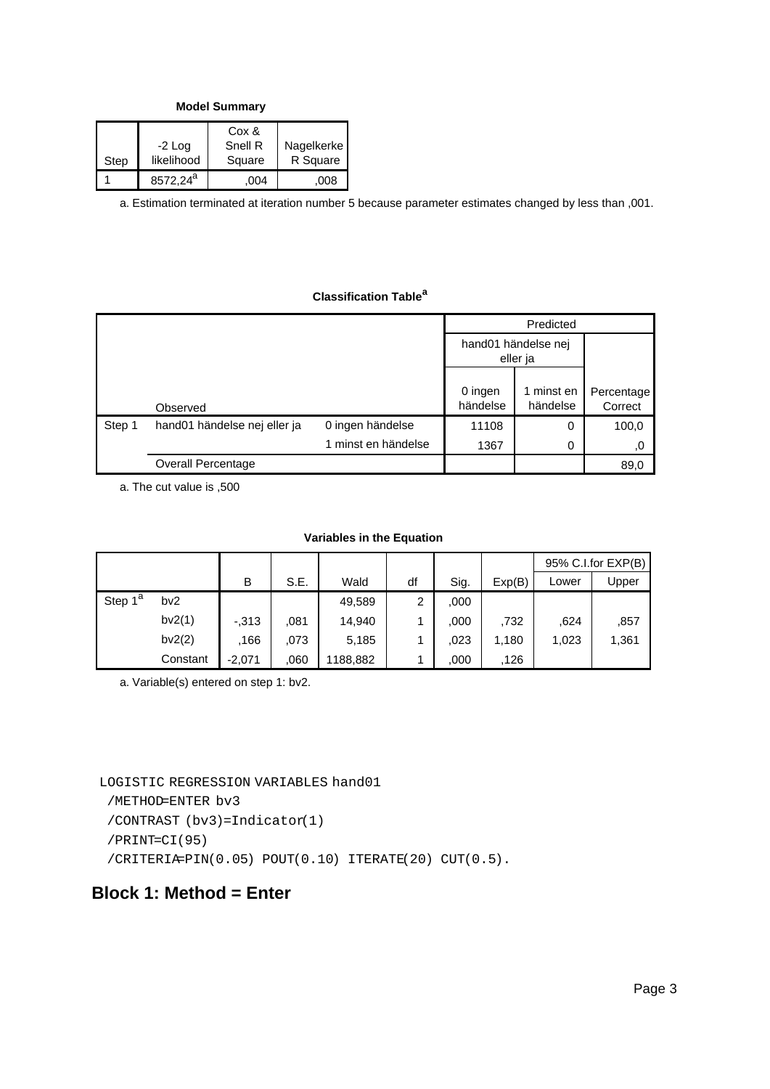**Model Summary**

| Step | $-2$ Log<br>likelihood | Cox &<br>Snell R<br>Square | Nagelkerke<br>R Square |
|------|------------------------|----------------------------|------------------------|
|      | 8572.24 <sup>a</sup>   | 004                        | 008                    |

a. Estimation terminated at iteration number 5 because parameter estimates changed by less than ,001.

### **Classification Table<sup>a</sup>**

|        |                              |                     |                     | Predicted                       |                       |  |
|--------|------------------------------|---------------------|---------------------|---------------------------------|-----------------------|--|
|        |                              |                     |                     | hand01 händelse nej<br>eller ja |                       |  |
|        | Observed                     |                     | 0 ingen<br>händelse | minst en<br>händelse            | Percentage<br>Correct |  |
| Step 1 | hand01 händelse nej eller ja | 0 ingen händelse    | 11108               | 0                               | 100,0                 |  |
|        |                              | 1 minst en händelse | 1367                | 0                               | ,0                    |  |
|        | Overall Percentage           |                     |                     |                                 | 89,0                  |  |

a. The cut value is ,500

### **Variables in the Equation**

|                     |          |          |      |          |    |      |        |       | 95% C.I.for EXP(B) |
|---------------------|----------|----------|------|----------|----|------|--------|-------|--------------------|
|                     |          | B        | S.E. | Wald     | df | Sig. | Exp(B) | Lower | Upper              |
| Step 1 <sup>a</sup> | bv2      |          |      | 49,589   | 2  | ,000 |        |       |                    |
|                     | bv2(1)   | $-0.313$ | .081 | 14,940   |    | ,000 | .732   | .624  | ,857               |
|                     | bv2(2)   | .166     | .073 | 5,185    |    | .023 | 1,180  | 1,023 | 1,361              |
|                     | Constant | $-2,071$ | ,060 | 1188,882 |    | ,000 | 126    |       |                    |

a. Variable(s) entered on step 1: bv2.

LOGISTIC REGRESSION VARIABLES hand01

```
 /METHOD=ENTER bv3
```

```
 /CONTRAST (bv3)=Indicator(1)
/PRINT=CI(95)
```
/CRITERIA=PIN(0.05) POUT(0.10) ITERATE(20) CUT(0.5).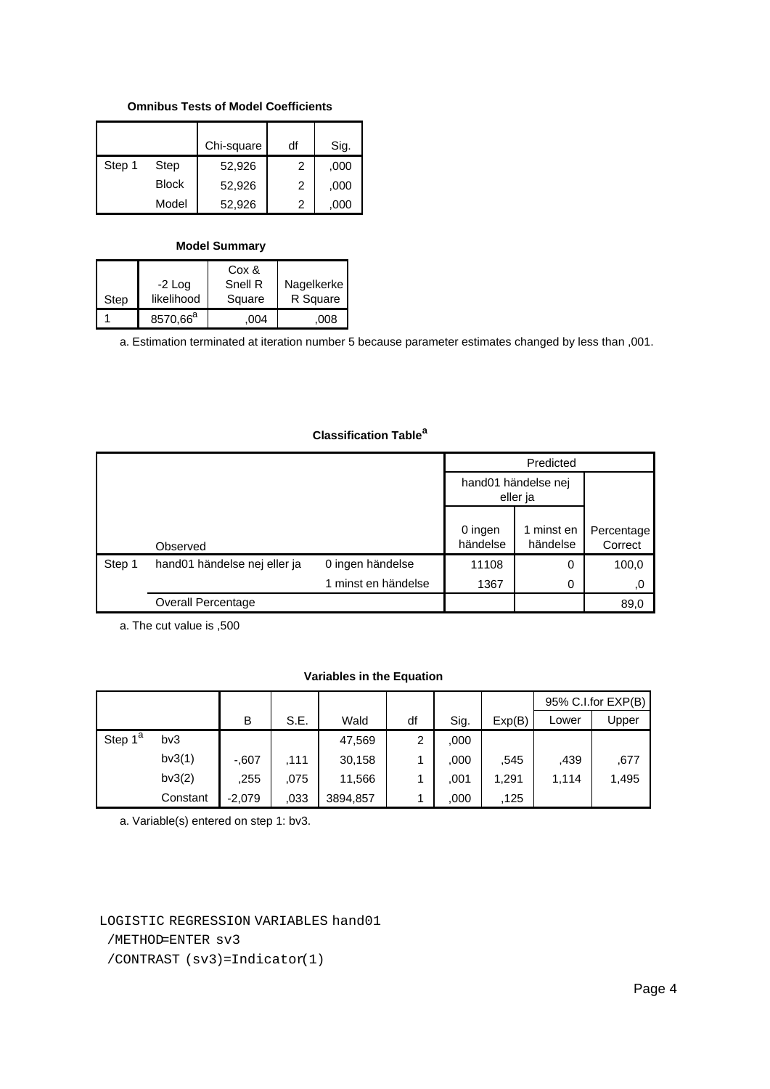### **Omnibus Tests of Model Coefficients**

|        |              | Chi-square | df | Sig. |
|--------|--------------|------------|----|------|
| Step 1 | Step         | 52,926     | 2  | ,000 |
|        | <b>Block</b> | 52,926     | 2  | ,000 |
|        | Model        | 52,926     | っ  | ,000 |

#### **Model Summary**

|      |                      | Cox &   |            |
|------|----------------------|---------|------------|
|      | -2 Log               | Snell R | Nagelkerke |
| Step | likelihood           | Square  | R Square   |
|      | 8570,66 <sup>a</sup> | 004     | 008        |

a. Estimation terminated at iteration number 5 because parameter estimates changed by less than ,001.

|        |                              |                                 |                     | Predicted              |                       |
|--------|------------------------------|---------------------------------|---------------------|------------------------|-----------------------|
|        |                              |                                 |                     |                        |                       |
|        |                              | hand01 händelse nej<br>eller ja |                     |                        |                       |
|        | Observed                     |                                 | 0 ingen<br>händelse | 1 minst en<br>händelse | Percentage<br>Correct |
| Step 1 | hand01 händelse nej eller ja | 0 ingen händelse                | 11108               | 0                      | 100,0                 |
|        |                              | 1 minst en händelse             | 1367                | 0                      | .0                    |
|        | Overall Percentage           |                                 |                     |                        | 89,0                  |

## **Classification Table<sup>a</sup>**

a. The cut value is ,500

### **Variables in the Equation**

|                     |          |          |      |          |    |      |        |       | 95% C.I.for EXP(B) |
|---------------------|----------|----------|------|----------|----|------|--------|-------|--------------------|
|                     |          | B        | S.E. | Wald     | df | Sig. | Exp(B) | Lower | Upper              |
| Step 1 <sup>a</sup> | bv3      |          |      | 47,569   | 2  | ,000 |        |       |                    |
|                     | bv3(1)   | $-0.607$ | .111 | 30,158   |    | ,000 | .545   | .439  | ,677               |
|                     | bv3(2)   | .255     | .075 | 11,566   |    | ,001 | 1,291  | 1,114 | 1,495              |
|                     | Constant | $-2,079$ | .033 | 3894,857 |    | .000 | 125    |       |                    |

a. Variable(s) entered on step 1: bv3.

LOGISTIC REGRESSION VARIABLES hand01

/METHOD=ENTER sv3

/CONTRAST (sv3)=Indicator(1)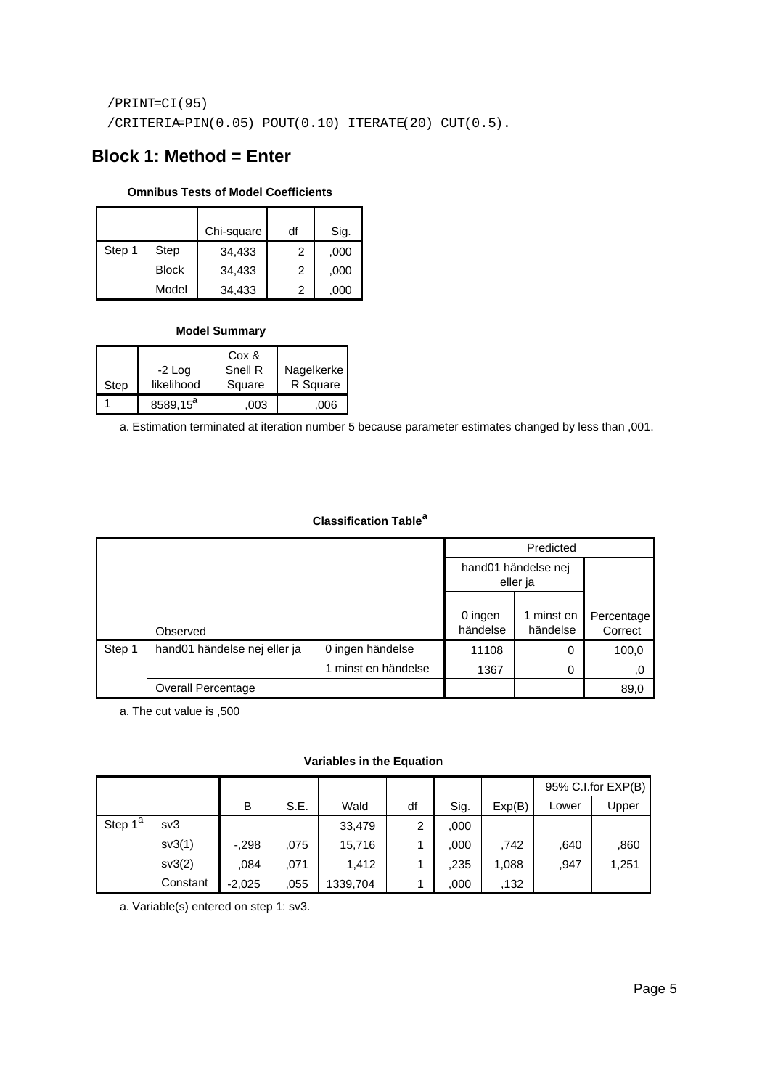/PRINT=CI(95) /CRITERIA=PIN(0.05) POUT(0.10) ITERATE(20) CUT(0.5).

# **Block 1: Method = Enter**

## **Omnibus Tests of Model Coefficients**

|        |              | Chi-square | df | Sig. |
|--------|--------------|------------|----|------|
| Step 1 | Step         | 34,433     | 2  | ,000 |
|        | <b>Block</b> | 34,433     | 2  | ,000 |
|        | Model        | 34,433     | 2  | ,000 |

## **Model Summary**

|      |                      | Cox &   |            |
|------|----------------------|---------|------------|
|      | $-2$ Log             | Snell R | Nagelkerke |
| Step | likelihood           | Square  | R Square   |
|      | 8589,15 <sup>a</sup> | .003    | .006       |

a. Estimation terminated at iteration number 5 because parameter estimates changed by less than ,001.

## **Classification Table<sup>a</sup>**

|        |                              | Predicted                       |                     |                      |                       |
|--------|------------------------------|---------------------------------|---------------------|----------------------|-----------------------|
|        |                              | hand01 händelse nej<br>eller ja |                     |                      |                       |
|        | Observed                     |                                 | 0 ingen<br>händelse | minst en<br>händelse | Percentage<br>Correct |
| Step 1 | hand01 händelse nej eller ja | 0 ingen händelse                | 11108               | 0                    | 100,0                 |
|        |                              | 1 minst en händelse             | 1367                | 0                    | .0                    |
|        | Overall Percentage           |                                 |                     |                      | 89,0                  |

a. The cut value is ,500

### **Variables in the Equation**

|                     |          |          |      |          |    |      |        |       | 95% C.I.for EXP(B) |
|---------------------|----------|----------|------|----------|----|------|--------|-------|--------------------|
|                     |          | B        | S.E. | Wald     | df | Sig. | Exp(B) | Lower | Upper              |
| Step 1 <sup>a</sup> | sv3      |          |      | 33,479   | 2  | ,000 |        |       |                    |
|                     | sv3(1)   | $-298$   | .075 | 15,716   |    | ,000 | .742   | .640  | .860               |
|                     | sv3(2)   | .084     | .071 | 1,412    |    | .235 | 1,088  | .947  | 1,251              |
|                     | Constant | $-2,025$ | .055 | 1339,704 |    | ,000 | ,132   |       |                    |

a. Variable(s) entered on step 1: sv3.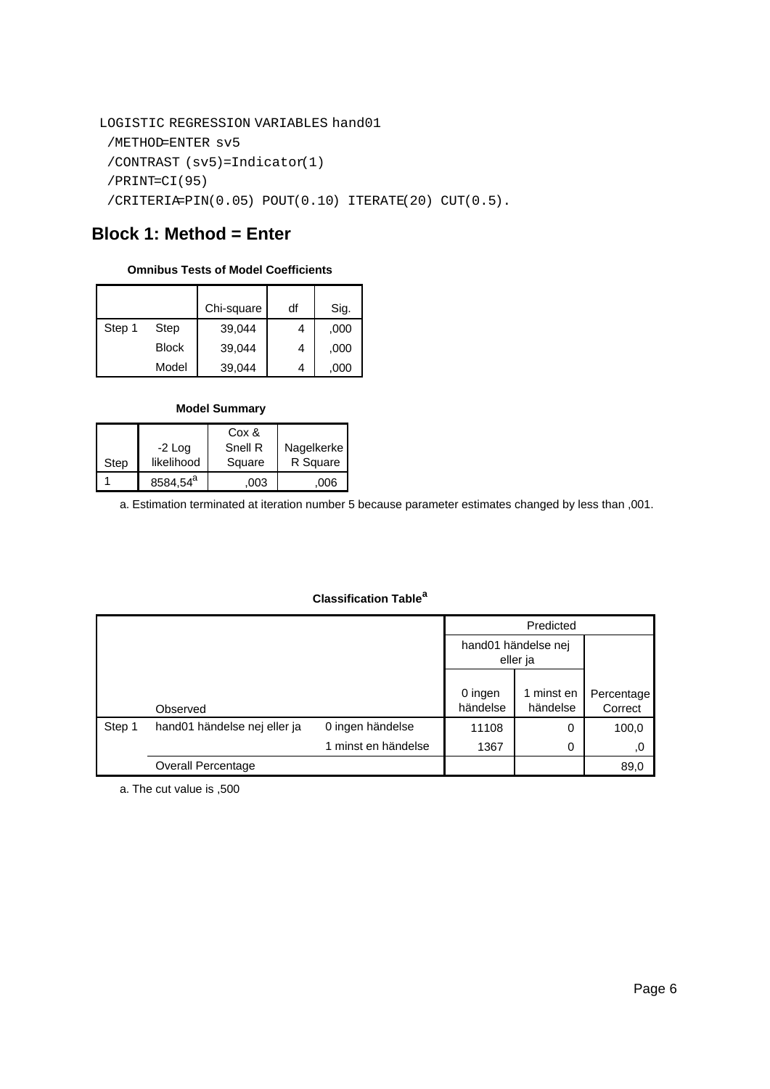```
LOGISTIC REGRESSION VARIABLES hand01
 /METHOD=ENTER sv5
 /CONTRAST (sv5)=Indicator(1)
 /PRINT=CI(95)
 /CRITERIA=PIN(0.05) POUT(0.10) ITERATE(20) CUT(0.5).
```
# **Block 1: Method = Enter**

### **Omnibus Tests of Model Coefficients**

|        |              | Chi-square | df | Sig. |
|--------|--------------|------------|----|------|
| Step 1 | Step         | 39.044     | 4  | ,000 |
|        | <b>Block</b> | 39.044     | 4  | ,000 |
|        | Model        | 39,044     |    | .000 |

### **Model Summary**

| Step | $-2$ Log<br>likelihood | Cox &<br>Snell R<br>Square | Nagelkerke<br>R Square |
|------|------------------------|----------------------------|------------------------|
|      | 8584,54 <sup>a</sup>   | .003                       | 006                    |

a. Estimation terminated at iteration number 5 because parameter estimates changed by less than ,001.

## **Classification Table<sup>a</sup>**

|        |                              |                     |                                 | Predicted            |                       |
|--------|------------------------------|---------------------|---------------------------------|----------------------|-----------------------|
|        |                              |                     | hand01 händelse nej<br>eller ja |                      |                       |
|        | Observed                     |                     | 0 ingen<br>händelse             | minst en<br>händelse | Percentage<br>Correct |
| Step 1 | hand01 händelse nej eller ja | 0 ingen händelse    | 11108                           | 0                    | 100,0                 |
|        |                              | 1 minst en händelse | 1367                            | 0                    | .0                    |
|        | Overall Percentage           |                     |                                 |                      | 89,0                  |

a. The cut value is ,500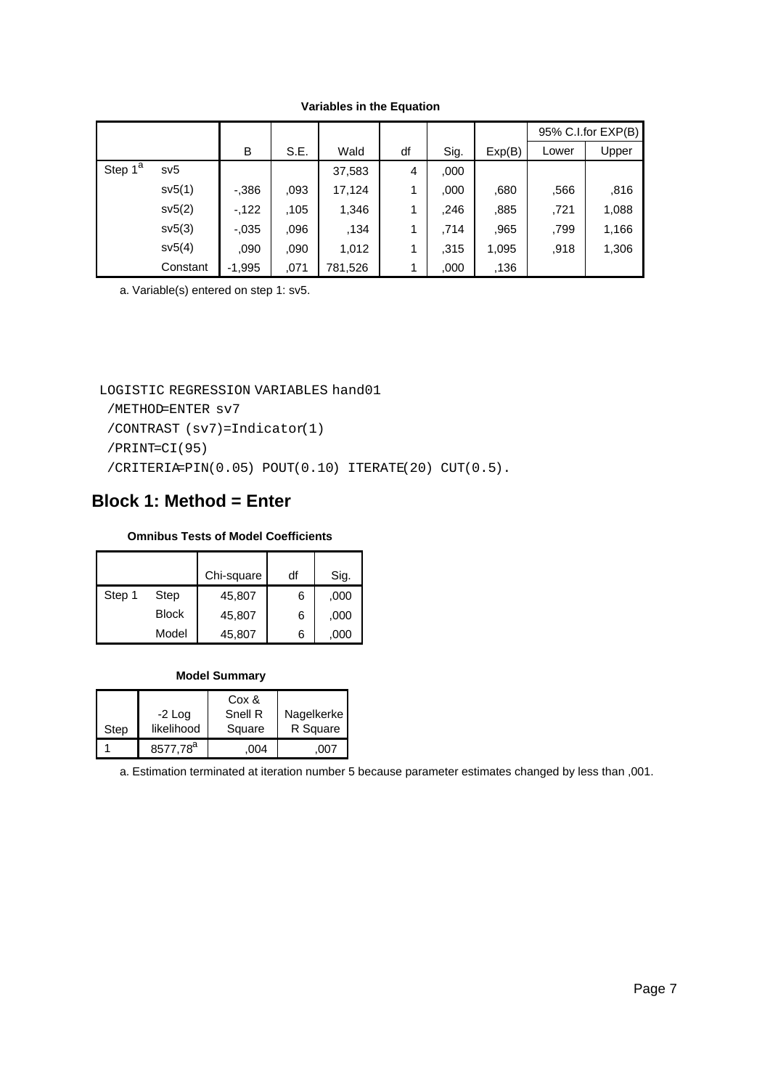|                     |          |          |      |         |    |      |        |       | $95\%$ C.I.for EXP(B) |
|---------------------|----------|----------|------|---------|----|------|--------|-------|-----------------------|
|                     |          | B        | S.E. | Wald    | df | Sig. | Exp(B) | Lower | Upper                 |
| Step 1 <sup>a</sup> | sv5      |          |      | 37,583  | 4  | ,000 |        |       |                       |
|                     | sv5(1)   | $-0.386$ | .093 | 17,124  | 1  | ,000 | ,680   | ,566  | ,816                  |
|                     | sv5(2)   | $-122$   | .105 | 1,346   |    | ,246 | .885   | ,721  | 1,088                 |
|                     | sv5(3)   | $-0.035$ | .096 | .134    | 1  | .714 | .965   | .799  | 1,166                 |
|                     | sv5(4)   | .090     | .090 | 1,012   | 1  | .315 | 1,095  | .918  | 1,306                 |
|                     | Constant | $-1,995$ | .071 | 781,526 |    | ,000 | ,136   |       |                       |

### **Variables in the Equation**

a. Variable(s) entered on step 1: sv5.

LOGISTIC REGRESSION VARIABLES hand01

/METHOD=ENTER sv7

/CONTRAST (sv7)=Indicator(1)

```
 /PRINT=CI(95)
```
/CRITERIA=PIN(0.05) POUT(0.10) ITERATE(20) CUT(0.5).

# **Block 1: Method = Enter**

## **Omnibus Tests of Model Coefficients**

|        |              | Chi-square | df | Sig. |
|--------|--------------|------------|----|------|
| Step 1 | Step         | 45,807     | 6  | ,000 |
|        | <b>Block</b> | 45,807     | 6  | ,000 |
|        | Model        | 45,807     | 6  | .000 |

### **Model Summary**

|      |                      | Cox &   |            |
|------|----------------------|---------|------------|
|      | $-2$ Log             | Snell R | Nagelkerke |
| Step | likelihood           | Square  | R Square   |
|      | 8577,78 <sup>a</sup> | 004     | .007       |

a. Estimation terminated at iteration number 5 because parameter estimates changed by less than ,001.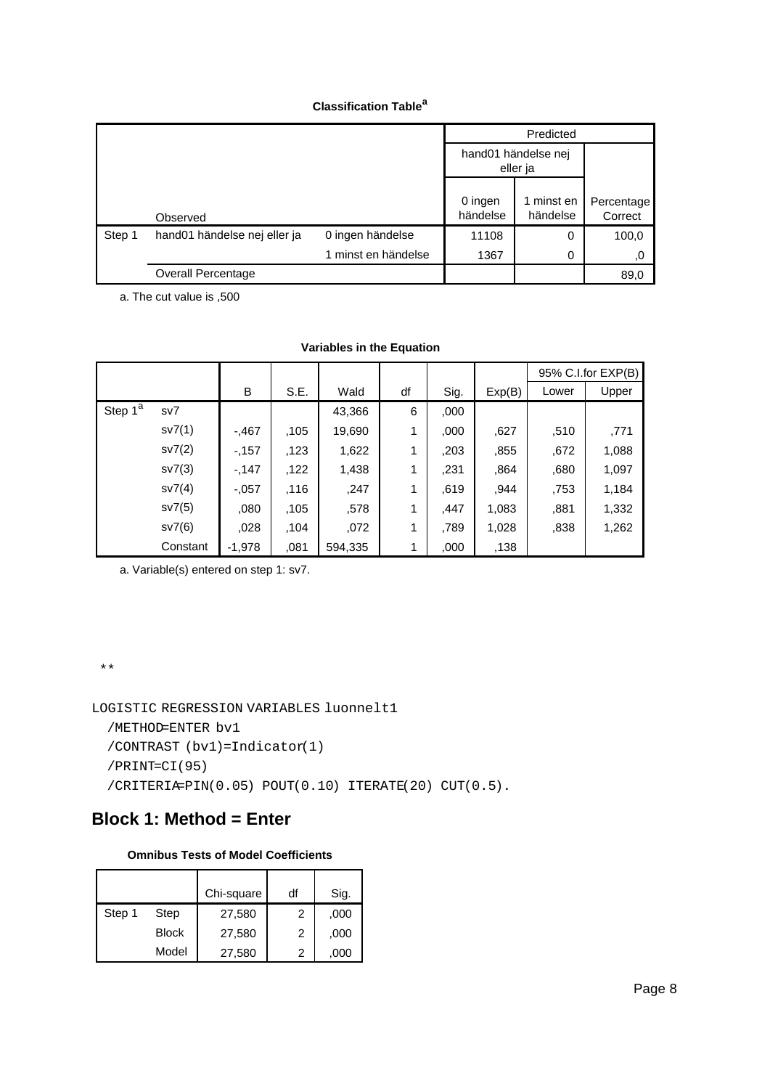|        |                              |                                 |                     | Predicted            |                       |
|--------|------------------------------|---------------------------------|---------------------|----------------------|-----------------------|
|        |                              | hand01 händelse nej<br>eller ja |                     |                      |                       |
|        | Observed                     |                                 | 0 ingen<br>händelse | minst en<br>händelse | Percentage<br>Correct |
| Step 1 | hand01 händelse nej eller ja | 0 ingen händelse                | 11108               | 0                    | 100,0                 |
|        |                              | 1 minst en händelse             | 1367                | 0                    | ,0                    |
|        | Overall Percentage           |                                 |                     |                      | 89,0                  |

a. The cut value is ,500

|                         |          |          |      |         |    |      |        |       | 95% C.I.for EXP(B) |
|-------------------------|----------|----------|------|---------|----|------|--------|-------|--------------------|
|                         |          | B        | S.E. | Wald    | df | Sig. | Exp(B) | Lower | Upper              |
| Step $1^{\overline{a}}$ | sv7      |          |      | 43,366  | 6  | ,000 |        |       |                    |
|                         | sv7(1)   | $-.467$  | ,105 | 19,690  | 1  | ,000 | ,627   | ,510  | ,771               |
|                         | sv7(2)   | $-157$   | ,123 | 1,622   | 1  | ,203 | ,855   | ,672  | 1,088              |
|                         | sv7(3)   | $-147$   | ,122 | 1,438   | 1  | ,231 | ,864   | ,680  | 1,097              |
|                         | sv7(4)   | $-0.057$ | ,116 | ,247    | 1  | .619 | ,944   | ,753  | 1,184              |
|                         | sv7(5)   | .080     | ,105 | ,578    | 1  | ,447 | 1,083  | ,881  | 1,332              |
|                         | sV7(6)   | .028     | .104 | 072     | 1  | .789 | 1,028  | ,838  | 1,262              |
|                         | Constant | $-1.978$ | .081 | 594.335 |    | ,000 | ,138   |       |                    |

### **Variables in the Equation**

a. Variable(s) entered on step 1: sv7.

#### \*\*

```
LOGISTIC REGRESSION VARIABLES luonnelt1
```

```
 /METHOD=ENTER bv1
```

```
 /CONTRAST (bv1)=Indicator(1)
```

```
 /PRINT=CI(95)
```
/CRITERIA=PIN(0.05) POUT(0.10) ITERATE(20) CUT(0.5).

# **Block 1: Method = Enter**

### **Omnibus Tests of Model Coefficients**

|        |              | Chi-square | df | Sig. |
|--------|--------------|------------|----|------|
|        |              |            |    |      |
| Step 1 | Step         | 27,580     | 2  | ,000 |
|        | <b>Block</b> | 27,580     | 2  | ,000 |
|        | Model        | 27,580     | 2  | ,000 |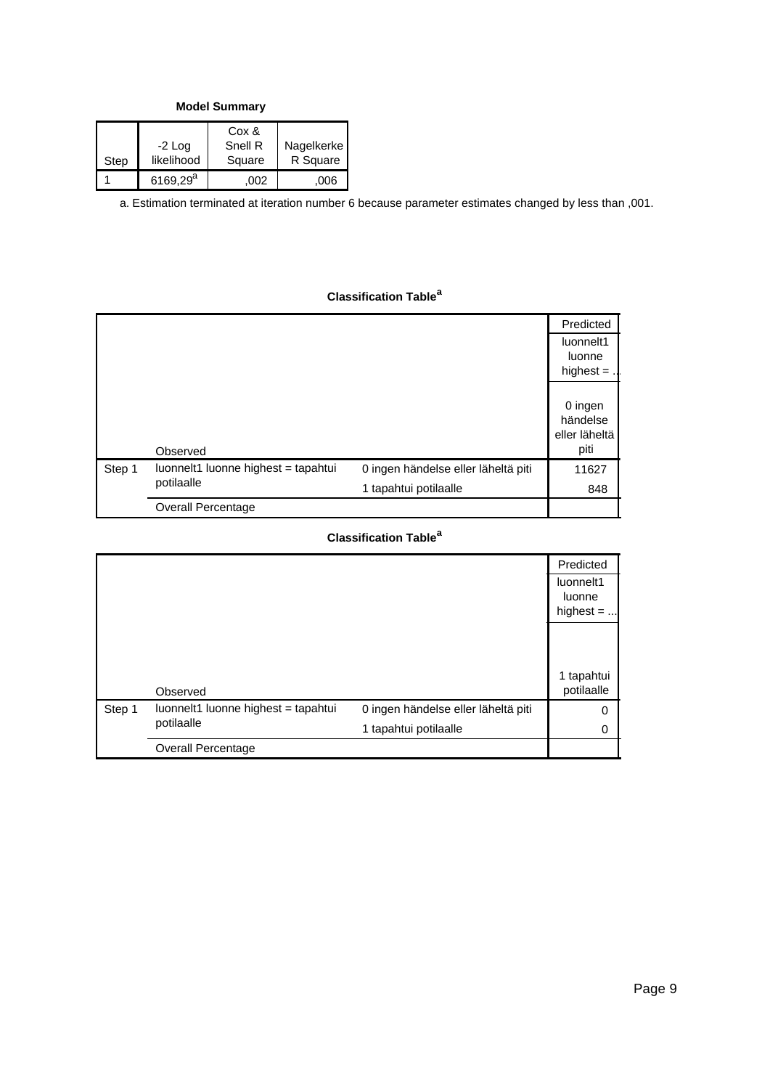**Model Summary**

| Step | $-2$ Log<br>likelihood | Cox &<br>Snell R<br>Square | Nagelkerke<br>R Square |
|------|------------------------|----------------------------|------------------------|
|      | 6169,29 <sup>a</sup>   | 002                        | 006                    |

a. Estimation terminated at iteration number 6 because parameter estimates changed by less than ,001.

## **Classification Table<sup>a</sup>**

|        |                                     |                                     | Predicted     |
|--------|-------------------------------------|-------------------------------------|---------------|
|        |                                     |                                     | luonnelt1     |
|        |                                     |                                     | luonne        |
|        |                                     |                                     | highest $=$ . |
|        |                                     |                                     |               |
|        |                                     |                                     | 0 ingen       |
|        |                                     |                                     | händelse      |
|        |                                     |                                     | eller läheltä |
|        | Observed                            |                                     | piti          |
| Step 1 | luonnelt1 luonne highest = tapahtui | 0 ingen händelse eller läheltä piti | 11627         |
|        | potilaalle                          | 1 tapahtui potilaalle               | 848           |
|        | <b>Overall Percentage</b>           |                                     |               |

|        |                                     |                                     | Predicted                          |
|--------|-------------------------------------|-------------------------------------|------------------------------------|
|        |                                     |                                     | luonnelt1<br>luonne<br>highest $=$ |
|        |                                     |                                     | 1 tapahtui                         |
|        | Observed                            |                                     | potilaalle                         |
| Step 1 | luonnelt1 luonne highest = tapahtui | 0 ingen händelse eller läheltä piti | 0                                  |
|        | potilaalle                          | 1 tapahtui potilaalle               | 0                                  |
|        | <b>Overall Percentage</b>           |                                     |                                    |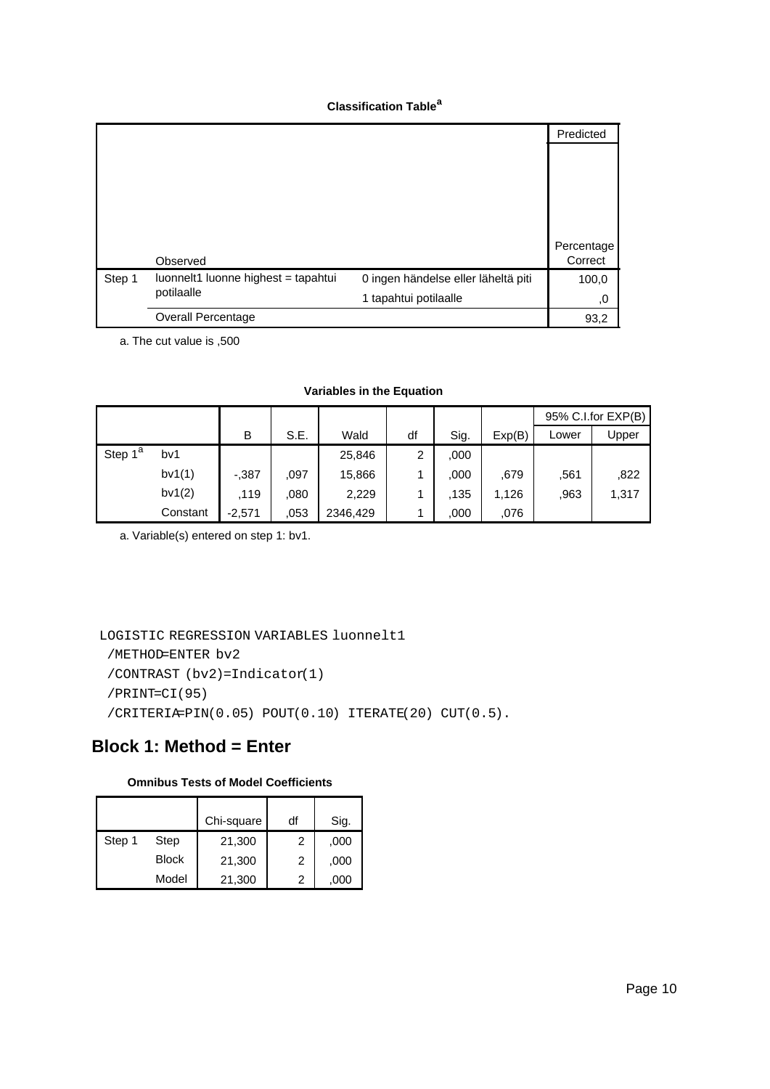|        |                                     |                                     | Predicted  |
|--------|-------------------------------------|-------------------------------------|------------|
|        |                                     |                                     |            |
|        |                                     |                                     |            |
|        |                                     |                                     |            |
|        |                                     |                                     |            |
|        |                                     |                                     | Percentage |
|        | Observed                            |                                     | Correct    |
| Step 1 | luonnelt1 luonne highest = tapahtui | 0 ingen händelse eller läheltä piti | 100,0      |
|        | potilaalle                          | 1 tapahtui potilaalle               | 0,         |
|        | <b>Overall Percentage</b>           |                                     | 93,2       |

a. The cut value is ,500

### **Variables in the Equation**

|                     |          |          |      |          |    |      |        |       | 95% C.I.for EXP(B) |
|---------------------|----------|----------|------|----------|----|------|--------|-------|--------------------|
|                     |          | B        | S.E. | Wald     | df | Sig. | Exp(B) | Lower | Upper              |
| Step 1 <sup>a</sup> | bv1      |          |      | 25,846   | 2  | .000 |        |       |                    |
|                     | bv1(1)   | $-.387$  | ,097 | 15,866   |    | ,000 | .679   | ,561  | .822               |
|                     | bv1(2)   | .119     | .080 | 2,229    |    | ,135 | 1,126  | .963  | 1,317              |
|                     | Constant | $-2,571$ | .053 | 2346,429 |    | ,000 | .076   |       |                    |

a. Variable(s) entered on step 1: bv1.

```
LOGISTIC REGRESSION VARIABLES luonnelt1
```

```
 /METHOD=ENTER bv2
```
/CONTRAST (bv2)=Indicator(1)

/PRINT=CI(95)

/CRITERIA=PIN(0.05) POUT(0.10) ITERATE(20) CUT(0.5).

|  |  | <b>Omnibus Tests of Model Coefficients</b> |
|--|--|--------------------------------------------|
|  |  |                                            |

|        |              | Chi-square | df | Sig. |
|--------|--------------|------------|----|------|
| Step 1 | Step         | 21,300     | 2  | ,000 |
|        | <b>Block</b> | 21,300     | 2  | ,000 |
|        | Model        | 21,300     | 2  | 000  |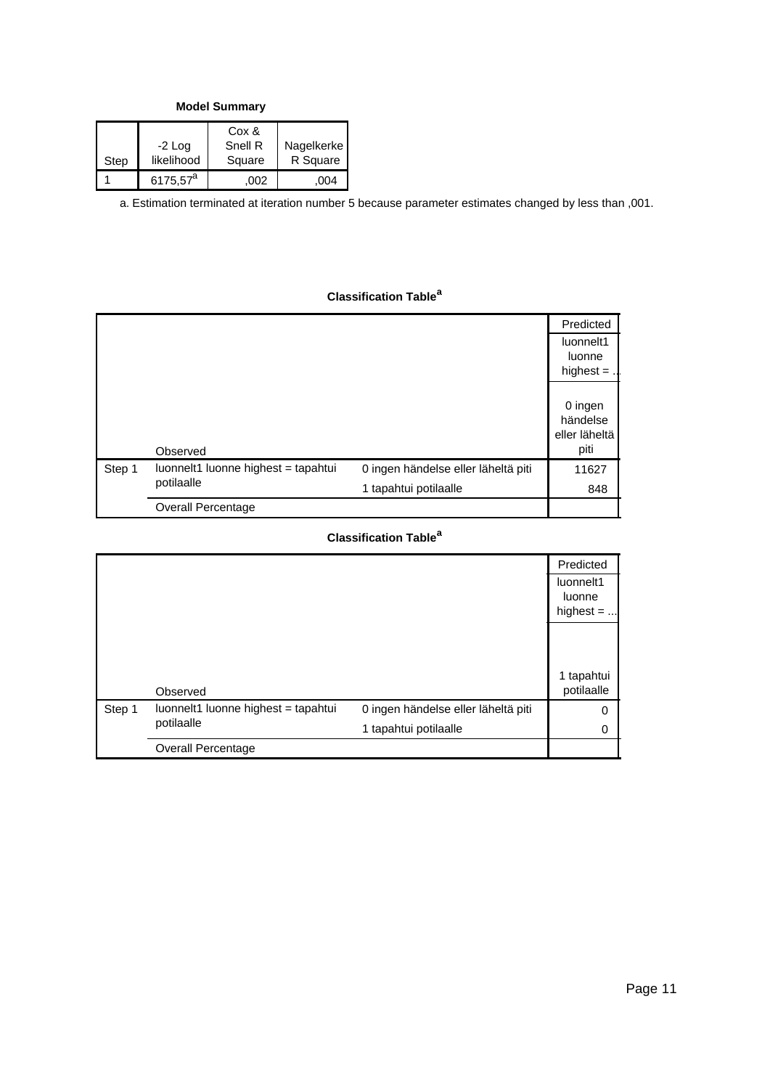**Model Summary**

| Step | $-2$ Log<br>likelihood | Cox &<br>Snell R<br>Square | Nagelkerke<br>R Square |
|------|------------------------|----------------------------|------------------------|
|      | 6175,57 <sup>a</sup>   | .002                       | 004                    |

a. Estimation terminated at iteration number 5 because parameter estimates changed by less than ,001.

## **Classification Table<sup>a</sup>**

|        |                                     |                                     | Predicted     |
|--------|-------------------------------------|-------------------------------------|---------------|
|        |                                     |                                     | luonnelt1     |
|        |                                     |                                     | luonne        |
|        |                                     |                                     | highest $=$ . |
|        |                                     |                                     |               |
|        |                                     |                                     | 0 ingen       |
|        |                                     |                                     | händelse      |
|        |                                     |                                     | eller läheltä |
|        | Observed                            |                                     | piti          |
| Step 1 | luonnelt1 luonne highest = tapahtui | 0 ingen händelse eller läheltä piti | 11627         |
|        | potilaalle                          | 1 tapahtui potilaalle               | 848           |
|        | <b>Overall Percentage</b>           |                                     |               |

|        |                                     |                                     | Predicted                          |
|--------|-------------------------------------|-------------------------------------|------------------------------------|
|        |                                     |                                     | luonnelt1<br>luonne<br>highest $=$ |
|        |                                     |                                     | 1 tapahtui                         |
|        | Observed                            |                                     | potilaalle                         |
| Step 1 | luonnelt1 luonne highest = tapahtui | 0 ingen händelse eller läheltä piti | 0                                  |
|        | potilaalle                          | 1 tapahtui potilaalle               | 0                                  |
|        | <b>Overall Percentage</b>           |                                     |                                    |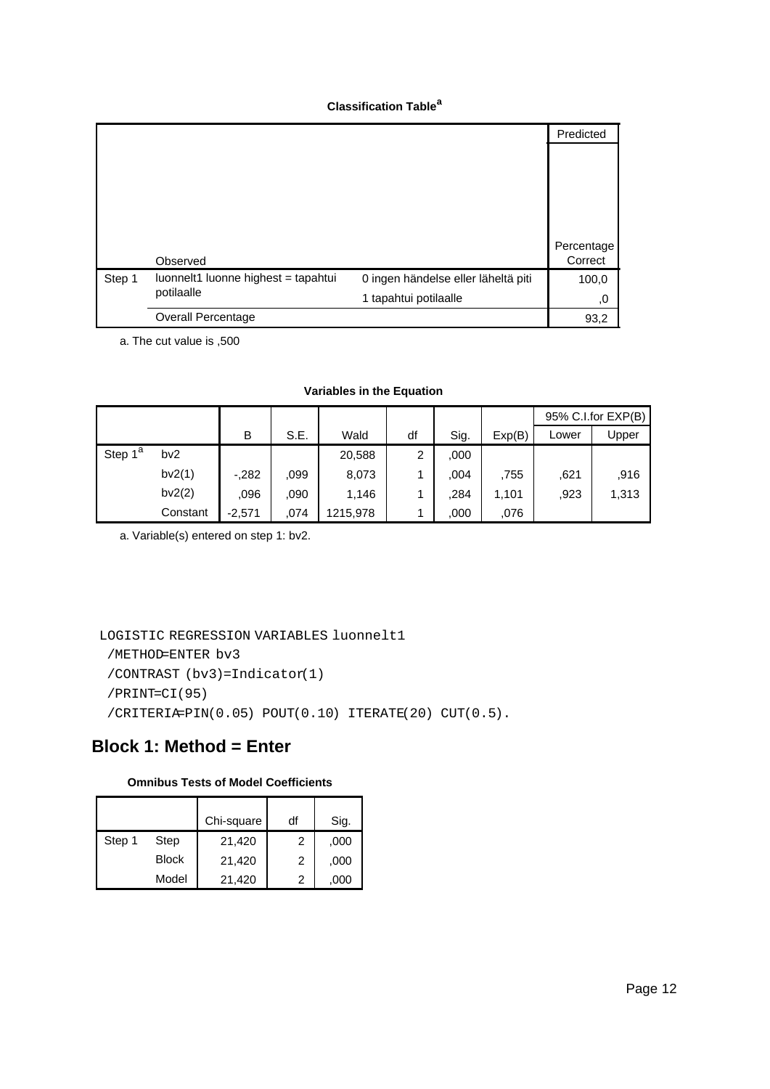|        |                                     |                                     | Predicted  |
|--------|-------------------------------------|-------------------------------------|------------|
|        |                                     |                                     |            |
|        |                                     |                                     |            |
|        |                                     |                                     |            |
|        |                                     |                                     |            |
|        |                                     |                                     | Percentage |
|        | Observed                            |                                     | Correct    |
| Step 1 | luonnelt1 luonne highest = tapahtui | 0 ingen händelse eller läheltä piti | 100,0      |
|        | potilaalle                          | 1 tapahtui potilaalle               | 0,         |
|        | <b>Overall Percentage</b>           |                                     | 93,2       |

a. The cut value is ,500

### **Variables in the Equation**

|                     |          |          |      |          |    |      |        |       | 95% C.I.for EXP(B) |
|---------------------|----------|----------|------|----------|----|------|--------|-------|--------------------|
|                     |          | B        | S.E. | Wald     | df | Sig. | Exp(B) | Lower | Upper              |
| Step 1 <sup>a</sup> | bv2      |          |      | 20,588   | 2  | ,000 |        |       |                    |
|                     | bv2(1)   | $-282$   | .099 | 8,073    |    | .004 | .755   | .621  | .916               |
|                     | bv2(2)   | .096     | .090 | 1,146    |    | .284 | 1,101  | ,923  | 1,313              |
|                     | Constant | $-2,571$ | 074. | 1215,978 |    | ,000 | .076   |       |                    |

a. Variable(s) entered on step 1: bv2.

```
LOGISTIC REGRESSION VARIABLES luonnelt1
```

```
 /METHOD=ENTER bv3
/CONTRAST (bv3)=Indicator(1)
```
/PRINT=CI(95)

/CRITERIA=PIN(0.05) POUT(0.10) ITERATE(20) CUT(0.5).

|  |  |  |  |  | <b>Omnibus Tests of Model Coefficients</b> |
|--|--|--|--|--|--------------------------------------------|
|--|--|--|--|--|--------------------------------------------|

|        |              | Chi-square | df | Sig. |
|--------|--------------|------------|----|------|
| Step 1 | Step         | 21,420     | 2  | ,000 |
|        | <b>Block</b> | 21,420     | 2  | ,000 |
|        | Model        | 21,420     |    | 000  |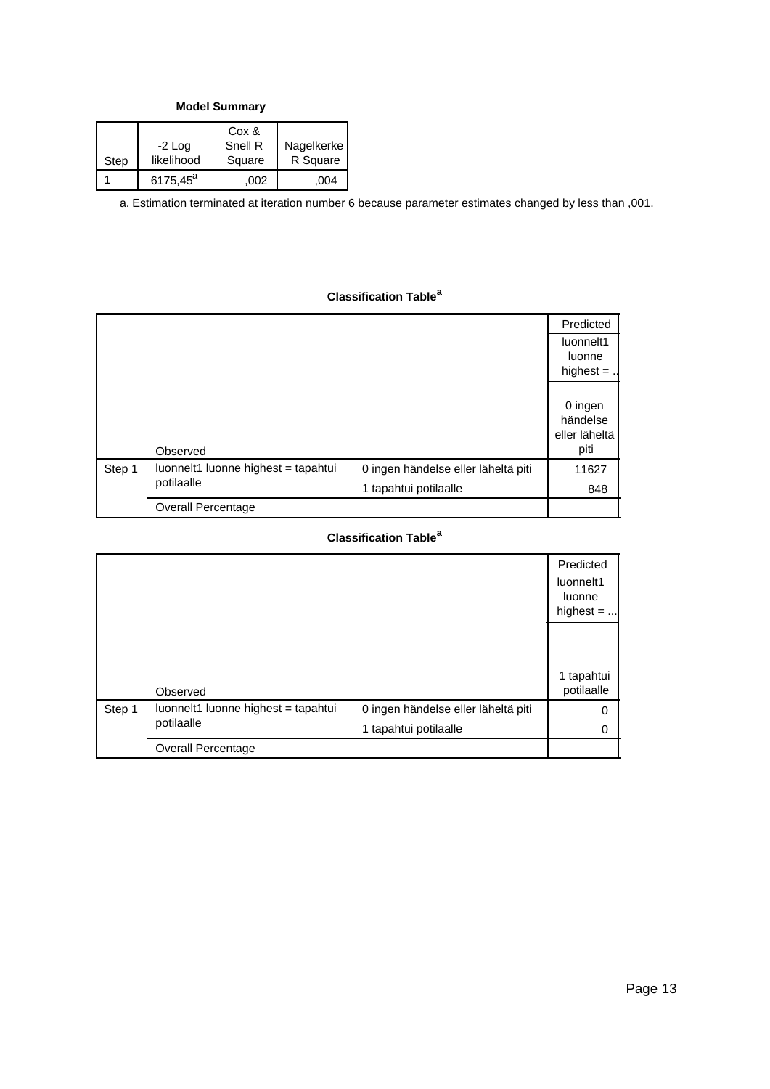**Model Summary**

| Step | $-2$ Log<br>likelihood | Cox &<br>Snell R<br>Square | Nagelkerke<br>R Square |
|------|------------------------|----------------------------|------------------------|
|      | 6175,45 <sup>a</sup>   | .002                       | 004                    |

a. Estimation terminated at iteration number 6 because parameter estimates changed by less than ,001.

## **Classification Table<sup>a</sup>**

|        |                                     |                                     | Predicted     |
|--------|-------------------------------------|-------------------------------------|---------------|
|        |                                     |                                     | luonnelt1     |
|        |                                     |                                     | luonne        |
|        |                                     |                                     | highest $=$ . |
|        |                                     |                                     |               |
|        |                                     |                                     | 0 ingen       |
|        |                                     |                                     | händelse      |
|        |                                     |                                     | eller läheltä |
|        | Observed                            |                                     | piti          |
| Step 1 | luonnelt1 luonne highest = tapahtui | 0 ingen händelse eller läheltä piti | 11627         |
|        | potilaalle                          | 1 tapahtui potilaalle               | 848           |
|        | <b>Overall Percentage</b>           |                                     |               |

|        |                                     |                                     | Predicted                          |
|--------|-------------------------------------|-------------------------------------|------------------------------------|
|        |                                     |                                     | luonnelt1<br>luonne<br>highest $=$ |
|        |                                     |                                     | 1 tapahtui                         |
|        | Observed                            |                                     | potilaalle                         |
| Step 1 | luonnelt1 luonne highest = tapahtui | 0 ingen händelse eller läheltä piti | 0                                  |
|        | potilaalle                          | 1 tapahtui potilaalle               | 0                                  |
|        | <b>Overall Percentage</b>           |                                     |                                    |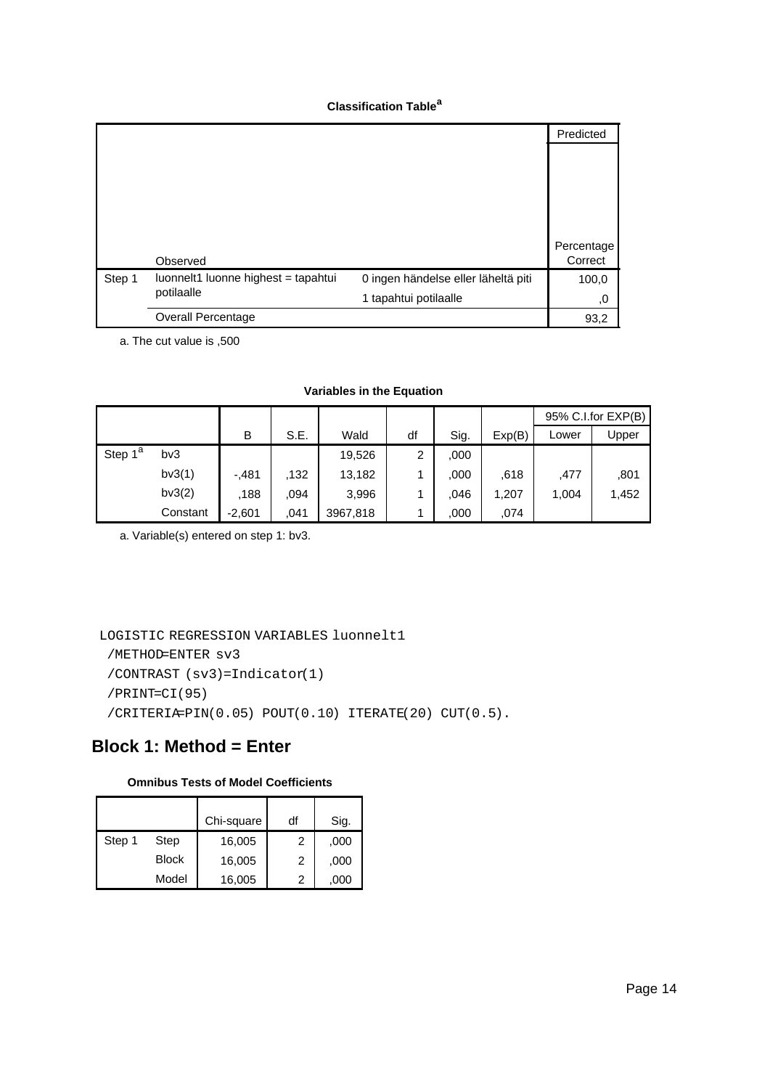|        |                                     |                                     | Predicted  |
|--------|-------------------------------------|-------------------------------------|------------|
|        |                                     |                                     |            |
|        |                                     |                                     |            |
|        |                                     |                                     |            |
|        |                                     |                                     |            |
|        |                                     |                                     |            |
|        |                                     |                                     | Percentage |
|        | Observed                            |                                     | Correct    |
| Step 1 | luonnelt1 luonne highest = tapahtui | 0 ingen händelse eller läheltä piti | 100,0      |
|        | potilaalle                          | 1 tapahtui potilaalle               | 0,         |
|        | Overall Percentage                  |                                     | 93,2       |

a. The cut value is ,500

### **Variables in the Equation**

|                     |          |          |      |          |    |      |        |       | 95% C.I.for EXP(B) |
|---------------------|----------|----------|------|----------|----|------|--------|-------|--------------------|
|                     |          | B        | S.E. | Wald     | df | Sig. | Exp(B) | Lower | Upper              |
| Step 1 <sup>a</sup> | bv3      |          |      | 19,526   | 2  | ,000 |        |       |                    |
|                     | bv3(1)   | $-.481$  | .132 | 13,182   |    | ,000 | .618   | ,477  | ,801               |
|                     | bv3(2)   | .188     | .094 | 3,996    |    | .046 | 1,207  | 1,004 | 1,452              |
|                     | Constant | $-2,601$ | .041 | 3967,818 |    | .000 | .074   |       |                    |

a. Variable(s) entered on step 1: bv3.

```
LOGISTIC REGRESSION VARIABLES luonnelt1
```

```
 /METHOD=ENTER sv3
/CONTRAST (sv3)=Indicator(1)
```
/PRINT=CI(95)

/CRITERIA=PIN(0.05) POUT(0.10) ITERATE(20) CUT(0.5).

|  |  | <b>Omnibus Tests of Model Coefficients</b> |
|--|--|--------------------------------------------|
|  |  |                                            |

|        |              | Chi-square | df | Sig. |
|--------|--------------|------------|----|------|
| Step 1 | Step         | 16,005     | 2  | ,000 |
|        | <b>Block</b> | 16,005     | 2  | ,000 |
|        | Model        | 16,005     | 2  | 000  |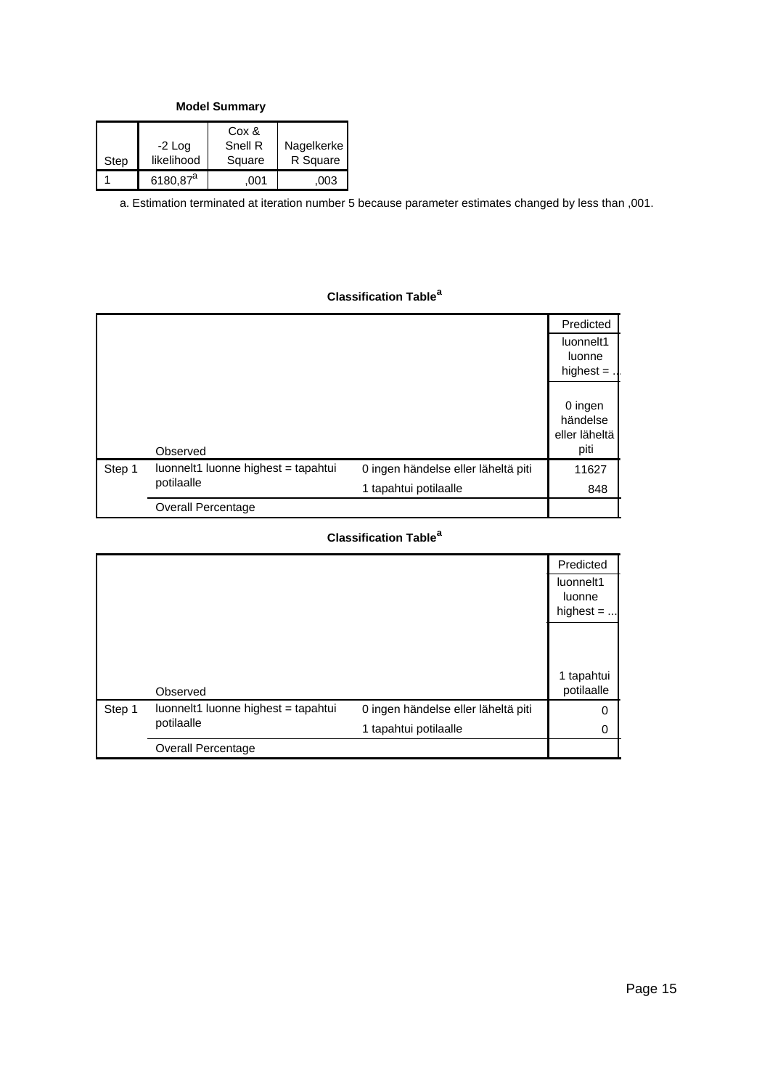**Model Summary**

| Step | $-2$ Log<br>likelihood | Cox &<br>Snell R<br>Square | Nagelkerke<br>R Square |
|------|------------------------|----------------------------|------------------------|
|      | 6180,87 <sup>a</sup>   | .001                       | .003                   |

a. Estimation terminated at iteration number 5 because parameter estimates changed by less than ,001.

## **Classification Table<sup>a</sup>**

|        |                                     |                                     | Predicted     |
|--------|-------------------------------------|-------------------------------------|---------------|
|        |                                     |                                     | luonnelt1     |
|        |                                     |                                     | luonne        |
|        |                                     |                                     | highest $=$ . |
|        |                                     |                                     |               |
|        |                                     |                                     | 0 ingen       |
|        |                                     |                                     | händelse      |
|        |                                     |                                     | eller läheltä |
|        | Observed                            |                                     | piti          |
| Step 1 | luonnelt1 luonne highest = tapahtui | 0 ingen händelse eller läheltä piti | 11627         |
|        | potilaalle                          | 1 tapahtui potilaalle               | 848           |
|        | <b>Overall Percentage</b>           |                                     |               |

|        |                                     |                                     | Predicted                          |
|--------|-------------------------------------|-------------------------------------|------------------------------------|
|        |                                     |                                     | luonnelt1<br>luonne<br>highest $=$ |
|        |                                     |                                     | 1 tapahtui                         |
|        | Observed                            |                                     | potilaalle                         |
| Step 1 | luonnelt1 luonne highest = tapahtui | 0 ingen händelse eller läheltä piti | 0                                  |
|        | potilaalle                          | 1 tapahtui potilaalle               | 0                                  |
|        | <b>Overall Percentage</b>           |                                     |                                    |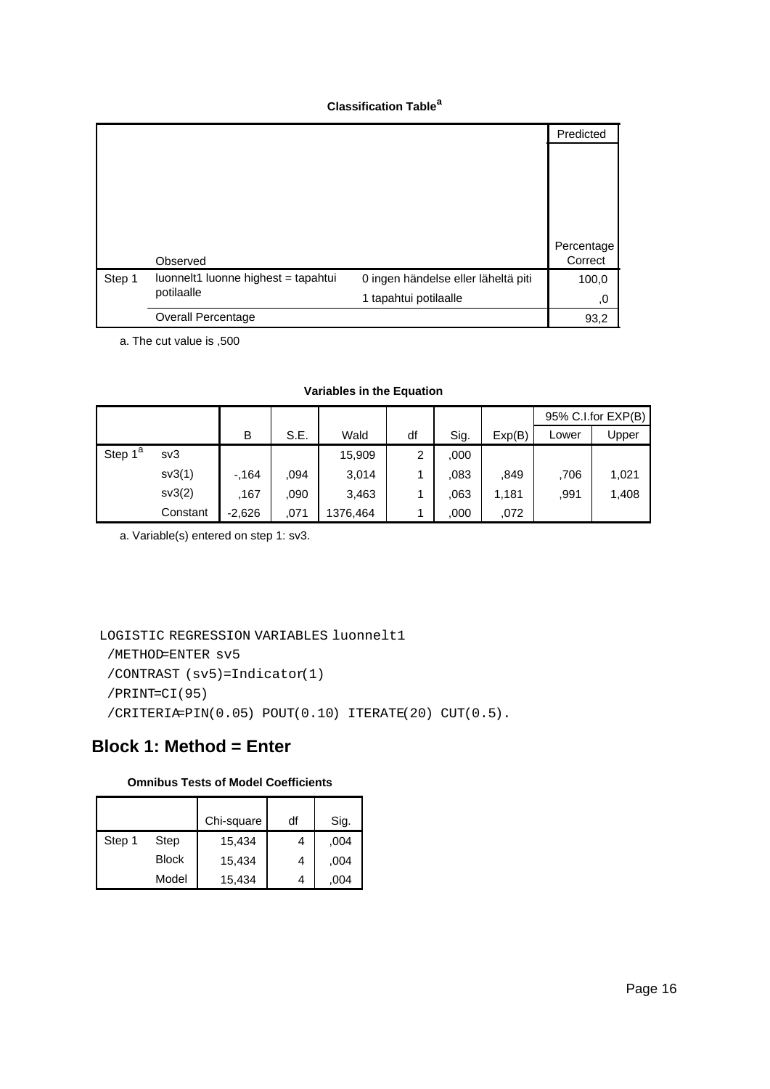|        |                                     |                                     | Predicted  |
|--------|-------------------------------------|-------------------------------------|------------|
|        |                                     |                                     |            |
|        |                                     |                                     |            |
|        |                                     |                                     |            |
|        |                                     |                                     |            |
|        |                                     |                                     | Percentage |
|        | Observed                            |                                     | Correct    |
| Step 1 | luonnelt1 luonne highest = tapahtui | 0 ingen händelse eller läheltä piti | 100,0      |
|        | potilaalle                          | 1 tapahtui potilaalle               | 0,         |
|        | <b>Overall Percentage</b>           |                                     | 93,2       |

a. The cut value is ,500

### **Variables in the Equation**

|                     |          |          |      |          |    |      |        |       | 95% C.I.for EXP(B) |
|---------------------|----------|----------|------|----------|----|------|--------|-------|--------------------|
|                     |          | B        | S.E. | Wald     | df | Sig. | Exp(B) | Lower | Upper              |
| Step 1 <sup>a</sup> | sv3      |          |      | 15,909   | 2  | ,000 |        |       |                    |
|                     | sv3(1)   | $-164$   | .094 | 3,014    |    | .083 | .849   | .706  | 1,021              |
|                     | sv3(2)   | ,167     | .090 | 3,463    |    | .063 | 1,181  | ,991  | 1,408              |
|                     | Constant | $-2,626$ | .071 | 1376,464 |    | ,000 | .072   |       |                    |

a. Variable(s) entered on step 1: sv3.

```
LOGISTIC REGRESSION VARIABLES luonnelt1
```

```
 /METHOD=ENTER sv5
```
/CONTRAST (sv5)=Indicator(1)

/PRINT=CI(95)

/CRITERIA=PIN(0.05) POUT(0.10) ITERATE(20) CUT(0.5).

|  |  |  |  |  | <b>Omnibus Tests of Model Coefficients</b> |
|--|--|--|--|--|--------------------------------------------|
|--|--|--|--|--|--------------------------------------------|

|        |              | Chi-square | df | Sig. |
|--------|--------------|------------|----|------|
| Step 1 | Step         | 15,434     |    | ,004 |
|        | <b>Block</b> | 15,434     | 4  | ,004 |
|        | Model        | 15,434     | 4  | .004 |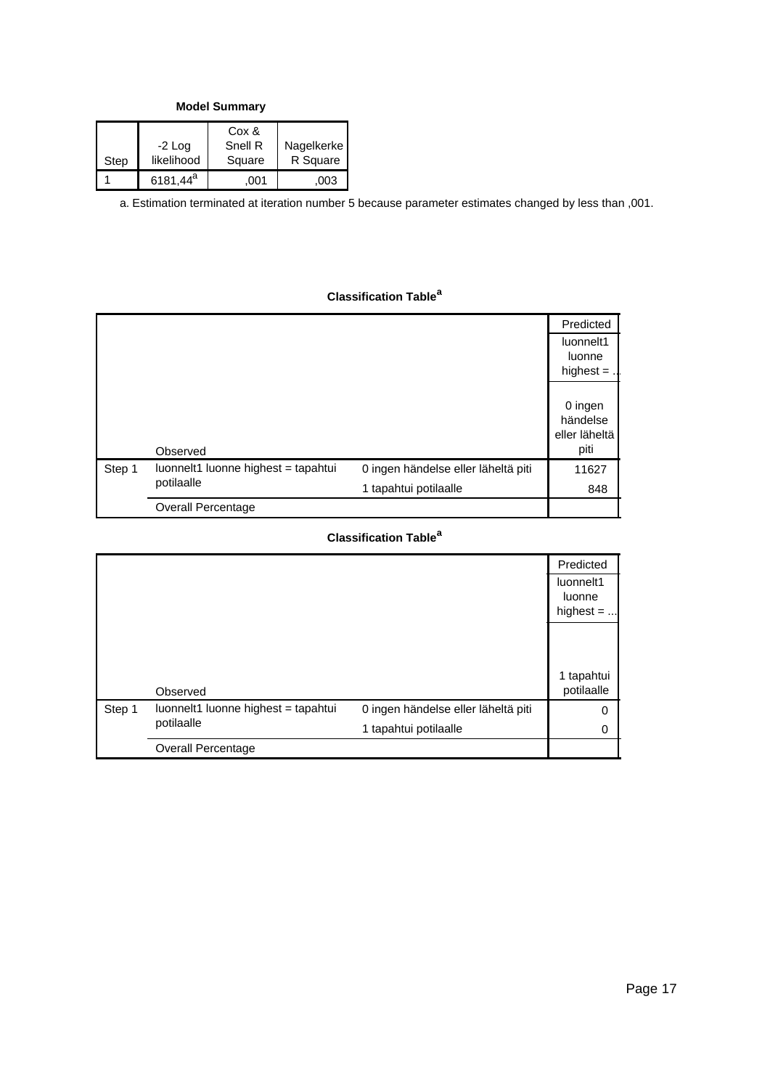**Model Summary**

| Step | $-2$ Log<br>likelihood | Cox &<br>Snell R<br>Square | Nagelkerke<br>R Square |
|------|------------------------|----------------------------|------------------------|
|      | $6181,44^a$            | .001                       | .003                   |

a. Estimation terminated at iteration number 5 because parameter estimates changed by less than ,001.

## **Classification Table<sup>a</sup>**

|        |                                     |                                     | Predicted     |
|--------|-------------------------------------|-------------------------------------|---------------|
|        |                                     |                                     | luonnelt1     |
|        |                                     |                                     | luonne        |
|        |                                     |                                     | highest $=$ . |
|        |                                     |                                     |               |
|        |                                     |                                     | 0 ingen       |
|        |                                     |                                     | händelse      |
|        |                                     |                                     | eller läheltä |
|        | Observed                            |                                     | piti          |
| Step 1 | luonnelt1 luonne highest = tapahtui | 0 ingen händelse eller läheltä piti | 11627         |
|        | potilaalle                          | 1 tapahtui potilaalle               | 848           |
|        | <b>Overall Percentage</b>           |                                     |               |

|        |                                     |                                     | Predicted                          |
|--------|-------------------------------------|-------------------------------------|------------------------------------|
|        |                                     |                                     | luonnelt1<br>luonne<br>highest $=$ |
|        |                                     |                                     | 1 tapahtui                         |
|        | Observed                            |                                     | potilaalle                         |
| Step 1 | luonnelt1 luonne highest = tapahtui | 0 ingen händelse eller läheltä piti | 0                                  |
|        | potilaalle                          | 1 tapahtui potilaalle               | 0                                  |
|        | <b>Overall Percentage</b>           |                                     |                                    |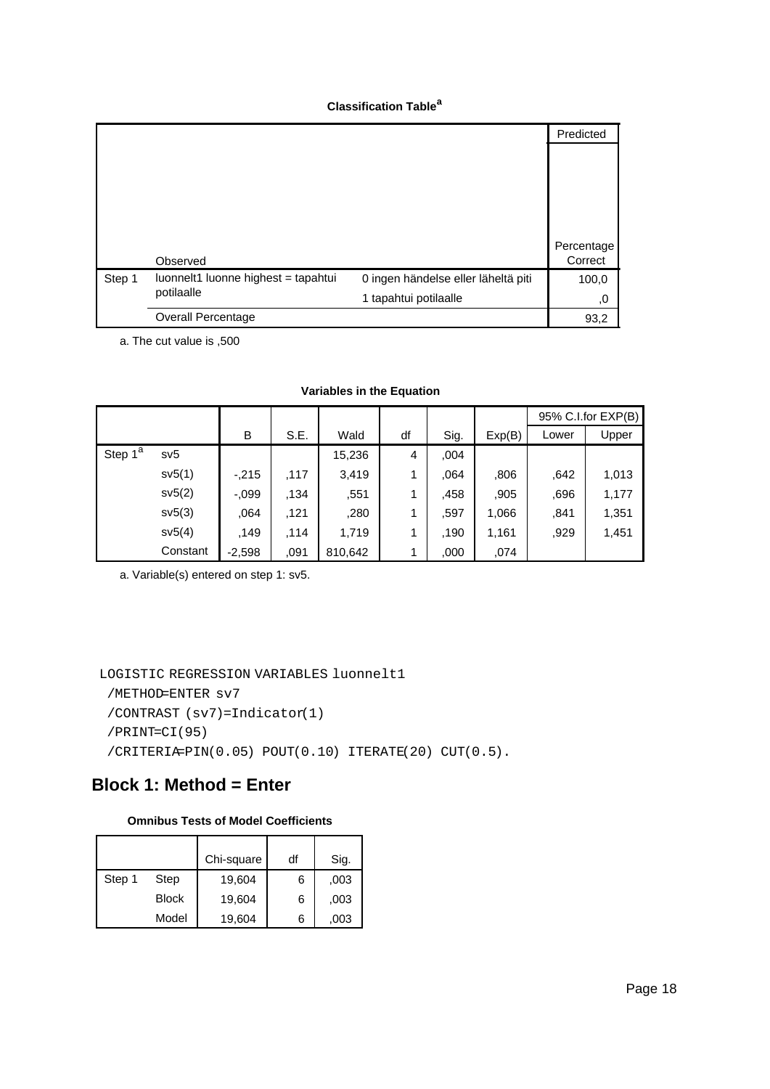|        |                                     |                                     | Predicted  |
|--------|-------------------------------------|-------------------------------------|------------|
|        |                                     |                                     |            |
|        |                                     |                                     |            |
|        |                                     |                                     |            |
|        |                                     |                                     |            |
|        |                                     |                                     |            |
|        |                                     |                                     | Percentage |
|        | Observed                            |                                     | Correct    |
| Step 1 | luonnelt1 luonne highest = tapahtui | 0 ingen händelse eller läheltä piti | 100,0      |
|        | potilaalle                          | 1 tapahtui potilaalle               | 0,         |
|        | <b>Overall Percentage</b>           |                                     | 93,2       |

a. The cut value is ,500

### **Variables in the Equation**

|                     |          |          |       |         |    |      |        |       | 95% C.I.for EXP(B) |
|---------------------|----------|----------|-------|---------|----|------|--------|-------|--------------------|
|                     |          | B        | S.E.  | Wald    | df | Sig. | Exp(B) | Lower | Upper              |
| Step 1 <sup>a</sup> | sv5      |          |       | 15,236  | 4  | .004 |        |       |                    |
|                     | sv5(1)   | $-0.215$ | ,117  | 3,419   |    | .064 | .806   | .642  | 1,013              |
|                     | sv5(2)   | $-.099$  | .134  | .551    |    | .458 | ,905   | ,696  | 1,177              |
|                     | sv5(3)   | .064     | .121  | ,280    |    | .597 | 1,066  | .841  | 1,351              |
|                     | sv5(4)   | .149     | , 114 | 1,719   |    | .190 | 1,161  | ,929  | 1,451              |
|                     | Constant | $-2,598$ | .091  | 810,642 |    | ,000 | .074   |       |                    |

a. Variable(s) entered on step 1: sv5.

### LOGISTIC REGRESSION VARIABLES luonnelt1

```
 /METHOD=ENTER sv7
/CONTRAST (sv7)=Indicator(1)
/PRINT=CI(95)
/CRITERIA=PIN(0.05) POUT(0.10) ITERATE(20) CUT(0.5).
```
# **Block 1: Method = Enter**

### **Omnibus Tests of Model Coefficients**

|        |              | Chi-square | df | Sig. |
|--------|--------------|------------|----|------|
| Step 1 | Step         | 19,604     | 6  | ,003 |
|        | <b>Block</b> | 19,604     | 6  | ,003 |
|        | Model        | 19,604     |    | .003 |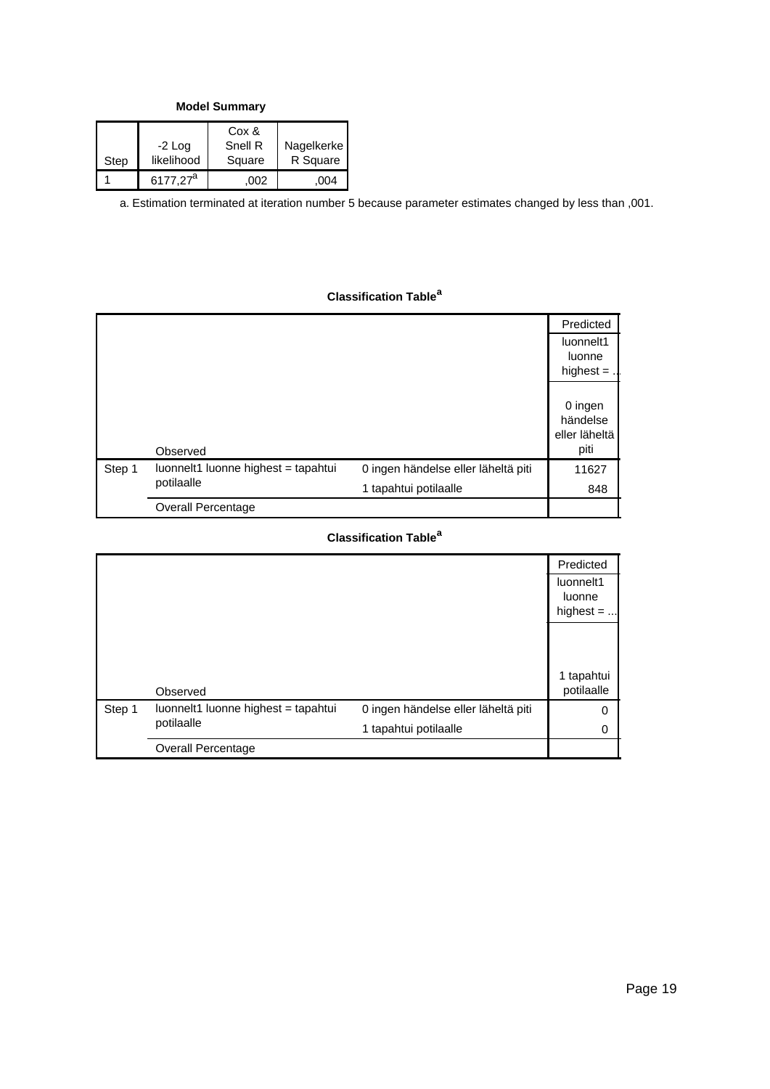**Model Summary**

| Step | $-2$ Log<br>likelihood | Cox &<br>Snell R<br>Square | Nagelkerke<br>R Square |
|------|------------------------|----------------------------|------------------------|
|      | 6177.27 <sup>a</sup>   | .002                       | 004                    |

a. Estimation terminated at iteration number 5 because parameter estimates changed by less than ,001.

## **Classification Table<sup>a</sup>**

|        |                                     |                                     | Predicted     |
|--------|-------------------------------------|-------------------------------------|---------------|
|        |                                     |                                     | luonnelt1     |
|        |                                     |                                     | luonne        |
|        |                                     |                                     | highest $=$ . |
|        |                                     |                                     |               |
|        |                                     |                                     | 0 ingen       |
|        |                                     |                                     | händelse      |
|        |                                     |                                     | eller läheltä |
|        | Observed                            |                                     | piti          |
| Step 1 | luonnelt1 luonne highest = tapahtui | 0 ingen händelse eller läheltä piti | 11627         |
|        | potilaalle                          | 1 tapahtui potilaalle               | 848           |
|        | <b>Overall Percentage</b>           |                                     |               |

|        |                                     |                                     | Predicted                          |
|--------|-------------------------------------|-------------------------------------|------------------------------------|
|        |                                     |                                     | luonnelt1<br>luonne<br>highest $=$ |
|        |                                     |                                     | 1 tapahtui                         |
|        | Observed                            |                                     | potilaalle                         |
| Step 1 | luonnelt1 luonne highest = tapahtui | 0 ingen händelse eller läheltä piti | 0                                  |
|        | potilaalle                          | 1 tapahtui potilaalle               | 0                                  |
|        | <b>Overall Percentage</b>           |                                     |                                    |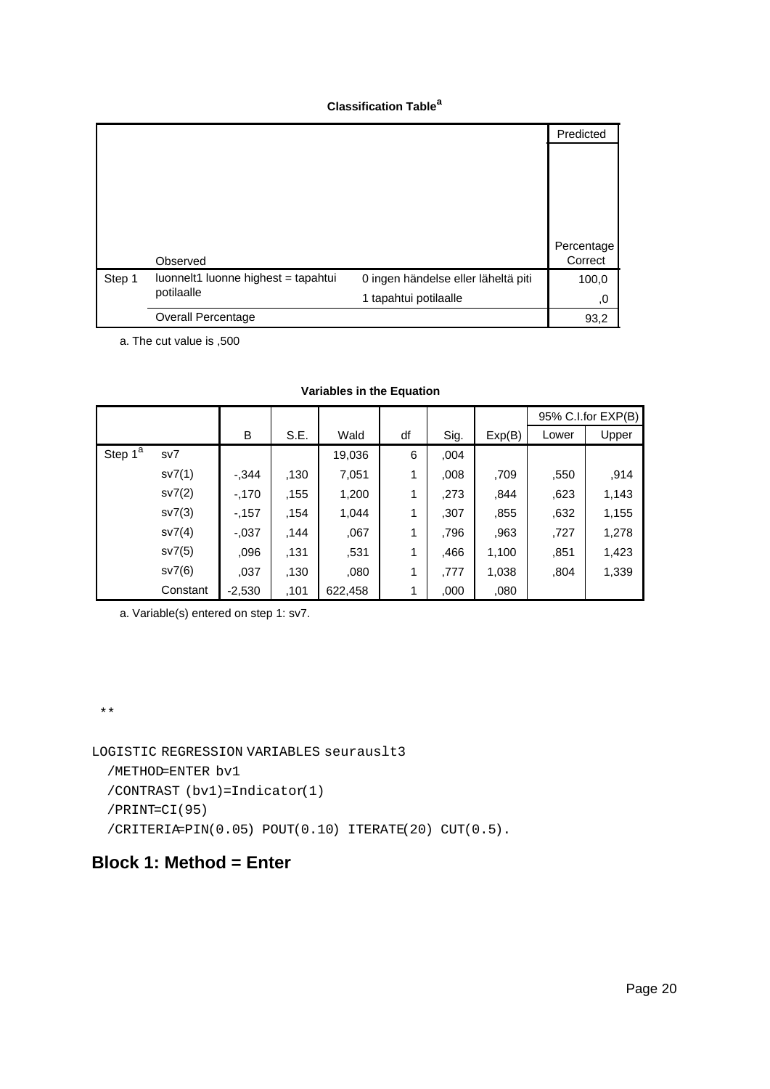|        |                                     |                                     | Predicted             |
|--------|-------------------------------------|-------------------------------------|-----------------------|
|        |                                     |                                     |                       |
|        |                                     |                                     |                       |
|        |                                     |                                     |                       |
|        |                                     |                                     |                       |
|        |                                     |                                     |                       |
|        |                                     |                                     | Percentage<br>Correct |
|        | Observed                            |                                     |                       |
| Step 1 | luonnelt1 luonne highest = tapahtui | 0 ingen händelse eller läheltä piti | 100,0                 |
|        | potilaalle                          | 1 tapahtui potilaalle               | 0,                    |
|        | <b>Overall Percentage</b>           |                                     | 93,2                  |

a. The cut value is ,500

|                         |          |          |      |         |    |      |        |       | 95% C.I.for EXP(B) |
|-------------------------|----------|----------|------|---------|----|------|--------|-------|--------------------|
|                         |          | B        | S.E. | Wald    | df | Sig. | Exp(B) | Lower | Upper              |
| Step $1^{\overline{a}}$ | sv7      |          |      | 19,036  | 6  | 004  |        |       |                    |
|                         | sv7(1)   | $-344$   | ,130 | 7,051   | 1  | .008 | ,709   | ,550  | ,914               |
|                         | sv7(2)   | $-170$   | ,155 | 1,200   | 1  | ,273 | ,844   | ,623  | 1,143              |
|                         | sv7(3)   | $-157$   | .154 | 1,044   | 1  | ,307 | ,855   | ,632  | 1,155              |
|                         | sv7(4)   | $-0.037$ | .144 | ,067    | 1  | .796 | ,963   | ,727  | 1,278              |
|                         | sv7(5)   | ,096     | .131 | ,531    | 1  | .466 | 1,100  | ,851  | 1,423              |
|                         | sv7(6)   | ,037     | .130 | ,080    | 1  | ,777 | 1,038  | .804  | 1,339              |
|                         | Constant | $-2,530$ | .101 | 622,458 |    | ,000 | ,080   |       |                    |

### **Variables in the Equation**

a. Variable(s) entered on step 1: sv7.

\*\*

```
LOGISTIC REGRESSION VARIABLES seurauslt3
```
/METHOD=ENTER bv1

```
 /CONTRAST (bv1)=Indicator(1)
```
/PRINT=CI(95)

/CRITERIA=PIN(0.05) POUT(0.10) ITERATE(20) CUT(0.5).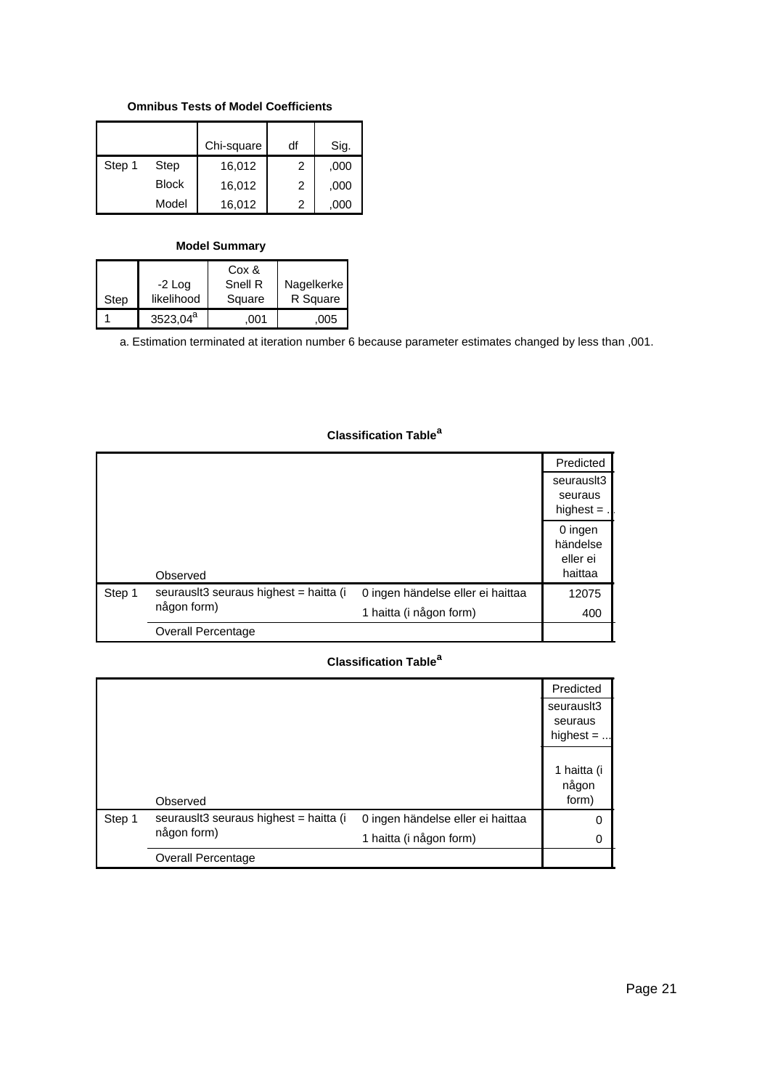### **Omnibus Tests of Model Coefficients**

|        |              | Chi-square | df | Sig. |
|--------|--------------|------------|----|------|
| Step 1 | Step         | 16,012     | 2  | ,000 |
|        | <b>Block</b> | 16,012     | 2  | ,000 |
|        | Model        | 16,012     | っ  | .000 |

## **Model Summary**

|      | $-2$ Log             | Cox &<br>Snell R | Nagelkerke |
|------|----------------------|------------------|------------|
| Step | likelihood           | Square           | R Square   |
|      | 3523,04 <sup>a</sup> | .001             | .005       |

a. Estimation terminated at iteration number 6 because parameter estimates changed by less than ,001.

|        |                                        |                                   | Predicted     |
|--------|----------------------------------------|-----------------------------------|---------------|
|        |                                        |                                   | seurausit3    |
|        |                                        |                                   | seuraus       |
|        |                                        |                                   | highest $=$ . |
|        |                                        |                                   | 0 ingen       |
|        |                                        |                                   | händelse      |
|        |                                        |                                   | eller ei      |
|        | Observed                               |                                   | haittaa       |
| Step 1 | seurausit3 seuraus highest = haitta (i | 0 ingen händelse eller ei haittaa | 12075         |
|        | någon form)                            | 1 haitta (i någon form)           | 400           |
|        | Overall Percentage                     |                                   |               |

## **Classification Table<sup>a</sup>**

|        |                                        |                                   | Predicted                     |
|--------|----------------------------------------|-----------------------------------|-------------------------------|
|        |                                        |                                   | seurausit3                    |
|        |                                        |                                   | seuraus                       |
|        |                                        |                                   | highest $=$                   |
|        | Observed                               |                                   | 1 haitta (i<br>någon<br>form) |
| Step 1 | seurausit3 seuraus highest = haitta (i | 0 ingen händelse eller ei haittaa | 0                             |
|        | någon form)                            | 1 haitta (i någon form)           | 0                             |
|        | <b>Overall Percentage</b>              |                                   |                               |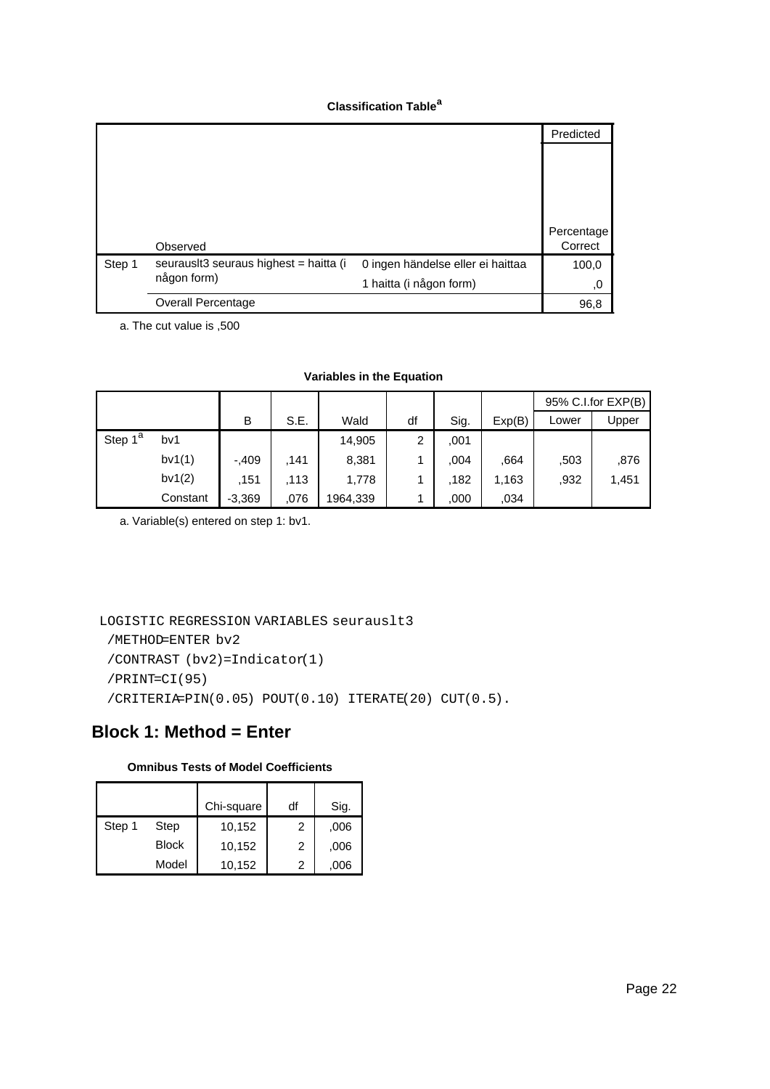|        |                                        |                                   | Predicted  |
|--------|----------------------------------------|-----------------------------------|------------|
|        |                                        |                                   |            |
|        |                                        |                                   |            |
|        |                                        |                                   |            |
|        |                                        |                                   |            |
|        |                                        |                                   | Percentage |
|        | Observed                               |                                   | Correct    |
| Step 1 | seurauslt3 seuraus highest = haitta (i | 0 ingen händelse eller ei haittaa | 100,0      |
|        | någon form)                            | 1 haitta (i någon form)           | ,0         |
|        | <b>Overall Percentage</b>              |                                   | 96,8       |

a. The cut value is ,500

### **Variables in the Equation**

|                     |          |          |      |          |    |      |        |       | 95% C.I.for EXP(B) |
|---------------------|----------|----------|------|----------|----|------|--------|-------|--------------------|
|                     |          | B        | S.E. | Wald     | df | Sig. | Exp(B) | Lower | Upper              |
| Step 1 <sup>a</sup> | bv1      |          |      | 14,905   | 2  | ,001 |        |       |                    |
|                     | bv1(1)   | $-.409$  | .141 | 8,381    |    | .004 | .664   | .503  | .876               |
|                     | bv1(2)   | .151     | .113 | 1,778    |    | .182 | 1,163  | ,932  | 1,451              |
|                     | Constant | $-3,369$ | .076 | 1964,339 |    | ,000 | .034   |       |                    |

a. Variable(s) entered on step 1: bv1.

```
LOGISTIC REGRESSION VARIABLES seurauslt3
 /METHOD=ENTER bv2
 /CONTRAST (bv2)=Indicator(1)
 /PRINT=CI(95)
 /CRITERIA=PIN(0.05) POUT(0.10) ITERATE(20) CUT(0.5).
```

|  |  |  |  | <b>Omnibus Tests of Model Coefficients</b> |
|--|--|--|--|--------------------------------------------|
|--|--|--|--|--------------------------------------------|

|        |              | Chi-square | df | Sig. |
|--------|--------------|------------|----|------|
| Step 1 | Step         | 10,152     | 2  | ,006 |
|        | <b>Block</b> | 10,152     | 2  | ,006 |
|        | Model        | 10,152     | 2  | 006  |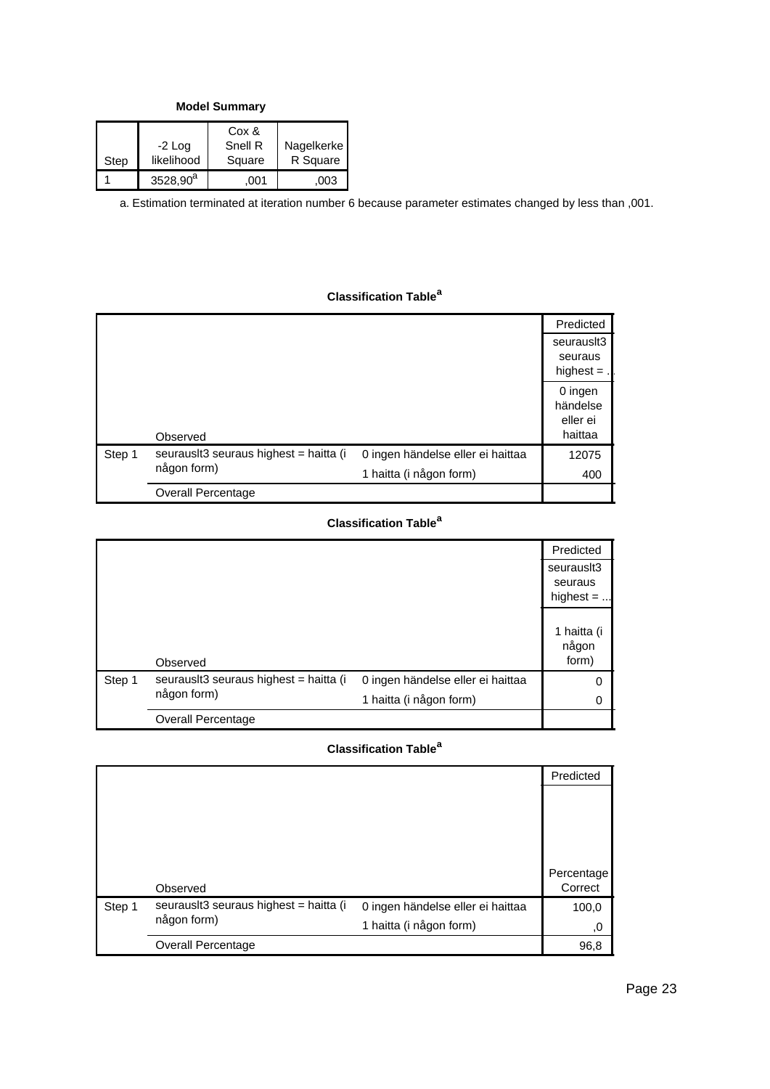**Model Summary**

| Step | $-2$ Log<br>likelihood | Cox &<br>Snell R<br>Square | Nagelkerke<br>R Square |
|------|------------------------|----------------------------|------------------------|
|      | 3528,90 <sup>a</sup>   | 001                        | .003                   |

a. Estimation terminated at iteration number 6 because parameter estimates changed by less than ,001.

## **Classification Table<sup>a</sup>**

|        |                                                       |                                                              | Predicted<br>seurausit3<br>seuraus<br>highest $=$ . |
|--------|-------------------------------------------------------|--------------------------------------------------------------|-----------------------------------------------------|
|        | Observed                                              |                                                              | 0 ingen<br>händelse<br>eller ei<br>haittaa          |
| Step 1 | seurauslt3 seuraus highest = haitta (i<br>någon form) | 0 ingen händelse eller ei haittaa<br>1 haitta (i någon form) | 12075<br>400                                        |
|        | <b>Overall Percentage</b>                             |                                                              |                                                     |

## **Classification Table<sup>a</sup>**

|        |                                                       |                                   | Predicted                     |
|--------|-------------------------------------------------------|-----------------------------------|-------------------------------|
|        |                                                       |                                   | seurausit3                    |
|        |                                                       |                                   | seuraus                       |
|        |                                                       |                                   | highest $=$                   |
|        | Observed                                              |                                   | 1 haitta (i<br>någon<br>form) |
| Step 1 | seurausit3 seuraus highest = haitta (i<br>någon form) | 0 ingen händelse eller ei haittaa | 0                             |
|        |                                                       | 1 haitta (i någon form)           | 0                             |
|        | <b>Overall Percentage</b>                             |                                   |                               |

|        |                                        |                                   | Predicted             |
|--------|----------------------------------------|-----------------------------------|-----------------------|
|        |                                        |                                   |                       |
|        | Observed                               |                                   | Percentage<br>Correct |
| Step 1 | seurausit3 seuraus highest = haitta (i | 0 ingen händelse eller ei haittaa | 100,0                 |
|        | någon form)                            | 1 haitta (i någon form)           | .0                    |
|        | <b>Overall Percentage</b>              |                                   | 96,8                  |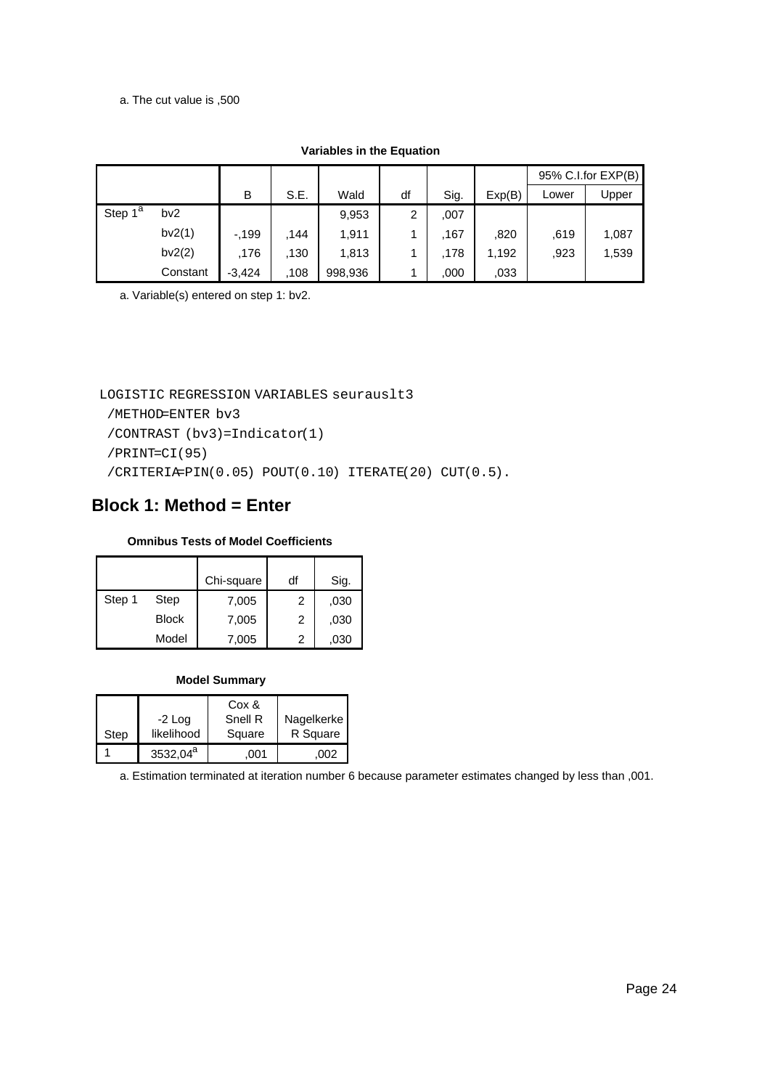#### a. The cut value is ,500

|                     |          |          |      |         |    |      |        |       | 95% C.I.for EXP(B) |
|---------------------|----------|----------|------|---------|----|------|--------|-------|--------------------|
|                     |          | B        | S.E. | Wald    | df | Sig. | Exp(B) | Lower | Upper              |
| Step 1 <sup>a</sup> | bv2      |          |      | 9,953   | 2  | ,007 |        |       |                    |
|                     | bv2(1)   | $-199$   | 144. | 1,911   |    | .167 | .820   | .619  | 1,087              |
|                     | bv2(2)   | .176     | .130 | 1,813   |    | .178 | 1,192  | ,923  | 1,539              |
|                     | Constant | $-3.424$ | .108 | 998,936 |    | .000 | ,033   |       |                    |

### **Variables in the Equation**

a. Variable(s) entered on step 1: bv2.

LOGISTIC REGRESSION VARIABLES seurauslt3

/METHOD=ENTER bv3

/CONTRAST (bv3)=Indicator(1)

/PRINT=CI(95)

/CRITERIA=PIN(0.05) POUT(0.10) ITERATE(20) CUT(0.5).

# **Block 1: Method = Enter**

### **Omnibus Tests of Model Coefficients**

|        |              | Chi-square | df | Sig. |
|--------|--------------|------------|----|------|
| Step 1 | Step         | 7,005      | 2  | ,030 |
|        | <b>Block</b> | 7,005      | 2  | ,030 |
|        | Model        | 7.005      | 2  | .030 |

#### **Model Summary**

|      |                      | Cox &   |            |
|------|----------------------|---------|------------|
|      | $-2$ Log             | Snell R | Nagelkerke |
| Step | likelihood           | Square  | R Square   |
|      | 3532,04 <sup>a</sup> | .001    | 002        |

a. Estimation terminated at iteration number 6 because parameter estimates changed by less than ,001.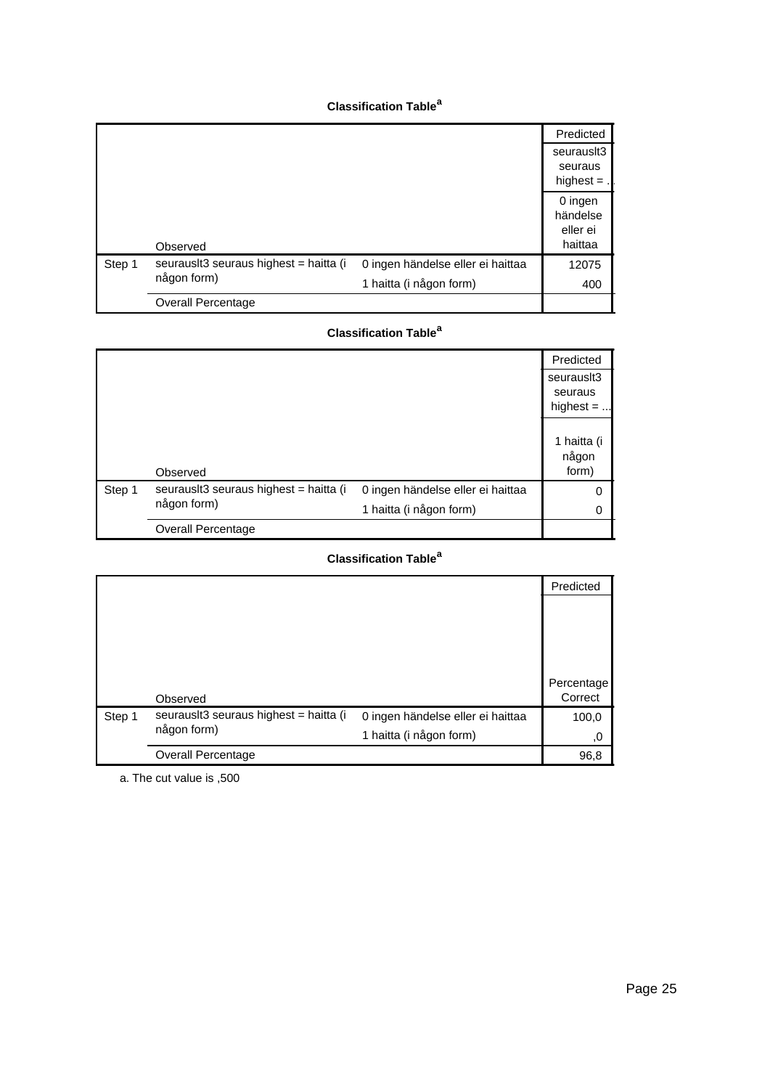|        |                                                       |                                   | Predicted<br>seurausit3<br>seuraus<br>highest $=$ . |
|--------|-------------------------------------------------------|-----------------------------------|-----------------------------------------------------|
|        | Observed                                              |                                   | 0 ingen<br>händelse<br>eller ei<br>haittaa          |
| Step 1 | seurausit3 seuraus highest = haitta (i<br>någon form) | 0 ingen händelse eller ei haittaa | 12075                                               |
|        | <b>Overall Percentage</b>                             | 1 haitta (i någon form)           | 400                                                 |

# **Classification Table<sup>a</sup>**

|        |                                        |                                   | Predicted                            |
|--------|----------------------------------------|-----------------------------------|--------------------------------------|
|        |                                        |                                   | seurausit3<br>seuraus<br>highest $=$ |
|        | Observed                               |                                   | 1 haitta (i<br>någon<br>form)        |
| Step 1 | seurauslt3 seuraus highest = haitta (i | 0 ingen händelse eller ei haittaa | 0                                    |
|        | någon form)                            | 1 haitta (i någon form)           | 0                                    |
|        | Overall Percentage                     |                                   |                                      |

# **Classification Table<sup>a</sup>**

|        |                                        |                                   | Predicted  |
|--------|----------------------------------------|-----------------------------------|------------|
|        |                                        |                                   |            |
|        |                                        |                                   |            |
|        |                                        |                                   |            |
|        |                                        |                                   |            |
|        |                                        |                                   | Percentage |
|        | Observed                               |                                   | Correct    |
| Step 1 | seurausit3 seuraus highest = haitta (i | 0 ingen händelse eller ei haittaa | 100,0      |
|        | någon form)                            | 1 haitta (i någon form)           | ,0         |
|        | <b>Overall Percentage</b>              |                                   | 96,8       |

a. The cut value is ,500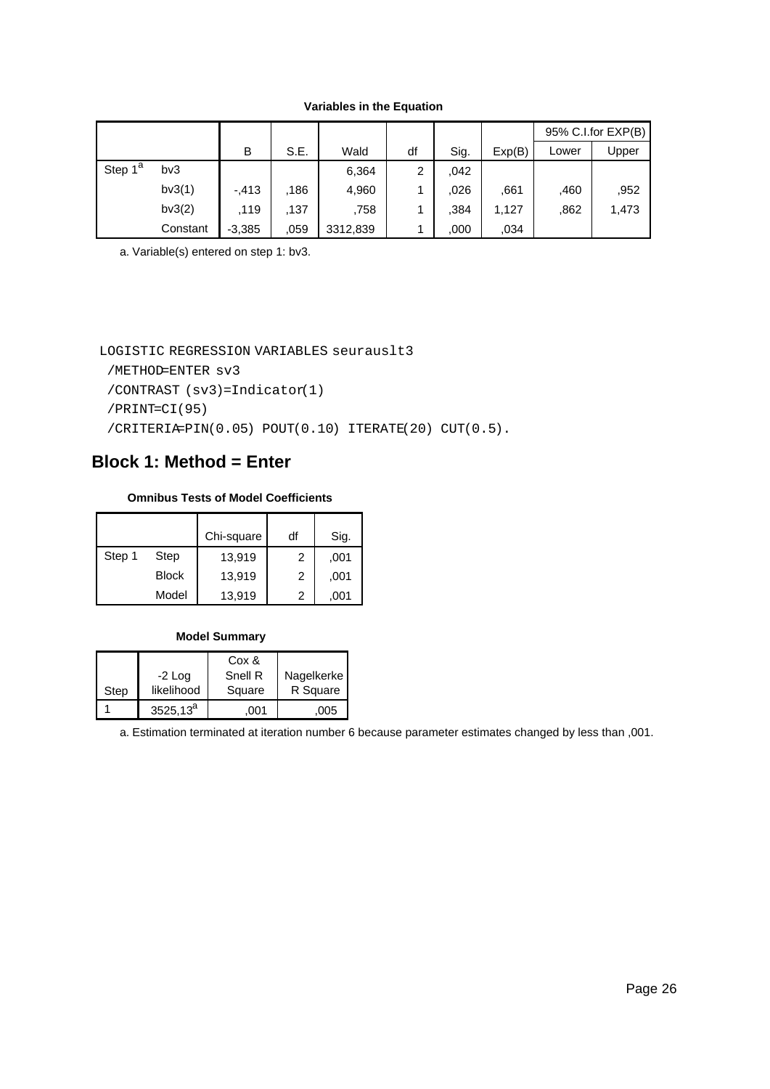|                     |          |          |      |          |    |      |        |       | 95% C.I.for EXP(B) |
|---------------------|----------|----------|------|----------|----|------|--------|-------|--------------------|
|                     |          | B        | S.E. | Wald     | df | Sig. | Exp(B) | Lower | Upper              |
| Step 1 <sup>a</sup> | bv3      |          |      | 6,364    | 2  | .042 |        |       |                    |
|                     | bv3(1)   | $-.413$  | .186 | 4,960    |    | ,026 | .661   | .460  | ,952               |
|                     | bv3(2)   | .119     | ,137 | .758     |    | ,384 | 1,127  | .862  | 1,473              |
|                     | Constant | $-3,385$ | .059 | 3312,839 |    | ,000 | .034   |       |                    |

## **Variables in the Equation**

a. Variable(s) entered on step 1: bv3.

### LOGISTIC REGRESSION VARIABLES seurauslt3

```
 /METHOD=ENTER sv3
```

```
 /CONTRAST (sv3)=Indicator(1)
```

```
 /PRINT=CI(95)
```
/CRITERIA=PIN(0.05) POUT(0.10) ITERATE(20) CUT(0.5).

# **Block 1: Method = Enter**

## **Omnibus Tests of Model Coefficients**

|        |              | Chi-square | df | Sig. |
|--------|--------------|------------|----|------|
| Step 1 | Step         | 13,919     | 2  | .001 |
|        | <b>Block</b> | 13,919     | 2  | .001 |
|        | Model        | 13,919     | 2  | .001 |

### **Model Summary**

|      |              | Cox &   |            |
|------|--------------|---------|------------|
|      | $-2$ Log     | Snell R | Nagelkerke |
| Step | likelihood   | Square  | R Square   |
|      | $3525, 13^a$ | .001    | .005       |

a. Estimation terminated at iteration number 6 because parameter estimates changed by less than ,001.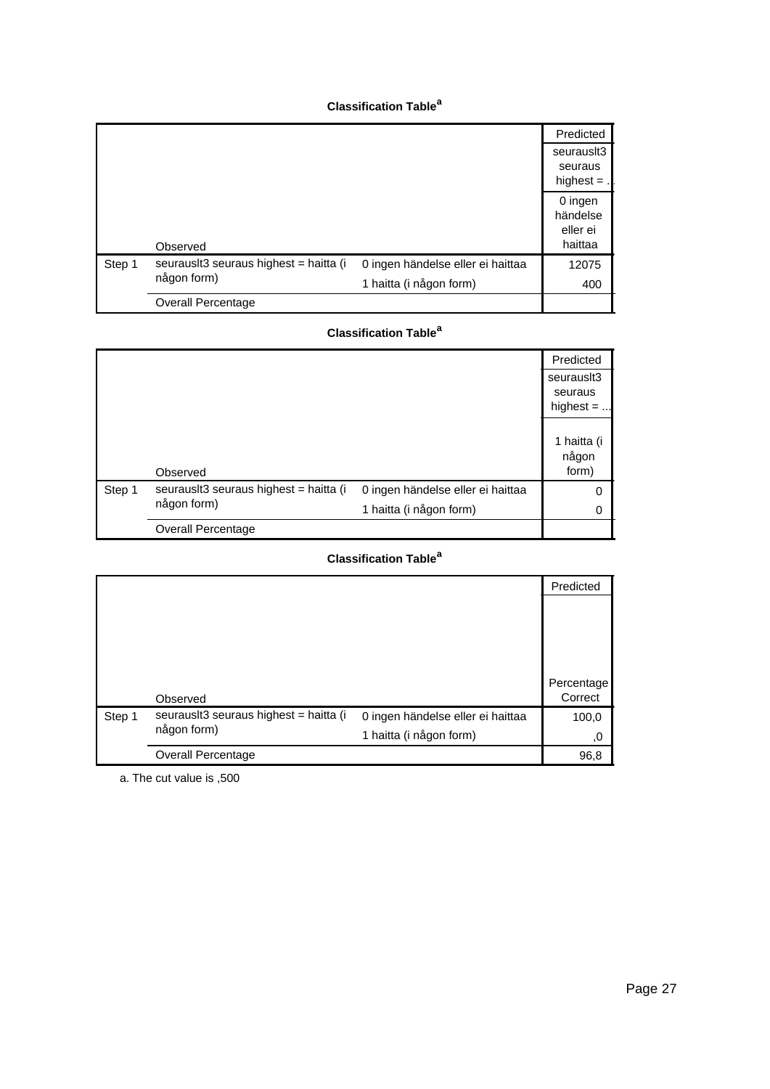|        |                                                       |                                   | Predicted<br>seurausit3<br>seuraus<br>highest $=$ . |
|--------|-------------------------------------------------------|-----------------------------------|-----------------------------------------------------|
|        | Observed                                              |                                   | 0 ingen<br>händelse<br>eller ei<br>haittaa          |
| Step 1 | seurausit3 seuraus highest = haitta (i<br>någon form) | 0 ingen händelse eller ei haittaa | 12075                                               |
|        | <b>Overall Percentage</b>                             | 1 haitta (i någon form)           | 400                                                 |

# **Classification Table<sup>a</sup>**

|        |                                        |                                   | Predicted                            |
|--------|----------------------------------------|-----------------------------------|--------------------------------------|
|        |                                        |                                   | seurausit3<br>seuraus<br>highest $=$ |
|        | Observed                               |                                   | 1 haitta (i<br>någon<br>form)        |
| Step 1 | seurauslt3 seuraus highest = haitta (i | 0 ingen händelse eller ei haittaa | 0                                    |
|        | någon form)                            | 1 haitta (i någon form)           | 0                                    |
|        | Overall Percentage                     |                                   |                                      |

# **Classification Table<sup>a</sup>**

|        |                                        |                                   | Predicted  |
|--------|----------------------------------------|-----------------------------------|------------|
|        |                                        |                                   |            |
|        |                                        |                                   |            |
|        |                                        |                                   |            |
|        |                                        |                                   |            |
|        |                                        |                                   | Percentage |
|        | Observed                               |                                   | Correct    |
| Step 1 | seurausit3 seuraus highest = haitta (i | 0 ingen händelse eller ei haittaa | 100,0      |
|        | någon form)                            | 1 haitta (i någon form)           | ,0         |
|        | <b>Overall Percentage</b>              |                                   | 96,8       |

a. The cut value is ,500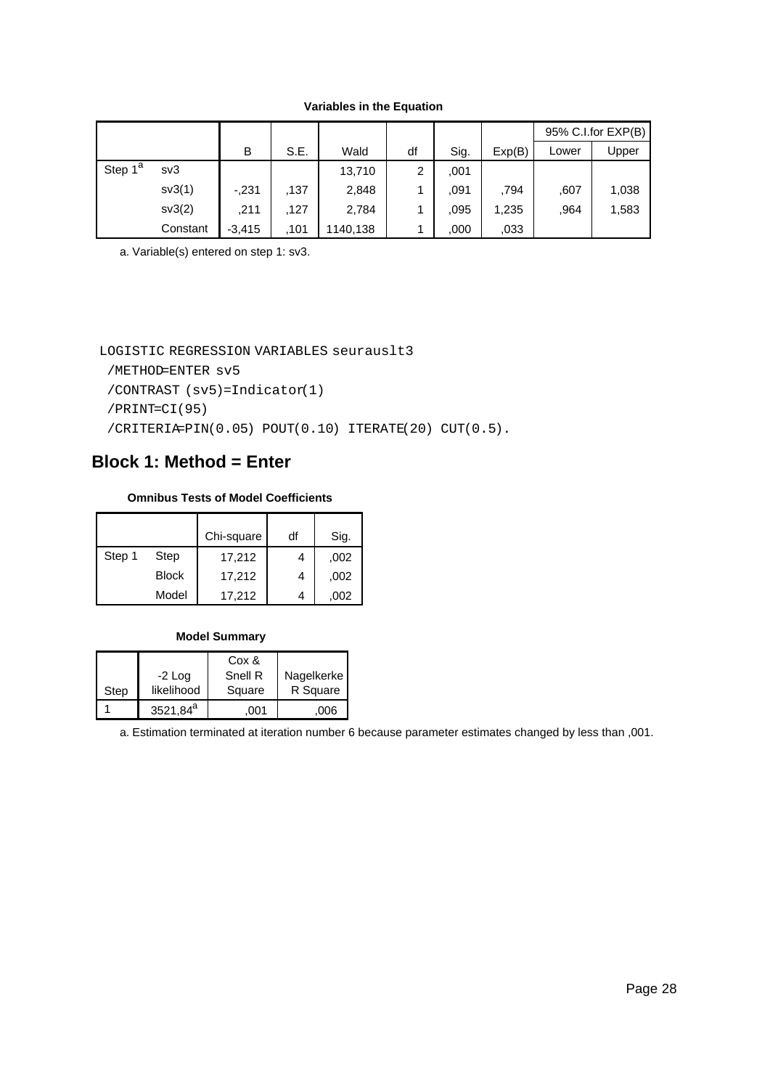|                     |                  |          |      |          |    |      |        |       | 95% C.I.for EXP(B) |
|---------------------|------------------|----------|------|----------|----|------|--------|-------|--------------------|
|                     |                  | B        | S.E. | Wald     | df | Sig. | Exp(B) | Lower | Upper              |
| Step 1 <sup>a</sup> | s <sub>v</sub> 3 |          |      | 13,710   | 2  | ,001 |        |       |                    |
|                     | sv3(1)           | $-231$   | 137  | 2,848    |    | ,091 | .794   | .607  | 1,038              |
|                     | sv3(2)           | .211     | 127  | 2,784    |    | .095 | 1,235  | .964  | 1,583              |
|                     | Constant         | $-3,415$ | 101  | 1140,138 |    | ,000 | .033   |       |                    |

**Variables in the Equation**

a. Variable(s) entered on step 1: sv3.

### LOGISTIC REGRESSION VARIABLES seurauslt3

```
 /METHOD=ENTER sv5
```

```
 /CONTRAST (sv5)=Indicator(1)
```

```
 /PRINT=CI(95)
```
/CRITERIA=PIN(0.05) POUT(0.10) ITERATE(20) CUT(0.5).

# **Block 1: Method = Enter**

## **Omnibus Tests of Model Coefficients**

|        |              | Chi-square | df | Sig. |
|--------|--------------|------------|----|------|
| Step 1 | Step         | 17,212     |    | ,002 |
|        | <b>Block</b> | 17,212     | 4  | ,002 |
|        | Model        | 17.212     |    | .002 |

## **Model Summary**

|      |                      | Cox &   |            |
|------|----------------------|---------|------------|
|      | $-2$ Log             | Snell R | Nagelkerke |
| Step | likelihood           | Square  | R Square   |
|      | 3521,84 <sup>a</sup> | .001    | ,006       |

a. Estimation terminated at iteration number 6 because parameter estimates changed by less than ,001.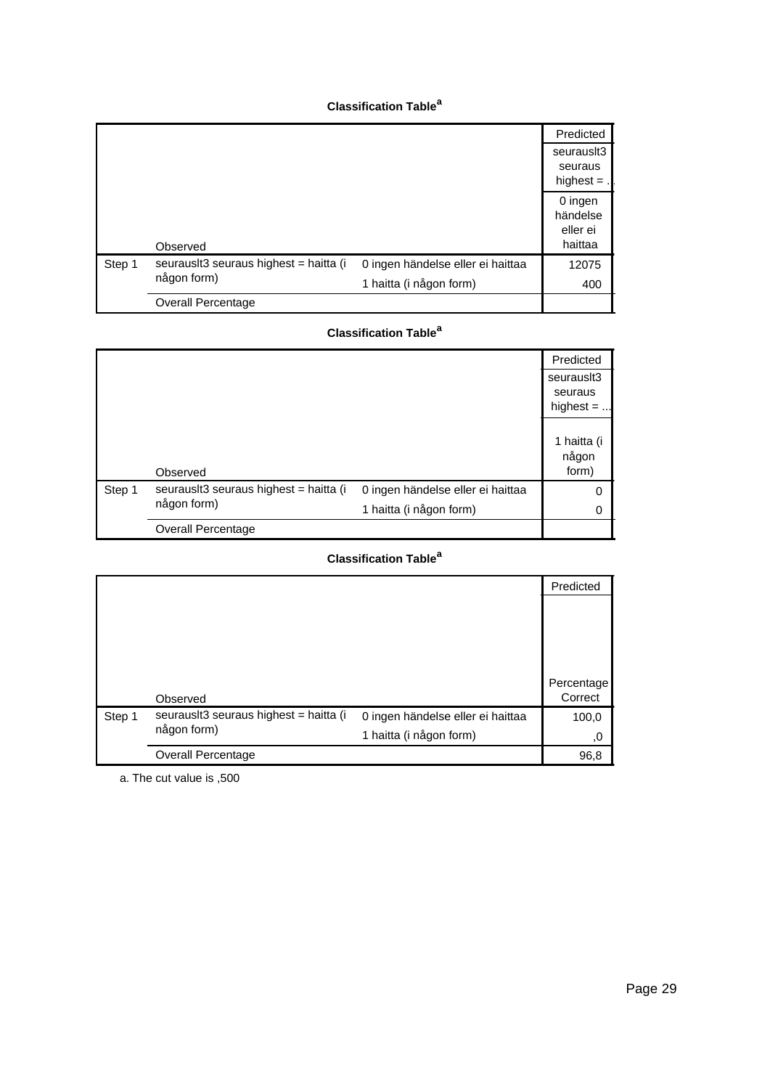|        |                                                       |                                   | Predicted<br>seurausit3<br>seuraus<br>highest $=$ . |
|--------|-------------------------------------------------------|-----------------------------------|-----------------------------------------------------|
|        | Observed                                              |                                   | 0 ingen<br>händelse<br>eller ei<br>haittaa          |
| Step 1 | seurausit3 seuraus highest = haitta (i<br>någon form) | 0 ingen händelse eller ei haittaa | 12075                                               |
|        | <b>Overall Percentage</b>                             | 1 haitta (i någon form)           | 400                                                 |

# **Classification Table<sup>a</sup>**

|        |                                        |                                   | Predicted                            |
|--------|----------------------------------------|-----------------------------------|--------------------------------------|
|        |                                        |                                   | seurausit3<br>seuraus<br>highest $=$ |
|        | Observed                               |                                   | 1 haitta (i<br>någon<br>form)        |
| Step 1 | seurauslt3 seuraus highest = haitta (i | 0 ingen händelse eller ei haittaa | 0                                    |
|        | någon form)                            | 1 haitta (i någon form)           | 0                                    |
|        | Overall Percentage                     |                                   |                                      |

# **Classification Table<sup>a</sup>**

|        |                                        |                                   | Predicted  |
|--------|----------------------------------------|-----------------------------------|------------|
|        |                                        |                                   |            |
|        |                                        |                                   |            |
|        |                                        |                                   |            |
|        |                                        |                                   |            |
|        |                                        |                                   | Percentage |
|        | Observed                               |                                   | Correct    |
| Step 1 | seurausit3 seuraus highest = haitta (i | 0 ingen händelse eller ei haittaa | 100,0      |
|        | någon form)                            | 1 haitta (i någon form)           | ,0         |
|        | <b>Overall Percentage</b>              |                                   | 96,8       |

a. The cut value is ,500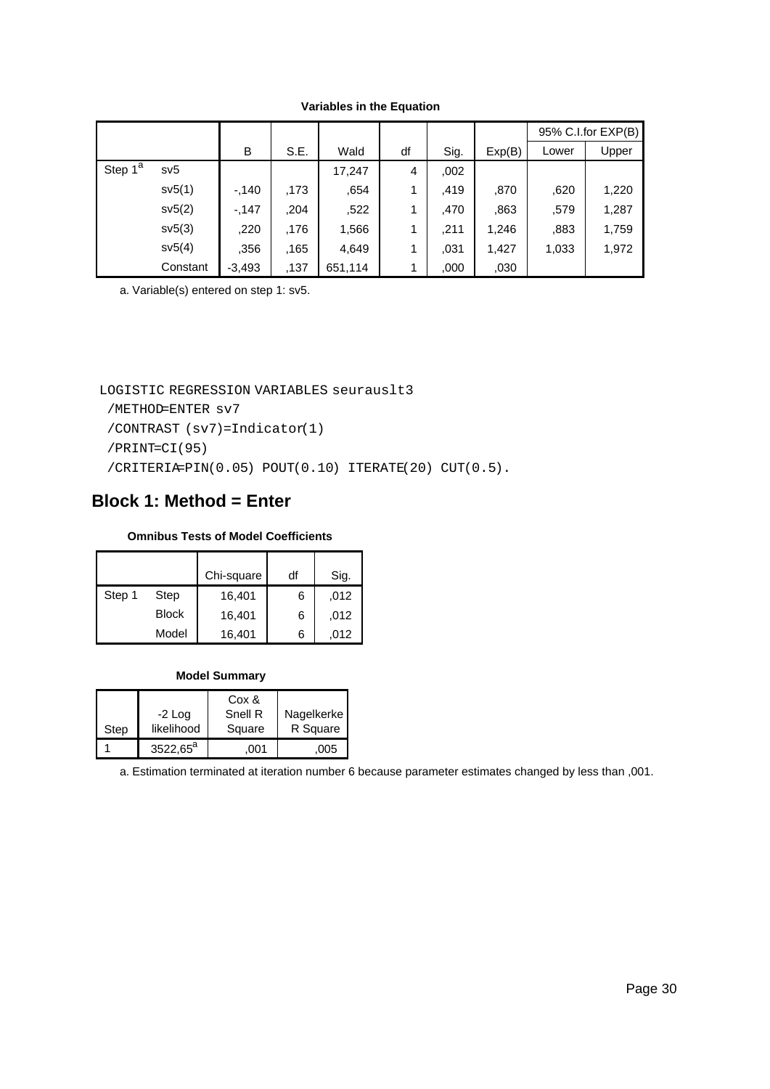|                     |          |          |      |         |    |      |        |       | 95% C.I.for EXP(B) |
|---------------------|----------|----------|------|---------|----|------|--------|-------|--------------------|
|                     |          | B        | S.E. | Wald    | df | Sig. | Exp(B) | Lower | Upper              |
| Step 1 <sup>a</sup> | sv5      |          |      | 17,247  | 4  | ,002 |        |       |                    |
|                     | sv5(1)   | $-140$   | .173 | ,654    | 1  | ,419 | ,870   | ,620  | 1,220              |
|                     | sv5(2)   | $-147$   | ,204 | ,522    | 1  | ,470 | .863   | ,579  | 1,287              |
|                     | sv5(3)   | ,220     | .176 | 1,566   |    | ,211 | 1,246  | .883  | 1,759              |
|                     | sv5(4)   | .356     | .165 | 4,649   | 1  | ,031 | 1,427  | 1,033 | 1,972              |
|                     | Constant | $-3,493$ | .137 | 651,114 |    | ,000 | ,030   |       |                    |

### **Variables in the Equation**

a. Variable(s) entered on step 1: sv5.

LOGISTIC REGRESSION VARIABLES seurauslt3

/METHOD=ENTER sv7

/CONTRAST (sv7)=Indicator(1)

```
 /PRINT=CI(95)
```
/CRITERIA=PIN(0.05) POUT(0.10) ITERATE(20) CUT(0.5).

# **Block 1: Method = Enter**

## **Omnibus Tests of Model Coefficients**

|        |              | Chi-square | df | Sig. |
|--------|--------------|------------|----|------|
| Step 1 | Step         | 16,401     | 6  | ,012 |
|        | <b>Block</b> | 16,401     | 6  | .012 |
|        | Model        | 16,401     | 6  | .012 |

### **Model Summary**

|      |                      | Cox &   |            |
|------|----------------------|---------|------------|
|      | $-2$ Log             | Snell R | Nagelkerke |
| Step | likelihood           | Square  | R Square   |
|      | 3522.65 <sup>a</sup> | .001    | .005       |

a. Estimation terminated at iteration number 6 because parameter estimates changed by less than ,001.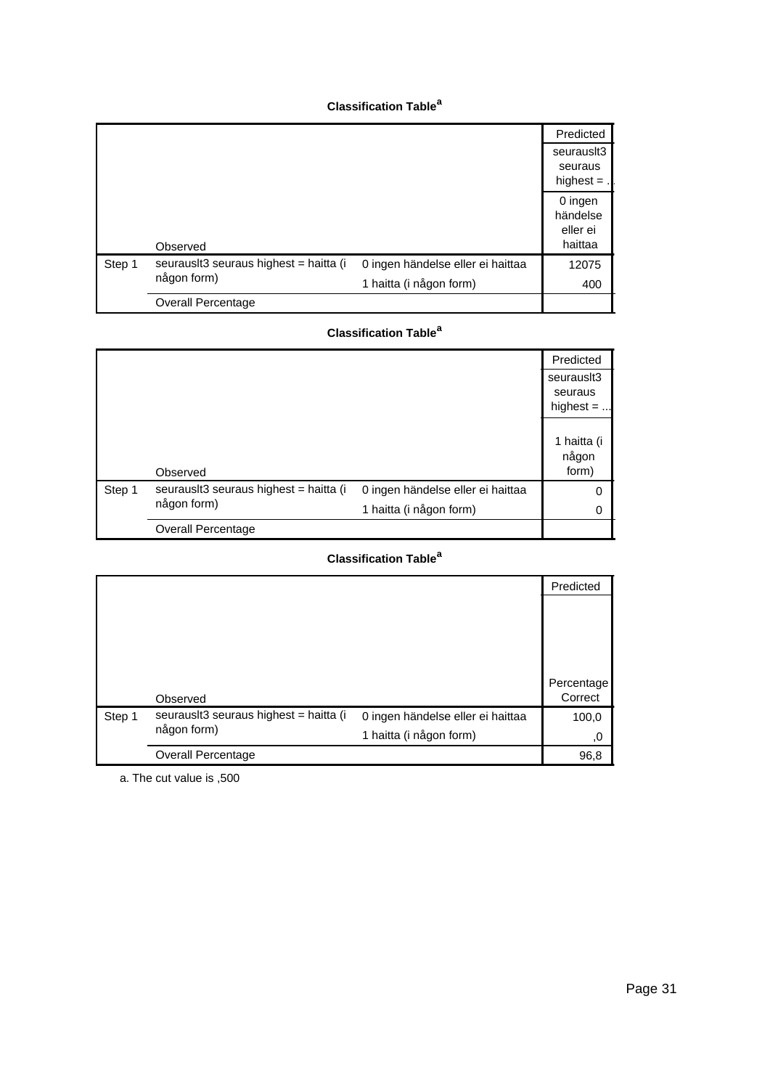|        |                                                       |                                   | Predicted<br>seurausit3<br>seuraus<br>highest $=$ . |
|--------|-------------------------------------------------------|-----------------------------------|-----------------------------------------------------|
|        | Observed                                              |                                   | 0 ingen<br>händelse<br>eller ei<br>haittaa          |
| Step 1 | seurausit3 seuraus highest = haitta (i<br>någon form) | 0 ingen händelse eller ei haittaa | 12075                                               |
|        | <b>Overall Percentage</b>                             | 1 haitta (i någon form)           | 400                                                 |

# **Classification Table<sup>a</sup>**

|        |                                                       |                                   | Predicted                            |
|--------|-------------------------------------------------------|-----------------------------------|--------------------------------------|
|        |                                                       |                                   | seurausit3<br>seuraus<br>highest $=$ |
|        | Observed                                              |                                   | 1 haitta (i<br>någon<br>form)        |
| Step 1 | seurauslt3 seuraus highest = haitta (i<br>någon form) | 0 ingen händelse eller ei haittaa | 0                                    |
|        |                                                       | 1 haitta (i någon form)           | 0                                    |
|        | Overall Percentage                                    |                                   |                                      |

# **Classification Table<sup>a</sup>**

|        |                                        |                                   | Predicted  |
|--------|----------------------------------------|-----------------------------------|------------|
|        |                                        |                                   |            |
|        |                                        |                                   |            |
|        |                                        |                                   |            |
|        |                                        |                                   |            |
|        |                                        |                                   | Percentage |
|        | Observed                               |                                   | Correct    |
| Step 1 | seurausit3 seuraus highest = haitta (i | 0 ingen händelse eller ei haittaa | 100,0      |
|        | någon form)                            | 1 haitta (i någon form)           | ,0         |
|        | <b>Overall Percentage</b>              |                                   | 96,8       |

a. The cut value is ,500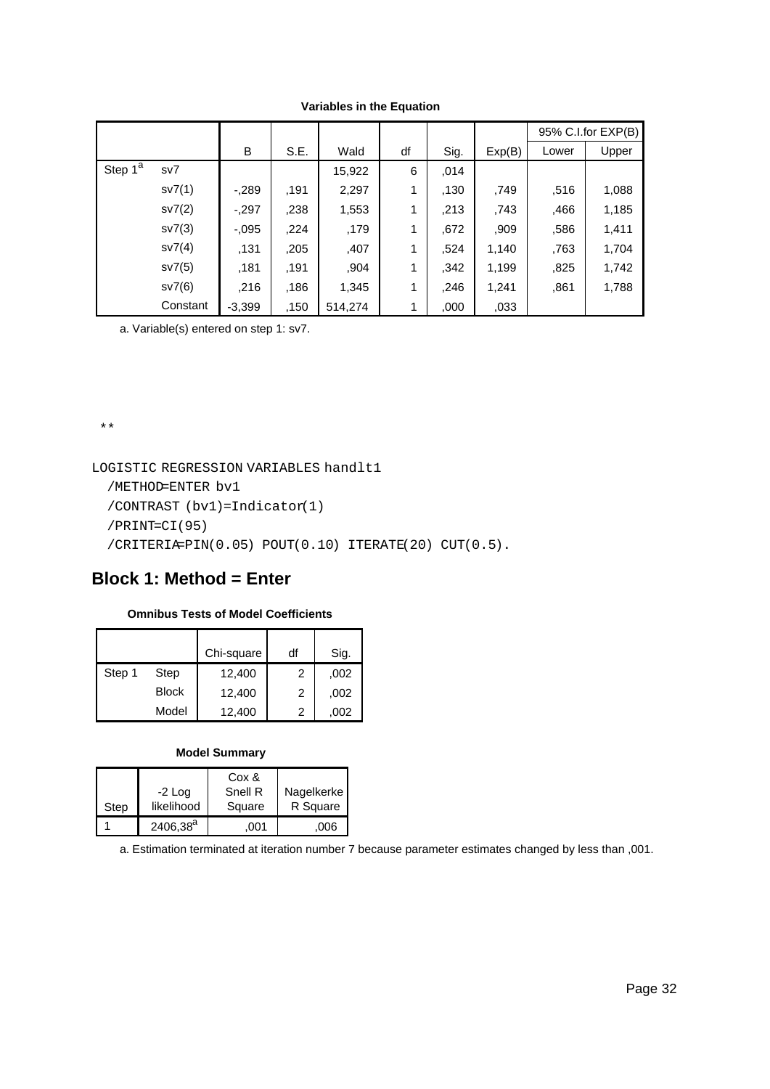|                         |          |          |      |         |    |      |        |       | 95% C.I.for EXP(B) |
|-------------------------|----------|----------|------|---------|----|------|--------|-------|--------------------|
|                         |          | B        | S.E. | Wald    | df | Sig. | Exp(B) | Lower | Upper              |
| Step $1^{\overline{a}}$ | sV7      |          |      | 15,922  | 6  | .014 |        |       |                    |
|                         | sv7(1)   | $-289$   | .191 | 2,297   | 1  | ,130 | .749   | ,516  | 1,088              |
|                         | sv7(2)   | $-.297$  | ,238 | 1,553   | 1  | .213 | .743   | ,466  | 1,185              |
|                         | sv7(3)   | $-.095$  | ,224 | ,179    | 1  | .672 | ,909   | ,586  | 1,411              |
|                         | sv7(4)   | ,131     | ,205 | ,407    | 1  | .524 | 1,140  | ,763  | 1,704              |
|                         | sv7(5)   | .181     | .191 | ,904    | 1  | ,342 | 1,199  | ,825  | 1,742              |
|                         | sv7(6)   | .216     | .186 | 1,345   | 1  | ,246 | 1,241  | ,861  | 1,788              |
|                         | Constant | $-3,399$ | .150 | 514,274 |    | ,000 | ,033   |       |                    |

**Variables in the Equation**

a. Variable(s) entered on step 1: sv7.

\*\*

LOGISTIC REGRESSION VARIABLES handlt1

```
 /METHOD=ENTER bv1
/CONTRAST (bv1)=Indicator(1)
/PRINT=CI(95)
/CRITERIA=PIN(0.05) POUT(0.10) ITERATE(20) CUT(0.5).
```
# **Block 1: Method = Enter**

## **Omnibus Tests of Model Coefficients**

|        |              | Chi-square | df | Sig. |
|--------|--------------|------------|----|------|
| Step 1 | Step         | 12,400     | 2  | ,002 |
|        | <b>Block</b> | 12,400     | 2  | ,002 |
|        | Model        | 12,400     | 2  | ,002 |

### **Model Summary**

|      |               | Cox &   |            |
|------|---------------|---------|------------|
|      | $-2$ Log      | Snell R | Nagelkerke |
| Step | likelihood    | Square  | R Square   |
|      | $2406,38^{a}$ | .001    | .006       |

a. Estimation terminated at iteration number 7 because parameter estimates changed by less than ,001.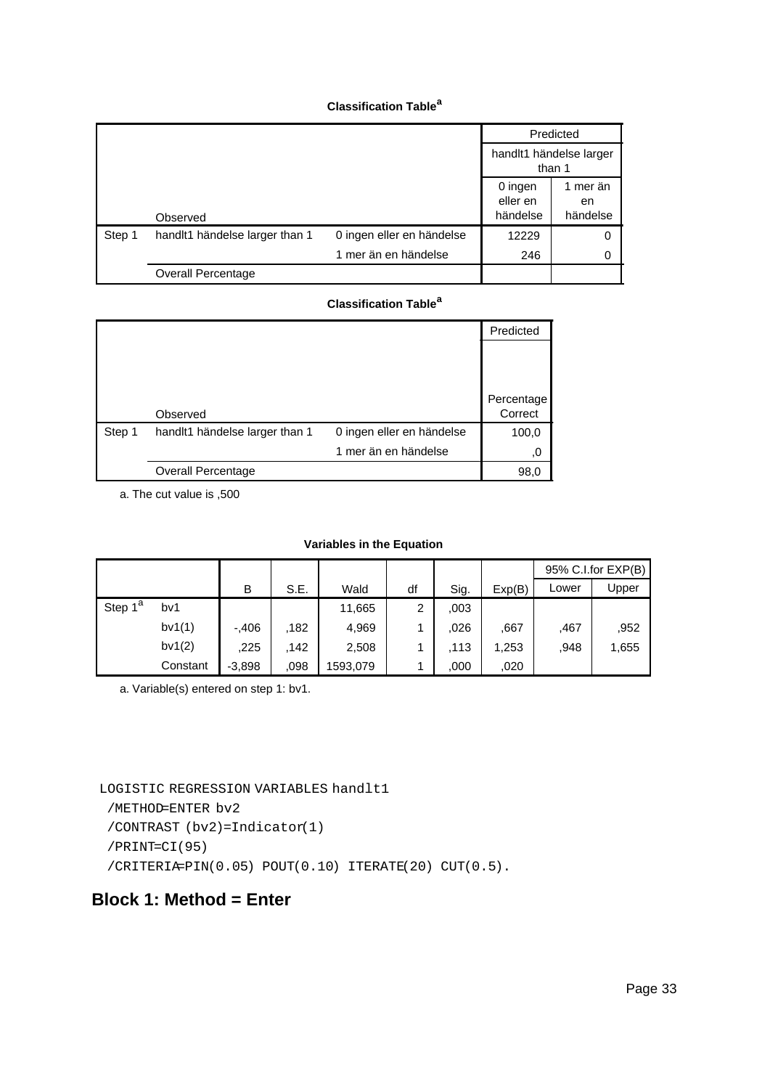|        |                                |                           |                                   | Predicted                  |
|--------|--------------------------------|---------------------------|-----------------------------------|----------------------------|
|        |                                |                           | handlt1 händelse larger<br>than 1 |                            |
|        | Observed                       |                           | 0 ingen<br>eller en<br>händelse   | 1 mer än<br>en<br>händelse |
| Step 1 | handit1 händelse larger than 1 | 0 ingen eller en händelse | 12229                             | 0                          |
|        |                                | 1 mer än en händelse      | 246                               | 0                          |
|        | <b>Overall Percentage</b>      |                           |                                   |                            |

## **Classification Table<sup>a</sup>**

|        |                                |                           | Predicted  |
|--------|--------------------------------|---------------------------|------------|
|        |                                |                           |            |
|        |                                |                           |            |
|        |                                |                           |            |
|        |                                |                           | Percentage |
|        | Observed                       |                           | Correct    |
| Step 1 | handit1 händelse larger than 1 | 0 ingen eller en händelse | 100,0      |
|        |                                | 1 mer än en händelse      | ,0         |
|        | <b>Overall Percentage</b>      |                           | 98,0       |

a. The cut value is ,500

### **Variables in the Equation**

|                     |          |          |      |          |    |      |        |       | 95% C.I.for EXP(B) |
|---------------------|----------|----------|------|----------|----|------|--------|-------|--------------------|
|                     |          | B        | S.E. | Wald     | df | Sig. | Exp(B) | Lower | Upper              |
| Step 1 <sup>a</sup> | bv1      |          |      | 11,665   | 2  | .003 |        |       |                    |
|                     | bv1(1)   | $-.406$  | .182 | 4,969    |    | .026 | .667   | .467  | .952               |
|                     | bv1(2)   | .225     | .142 | 2,508    |    | 113  | 1,253  | .948  | 1,655              |
|                     | Constant | $-3,898$ | .098 | 1593,079 |    | ,000 | .020   |       |                    |

a. Variable(s) entered on step 1: bv1.

```
LOGISTIC REGRESSION VARIABLES handlt1
 /METHOD=ENTER bv2
 /CONTRAST (bv2)=Indicator(1)
 /PRINT=CI(95)
 /CRITERIA=PIN(0.05) POUT(0.10) ITERATE(20) CUT(0.5).
```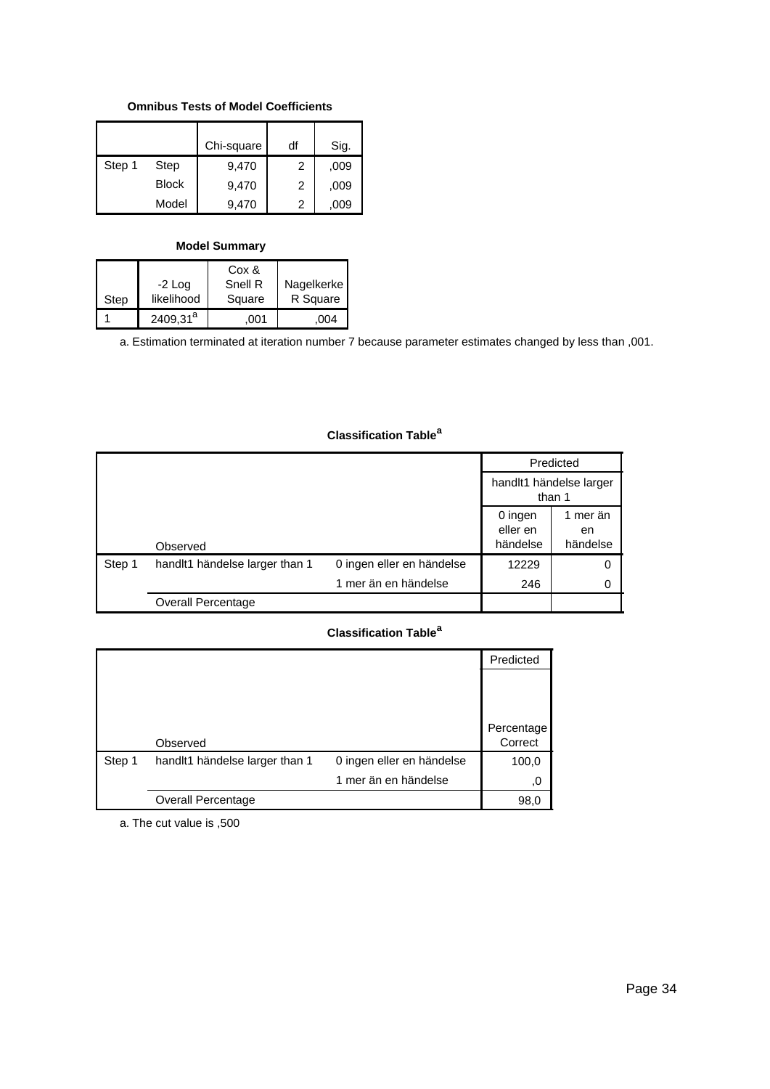### **Omnibus Tests of Model Coefficients**

|        |              | Chi-square | df | Sig. |
|--------|--------------|------------|----|------|
| Step 1 | Step         | 9,470      | 2  | ,009 |
|        | <b>Block</b> | 9,470      | 2  | ,009 |
|        | Model        | 9,470      | 2  | ,009 |

## **Model Summary**

|      |                        | Cox &             |                        |
|------|------------------------|-------------------|------------------------|
| Step | $-2$ Log<br>likelihood | Snell R<br>Square | Nagelkerke<br>R Square |
|      | 2409.31 <sup>a</sup>   | .001              | 004                    |

a. Estimation terminated at iteration number 7 because parameter estimates changed by less than ,001.

|        |                                |                           |                                                               | Predicted |  |
|--------|--------------------------------|---------------------------|---------------------------------------------------------------|-----------|--|
|        |                                |                           | handlt1 händelse larger<br>than 1                             |           |  |
|        | Observed                       |                           | 0 ingen<br>1 mer än<br>eller en<br>en<br>händelse<br>händelse |           |  |
| Step 1 | handit1 händelse larger than 1 | 0 ingen eller en händelse | 12229                                                         | 0         |  |
|        |                                | 1 mer än en händelse      | 246                                                           | 0         |  |
|        | <b>Overall Percentage</b>      |                           |                                                               |           |  |

## **Classification Table<sup>a</sup>**

# **Classification Table<sup>a</sup>**

|        |                                |                           | Predicted  |
|--------|--------------------------------|---------------------------|------------|
|        |                                |                           |            |
|        |                                |                           |            |
|        |                                |                           | Percentage |
|        | Observed                       |                           | Correct    |
| Step 1 | handit1 händelse larger than 1 | 0 ingen eller en händelse | 100,0      |
|        |                                | 1 mer än en händelse      | 0,         |
|        | <b>Overall Percentage</b>      |                           | 98,0       |

a. The cut value is ,500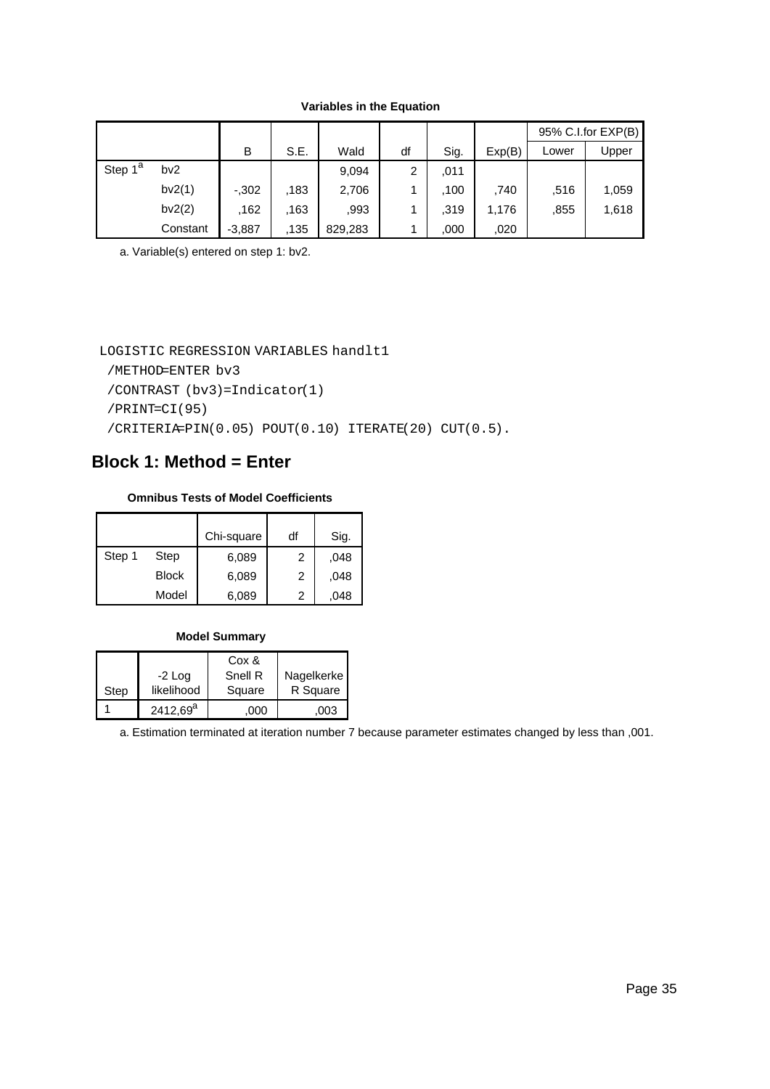|                     |          |          |      |         |    |      |        | 95% C.I.for EXP(B) |       |
|---------------------|----------|----------|------|---------|----|------|--------|--------------------|-------|
|                     |          | B        | S.E. | Wald    | df | Sig. | Exp(B) | Lower              | Upper |
| Step 1 <sup>a</sup> | bv2      |          |      | 9,094   | 2  | .011 |        |                    |       |
|                     | bv2(1)   | $-.302$  | .183 | 2,706   |    | .100 | .740   | .516               | 1,059 |
|                     | bv2(2)   | .162     | .163 | .993    |    | .319 | 1,176  | ,855               | 1,618 |
|                     | Constant | $-3,887$ | .135 | 829,283 |    | ,000 | .020   |                    |       |

**Variables in the Equation**

a. Variable(s) entered on step 1: bv2.

### LOGISTIC REGRESSION VARIABLES handlt1

```
 /METHOD=ENTER bv3
```

```
 /CONTRAST (bv3)=Indicator(1)
```

```
 /PRINT=CI(95)
```
/CRITERIA=PIN(0.05) POUT(0.10) ITERATE(20) CUT(0.5).

# **Block 1: Method = Enter**

## **Omnibus Tests of Model Coefficients**

|        |              | Chi-square | df | Sig. |
|--------|--------------|------------|----|------|
| Step 1 | Step         | 6,089      | 2  | ,048 |
|        | <b>Block</b> | 6,089      | 2  | .048 |
|        | Model        | 6.089      | 2  | .048 |

### **Model Summary**

|      |             | Cox &   |            |
|------|-------------|---------|------------|
|      | $-2$ Log    | Snell R | Nagelkerke |
| Step | likelihood  | Square  | R Square   |
|      | $2412,69^a$ | .000    | ,003       |

a. Estimation terminated at iteration number 7 because parameter estimates changed by less than ,001.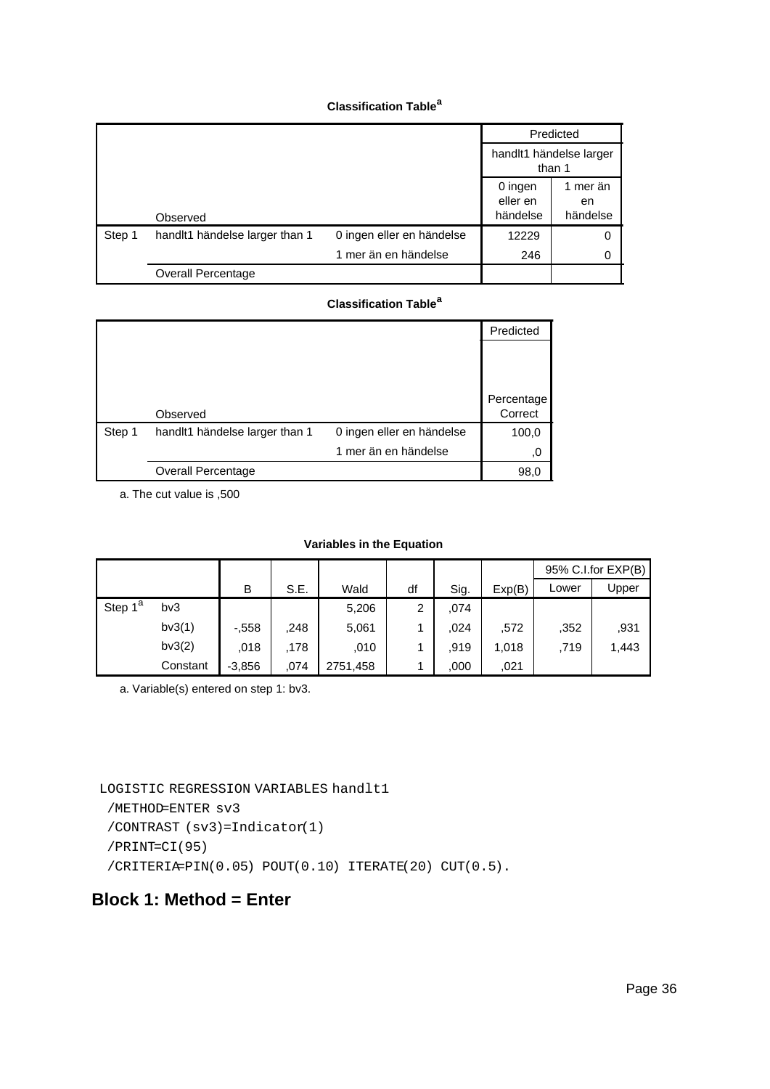|        |                                |                           |                                                               | Predicted |  |  |
|--------|--------------------------------|---------------------------|---------------------------------------------------------------|-----------|--|--|
|        |                                |                           | handlt1 händelse larger<br>than 1                             |           |  |  |
|        | Observed                       |                           | 0 ingen<br>1 mer än<br>eller en<br>en<br>händelse<br>händelse |           |  |  |
| Step 1 | handit1 händelse larger than 1 | 0 ingen eller en händelse | 12229                                                         | 0         |  |  |
|        |                                | 1 mer än en händelse      | 246                                                           | 0         |  |  |
|        | <b>Overall Percentage</b>      |                           |                                                               |           |  |  |

### **Classification Table<sup>a</sup>**

|        |                                |                           | Predicted  |
|--------|--------------------------------|---------------------------|------------|
|        |                                |                           |            |
|        |                                |                           |            |
|        |                                |                           |            |
|        |                                |                           | Percentage |
|        | Observed                       |                           | Correct    |
| Step 1 | handlt1 händelse larger than 1 | 0 ingen eller en händelse | 100,0      |
|        |                                | 1 mer än en händelse      | ,0         |
|        | <b>Overall Percentage</b>      |                           | 98,0       |

a. The cut value is ,500

### **Variables in the Equation**

|                     |          |          |      |          |    |      |        | 95% C.I.for EXP(B) |       |
|---------------------|----------|----------|------|----------|----|------|--------|--------------------|-------|
|                     |          | B        | S.E. | Wald     | df | Sig. | Exp(B) | Lower              | Upper |
| Step 1 <sup>a</sup> | bv3      |          |      | 5,206    | 2  | .074 |        |                    |       |
|                     | bv3(1)   | $-0.558$ | .248 | 5,061    |    | .024 | ,572   | ,352               | ,931  |
|                     | bv3(2)   | .018     | .178 | .010     |    | .919 | 1,018  | ,719               | 1,443 |
|                     | Constant | $-3,856$ | .074 | 2751,458 |    | ,000 | .021   |                    |       |

a. Variable(s) entered on step 1: bv3.

```
LOGISTIC REGRESSION VARIABLES handlt1
 /METHOD=ENTER sv3
 /CONTRAST (sv3)=Indicator(1)
 /PRINT=CI(95)
 /CRITERIA=PIN(0.05) POUT(0.10) ITERATE(20) CUT(0.5).
```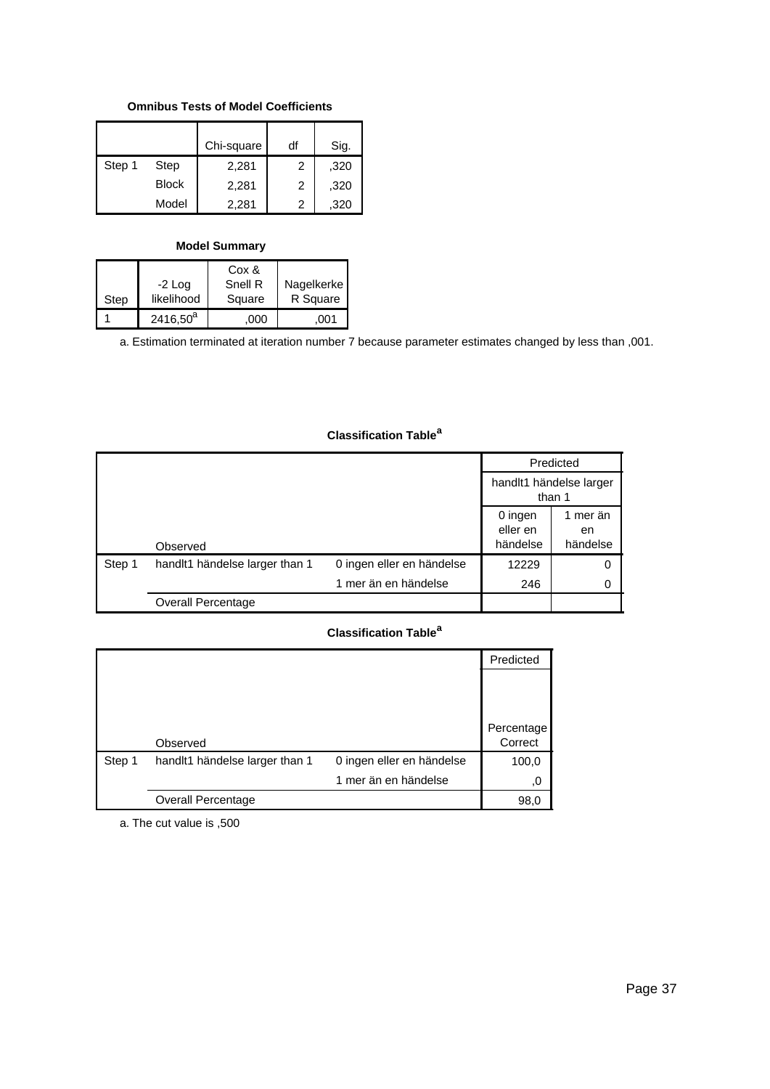## **Omnibus Tests of Model Coefficients**

|        |              | Chi-square | df | Sig. |
|--------|--------------|------------|----|------|
| Step 1 | Step         | 2,281      | 2  | ,320 |
|        | <b>Block</b> | 2,281      | 2  | ,320 |
|        | Model        | 2,281      | っ  | ,320 |

# **Model Summary**

|      |               | Cox &   |            |
|------|---------------|---------|------------|
|      | $-2$ Log      | Snell R | Nagelkerke |
| Step | likelihood    | Square  | R Square   |
|      | $2416,50^{a}$ | .000    | 001        |

a. Estimation terminated at iteration number 7 because parameter estimates changed by less than ,001.

|        |                                |                           |                                   | Predicted                  |
|--------|--------------------------------|---------------------------|-----------------------------------|----------------------------|
|        |                                |                           | handlt1 händelse larger<br>than 1 |                            |
|        | Observed                       |                           | 0 ingen<br>eller en<br>händelse   | 1 mer än<br>en<br>händelse |
| Step 1 | handit1 händelse larger than 1 | 0 ingen eller en händelse | 12229                             | 0                          |
|        |                                | 1 mer än en händelse      | 246                               | 0                          |
|        | <b>Overall Percentage</b>      |                           |                                   |                            |

## **Classification Table<sup>a</sup>**

# **Classification Table<sup>a</sup>**

|        |                                |                           | Predicted  |
|--------|--------------------------------|---------------------------|------------|
|        |                                |                           |            |
|        |                                |                           |            |
|        |                                |                           | Percentage |
|        | Observed                       |                           | Correct    |
| Step 1 | handit1 händelse larger than 1 | 0 ingen eller en händelse | 100,0      |
|        |                                | 1 mer än en händelse      | 0,         |
|        | <b>Overall Percentage</b>      |                           | 98,0       |

a. The cut value is ,500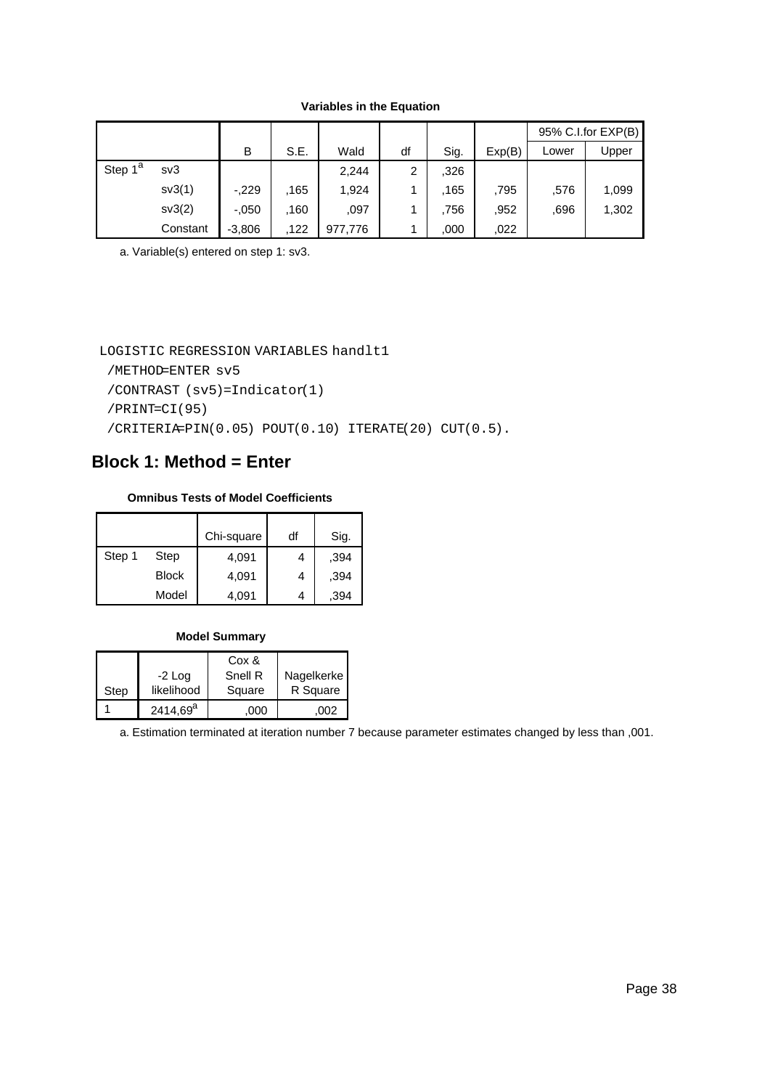|                     |          |          |      |         |    |      |        |       | 95% C.I.for EXP(B) |
|---------------------|----------|----------|------|---------|----|------|--------|-------|--------------------|
|                     |          | B        | S.E. | Wald    | df | Sig. | Exp(B) | Lower | Upper              |
| Step 1 <sup>a</sup> | sv3      |          |      | 2,244   | 2  | .326 |        |       |                    |
|                     | sv3(1)   | $-229$   | .165 | 1,924   |    | .165 | .795   | .576  | 1,099              |
|                     | sv3(2)   | $-.050$  | .160 | ,097    |    | .756 | ,952   | .696  | 1,302              |
|                     | Constant | $-3,806$ | .122 | 977,776 |    | ,000 | .022   |       |                    |

**Variables in the Equation**

a. Variable(s) entered on step 1: sv3.

#### LOGISTIC REGRESSION VARIABLES handlt1

```
 /METHOD=ENTER sv5
```

```
 /CONTRAST (sv5)=Indicator(1)
```

```
 /PRINT=CI(95)
```
/CRITERIA=PIN(0.05) POUT(0.10) ITERATE(20) CUT(0.5).

# **Block 1: Method = Enter**

## **Omnibus Tests of Model Coefficients**

|        |              | Chi-square | df | Sig. |
|--------|--------------|------------|----|------|
| Step 1 | Step         | 4,091      |    | .394 |
|        | <b>Block</b> | 4,091      | 4  | ,394 |
|        | Model        | 4,091      |    | .394 |

# **Model Summary**

|      |                      | Cox &   |            |
|------|----------------------|---------|------------|
|      | $-2$ Log             | Snell R | Nagelkerke |
| Step | likelihood           | Square  | R Square   |
|      | 2414.69 <sup>a</sup> | .000    | .002       |

a. Estimation terminated at iteration number 7 because parameter estimates changed by less than ,001.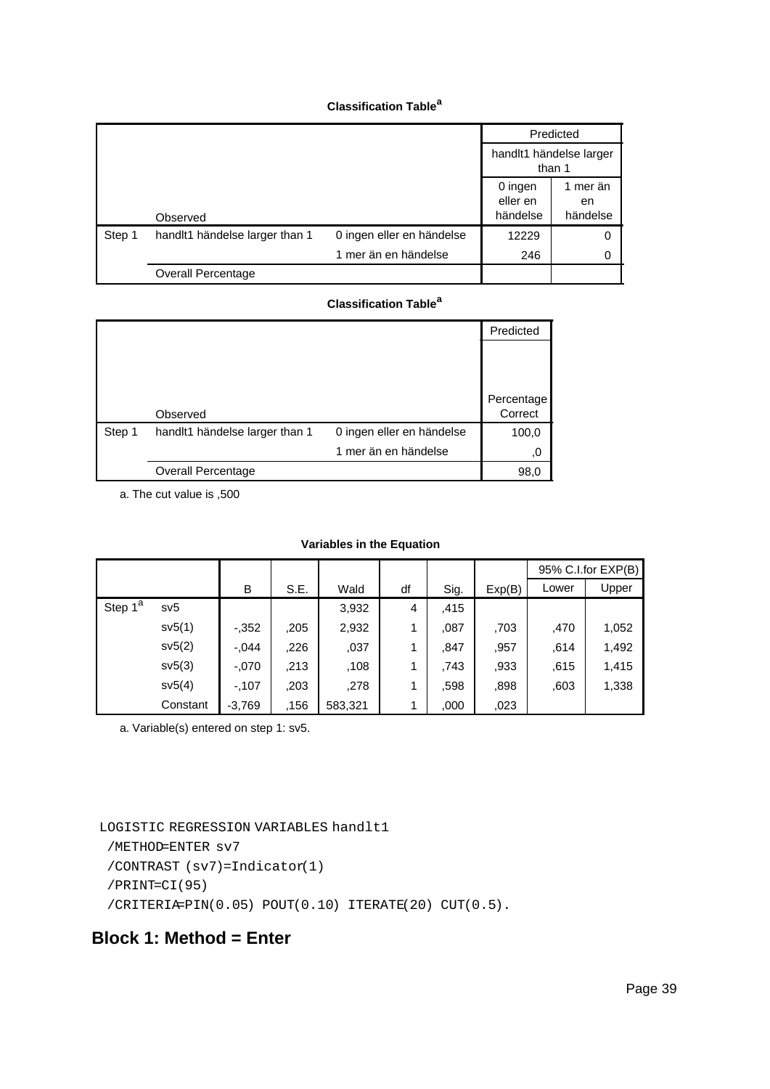|        |                                |                           |                                   | Predicted                  |
|--------|--------------------------------|---------------------------|-----------------------------------|----------------------------|
|        |                                |                           | handlt1 händelse larger<br>than 1 |                            |
|        | Observed                       |                           | 0 ingen<br>eller en<br>händelse   | 1 mer än<br>en<br>händelse |
| Step 1 | handit1 händelse larger than 1 | 0 ingen eller en händelse | 12229                             | 0                          |
|        |                                | 1 mer än en händelse      | 246                               | 0                          |
|        | <b>Overall Percentage</b>      |                           |                                   |                            |

## **Classification Table<sup>a</sup>**

|        |                                |                           | Predicted  |
|--------|--------------------------------|---------------------------|------------|
|        |                                |                           |            |
|        |                                |                           |            |
|        |                                |                           |            |
|        |                                |                           | Percentage |
|        | Observed                       |                           | Correct    |
| Step 1 | handit1 händelse larger than 1 | 0 ingen eller en händelse | 100,0      |
|        |                                | 1 mer än en händelse      | ,0         |
|        | <b>Overall Percentage</b>      |                           | 98,0       |

a. The cut value is ,500

#### **Variables in the Equation**

|                     |          |          |      |         |    |      |        |       | 95% C.I.for EXP(B) |
|---------------------|----------|----------|------|---------|----|------|--------|-------|--------------------|
|                     |          | B        | S.E. | Wald    | df | Sig. | Exp(B) | Lower | Upper              |
| Step 1 <sup>a</sup> | sv5      |          |      | 3,932   | 4  | .415 |        |       |                    |
|                     | sv5(1)   | $-0.352$ | ,205 | 2,932   |    | ,087 | ,703   | ,470  | 1,052              |
|                     | sv5(2)   | $-.044$  | .226 | ,037    |    | ,847 | .957   | .614  | 1,492              |
|                     | sv5(3)   | $-.070$  | .213 | ,108    | 1  | .743 | .933   | ,615  | 1,415              |
|                     | sv5(4)   | $-0.107$ | ,203 | .278    |    | .598 | .898   | ,603  | 1,338              |
|                     | Constant | $-3,769$ | .156 | 583,321 |    | ,000 | ,023   |       |                    |

a. Variable(s) entered on step 1: sv5.

LOGISTIC REGRESSION VARIABLES handlt1

/METHOD=ENTER sv7

```
 /CONTRAST (sv7)=Indicator(1)
/PRINT=CI(95)
```
/CRITERIA=PIN(0.05) POUT(0.10) ITERATE(20) CUT(0.5).

# **Block 1: Method = Enter**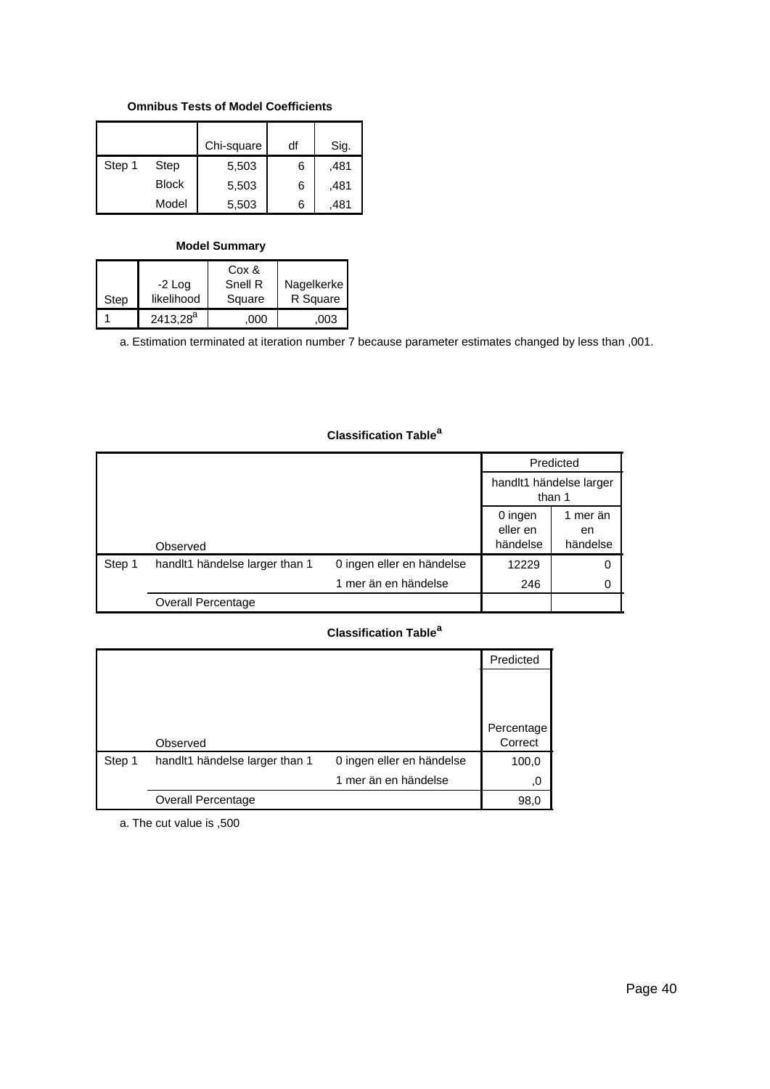## **Omnibus Tests of Model Coefficients**

|        |              | Chi-square | df | Sig. |
|--------|--------------|------------|----|------|
| Step 1 | Step         | 5,503      | 6  | .481 |
|        | <b>Block</b> | 5,503      | 6  | .481 |
|        | Model        | 5,503      | հ  | .481 |

# **Model Summary**

|      | $-2$ Log      | Cox &<br>Snell R | Nagelkerke |
|------|---------------|------------------|------------|
| Step | likelihood    | Square           | R Square   |
|      | $2413.28^{a}$ | .000             | .003       |

a. Estimation terminated at iteration number 7 because parameter estimates changed by less than ,001.

|        |                                |                           |                                 | Predicted                         |  |
|--------|--------------------------------|---------------------------|---------------------------------|-----------------------------------|--|
|        |                                |                           |                                 | handlt1 händelse larger<br>than 1 |  |
|        | Observed                       |                           | 0 ingen<br>eller en<br>händelse | 1 mer än<br>en<br>händelse        |  |
| Step 1 | handit1 händelse larger than 1 | 0 ingen eller en händelse | 12229                           | 0                                 |  |
|        |                                | 1 mer än en händelse      | 246                             | 0                                 |  |
|        | <b>Overall Percentage</b>      |                           |                                 |                                   |  |

# **Classification Table<sup>a</sup>**

# **Classification Table<sup>a</sup>**

|        |                                |                           | Predicted  |
|--------|--------------------------------|---------------------------|------------|
|        |                                |                           |            |
|        |                                |                           |            |
|        |                                |                           | Percentage |
|        | Observed                       |                           | Correct    |
| Step 1 | handit1 händelse larger than 1 | 0 ingen eller en händelse | 100,0      |
|        |                                | 1 mer än en händelse      | 0,         |
|        | <b>Overall Percentage</b>      |                           | 98,0       |

a. The cut value is ,500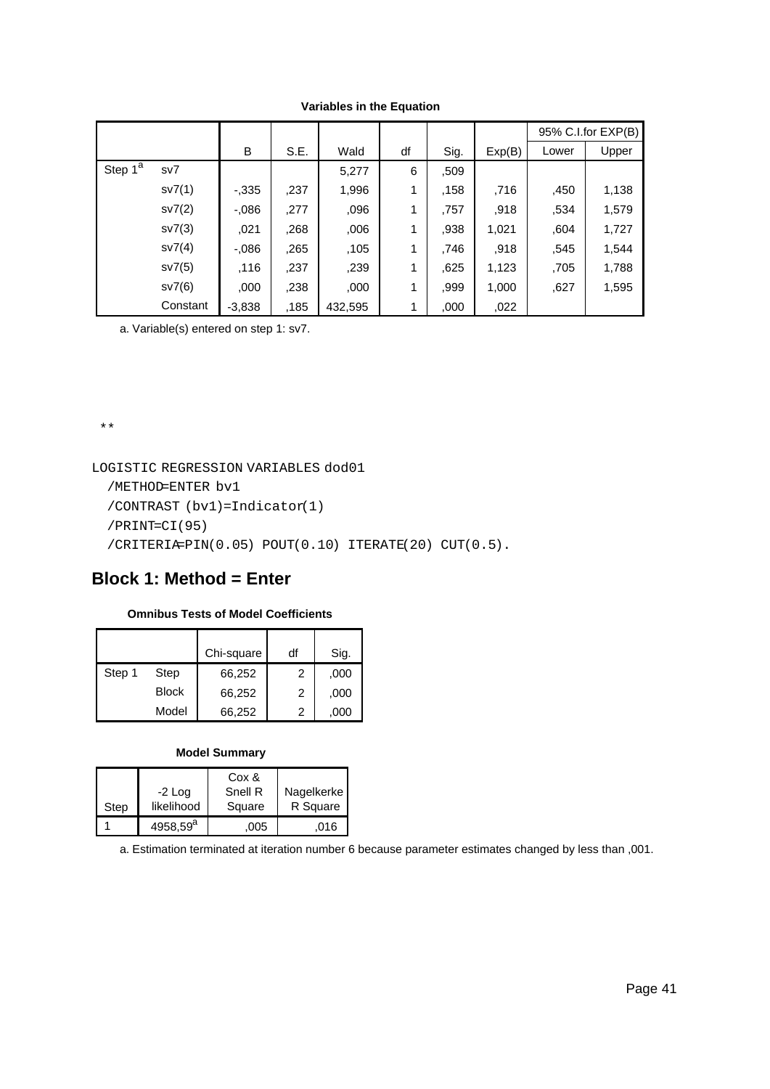|                         |          |          |      |         |    |      |        |       | 95% C.I.for EXP(B) |
|-------------------------|----------|----------|------|---------|----|------|--------|-------|--------------------|
|                         |          | B        | S.E. | Wald    | df | Sig. | Exp(B) | Lower | Upper              |
| Step $1^{\overline{a}}$ | sv7      |          |      | 5,277   | 6  | .509 |        |       |                    |
|                         | sv7(1)   | $-0.335$ | ,237 | 1,996   | 1  | .158 | .716   | ,450  | 1,138              |
|                         | sv7(2)   | $-0.086$ | ,277 | ,096    | 1  | ,757 | .918   | ,534  | 1,579              |
|                         | sv7(3)   | ,021     | ,268 | ,006    | 1  | .938 | 1,021  | ,604  | 1,727              |
|                         | sv7(4)   | $-0.086$ | ,265 | ,105    | 1  | .746 | .918   | ,545  | 1,544              |
|                         | sv7(5)   | .116     | ,237 | ,239    | 1  | .625 | 1,123  | ,705  | 1,788              |
|                         | sv7(6)   | ,000     | .238 | ,000    | 1  | .999 | 1,000  | ,627  | 1,595              |
|                         | Constant | $-3,838$ | .185 | 432,595 |    | ,000 | ,022   |       |                    |

**Variables in the Equation**

a. Variable(s) entered on step 1: sv7.

\*\*

LOGISTIC REGRESSION VARIABLES dod01

```
 /METHOD=ENTER bv1
/CONTRAST (bv1)=Indicator(1)
/PRINT=CI(95)
/CRITERIA=PIN(0.05) POUT(0.10) ITERATE(20) CUT(0.5).
```
# **Block 1: Method = Enter**

# **Omnibus Tests of Model Coefficients**

|        |              | Chi-square | df | Sig. |
|--------|--------------|------------|----|------|
| Step 1 | Step         | 66,252     | 2  | ,000 |
|        | <b>Block</b> | 66,252     | 2  | ,000 |
|        | Model        | 66,252     | 2  | .000 |

#### **Model Summary**

|      |                      | Cox &   |            |
|------|----------------------|---------|------------|
|      | $-2$ Log             | Snell R | Nagelkerke |
| Step | likelihood           | Square  | R Square   |
|      | 4958.59 <sup>a</sup> | .005    | 016.       |

a. Estimation terminated at iteration number 6 because parameter estimates changed by less than ,001.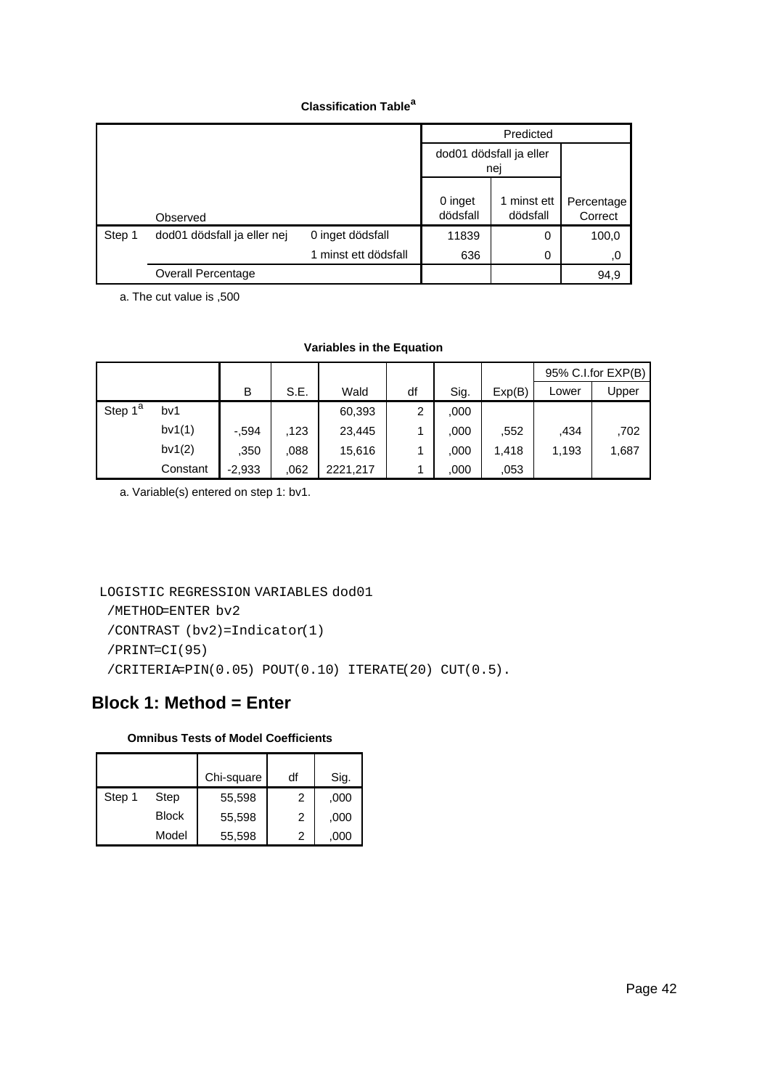|        |                             |                      |                     | Predicted                      |                       |
|--------|-----------------------------|----------------------|---------------------|--------------------------------|-----------------------|
|        |                             |                      |                     | dod01 dödsfall ja eller<br>nej |                       |
|        |                             |                      |                     |                                |                       |
|        | Observed                    |                      | 0 inget<br>dödsfall | 1 minst ett<br>dödsfall        | Percentage<br>Correct |
| Step 1 | dod01 dödsfall ja eller nej | 0 inget dödsfall     | 11839               | 0                              | 100,0                 |
|        |                             | 1 minst ett dödsfall | 636                 | 0                              | ,0                    |
|        | <b>Overall Percentage</b>   |                      |                     |                                | 94,9                  |

a. The cut value is ,500

#### **Variables in the Equation**

|                     |          |          |      |          |    |      |        |       | 95% C.I.for EXP(B) |
|---------------------|----------|----------|------|----------|----|------|--------|-------|--------------------|
|                     |          | B        | S.E. | Wald     | df | Sig. | Exp(B) | Lower | Upper              |
| Step 1 <sup>a</sup> | bv1      |          |      | 60,393   | 2  | ,000 |        |       |                    |
|                     | bv1(1)   | $-594$   | .123 | 23,445   |    | .000 | .552   | .434  | .702               |
|                     | bv1(2)   | .350     | .088 | 15,616   |    | ,000 | 1,418  | 1,193 | 1,687              |
|                     | Constant | $-2,933$ | .062 | 2221,217 |    | ,000 | .053   |       |                    |

a. Variable(s) entered on step 1: bv1.

LOGISTIC REGRESSION VARIABLES dod01

/METHOD=ENTER bv2

```
 /CONTRAST (bv2)=Indicator(1)
```
/PRINT=CI(95)

/CRITERIA=PIN(0.05) POUT(0.10) ITERATE(20) CUT(0.5).

# **Block 1: Method = Enter**

## **Omnibus Tests of Model Coefficients**

|        |              | Chi-square | df | Sig. |
|--------|--------------|------------|----|------|
| Step 1 | Step         | 55,598     | 2  | ,000 |
|        | <b>Block</b> | 55,598     | 2  | ,000 |
|        | Model        | 55,598     | 2  | .000 |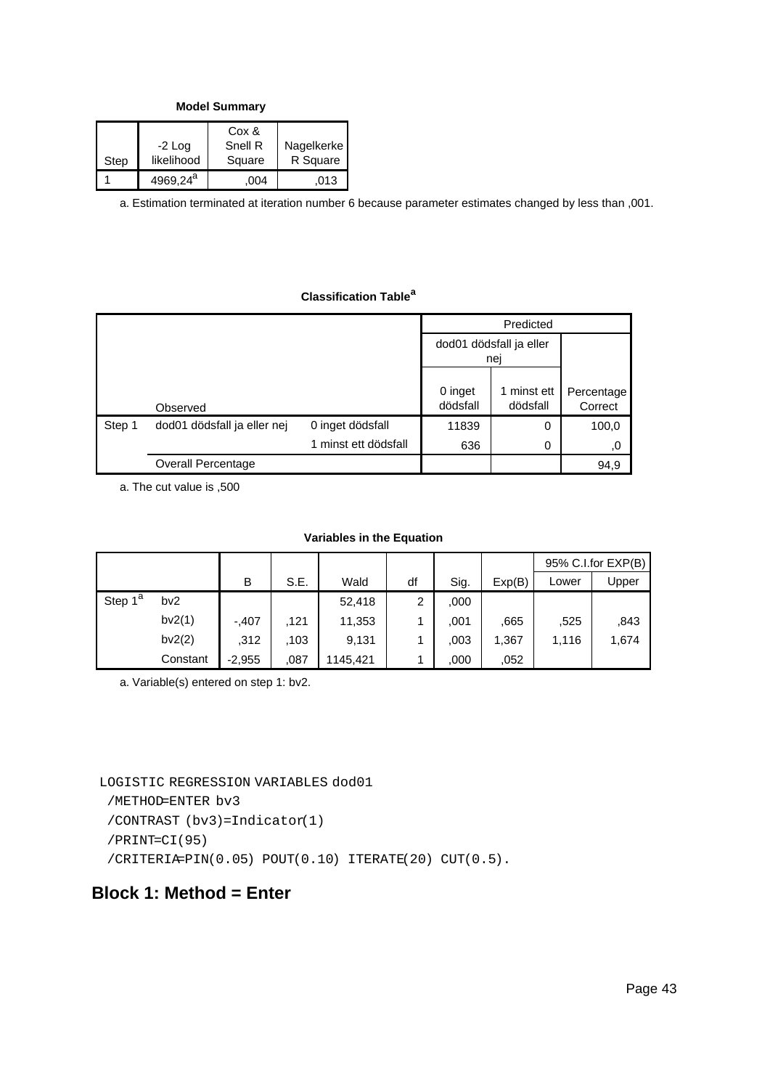**Model Summary**

|      |                      | Cox &   |            |
|------|----------------------|---------|------------|
|      | $-2$ Log             | Snell R | Nagelkerke |
| Step | likelihood           | Square  | R Square   |
|      | 4969.24 <sup>a</sup> | 004     | .013       |

a. Estimation terminated at iteration number 6 because parameter estimates changed by less than ,001.

# **Classification Table<sup>a</sup>**

|        |                             |                      | dod01 dödsfall ja eller<br>nej |                         |                       |
|--------|-----------------------------|----------------------|--------------------------------|-------------------------|-----------------------|
|        | Observed                    |                      | 0 inget<br>dödsfall            | 1 minst ett<br>dödsfall | Percentage<br>Correct |
| Step 1 | dod01 dödsfall ja eller nej | 0 inget dödsfall     | 11839                          | 0                       | 100,0                 |
|        |                             | 1 minst ett dödsfall | 636                            | 0                       | ,0                    |
|        | Overall Percentage          |                      |                                |                         | 94,9                  |

a. The cut value is ,500

#### **Variables in the Equation**

|                     |          |          |      |          |                |      |        |       | 95% C.I.for EXP(B) |
|---------------------|----------|----------|------|----------|----------------|------|--------|-------|--------------------|
|                     |          | B        | S.E. | Wald     | df             | Sig. | Exp(B) | Lower | Upper              |
| Step 1 <sup>a</sup> | bv2      |          |      | 52,418   | $\overline{2}$ | ,000 |        |       |                    |
|                     | bv2(1)   | $-.407$  | .121 | 11,353   |                | ,001 | .665   | .525  | .843               |
|                     | bv2(2)   | ,312     | .103 | 9,131    |                | ,003 | 1,367  | 1,116 | 1,674              |
|                     | Constant | $-2,955$ | .087 | 1145,421 |                | ,000 | .052   |       |                    |

a. Variable(s) entered on step 1: bv2.

LOGISTIC REGRESSION VARIABLES dod01

```
 /METHOD=ENTER bv3
```

```
 /CONTRAST (bv3)=Indicator(1)
```
/PRINT=CI(95)

/CRITERIA=PIN(0.05) POUT(0.10) ITERATE(20) CUT(0.5).

# **Block 1: Method = Enter**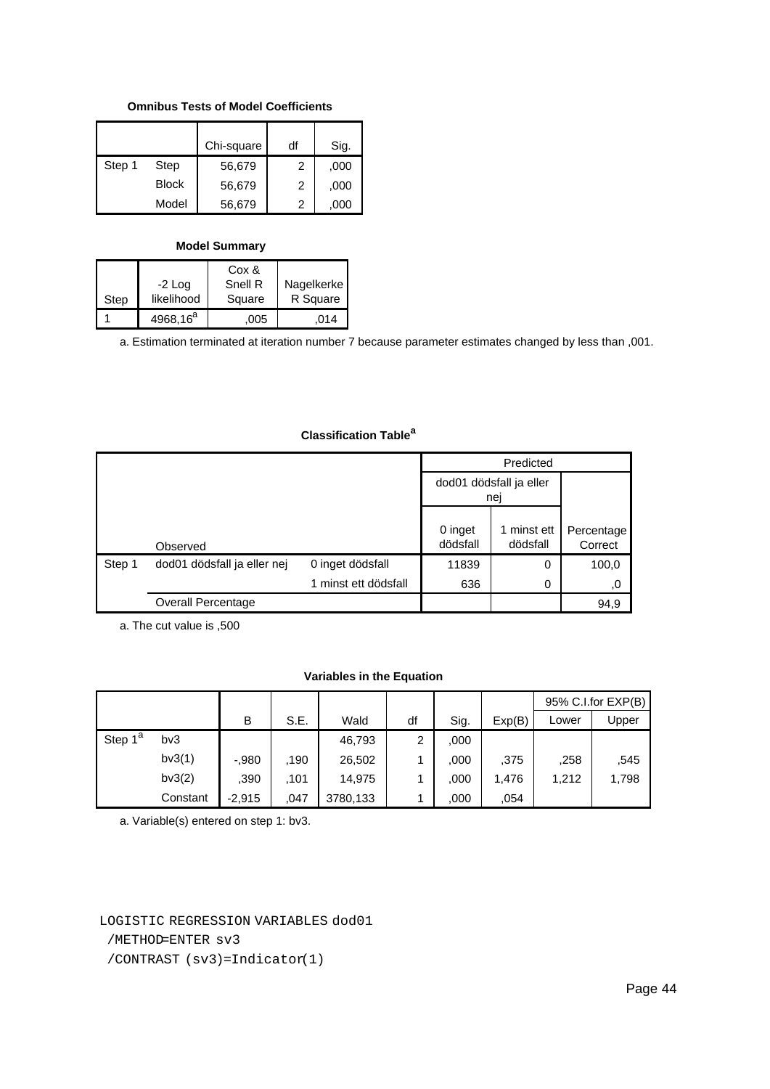## **Omnibus Tests of Model Coefficients**

|        |              | Chi-square | df | Sig. |
|--------|--------------|------------|----|------|
| Step 1 | Step         | 56,679     | 2  | ,000 |
|        | <b>Block</b> | 56,679     | 2  | ,000 |
|        | Model        | 56,679     | 2  | ,000 |

#### **Model Summary**

|      |             | Cox &   |            |
|------|-------------|---------|------------|
|      | $-2$ Log    | Snell R | Nagelkerke |
| Step | likelihood  | Square  | R Square   |
|      | $4968,16^a$ | 005     | 014        |

a. Estimation terminated at iteration number 7 because parameter estimates changed by less than ,001.

|        |                             |                      |                     | Predicted                      |                       |
|--------|-----------------------------|----------------------|---------------------|--------------------------------|-----------------------|
|        |                             |                      |                     | dod01 dödsfall ja eller<br>nej |                       |
|        | Observed                    |                      | 0 inget<br>dödsfall | 1 minst ett<br>dödsfall        | Percentage<br>Correct |
| Step 1 | dod01 dödsfall ja eller nej | 0 inget dödsfall     | 11839               | 0                              | 100,0                 |
|        |                             | 1 minst ett dödsfall | 636                 | $\Omega$                       | .0                    |
|        | Overall Percentage          |                      |                     |                                | 94,9                  |

## **Classification Table<sup>a</sup>**

a. The cut value is ,500

#### **Variables in the Equation**

|                     |          |          |      |          |    |      |        |       | 95% C.I.for EXP(B) |
|---------------------|----------|----------|------|----------|----|------|--------|-------|--------------------|
|                     |          | B        | S.E. | Wald     | df | Sig. | Exp(B) | Lower | Upper              |
| Step 1 <sup>a</sup> | bv3      |          |      | 46,793   | 2  | ,000 |        |       |                    |
|                     | bv3(1)   | $-.980$  | 190  | 26,502   |    | ,000 | .375   | ,258  | .545               |
|                     | bv3(2)   | .390     | .101 | 14,975   |    | ,000 | 1,476  | 1,212 | 1,798              |
|                     | Constant | $-2.915$ | .047 | 3780,133 |    | .000 | .054   |       |                    |

a. Variable(s) entered on step 1: bv3.

LOGISTIC REGRESSION VARIABLES dod01

/METHOD=ENTER sv3

/CONTRAST (sv3)=Indicator(1)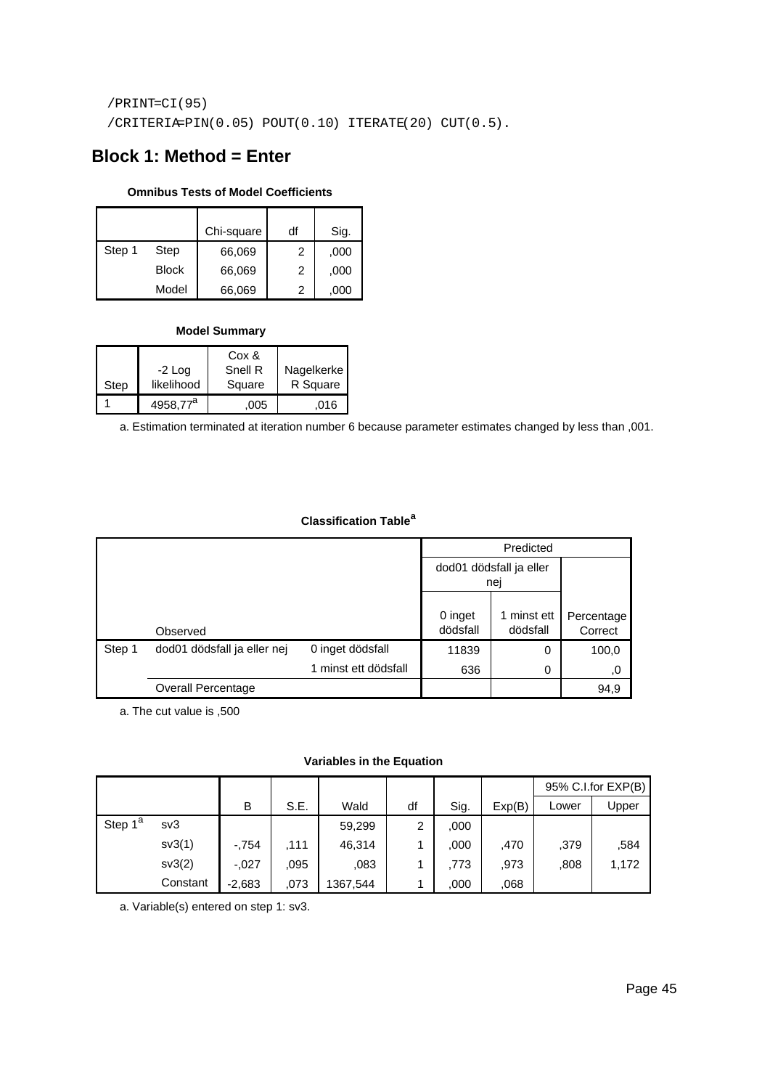/PRINT=CI(95) /CRITERIA=PIN(0.05) POUT(0.10) ITERATE(20) CUT(0.5).

# **Block 1: Method = Enter**

## **Omnibus Tests of Model Coefficients**

|        |              | Chi-square | df | Sig. |
|--------|--------------|------------|----|------|
| Step 1 | Step         | 66,069     | 2  | ,000 |
|        | <b>Block</b> | 66,069     | 2  | ,000 |
|        | Model        | 66,069     | 2  | .000 |

# **Model Summary**

|      |                      | Cox &   |            |
|------|----------------------|---------|------------|
|      | $-2$ Log             | Snell R | Nagelkerke |
| Step | likelihood           | Square  | R Square   |
|      | 4958,77 <sup>a</sup> | .005    | .016       |

a. Estimation terminated at iteration number 6 because parameter estimates changed by less than ,001.

# **Classification Table<sup>a</sup>**

|        |                             |                      |                     | Predicted                      |                       |
|--------|-----------------------------|----------------------|---------------------|--------------------------------|-----------------------|
|        |                             |                      |                     | dod01 dödsfall ja eller<br>nej |                       |
|        | Observed                    |                      | 0 inget<br>dödsfall | 1 minst ett<br>dödsfall        | Percentage<br>Correct |
| Step 1 | dod01 dödsfall ja eller nej | 0 inget dödsfall     | 11839               | 0                              | 100,0                 |
|        |                             | 1 minst ett dödsfall | 636                 | 0                              | 0,                    |
|        | Overall Percentage          |                      |                     |                                | 94,9                  |

a. The cut value is ,500

#### **Variables in the Equation**

|                     |          |          |      |          |    |      |        |       | 95% C.I.for EXP(B) |
|---------------------|----------|----------|------|----------|----|------|--------|-------|--------------------|
|                     |          | в        | S.E. | Wald     | df | Sig. | Exp(B) | Lower | Upper              |
| Step 1 <sup>a</sup> | sv3      |          |      | 59,299   | 2  | ,000 |        |       |                    |
|                     | sv3(1)   | $-754$   | .111 | 46,314   |    | ,000 | .470   | ,379  | ,584               |
|                     | sv3(2)   | $-.027$  | .095 | .083     |    | .773 | ,973   | .808  | 1,172              |
|                     | Constant | $-2,683$ | .073 | 1367,544 |    | ,000 | .068   |       |                    |

a. Variable(s) entered on step 1: sv3.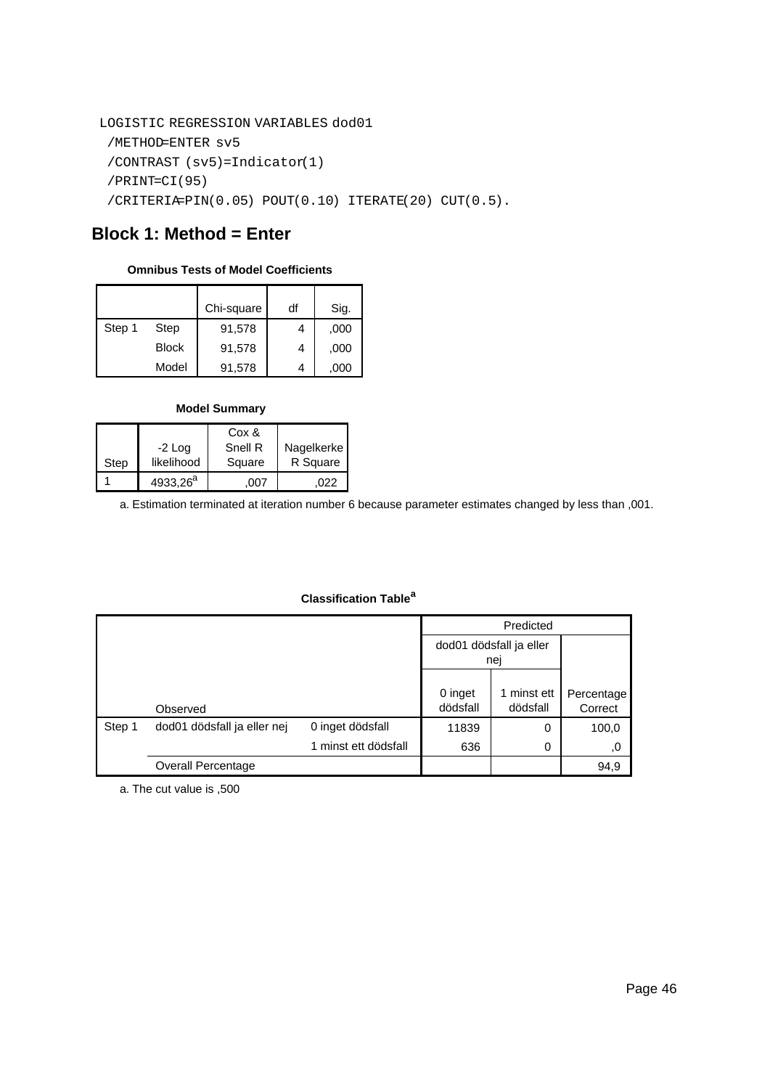```
LOGISTIC REGRESSION VARIABLES dod01
 /METHOD=ENTER sv5
 /CONTRAST (sv5)=Indicator(1)
 /PRINT=CI(95)
 /CRITERIA=PIN(0.05) POUT(0.10) ITERATE(20) CUT(0.5).
```
# **Block 1: Method = Enter**

## **Omnibus Tests of Model Coefficients**

|        |              | Chi-square | df | Sig. |
|--------|--------------|------------|----|------|
| Step 1 | Step         | 91,578     | 4  | ,000 |
|        | <b>Block</b> | 91,578     | 4  | ,000 |
|        | Model        | 91,578     |    | .000 |

#### **Model Summary**

| Step | $-2$ Log<br>likelihood | Cox &<br>Snell R<br>Square | Nagelkerke<br>R Square |
|------|------------------------|----------------------------|------------------------|
|      | 4933,26 <sup>a</sup>   | 007                        | (122)                  |

a. Estimation terminated at iteration number 6 because parameter estimates changed by less than ,001.

# **Classification Table<sup>a</sup>**

|        |                             |                      |                     | Predicted                      |                       |
|--------|-----------------------------|----------------------|---------------------|--------------------------------|-----------------------|
|        |                             |                      |                     | dod01 dödsfall ja eller<br>nei |                       |
|        | Observed                    |                      | 0 inget<br>dödsfall | 1 minst ett<br>dödsfall        | Percentage<br>Correct |
| Step 1 | dod01 dödsfall ja eller nej | 0 inget dödsfall     | 11839               | 0                              | 100,0                 |
|        |                             | 1 minst ett dödsfall | 636                 | 0                              | ,0                    |
|        | Overall Percentage          |                      |                     |                                | 94,9                  |

a. The cut value is ,500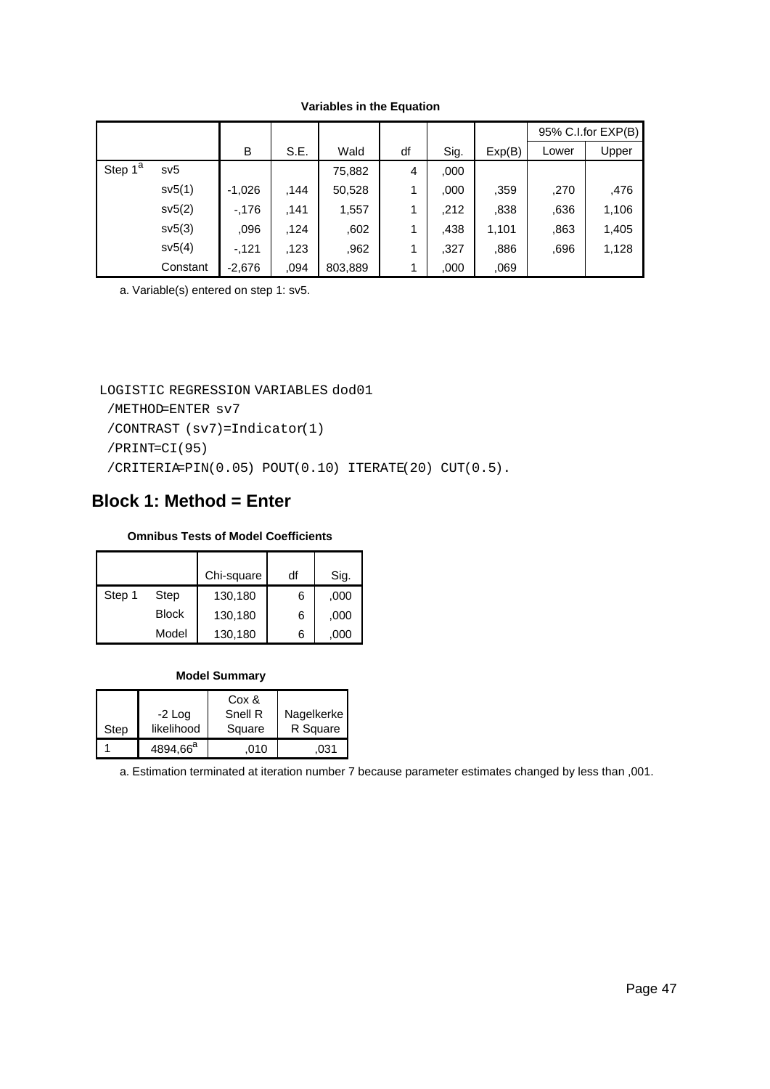|                     |          |          |      |         |    |      |        |       | 95% C.I.for EXP(B) |
|---------------------|----------|----------|------|---------|----|------|--------|-------|--------------------|
|                     |          | B        | S.E. | Wald    | df | Sig. | Exp(B) | Lower | Upper              |
| Step 1 <sup>a</sup> | sv5      |          |      | 75,882  | 4  | ,000 |        |       |                    |
|                     | sv5(1)   | $-1,026$ | .144 | 50,528  | 1  | ,000 | .359   | .270  | .476               |
|                     | sv5(2)   | $-176$   | .141 | 1,557   | 1  | .212 | .838   | ,636  | 1,106              |
|                     | sv5(3)   | .096     | .124 | ,602    | 1  | .438 | 1,101  | ,863  | 1,405              |
|                     | sv5(4)   | $-121$   | .123 | ,962    | 1  | ,327 | .886   | .696  | 1,128              |
|                     | Constant | $-2,676$ | .094 | 803,889 |    | ,000 | ,069   |       |                    |

### **Variables in the Equation**

a. Variable(s) entered on step 1: sv5.

LOGISTIC REGRESSION VARIABLES dod01

/METHOD=ENTER sv7

/CONTRAST (sv7)=Indicator(1)

```
 /PRINT=CI(95)
```
/CRITERIA=PIN(0.05) POUT(0.10) ITERATE(20) CUT(0.5).

# **Block 1: Method = Enter**

## **Omnibus Tests of Model Coefficients**

|        |              | Chi-square | df | Sig. |
|--------|--------------|------------|----|------|
| Step 1 | Step         | 130,180    | 6  | ,000 |
|        |              |            |    |      |
|        | <b>Block</b> | 130,180    | 6  | ,000 |
|        | Model        | 130,180    | 6  | .000 |

### **Model Summary**

|      |                      | Cox &   |            |
|------|----------------------|---------|------------|
|      | $-2$ Log             | Snell R | Nagelkerke |
| Step | likelihood           | Square  | R Square   |
|      | 4894,66 <sup>a</sup> | 010     | .031       |

a. Estimation terminated at iteration number 7 because parameter estimates changed by less than ,001.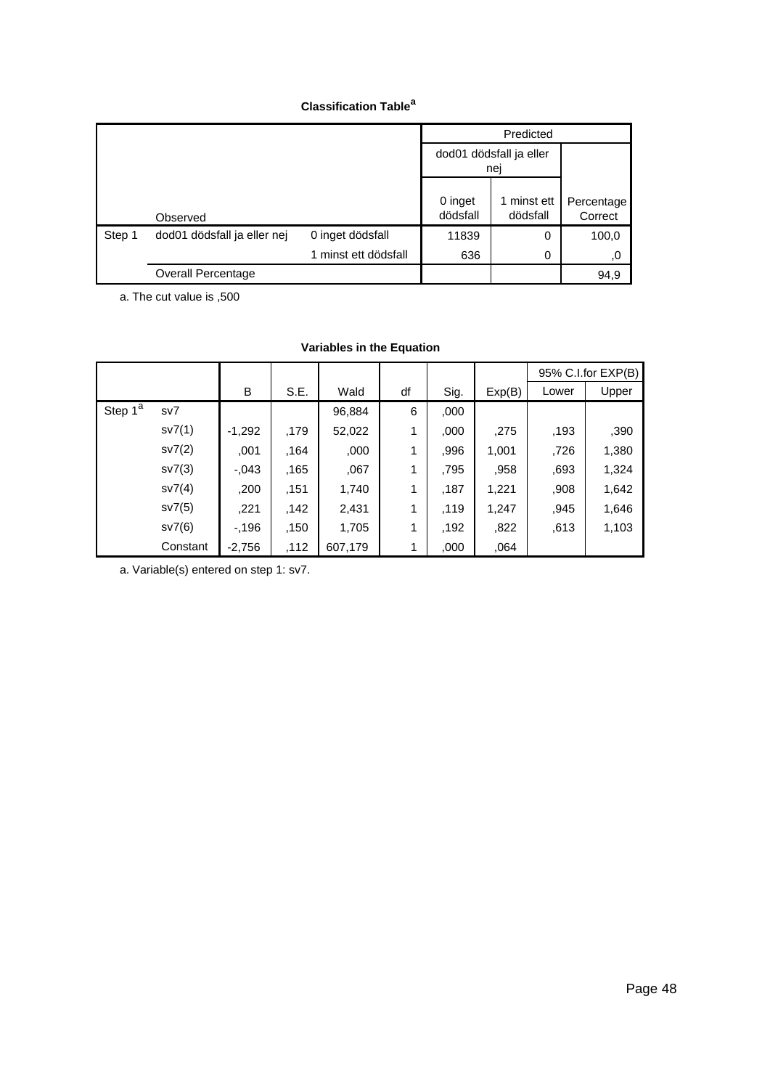|        |                             | dod01 dödsfall ja eller<br>nej |                     |                         |                       |
|--------|-----------------------------|--------------------------------|---------------------|-------------------------|-----------------------|
|        | Observed                    |                                | 0 inget<br>dödsfall | 1 minst ett<br>dödsfall | Percentage<br>Correct |
| Step 1 | dod01 dödsfall ja eller nej | 0 inget dödsfall               | 11839               | 0                       | 100,0                 |
|        |                             | 1 minst ett dödsfall           | 636                 | 0                       | ,0                    |
|        | <b>Overall Percentage</b>   |                                |                     |                         | 94,9                  |

a. The cut value is ,500

|                         |          |          |      |         |    |      |        |       | 95% C.I.for EXP(B) |
|-------------------------|----------|----------|------|---------|----|------|--------|-------|--------------------|
|                         |          | B        | S.E. | Wald    | df | Sig. | Exp(B) | Lower | Upper              |
| Step $1^{\overline{a}}$ | sv7      |          |      | 96,884  | 6  | ,000 |        |       |                    |
|                         | sv7(1)   | $-1,292$ | ,179 | 52,022  | 1  | ,000 | ,275   | ,193  | ,390               |
|                         | sv7(2)   | ,001     | .164 | ,000    | 1  | .996 | 1,001  | ,726  | 1,380              |
|                         | sv7(3)   | $-.043$  | ,165 | ,067    | 1  | .795 | ,958   | ,693  | 1,324              |
|                         | sv7(4)   | ,200     | ,151 | 1,740   | 1  | .187 | 1,221  | ,908  | 1,642              |
|                         | sv7(5)   | .221     | ,142 | 2,431   | 1  | .119 | 1,247  | ,945  | 1,646              |
|                         | sV7(6)   | $-196$   | ,150 | 1,705   | 1  | .192 | ,822   | ,613  | 1,103              |
|                         | Constant | $-2,756$ | .112 | 607,179 |    | ,000 | .064   |       |                    |

#### **Variables in the Equation**

a. Variable(s) entered on step 1: sv7.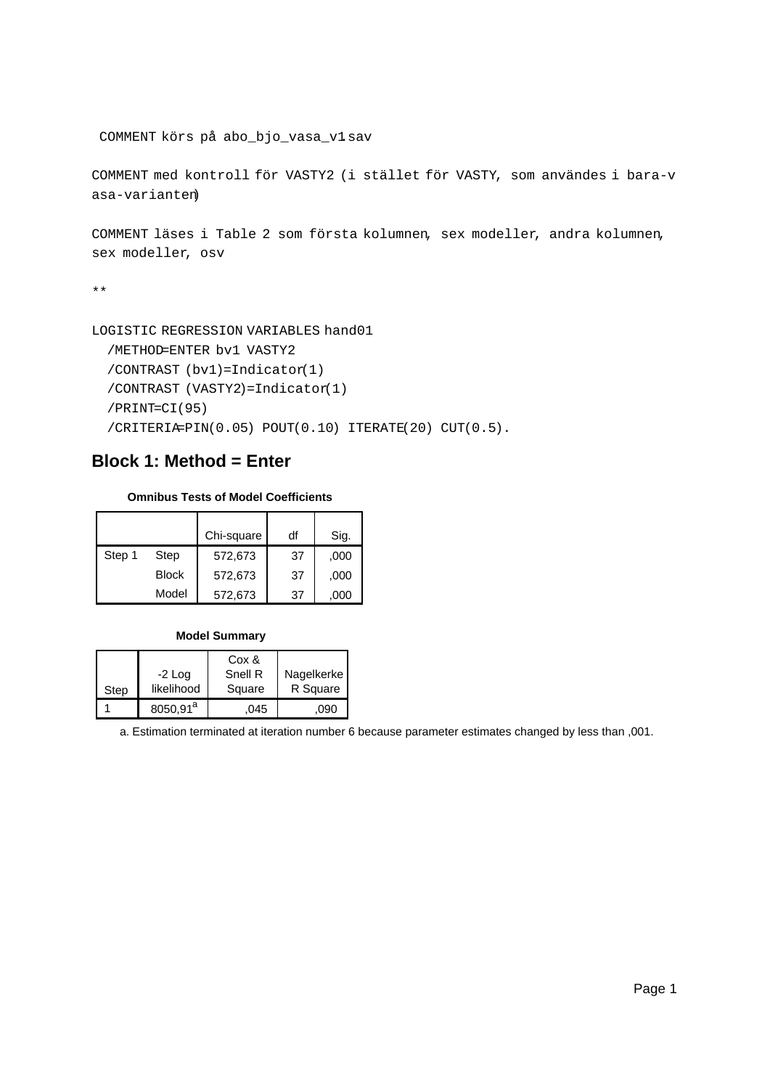```
COMMENT körs på abo_bjo_vasa_v1.sav
```
COMMENT med kontroll för VASTY2 (i stället för VASTY, som användes i bara-v asa-varianten)

COMMENT läses i Table 2 som första kolumnen, sex modeller, andra kolumnen, sex modeller, osv

\*\*

```
LOGISTIC REGRESSION VARIABLES hand01
```

```
 /METHOD=ENTER bv1 VASTY2
```

```
 /CONTRAST (bv1)=Indicator(1)
```

```
 /CONTRAST (VASTY2)=Indicator(1)
```

```
 /PRINT=CI(95)
```

```
 /CRITERIA=PIN(0.05) POUT(0.10) ITERATE(20) CUT(0.5).
```
# **Block 1: Method = Enter**

#### **Omnibus Tests of Model Coefficients**

|        |       | Chi-square | df | Sig. |
|--------|-------|------------|----|------|
| Step 1 | Step  | 572,673    | 37 | ,000 |
|        | Block | 572,673    | 37 | ,000 |
|        | Model | 572,673    | 37 | ,000 |

#### **Model Summary**

|      |             | Cox &   |            |
|------|-------------|---------|------------|
|      | -2 Log      | Snell R | Nagelkerke |
| Step | likelihood  | Square  | R Square   |
|      | $8050,91^a$ | .045    | .090       |

a. Estimation terminated at iteration number 6 because parameter estimates changed by less than ,001.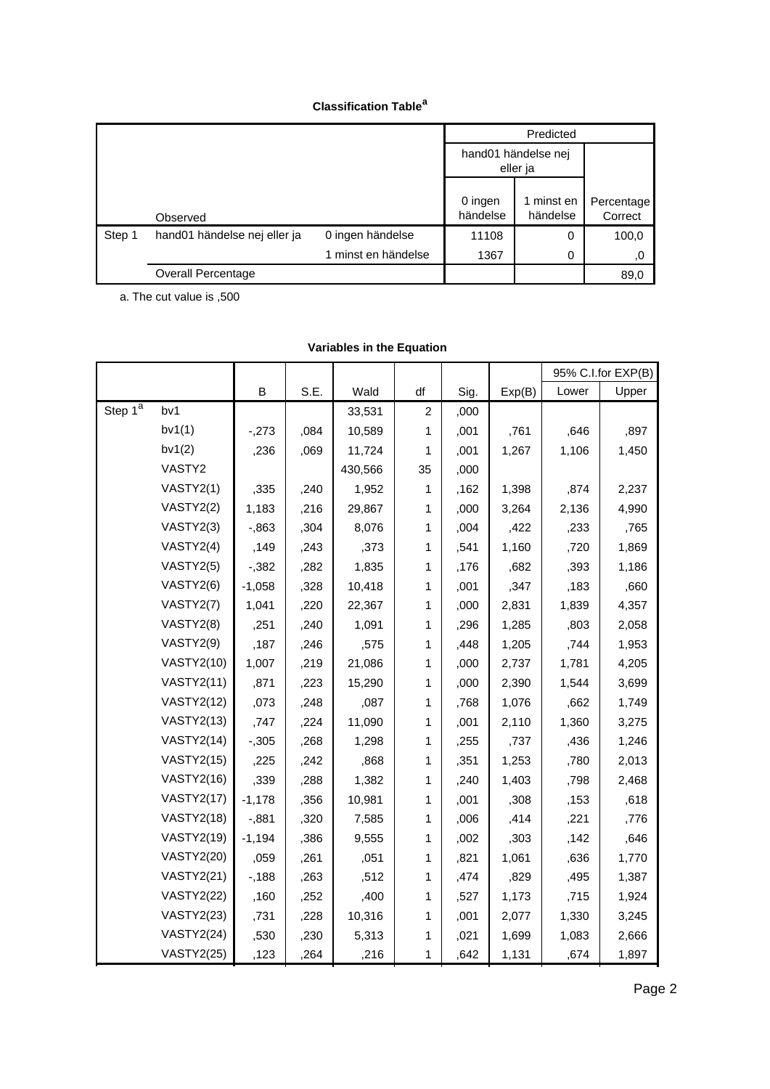|        |                              | hand01 händelse nej<br>eller ja |                     |                      |                       |
|--------|------------------------------|---------------------------------|---------------------|----------------------|-----------------------|
|        | Observed                     |                                 | 0 ingen<br>händelse | minst en<br>händelse | Percentage<br>Correct |
| Step 1 | hand01 händelse nej eller ja | 0 ingen händelse                | 11108               | 0                    | 100,0                 |
|        |                              | 1 minst en händelse             | 1367                | 0                    | ,0                    |
|        | <b>Overall Percentage</b>    |                                 |                     |                      | 89,0                  |

a. The cut value is ,500

|                         |                   |          |      |         |                |      |        |       | 95% C.I.for EXP(B) |
|-------------------------|-------------------|----------|------|---------|----------------|------|--------|-------|--------------------|
|                         |                   | B        | S.E. | Wald    | df             | Sig. | Exp(B) | Lower | Upper              |
| Step $1^{\overline{a}}$ | bv1               |          |      | 33,531  | $\overline{2}$ | ,000 |        |       |                    |
|                         | bv1(1)            | $-273$   | ,084 | 10,589  | 1              | ,001 | ,761   | ,646  | ,897               |
|                         | bv1(2)            | ,236     | ,069 | 11,724  | 1              | ,001 | 1,267  | 1,106 | 1,450              |
|                         | VASTY2            |          |      | 430,566 | 35             | ,000 |        |       |                    |
|                         | VASTY2(1)         | ,335     | ,240 | 1,952   | 1              | ,162 | 1,398  | ,874  | 2,237              |
|                         | VASTY2(2)         | 1,183    | ,216 | 29,867  | 1              | ,000 | 3,264  | 2,136 | 4,990              |
|                         | VASTY2(3)         | $-0.863$ | ,304 | 8,076   | 1              | ,004 | ,422   | ,233  | ,765               |
|                         | VASTY2(4)         | ,149     | ,243 | ,373    | 1              | ,541 | 1,160  | ,720  | 1,869              |
|                         | VASTY2(5)         | $-0.382$ | ,282 | 1,835   | 1              | ,176 | ,682   | ,393  | 1,186              |
|                         | VASTY2(6)         | $-1,058$ | ,328 | 10,418  | 1              | ,001 | ,347   | ,183  | ,660               |
|                         | VASTY2(7)         | 1,041    | ,220 | 22,367  | 1              | ,000 | 2,831  | 1,839 | 4,357              |
|                         | VASTY2(8)         | ,251     | ,240 | 1,091   | 1              | ,296 | 1,285  | ,803  | 2,058              |
|                         | VASTY2(9)         | ,187     | ,246 | ,575    | 1              | ,448 | 1,205  | ,744  | 1,953              |
|                         | <b>VASTY2(10)</b> | 1,007    | ,219 | 21,086  | 1              | ,000 | 2,737  | 1,781 | 4,205              |
|                         | <b>VASTY2(11)</b> | ,871     | ,223 | 15,290  | 1              | ,000 | 2,390  | 1,544 | 3,699              |
|                         | <b>VASTY2(12)</b> | ,073     | ,248 | ,087    | 1              | ,768 | 1,076  | ,662  | 1,749              |
|                         | <b>VASTY2(13)</b> | ,747     | ,224 | 11,090  | 1              | ,001 | 2,110  | 1,360 | 3,275              |
|                         | <b>VASTY2(14)</b> | $-0.305$ | ,268 | 1,298   | 1              | ,255 | ,737   | ,436  | 1,246              |
|                         | <b>VASTY2(15)</b> | ,225     | ,242 | ,868    | 1              | ,351 | 1,253  | ,780  | 2,013              |
|                         | <b>VASTY2(16)</b> | ,339     | ,288 | 1,382   | 1              | ,240 | 1,403  | ,798  | 2,468              |
|                         | <b>VASTY2(17)</b> | $-1,178$ | ,356 | 10,981  | 1              | ,001 | ,308   | ,153  | ,618               |
|                         | <b>VASTY2(18)</b> | $-0.881$ | ,320 | 7,585   | 1              | ,006 | ,414   | ,221  | ,776               |
|                         | <b>VASTY2(19)</b> | $-1,194$ | ,386 | 9,555   | 1              | ,002 | ,303   | ,142  | ,646               |
|                         | <b>VASTY2(20)</b> | ,059     | ,261 | ,051    | 1              | ,821 | 1,061  | ,636  | 1,770              |
|                         | <b>VASTY2(21)</b> | $-188$   | ,263 | ,512    | 1              | ,474 | ,829   | ,495  | 1,387              |
|                         | <b>VASTY2(22)</b> | ,160     | ,252 | ,400    | 1              | ,527 | 1,173  | ,715  | 1,924              |
|                         | <b>VASTY2(23)</b> | ,731     | ,228 | 10,316  | 1              | ,001 | 2,077  | 1,330 | 3,245              |
|                         | <b>VASTY2(24)</b> | ,530     | ,230 | 5,313   | 1              | ,021 | 1,699  | 1,083 | 2,666              |
|                         | <b>VASTY2(25)</b> | ,123     | ,264 | ,216    | 1              | ,642 | 1,131  | ,674  | 1,897              |

# **Variables in the Equation**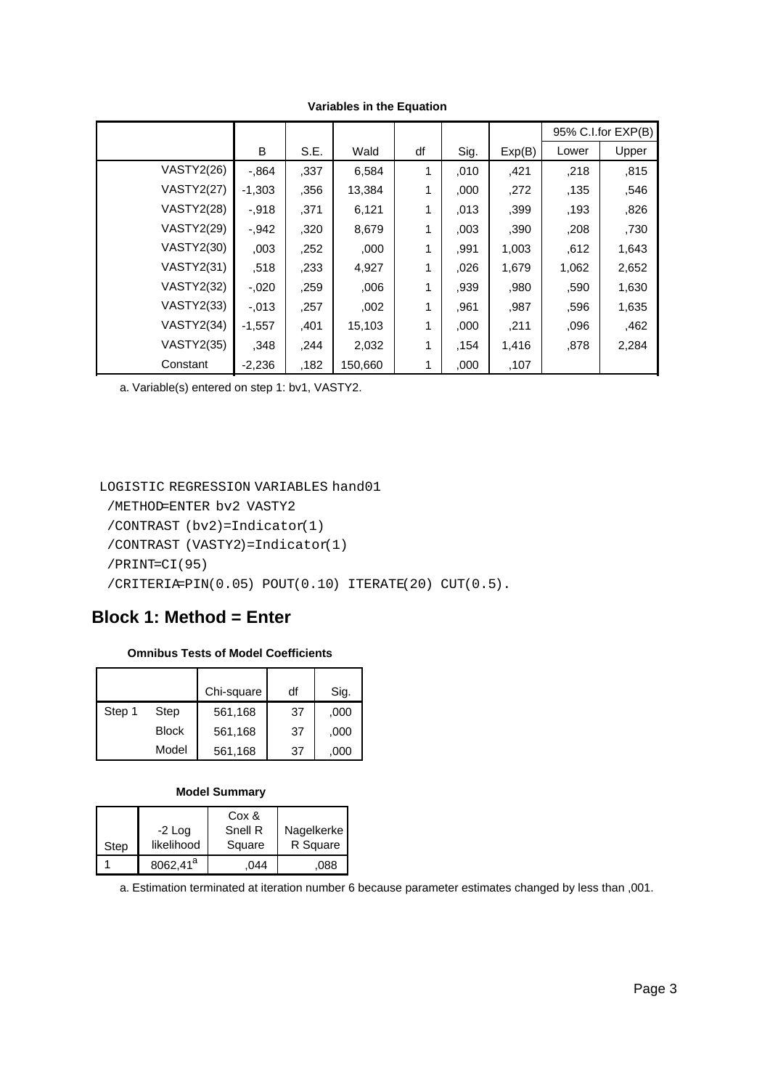|                   |          |      |         |    |      |        |       | 95% C.I.for EXP(B) |
|-------------------|----------|------|---------|----|------|--------|-------|--------------------|
|                   | B        | S.E. | Wald    | df | Sig. | Exp(B) | Lower | Upper              |
| <b>VASTY2(26)</b> | $-0.864$ | ,337 | 6,584   | 1  | .010 | ,421   | ,218  | ,815               |
| <b>VASTY2(27)</b> | $-1,303$ | ,356 | 13,384  | 1  | ,000 | ,272   | ,135  | ,546               |
| <b>VASTY2(28)</b> | $-0.918$ | .371 | 6,121   | 1  | .013 | .399   | ,193  | ,826               |
| <b>VASTY2(29)</b> | $-0.942$ | ,320 | 8,679   | 1  | 003  | .390   | ,208  | ,730               |
| <b>VASTY2(30)</b> | ,003     | ,252 | ,000    | 1  | .991 | 1,003  | .612  | 1,643              |
| <b>VASTY2(31)</b> | .518     | .233 | 4,927   | 1  | 026  | 1,679  | 1,062 | 2,652              |
| VASTY2(32)        | $-.020$  | ,259 | ,006    | 1  | .939 | ,980   | ,590  | 1,630              |
| <b>VASTY2(33)</b> | $-.013$  | ,257 | 002     | 1  | .961 | .987   | ,596  | 1,635              |
| <b>VASTY2(34)</b> | $-1,557$ | .401 | 15,103  | 1  | ,000 | .211   | ,096  | ,462               |
| <b>VASTY2(35)</b> | .348     | .244 | 2,032   | 1  | .154 | 1,416  | ,878  | 2,284              |
| Constant          | $-2,236$ | .182 | 150,660 |    | ,000 | ,107   |       |                    |

**Variables in the Equation**

a. Variable(s) entered on step 1: bv1, VASTY2.

#### LOGISTIC REGRESSION VARIABLES hand01

```
 /METHOD=ENTER bv2 VASTY2
/CONTRAST (bv2)=Indicator(1)
/CONTRAST (VASTY2)=Indicator(1)
/PRINT=CI(95)
/CRITERIA=PIN(0.05) POUT(0.10) ITERATE(20) CUT(0.5).
```
# **Block 1: Method = Enter**

#### **Omnibus Tests of Model Coefficients**

|        |              | Chi-square | df | Sig. |
|--------|--------------|------------|----|------|
| Step 1 | Step         | 561,168    | 37 | ,000 |
|        | <b>Block</b> | 561,168    | 37 | ,000 |
|        | Model        | 561,168    | 37 | ,000 |

#### **Model Summary**

|      |                      | Cox &   |            |
|------|----------------------|---------|------------|
|      | -2 Log               | Snell R | Nagelkerke |
| Step | likelihood           | Square  | R Square   |
|      | 8062,41 <sup>a</sup> | .044    | .088       |

a. Estimation terminated at iteration number 6 because parameter estimates changed by less than ,001.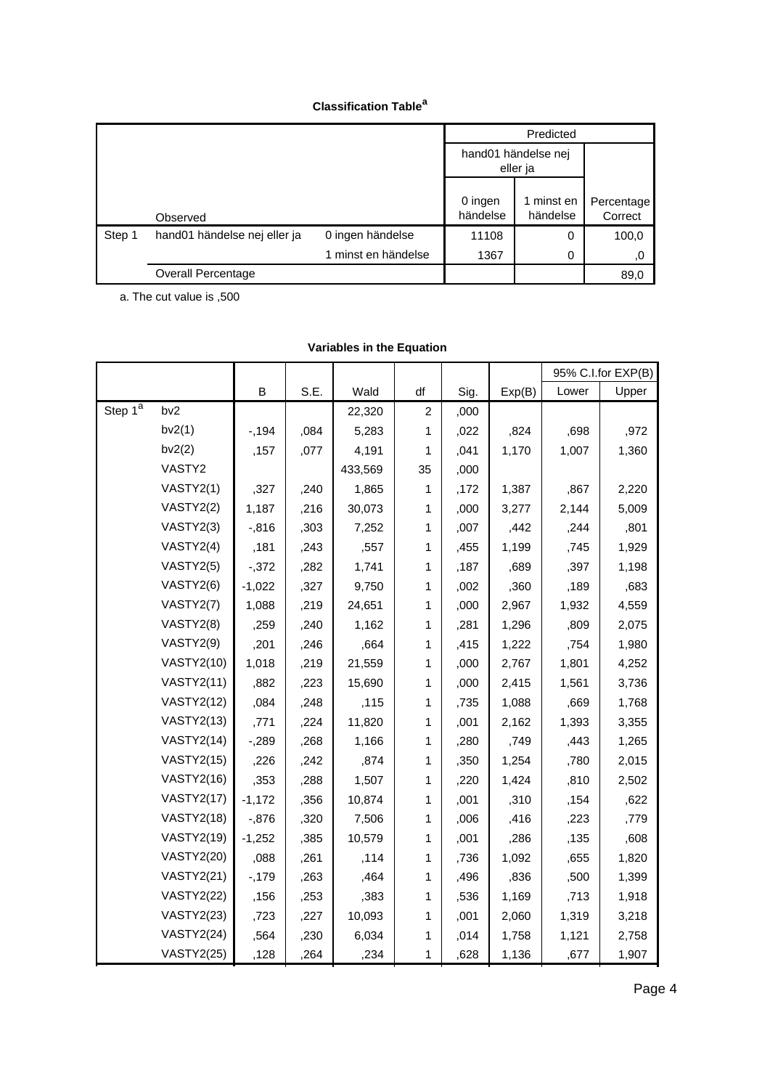|        |                              | hand01 händelse nej<br>eller ja |                     |                      |                       |
|--------|------------------------------|---------------------------------|---------------------|----------------------|-----------------------|
|        | Observed                     |                                 | 0 ingen<br>händelse | minst en<br>händelse | Percentage<br>Correct |
| Step 1 | hand01 händelse nej eller ja | 0 ingen händelse                | 11108               | 0                    | 100,0                 |
|        |                              | 1 minst en händelse             | 1367                | 0                    | ,0                    |
|        | <b>Overall Percentage</b>    |                                 |                     |                      | 89,0                  |

a. The cut value is ,500

|            |                   |          |      |         |                |      |        |       | 95% C.I.for EXP(B) |
|------------|-------------------|----------|------|---------|----------------|------|--------|-------|--------------------|
|            |                   | B        | S.E. | Wald    | df             | Sig. | Exp(B) | Lower | Upper              |
| Step $1^a$ | bv <sub>2</sub>   |          |      | 22,320  | $\overline{c}$ | ,000 |        |       |                    |
|            | bv2(1)            | $-194$   | ,084 | 5,283   | 1              | ,022 | ,824   | ,698  | ,972               |
|            | bv2(2)            | ,157     | ,077 | 4,191   | 1              | .041 | 1,170  | 1,007 | 1,360              |
|            | VASTY2            |          |      | 433,569 | 35             | ,000 |        |       |                    |
|            | VASTY2(1)         | ,327     | ,240 | 1,865   | 1              | ,172 | 1,387  | ,867  | 2,220              |
|            | VASTY2(2)         | 1,187    | ,216 | 30,073  | 1              | ,000 | 3,277  | 2,144 | 5,009              |
|            | VASTY2(3)         | $-0.816$ | ,303 | 7,252   | $\mathbf{1}$   | ,007 | ,442   | ,244  | ,801               |
|            | VASTY2(4)         | ,181     | ,243 | ,557    | 1              | ,455 | 1,199  | ,745  | 1,929              |
|            | VASTY2(5)         | $-0.372$ | ,282 | 1,741   | 1              | ,187 | ,689   | ,397  | 1,198              |
|            | VASTY2(6)         | $-1,022$ | ,327 | 9,750   | $\mathbf{1}$   | ,002 | ,360   | ,189  | ,683               |
|            | VASTY2(7)         | 1,088    | ,219 | 24,651  | 1              | ,000 | 2,967  | 1,932 | 4,559              |
|            | VASTY2(8)         | ,259     | ,240 | 1,162   | 1              | ,281 | 1,296  | ,809  | 2,075              |
|            | VASTY2(9)         | ,201     | ,246 | ,664    | 1              | ,415 | 1,222  | ,754  | 1,980              |
|            | <b>VASTY2(10)</b> | 1,018    | ,219 | 21,559  | 1              | ,000 | 2,767  | 1,801 | 4,252              |
|            | <b>VASTY2(11)</b> | ,882     | ,223 | 15,690  | $\mathbf{1}$   | ,000 | 2,415  | 1,561 | 3,736              |
|            | <b>VASTY2(12)</b> | ,084     | ,248 | ,115    | 1              | ,735 | 1,088  | ,669  | 1,768              |
|            | <b>VASTY2(13)</b> | ,771     | ,224 | 11,820  | 1              | ,001 | 2,162  | 1,393 | 3,355              |
|            | <b>VASTY2(14)</b> | $-289$   | ,268 | 1,166   | 1              | ,280 | ,749   | ,443  | 1,265              |
|            | <b>VASTY2(15)</b> | ,226     | ,242 | ,874    | 1              | ,350 | 1,254  | ,780  | 2,015              |
|            | <b>VASTY2(16)</b> | ,353     | ,288 | 1,507   | 1              | ,220 | 1,424  | ,810  | 2,502              |
|            | <b>VASTY2(17)</b> | $-1,172$ | ,356 | 10,874  | $\mathbf{1}$   | ,001 | ,310   | ,154  | ,622               |
|            | <b>VASTY2(18)</b> | $-0.876$ | ,320 | 7,506   | 1              | ,006 | ,416   | ,223  | ,779               |
|            | <b>VASTY2(19)</b> | $-1,252$ | ,385 | 10,579  | 1              | ,001 | ,286   | ,135  | ,608               |
|            | <b>VASTY2(20)</b> | ,088     | ,261 | ,114    | $\mathbf{1}$   | ,736 | 1,092  | ,655  | 1,820              |
|            | <b>VASTY2(21)</b> | $-179$   | ,263 | ,464    | 1              | ,496 | ,836   | ,500  | 1,399              |
|            | <b>VASTY2(22)</b> | ,156     | ,253 | ,383    | $\mathbf{1}$   | ,536 | 1,169  | ,713  | 1,918              |
|            | <b>VASTY2(23)</b> | ,723     | ,227 | 10,093  | $\mathbf{1}$   | ,001 | 2,060  | 1,319 | 3,218              |
|            | <b>VASTY2(24)</b> | ,564     | ,230 | 6,034   | 1              | ,014 | 1,758  | 1,121 | 2,758              |
|            | <b>VASTY2(25)</b> | ,128     | ,264 | ,234    | 1              | ,628 | 1,136  | ,677  | 1,907              |

# **Variables in the Equation**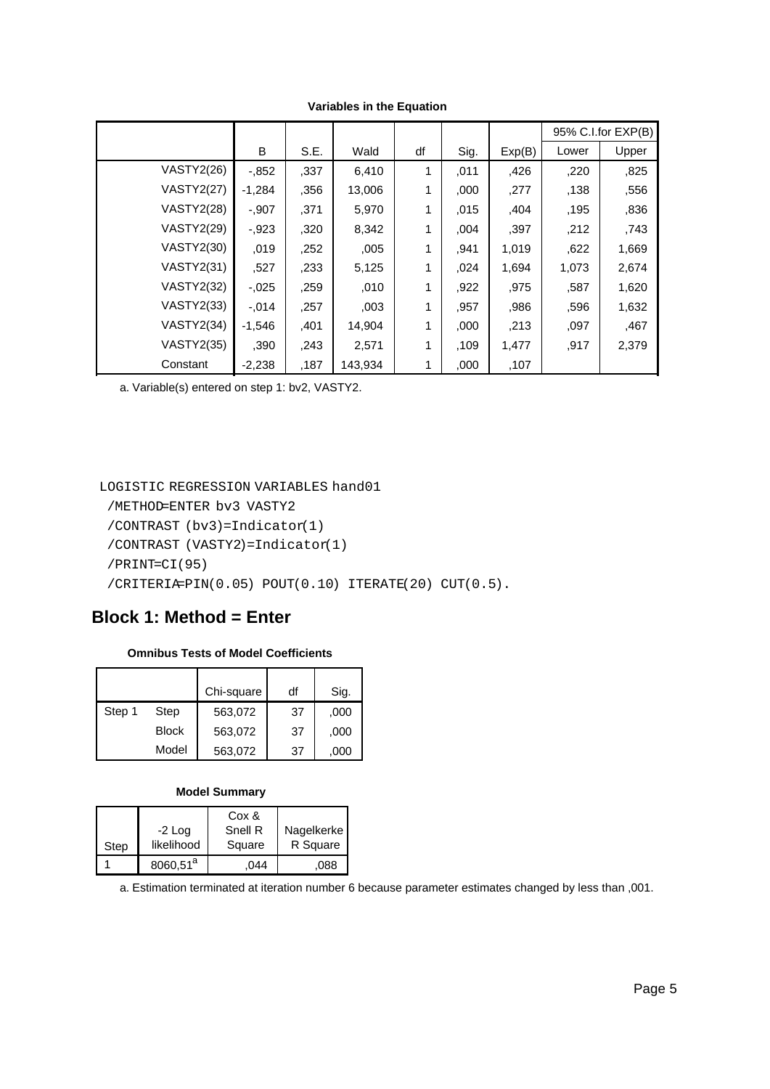|                   |          |      |         |    |      |        |       | 95% C.I.for EXP(B) |
|-------------------|----------|------|---------|----|------|--------|-------|--------------------|
|                   | B        | S.E. | Wald    | df | Sig. | Exp(B) | Lower | Upper              |
| <b>VASTY2(26)</b> | $-0.852$ | ,337 | 6,410   | 1  | .011 | ,426   | ,220  | ,825               |
| <b>VASTY2(27)</b> | $-1,284$ | ,356 | 13,006  | 1  | ,000 | ,277   | ,138  | ,556               |
| <b>VASTY2(28)</b> | $-.907$  | .371 | 5,970   | 1  | .015 | ,404   | ,195  | ,836               |
| <b>VASTY2(29)</b> | $-0.923$ | ,320 | 8,342   | 1  | 004  | .397   | ,212  | ,743               |
| <b>VASTY2(30)</b> | ,019     | ,252 | 005     | 1  | .941 | 1,019  | ,622  | 1,669              |
| <b>VASTY2(31)</b> | ,527     | ,233 | 5,125   | 1  | 024  | 1,694  | 1,073 | 2,674              |
| <b>VASTY2(32)</b> | $-0.025$ | ,259 | .010    | 1  | .922 | ,975   | ,587  | 1,620              |
| <b>VASTY2(33)</b> | $-.014$  | ,257 | 003     | 1  | .957 | ,986   | ,596  | 1,632              |
| <b>VASTY2(34)</b> | $-1,546$ | ,401 | 14,904  | 1  | ,000 | ,213   | ,097  | ,467               |
| <b>VASTY2(35)</b> | .390     | .243 | 2,571   | 1  | .109 | 1,477  | .917  | 2,379              |
| Constant          | $-2,238$ | .187 | 143,934 |    | ,000 | ,107   |       |                    |

**Variables in the Equation**

a. Variable(s) entered on step 1: bv2, VASTY2.

#### LOGISTIC REGRESSION VARIABLES hand01

```
 /METHOD=ENTER bv3 VASTY2
/CONTRAST (bv3)=Indicator(1)
/CONTRAST (VASTY2)=Indicator(1)
/PRINT=CI(95)
/CRITERIA=PIN(0.05) POUT(0.10) ITERATE(20) CUT(0.5).
```
# **Block 1: Method = Enter**

#### **Omnibus Tests of Model Coefficients**

|        |              | Chi-square | df | Sig. |
|--------|--------------|------------|----|------|
| Step 1 | Step         | 563,072    | 37 | ,000 |
|        | <b>Block</b> | 563,072    | 37 | ,000 |
|        | Model        | 563,072    | 37 | .000 |

#### **Model Summary**

|      |                      | Cox &   |            |
|------|----------------------|---------|------------|
|      | $-2$ Log             | Snell R | Nagelkerke |
| Step | likelihood           | Square  | R Square   |
|      | 8060,51 <sup>a</sup> | .044    | .088       |

a. Estimation terminated at iteration number 6 because parameter estimates changed by less than ,001.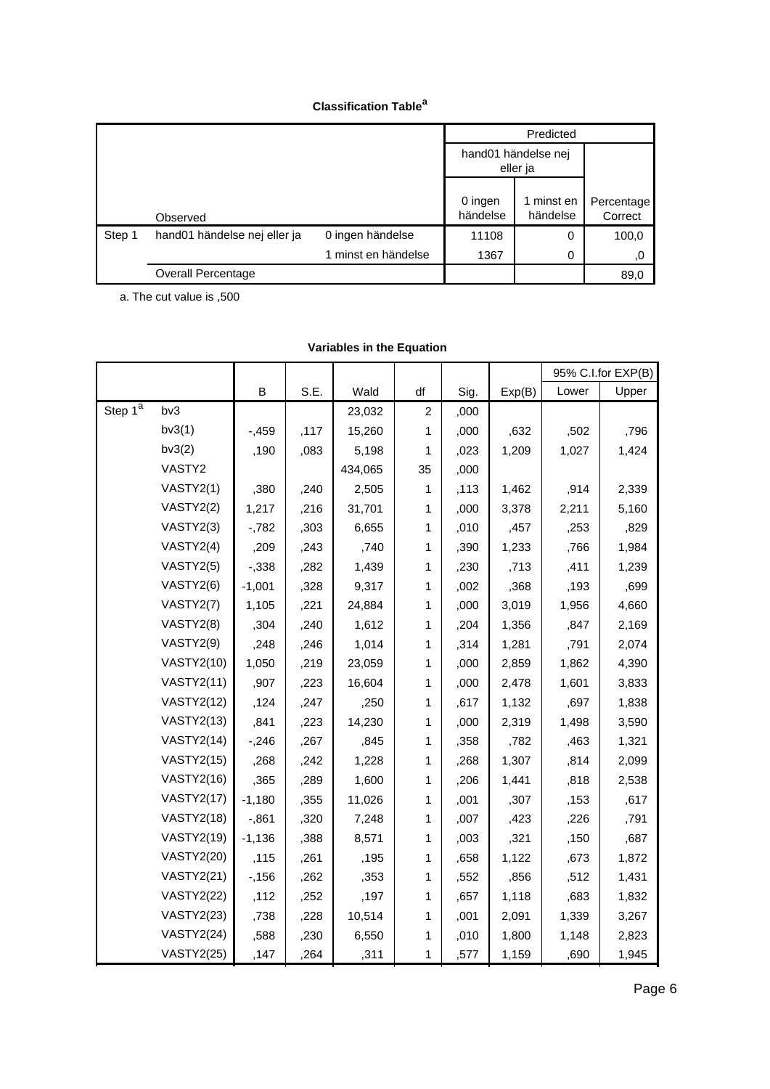|        |                              |                     | hand01 händelse nej<br>eller ja |                      |                       |
|--------|------------------------------|---------------------|---------------------------------|----------------------|-----------------------|
|        | Observed                     |                     | 0 ingen<br>händelse             | minst en<br>händelse | Percentage<br>Correct |
| Step 1 | hand01 händelse nej eller ja | 0 ingen händelse    | 11108                           | 0                    | 100,0                 |
|        |                              | 1 minst en händelse | 1367                            | 0                    | .0                    |
|        | Overall Percentage           |                     |                                 |                      | 89,0                  |

a. The cut value is ,500

|                         |                   |          |      |         |                |      |        |       | 95% C.I.for EXP(B) |
|-------------------------|-------------------|----------|------|---------|----------------|------|--------|-------|--------------------|
|                         |                   | B        | S.E. | Wald    | df             | Sig. | Exp(B) | Lower | Upper              |
| Step $1^{\overline{a}}$ | bv3               |          |      | 23,032  | $\overline{c}$ | ,000 |        |       |                    |
|                         | bv3(1)            | $-0.459$ | ,117 | 15,260  | 1              | ,000 | ,632   | ,502  | ,796               |
|                         | bv3(2)            | ,190     | ,083 | 5,198   | 1              | ,023 | 1,209  | 1,027 | 1,424              |
|                         | VASTY2            |          |      | 434,065 | 35             | ,000 |        |       |                    |
|                         | VASTY2(1)         | ,380     | ,240 | 2,505   | 1              | ,113 | 1,462  | ,914  | 2,339              |
|                         | VASTY2(2)         | 1,217    | ,216 | 31,701  | 1              | ,000 | 3,378  | 2,211 | 5,160              |
|                         | VASTY2(3)         | $-782$   | ,303 | 6,655   | 1              | ,010 | ,457   | ,253  | ,829               |
|                         | VASTY2(4)         | ,209     | ,243 | ,740    | 1              | ,390 | 1,233  | ,766  | 1,984              |
|                         | VASTY2(5)         | $-0.338$ | ,282 | 1,439   | 1              | ,230 | ,713   | ,411  | 1,239              |
|                         | VASTY2(6)         | $-1,001$ | ,328 | 9,317   | 1              | ,002 | ,368   | ,193  | ,699               |
|                         | VASTY2(7)         | 1,105    | ,221 | 24,884  | 1              | ,000 | 3,019  | 1,956 | 4,660              |
|                         | VASTY2(8)         | ,304     | ,240 | 1,612   | 1              | ,204 | 1,356  | ,847  | 2,169              |
|                         | VASTY2(9)         | ,248     | ,246 | 1,014   | 1              | ,314 | 1,281  | ,791  | 2,074              |
|                         | <b>VASTY2(10)</b> | 1,050    | ,219 | 23,059  | 1              | ,000 | 2,859  | 1,862 | 4,390              |
|                         | <b>VASTY2(11)</b> | ,907     | ,223 | 16,604  | 1              | ,000 | 2,478  | 1,601 | 3,833              |
|                         | <b>VASTY2(12)</b> | ,124     | ,247 | ,250    | 1              | ,617 | 1,132  | ,697  | 1,838              |
|                         | <b>VASTY2(13)</b> | ,841     | ,223 | 14,230  | 1              | ,000 | 2,319  | 1,498 | 3,590              |
|                         | <b>VASTY2(14)</b> | $-246$   | ,267 | ,845    | 1              | ,358 | ,782   | ,463  | 1,321              |
|                         | <b>VASTY2(15)</b> | ,268     | ,242 | 1,228   | 1              | ,268 | 1,307  | ,814  | 2,099              |
|                         | <b>VASTY2(16)</b> | ,365     | ,289 | 1,600   | 1              | ,206 | 1,441  | ,818  | 2,538              |
|                         | <b>VASTY2(17)</b> | $-1,180$ | ,355 | 11,026  | 1              | ,001 | ,307   | ,153  | ,617               |
|                         | <b>VASTY2(18)</b> | $-0.861$ | ,320 | 7,248   | 1              | ,007 | ,423   | ,226  | ,791               |
|                         | <b>VASTY2(19)</b> | $-1,136$ | ,388 | 8,571   | 1              | ,003 | ,321   | ,150  | ,687               |
|                         | <b>VASTY2(20)</b> | ,115     | ,261 | ,195    | 1              | ,658 | 1,122  | ,673  | 1,872              |
|                         | <b>VASTY2(21)</b> | $-156$   | ,262 | ,353    | 1              | ,552 | ,856   | ,512  | 1,431              |
|                         | <b>VASTY2(22)</b> | ,112     | ,252 | ,197    | 1              | ,657 | 1,118  | ,683  | 1,832              |
|                         | <b>VASTY2(23)</b> | ,738     | ,228 | 10,514  | 1              | ,001 | 2,091  | 1,339 | 3,267              |
|                         | <b>VASTY2(24)</b> | ,588     | ,230 | 6,550   | 1              | ,010 | 1,800  | 1,148 | 2,823              |
|                         | <b>VASTY2(25)</b> | ,147     | ,264 | ,311    | 1              | ,577 | 1,159  | ,690  | 1,945              |

# **Variables in the Equation**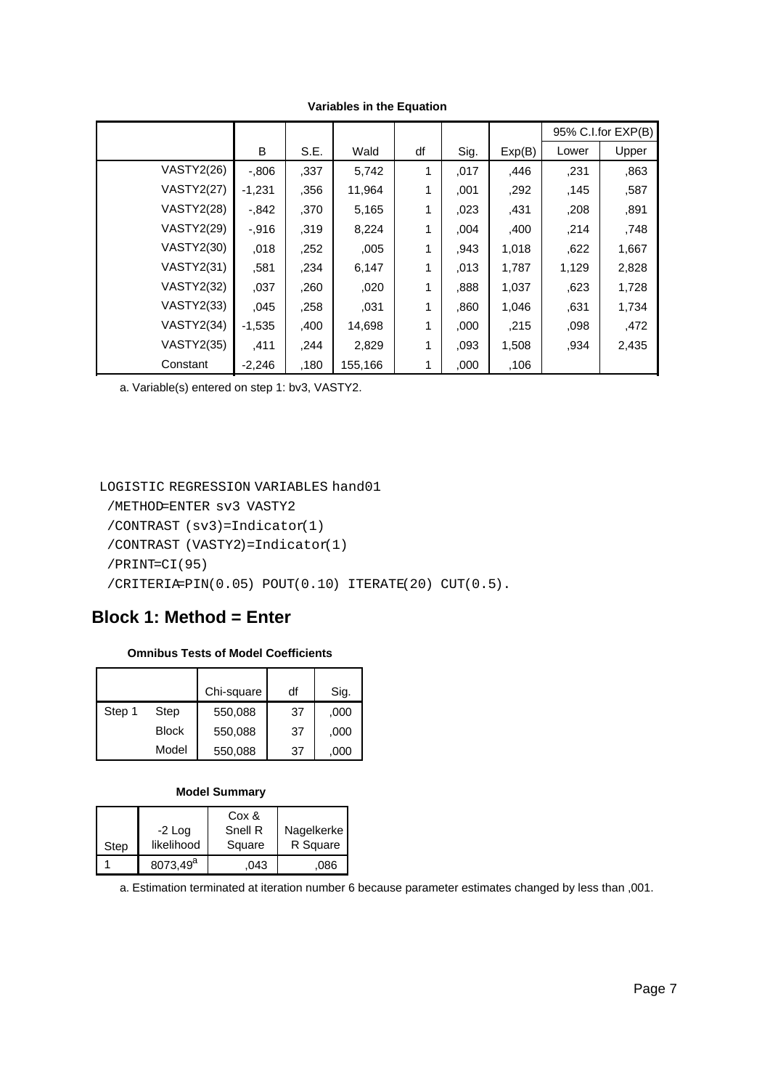|                   |          |      |         |    |      |        |       | 95% C.I.for EXP(B) |
|-------------------|----------|------|---------|----|------|--------|-------|--------------------|
|                   | B        | S.E. | Wald    | df | Sig. | Exp(B) | Lower | Upper              |
| <b>VASTY2(26)</b> | $-0.806$ | ,337 | 5,742   | 1  | ,017 | ,446   | ,231  | ,863               |
| <b>VASTY2(27)</b> | $-1,231$ | ,356 | 11,964  | 1  | ,001 | ,292   | ,145  | ,587               |
| <b>VASTY2(28)</b> | $-.842$  | .370 | 5,165   | 1  | 023  | ,431   | ,208  | ,891               |
| <b>VASTY2(29)</b> | $-0.916$ | .319 | 8,224   | 1  | 004  | ,400   | ,214  | ,748               |
| <b>VASTY2(30)</b> | ,018     | .252 | 005     | 1  | .943 | 1,018  | ,622  | 1,667              |
| <b>VASTY2(31)</b> | ,581     | .234 | 6,147   | 1  | .013 | 1,787  | 1,129 | 2,828              |
| <b>VASTY2(32)</b> | ,037     | ,260 | ,020    | 1  | .888 | 1,037  | ,623  | 1,728              |
| VASTY2(33)        | ,045     | ,258 | .031    | 1  | .860 | 1,046  | .631  | 1,734              |
| <b>VASTY2(34)</b> | $-1,535$ | ,400 | 14,698  | 1  | ,000 | ,215   | ,098  | ,472               |
| <b>VASTY2(35)</b> | ,411     | ,244 | 2,829   | 1  | .093 | 1,508  | .934  | 2,435              |
| Constant          | $-2,246$ | .180 | 155,166 | 1  | ,000 | ,106   |       |                    |

**Variables in the Equation**

a. Variable(s) entered on step 1: bv3, VASTY2.

#### LOGISTIC REGRESSION VARIABLES hand01

```
 /METHOD=ENTER sv3 VASTY2
/CONTRAST (sv3)=Indicator(1)
/CONTRAST (VASTY2)=Indicator(1)
/PRINT=CI(95)
/CRITERIA=PIN(0.05) POUT(0.10) ITERATE(20) CUT(0.5).
```
# **Block 1: Method = Enter**

#### **Omnibus Tests of Model Coefficients**

|        |              | Chi-square | df | Sig. |
|--------|--------------|------------|----|------|
| Step 1 | Step         | 550,088    | 37 | ,000 |
|        | <b>Block</b> | 550,088    | 37 | ,000 |
|        | Model        | 550,088    | 37 | .000 |

#### **Model Summary**

|      |                      | Cox &   |            |
|------|----------------------|---------|------------|
|      | $-2$ Log             | Snell R | Nagelkerke |
| Step | likelihood           | Square  | R Square   |
|      | 8073,49 <sup>a</sup> | .043    | .086       |

a. Estimation terminated at iteration number 6 because parameter estimates changed by less than ,001.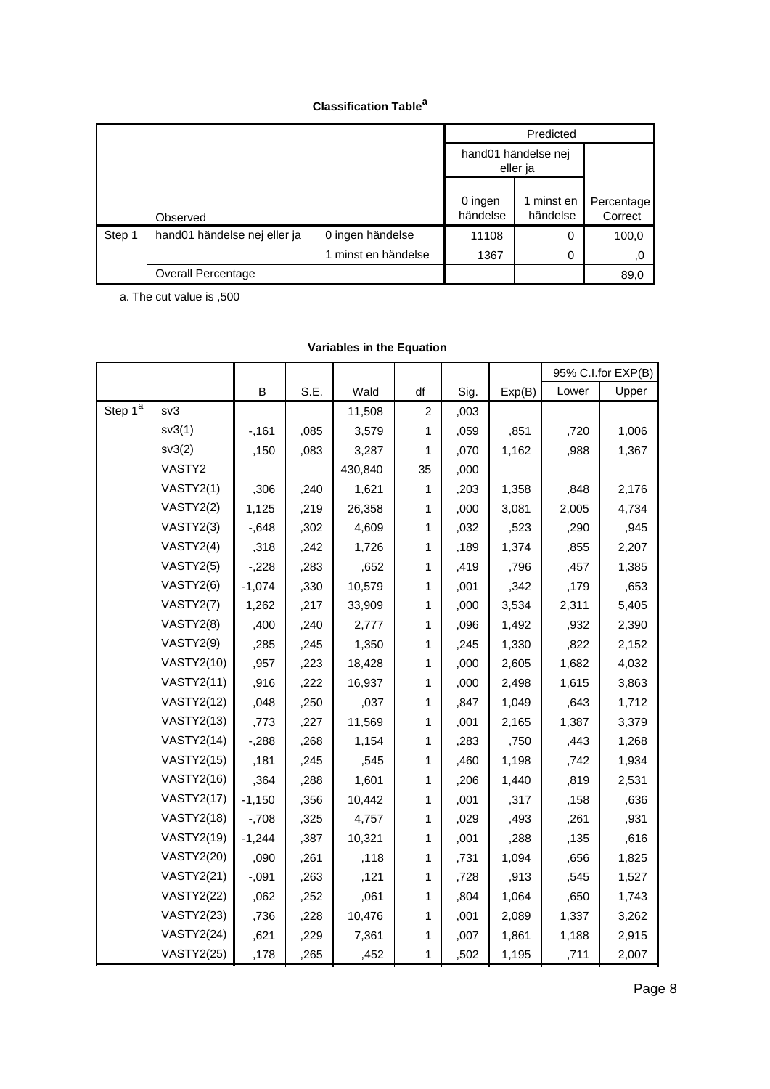|        |                              | Predicted           |                                 |                      |                       |
|--------|------------------------------|---------------------|---------------------------------|----------------------|-----------------------|
|        |                              |                     | hand01 händelse nej<br>eller ja |                      |                       |
|        | Observed                     |                     | 0 ingen<br>händelse             | minst en<br>händelse | Percentage<br>Correct |
| Step 1 | hand01 händelse nej eller ja | 0 ingen händelse    | 11108                           | 0                    | 100,0                 |
|        |                              | 1 minst en händelse | 1367                            | 0                    | ,0                    |
|        | <b>Overall Percentage</b>    |                     |                                 |                      | 89,0                  |

a. The cut value is ,500

|            |                   |          |      |         |                  |      |        |       | 95% C.I.for EXP(B) |
|------------|-------------------|----------|------|---------|------------------|------|--------|-------|--------------------|
|            |                   | B        | S.E. | Wald    | df               | Sig. | Exp(B) | Lower | Upper              |
| Step $1^a$ | sv3               |          |      | 11,508  | $\boldsymbol{2}$ | ,003 |        |       |                    |
|            | sv3(1)            | $-161$   | ,085 | 3,579   | 1                | ,059 | ,851   | ,720  | 1,006              |
|            | sv3(2)            | ,150     | ,083 | 3,287   | 1                | ,070 | 1,162  | ,988  | 1,367              |
|            | VASTY2            |          |      | 430,840 | 35               | ,000 |        |       |                    |
|            | VASTY2(1)         | ,306     | ,240 | 1,621   | 1                | ,203 | 1,358  | ,848  | 2,176              |
|            | VASTY2(2)         | 1,125    | ,219 | 26,358  | 1                | ,000 | 3,081  | 2,005 | 4,734              |
|            | VASTY2(3)         | $-0.648$ | ,302 | 4,609   | 1                | ,032 | ,523   | ,290  | ,945               |
|            | VASTY2(4)         | ,318     | ,242 | 1,726   | 1                | ,189 | 1,374  | ,855  | 2,207              |
|            | VASTY2(5)         | $-228$   | ,283 | ,652    | 1                | ,419 | ,796   | ,457  | 1,385              |
|            | VASTY2(6)         | $-1,074$ | ,330 | 10,579  | 1                | ,001 | ,342   | ,179  | ,653               |
|            | VASTY2(7)         | 1,262    | ,217 | 33,909  | 1                | ,000 | 3,534  | 2,311 | 5,405              |
|            | VASTY2(8)         | ,400     | ,240 | 2,777   | 1                | ,096 | 1,492  | ,932  | 2,390              |
|            | VASTY2(9)         | ,285     | ,245 | 1,350   | 1                | ,245 | 1,330  | ,822  | 2,152              |
|            | <b>VASTY2(10)</b> | ,957     | ,223 | 18,428  | 1                | ,000 | 2,605  | 1,682 | 4,032              |
|            | <b>VASTY2(11)</b> | ,916     | ,222 | 16,937  | 1                | ,000 | 2,498  | 1,615 | 3,863              |
|            | <b>VASTY2(12)</b> | ,048     | ,250 | ,037    | 1                | ,847 | 1,049  | ,643  | 1,712              |
|            | <b>VASTY2(13)</b> | ,773     | ,227 | 11,569  | 1                | ,001 | 2,165  | 1,387 | 3,379              |
|            | <b>VASTY2(14)</b> | $-288$   | ,268 | 1,154   | 1                | ,283 | ,750   | ,443  | 1,268              |
|            | <b>VASTY2(15)</b> | ,181     | ,245 | ,545    | 1                | ,460 | 1,198  | ,742  | 1,934              |
|            | <b>VASTY2(16)</b> | ,364     | ,288 | 1,601   | 1                | ,206 | 1,440  | ,819  | 2,531              |
|            | <b>VASTY2(17)</b> | $-1,150$ | ,356 | 10,442  | 1                | ,001 | ,317   | ,158  | ,636               |
|            | <b>VASTY2(18)</b> | $-708$   | ,325 | 4,757   | 1                | ,029 | ,493   | ,261  | ,931               |
|            | <b>VASTY2(19)</b> | $-1,244$ | ,387 | 10,321  | 1                | ,001 | ,288   | ,135  | ,616               |
|            | <b>VASTY2(20)</b> | ,090     | ,261 | ,118    | 1                | ,731 | 1,094  | ,656  | 1,825              |
|            | <b>VASTY2(21)</b> | $-0.091$ | ,263 | ,121    | 1                | ,728 | ,913   | ,545  | 1,527              |
|            | <b>VASTY2(22)</b> | ,062     | ,252 | ,061    | 1                | ,804 | 1,064  | ,650  | 1,743              |
|            | <b>VASTY2(23)</b> | ,736     | ,228 | 10,476  | 1                | ,001 | 2,089  | 1,337 | 3,262              |
|            | <b>VASTY2(24)</b> | ,621     | ,229 | 7,361   | 1                | ,007 | 1,861  | 1,188 | 2,915              |
|            | <b>VASTY2(25)</b> | ,178     | ,265 | ,452    | $\mathbf{1}$     | ,502 | 1,195  | ,711  | 2,007              |

# **Variables in the Equation**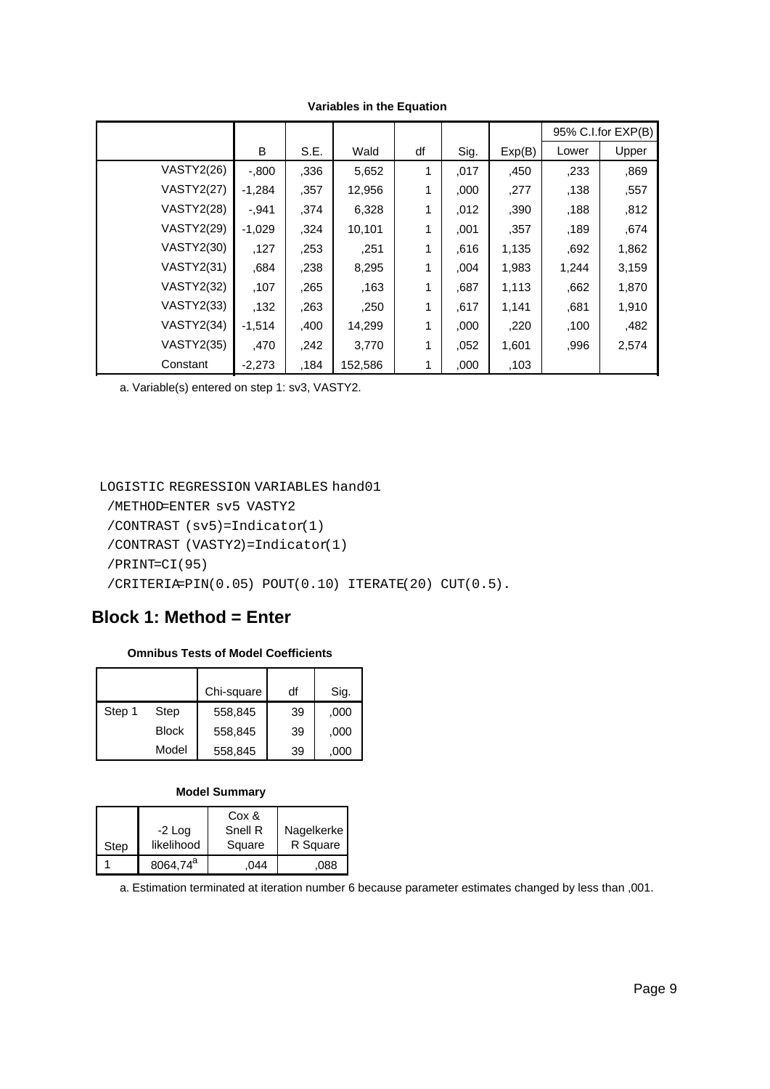|                   |          |      |         |    |      |        |       | 95% C.I.for EXP(B) |
|-------------------|----------|------|---------|----|------|--------|-------|--------------------|
|                   | B        | S.E. | Wald    | df | Sig. | Exp(B) | Lower | Upper              |
| <b>VASTY2(26)</b> | $-0.800$ | ,336 | 5,652   | 1  | ,017 | ,450   | ,233  | ,869               |
| <b>VASTY2(27)</b> | $-1,284$ | ,357 | 12,956  | 1  | ,000 | ,277   | ,138  | ,557               |
| <b>VASTY2(28)</b> | $-.941$  | .374 | 6,328   | 1  | .012 | ,390   | ,188  | ,812               |
| <b>VASTY2(29)</b> | $-1,029$ | ,324 | 10,101  | 1  | ,001 | .357   | ,189  | ,674               |
| <b>VASTY2(30)</b> | ,127     | ,253 | .251    | 1  | .616 | 1,135  | ,692  | 1,862              |
| <b>VASTY2(31)</b> | ,684     | ,238 | 8,295   | 1  | ,004 | 1,983  | 1,244 | 3,159              |
| <b>VASTY2(32)</b> | ,107     | .265 | .163    | 1  | .687 | 1,113  | ,662  | 1,870              |
| <b>VASTY2(33)</b> | .132     | ,263 | ,250    | 1  | .617 | 1,141  | ,681  | 1,910              |
| <b>VASTY2(34)</b> | $-1,514$ | ,400 | 14,299  | 1  | ,000 | ,220   | ,100  | ,482               |
| <b>VASTY2(35)</b> | ,470     | .242 | 3,770   | 1  | ,052 | 1,601  | ,996  | 2,574              |
| Constant          | $-2,273$ | .184 | 152,586 |    | ,000 | ,103   |       |                    |

**Variables in the Equation**

a. Variable(s) entered on step 1: sv3, VASTY2.

#### LOGISTIC REGRESSION VARIABLES hand01

```
 /METHOD=ENTER sv5 VASTY2
/CONTRAST (sv5)=Indicator(1)
/CONTRAST (VASTY2)=Indicator(1)
/PRINT=CI(95)
/CRITERIA=PIN(0.05) POUT(0.10) ITERATE(20) CUT(0.5).
```
# **Block 1: Method = Enter**

#### **Omnibus Tests of Model Coefficients**

|        |              | Chi-square | df | Sig. |
|--------|--------------|------------|----|------|
| Step 1 | Step         | 558,845    | 39 | ,000 |
|        | <b>Block</b> | 558,845    | 39 | ,000 |
|        | Model        | 558,845    | 39 | ,000 |

#### **Model Summary**

|      |                      | Cox &   |            |
|------|----------------------|---------|------------|
|      | -2 Log               | Snell R | Nagelkerke |
| Step | likelihood           | Square  | R Square   |
|      | 8064,74 <sup>a</sup> | .044    | .088       |

a. Estimation terminated at iteration number 6 because parameter estimates changed by less than ,001.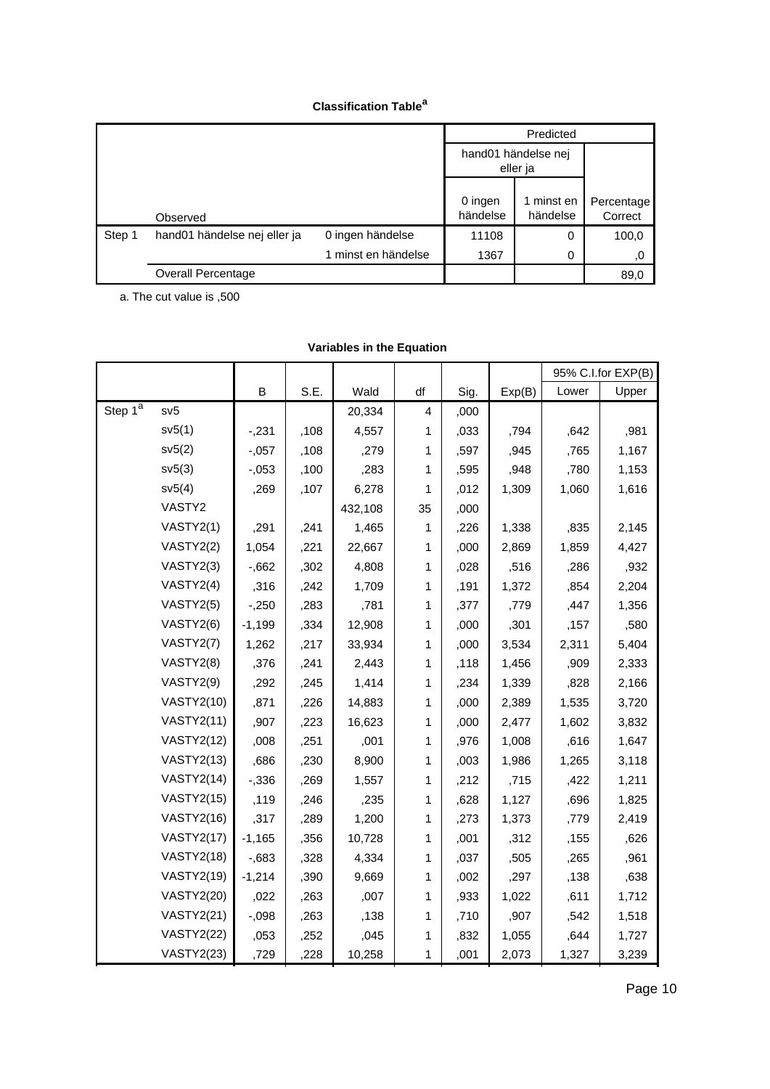|        |                              |                     |                     | Predicted                       |                       |
|--------|------------------------------|---------------------|---------------------|---------------------------------|-----------------------|
|        |                              |                     |                     | hand01 händelse nej<br>eller ja |                       |
|        | Observed                     |                     | 0 ingen<br>händelse | minst en<br>händelse            | Percentage<br>Correct |
| Step 1 | hand01 händelse nej eller ja | 0 ingen händelse    | 11108               | 0                               | 100,0                 |
|        |                              | 1 minst en händelse | 1367                | 0                               | ,0                    |
|        | <b>Overall Percentage</b>    |                     |                     |                                 | 89,0                  |

a. The cut value is ,500

|                         |                   |          |      |         |                         |      |        |       | 95% C.I.for EXP(B) |
|-------------------------|-------------------|----------|------|---------|-------------------------|------|--------|-------|--------------------|
|                         |                   | B        | S.E. | Wald    | df                      | Sig. | Exp(B) | Lower | Upper              |
| Step $1^{\overline{a}}$ | sv5               |          |      | 20,334  | $\overline{\mathbf{4}}$ | ,000 |        |       |                    |
|                         | sv5(1)            | $-231$   | ,108 | 4,557   | 1                       | ,033 | ,794   | ,642  | ,981               |
|                         | sv5(2)            | $-0.057$ | ,108 | ,279    | 1                       | ,597 | ,945   | ,765  | 1,167              |
|                         | sv5(3)            | $-0.053$ | ,100 | ,283    | 1                       | ,595 | ,948   | ,780  | 1,153              |
|                         | sv5(4)            | ,269     | ,107 | 6,278   | 1                       | ,012 | 1,309  | 1,060 | 1,616              |
|                         | VASTY2            |          |      | 432,108 | 35                      | ,000 |        |       |                    |
|                         | VASTY2(1)         | ,291     | ,241 | 1,465   | 1                       | ,226 | 1,338  | ,835  | 2,145              |
|                         | VASTY2(2)         | 1,054    | ,221 | 22,667  | 1                       | ,000 | 2,869  | 1,859 | 4,427              |
|                         | VASTY2(3)         | $-0.662$ | ,302 | 4,808   | 1                       | ,028 | ,516   | ,286  | ,932               |
|                         | VASTY2(4)         | ,316     | ,242 | 1,709   | 1                       | ,191 | 1,372  | ,854  | 2,204              |
|                         | VASTY2(5)         | $-250$   | ,283 | ,781    | 1                       | ,377 | ,779   | ,447  | 1,356              |
|                         | VASTY2(6)         | $-1,199$ | ,334 | 12,908  | 1                       | ,000 | ,301   | ,157  | ,580               |
|                         | VASTY2(7)         | 1,262    | ,217 | 33,934  | 1                       | ,000 | 3,534  | 2,311 | 5,404              |
|                         | VASTY2(8)         | ,376     | ,241 | 2,443   | 1                       | ,118 | 1,456  | ,909  | 2,333              |
|                         | VASTY2(9)         | ,292     | ,245 | 1,414   | 1                       | ,234 | 1,339  | ,828  | 2,166              |
|                         | <b>VASTY2(10)</b> | ,871     | ,226 | 14,883  | 1                       | ,000 | 2,389  | 1,535 | 3,720              |
|                         | <b>VASTY2(11)</b> | ,907     | ,223 | 16,623  | 1                       | ,000 | 2,477  | 1,602 | 3,832              |
|                         | <b>VASTY2(12)</b> | ,008     | ,251 | ,001    | 1                       | ,976 | 1,008  | ,616  | 1,647              |
|                         | <b>VASTY2(13)</b> | ,686     | ,230 | 8,900   | 1                       | ,003 | 1,986  | 1,265 | 3,118              |
|                         | <b>VASTY2(14)</b> | $-0.336$ | ,269 | 1,557   | 1                       | ,212 | ,715   | ,422  | 1,211              |
|                         | <b>VASTY2(15)</b> | ,119     | ,246 | ,235    | 1                       | ,628 | 1,127  | ,696  | 1,825              |
|                         | <b>VASTY2(16)</b> | ,317     | ,289 | 1,200   | 1                       | ,273 | 1,373  | ,779  | 2,419              |
|                         | <b>VASTY2(17)</b> | $-1,165$ | ,356 | 10,728  | 1                       | ,001 | ,312   | ,155  | ,626               |
|                         | <b>VASTY2(18)</b> | $-0.683$ | ,328 | 4,334   | 1                       | ,037 | ,505   | ,265  | ,961               |
|                         | <b>VASTY2(19)</b> | $-1,214$ | ,390 | 9,669   | 1                       | ,002 | ,297   | ,138  | ,638               |
|                         | <b>VASTY2(20)</b> | ,022     | ,263 | ,007    | 1                       | ,933 | 1,022  | ,611  | 1,712              |
|                         | <b>VASTY2(21)</b> | $-0.098$ | ,263 | ,138    | 1                       | ,710 | ,907   | ,542  | 1,518              |
|                         | <b>VASTY2(22)</b> | ,053     | ,252 | ,045    | 1                       | ,832 | 1,055  | ,644  | 1,727              |
|                         | <b>VASTY2(23)</b> | ,729     | ,228 | 10,258  | 1                       | ,001 | 2,073  | 1,327 | 3,239              |

# **Variables in the Equation**

Page 10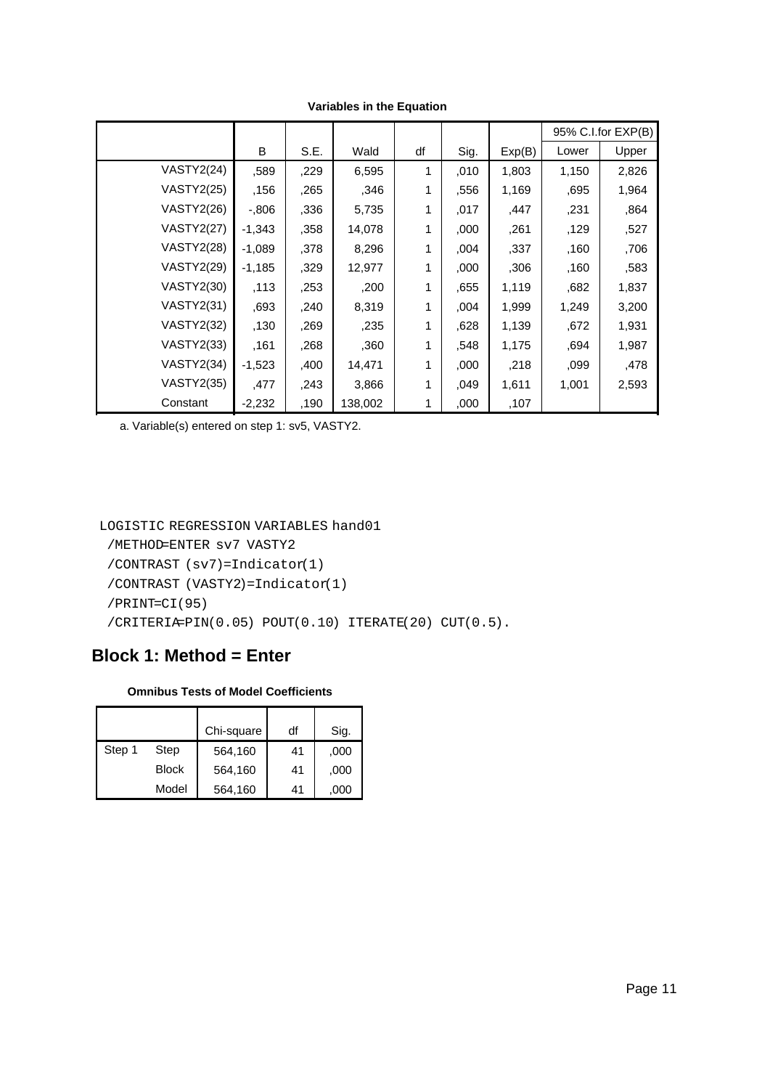|                   |          |      |         |    |      |        |       | 95% C.I.for EXP(B) |
|-------------------|----------|------|---------|----|------|--------|-------|--------------------|
|                   | B        | S.E. | Wald    | df | Sig. | Exp(B) | Lower | Upper              |
| <b>VASTY2(24)</b> | ,589     | ,229 | 6,595   | 1  | ,010 | 1,803  | 1,150 | 2,826              |
| <b>VASTY2(25)</b> | ,156     | ,265 | ,346    | 1  | .556 | 1,169  | ,695  | 1,964              |
| <b>VASTY2(26)</b> | $-0.806$ | ,336 | 5,735   | 1  | ,017 | ,447   | ,231  | ,864               |
| <b>VASTY2(27)</b> | $-1,343$ | ,358 | 14,078  | 1  | ,000 | ,261   | ,129  | ,527               |
| <b>VASTY2(28)</b> | $-1,089$ | ,378 | 8,296   | 1  | ,004 | ,337   | ,160  | ,706               |
| <b>VASTY2(29)</b> | $-1,185$ | ,329 | 12,977  | 1  | ,000 | ,306   | ,160  | ,583               |
| <b>VASTY2(30)</b> | ,113     | ,253 | ,200    | 1  | ,655 | 1,119  | ,682  | 1,837              |
| <b>VASTY2(31)</b> | .693     | .240 | 8,319   | 1  | 004  | 1,999  | 1,249 | 3,200              |
| <b>VASTY2(32)</b> | ,130     | ,269 | ,235    | 1  | ,628 | 1,139  | ,672  | 1,931              |
| <b>VASTY2(33)</b> | ,161     | ,268 | ,360    | 1  | ,548 | 1,175  | ,694  | 1,987              |
| <b>VASTY2(34)</b> | $-1,523$ | ,400 | 14,471  | 1  | ,000 | ,218   | ,099  | ,478               |
| <b>VASTY2(35)</b> | ,477     | ,243 | 3,866   | 1  | .049 | 1,611  | 1,001 | 2,593              |
| Constant          | $-2,232$ | ,190 | 138,002 | 1  | ,000 | ,107   |       |                    |

**Variables in the Equation**

a. Variable(s) entered on step 1: sv5, VASTY2.

```
LOGISTIC REGRESSION VARIABLES hand01
```

```
 /METHOD=ENTER sv7 VASTY2
```

```
 /CONTRAST (sv7)=Indicator(1)
```

```
 /CONTRAST (VASTY2)=Indicator(1)
```

```
 /PRINT=CI(95)
```

```
 /CRITERIA=PIN(0.05) POUT(0.10) ITERATE(20) CUT(0.5).
```
# **Block 1: Method = Enter**

# **Omnibus Tests of Model Coefficients**

|        |              | Chi-square | df | Sig. |
|--------|--------------|------------|----|------|
| Step 1 | Step         | 564,160    | 41 | ,000 |
|        | <b>Block</b> | 564,160    | 41 | ,000 |
|        | Model        | 564,160    | 41 | .000 |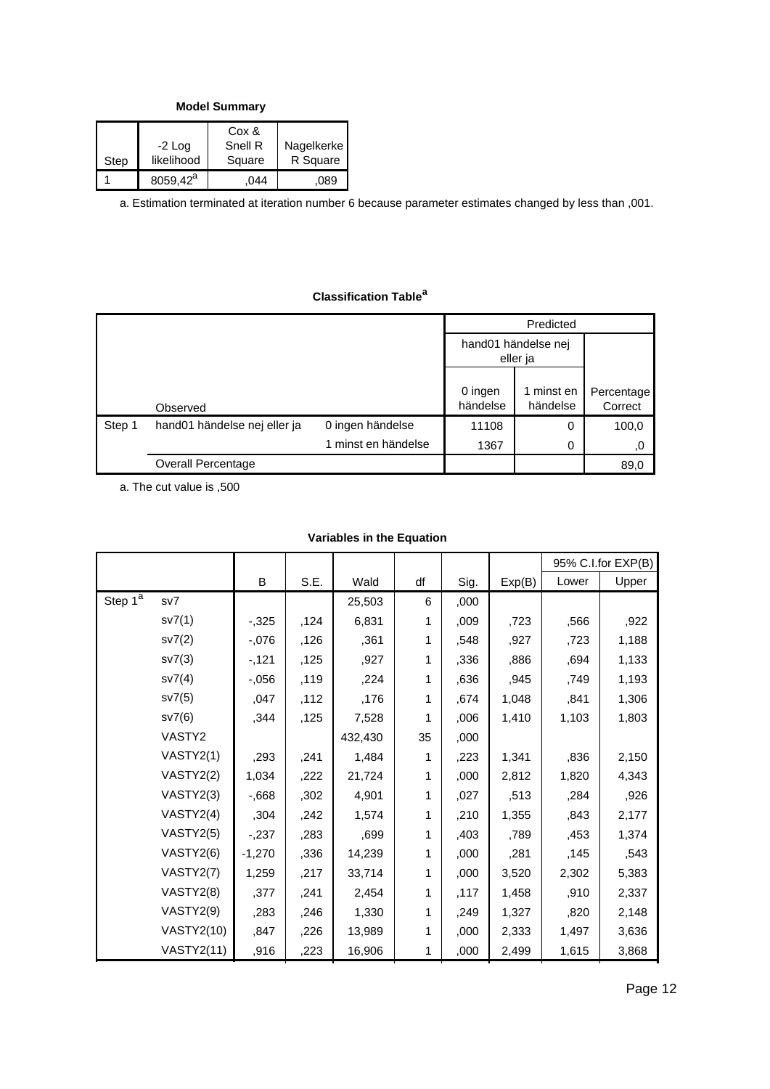**Model Summary**

| Step | $-2$ Log<br>likelihood | Cox &<br>Snell R<br>Square | Nagelkerke<br>R Square |
|------|------------------------|----------------------------|------------------------|
|      | 8059,42 <sup>a</sup>   | 044                        | .089                   |

a. Estimation terminated at iteration number 6 because parameter estimates changed by less than ,001.

# **Classification Table<sup>a</sup>**

|        |                              |                     |                     | Predicted                       |                       |
|--------|------------------------------|---------------------|---------------------|---------------------------------|-----------------------|
|        |                              |                     |                     | hand01 händelse nej<br>eller ja |                       |
|        | Observed                     |                     | 0 ingen<br>händelse | minst en<br>händelse            | Percentage<br>Correct |
| Step 1 | hand01 händelse nej eller ja | 0 ingen händelse    | 11108               | 0                               | 100,0                 |
|        |                              | 1 minst en händelse | 1367                | 0                               | ,0                    |
|        | Overall Percentage           |                     |                     |                                 | 89,0                  |

a. The cut value is ,500

# **Variables in the Equation**

|                       |                   |          |      |         |    |      |        |       | 95% C.I.for EXP(B) |
|-----------------------|-------------------|----------|------|---------|----|------|--------|-------|--------------------|
|                       |                   | B        | S.E. | Wald    | df | Sig. | Exp(B) | Lower | Upper              |
| Step $\overline{1^a}$ | sv7               |          |      | 25,503  | 6  | ,000 |        |       |                    |
|                       | sv7(1)            | $-325$   | ,124 | 6,831   | 1  | ,009 | ,723   | ,566  | ,922               |
|                       | sv7(2)            | $-0.076$ | ,126 | ,361    | 1  | ,548 | ,927   | ,723  | 1,188              |
|                       | sv7(3)            | $-121$   | ,125 | ,927    | 1  | ,336 | ,886   | ,694  | 1,133              |
|                       | sv7(4)            | $-0.056$ | ,119 | ,224    | 1  | ,636 | ,945   | ,749  | 1,193              |
|                       | sv7(5)            | ,047     | ,112 | ,176    | 1  | ,674 | 1,048  | ,841  | 1,306              |
|                       | sV7(6)            | ,344     | ,125 | 7,528   | 1  | ,006 | 1,410  | 1,103 | 1,803              |
|                       | VASTY2            |          |      | 432,430 | 35 | ,000 |        |       |                    |
|                       | VASTY2(1)         | ,293     | ,241 | 1,484   | 1  | ,223 | 1,341  | ,836  | 2,150              |
|                       | VASTY2(2)         | 1,034    | ,222 | 21,724  | 1  | ,000 | 2,812  | 1,820 | 4,343              |
|                       | VASTY2(3)         | $-0.668$ | ,302 | 4,901   | 1  | ,027 | ,513   | ,284  | ,926               |
|                       | VASTY2(4)         | ,304     | ,242 | 1,574   | 1  | ,210 | 1,355  | ,843  | 2,177              |
|                       | VASTY2(5)         | $-237$   | ,283 | ,699    | 1  | ,403 | ,789   | ,453  | 1,374              |
|                       | VASTY2(6)         | $-1,270$ | ,336 | 14,239  | 1  | ,000 | ,281   | ,145  | ,543               |
|                       | VASTY2(7)         | 1,259    | ,217 | 33,714  | 1  | ,000 | 3,520  | 2,302 | 5,383              |
|                       | VASTY2(8)         | ,377     | .241 | 2,454   | 1  | ,117 | 1,458  | .910  | 2,337              |
|                       | VASTY2(9)         | ,283     | ,246 | 1,330   | 1  | ,249 | 1,327  | ,820  | 2,148              |
|                       | <b>VASTY2(10)</b> | ,847     | ,226 | 13,989  | 1  | ,000 | 2,333  | 1,497 | 3,636              |
|                       | <b>VASTY2(11)</b> | ,916     | ,223 | 16,906  | 1  | ,000 | 2,499  | 1,615 | 3,868              |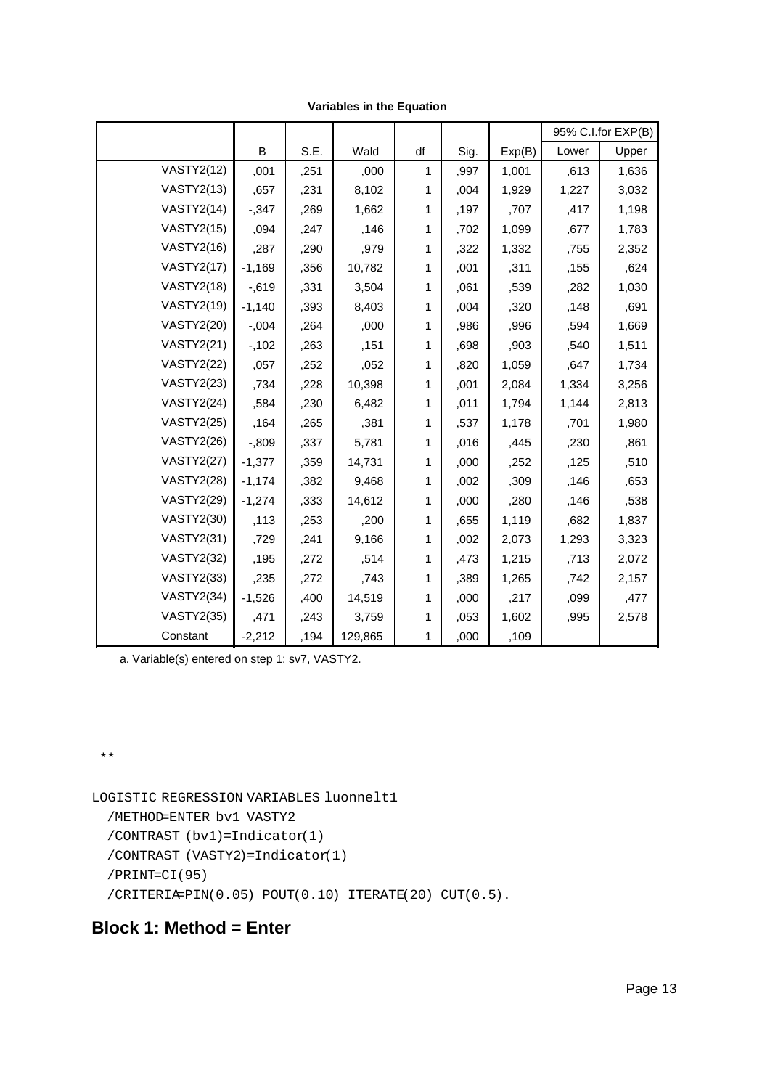|                   |          |      |         |    |      |        |       | 95% C.I.for EXP(B) |
|-------------------|----------|------|---------|----|------|--------|-------|--------------------|
|                   | B        | S.E. | Wald    | df | Sig. | Exp(B) | Lower | Upper              |
| <b>VASTY2(12)</b> | ,001     | ,251 | ,000    | 1  | ,997 | 1,001  | ,613  | 1,636              |
| <b>VASTY2(13)</b> | ,657     | ,231 | 8,102   | 1  | ,004 | 1,929  | 1,227 | 3,032              |
| <b>VASTY2(14)</b> | $-0.347$ | ,269 | 1,662   | 1  | ,197 | ,707   | ,417  | 1,198              |
| <b>VASTY2(15)</b> | ,094     | ,247 | ,146    | 1  | ,702 | 1,099  | ,677  | 1,783              |
| <b>VASTY2(16)</b> | ,287     | ,290 | ,979    | 1  | ,322 | 1,332  | ,755  | 2,352              |
| <b>VASTY2(17)</b> | $-1,169$ | ,356 | 10,782  | 1  | ,001 | ,311   | ,155  | ,624               |
| <b>VASTY2(18)</b> | $-0.619$ | ,331 | 3,504   | 1  | ,061 | ,539   | ,282  | 1,030              |
| <b>VASTY2(19)</b> | $-1,140$ | ,393 | 8,403   | 1  | ,004 | ,320   | ,148  | ,691               |
| <b>VASTY2(20)</b> | $-0.004$ | ,264 | ,000    | 1  | ,986 | ,996   | ,594  | 1,669              |
| <b>VASTY2(21)</b> | $-102$   | ,263 | ,151    | 1  | ,698 | ,903   | ,540  | 1,511              |
| <b>VASTY2(22)</b> | ,057     | ,252 | ,052    | 1  | ,820 | 1,059  | ,647  | 1,734              |
| <b>VASTY2(23)</b> | ,734     | ,228 | 10,398  | 1  | ,001 | 2,084  | 1,334 | 3,256              |
| <b>VASTY2(24)</b> | ,584     | ,230 | 6,482   | 1  | ,011 | 1,794  | 1,144 | 2,813              |
| <b>VASTY2(25)</b> | ,164     | ,265 | ,381    | 1  | ,537 | 1,178  | ,701  | 1,980              |
| <b>VASTY2(26)</b> | $-0.809$ | ,337 | 5,781   | 1  | ,016 | ,445   | ,230  | ,861               |
| <b>VASTY2(27)</b> | $-1,377$ | ,359 | 14,731  | 1  | ,000 | ,252   | ,125  | ,510               |
| <b>VASTY2(28)</b> | $-1,174$ | ,382 | 9,468   | 1  | ,002 | ,309   | ,146  | ,653               |
| <b>VASTY2(29)</b> | $-1,274$ | ,333 | 14,612  | 1  | ,000 | ,280   | ,146  | ,538               |
| <b>VASTY2(30)</b> | ,113     | ,253 | ,200    | 1  | ,655 | 1,119  | ,682  | 1,837              |
| <b>VASTY2(31)</b> | ,729     | ,241 | 9,166   | 1  | ,002 | 2,073  | 1,293 | 3,323              |
| <b>VASTY2(32)</b> | ,195     | ,272 | ,514    | 1  | ,473 | 1,215  | ,713  | 2,072              |
| <b>VASTY2(33)</b> | ,235     | ,272 | ,743    | 1  | ,389 | 1,265  | ,742  | 2,157              |
| <b>VASTY2(34)</b> | $-1,526$ | ,400 | 14,519  | 1  | ,000 | ,217   | ,099  | ,477               |
| <b>VASTY2(35)</b> | ,471     | ,243 | 3,759   | 1  | ,053 | 1,602  | ,995  | 2,578              |
| Constant          | $-2,212$ | ,194 | 129,865 | 1  | ,000 | ,109   |       |                    |

**Variables in the Equation**

a. Variable(s) entered on step 1: sv7, VASTY2.

#### \*\*

```
LOGISTIC REGRESSION VARIABLES luonnelt1
  /METHOD=ENTER bv1 VASTY2
  /CONTRAST (bv1)=Indicator(1)
  /CONTRAST (VASTY2)=Indicator(1)
  /PRINT=CI(95)
  /CRITERIA=PIN(0.05) POUT(0.10) ITERATE(20) CUT(0.5).
```
# **Block 1: Method = Enter**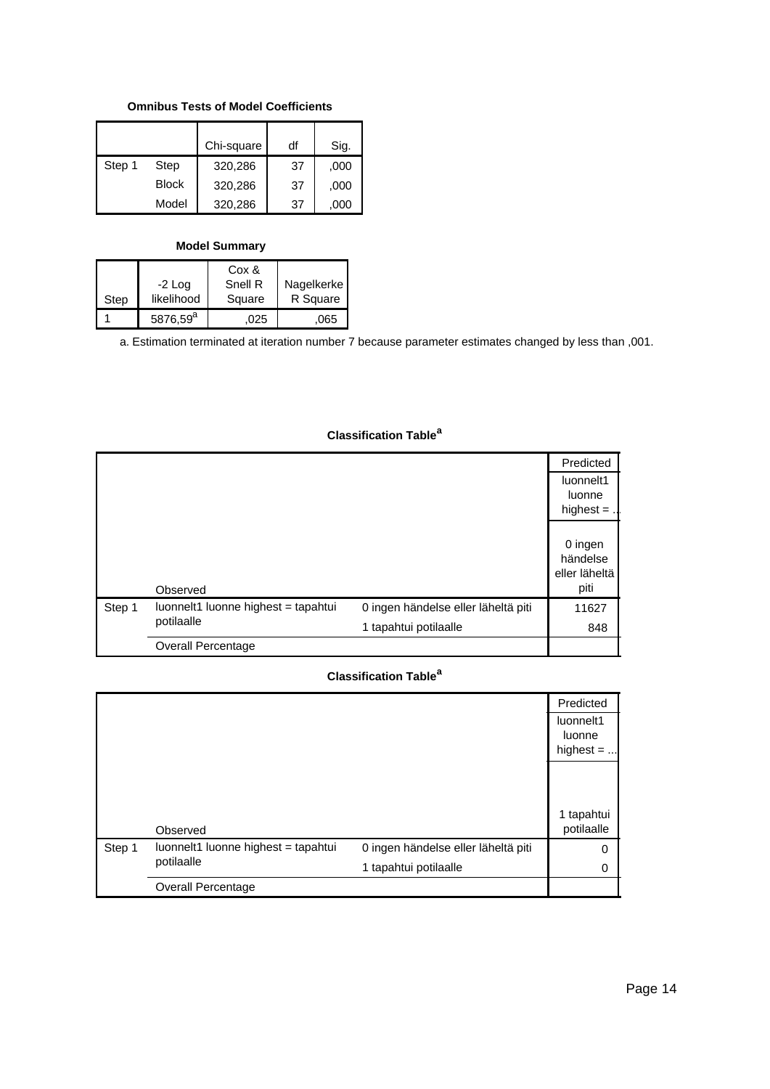## **Omnibus Tests of Model Coefficients**

|        |              | Chi-square | df | Sig. |
|--------|--------------|------------|----|------|
| Step 1 | Step         | 320,286    | 37 | ,000 |
|        | <b>Block</b> | 320,286    | 37 | ,000 |
|        | Model        | 320,286    | 37 | .000 |

## **Model Summary**

|      | -2 Log               | Cox &<br>Snell R | Nagelkerke |
|------|----------------------|------------------|------------|
| Step | likelihood           | Square           | R Square   |
|      | 5876,59 <sup>a</sup> | .025             | .065       |

a. Estimation terminated at iteration number 7 because parameter estimates changed by less than ,001.

|        |                                     |                                     | Predicted     |
|--------|-------------------------------------|-------------------------------------|---------------|
|        |                                     |                                     | luonnelt1     |
|        |                                     |                                     | luonne        |
|        |                                     |                                     | highest $=$ . |
|        |                                     |                                     |               |
|        |                                     |                                     | 0 ingen       |
|        |                                     |                                     | händelse      |
|        |                                     |                                     | eller läheltä |
|        | Observed                            |                                     | piti          |
| Step 1 | luonnelt1 luonne highest = tapahtui | 0 ingen händelse eller läheltä piti | 11627         |
|        | potilaalle                          | 1 tapahtui potilaalle               | 848           |
|        | Overall Percentage                  |                                     |               |

# **Classification Table<sup>a</sup>**

# **Classification Table<sup>a</sup>**

|        |                                     |                                     | Predicted                          |  |
|--------|-------------------------------------|-------------------------------------|------------------------------------|--|
|        |                                     |                                     | luonnelt1<br>luonne<br>highest $=$ |  |
|        |                                     |                                     | 1 tapahtui                         |  |
|        | Observed                            |                                     | potilaalle                         |  |
| Step 1 | luonnelt1 luonne highest = tapahtui | 0 ingen händelse eller läheltä piti | 0                                  |  |
|        | potilaalle                          | 1 tapahtui potilaalle               | 0                                  |  |
|        | <b>Overall Percentage</b>           |                                     |                                    |  |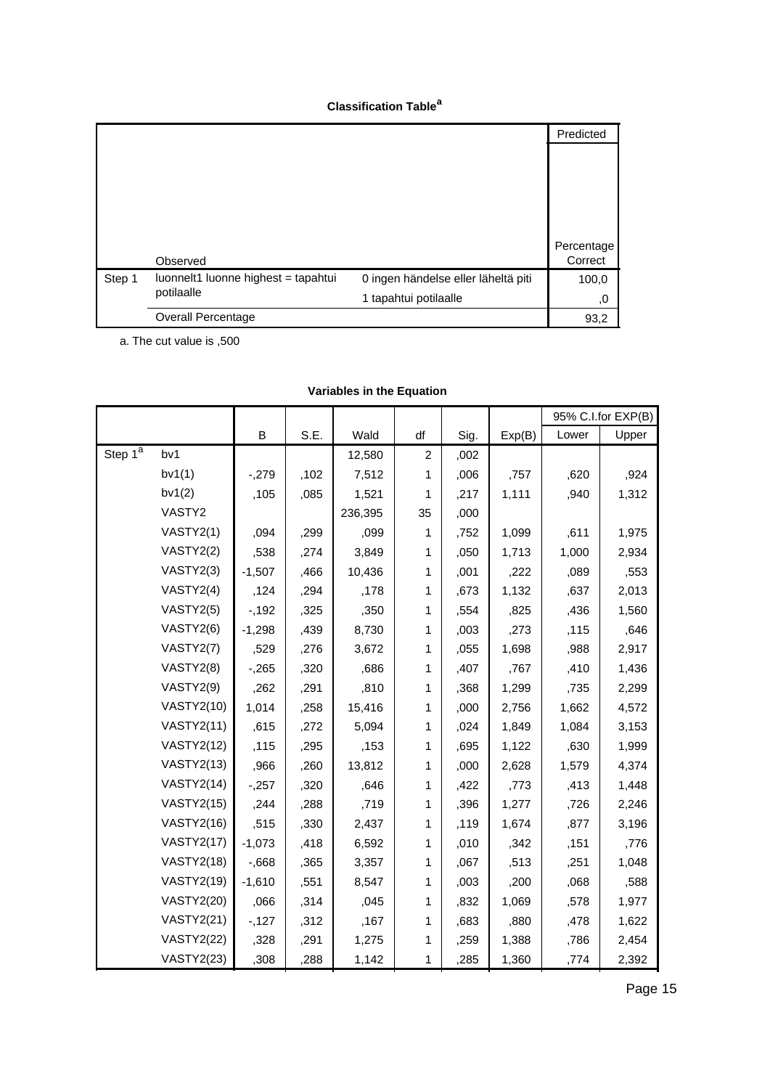|        |                                     |                                     | Predicted  |
|--------|-------------------------------------|-------------------------------------|------------|
|        |                                     |                                     |            |
|        |                                     |                                     |            |
|        |                                     |                                     |            |
|        |                                     |                                     |            |
|        |                                     |                                     |            |
|        |                                     |                                     | Percentage |
|        | Observed                            |                                     | Correct    |
| Step 1 | luonnelt1 luonne highest = tapahtui | 0 ingen händelse eller läheltä piti | 100,0      |
|        | potilaalle                          | 1 tapahtui potilaalle               | 0,         |
|        | Overall Percentage                  |                                     | 93,2       |

a. The cut value is ,500

|            |                   |          |      |         |                |      |        |       | 95% C.I.for EXP(B) |
|------------|-------------------|----------|------|---------|----------------|------|--------|-------|--------------------|
|            |                   | B        | S.E. | Wald    | df             | Sig. | Exp(B) | Lower | Upper              |
| Step $1^a$ | bv1               |          |      | 12,580  | $\overline{c}$ | ,002 |        |       |                    |
|            | bv1(1)            | $-279$   | ,102 | 7,512   | 1              | ,006 | ,757   | ,620  | ,924               |
|            | bv1(2)            | ,105     | ,085 | 1,521   | 1              | ,217 | 1,111  | ,940  | 1,312              |
|            | VASTY2            |          |      | 236,395 | 35             | ,000 |        |       |                    |
|            | VASTY2(1)         | ,094     | ,299 | ,099    | 1              | .752 | 1,099  | ,611  | 1,975              |
|            | VASTY2(2)         | ,538     | ,274 | 3,849   | 1              | ,050 | 1,713  | 1,000 | 2,934              |
|            | VASTY2(3)         | $-1,507$ | .466 | 10,436  | 1              | ,001 | ,222   | ,089  | ,553               |
|            | VASTY2(4)         | ,124     | ,294 | ,178    | 1              | ,673 | 1,132  | ,637  | 2,013              |
|            | VASTY2(5)         | $-192$   | ,325 | ,350    | 1              | ,554 | ,825   | ,436  | 1,560              |
|            | VASTY2(6)         | $-1,298$ | ,439 | 8,730   | 1              | ,003 | ,273   | ,115  | ,646               |
|            | VASTY2(7)         | ,529     | ,276 | 3,672   | 1              | ,055 | 1,698  | ,988  | 2,917              |
|            | VASTY2(8)         | $-265$   | ,320 | .686    | 1              | ,407 | ,767   | ,410  | 1,436              |
|            | VASTY2(9)         | ,262     | ,291 | ,810    | 1              | ,368 | 1,299  | ,735  | 2,299              |
|            | <b>VASTY2(10)</b> | 1,014    | .258 | 15,416  | 1              | ,000 | 2,756  | 1,662 | 4,572              |
|            | <b>VASTY2(11)</b> | ,615     | ,272 | 5,094   | 1              | ,024 | 1,849  | 1,084 | 3,153              |
|            | <b>VASTY2(12)</b> | ,115     | ,295 | ,153    | 1              | ,695 | 1,122  | ,630  | 1,999              |
|            | <b>VASTY2(13)</b> | ,966     | ,260 | 13,812  | 1              | ,000 | 2,628  | 1,579 | 4,374              |
|            | <b>VASTY2(14)</b> | $-257$   | ,320 | ,646    | 1              | ,422 | ,773   | ,413  | 1,448              |
|            | <b>VASTY2(15)</b> | ,244     | ,288 | ,719    | 1              | ,396 | 1,277  | ,726  | 2,246              |
|            | <b>VASTY2(16)</b> | ,515     | ,330 | 2,437   | 1              | ,119 | 1,674  | ,877  | 3,196              |
|            | <b>VASTY2(17)</b> | $-1,073$ | ,418 | 6,592   | 1              | ,010 | ,342   | ,151  | ,776               |
|            | <b>VASTY2(18)</b> | $-0.668$ | ,365 | 3,357   | 1              | ,067 | ,513   | ,251  | 1,048              |
|            | <b>VASTY2(19)</b> | $-1,610$ | ,551 | 8,547   | 1              | ,003 | ,200   | ,068  | ,588               |
|            | <b>VASTY2(20)</b> | ,066     | ,314 | ,045    | 1              | ,832 | 1,069  | ,578  | 1,977              |
|            | <b>VASTY2(21)</b> | $-127$   | ,312 | ,167    | 1              | ,683 | ,880   | ,478  | 1,622              |
|            | <b>VASTY2(22)</b> | ,328     | ,291 | 1,275   | 1              | ,259 | 1,388  | ,786  | 2,454              |
|            | <b>VASTY2(23)</b> | ,308     | ,288 | 1,142   | 1              | ,285 | 1,360  | ,774  | 2,392              |

# **Variables in the Equation**

,264 ,286 ,857 1 ,355 1,303 ,744 2,281 Page 15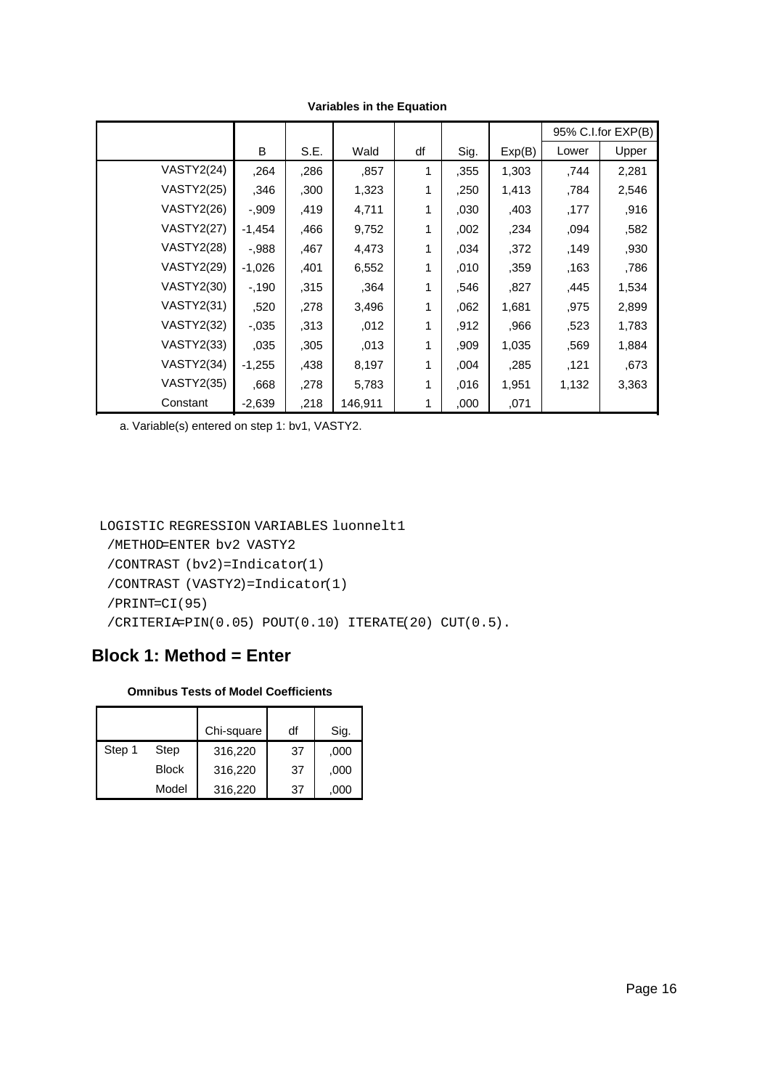|                   |          |      |         |    |      |        |       | 95% C.I.for EXP(B) |
|-------------------|----------|------|---------|----|------|--------|-------|--------------------|
|                   | B        | S.E. | Wald    | df | Sig. | Exp(B) | Lower | Upper              |
| <b>VASTY2(24)</b> | ,264     | ,286 | ,857    | 1  | ,355 | 1,303  | ,744  | 2,281              |
| <b>VASTY2(25)</b> | ,346     | ,300 | 1,323   | 1  | ,250 | 1,413  | .784  | 2,546              |
| <b>VASTY2(26)</b> | $-0.909$ | ,419 | 4,711   | 1  | ,030 | ,403   | ,177  | ,916               |
| <b>VASTY2(27)</b> | $-1,454$ | ,466 | 9,752   | 1  | 002  | ,234   | ,094  | ,582               |
| <b>VASTY2(28)</b> | $-0.988$ | ,467 | 4,473   | 1  | ,034 | ,372   | ,149  | ,930               |
| <b>VASTY2(29)</b> | $-1,026$ | ,401 | 6,552   | 1  | .010 | ,359   | ,163  | ,786               |
| <b>VASTY2(30)</b> | $-190$   | ,315 | .364    | 1  | .546 | ,827   | ,445  | 1,534              |
| <b>VASTY2(31)</b> | ,520     | ,278 | 3,496   | 1  | .062 | 1,681  | ,975  | 2,899              |
| <b>VASTY2(32)</b> | $-0.035$ | ,313 | ,012    | 1  | .912 | ,966   | ,523  | 1,783              |
| <b>VASTY2(33)</b> | .035     | ,305 | .013    | 1  | .909 | 1,035  | ,569  | 1,884              |
| <b>VASTY2(34)</b> | $-1,255$ | ,438 | 8,197   | 1  | ,004 | ,285   | ,121  | ,673               |
| <b>VASTY2(35)</b> | ,668     | ,278 | 5,783   | 1  | ,016 | 1,951  | 1,132 | 3,363              |
| Constant          | $-2,639$ | .218 | 146,911 | 1  | ,000 | ,071   |       |                    |

**Variables in the Equation**

a. Variable(s) entered on step 1: bv1, VASTY2.

```
LOGISTIC REGRESSION VARIABLES luonnelt1
```

```
 /METHOD=ENTER bv2 VASTY2
```

```
 /CONTRAST (bv2)=Indicator(1)
```

```
 /CONTRAST (VASTY2)=Indicator(1)
```

```
 /PRINT=CI(95)
```

```
 /CRITERIA=PIN(0.05) POUT(0.10) ITERATE(20) CUT(0.5).
```
# **Block 1: Method = Enter**

# **Omnibus Tests of Model Coefficients**

|        |              | Chi-square | df | Sig. |
|--------|--------------|------------|----|------|
| Step 1 | Step         | 316,220    | 37 | ,000 |
|        | <b>Block</b> | 316,220    | 37 | ,000 |
|        | Model        | 316,220    | 37 | .000 |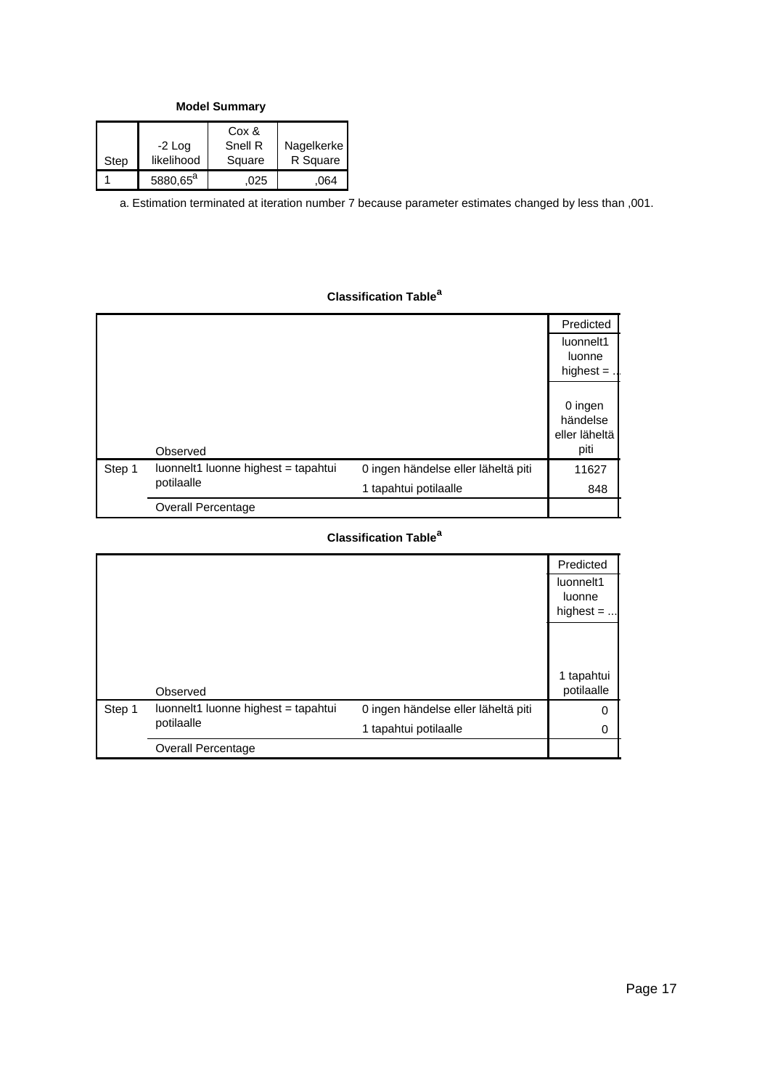**Model Summary**

| Step | $-2$ Log<br>likelihood | Cox &<br>Snell R<br>Square | Nagelkerke<br>R Square |
|------|------------------------|----------------------------|------------------------|
|      | 5880,65 <sup>a</sup>   | 025                        | .064                   |

a. Estimation terminated at iteration number 7 because parameter estimates changed by less than ,001.

# **Classification Table<sup>a</sup>**

|        |                                     |                                     | Predicted     |
|--------|-------------------------------------|-------------------------------------|---------------|
|        |                                     |                                     | luonnelt1     |
|        |                                     |                                     | luonne        |
|        |                                     |                                     | highest $=$ . |
|        |                                     |                                     |               |
|        |                                     |                                     | 0 ingen       |
|        |                                     |                                     | händelse      |
|        |                                     |                                     | eller läheltä |
|        | Observed                            |                                     | piti          |
| Step 1 | luonnelt1 luonne highest = tapahtui | 0 ingen händelse eller läheltä piti | 11627         |
|        | potilaalle                          | 1 tapahtui potilaalle               | 848           |
|        | <b>Overall Percentage</b>           |                                     |               |

# **Classification Table<sup>a</sup>**

|        |                                     |                                     | Predicted                          |
|--------|-------------------------------------|-------------------------------------|------------------------------------|
|        |                                     |                                     | luonnelt1<br>luonne<br>highest $=$ |
|        |                                     |                                     | 1 tapahtui                         |
|        | Observed                            |                                     | potilaalle                         |
| Step 1 | luonnelt1 luonne highest = tapahtui | 0 ingen händelse eller läheltä piti | 0                                  |
|        | potilaalle                          | 1 tapahtui potilaalle               | 0                                  |
|        | <b>Overall Percentage</b>           |                                     |                                    |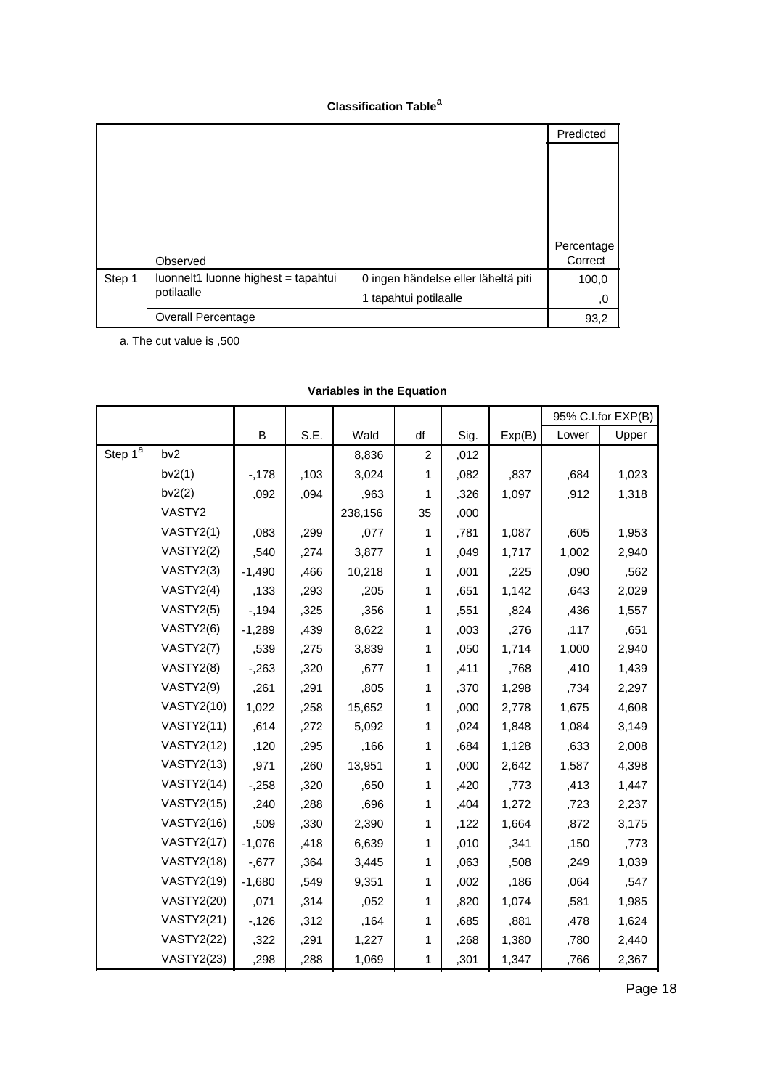|        |                                     |                                     | Predicted  |
|--------|-------------------------------------|-------------------------------------|------------|
|        |                                     |                                     |            |
|        |                                     |                                     |            |
|        |                                     |                                     |            |
|        |                                     |                                     |            |
|        |                                     |                                     |            |
|        |                                     |                                     | Percentage |
|        | Observed                            |                                     | Correct    |
| Step 1 | luonnelt1 luonne highest = tapahtui | 0 ingen händelse eller läheltä piti | 100,0      |
|        | potilaalle                          | 1 tapahtui potilaalle               | 0,         |
|        | Overall Percentage                  |                                     | 93,2       |

a. The cut value is ,500

|                         |                   |          |      |         |                |      |        |       | 95% C.I.for EXP(B) |
|-------------------------|-------------------|----------|------|---------|----------------|------|--------|-------|--------------------|
|                         |                   | B        | S.E. | Wald    | df             | Sig. | Exp(B) | Lower | Upper              |
| Step $1^{\overline{a}}$ | bv <sub>2</sub>   |          |      | 8,836   | $\overline{c}$ | ,012 |        |       |                    |
|                         | bv2(1)            | $-178$   | ,103 | 3,024   | 1              | ,082 | ,837   | ,684  | 1,023              |
|                         | bv2(2)            | ,092     | ,094 | ,963    | 1              | ,326 | 1,097  | ,912  | 1,318              |
|                         | VASTY2            |          |      | 238,156 | 35             | ,000 |        |       |                    |
|                         | VASTY2(1)         | ,083     | ,299 | ,077    | 1              | ,781 | 1,087  | ,605  | 1,953              |
|                         | VASTY2(2)         | ,540     | ,274 | 3,877   | 1              | ,049 | 1,717  | 1,002 | 2,940              |
|                         | VASTY2(3)         | $-1,490$ | ,466 | 10,218  | 1              | ,001 | ,225   | ,090  | ,562               |
|                         | VASTY2(4)         | ,133     | ,293 | ,205    | 1              | .651 | 1,142  | .643  | 2,029              |
|                         | VASTY2(5)         | $-194$   | ,325 | ,356    | 1              | ,551 | ,824   | ,436  | 1,557              |
|                         | VASTY2(6)         | $-1,289$ | ,439 | 8,622   | 1              | ,003 | ,276   | ,117  | ,651               |
|                         | VASTY2(7)         | ,539     | ,275 | 3,839   | 1              | ,050 | 1,714  | 1,000 | 2,940              |
|                         | VASTY2(8)         | $-263$   | ,320 | ,677    | 1              | ,411 | ,768   | ,410  | 1,439              |
|                         | VASTY2(9)         | ,261     | ,291 | ,805    | 1              | ,370 | 1,298  | ,734  | 2,297              |
|                         | <b>VASTY2(10)</b> | 1,022    | ,258 | 15,652  | 1              | ,000 | 2,778  | 1,675 | 4,608              |
|                         | <b>VASTY2(11)</b> | ,614     | ,272 | 5,092   | 1              | ,024 | 1,848  | 1,084 | 3,149              |
|                         | <b>VASTY2(12)</b> | ,120     | ,295 | ,166    | 1              | ,684 | 1,128  | ,633  | 2,008              |
|                         | <b>VASTY2(13)</b> | ,971     | ,260 | 13,951  | 1              | ,000 | 2,642  | 1,587 | 4,398              |
|                         | <b>VASTY2(14)</b> | $-258$   | ,320 | .650    | 1              | ,420 | ,773   | ,413  | 1,447              |
|                         | <b>VASTY2(15)</b> | ,240     | ,288 | ,696    | 1              | ,404 | 1,272  | ,723  | 2,237              |
|                         | <b>VASTY2(16)</b> | ,509     | ,330 | 2,390   | 1              | ,122 | 1,664  | ,872  | 3,175              |
|                         | <b>VASTY2(17)</b> | $-1,076$ | ,418 | 6,639   | 1              | ,010 | ,341   | ,150  | ,773               |
|                         | <b>VASTY2(18)</b> | $-0.677$ | ,364 | 3,445   | 1              | ,063 | ,508   | ,249  | 1,039              |
|                         | <b>VASTY2(19)</b> | $-1,680$ | ,549 | 9,351   | 1              | ,002 | ,186   | ,064  | ,547               |
|                         | <b>VASTY2(20)</b> | ,071     | ,314 | ,052    | 1              | ,820 | 1,074  | ,581  | 1,985              |
|                         | <b>VASTY2(21)</b> | $-126$   | ,312 | ,164    | 1              | ,685 | ,881   | ,478  | 1,624              |
|                         | <b>VASTY2(22)</b> | ,322     | ,291 | 1,227   | 1              | ,268 | 1,380  | ,780  | 2,440              |
|                         | <b>VASTY2(23)</b> | ,298     | ,288 | 1,069   | 1              | ,301 | 1,347  | ,766  | 2,367              |

# **Variables in the Equation**

,280 ,286  $\sim$  286  $\sim$  286  $\sim$  286  $\sim$  286  $\sim$  286  $\sim$  287  $\sim$  287  $\sim$  287  $\sim$  287  $\sim$  287  $\sim$  287  $\sim$  287  $\sim$  287  $\sim$  287  $\sim$  287  $\sim$  287  $\sim$  287  $\sim$  287  $\sim$  287  $\sim$  287  $\sim$  287  $\sim$  287  $\sim$  287  $\sim$ Page 18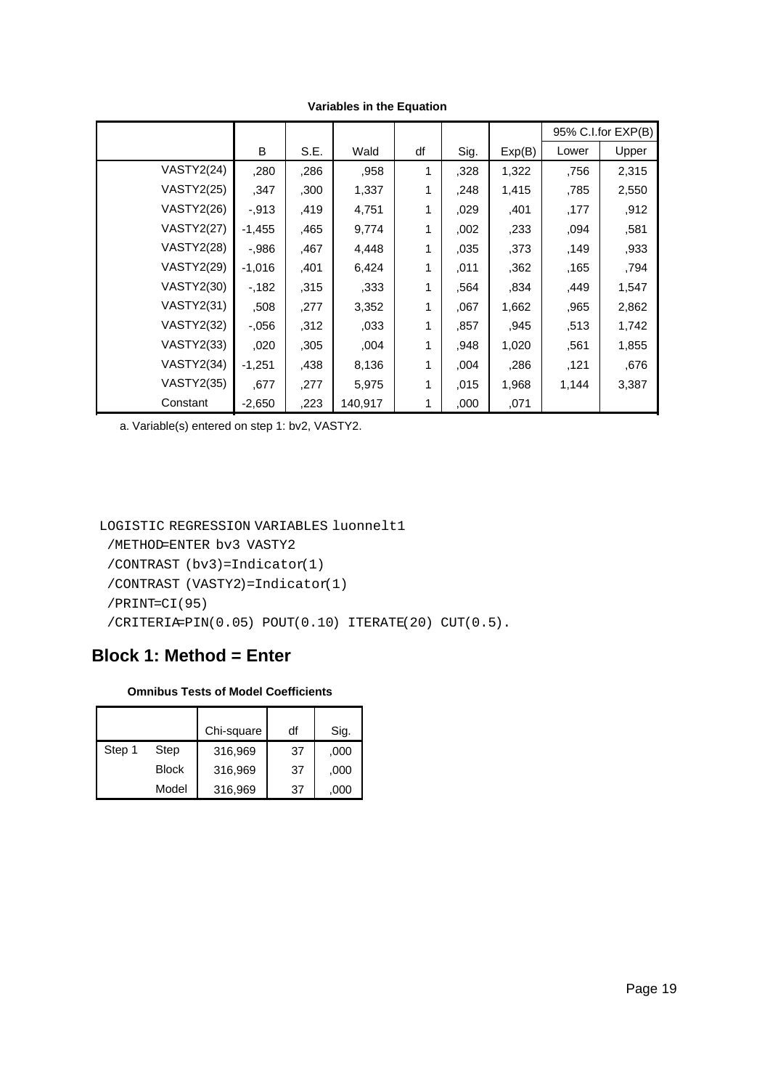|                   |          |      |         |    |      |        |       | 95% C.I.for EXP(B) |
|-------------------|----------|------|---------|----|------|--------|-------|--------------------|
|                   | B        | S.E. | Wald    | df | Sig. | Exp(B) | Lower | Upper              |
| <b>VASTY2(24)</b> | ,280     | ,286 | ,958    | 1  | ,328 | 1,322  | ,756  | 2,315              |
| <b>VASTY2(25)</b> | ,347     | ,300 | 1,337   | 1  | .248 | 1,415  | ,785  | 2,550              |
| <b>VASTY2(26)</b> | $-0.913$ | ,419 | 4,751   | 1  | ,029 | ,401   | ,177  | ,912               |
| <b>VASTY2(27)</b> | $-1,455$ | ,465 | 9,774   | 1  | ,002 | ,233   | ,094  | ,581               |
| <b>VASTY2(28)</b> | $-0.986$ | ,467 | 4,448   | 1  | ,035 | ,373   | ,149  | ,933               |
| <b>VASTY2(29)</b> | $-1,016$ | .401 | 6,424   | 1  | ,011 | ,362   | ,165  | ,794               |
| <b>VASTY2(30)</b> | $-182$   | ,315 | .333    | 1  | .564 | ,834   | ,449  | 1,547              |
| <b>VASTY2(31)</b> | .508     | ,277 | 3,352   | 1  | .067 | 1,662  | ,965  | 2,862              |
| <b>VASTY2(32)</b> | $-0.056$ | ,312 | .033    | 1  | .857 | ,945   | ,513  | 1,742              |
| <b>VASTY2(33)</b> | ,020     | ,305 | ,004    | 1  | ,948 | 1,020  | ,561  | 1,855              |
| <b>VASTY2(34)</b> | $-1,251$ | ,438 | 8,136   | 1  | ,004 | ,286   | ,121  | ,676               |
| <b>VASTY2(35)</b> | ,677     | ,277 | 5,975   | 1  | ,015 | 1,968  | 1,144 | 3,387              |
| Constant          | $-2,650$ | .223 | 140,917 | 1  | ,000 | ,071   |       |                    |

**Variables in the Equation**

a. Variable(s) entered on step 1: bv2, VASTY2.

```
LOGISTIC REGRESSION VARIABLES luonnelt1
```

```
 /METHOD=ENTER bv3 VASTY2
```

```
 /CONTRAST (bv3)=Indicator(1)
```

```
 /CONTRAST (VASTY2)=Indicator(1)
```

```
 /PRINT=CI(95)
```

```
 /CRITERIA=PIN(0.05) POUT(0.10) ITERATE(20) CUT(0.5).
```
# **Block 1: Method = Enter**

# **Omnibus Tests of Model Coefficients**

|        |              | Chi-square | df | Sig. |
|--------|--------------|------------|----|------|
| Step 1 | Step         | 316,969    | 37 | ,000 |
|        | <b>Block</b> | 316,969    | 37 | ,000 |
|        | Model        | 316,969    | 37 | .000 |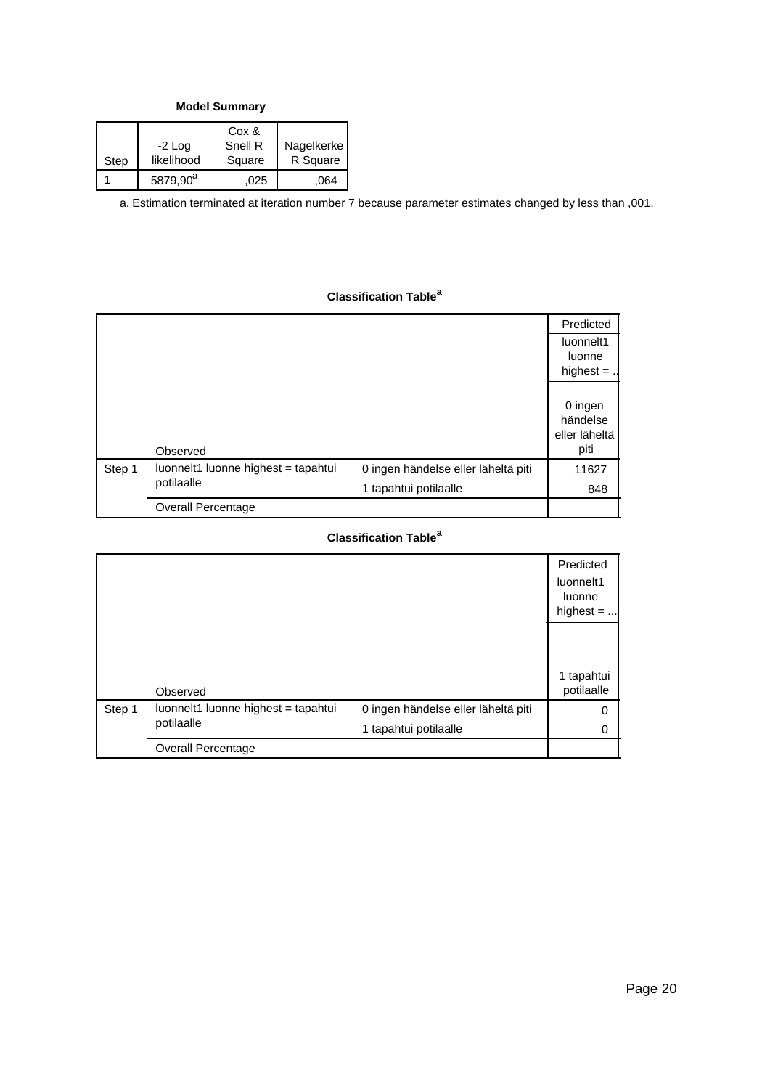**Model Summary**

| Step | $-2$ Log<br>likelihood | Cox &<br>Snell R<br>Square | Nagelkerke<br>R Square |
|------|------------------------|----------------------------|------------------------|
|      | 5879.90 <sup>a</sup>   | .025                       | .064                   |

a. Estimation terminated at iteration number 7 because parameter estimates changed by less than ,001.

# **Classification Table<sup>a</sup>**

|        |                                     |                                     | Predicted     |
|--------|-------------------------------------|-------------------------------------|---------------|
|        |                                     |                                     | luonnelt1     |
|        |                                     |                                     | luonne        |
|        |                                     |                                     | highest $=$ . |
|        |                                     |                                     |               |
|        |                                     |                                     | 0 ingen       |
|        |                                     |                                     | händelse      |
|        |                                     |                                     | eller läheltä |
|        | Observed                            |                                     | piti          |
| Step 1 | luonnelt1 luonne highest = tapahtui | 0 ingen händelse eller läheltä piti | 11627         |
|        | potilaalle                          | 1 tapahtui potilaalle               | 848           |
|        | <b>Overall Percentage</b>           |                                     |               |

# **Classification Table<sup>a</sup>**

|        |                                     |                                     | Predicted                          |
|--------|-------------------------------------|-------------------------------------|------------------------------------|
|        |                                     |                                     | luonnelt1<br>luonne<br>highest $=$ |
|        |                                     |                                     | 1 tapahtui                         |
|        | Observed                            |                                     | potilaalle                         |
| Step 1 | luonnelt1 luonne highest = tapahtui | 0 ingen händelse eller läheltä piti | 0                                  |
|        | potilaalle                          | 1 tapahtui potilaalle               | 0                                  |
|        | <b>Overall Percentage</b>           |                                     |                                    |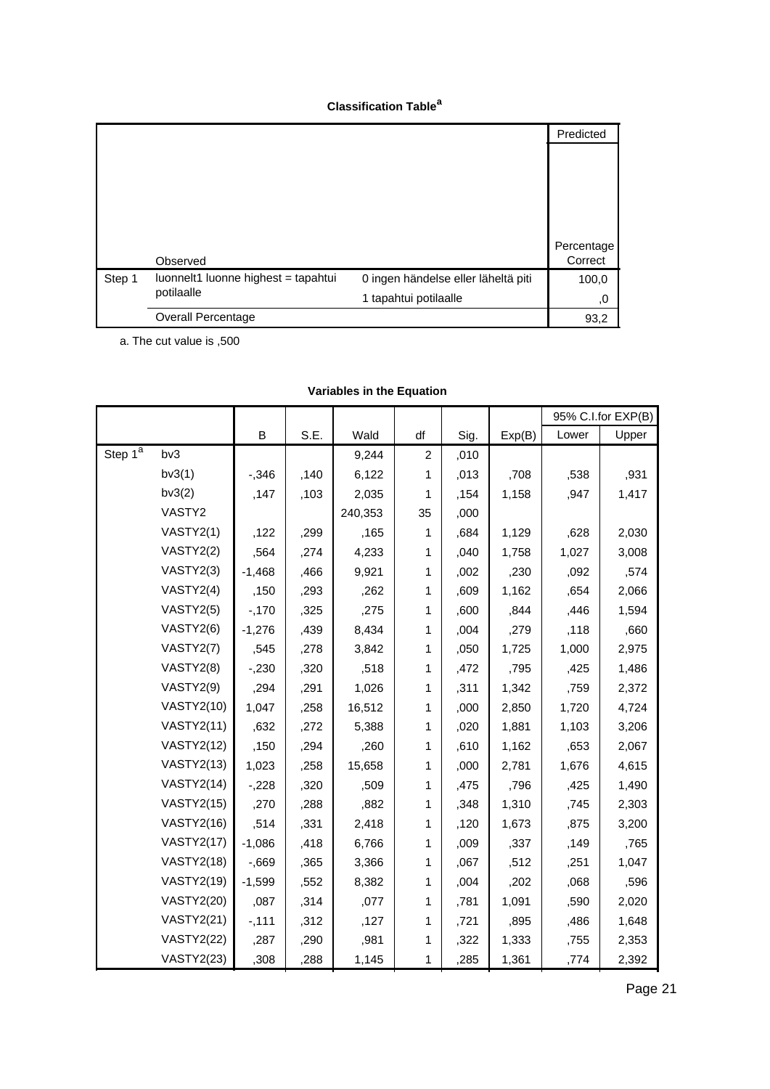|        |                                     |                                     | Predicted  |
|--------|-------------------------------------|-------------------------------------|------------|
|        |                                     |                                     |            |
|        |                                     |                                     |            |
|        |                                     |                                     |            |
|        |                                     |                                     |            |
|        |                                     |                                     |            |
|        |                                     |                                     | Percentage |
|        | Observed                            |                                     | Correct    |
| Step 1 | luonnelt1 luonne highest = tapahtui | 0 ingen händelse eller läheltä piti | 100,0      |
|        | potilaalle                          | 1 tapahtui potilaalle               | 0,         |
|        | Overall Percentage                  |                                     | 93,2       |

a. The cut value is ,500

|                         |                   |          |      |         |                |      |        |       | 95% C.I.for EXP(B) |
|-------------------------|-------------------|----------|------|---------|----------------|------|--------|-------|--------------------|
|                         |                   | B        | S.E. | Wald    | df             | Sig. | Exp(B) | Lower | Upper              |
| Step $1^{\overline{a}}$ | bv3               |          |      | 9,244   | $\overline{c}$ | ,010 |        |       |                    |
|                         | bv3(1)            | $-0.346$ | ,140 | 6,122   | 1              | ,013 | ,708   | ,538  | ,931               |
|                         | bv3(2)            | ,147     | ,103 | 2,035   | 1              | .154 | 1,158  | .947  | 1,417              |
|                         | VASTY2            |          |      | 240,353 | 35             | ,000 |        |       |                    |
|                         | VASTY2(1)         | ,122     | ,299 | ,165    | 1              | ,684 | 1,129  | ,628  | 2,030              |
|                         | VASTY2(2)         | ,564     | ,274 | 4,233   | 1              | ,040 | 1,758  | 1,027 | 3,008              |
|                         | VASTY2(3)         | $-1,468$ | ,466 | 9,921   | 1              | ,002 | ,230   | ,092  | ,574               |
|                         | VASTY2(4)         | ,150     | ,293 | .262    | 1              | .609 | 1,162  | ,654  | 2,066              |
|                         | VASTY2(5)         | $-170$   | ,325 | ,275    | 1              | ,600 | ,844   | ,446  | 1,594              |
|                         | VASTY2(6)         | $-1,276$ | ,439 | 8,434   | 1              | ,004 | ,279   | ,118  | ,660               |
|                         | VASTY2(7)         | ,545     | ,278 | 3,842   | 1              | ,050 | 1,725  | 1,000 | 2,975              |
|                         | VASTY2(8)         | $-230$   | ,320 | ,518    | 1              | ,472 | ,795   | ,425  | 1,486              |
|                         | VASTY2(9)         | ,294     | ,291 | 1,026   | 1              | .311 | 1,342  | ,759  | 2,372              |
|                         | <b>VASTY2(10)</b> | 1,047    | ,258 | 16,512  | 1              | ,000 | 2,850  | 1,720 | 4,724              |
|                         | <b>VASTY2(11)</b> | ,632     | ,272 | 5,388   | 1              | ,020 | 1,881  | 1,103 | 3,206              |
|                         | <b>VASTY2(12)</b> | ,150     | ,294 | ,260    | 1              | ,610 | 1,162  | ,653  | 2,067              |
|                         | <b>VASTY2(13)</b> | 1,023    | ,258 | 15,658  | 1              | ,000 | 2,781  | 1,676 | 4,615              |
|                         | <b>VASTY2(14)</b> | $-228$   | ,320 | .509    | 1              | ,475 | ,796   | ,425  | 1,490              |
|                         | <b>VASTY2(15)</b> | ,270     | ,288 | ,882    | 1              | ,348 | 1,310  | ,745  | 2,303              |
|                         | <b>VASTY2(16)</b> | ,514     | ,331 | 2,418   | 1              | ,120 | 1,673  | ,875  | 3,200              |
|                         | <b>VASTY2(17)</b> | $-1,086$ | ,418 | 6,766   | 1              | ,009 | ,337   | ,149  | ,765               |
|                         | <b>VASTY2(18)</b> | $-0.669$ | ,365 | 3,366   | 1              | ,067 | ,512   | ,251  | 1,047              |
|                         | <b>VASTY2(19)</b> | $-1,599$ | ,552 | 8,382   | 1              | ,004 | ,202   | ,068  | ,596               |
|                         | <b>VASTY2(20)</b> | ,087     | ,314 | ,077    | 1              | ,781 | 1,091  | ,590  | 2,020              |
|                         | <b>VASTY2(21)</b> | $-111$   | ,312 | ,127    | 1              | ,721 | ,895   | ,486  | 1,648              |
|                         | <b>VASTY2(22)</b> | ,287     | ,290 | ,981    | 1              | ,322 | 1,333  | ,755  | 2,353              |
|                         | <b>VASTY2(23)</b> | ,308     | ,288 | 1,145   | 1              | ,285 | 1,361  | ,774  | 2,392              |

# **Variables in the Equation**

,293 ,286 1,052 1 ,305 1,340 ,766 2,346 Page 21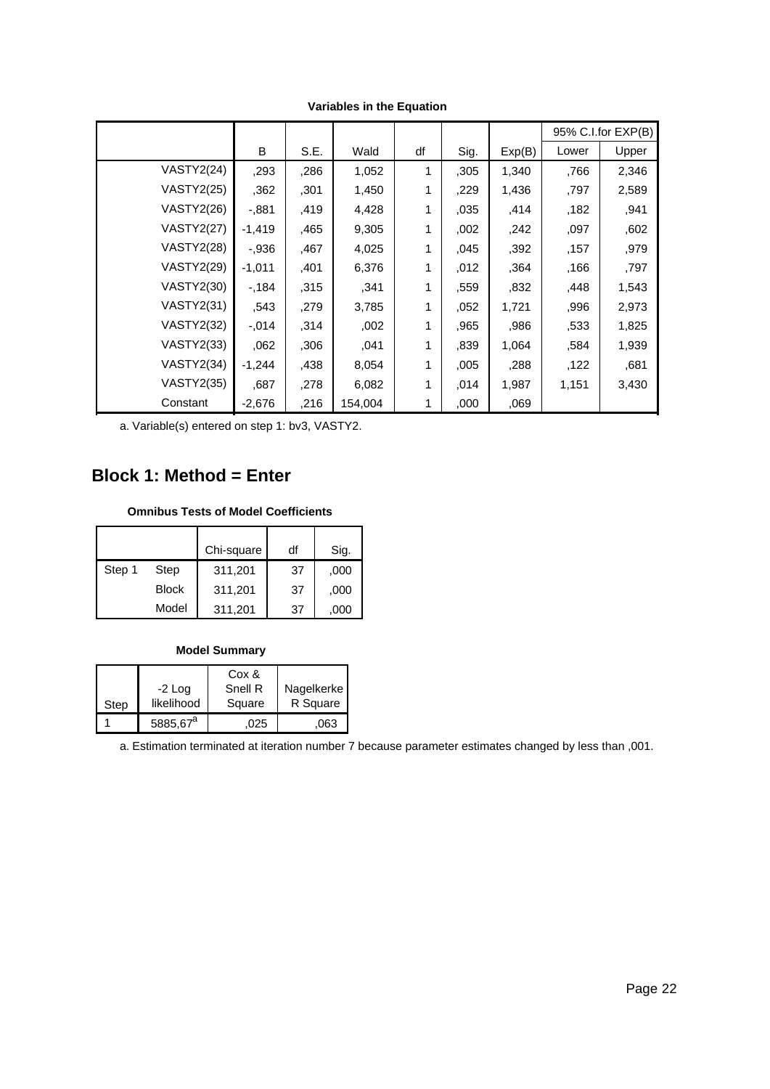|                   |          |      |         |    |      |        |       | 95% C.I.for EXP(B) |
|-------------------|----------|------|---------|----|------|--------|-------|--------------------|
|                   | B        | S.E. | Wald    | df | Sig. | Exp(B) | Lower | Upper              |
| <b>VASTY2(24)</b> | ,293     | ,286 | 1,052   | 1  | ,305 | 1,340  | ,766  | 2,346              |
| <b>VASTY2(25)</b> | ,362     | ,301 | 1,450   | 1  | .229 | 1,436  | .797  | 2,589              |
| <b>VASTY2(26)</b> | $-0.881$ | ,419 | 4,428   | 1  | ,035 | ,414   | ,182  | ,941               |
| <b>VASTY2(27)</b> | $-1,419$ | ,465 | 9,305   | 1  | ,002 | ,242   | ,097  | ,602               |
| <b>VASTY2(28)</b> | $-0.936$ | ,467 | 4,025   | 1  | 045  | ,392   | ,157  | ,979               |
| <b>VASTY2(29)</b> | $-1,011$ | ,401 | 6,376   | 1  | ,012 | ,364   | ,166  | ,797               |
| <b>VASTY2(30)</b> | $-184$   | ,315 | ,341    | 1  | ,559 | ,832   | ,448  | 1,543              |
| <b>VASTY2(31)</b> | .543     | .279 | 3,785   | 1  | 052  | 1,721  | ,996  | 2,973              |
| <b>VASTY2(32)</b> | $-0.014$ | ,314 | ,002    | 1  | ,965 | ,986   | ,533  | 1,825              |
| <b>VASTY2(33)</b> | 062      | ,306 | ,041    | 1  | .839 | 1,064  | ,584  | 1,939              |
| <b>VASTY2(34)</b> | $-1,244$ | ,438 | 8,054   | 1  | 005  | ,288   | ,122  | ,681               |
| <b>VASTY2(35)</b> | .687     | ,278 | 6,082   | 1  | 014  | 1,987  | 1,151 | 3,430              |
| Constant          | $-2,676$ | .216 | 154,004 | 1  | ,000 | ,069   |       |                    |

**Variables in the Equation**

a. Variable(s) entered on step 1: bv3, VASTY2.

# **Block 1: Method = Enter**

#### **Omnibus Tests of Model Coefficients**

|        |              | Chi-square | df | Sig. |
|--------|--------------|------------|----|------|
| Step 1 | Step         | 311,201    | 37 | ,000 |
|        | <b>Block</b> | 311,201    | 37 | ,000 |
|        | Model        | 311,201    | 37 | .000 |

|      |                        | Cox &             |                        |
|------|------------------------|-------------------|------------------------|
| Step | $-2$ Log<br>likelihood | Snell R<br>Square | Nagelkerke<br>R Square |
|      | 5885,67 <sup>a</sup>   | 025               | 063                    |

a. Estimation terminated at iteration number 7 because parameter estimates changed by less than ,001.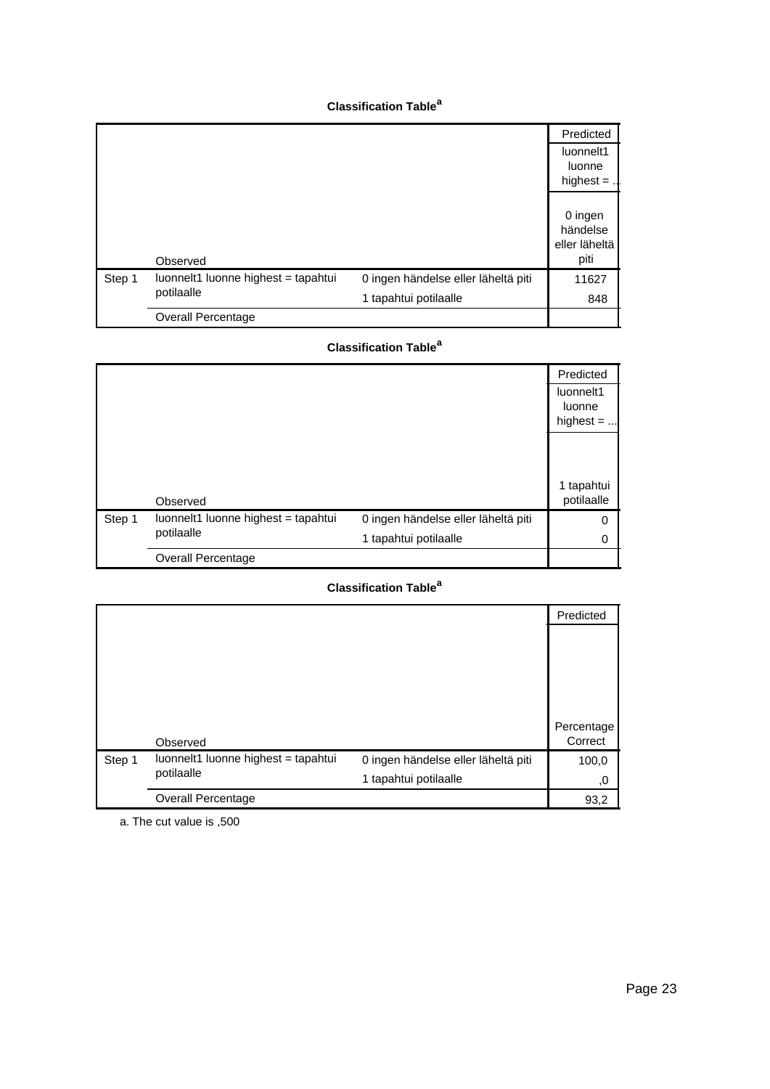|        |                                     |                                     | Predicted     |
|--------|-------------------------------------|-------------------------------------|---------------|
|        |                                     |                                     | luonnelt1     |
|        |                                     |                                     | luonne        |
|        |                                     |                                     | highest $=$   |
|        |                                     |                                     |               |
|        |                                     |                                     | 0 ingen       |
|        |                                     |                                     | händelse      |
|        |                                     |                                     | eller läheltä |
|        | Observed                            |                                     | piti          |
| Step 1 | luonnelt1 luonne highest = tapahtui | 0 ingen händelse eller läheltä piti | 11627         |
|        | potilaalle                          | 1 tapahtui potilaalle               | 848           |
|        | <b>Overall Percentage</b>           |                                     |               |

# **Classification Table<sup>a</sup>**

|        |                                     |                                     | Predicted   |
|--------|-------------------------------------|-------------------------------------|-------------|
|        |                                     |                                     | luonnelt1   |
|        |                                     |                                     | luonne      |
|        |                                     |                                     | highest $=$ |
|        |                                     |                                     |             |
|        |                                     |                                     |             |
|        |                                     |                                     |             |
|        |                                     |                                     | 1 tapahtui  |
|        | Observed                            |                                     | potilaalle  |
| Step 1 | luonnelt1 luonne highest = tapahtui | 0 ingen händelse eller läheltä piti | 0           |
|        | potilaalle                          | 1 tapahtui potilaalle               | 0           |
|        | Overall Percentage                  |                                     |             |

## **Classification Table<sup>a</sup>**

|        |                                     |                                     | Predicted  |
|--------|-------------------------------------|-------------------------------------|------------|
|        |                                     |                                     |            |
|        |                                     |                                     |            |
|        |                                     |                                     |            |
|        |                                     |                                     |            |
|        |                                     |                                     | Percentage |
|        | Observed                            |                                     | Correct    |
| Step 1 | luonnelt1 luonne highest = tapahtui | 0 ingen händelse eller läheltä piti | 100,0      |
|        | potilaalle                          | 1 tapahtui potilaalle               | ,0         |
|        | <b>Overall Percentage</b>           |                                     | 93,2       |

a. The cut value is ,500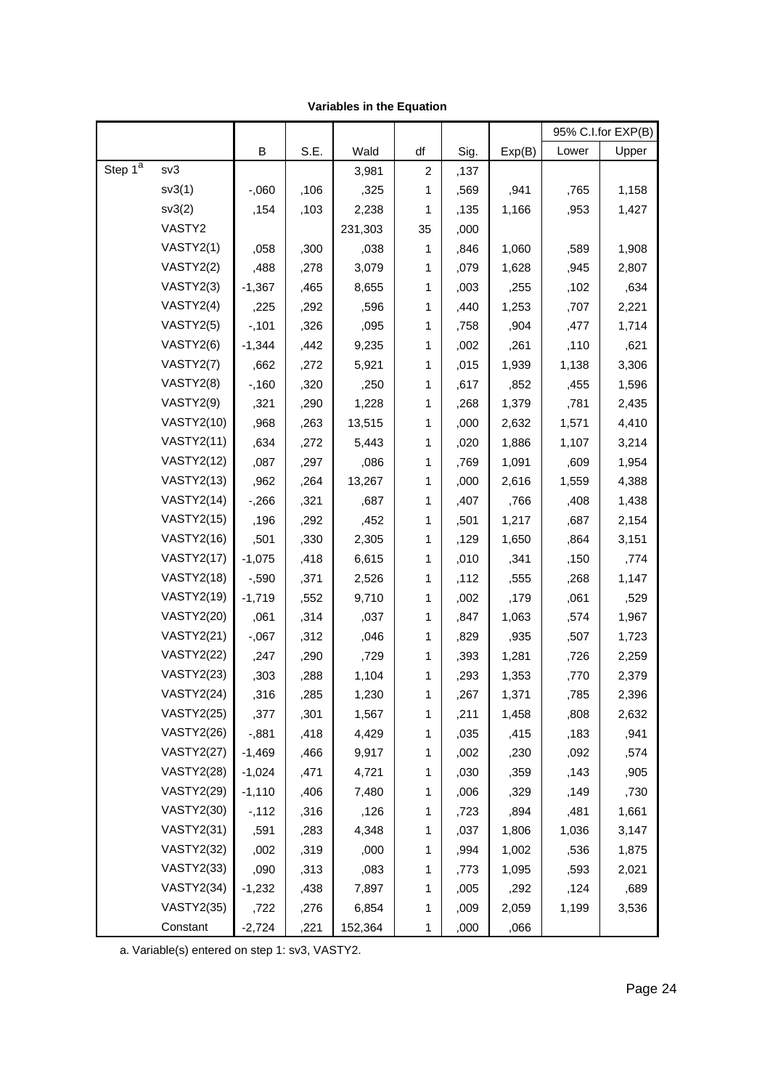|                     |                   |          |      |         |                         |      |        | 95% C.I.for EXP(B) |       |
|---------------------|-------------------|----------|------|---------|-------------------------|------|--------|--------------------|-------|
|                     |                   | B        | S.E. | Wald    | df                      | Sig. | Exp(B) | Lower              | Upper |
| Step 1 <sup>a</sup> | sv3               |          |      | 3,981   | $\overline{\mathbf{c}}$ | ,137 |        |                    |       |
|                     | sv3(1)            | $-0.060$ | ,106 | ,325    | 1                       | ,569 | ,941   | ,765               | 1,158 |
|                     | sv3(2)            | ,154     | ,103 | 2,238   | 1                       | ,135 | 1,166  | ,953               | 1,427 |
|                     | VASTY2            |          |      | 231,303 | 35                      | ,000 |        |                    |       |
|                     | VASTY2(1)         | ,058     | ,300 | ,038    | 1                       | ,846 | 1,060  | ,589               | 1,908 |
|                     | VASTY2(2)         | ,488     | ,278 | 3,079   | 1                       | ,079 | 1,628  | ,945               | 2,807 |
|                     | VASTY2(3)         | $-1,367$ | ,465 | 8,655   | 1                       | ,003 | ,255   | ,102               | ,634  |
|                     | VASTY2(4)         | ,225     | ,292 | ,596    | 1                       | ,440 | 1,253  | ,707               | 2,221 |
|                     | VASTY2(5)         | $-101$   | ,326 | ,095    | 1                       | ,758 | ,904   | ,477               | 1,714 |
|                     | VASTY2(6)         | $-1,344$ | ,442 | 9,235   | 1                       | ,002 | ,261   | ,110               | ,621  |
|                     | VASTY2(7)         | ,662     | ,272 | 5,921   | 1                       | ,015 | 1,939  | 1,138              | 3,306 |
|                     | VASTY2(8)         | $-160$   | ,320 | ,250    | 1                       | ,617 | ,852   | ,455               | 1,596 |
|                     | VASTY2(9)         | ,321     | ,290 | 1,228   | 1                       | ,268 | 1,379  | ,781               | 2,435 |
|                     | <b>VASTY2(10)</b> | ,968     | ,263 | 13,515  | 1                       | ,000 | 2,632  | 1,571              | 4,410 |
|                     | <b>VASTY2(11)</b> | ,634     | ,272 | 5,443   | 1                       | ,020 | 1,886  | 1,107              | 3,214 |
|                     | <b>VASTY2(12)</b> | ,087     | ,297 | ,086    | 1                       | ,769 | 1,091  | ,609               | 1,954 |
|                     | <b>VASTY2(13)</b> | ,962     | ,264 | 13,267  | 1                       | ,000 | 2,616  | 1,559              | 4,388 |
|                     | <b>VASTY2(14)</b> | $-266$   | ,321 | ,687    | 1                       | ,407 | ,766   | ,408               | 1,438 |
|                     | <b>VASTY2(15)</b> | ,196     | ,292 | ,452    | 1                       | ,501 | 1,217  | ,687               | 2,154 |
|                     | <b>VASTY2(16)</b> | ,501     | ,330 | 2,305   | 1                       | ,129 | 1,650  | ,864               | 3,151 |
|                     | <b>VASTY2(17)</b> | $-1,075$ | ,418 | 6,615   | 1                       | ,010 | ,341   | ,150               | ,774  |
|                     | <b>VASTY2(18)</b> | $-0.590$ | ,371 | 2,526   | 1                       | ,112 | ,555   | ,268               | 1,147 |
|                     | <b>VASTY2(19)</b> | $-1,719$ | ,552 | 9,710   | 1                       | ,002 | ,179   | ,061               | ,529  |
|                     | <b>VASTY2(20)</b> | ,061     | ,314 | ,037    | 1                       | ,847 | 1,063  | ,574               | 1,967 |
|                     | <b>VASTY2(21)</b> | $-0.067$ | ,312 | ,046    | 1                       | ,829 | ,935   | ,507               | 1,723 |
|                     | <b>VASTY2(22)</b> | ,247     | ,290 | ,729    | 1                       | ,393 | 1,281  | ,726               | 2,259 |
|                     | <b>VASTY2(23)</b> | ,303     | ,288 | 1,104   | 1                       | ,293 | 1,353  | ,770               | 2,379 |
|                     | <b>VASTY2(24)</b> | ,316     | ,285 | 1,230   | 1                       | ,267 | 1,371  | ,785               | 2,396 |
|                     | <b>VASTY2(25)</b> | ,377     | ,301 | 1,567   | 1                       | ,211 | 1,458  | ,808               | 2,632 |
|                     | <b>VASTY2(26)</b> | $-0.881$ | ,418 | 4,429   | 1                       | ,035 | ,415   | ,183               | ,941  |
|                     | <b>VASTY2(27)</b> | $-1,469$ | ,466 | 9,917   | 1                       | ,002 | ,230   | ,092               | ,574  |
|                     | <b>VASTY2(28)</b> | $-1,024$ | ,471 | 4,721   | 1                       | ,030 | ,359   | ,143               | ,905  |
|                     | <b>VASTY2(29)</b> | $-1,110$ | ,406 | 7,480   | 1                       | ,006 | ,329   | ,149               | ,730  |
|                     | <b>VASTY2(30)</b> | $-112$   | ,316 | ,126    | 1                       | ,723 | ,894   | ,481               | 1,661 |
|                     | <b>VASTY2(31)</b> | ,591     | ,283 | 4,348   | 1                       | ,037 | 1,806  | 1,036              | 3,147 |
|                     | <b>VASTY2(32)</b> | ,002     | ,319 | ,000    | 1                       | ,994 | 1,002  | ,536               | 1,875 |
|                     | <b>VASTY2(33)</b> | ,090     | ,313 | ,083    | 1                       | ,773 | 1,095  | ,593               | 2,021 |
|                     | <b>VASTY2(34)</b> | $-1,232$ | ,438 | 7,897   | 1                       | ,005 | ,292   | ,124               | ,689  |
|                     | <b>VASTY2(35)</b> | ,722     | ,276 | 6,854   | 1                       | ,009 | 2,059  | 1,199              | 3,536 |
|                     | Constant          | $-2,724$ | ,221 | 152,364 | 1                       | ,000 | ,066   |                    |       |

**Variables in the Equation**

a. Variable(s) entered on step 1: sv3, VASTY2.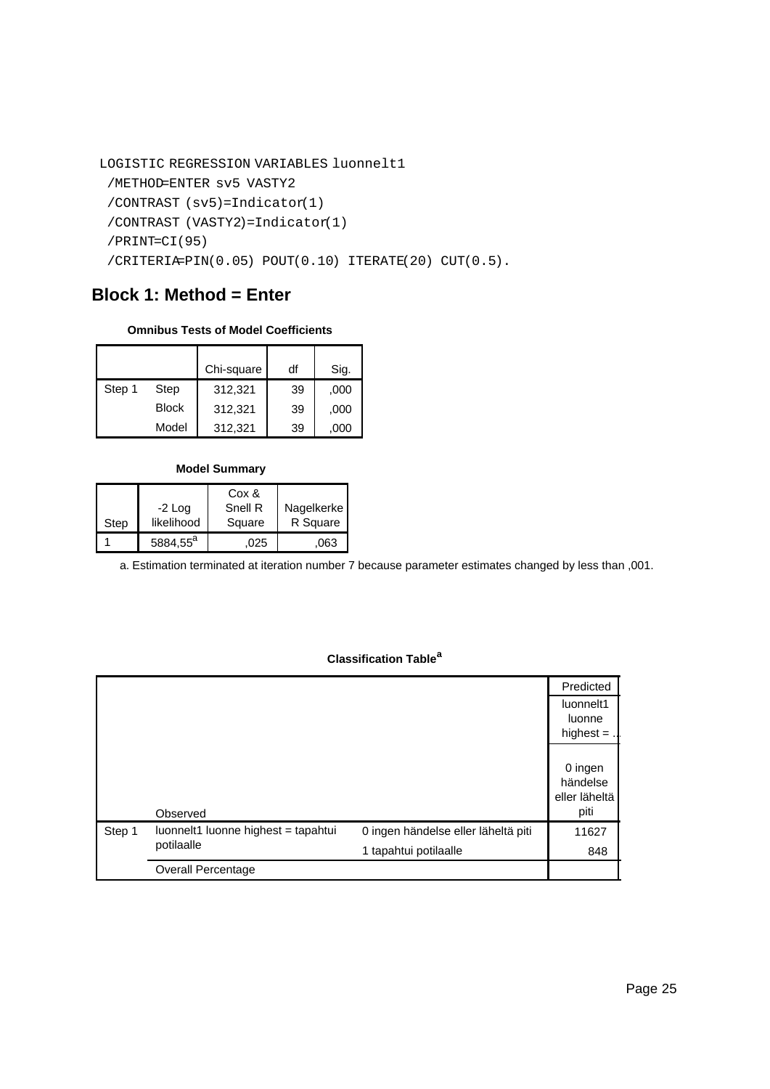```
LOGISTIC REGRESSION VARIABLES luonnelt1
 /METHOD=ENTER sv5 VASTY2
 /CONTRAST (sv5)=Indicator(1)
 /CONTRAST (VASTY2)=Indicator(1)
 /PRINT=CI(95)
 /CRITERIA=PIN(0.05) POUT(0.10) ITERATE(20) CUT(0.5).
```
# **Block 1: Method = Enter**

#### **Omnibus Tests of Model Coefficients**

|        |              | Chi-square | df | Sig. |
|--------|--------------|------------|----|------|
|        |              |            |    |      |
| Step 1 | Step         | 312,321    | 39 | ,000 |
|        | <b>Block</b> | 312,321    | 39 | ,000 |
|        | Model        | 312,321    | 39 | .000 |

#### **Model Summary**

| Step | $-2$ Log<br>likelihood | Cox &<br>Snell R<br>Square | Nagelkerke<br>R Square |
|------|------------------------|----------------------------|------------------------|
|      | 5884,55 <sup>a</sup>   | .025                       | .063                   |

a. Estimation terminated at iteration number 7 because parameter estimates changed by less than ,001.

|        |                                     |                                     | Predicted     |
|--------|-------------------------------------|-------------------------------------|---------------|
|        |                                     |                                     | luonnelt1     |
|        |                                     |                                     | luonne        |
|        |                                     |                                     | highest $=$ . |
|        |                                     |                                     |               |
|        |                                     |                                     | 0 ingen       |
|        |                                     |                                     | händelse      |
|        |                                     |                                     | eller läheltä |
|        | Observed                            |                                     | piti          |
| Step 1 | luonnelt1 luonne highest = tapahtui | 0 ingen händelse eller läheltä piti | 11627         |
|        | potilaalle                          | 1 tapahtui potilaalle               | 848           |
|        | <b>Overall Percentage</b>           |                                     |               |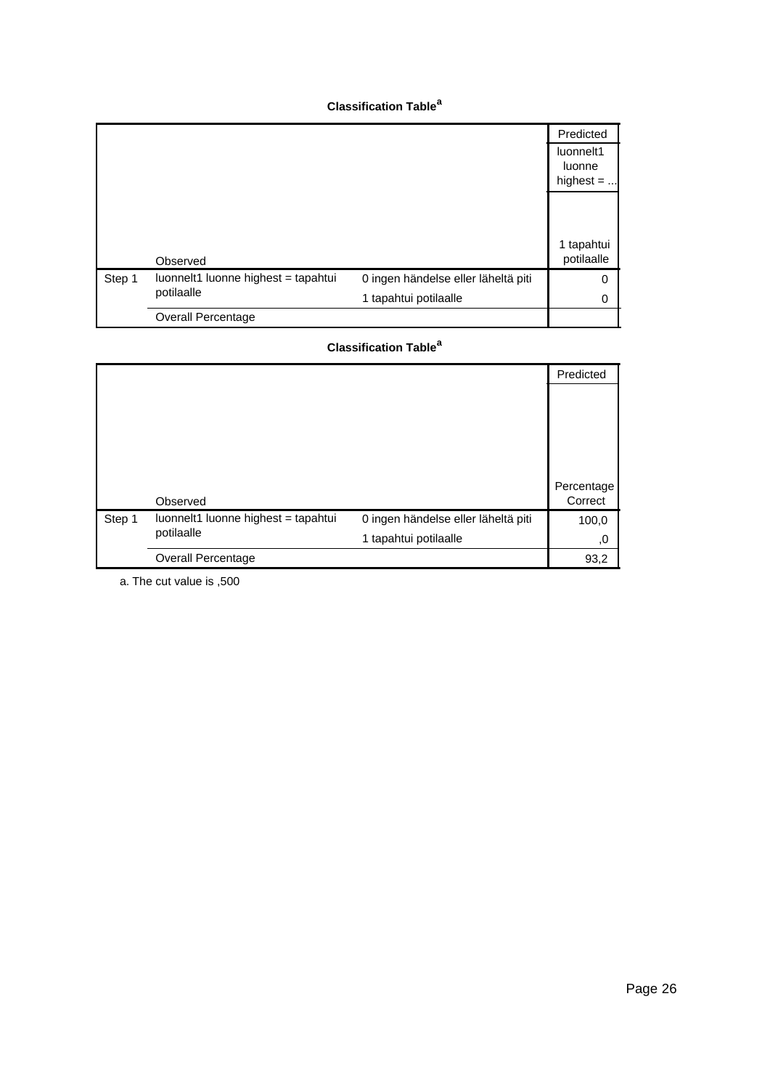|        |                                     |                                     | Predicted                          |
|--------|-------------------------------------|-------------------------------------|------------------------------------|
|        |                                     |                                     | luonnelt1<br>luonne<br>highest $=$ |
|        | Observed                            |                                     | 1 tapahtui<br>potilaalle           |
| Step 1 | luonnelt1 luonne highest = tapahtui | 0 ingen händelse eller läheltä piti | 0                                  |
|        | potilaalle                          | 1 tapahtui potilaalle               | 0                                  |
|        | <b>Overall Percentage</b>           |                                     |                                    |

#### **Classification Table<sup>a</sup>**

|        |                                     |                                     | Predicted  |
|--------|-------------------------------------|-------------------------------------|------------|
|        |                                     |                                     |            |
|        |                                     |                                     |            |
|        |                                     |                                     |            |
|        |                                     |                                     |            |
|        |                                     |                                     |            |
|        |                                     |                                     | Percentage |
|        | Observed                            |                                     | Correct    |
| Step 1 | luonnelt1 luonne highest = tapahtui | 0 ingen händelse eller läheltä piti | 100,0      |
|        | potilaalle                          | 1 tapahtui potilaalle               | ,0         |
|        | <b>Overall Percentage</b>           |                                     | 93,2       |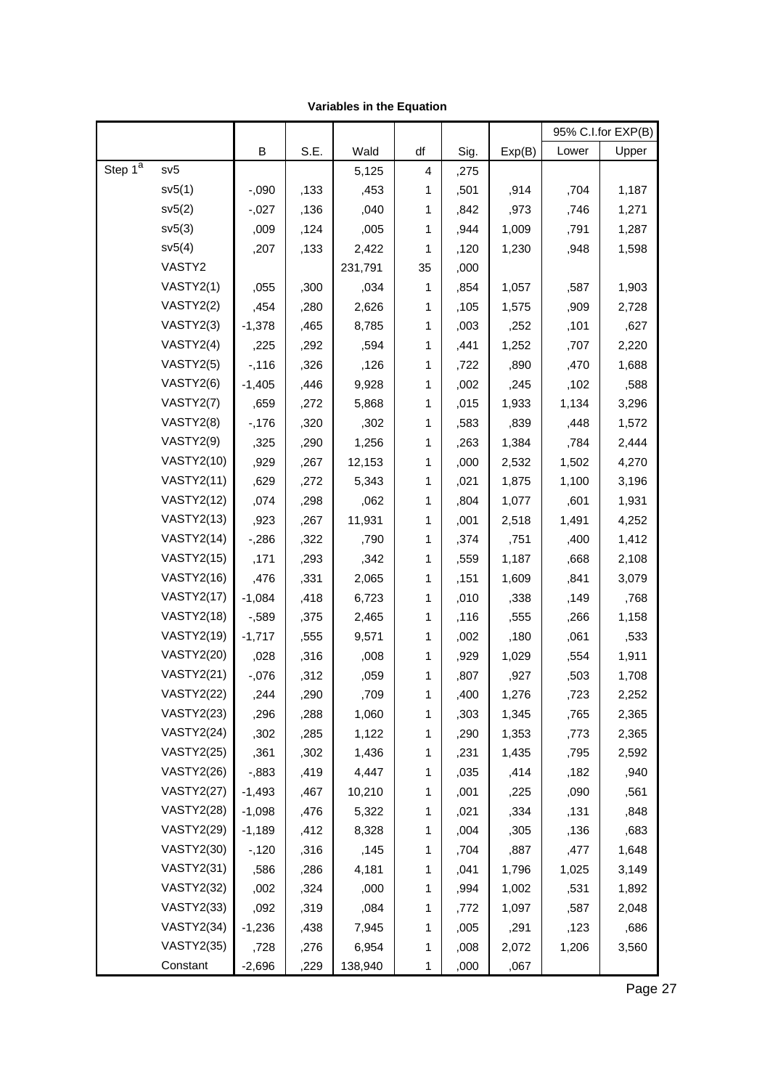|                     |                   |          |      |         |    |      |        |       | 95% C.I.for EXP(B) |
|---------------------|-------------------|----------|------|---------|----|------|--------|-------|--------------------|
|                     |                   | B        | S.E. | Wald    | df | Sig. | Exp(B) | Lower | Upper              |
| Step 1 <sup>a</sup> | sv5               |          |      | 5,125   | 4  | ,275 |        |       |                    |
|                     | sv5(1)            | $-0.090$ | ,133 | ,453    | 1  | ,501 | ,914   | ,704  | 1,187              |
|                     | sv5(2)            | $-0.027$ | ,136 | ,040    | 1  | ,842 | ,973   | ,746  | 1,271              |
|                     | sv5(3)            | ,009     | ,124 | ,005    | 1  | ,944 | 1,009  | ,791  | 1,287              |
|                     | sv5(4)            | ,207     | ,133 | 2,422   | 1  | ,120 | 1,230  | ,948  | 1,598              |
|                     | VASTY2            |          |      | 231,791 | 35 | ,000 |        |       |                    |
|                     | VASTY2(1)         | ,055     | ,300 | ,034    | 1  | ,854 | 1,057  | ,587  | 1,903              |
|                     | VASTY2(2)         | ,454     | ,280 | 2,626   | 1  | ,105 | 1,575  | ,909  | 2,728              |
|                     | VASTY2(3)         | $-1,378$ | ,465 | 8,785   | 1  | ,003 | ,252   | ,101  | ,627               |
|                     | VASTY2(4)         | ,225     | ,292 | ,594    | 1  | ,441 | 1,252  | ,707  | 2,220              |
|                     | VASTY2(5)         | $-116$   | ,326 | ,126    | 1  | ,722 | ,890   | ,470  | 1,688              |
|                     | VASTY2(6)         | $-1,405$ | ,446 | 9,928   | 1  | ,002 | ,245   | ,102  | ,588               |
|                     | VASTY2(7)         | ,659     | ,272 | 5,868   | 1  | ,015 | 1,933  | 1,134 | 3,296              |
|                     | VASTY2(8)         | $-176$   | ,320 | ,302    | 1  | ,583 | ,839   | ,448  | 1,572              |
|                     | VASTY2(9)         | ,325     | ,290 | 1,256   | 1  | ,263 | 1,384  | ,784  | 2,444              |
|                     | <b>VASTY2(10)</b> | ,929     | ,267 | 12,153  | 1  | ,000 | 2,532  | 1,502 | 4,270              |
|                     | <b>VASTY2(11)</b> | ,629     | ,272 | 5,343   | 1  | ,021 | 1,875  | 1,100 | 3,196              |
|                     | <b>VASTY2(12)</b> | ,074     | ,298 | ,062    | 1  | ,804 | 1,077  | ,601  | 1,931              |
|                     | <b>VASTY2(13)</b> | ,923     | ,267 | 11,931  | 1  | ,001 | 2,518  | 1,491 | 4,252              |
|                     | <b>VASTY2(14)</b> | $-286$   | ,322 | ,790    | 1  | ,374 | ,751   | ,400  | 1,412              |
|                     | <b>VASTY2(15)</b> | ,171     | ,293 | ,342    | 1  | ,559 | 1,187  | ,668  | 2,108              |
|                     | <b>VASTY2(16)</b> | ,476     | ,331 | 2,065   | 1  | ,151 | 1,609  | ,841  | 3,079              |
|                     | <b>VASTY2(17)</b> | $-1,084$ | ,418 | 6,723   | 1  | ,010 | ,338   | ,149  | ,768               |
|                     | <b>VASTY2(18)</b> | $-0.589$ | ,375 | 2,465   | 1  | ,116 | ,555   | ,266  | 1,158              |
|                     | <b>VASTY2(19)</b> | $-1,717$ | ,555 | 9,571   | 1  | ,002 | ,180   | ,061  | ,533               |
|                     | <b>VASTY2(20)</b> | ,028     | ,316 | ,008    | 1  | ,929 | 1,029  | ,554  | 1,911              |
|                     | <b>VASTY2(21)</b> | $-0.076$ | ,312 | ,059    | 1  | ,807 | ,927   | ,503  | 1,708              |
|                     | <b>VASTY2(22)</b> | ,244     | ,290 | ,709    | 1  | ,400 | 1,276  | ,723  | 2.252              |
|                     | <b>VASTY2(23)</b> | ,296     | ,288 | 1,060   | 1  | ,303 | 1,345  | ,765  | 2,365              |
|                     | <b>VASTY2(24)</b> | ,302     | ,285 | 1,122   | 1  | ,290 | 1,353  | ,773  | 2,365              |
|                     | <b>VASTY2(25)</b> | ,361     | ,302 | 1,436   | 1  | ,231 | 1,435  | ,795  | 2,592              |
|                     | <b>VASTY2(26)</b> | $-0.883$ | ,419 | 4,447   | 1  | ,035 | ,414   | ,182  | ,940               |
|                     | <b>VASTY2(27)</b> | $-1,493$ | ,467 | 10,210  | 1  | ,001 | ,225   | ,090  | ,561               |
|                     | <b>VASTY2(28)</b> | $-1,098$ | ,476 | 5,322   | 1  | ,021 | ,334   | ,131  | ,848               |
|                     | <b>VASTY2(29)</b> | $-1,189$ | ,412 | 8,328   | 1  | ,004 | ,305   | ,136  | ,683               |
|                     | <b>VASTY2(30)</b> | $-120$   | ,316 | ,145    | 1  | ,704 | ,887   | ,477  | 1,648              |
|                     | <b>VASTY2(31)</b> | ,586     | ,286 | 4,181   | 1  | ,041 | 1,796  | 1,025 | 3,149              |
|                     | <b>VASTY2(32)</b> | ,002     | ,324 | ,000    | 1  | ,994 | 1,002  | ,531  | 1,892              |
|                     | <b>VASTY2(33)</b> | ,092     | ,319 | ,084    | 1  | ,772 | 1,097  | ,587  | 2,048              |
|                     | <b>VASTY2(34)</b> | $-1,236$ | ,438 | 7,945   | 1  | ,005 | ,291   | ,123  | ,686               |
|                     | <b>VASTY2(35)</b> | ,728     | ,276 | 6,954   | 1  | ,008 | 2,072  | 1,206 | 3,560              |
|                     | Constant          | $-2,696$ | ,229 | 138,940 | 1  | ,000 | ,067   |       |                    |

**Variables in the Equation**

Page 27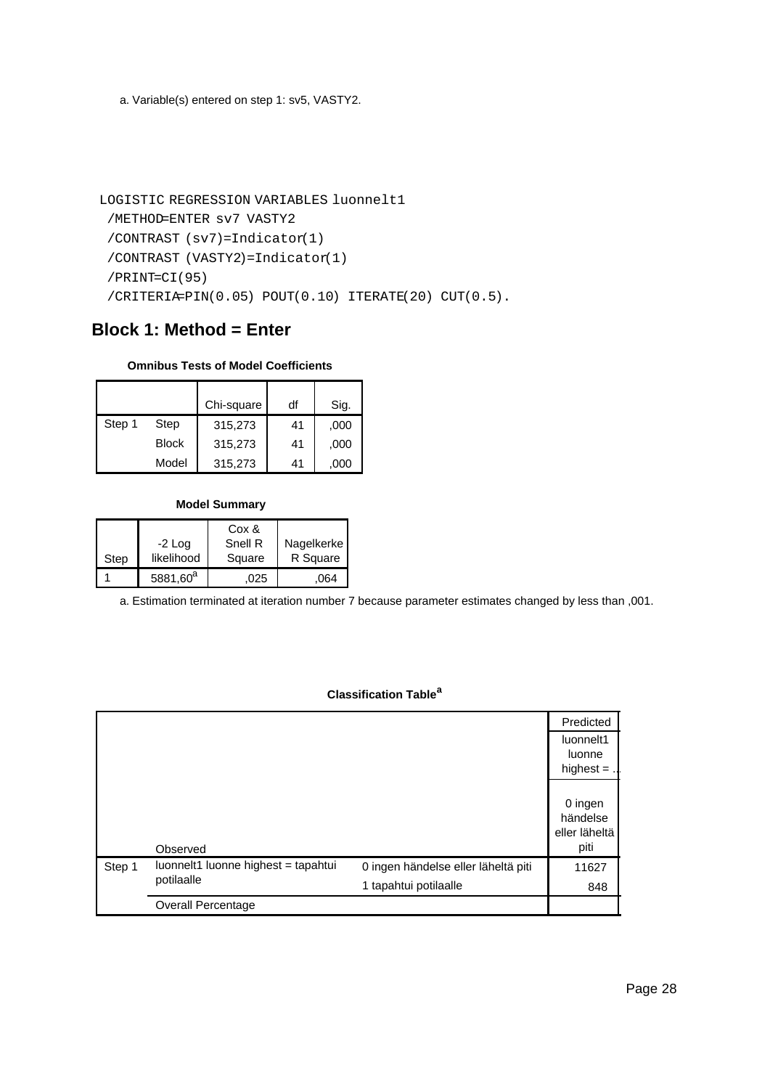a. Variable(s) entered on step 1: sv5, VASTY2.

```
LOGISTIC REGRESSION VARIABLES luonnelt1
 /METHOD=ENTER sv7 VASTY2
 /CONTRAST (sv7)=Indicator(1)
 /CONTRAST (VASTY2)=Indicator(1)
 /PRINT=CI(95)
 /CRITERIA=PIN(0.05) POUT(0.10) ITERATE(20) CUT(0.5).
```
# **Block 1: Method = Enter**

#### **Omnibus Tests of Model Coefficients**

|        |              | Chi-square | df | Sig. |
|--------|--------------|------------|----|------|
| Step 1 | Step         | 315,273    | 41 | ,000 |
|        | <b>Block</b> | 315,273    | 41 | ,000 |
|        | Model        | 315,273    | 41 | ,000 |

#### **Model Summary**

|      |                        | Cox &<br>Snell R |                        |
|------|------------------------|------------------|------------------------|
| Step | $-2$ Log<br>likelihood | Square           | Nagelkerke<br>R Square |
|      | $5881,60^{a}$          | .025             | 064                    |

a. Estimation terminated at iteration number 7 because parameter estimates changed by less than ,001.

|        |                                     |                                     | Predicted     |
|--------|-------------------------------------|-------------------------------------|---------------|
|        |                                     |                                     | luonnelt1     |
|        |                                     |                                     | luonne        |
|        |                                     |                                     | highest $=$ . |
|        |                                     |                                     | 0 ingen       |
|        |                                     |                                     | händelse      |
|        |                                     |                                     | eller läheltä |
|        | Observed                            |                                     | piti          |
| Step 1 | luonnelt1 luonne highest = tapahtui | 0 ingen händelse eller läheltä piti | 11627         |
|        | potilaalle                          | 1 tapahtui potilaalle               | 848           |
|        | Overall Percentage                  |                                     |               |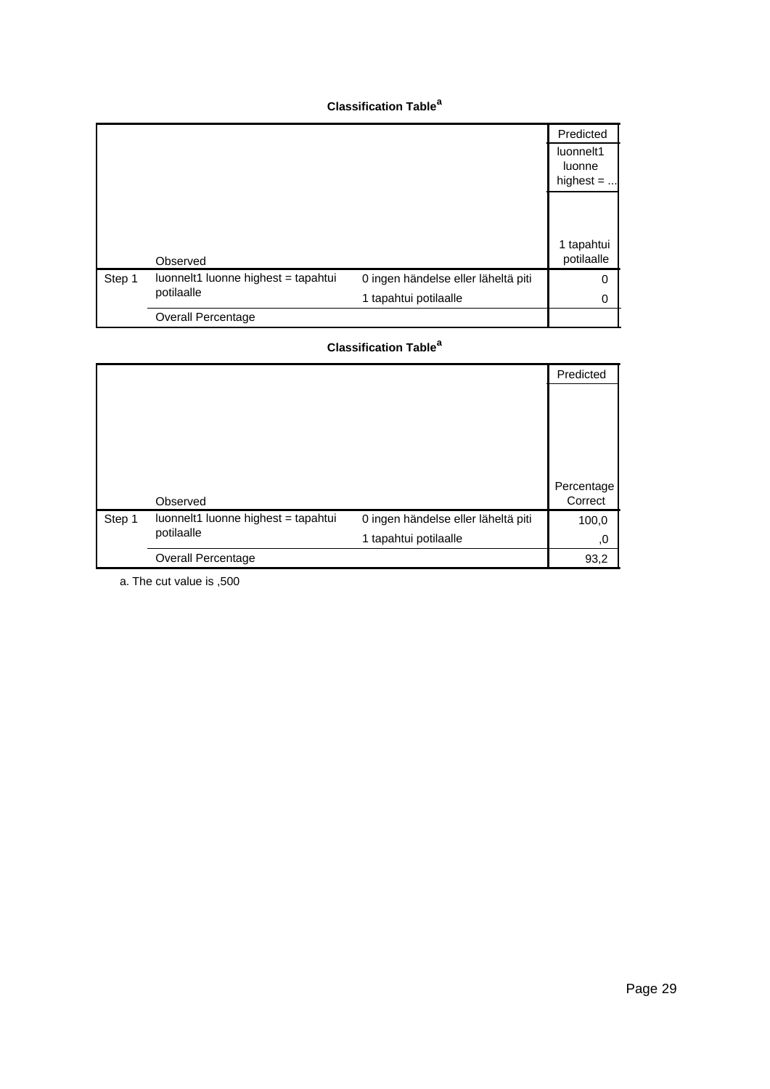|        |                                     |                                     | Predicted                          |
|--------|-------------------------------------|-------------------------------------|------------------------------------|
|        |                                     |                                     | luonnelt1<br>luonne<br>highest $=$ |
|        | Observed                            |                                     | 1 tapahtui<br>potilaalle           |
| Step 1 | luonnelt1 luonne highest = tapahtui | 0 ingen händelse eller läheltä piti | 0                                  |
|        | potilaalle                          | 1 tapahtui potilaalle               | 0                                  |
|        | <b>Overall Percentage</b>           |                                     |                                    |

#### **Classification Table<sup>a</sup>**

|        |                                     |                                     | Predicted  |
|--------|-------------------------------------|-------------------------------------|------------|
|        |                                     |                                     |            |
|        |                                     |                                     |            |
|        |                                     |                                     |            |
|        |                                     |                                     |            |
|        |                                     |                                     |            |
|        |                                     |                                     | Percentage |
|        | Observed                            |                                     | Correct    |
| Step 1 | luonnelt1 luonne highest = tapahtui | 0 ingen händelse eller läheltä piti | 100,0      |
|        | potilaalle                          | 1 tapahtui potilaalle               | ,0         |
|        | <b>Overall Percentage</b>           |                                     | 93,2       |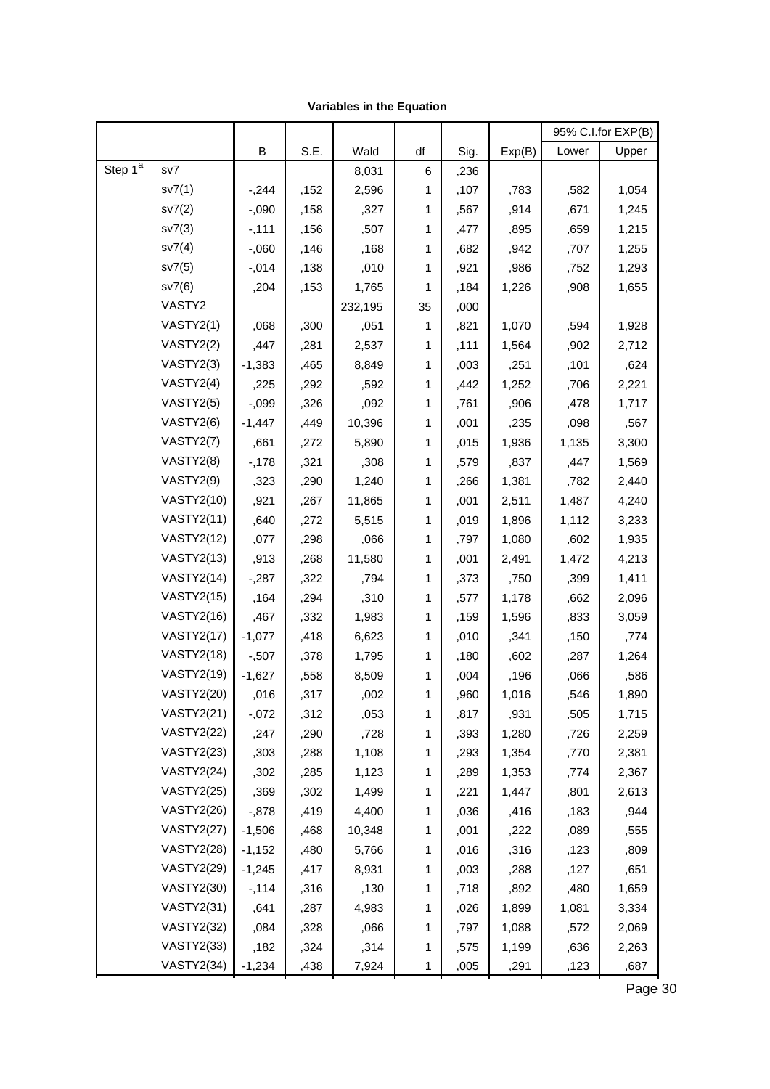|            |                   |          |      |         |    |      |        |       | 95% C.I.for EXP(B) |
|------------|-------------------|----------|------|---------|----|------|--------|-------|--------------------|
|            |                   | В        | S.E. | Wald    | df | Sig. | Exp(B) | Lower | Upper              |
| Step $1^a$ | sv7               |          |      | 8,031   | 6  | ,236 |        |       |                    |
|            | sv7(1)            | $-244$   | ,152 | 2,596   | 1  | ,107 | ,783   | ,582  | 1,054              |
|            | sv7(2)            | $-0.090$ | ,158 | ,327    | 1  | ,567 | ,914   | ,671  | 1,245              |
|            | sv7(3)            | $-111$   | ,156 | ,507    | 1  | ,477 | ,895   | ,659  | 1,215              |
|            | sv7(4)            | $-0.060$ | ,146 | ,168    | 1  | ,682 | ,942   | ,707  | 1,255              |
|            | sv7(5)            | $-.014$  | ,138 | ,010    | 1  | ,921 | ,986   | ,752  | 1,293              |
|            | sv7(6)            | ,204     | ,153 | 1,765   | 1  | ,184 | 1,226  | ,908  | 1,655              |
|            | VASTY2            |          |      | 232,195 | 35 | ,000 |        |       |                    |
|            | VASTY2(1)         | ,068     | ,300 | ,051    | 1  | ,821 | 1,070  | ,594  | 1,928              |
|            | VASTY2(2)         | ,447     | ,281 | 2,537   | 1  | ,111 | 1,564  | ,902  | 2,712              |
|            | VASTY2(3)         | $-1,383$ | ,465 | 8,849   | 1  | ,003 | ,251   | ,101  | ,624               |
|            | VASTY2(4)         | ,225     | ,292 | ,592    | 1  | ,442 | 1,252  | ,706  | 2,221              |
|            | VASTY2(5)         | $-0.099$ | ,326 | ,092    | 1  | ,761 | ,906   | ,478  | 1,717              |
|            | VASTY2(6)         | $-1,447$ | ,449 | 10,396  | 1  | ,001 | ,235   | ,098  | ,567               |
|            | VASTY2(7)         | ,661     | ,272 | 5,890   | 1  | ,015 | 1,936  | 1,135 | 3,300              |
|            | VASTY2(8)         | $-178$   | ,321 | ,308    | 1  | ,579 | ,837   | ,447  | 1,569              |
|            | VASTY2(9)         | ,323     | ,290 | 1,240   | 1  | ,266 | 1,381  | ,782  | 2,440              |
|            | <b>VASTY2(10)</b> | ,921     | ,267 | 11,865  | 1  | ,001 | 2,511  | 1,487 | 4,240              |
|            | <b>VASTY2(11)</b> | ,640     | ,272 | 5,515   | 1  | ,019 | 1,896  | 1,112 | 3,233              |
|            | <b>VASTY2(12)</b> | ,077     | ,298 | ,066    | 1  | ,797 | 1,080  | ,602  | 1,935              |
|            | <b>VASTY2(13)</b> | ,913     | ,268 | 11,580  | 1  | ,001 | 2,491  | 1,472 | 4,213              |
|            | <b>VASTY2(14)</b> | $-287$   | ,322 | ,794    | 1  | ,373 | ,750   | ,399  | 1,411              |
|            | <b>VASTY2(15)</b> | ,164     | ,294 | ,310    | 1  | ,577 | 1,178  | ,662  | 2,096              |
|            | <b>VASTY2(16)</b> | ,467     | ,332 | 1,983   | 1  | ,159 | 1,596  | ,833  | 3,059              |
|            | <b>VASTY2(17)</b> | $-1,077$ | ,418 | 6,623   | 1  | ,010 | ,341   | ,150  | ,774               |
|            | <b>VASTY2(18)</b> | $-0.507$ | ,378 | 1,795   | 1  | ,180 | ,602   | ,287  | 1,264              |
|            | <b>VASTY2(19)</b> | $-1,627$ | ,558 | 8,509   | 1  | ,004 | ,196   | ,066  | ,586               |
|            | <b>VASTY2(20)</b> | ,016     | ,317 | ,002    | 1  | ,960 | 1,016  | ,546  | 1,890              |
|            | <b>VASTY2(21)</b> | $-0.072$ | ,312 | ,053    | 1  | ,817 | ,931   | ,505  | 1,715              |
|            | <b>VASTY2(22)</b> | ,247     | ,290 | ,728    | 1  | ,393 | 1,280  | ,726  | 2,259              |
|            | <b>VASTY2(23)</b> | ,303     | ,288 | 1,108   | 1  | ,293 | 1,354  | ,770  | 2,381              |
|            | <b>VASTY2(24)</b> | ,302     | ,285 | 1,123   | 1  | ,289 | 1,353  | ,774  | 2,367              |
|            | <b>VASTY2(25)</b> | ,369     | ,302 | 1,499   | 1  | ,221 | 1,447  | ,801  | 2,613              |
|            | <b>VASTY2(26)</b> | $-0.878$ | ,419 | 4,400   | 1  | ,036 | ,416   | ,183  | ,944               |
|            | <b>VASTY2(27)</b> | $-1,506$ | ,468 | 10,348  | 1  | ,001 | ,222   | ,089  | ,555               |
|            | <b>VASTY2(28)</b> | $-1,152$ | ,480 | 5,766   | 1  | ,016 | ,316   | ,123  | ,809               |
|            | <b>VASTY2(29)</b> | $-1,245$ | ,417 | 8,931   | 1  | ,003 | ,288   | ,127  | ,651               |
|            | <b>VASTY2(30)</b> | $-114$   | ,316 | ,130    | 1  | ,718 | ,892   | ,480  | 1,659              |
|            | <b>VASTY2(31)</b> | ,641     | ,287 | 4,983   | 1  | ,026 | 1,899  | 1,081 | 3,334              |
|            | <b>VASTY2(32)</b> | ,084     | ,328 | ,066    | 1  | ,797 | 1,088  | ,572  | 2,069              |
|            | <b>VASTY2(33)</b> | ,182     | ,324 | ,314    | 1  | ,575 | 1,199  | ,636  | 2,263              |
|            | <b>VASTY2(34)</b> | $-1,234$ | ,438 | 7,924   | 1  | ,005 | ,291   | ,123  | ,687               |

**Variables in the Equation**

 $\overline{P}$  Page 30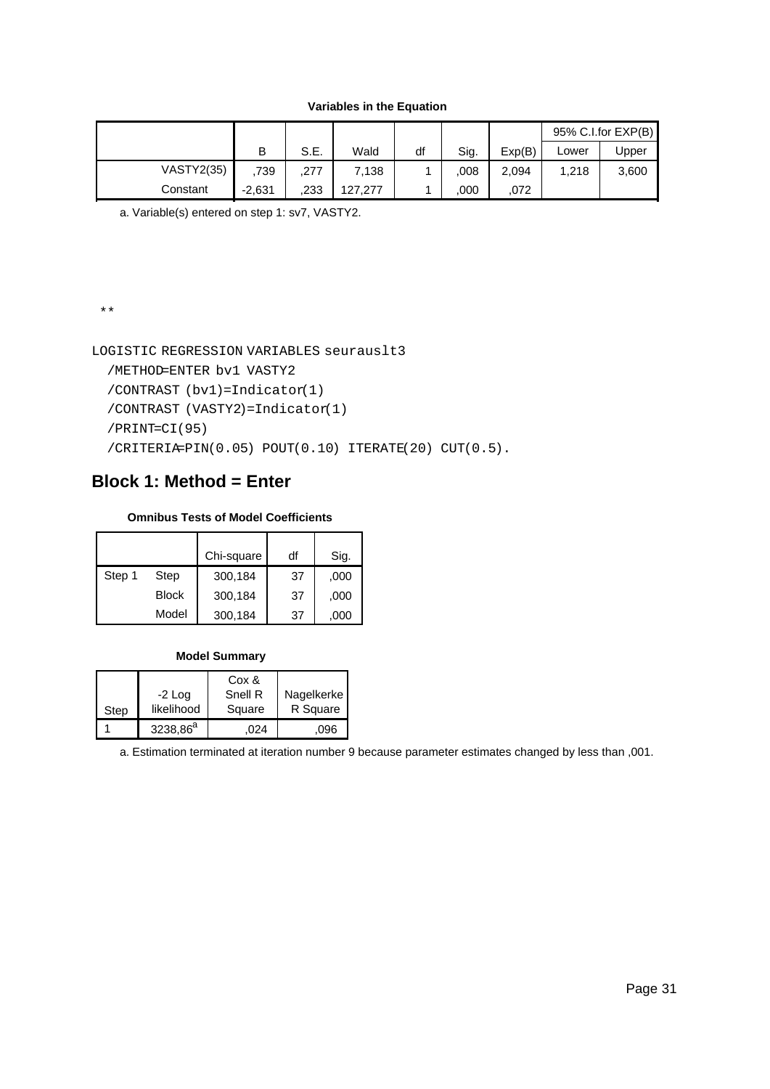**Variables in the Equation**

|                   |          |      |         |    |      |        |       | $95\%$ C.I.for EXP(B) |
|-------------------|----------|------|---------|----|------|--------|-------|-----------------------|
|                   | В        | S.E. | Wald    | df | Sig. | Exp(B) | Lower | Jpper                 |
| <b>VASTY2(35)</b> | .739     | ,277 | 7,138   |    | 008  | 2,094  | 1,218 | 3,600                 |
| Constant          | $-2,631$ | .233 | 127.277 |    | ,000 | 072    |       |                       |

a. Variable(s) entered on step 1: sv7, VASTY2.

\*\*

```
LOGISTIC REGRESSION VARIABLES seurauslt3
```

```
 /METHOD=ENTER bv1 VASTY2
```

```
 /CONTRAST (bv1)=Indicator(1)
/CONTRAST (VASTY2)=Indicator(1)
/PRINT=CI(95)
/CRITERIA=PIN(0.05) POUT(0.10) ITERATE(20) CUT(0.5).
```
# **Block 1: Method = Enter**

### **Omnibus Tests of Model Coefficients**

|        |              | Chi-square | df | Sig. |
|--------|--------------|------------|----|------|
| Step 1 | Step         | 300,184    | 37 | ,000 |
|        | <b>Block</b> | 300,184    | 37 | ,000 |
|        | Model        | 300,184    | 37 | .000 |

#### **Model Summary**

|      |                        | Cox &             |                        |
|------|------------------------|-------------------|------------------------|
| Step | $-2$ Log<br>likelihood | Snell R<br>Square | Nagelkerke<br>R Square |
|      | 3238,86 <sup>a</sup>   | 024               | .096                   |

a. Estimation terminated at iteration number 9 because parameter estimates changed by less than ,001.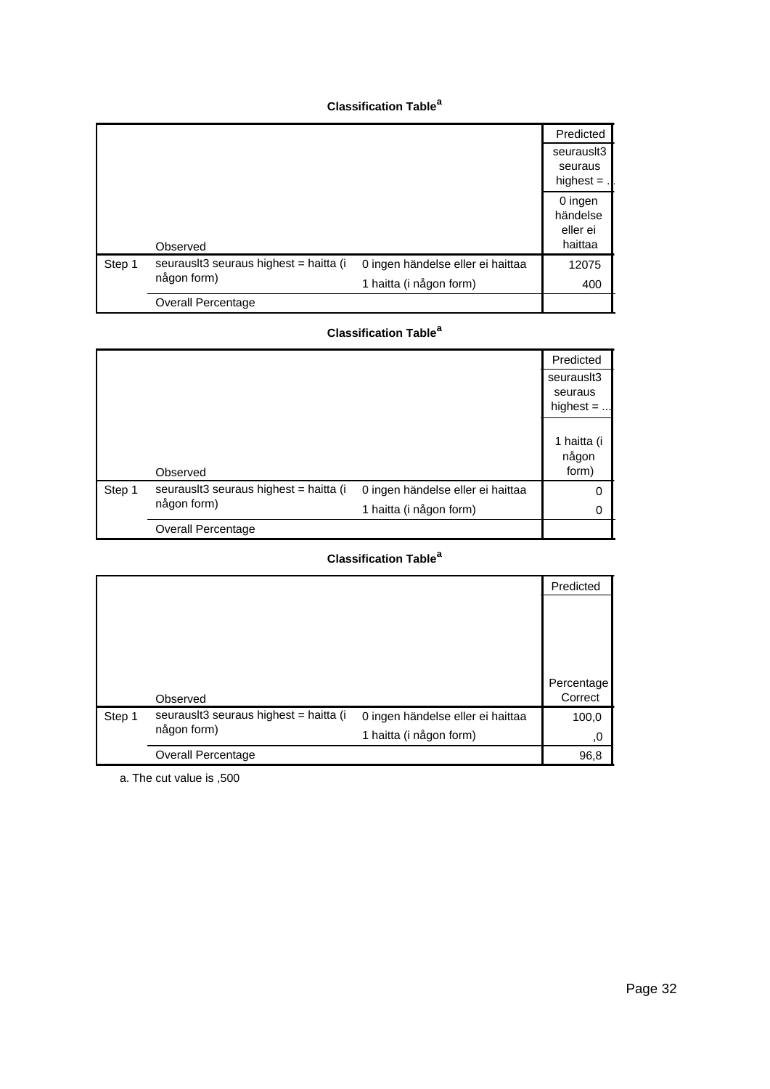|        |                                                       |                                   | Predicted<br>seurausit3<br>seuraus<br>highest $=$ . |
|--------|-------------------------------------------------------|-----------------------------------|-----------------------------------------------------|
|        | Observed                                              |                                   | 0 ingen<br>händelse<br>eller ei<br>haittaa          |
| Step 1 | seurausit3 seuraus highest = haitta (i<br>någon form) | 0 ingen händelse eller ei haittaa | 12075                                               |
|        | <b>Overall Percentage</b>                             | 1 haitta (i någon form)           | 400                                                 |

### **Classification Table<sup>a</sup>**

|        |                                        |                                   | Predicted                            |
|--------|----------------------------------------|-----------------------------------|--------------------------------------|
|        |                                        |                                   | seurausit3<br>seuraus<br>highest $=$ |
|        | Observed                               |                                   | 1 haitta (i<br>någon<br>form)        |
| Step 1 | seurauslt3 seuraus highest = haitta (i | 0 ingen händelse eller ei haittaa | 0                                    |
|        | någon form)                            | 1 haitta (i någon form)           | 0                                    |
|        | Overall Percentage                     |                                   |                                      |

### **Classification Table<sup>a</sup>**

|        |                                        |                                   | Predicted  |
|--------|----------------------------------------|-----------------------------------|------------|
|        |                                        |                                   |            |
|        |                                        |                                   |            |
|        |                                        |                                   |            |
|        |                                        |                                   |            |
|        |                                        |                                   | Percentage |
|        | Observed                               |                                   | Correct    |
| Step 1 | seurauslt3 seuraus highest = haitta (i | 0 ingen händelse eller ei haittaa | 100,0      |
|        | någon form)                            | 1 haitta (i någon form)           | 0,         |
|        | <b>Overall Percentage</b>              |                                   | 96,8       |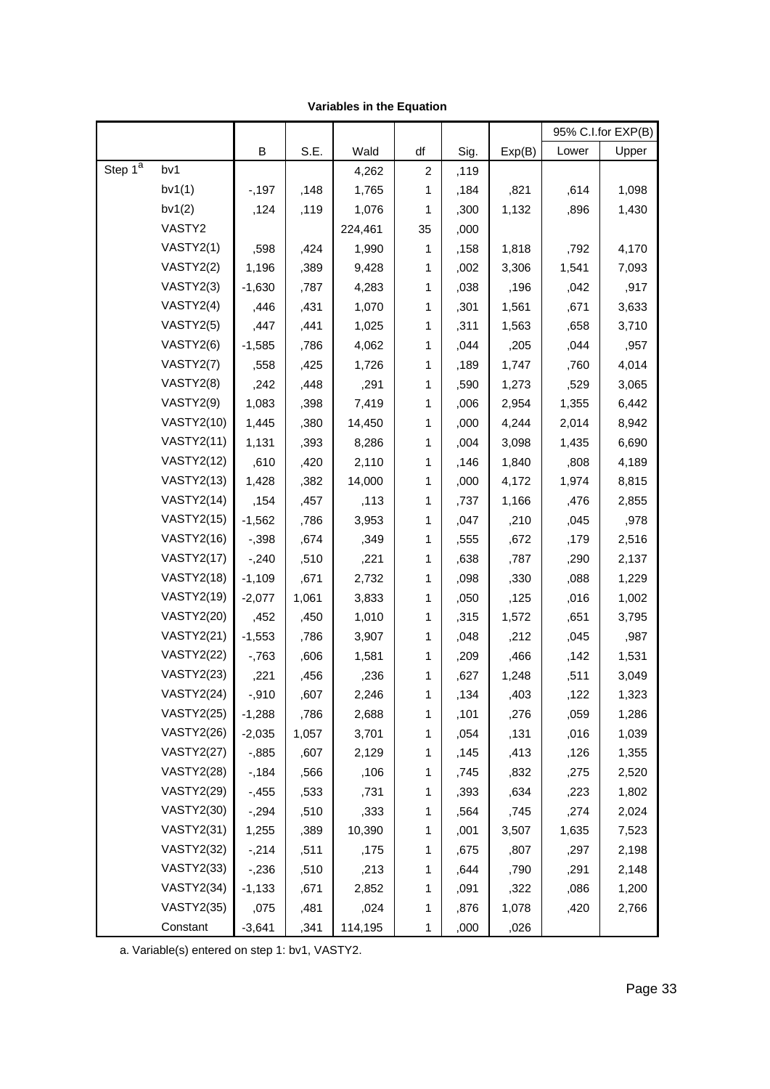|                     |                   |          |       |         |              |      |        |       | 95% C.I.for EXP(B) |
|---------------------|-------------------|----------|-------|---------|--------------|------|--------|-------|--------------------|
|                     |                   | B        | S.E.  | Wald    | df           | Sig. | Exp(B) | Lower | Upper              |
| Step 1 <sup>a</sup> | bv1               |          |       | 4,262   | 2            | ,119 |        |       |                    |
|                     | bv1(1)            | $-197$   | ,148  | 1,765   | 1            | ,184 | ,821   | ,614  | 1,098              |
|                     | bv1(2)            | ,124     | ,119  | 1,076   | 1            | ,300 | 1,132  | ,896  | 1,430              |
|                     | VASTY2            |          |       | 224,461 | 35           | ,000 |        |       |                    |
|                     | VASTY2(1)         | ,598     | ,424  | 1,990   | 1            | ,158 | 1,818  | ,792  | 4,170              |
|                     | VASTY2(2)         | 1,196    | ,389  | 9,428   | 1            | ,002 | 3,306  | 1,541 | 7,093              |
|                     | VASTY2(3)         | $-1,630$ | ,787  | 4,283   | 1            | ,038 | ,196   | ,042  | ,917               |
|                     | VASTY2(4)         | ,446     | ,431  | 1,070   | 1            | ,301 | 1,561  | ,671  | 3,633              |
|                     | VASTY2(5)         | ,447     | ,441  | 1,025   | 1            | ,311 | 1,563  | ,658  | 3,710              |
|                     | VASTY2(6)         | $-1,585$ | ,786  | 4,062   | 1            | ,044 | ,205   | ,044  | ,957               |
|                     | VASTY2(7)         | ,558     | ,425  | 1,726   | 1            | ,189 | 1,747  | ,760  | 4,014              |
|                     | VASTY2(8)         | ,242     | ,448  | ,291    | 1            | ,590 | 1,273  | ,529  | 3,065              |
|                     | VASTY2(9)         | 1,083    | ,398  | 7,419   | 1            | ,006 | 2,954  | 1,355 | 6,442              |
|                     | <b>VASTY2(10)</b> | 1,445    | ,380  | 14,450  | 1            | ,000 | 4,244  | 2,014 | 8,942              |
|                     | <b>VASTY2(11)</b> | 1,131    | ,393  | 8,286   | 1            | ,004 | 3,098  | 1,435 | 6,690              |
|                     | <b>VASTY2(12)</b> | ,610     | ,420  | 2,110   | 1            | ,146 | 1,840  | ,808  | 4,189              |
|                     | <b>VASTY2(13)</b> | 1,428    | ,382  | 14,000  | 1            | ,000 | 4,172  | 1,974 | 8,815              |
|                     | <b>VASTY2(14)</b> | ,154     | ,457  | ,113    | 1            | ,737 | 1,166  | ,476  | 2,855              |
|                     | <b>VASTY2(15)</b> | $-1,562$ | ,786  | 3,953   | 1            | ,047 | ,210   | ,045  | ,978               |
|                     | <b>VASTY2(16)</b> | $-0.398$ | ,674  | ,349    | 1            | ,555 | ,672   | ,179  | 2,516              |
|                     | <b>VASTY2(17)</b> | $-240$   | ,510  | ,221    | 1            | ,638 | ,787   | ,290  | 2,137              |
|                     | <b>VASTY2(18)</b> | $-1,109$ | ,671  | 2,732   | 1            | ,098 | ,330   | ,088  | 1,229              |
|                     | <b>VASTY2(19)</b> | $-2,077$ | 1,061 | 3,833   | 1            | ,050 | ,125   | ,016  | 1,002              |
|                     | <b>VASTY2(20)</b> | ,452     | ,450  | 1,010   | 1            | ,315 | 1,572  | ,651  | 3,795              |
|                     | <b>VASTY2(21)</b> | $-1,553$ | ,786  | 3,907   | 1            | ,048 | ,212   | ,045  | ,987               |
|                     | <b>VASTY2(22)</b> | $-763$   | ,606  | 1,581   | 1            | ,209 | ,466   | ,142  | 1,531              |
|                     | <b>VASTY2(23)</b> | ,221     | ,456  | ,236    | 1            | ,627 | 1,248  | ,511  | 3,049              |
|                     | <b>VASTY2(24)</b> | $-0.910$ | ,607  | 2,246   | 1            | ,134 | ,403   | ,122  | 1,323              |
|                     | <b>VASTY2(25)</b> | $-1,288$ | ,786  | 2,688   | 1            | ,101 | ,276   | ,059  | 1,286              |
|                     | <b>VASTY2(26)</b> | $-2,035$ | 1,057 | 3,701   | 1            | ,054 | ,131   | ,016  | 1,039              |
|                     | <b>VASTY2(27)</b> | $-0.885$ | ,607  | 2,129   | 1            | ,145 | ,413   | ,126  | 1,355              |
|                     | <b>VASTY2(28)</b> | $-184$   | ,566  | ,106    | 1            | ,745 | ,832   | ,275  | 2,520              |
|                     | <b>VASTY2(29)</b> | $-0.455$ | ,533  | ,731    | 1            | ,393 | ,634   | ,223  | 1,802              |
|                     | <b>VASTY2(30)</b> | $-294$   | ,510  | ,333    | 1            | ,564 | ,745   | ,274  | 2,024              |
|                     | <b>VASTY2(31)</b> | 1,255    | ,389  | 10,390  | 1            | ,001 | 3,507  | 1,635 | 7,523              |
|                     | <b>VASTY2(32)</b> | $-214$   | ,511  | ,175    | 1            | ,675 | ,807   | ,297  | 2,198              |
|                     | <b>VASTY2(33)</b> | $-236$   | ,510  | ,213    | 1            | ,644 | ,790   | ,291  | 2,148              |
|                     | <b>VASTY2(34)</b> | $-1,133$ | ,671  | 2,852   | 1            | ,091 | ,322   | ,086  | 1,200              |
|                     | <b>VASTY2(35)</b> | ,075     | ,481  | ,024    | 1            | ,876 | 1,078  | ,420  | 2,766              |
|                     | Constant          | $-3,641$ | ,341  | 114,195 | $\mathbf{1}$ | ,000 | ,026   |       |                    |

**Variables in the Equation**

a. Variable(s) entered on step 1: bv1, VASTY2.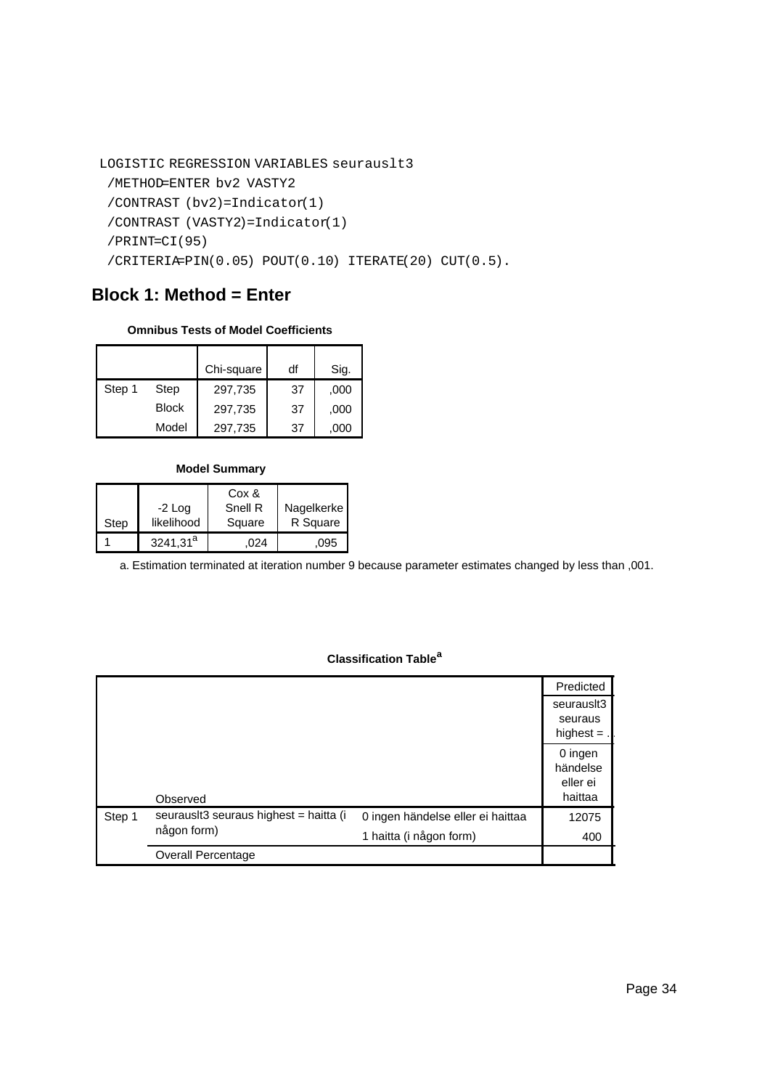```
LOGISTIC REGRESSION VARIABLES seurauslt3
 /METHOD=ENTER bv2 VASTY2
 /CONTRAST (bv2)=Indicator(1)
 /CONTRAST (VASTY2)=Indicator(1)
 /PRINT=CI(95)
 /CRITERIA=PIN(0.05) POUT(0.10) ITERATE(20) CUT(0.5).
```
# **Block 1: Method = Enter**

#### **Omnibus Tests of Model Coefficients**

|        |              | Chi-square | df | Sig. |
|--------|--------------|------------|----|------|
| Step 1 | Step         | 297,735    | 37 | ,000 |
|        | <b>Block</b> | 297,735    | 37 | ,000 |
|        | Model        | 297,735    | 37 | ,000 |

#### **Model Summary**

| Step | $-2$ Log<br>likelihood | Cox &<br>Snell R<br>Square | Nagelkerke<br>R Square |
|------|------------------------|----------------------------|------------------------|
|      | $3241,31^a$            | 024                        | .095                   |

a. Estimation terminated at iteration number 9 because parameter estimates changed by less than ,001.

|        |                                        |                                   | Predicted                                  |
|--------|----------------------------------------|-----------------------------------|--------------------------------------------|
|        |                                        |                                   | seurausit3                                 |
|        |                                        |                                   | seuraus                                    |
|        |                                        |                                   | highest $=$                                |
|        | Observed                               |                                   | 0 ingen<br>händelse<br>eller ei<br>haittaa |
| Step 1 | seurausit3 seuraus highest = haitta (i | 0 ingen händelse eller ei haittaa | 12075                                      |
|        | någon form)                            | 1 haitta (i någon form)           | 400                                        |
|        | <b>Overall Percentage</b>              |                                   |                                            |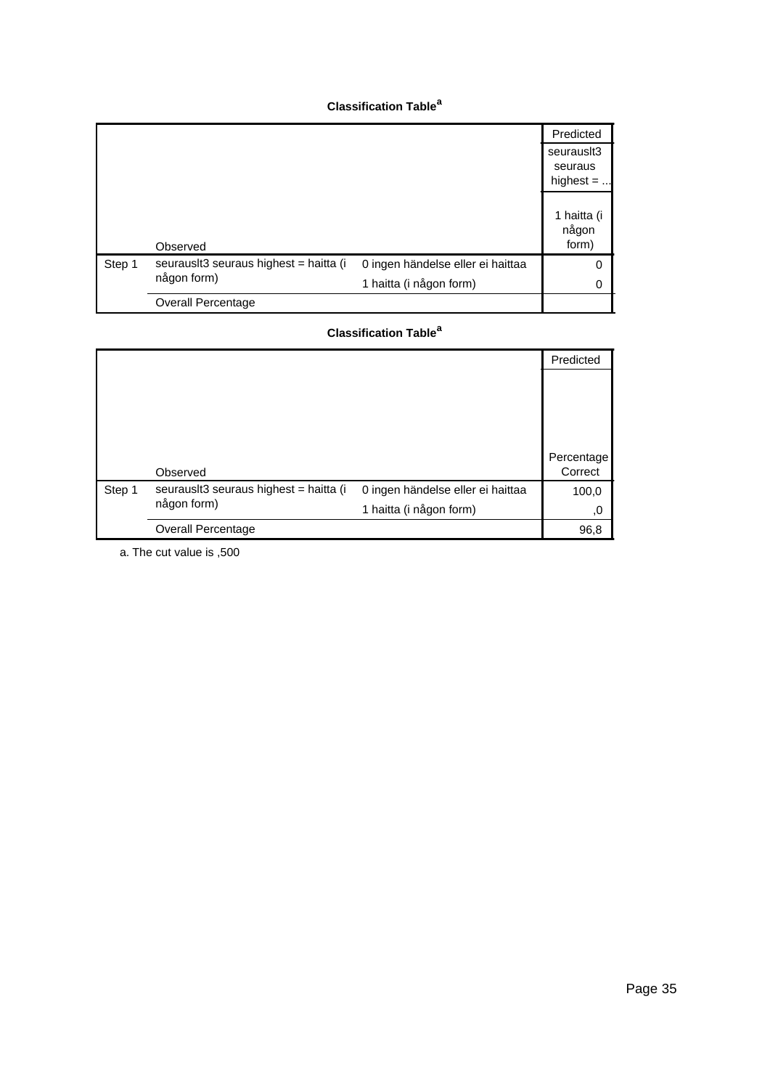|        |                                        |                                   | Predicted    |
|--------|----------------------------------------|-----------------------------------|--------------|
|        |                                        |                                   | seurausit3   |
|        |                                        |                                   | seuraus      |
|        |                                        |                                   | highest $= $ |
|        |                                        |                                   |              |
|        |                                        |                                   | 1 haitta (i  |
|        |                                        |                                   | någon        |
|        | Observed                               |                                   | form)        |
| Step 1 | seurausit3 seuraus highest = haitta (i | 0 ingen händelse eller ei haittaa | 0            |
|        | någon form)                            | 1 haitta (i någon form)           | 0            |
|        | Overall Percentage                     |                                   |              |

### **Classification Table<sup>a</sup>**

|        |                                        |                                   | Predicted  |
|--------|----------------------------------------|-----------------------------------|------------|
|        |                                        |                                   |            |
|        |                                        |                                   |            |
|        |                                        |                                   |            |
|        |                                        |                                   |            |
|        |                                        |                                   | Percentage |
|        | Observed                               |                                   | Correct    |
| Step 1 | seurauslt3 seuraus highest = haitta (i | 0 ingen händelse eller ei haittaa | 100,0      |
|        | någon form)                            | 1 haitta (i någon form)           | ,0         |
|        | <b>Overall Percentage</b>              |                                   | 96,8       |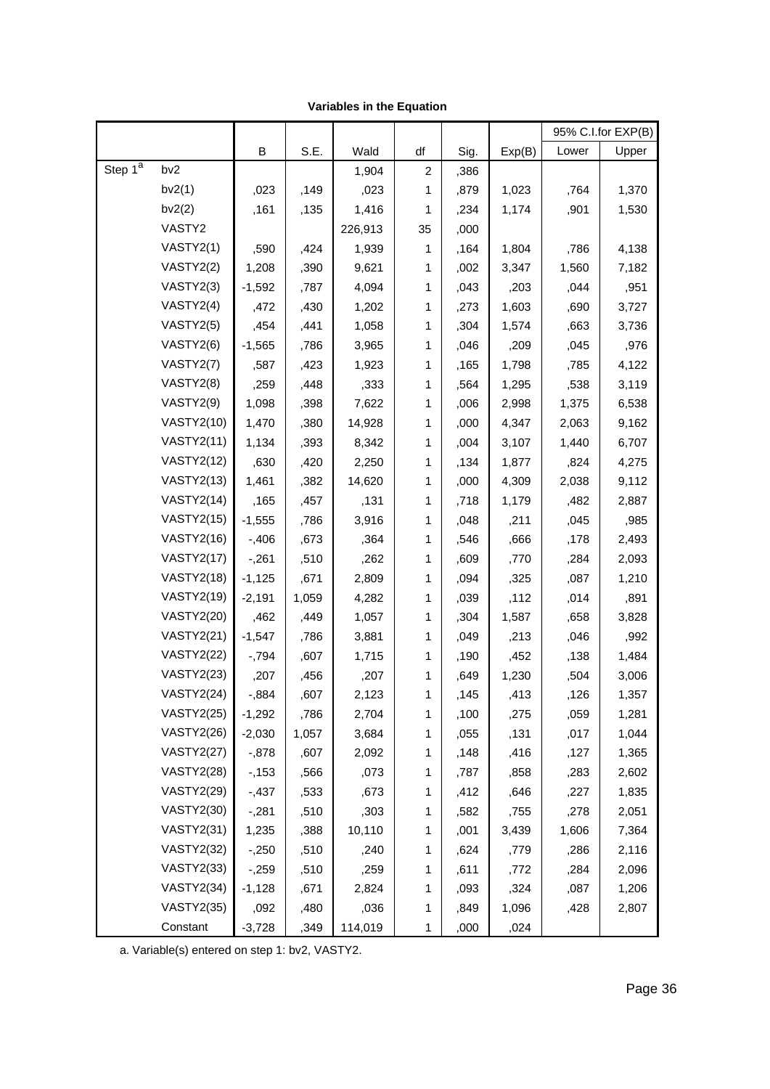|                     |                   |          |       |         |    |      |        |       | 95% C.I.for EXP(B) |
|---------------------|-------------------|----------|-------|---------|----|------|--------|-------|--------------------|
|                     |                   | В        | S.E.  | Wald    | df | Sig. | Exp(B) | Lower | Upper              |
| Step 1 <sup>a</sup> | bv <sub>2</sub>   |          |       | 1,904   | 2  | ,386 |        |       |                    |
|                     | bv2(1)            | ,023     | ,149  | ,023    | 1  | ,879 | 1,023  | ,764  | 1,370              |
|                     | bv2(2)            | ,161     | ,135  | 1,416   | 1  | ,234 | 1,174  | ,901  | 1,530              |
|                     | VASTY2            |          |       | 226,913 | 35 | ,000 |        |       |                    |
|                     | VASTY2(1)         | ,590     | ,424  | 1,939   | 1  | ,164 | 1,804  | ,786  | 4,138              |
|                     | VASTY2(2)         | 1,208    | ,390  | 9,621   | 1  | ,002 | 3,347  | 1,560 | 7,182              |
|                     | VASTY2(3)         | $-1,592$ | ,787  | 4,094   | 1  | ,043 | ,203   | ,044  | ,951               |
|                     | VASTY2(4)         | ,472     | ,430  | 1,202   | 1  | ,273 | 1,603  | ,690  | 3,727              |
|                     | VASTY2(5)         | ,454     | ,441  | 1,058   | 1  | ,304 | 1,574  | ,663  | 3,736              |
|                     | VASTY2(6)         | $-1,565$ | ,786  | 3,965   | 1  | ,046 | ,209   | ,045  | ,976               |
|                     | VASTY2(7)         | ,587     | ,423  | 1,923   | 1  | ,165 | 1,798  | ,785  | 4,122              |
|                     | VASTY2(8)         | ,259     | ,448  | ,333    | 1  | ,564 | 1,295  | ,538  | 3,119              |
|                     | VASTY2(9)         | 1,098    | ,398  | 7,622   | 1  | ,006 | 2,998  | 1,375 | 6,538              |
|                     | <b>VASTY2(10)</b> | 1,470    | ,380  | 14,928  | 1  | ,000 | 4,347  | 2,063 | 9,162              |
|                     | <b>VASTY2(11)</b> | 1,134    | ,393  | 8,342   | 1  | ,004 | 3,107  | 1,440 | 6,707              |
|                     | <b>VASTY2(12)</b> | ,630     | ,420  | 2,250   | 1  | ,134 | 1,877  | ,824  | 4,275              |
|                     | <b>VASTY2(13)</b> | 1,461    | ,382  | 14,620  | 1  | ,000 | 4,309  | 2,038 | 9,112              |
|                     | <b>VASTY2(14)</b> | ,165     | ,457  | ,131    | 1  | ,718 | 1,179  | ,482  | 2,887              |
|                     | <b>VASTY2(15)</b> | $-1,555$ | ,786  | 3,916   | 1  | ,048 | ,211   | ,045  | ,985               |
|                     | <b>VASTY2(16)</b> | $-0.406$ | ,673  | ,364    | 1  | ,546 | ,666   | ,178  | 2,493              |
|                     | <b>VASTY2(17)</b> | $-261$   | ,510  | ,262    | 1  | ,609 | ,770   | ,284  | 2,093              |
|                     | <b>VASTY2(18)</b> | $-1,125$ | ,671  | 2,809   | 1  | ,094 | ,325   | ,087  | 1,210              |
|                     | <b>VASTY2(19)</b> | $-2,191$ | 1,059 | 4,282   | 1  | ,039 | ,112   | ,014  | ,891               |
|                     | <b>VASTY2(20)</b> | ,462     | ,449  | 1,057   | 1  | ,304 | 1,587  | ,658  | 3,828              |
|                     | <b>VASTY2(21)</b> | $-1,547$ | ,786  | 3,881   | 1  | ,049 | ,213   | ,046  | ,992               |
|                     | <b>VASTY2(22)</b> | $-794$   | ,607  | 1,715   | 1  | ,190 | ,452   | ,138  | 1,484              |
|                     | <b>VASTY2(23)</b> | ,207     | ,456  | ,207    | 1  | ,649 | 1,230  | ,504  | 3,006              |
|                     | <b>VASTY2(24)</b> | $-0.884$ | ,607  | 2,123   | 1  | ,145 | ,413   | ,126  | 1,357              |
|                     | <b>VASTY2(25)</b> | $-1,292$ | ,786  | 2,704   | 1  | ,100 | ,275   | ,059  | 1,281              |
|                     | <b>VASTY2(26)</b> | $-2,030$ | 1,057 | 3,684   | 1  | ,055 | ,131   | ,017  | 1,044              |
|                     | <b>VASTY2(27)</b> | $-0.878$ | ,607  | 2,092   | 1  | ,148 | ,416   | ,127  | 1,365              |
|                     | <b>VASTY2(28)</b> | $-153$   | ,566  | ,073    | 1  | ,787 | ,858   | ,283  | 2,602              |
|                     | <b>VASTY2(29)</b> | $-437$   | ,533  | ,673    | 1  | ,412 | ,646   | ,227  | 1,835              |
|                     | <b>VASTY2(30)</b> | $-281$   | ,510  | ,303    | 1  | ,582 | ,755   | ,278  | 2,051              |
|                     | <b>VASTY2(31)</b> | 1,235    | ,388  | 10,110  | 1  | ,001 | 3,439  | 1,606 | 7,364              |
|                     | <b>VASTY2(32)</b> | $-250$   | ,510  | ,240    | 1  | ,624 | ,779   | ,286  | 2,116              |
|                     | <b>VASTY2(33)</b> | $-259$   | ,510  | ,259    | 1  | ,611 | ,772   | ,284  | 2,096              |
|                     | <b>VASTY2(34)</b> | $-1,128$ | ,671  | 2,824   | 1  | ,093 | ,324   | ,087  | 1,206              |
|                     | <b>VASTY2(35)</b> | ,092     | ,480  | ,036    | 1  | ,849 | 1,096  | ,428  | 2,807              |
|                     | Constant          | $-3,728$ | ,349  | 114,019 | 1  | ,000 | ,024   |       |                    |

**Variables in the Equation**

a. Variable(s) entered on step 1: bv2, VASTY2.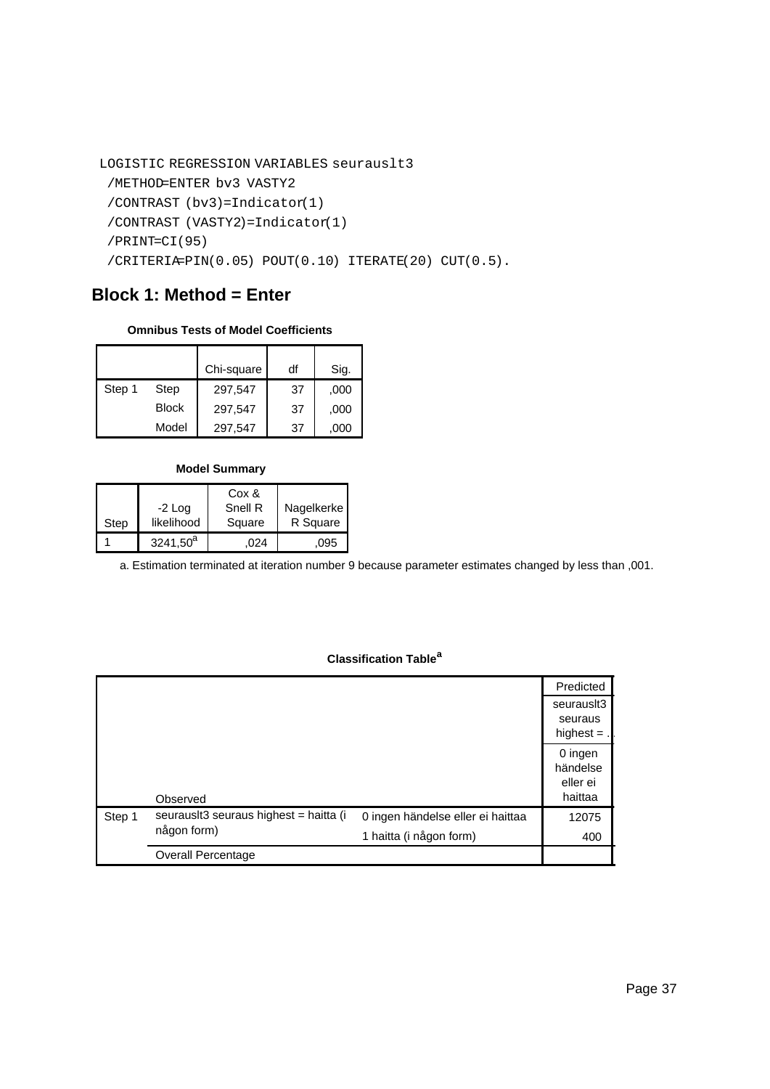```
LOGISTIC REGRESSION VARIABLES seurauslt3
 /METHOD=ENTER bv3 VASTY2
 /CONTRAST (bv3)=Indicator(1)
 /CONTRAST (VASTY2)=Indicator(1)
 /PRINT=CI(95)
 /CRITERIA=PIN(0.05) POUT(0.10) ITERATE(20) CUT(0.5).
```
# **Block 1: Method = Enter**

#### **Omnibus Tests of Model Coefficients**

|        |              | Chi-square | df | Sig. |
|--------|--------------|------------|----|------|
| Step 1 | Step         | 297,547    | 37 | ,000 |
|        | <b>Block</b> | 297,547    | 37 | ,000 |
|        | Model        | 297,547    | 37 | .000 |

#### **Model Summary**

| Step | $-2$ Log<br>likelihood | Cox &<br>Snell R<br>Square | Nagelkerke<br>R Square |
|------|------------------------|----------------------------|------------------------|
|      | $3241,50^a$            | 024                        | .095                   |

a. Estimation terminated at iteration number 9 because parameter estimates changed by less than ,001.

|        |                                                       |                                   | Predicted                                  |
|--------|-------------------------------------------------------|-----------------------------------|--------------------------------------------|
|        |                                                       |                                   | seurausit3                                 |
|        |                                                       |                                   | seuraus                                    |
|        |                                                       |                                   | highest $=$                                |
|        | Observed                                              |                                   | 0 ingen<br>händelse<br>eller ei<br>haittaa |
| Step 1 | seurausit3 seuraus highest = haitta (i<br>någon form) | 0 ingen händelse eller ei haittaa | 12075                                      |
|        |                                                       | 1 haitta (i någon form)           | 400                                        |
|        | <b>Overall Percentage</b>                             |                                   |                                            |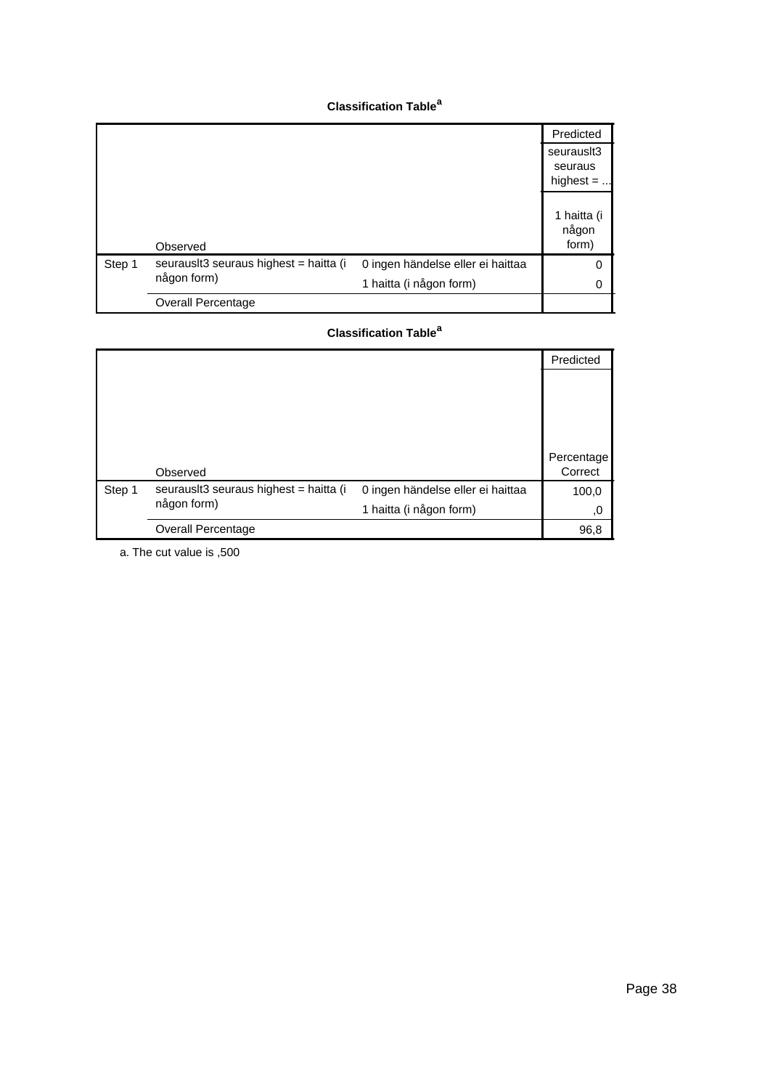|        |                                                       |                                   | Predicted    |
|--------|-------------------------------------------------------|-----------------------------------|--------------|
|        |                                                       |                                   | seurausit3   |
|        |                                                       |                                   | seuraus      |
|        |                                                       |                                   | highest $= $ |
|        |                                                       |                                   |              |
|        |                                                       |                                   | 1 haitta (i  |
|        |                                                       |                                   | någon        |
|        | Observed                                              |                                   | form)        |
| Step 1 | seurausit3 seuraus highest = haitta (i<br>någon form) | 0 ingen händelse eller ei haittaa | 0            |
|        |                                                       | 1 haitta (i någon form)           | 0            |
|        | Overall Percentage                                    |                                   |              |

### **Classification Table<sup>a</sup>**

|        |                                        |                                   | Predicted  |
|--------|----------------------------------------|-----------------------------------|------------|
|        |                                        |                                   |            |
|        |                                        |                                   |            |
|        |                                        |                                   |            |
|        |                                        |                                   |            |
|        |                                        |                                   | Percentage |
|        | Observed                               |                                   | Correct    |
| Step 1 | seurauslt3 seuraus highest = haitta (i | 0 ingen händelse eller ei haittaa | 100,0      |
|        | någon form)                            | 1 haitta (i någon form)           | ,0         |
|        | <b>Overall Percentage</b>              |                                   | 96,8       |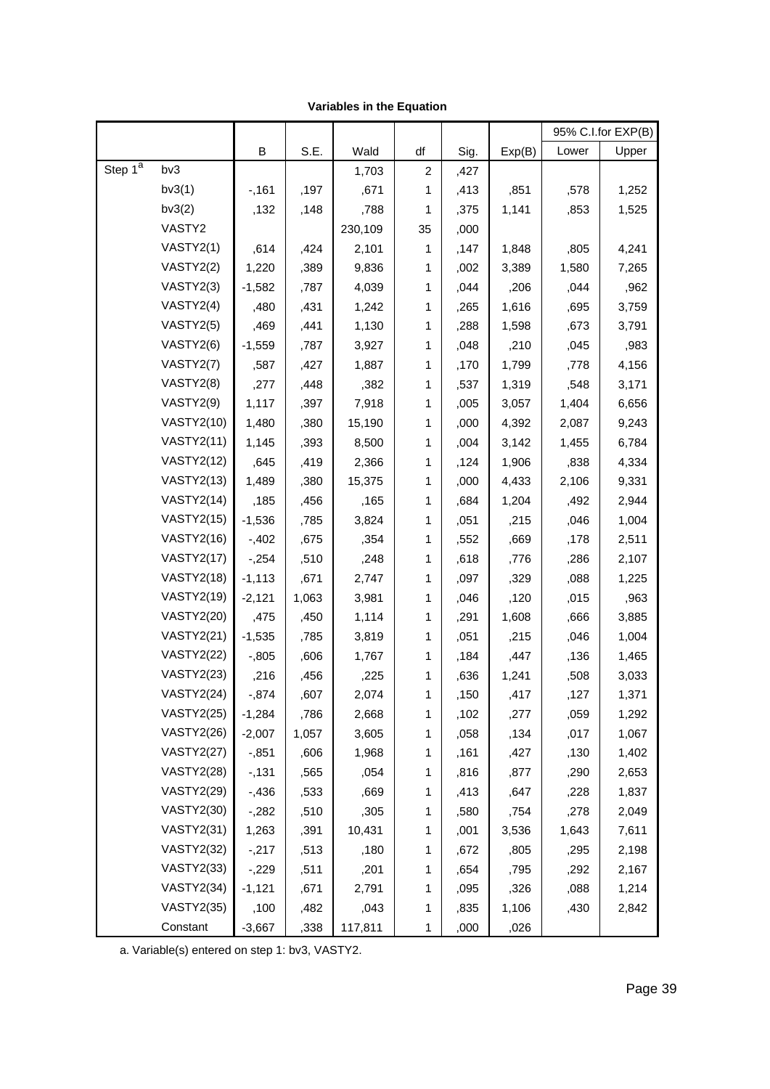|                     |                   |          |       |         |              |      |        |       | 95% C.I.for EXP(B) |
|---------------------|-------------------|----------|-------|---------|--------------|------|--------|-------|--------------------|
|                     |                   | B        | S.E.  | Wald    | df           | Sig. | Exp(B) | Lower | Upper              |
| Step 1 <sup>a</sup> | bv3               |          |       | 1,703   | 2            | ,427 |        |       |                    |
|                     | bv3(1)            | $-161$   | ,197  | ,671    | 1            | ,413 | ,851   | ,578  | 1,252              |
|                     | bv3(2)            | ,132     | ,148  | ,788    | 1            | ,375 | 1,141  | ,853  | 1,525              |
|                     | VASTY2            |          |       | 230,109 | 35           | ,000 |        |       |                    |
|                     | VASTY2(1)         | ,614     | ,424  | 2,101   | 1            | ,147 | 1,848  | ,805  | 4,241              |
|                     | VASTY2(2)         | 1,220    | ,389  | 9,836   | 1            | ,002 | 3,389  | 1,580 | 7,265              |
|                     | VASTY2(3)         | $-1,582$ | ,787  | 4,039   | 1            | ,044 | ,206   | ,044  | ,962               |
|                     | VASTY2(4)         | ,480     | ,431  | 1,242   | 1            | ,265 | 1,616  | ,695  | 3,759              |
|                     | VASTY2(5)         | ,469     | ,441  | 1,130   | 1            | ,288 | 1,598  | ,673  | 3,791              |
|                     | VASTY2(6)         | $-1,559$ | ,787  | 3,927   | 1            | ,048 | ,210   | ,045  | ,983               |
|                     | VASTY2(7)         | ,587     | ,427  | 1,887   | 1            | ,170 | 1,799  | ,778  | 4,156              |
|                     | VASTY2(8)         | ,277     | ,448  | ,382    | 1            | ,537 | 1,319  | ,548  | 3,171              |
|                     | VASTY2(9)         | 1,117    | ,397  | 7,918   | 1            | ,005 | 3,057  | 1,404 | 6,656              |
|                     | <b>VASTY2(10)</b> | 1,480    | ,380  | 15,190  | 1            | ,000 | 4,392  | 2,087 | 9,243              |
|                     | <b>VASTY2(11)</b> | 1,145    | ,393  | 8,500   | 1            | ,004 | 3,142  | 1,455 | 6,784              |
|                     | <b>VASTY2(12)</b> | ,645     | ,419  | 2,366   | 1            | ,124 | 1,906  | ,838  | 4,334              |
|                     | <b>VASTY2(13)</b> | 1,489    | ,380  | 15,375  | 1            | ,000 | 4,433  | 2,106 | 9,331              |
|                     | <b>VASTY2(14)</b> | ,185     | ,456  | ,165    | 1            | ,684 | 1,204  | ,492  | 2,944              |
|                     | <b>VASTY2(15)</b> | $-1,536$ | ,785  | 3,824   | 1            | ,051 | ,215   | ,046  | 1,004              |
|                     | <b>VASTY2(16)</b> | $-0.402$ | ,675  | ,354    | 1            | ,552 | ,669   | ,178  | 2,511              |
|                     | <b>VASTY2(17)</b> | $-254$   | ,510  | ,248    | 1            | ,618 | ,776   | ,286  | 2,107              |
|                     | <b>VASTY2(18)</b> | $-1,113$ | ,671  | 2,747   | 1            | ,097 | ,329   | ,088  | 1,225              |
|                     | <b>VASTY2(19)</b> | $-2,121$ | 1,063 | 3,981   | 1            | ,046 | ,120   | ,015  | ,963               |
|                     | <b>VASTY2(20)</b> | ,475     | ,450  | 1,114   | 1            | ,291 | 1,608  | ,666  | 3,885              |
|                     | <b>VASTY2(21)</b> | $-1,535$ | ,785  | 3,819   | 1            | ,051 | ,215   | ,046  | 1,004              |
|                     | <b>VASTY2(22)</b> | $-0.805$ | ,606  | 1,767   | 1            | ,184 | ,447   | ,136  | 1,465              |
|                     | <b>VASTY2(23)</b> | ,216     | ,456  | ,225    | 1            | ,636 | 1,241  | ,508  | 3,033              |
|                     | <b>VASTY2(24)</b> | $-0.874$ | ,607  | 2,074   | 1            | ,150 | ,417   | ,127  | 1,371              |
|                     | <b>VASTY2(25)</b> | $-1,284$ | ,786  | 2,668   | 1            | ,102 | ,277   | ,059  | 1,292              |
|                     | <b>VASTY2(26)</b> | $-2,007$ | 1,057 | 3,605   | 1            | ,058 | ,134   | ,017  | 1,067              |
|                     | <b>VASTY2(27)</b> | $-0.851$ | ,606  | 1,968   | 1            | ,161 | ,427   | ,130  | 1,402              |
|                     | <b>VASTY2(28)</b> | $-131$   | ,565  | ,054    | 1            | ,816 | ,877   | ,290  | 2,653              |
|                     | <b>VASTY2(29)</b> | $-0.436$ | ,533  | ,669    | 1            | ,413 | ,647   | ,228  | 1,837              |
|                     | <b>VASTY2(30)</b> | $-282$   | ,510  | ,305    | 1            | ,580 | ,754   | ,278  | 2,049              |
|                     | <b>VASTY2(31)</b> | 1,263    | ,391  | 10,431  | 1            | ,001 | 3,536  | 1,643 | 7,611              |
|                     | <b>VASTY2(32)</b> | $-217$   | ,513  | ,180    | 1            | ,672 | ,805   | ,295  | 2,198              |
|                     | <b>VASTY2(33)</b> | $-229$   | ,511  | ,201    | 1            | ,654 | ,795   | ,292  | 2,167              |
|                     | <b>VASTY2(34)</b> | $-1,121$ | ,671  | 2,791   | 1            | ,095 | ,326   | ,088  | 1,214              |
|                     | <b>VASTY2(35)</b> | ,100     | ,482  | ,043    | 1            | ,835 | 1,106  | ,430  | 2,842              |
|                     | Constant          | $-3,667$ | ,338  | 117,811 | $\mathbf{1}$ | ,000 | ,026   |       |                    |

**Variables in the Equation**

a. Variable(s) entered on step 1: bv3, VASTY2.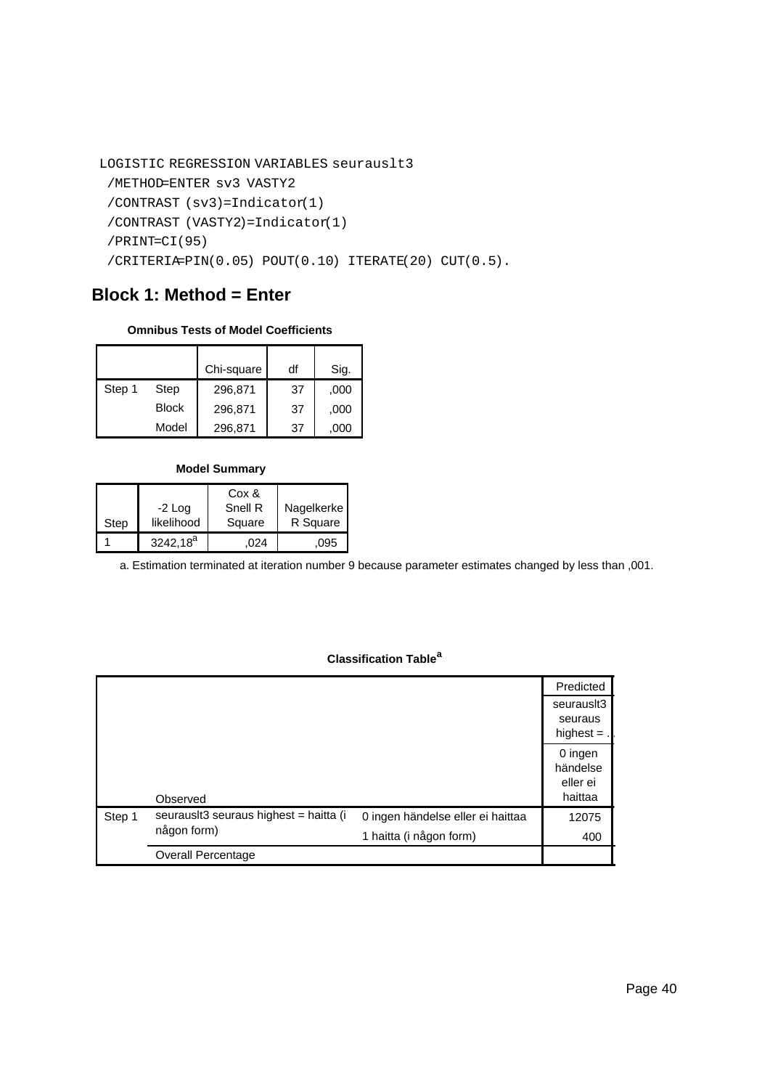```
LOGISTIC REGRESSION VARIABLES seurauslt3
 /METHOD=ENTER sv3 VASTY2
 /CONTRAST (sv3)=Indicator(1)
 /CONTRAST (VASTY2)=Indicator(1)
 /PRINT=CI(95)
```
# /CRITERIA=PIN(0.05) POUT(0.10) ITERATE(20) CUT(0.5).

# **Block 1: Method = Enter**

#### **Omnibus Tests of Model Coefficients**

|        |              | Chi-square | df | Sig. |
|--------|--------------|------------|----|------|
| Step 1 | Step         | 296,871    | 37 | ,000 |
|        | <b>Block</b> | 296,871    | 37 | ,000 |
|        | Model        | 296,871    | 37 | .000 |

#### **Model Summary**

| Step | $-2$ Log<br>likelihood | Cox &<br>Snell R<br>Square | Nagelkerke<br>R Square |
|------|------------------------|----------------------------|------------------------|
|      | $3242,18^a$            | 024                        | 095                    |

a. Estimation terminated at iteration number 9 because parameter estimates changed by less than ,001.

|        |                                        |                                   | Predicted                                  |
|--------|----------------------------------------|-----------------------------------|--------------------------------------------|
|        |                                        |                                   | seurausit3                                 |
|        |                                        |                                   | seuraus                                    |
|        |                                        |                                   | highest $=$ .                              |
|        | Observed                               |                                   | 0 ingen<br>händelse<br>eller ei<br>haittaa |
| Step 1 | seurauslt3 seuraus highest = haitta (i | 0 ingen händelse eller ei haittaa | 12075                                      |
|        | någon form)                            | 1 haitta (i någon form)           | 400                                        |
|        | Overall Percentage                     |                                   |                                            |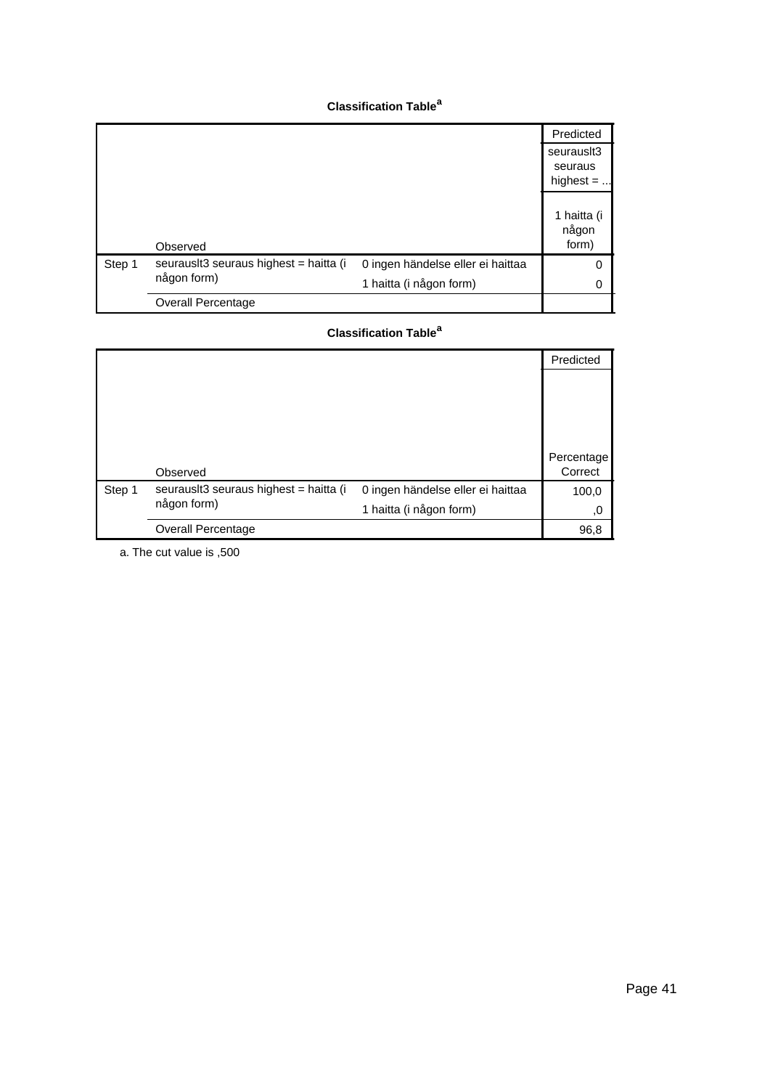|        |                                                       |                                   | Predicted    |
|--------|-------------------------------------------------------|-----------------------------------|--------------|
|        |                                                       |                                   | seurausit3   |
|        |                                                       |                                   | seuraus      |
|        |                                                       |                                   | highest $= $ |
|        |                                                       |                                   |              |
|        |                                                       |                                   | 1 haitta (i  |
|        |                                                       |                                   | någon        |
|        | Observed                                              |                                   | form)        |
| Step 1 | seurausit3 seuraus highest = haitta (i<br>någon form) | 0 ingen händelse eller ei haittaa | 0            |
|        |                                                       | 1 haitta (i någon form)           | 0            |
|        | Overall Percentage                                    |                                   |              |

### **Classification Table<sup>a</sup>**

|        |                                        |                                   | Predicted  |
|--------|----------------------------------------|-----------------------------------|------------|
|        |                                        |                                   |            |
|        |                                        |                                   |            |
|        |                                        |                                   |            |
|        |                                        |                                   |            |
|        |                                        |                                   | Percentage |
|        | Observed                               |                                   | Correct    |
| Step 1 | seurauslt3 seuraus highest = haitta (i | 0 ingen händelse eller ei haittaa | 100,0      |
|        | någon form)                            | 1 haitta (i någon form)           | ,0         |
|        | <b>Overall Percentage</b>              |                                   | 96,8       |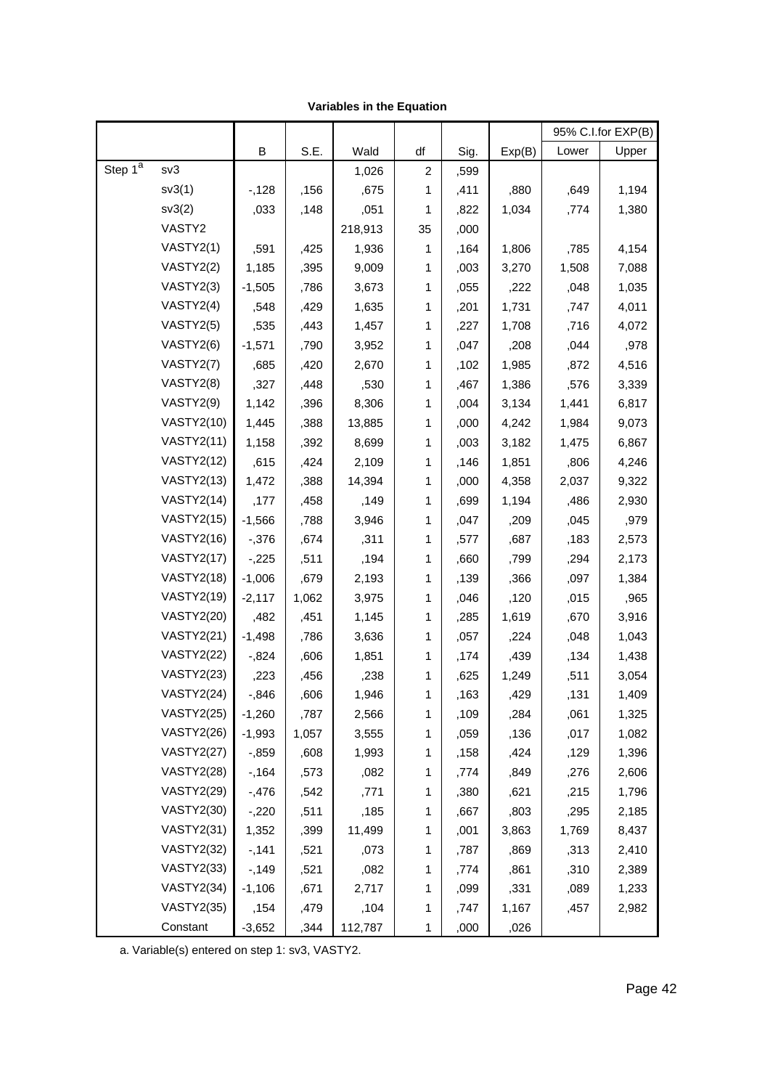|                     |                   |          |       |         |              |      |        |       | 95% C.I.for EXP(B) |
|---------------------|-------------------|----------|-------|---------|--------------|------|--------|-------|--------------------|
|                     |                   | B        | S.E.  | Wald    | df           | Sig. | Exp(B) | Lower | Upper              |
| Step 1 <sup>a</sup> | sv3               |          |       | 1,026   | 2            | ,599 |        |       |                    |
|                     | sv3(1)            | $-128$   | ,156  | ,675    | 1            | ,411 | ,880   | ,649  | 1,194              |
|                     | sv3(2)            | ,033     | ,148  | ,051    | 1            | ,822 | 1,034  | ,774  | 1,380              |
|                     | VASTY2            |          |       | 218,913 | 35           | ,000 |        |       |                    |
|                     | VASTY2(1)         | ,591     | ,425  | 1,936   | 1            | ,164 | 1,806  | ,785  | 4,154              |
|                     | VASTY2(2)         | 1,185    | ,395  | 9,009   | 1            | ,003 | 3,270  | 1,508 | 7,088              |
|                     | VASTY2(3)         | $-1,505$ | ,786  | 3,673   | 1            | ,055 | ,222   | ,048  | 1,035              |
|                     | VASTY2(4)         | ,548     | ,429  | 1,635   | 1            | ,201 | 1,731  | ,747  | 4,011              |
|                     | VASTY2(5)         | ,535     | ,443  | 1,457   | 1            | ,227 | 1,708  | ,716  | 4,072              |
|                     | VASTY2(6)         | $-1,571$ | ,790  | 3,952   | 1            | ,047 | ,208   | ,044  | ,978               |
|                     | VASTY2(7)         | ,685     | ,420  | 2,670   | 1            | ,102 | 1,985  | ,872  | 4,516              |
|                     | VASTY2(8)         | ,327     | ,448  | ,530    | 1            | ,467 | 1,386  | ,576  | 3,339              |
|                     | VASTY2(9)         | 1,142    | ,396  | 8,306   | 1            | ,004 | 3,134  | 1,441 | 6,817              |
|                     | <b>VASTY2(10)</b> | 1,445    | ,388  | 13,885  | 1            | ,000 | 4,242  | 1,984 | 9,073              |
|                     | <b>VASTY2(11)</b> | 1,158    | ,392  | 8,699   | 1            | ,003 | 3,182  | 1,475 | 6,867              |
|                     | <b>VASTY2(12)</b> | ,615     | ,424  | 2,109   | 1            | ,146 | 1,851  | ,806  | 4,246              |
|                     | <b>VASTY2(13)</b> | 1,472    | ,388  | 14,394  | 1            | ,000 | 4,358  | 2,037 | 9,322              |
|                     | <b>VASTY2(14)</b> | ,177     | ,458  | ,149    | 1            | ,699 | 1,194  | ,486  | 2,930              |
|                     | <b>VASTY2(15)</b> | $-1,566$ | ,788  | 3,946   | 1            | ,047 | ,209   | ,045  | ,979               |
|                     | <b>VASTY2(16)</b> | $-0.376$ | ,674  | ,311    | 1            | ,577 | ,687   | ,183  | 2,573              |
|                     | <b>VASTY2(17)</b> | $-225$   | ,511  | ,194    | 1            | ,660 | ,799   | ,294  | 2,173              |
|                     | <b>VASTY2(18)</b> | $-1,006$ | ,679  | 2,193   | 1            | ,139 | ,366   | ,097  | 1,384              |
|                     | <b>VASTY2(19)</b> | $-2,117$ | 1,062 | 3,975   | 1            | ,046 | ,120   | ,015  | ,965               |
|                     | <b>VASTY2(20)</b> | ,482     | ,451  | 1,145   | 1            | ,285 | 1,619  | ,670  | 3,916              |
|                     | <b>VASTY2(21)</b> | $-1,498$ | ,786  | 3,636   | 1            | ,057 | ,224   | ,048  | 1,043              |
|                     | <b>VASTY2(22)</b> | $-0.824$ | ,606  | 1,851   | 1            | ,174 | ,439   | ,134  | 1,438              |
|                     | <b>VASTY2(23)</b> | ,223     | ,456  | ,238    | 1            | ,625 | 1,249  | ,511  | 3,054              |
|                     | <b>VASTY2(24)</b> | $-0.846$ | ,606  | 1,946   | 1            | ,163 | ,429   | ,131  | 1,409              |
|                     | <b>VASTY2(25)</b> | $-1,260$ | ,787  | 2,566   | 1            | ,109 | ,284   | ,061  | 1,325              |
|                     | <b>VASTY2(26)</b> | $-1,993$ | 1,057 | 3,555   | 1            | ,059 | ,136   | ,017  | 1,082              |
|                     | <b>VASTY2(27)</b> | $-0.859$ | ,608  | 1,993   | 1            | ,158 | ,424   | ,129  | 1,396              |
|                     | <b>VASTY2(28)</b> | $-164$   | ,573  | ,082    | 1            | ,774 | ,849   | ,276  | 2,606              |
|                     | <b>VASTY2(29)</b> | $-476$   | ,542  | ,771    | 1            | ,380 | ,621   | ,215  | 1,796              |
|                     | <b>VASTY2(30)</b> | $-220$   | ,511  | ,185    | 1            | ,667 | ,803   | ,295  | 2,185              |
|                     | <b>VASTY2(31)</b> | 1,352    | ,399  | 11,499  | 1            | ,001 | 3,863  | 1,769 | 8,437              |
|                     | <b>VASTY2(32)</b> | $-141$   | ,521  | ,073    | 1            | ,787 | ,869   | ,313  | 2,410              |
|                     | <b>VASTY2(33)</b> | $-149$   | ,521  | ,082    | 1            | ,774 | ,861   | ,310  | 2,389              |
|                     | <b>VASTY2(34)</b> | $-1,106$ | ,671  | 2,717   | 1            | ,099 | ,331   | ,089  | 1,233              |
|                     | <b>VASTY2(35)</b> | ,154     | ,479  | ,104    | 1            | ,747 | 1,167  | ,457  | 2,982              |
|                     | Constant          | $-3,652$ | ,344  | 112,787 | $\mathbf{1}$ | ,000 | ,026   |       |                    |

**Variables in the Equation**

a. Variable(s) entered on step 1: sv3, VASTY2.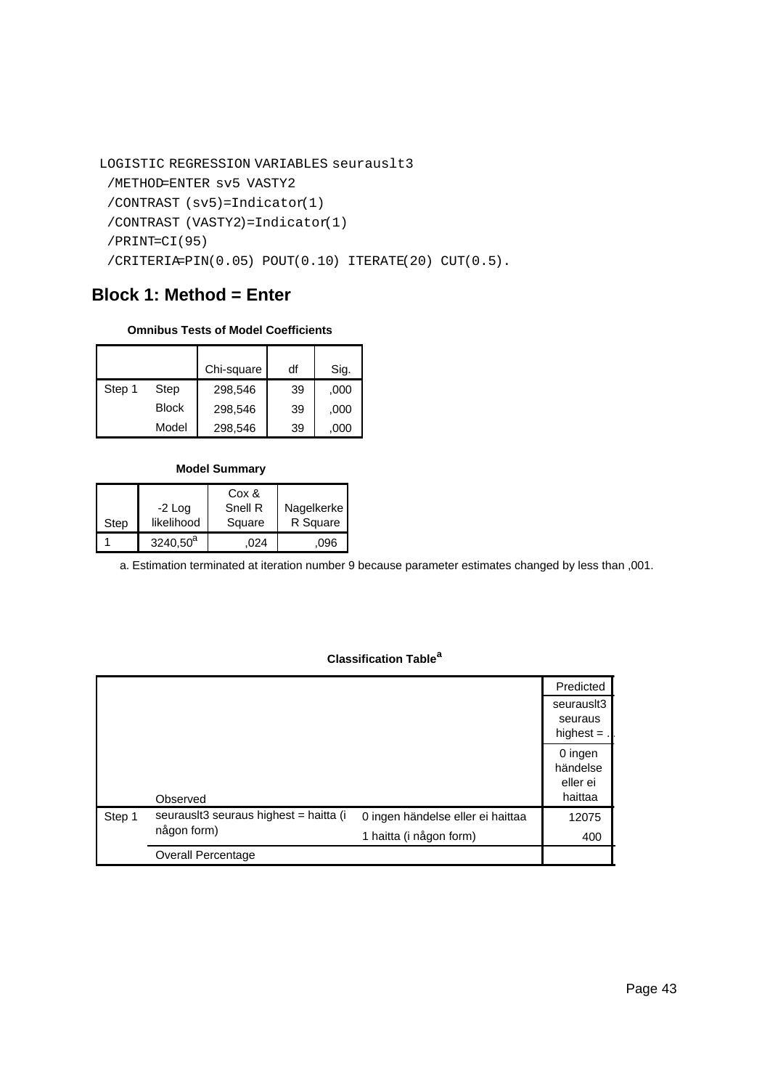```
LOGISTIC REGRESSION VARIABLES seurauslt3
 /METHOD=ENTER sv5 VASTY2
 /CONTRAST (sv5)=Indicator(1)
 /CONTRAST (VASTY2)=Indicator(1)
 /PRINT=CI(95)
 /CRITERIA=PIN(0.05) POUT(0.10) ITERATE(20) CUT(0.5).
```
# **Block 1: Method = Enter**

#### **Omnibus Tests of Model Coefficients**

|        |              | Chi-square | df | Sig. |
|--------|--------------|------------|----|------|
| Step 1 | Step         | 298,546    | 39 | ,000 |
|        | <b>Block</b> | 298,546    | 39 | ,000 |
|        | Model        | 298,546    | 39 | .000 |

#### **Model Summary**

| Step | $-2$ Log<br>likelihood | Cox &<br>Snell R<br>Square | Nagelkerke<br>R Square |
|------|------------------------|----------------------------|------------------------|
|      | $3240,50^a$            | 024                        | .096                   |

a. Estimation terminated at iteration number 9 because parameter estimates changed by less than ,001.

|        |                                                       |                                   | Predicted                                  |
|--------|-------------------------------------------------------|-----------------------------------|--------------------------------------------|
|        |                                                       |                                   | seurausit3                                 |
|        |                                                       |                                   | seuraus                                    |
|        |                                                       |                                   | highest $=$                                |
|        | Observed                                              |                                   | 0 ingen<br>händelse<br>eller ei<br>haittaa |
| Step 1 | seurausit3 seuraus highest = haitta (i<br>någon form) | 0 ingen händelse eller ei haittaa | 12075                                      |
|        |                                                       | 1 haitta (i någon form)           | 400                                        |
|        | <b>Overall Percentage</b>                             |                                   |                                            |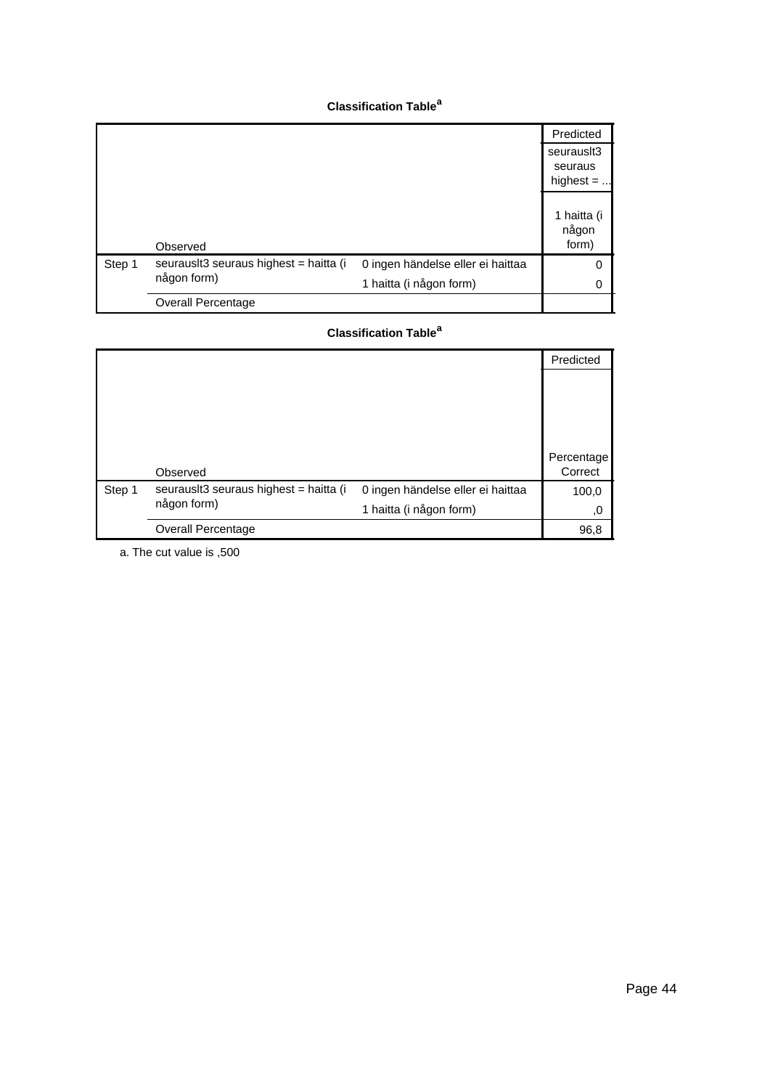|        |                                                       |                                   | Predicted    |
|--------|-------------------------------------------------------|-----------------------------------|--------------|
|        |                                                       |                                   | seurausit3   |
|        |                                                       |                                   | seuraus      |
|        |                                                       |                                   | highest $= $ |
|        |                                                       |                                   |              |
|        |                                                       |                                   | 1 haitta (i  |
|        |                                                       |                                   | någon        |
|        | Observed                                              |                                   | form)        |
| Step 1 | seurausit3 seuraus highest = haitta (i<br>någon form) | 0 ingen händelse eller ei haittaa | 0            |
|        |                                                       | 1 haitta (i någon form)           | 0            |
|        | Overall Percentage                                    |                                   |              |

### **Classification Table<sup>a</sup>**

|             |                                        |                                   | Predicted  |
|-------------|----------------------------------------|-----------------------------------|------------|
|             |                                        |                                   |            |
|             |                                        |                                   |            |
|             |                                        |                                   |            |
|             |                                        |                                   |            |
|             |                                        |                                   | Percentage |
|             | Observed                               |                                   | Correct    |
| Step 1      | seurauslt3 seuraus highest = haitta (i | 0 ingen händelse eller ei haittaa | 100,0      |
| någon form) |                                        | 1 haitta (i någon form)           | ,0         |
|             | <b>Overall Percentage</b>              |                                   | 96,8       |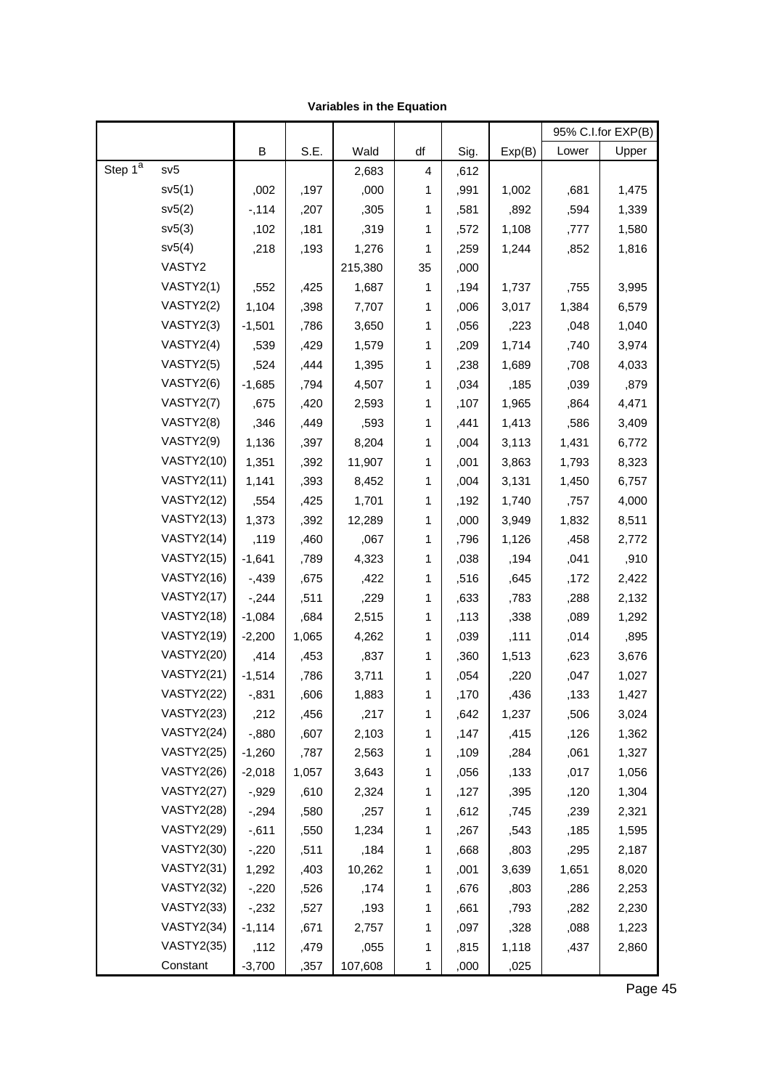|                     |                   |          |       |         |    |      |        |       | 95% C.I.for EXP(B) |
|---------------------|-------------------|----------|-------|---------|----|------|--------|-------|--------------------|
|                     |                   | B        | S.E.  | Wald    | df | Sig. | Exp(B) | Lower | Upper              |
| Step 1 <sup>a</sup> | sv5               |          |       | 2,683   | 4  | ,612 |        |       |                    |
|                     | sv5(1)            | ,002     | ,197  | ,000    | 1  | ,991 | 1,002  | ,681  | 1,475              |
|                     | sv5(2)            | $-114$   | ,207  | ,305    | 1  | ,581 | ,892   | ,594  | 1,339              |
|                     | sv5(3)            | ,102     | ,181  | ,319    | 1  | ,572 | 1,108  | ,777  | 1,580              |
|                     | sv5(4)            | ,218     | ,193  | 1,276   | 1  | ,259 | 1,244  | ,852  | 1,816              |
|                     | VASTY2            |          |       | 215,380 | 35 | ,000 |        |       |                    |
|                     | VASTY2(1)         | ,552     | ,425  | 1,687   | 1  | ,194 | 1,737  | ,755  | 3,995              |
|                     | VASTY2(2)         | 1,104    | ,398  | 7,707   | 1  | ,006 | 3,017  | 1,384 | 6,579              |
|                     | VASTY2(3)         | $-1,501$ | ,786  | 3,650   | 1  | ,056 | ,223   | ,048  | 1,040              |
|                     | VASTY2(4)         | ,539     | ,429  | 1,579   | 1  | ,209 | 1,714  | ,740  | 3,974              |
|                     | VASTY2(5)         | ,524     | ,444  | 1,395   | 1  | ,238 | 1,689  | ,708  | 4,033              |
|                     | VASTY2(6)         | $-1,685$ | ,794  | 4,507   | 1  | ,034 | ,185   | ,039  | ,879               |
|                     | VASTY2(7)         | ,675     | ,420  | 2,593   | 1  | ,107 | 1,965  | ,864  | 4,471              |
|                     | VASTY2(8)         | ,346     | ,449  | ,593    | 1  | ,441 | 1,413  | ,586  | 3,409              |
|                     | VASTY2(9)         | 1,136    | ,397  | 8,204   | 1  | ,004 | 3,113  | 1,431 | 6,772              |
|                     | <b>VASTY2(10)</b> | 1,351    | ,392  | 11,907  | 1  | ,001 | 3,863  | 1,793 | 8,323              |
|                     | <b>VASTY2(11)</b> | 1,141    | ,393  | 8,452   | 1  | ,004 | 3,131  | 1,450 | 6,757              |
|                     | <b>VASTY2(12)</b> | ,554     | ,425  | 1,701   | 1  | ,192 | 1,740  | ,757  | 4,000              |
|                     | <b>VASTY2(13)</b> | 1,373    | ,392  | 12,289  | 1  | ,000 | 3,949  | 1,832 | 8,511              |
|                     | <b>VASTY2(14)</b> | ,119     | ,460  | ,067    | 1  | ,796 | 1,126  | ,458  | 2,772              |
|                     | <b>VASTY2(15)</b> | $-1,641$ | ,789  | 4,323   | 1  | ,038 | ,194   | ,041  | ,910               |
|                     | <b>VASTY2(16)</b> | $-0.439$ | ,675  | ,422    | 1  | ,516 | ,645   | ,172  | 2,422              |
|                     | <b>VASTY2(17)</b> | $-244$   | ,511  | ,229    | 1  | ,633 | ,783   | ,288  | 2,132              |
|                     | <b>VASTY2(18)</b> | $-1,084$ | ,684  | 2,515   | 1  | ,113 | ,338   | ,089  | 1,292              |
|                     | <b>VASTY2(19)</b> | $-2,200$ | 1,065 | 4,262   | 1  | ,039 | ,111   | ,014  | ,895               |
|                     | <b>VASTY2(20)</b> | ,414     | ,453  | ,837    | 1  | ,360 | 1,513  | ,623  | 3,676              |
|                     | <b>VASTY2(21)</b> | $-1,514$ | ,786  | 3,711   | 1  | ,054 | ,220   | ,047  | 1,027              |
|                     | <b>VASTY2(22)</b> | $-0.831$ | ,606  | 1,883   | 1  | ,170 | ,436   | ,133  | 1,427              |
|                     | <b>VASTY2(23)</b> | ,212     | ,456  | ,217    | 1  | ,642 | 1,237  | ,506  | 3,024              |
|                     | <b>VASTY2(24)</b> | $-0.880$ | ,607  | 2,103   | 1  | ,147 | ,415   | ,126  | 1,362              |
|                     | <b>VASTY2(25)</b> | $-1,260$ | ,787  | 2,563   | 1  | ,109 | ,284   | ,061  | 1,327              |
|                     | <b>VASTY2(26)</b> | $-2,018$ | 1,057 | 3,643   | 1  | ,056 | ,133   | ,017  | 1,056              |
|                     | <b>VASTY2(27)</b> | $-0.929$ | ,610  | 2,324   | 1  | ,127 | ,395   | ,120  | 1,304              |
|                     | <b>VASTY2(28)</b> | $-294$   | ,580  | ,257    | 1  | ,612 | ,745   | ,239  | 2,321              |
|                     | <b>VASTY2(29)</b> | $-0.611$ | ,550  | 1,234   | 1  | ,267 | ,543   | ,185  | 1,595              |
|                     | <b>VASTY2(30)</b> | $-220$   | ,511  | ,184    | 1  | ,668 | ,803   | ,295  | 2,187              |
|                     | <b>VASTY2(31)</b> | 1,292    | ,403  | 10,262  | 1  | ,001 | 3,639  | 1,651 | 8,020              |
|                     | <b>VASTY2(32)</b> | $-220$   | ,526  | ,174    | 1  | ,676 | ,803   | ,286  | 2,253              |
|                     | <b>VASTY2(33)</b> | $-232$   | ,527  | ,193    | 1  | ,661 | ,793   | ,282  | 2,230              |
|                     | <b>VASTY2(34)</b> | $-1,114$ | ,671  | 2,757   | 1  | ,097 | ,328   | ,088  | 1,223              |
|                     | <b>VASTY2(35)</b> | ,112     | ,479  | ,055    | 1  | ,815 | 1,118  | ,437  | 2,860              |
|                     | Constant          | $-3,700$ | ,357  | 107,608 | 1  | ,000 | ,025   |       |                    |

**Variables in the Equation**

Page 45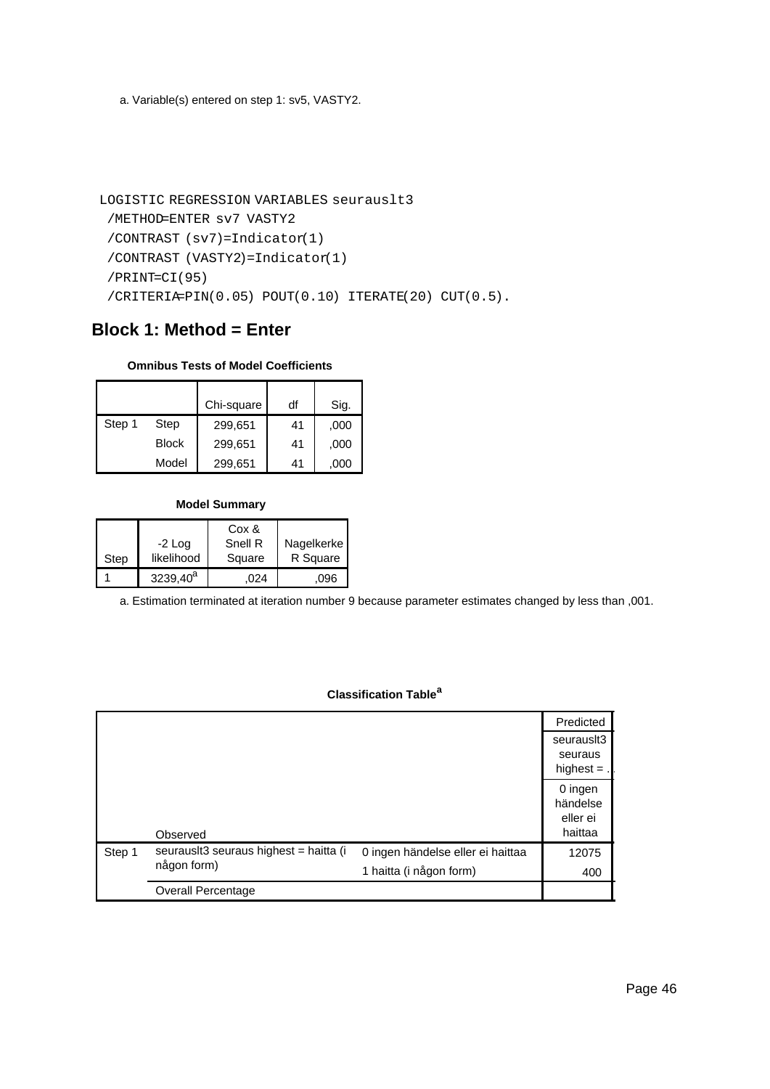a. Variable(s) entered on step 1: sv5, VASTY2.

```
LOGISTIC REGRESSION VARIABLES seurauslt3
 /METHOD=ENTER sv7 VASTY2
 /CONTRAST (sv7)=Indicator(1)
 /CONTRAST (VASTY2)=Indicator(1)
 /PRINT=CI(95)
 /CRITERIA=PIN(0.05) POUT(0.10) ITERATE(20) CUT(0.5).
```
# **Block 1: Method = Enter**

#### **Omnibus Tests of Model Coefficients**

|        |              | Chi-square | df | Sig. |
|--------|--------------|------------|----|------|
| Step 1 | Step         | 299,651    | 41 | ,000 |
|        | <b>Block</b> | 299,651    | 41 | ,000 |
|        | Model        | 299,651    | 41 | ,000 |

#### **Model Summary**

|      |                        | Cox &             |                        |
|------|------------------------|-------------------|------------------------|
| Step | $-2$ Log<br>likelihood | Snell R<br>Square | Nagelkerke<br>R Square |
|      | 3239,40 <sup>a</sup>   | .024              | .096                   |

a. Estimation terminated at iteration number 9 because parameter estimates changed by less than ,001.

|        |                                        |                                   | Predicted                                  |
|--------|----------------------------------------|-----------------------------------|--------------------------------------------|
|        |                                        |                                   | seurausit3                                 |
|        |                                        |                                   | seuraus<br>highest $=$ .                   |
|        | Observed                               |                                   | 0 ingen<br>händelse<br>eller ei<br>haittaa |
| Step 1 | seurausit3 seuraus highest = haitta (i | 0 ingen händelse eller ei haittaa | 12075                                      |
|        | någon form)                            | 1 haitta (i någon form)           | 400                                        |
|        | <b>Overall Percentage</b>              |                                   |                                            |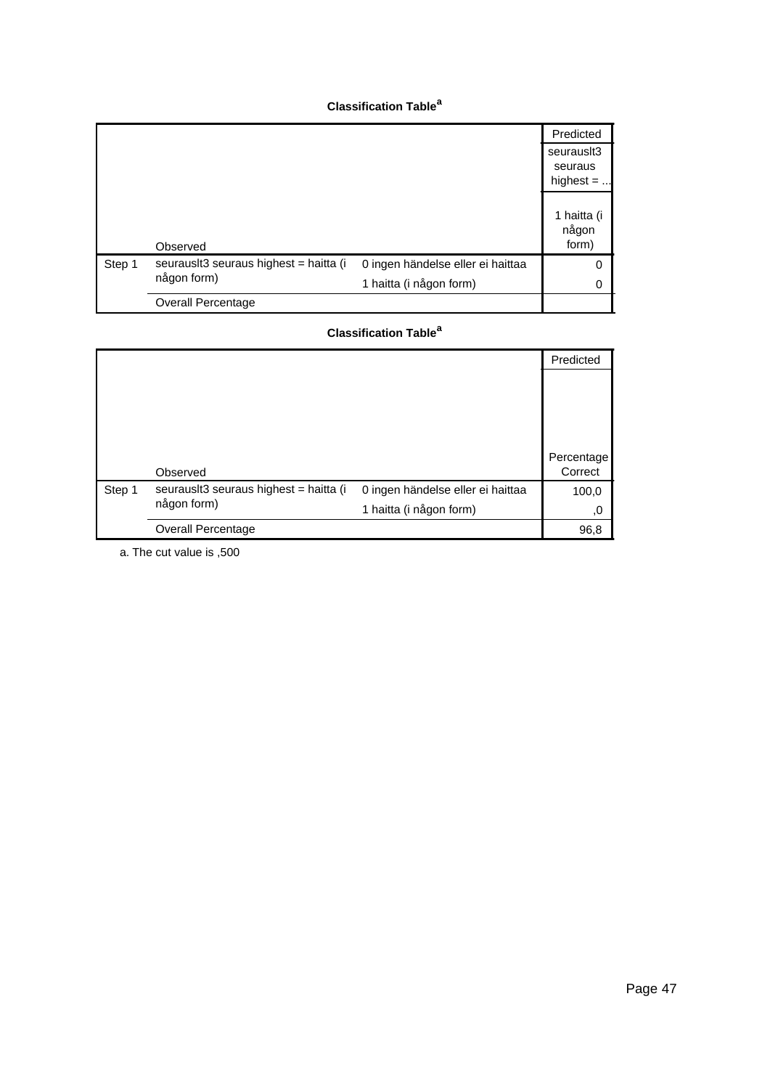|        |                                                       |                                   | Predicted    |
|--------|-------------------------------------------------------|-----------------------------------|--------------|
|        |                                                       |                                   | seurausit3   |
|        |                                                       |                                   | seuraus      |
|        |                                                       |                                   | highest $= $ |
|        |                                                       |                                   |              |
|        |                                                       |                                   | 1 haitta (i  |
|        |                                                       |                                   | någon        |
|        | Observed                                              |                                   | form)        |
| Step 1 | seurausit3 seuraus highest = haitta (i<br>någon form) | 0 ingen händelse eller ei haittaa | 0            |
|        |                                                       | 1 haitta (i någon form)           | 0            |
|        | Overall Percentage                                    |                                   |              |

### **Classification Table<sup>a</sup>**

|             |                                        |                                   | Predicted  |
|-------------|----------------------------------------|-----------------------------------|------------|
|             |                                        |                                   |            |
|             |                                        |                                   |            |
|             |                                        |                                   |            |
|             |                                        |                                   |            |
|             |                                        |                                   | Percentage |
|             | Observed                               |                                   | Correct    |
| Step 1      | seurauslt3 seuraus highest = haitta (i | 0 ingen händelse eller ei haittaa | 100,0      |
| någon form) |                                        | 1 haitta (i någon form)           | ,0         |
|             | <b>Overall Percentage</b>              |                                   | 96,8       |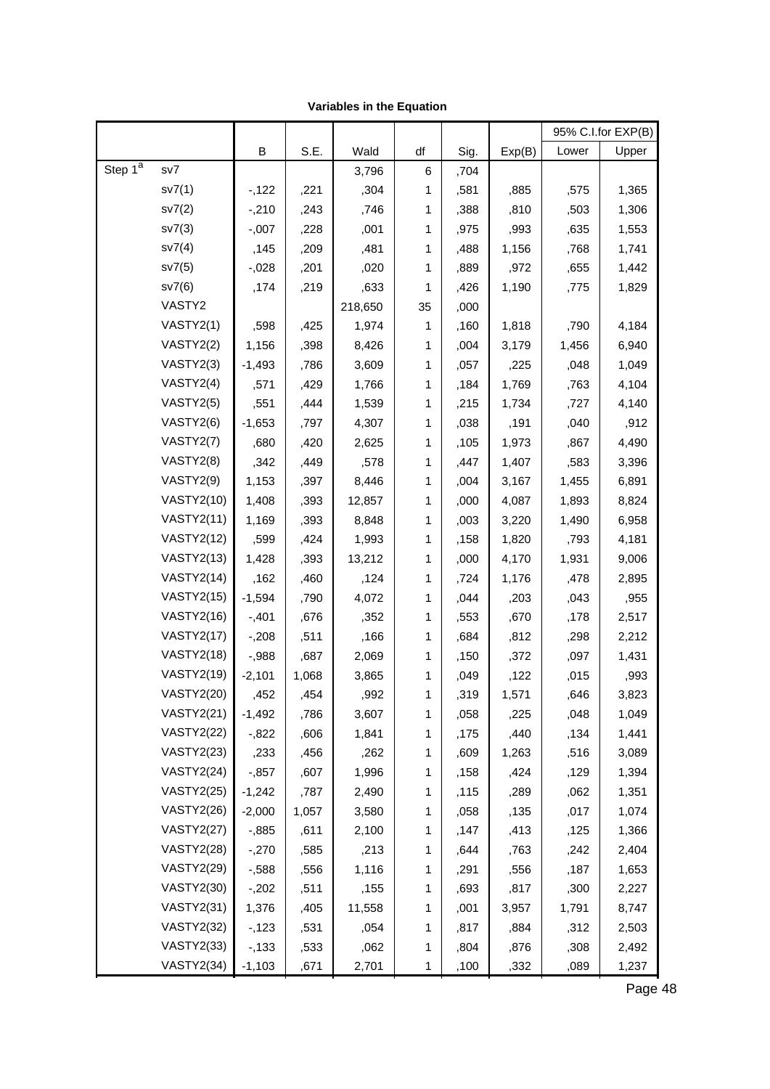|                         |                   |          |       |         |              |      |        |       | 95% C.I.for EXP(B) |
|-------------------------|-------------------|----------|-------|---------|--------------|------|--------|-------|--------------------|
|                         |                   | B        | S.E.  | Wald    | df           | Sig. | Exp(B) | Lower | Upper              |
| Step $1^{\overline{a}}$ | sv7               |          |       | 3,796   | 6            | ,704 |        |       |                    |
|                         | sv7(1)            | $-122$   | ,221  | ,304    | 1            | ,581 | ,885   | ,575  | 1,365              |
|                         | sv7(2)            | $-210$   | ,243  | ,746    | 1            | ,388 | ,810   | ,503  | 1,306              |
|                         | sv7(3)            | $-0.007$ | ,228  | ,001    | 1            | ,975 | ,993   | ,635  | 1,553              |
|                         | sv7(4)            | ,145     | ,209  | ,481    | 1            | ,488 | 1,156  | ,768  | 1,741              |
|                         | sv7(5)            | $-0.028$ | ,201  | ,020    | 1            | ,889 | ,972   | ,655  | 1,442              |
|                         | sv7(6)            | ,174     | ,219  | ,633    | 1            | ,426 | 1,190  | ,775  | 1,829              |
|                         | VASTY2            |          |       | 218,650 | 35           | ,000 |        |       |                    |
|                         | VASTY2(1)         | ,598     | ,425  | 1,974   | 1            | ,160 | 1,818  | ,790  | 4,184              |
|                         | VASTY2(2)         | 1,156    | ,398  | 8,426   | 1            | ,004 | 3,179  | 1,456 | 6,940              |
|                         | VASTY2(3)         | $-1,493$ | ,786  | 3,609   | 1            | ,057 | ,225   | ,048  | 1,049              |
|                         | VASTY2(4)         | ,571     | ,429  | 1,766   | 1            | ,184 | 1,769  | ,763  | 4,104              |
|                         | VASTY2(5)         | ,551     | ,444  | 1,539   | 1            | ,215 | 1,734  | ,727  | 4,140              |
|                         | VASTY2(6)         | $-1,653$ | ,797  | 4,307   | 1            | ,038 | ,191   | ,040  | ,912               |
|                         | VASTY2(7)         | ,680     | ,420  | 2,625   | 1            | ,105 | 1,973  | ,867  | 4,490              |
|                         | VASTY2(8)         | ,342     | ,449  | ,578    | 1            | ,447 | 1,407  | ,583  | 3,396              |
|                         | VASTY2(9)         | 1,153    | ,397  | 8,446   | 1            | ,004 | 3,167  | 1,455 | 6,891              |
|                         | <b>VASTY2(10)</b> | 1,408    | ,393  | 12,857  | 1            | ,000 | 4,087  | 1,893 | 8,824              |
|                         | <b>VASTY2(11)</b> | 1,169    | ,393  | 8,848   | 1            | ,003 | 3,220  | 1,490 | 6,958              |
|                         | <b>VASTY2(12)</b> | ,599     | ,424  | 1,993   | 1            | ,158 | 1,820  | ,793  | 4,181              |
|                         | <b>VASTY2(13)</b> | 1,428    | ,393  | 13,212  | 1            | ,000 | 4,170  | 1,931 | 9,006              |
|                         | <b>VASTY2(14)</b> | ,162     | ,460  | ,124    | 1            | ,724 | 1,176  | ,478  | 2,895              |
|                         | <b>VASTY2(15)</b> | $-1,594$ | ,790  | 4,072   | 1            | ,044 | ,203   | ,043  | ,955               |
|                         | <b>VASTY2(16)</b> | $-0.401$ | ,676  | ,352    | 1            | ,553 | ,670   | ,178  | 2,517              |
|                         | <b>VASTY2(17)</b> | $-208$   | ,511  | ,166    | 1            | ,684 | ,812   | ,298  | 2,212              |
|                         | <b>VASTY2(18)</b> | $-0.988$ | ,687  | 2,069   | 1            | ,150 | ,372   | ,097  | 1,431              |
|                         | <b>VASTY2(19)</b> | $-2,101$ | 1,068 | 3,865   | 1            | ,049 | ,122   | ,015  | ,993               |
|                         | <b>VASTY2(20)</b> | ,452     | ,454  | ,992    | 1            | ,319 | 1,571  | ,646  | 3,823              |
|                         | <b>VASTY2(21)</b> | $-1,492$ | ,786  | 3,607   | 1            | ,058 | ,225   | ,048  | 1,049              |
|                         | <b>VASTY2(22)</b> | $-0.822$ | ,606  | 1,841   | 1            | ,175 | ,440   | ,134  | 1,441              |
|                         | <b>VASTY2(23)</b> | ,233     | ,456  | ,262    | 1            | ,609 | 1,263  | ,516  | 3,089              |
|                         | <b>VASTY2(24)</b> | $-0.857$ | ,607  | 1,996   | 1            | ,158 | ,424   | ,129  | 1,394              |
|                         | <b>VASTY2(25)</b> | $-1,242$ | ,787  | 2,490   | 1            | ,115 | ,289   | ,062  | 1,351              |
|                         | <b>VASTY2(26)</b> | $-2,000$ | 1,057 | 3,580   | 1            | ,058 | ,135   | ,017  | 1,074              |
|                         | <b>VASTY2(27)</b> | $-0.885$ | ,611  | 2,100   | 1            | ,147 | ,413   | ,125  | 1,366              |
|                         | <b>VASTY2(28)</b> | $-270$   | ,585  | ,213    | 1            | ,644 | ,763   | ,242  | 2,404              |
|                         | <b>VASTY2(29)</b> | $-588$   | ,556  | 1,116   | 1            | ,291 | ,556   | ,187  | 1,653              |
|                         | <b>VASTY2(30)</b> | $-202$   | ,511  | ,155    | 1            | ,693 | ,817   | ,300  | 2,227              |
|                         | <b>VASTY2(31)</b> | 1,376    | ,405  | 11,558  | 1            | ,001 | 3,957  | 1,791 | 8,747              |
|                         | <b>VASTY2(32)</b> | $-123$   | ,531  | ,054    | 1            | ,817 | ,884   | ,312  | 2,503              |
|                         | <b>VASTY2(33)</b> | $-133$   | ,533  | ,062    | 1            | ,804 | ,876   | ,308  | 2,492              |
|                         | <b>VASTY2(34)</b> | $-1,103$ | ,671  | 2,701   | $\mathbf{1}$ | ,100 | ,332   | ,089  | 1,237              |

**Variables in the Equation**

 $\frac{1}{2}$  Page 48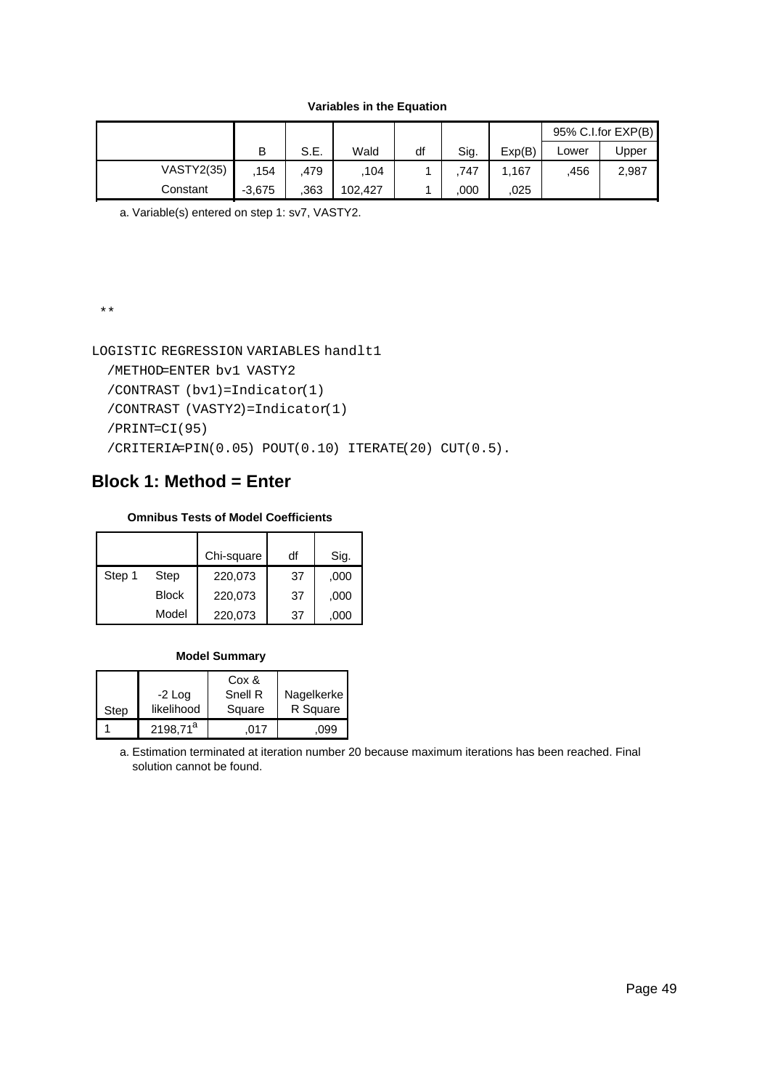|                   |          |      |         |    |      |        |       | $95\%$ C.I.for EXP(B) |
|-------------------|----------|------|---------|----|------|--------|-------|-----------------------|
|                   | В        | S.E. | Wald    | df | Sig. | Exp(B) | Lower | Jpper                 |
| <b>VASTY2(35)</b> | 154      | 479, | .104    |    | .747 | 1,167  | .456  | 2,987                 |
| Constant          | $-3.675$ | .363 | 102.427 |    | ,000 | 025    |       |                       |

a. Variable(s) entered on step 1: sv7, VASTY2.

\*\*

#### LOGISTIC REGRESSION VARIABLES handlt1

```
 /METHOD=ENTER bv1 VASTY2
/CONTRAST (bv1)=Indicator(1)
/CONTRAST (VASTY2)=Indicator(1)
/PRINT=CI(95)
/CRITERIA=PIN(0.05) POUT(0.10) ITERATE(20) CUT(0.5).
```
### **Block 1: Method = Enter**

#### **Omnibus Tests of Model Coefficients**

|        |              | Chi-square | df | Sig. |
|--------|--------------|------------|----|------|
| Step 1 | Step         | 220,073    | 37 | ,000 |
|        | <b>Block</b> | 220,073    | 37 | ,000 |
|        | Model        | 220,073    | 37 | .000 |

#### **Model Summary**

|      |             | Cox &   |            |
|------|-------------|---------|------------|
|      | $-2$ Log    | Snell R | Nagelkerke |
| Step | likelihood  | Square  | R Square   |
|      | $2198,71^a$ | 017     | .099       |

Estimation terminated at iteration number 20 because maximum iterations has been reached. Final a. solution cannot be found.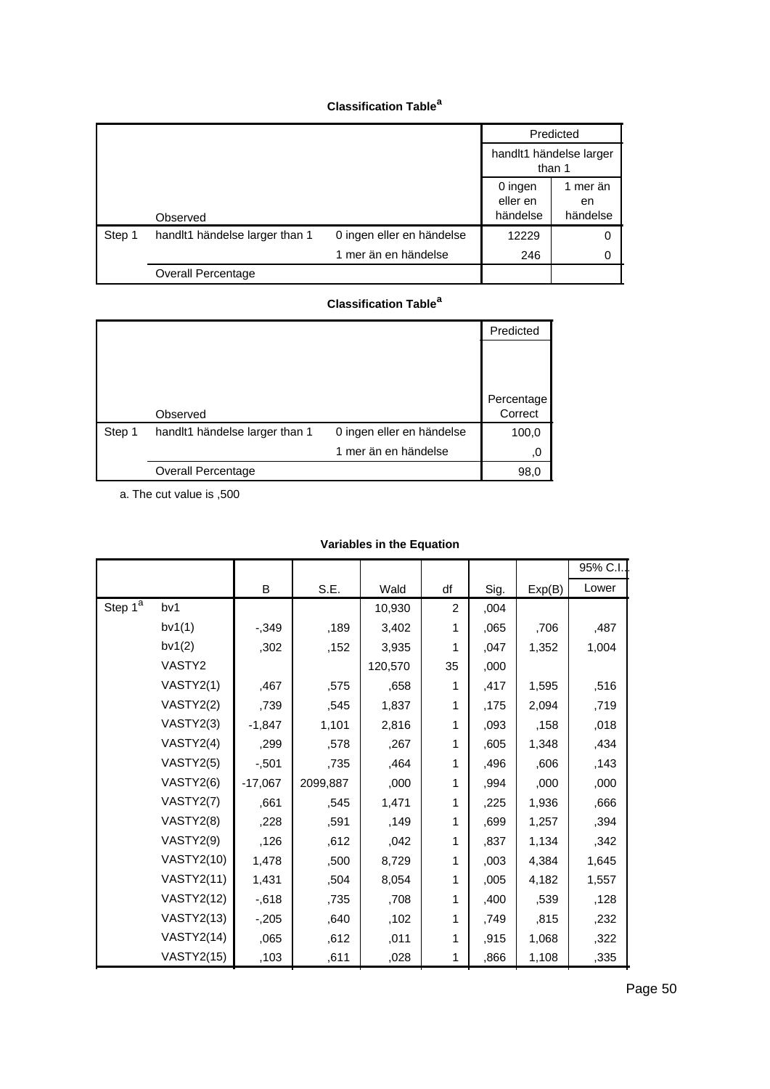|        |                                |                                   |                                 | Predicted                  |
|--------|--------------------------------|-----------------------------------|---------------------------------|----------------------------|
|        |                                | handlt1 händelse larger<br>than 1 |                                 |                            |
|        | Observed                       |                                   | 0 ingen<br>eller en<br>händelse | 1 mer än<br>en<br>händelse |
| Step 1 | handit1 händelse larger than 1 | 0 ingen eller en händelse         | 12229                           | 0                          |
|        |                                | 1 mer än en händelse              | 246                             | 0                          |
|        | Overall Percentage             |                                   |                                 |                            |

### **Classification Table<sup>a</sup>**

|        |                                |                           | Predicted  |
|--------|--------------------------------|---------------------------|------------|
|        |                                |                           |            |
|        |                                |                           |            |
|        |                                |                           |            |
|        |                                |                           | Percentage |
|        | Observed                       |                           | Correct    |
| Step 1 | handit1 händelse larger than 1 | 0 ingen eller en händelse | 100,0      |
|        |                                | 1 mer än en händelse      | ,0         |
|        | Overall Percentage             |                           | 98,0       |

a. The cut value is ,500

|                         |                   |           |          |         |                |      |        | 95% C.I |
|-------------------------|-------------------|-----------|----------|---------|----------------|------|--------|---------|
|                         |                   | B         | S.E.     | Wald    | df             | Sig. | Exp(B) | Lower   |
| Step $1^{\overline{a}}$ | bv1               |           |          | 10,930  | $\overline{c}$ | ,004 |        |         |
|                         | bv1(1)            | $-0.349$  | ,189     | 3,402   | 1              | ,065 | ,706   | ,487    |
|                         | bv1(2)            | ,302      | ,152     | 3,935   | 1              | ,047 | 1,352  | 1,004   |
|                         | VASTY2            |           |          | 120,570 | 35             | ,000 |        |         |
|                         | VASTY2(1)         | ,467      | ,575     | ,658    | 1              | ,417 | 1,595  | ,516    |
|                         | VASTY2(2)         | ,739      | ,545     | 1,837   | 1              | ,175 | 2,094  | ,719    |
|                         | VASTY2(3)         | $-1,847$  | 1,101    | 2,816   | 1              | ,093 | ,158   | ,018    |
|                         | VASTY2(4)         | ,299      | ,578     | ,267    | 1              | ,605 | 1,348  | ,434    |
|                         | VASTY2(5)         | $-0.501$  | ,735     | ,464    | 1              | ,496 | ,606   | ,143    |
|                         | VASTY2(6)         | $-17,067$ | 2099,887 | ,000    | 1              | ,994 | ,000   | ,000    |
|                         | VASTY2(7)         | ,661      | ,545     | 1,471   | 1              | ,225 | 1,936  | ,666    |
|                         | VASTY2(8)         | ,228      | ,591     | ,149    | 1              | ,699 | 1,257  | ,394    |
|                         | VASTY2(9)         | ,126      | ,612     | ,042    | 1              | ,837 | 1,134  | ,342    |
|                         | <b>VASTY2(10)</b> | 1,478     | ,500     | 8,729   | 1              | ,003 | 4,384  | 1,645   |
|                         | <b>VASTY2(11)</b> | 1,431     | ,504     | 8,054   | 1              | ,005 | 4,182  | 1,557   |
|                         | <b>VASTY2(12)</b> | $-0.618$  | ,735     | ,708    | 1              | ,400 | ,539   | ,128    |
|                         | <b>VASTY2(13)</b> | $-205$    | ,640     | ,102    | 1              | ,749 | ,815   | ,232    |
|                         | <b>VASTY2(14)</b> | ,065      | ,612     | ,011    | 1              | ,915 | 1,068  | ,322    |
|                         | <b>VASTY2(15)</b> | ,103      | ,611     | ,028    | 1              | ,866 | 1,108  | ,335    |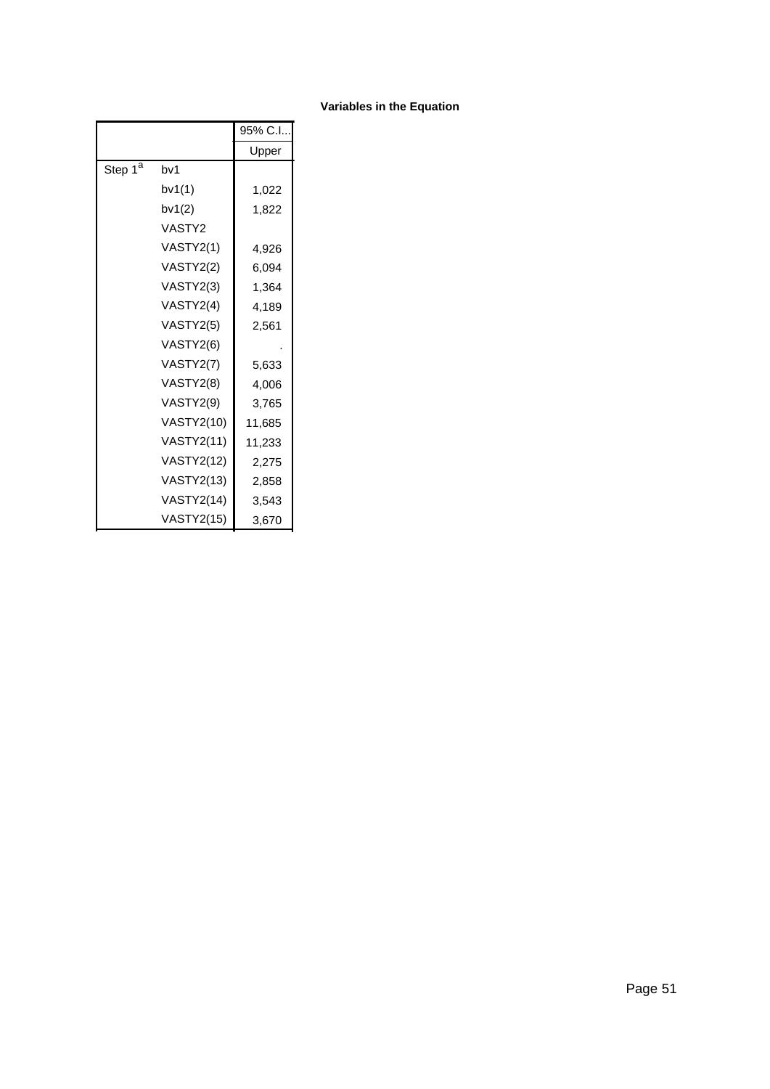|                     |                   | 95% C.I |
|---------------------|-------------------|---------|
|                     |                   | Upper   |
| Step 1 <sup>a</sup> | bv1               |         |
|                     | bv1(1)            | 1,022   |
|                     | bv1(2)            | 1,822   |
|                     | VASTY2            |         |
|                     | VASTY2(1)         | 4,926   |
|                     | VASTY2(2)         | 6,094   |
|                     | VASTY2(3)         | 1,364   |
|                     | VASTY2(4)         | 4,189   |
|                     | VASTY2(5)         | 2,561   |
|                     | VASTY2(6)         |         |
|                     | VASTY2(7)         | 5,633   |
|                     | VASTY2(8)         | 4,006   |
|                     | VASTY2(9)         | 3,765   |
|                     | <b>VASTY2(10)</b> | 11,685  |
|                     | <b>VASTY2(11)</b> | 11,233  |
|                     | <b>VASTY2(12)</b> | 2,275   |
|                     | <b>VASTY2(13)</b> | 2,858   |
|                     | <b>VASTY2(14)</b> | 3,543   |
|                     | <b>VASTY2(15)</b> | 3,670   |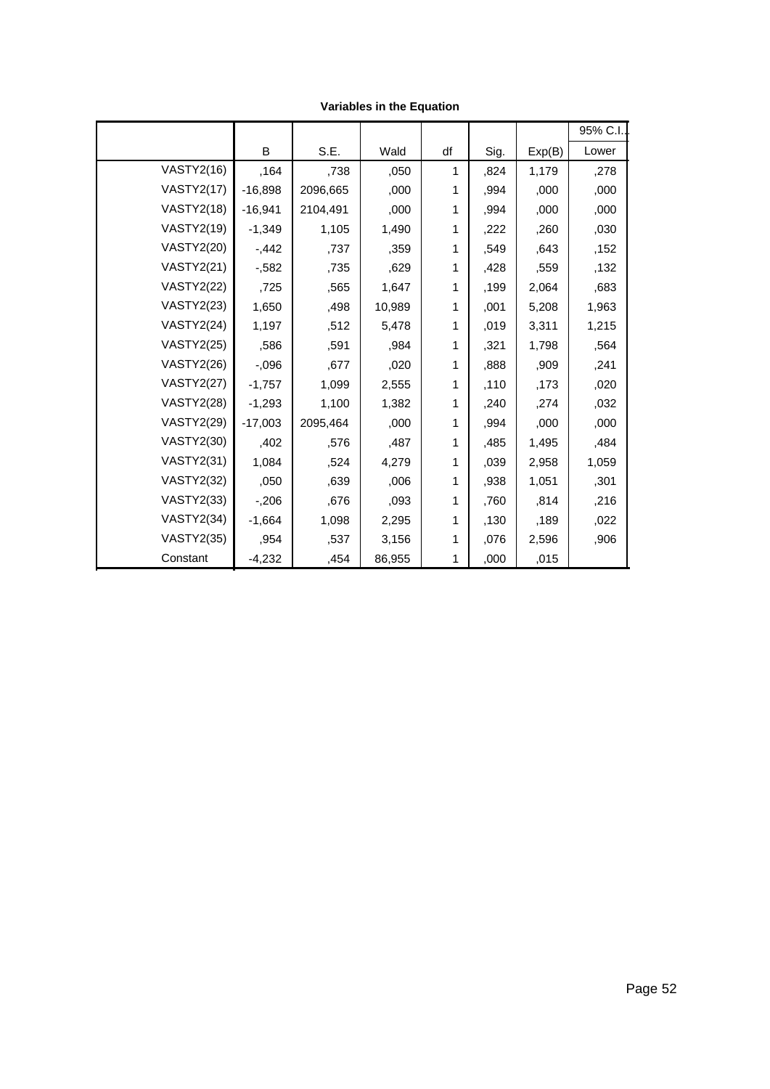|                   |           |          |        |    |      |        | 95% C.I. |
|-------------------|-----------|----------|--------|----|------|--------|----------|
|                   | B         | S.E.     | Wald   | df | Sig. | Exp(B) | Lower    |
| <b>VASTY2(16)</b> | ,164      | ,738     | ,050   | 1  | ,824 | 1,179  | ,278     |
| <b>VASTY2(17)</b> | $-16,898$ | 2096,665 | ,000   | 1  | ,994 | ,000   | ,000     |
| <b>VASTY2(18)</b> | $-16,941$ | 2104,491 | ,000   | 1  | ,994 | ,000   | ,000     |
| <b>VASTY2(19)</b> | $-1,349$  | 1,105    | 1,490  | 1  | ,222 | ,260   | ,030     |
| <b>VASTY2(20)</b> | $-0.442$  | ,737     | ,359   | 1  | ,549 | ,643   | ,152     |
| <b>VASTY2(21)</b> | $-582$    | ,735     | ,629   | 1  | ,428 | ,559   | ,132     |
| <b>VASTY2(22)</b> | ,725      | ,565     | 1,647  | 1  | ,199 | 2,064  | ,683     |
| <b>VASTY2(23)</b> | 1,650     | ,498     | 10,989 | 1  | ,001 | 5,208  | 1,963    |
| <b>VASTY2(24)</b> | 1,197     | ,512     | 5,478  | 1  | ,019 | 3,311  | 1,215    |
| <b>VASTY2(25)</b> | ,586      | ,591     | ,984   | 1  | ,321 | 1,798  | ,564     |
| <b>VASTY2(26)</b> | $-0.096$  | ,677     | ,020   | 1  | ,888 | ,909   | ,241     |
| <b>VASTY2(27)</b> | $-1,757$  | 1,099    | 2,555  | 1  | ,110 | ,173   | ,020     |
| <b>VASTY2(28)</b> | $-1,293$  | 1,100    | 1,382  | 1  | ,240 | ,274   | ,032     |
| <b>VASTY2(29)</b> | $-17,003$ | 2095,464 | ,000   | 1  | ,994 | ,000   | ,000     |
| <b>VASTY2(30)</b> | ,402      | ,576     | ,487   | 1  | ,485 | 1,495  | ,484     |
| <b>VASTY2(31)</b> | 1,084     | ,524     | 4,279  | 1  | ,039 | 2,958  | 1,059    |
| <b>VASTY2(32)</b> | ,050      | ,639     | ,006   | 1  | ,938 | 1,051  | ,301     |
| <b>VASTY2(33)</b> | $-206$    | ,676     | ,093   | 1  | ,760 | ,814   | ,216     |
| <b>VASTY2(34)</b> | $-1,664$  | 1,098    | 2,295  | 1  | ,130 | ,189   | ,022     |
| <b>VASTY2(35)</b> | ,954      | ,537     | 3,156  | 1  | ,076 | 2,596  | ,906     |
| Constant          | $-4,232$  | ,454     | 86,955 | 1  | ,000 | ,015   |          |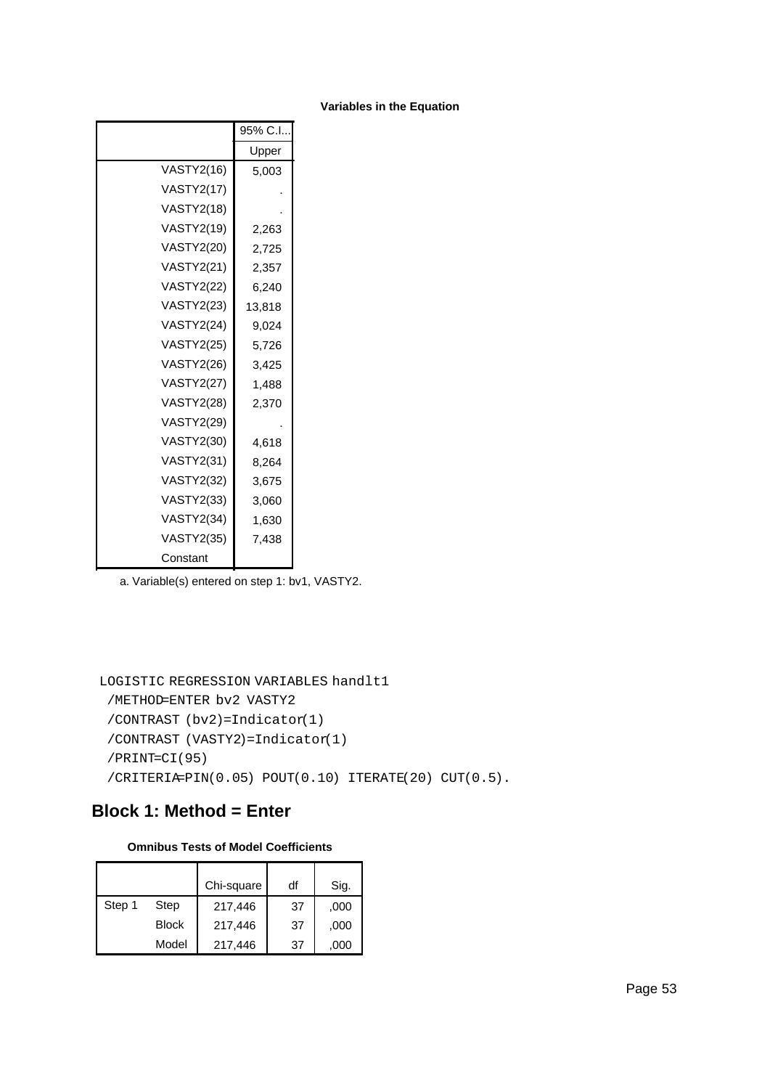|                   | 95% C.I |  |
|-------------------|---------|--|
|                   | Upper   |  |
| <b>VASTY2(16)</b> | 5,003   |  |
| <b>VASTY2(17)</b> |         |  |
| <b>VASTY2(18)</b> |         |  |
| <b>VASTY2(19)</b> | 2,263   |  |
| <b>VASTY2(20)</b> | 2,725   |  |
| <b>VASTY2(21)</b> | 2,357   |  |
| <b>VASTY2(22)</b> | 6,240   |  |
| <b>VASTY2(23)</b> | 13,818  |  |
| <b>VASTY2(24)</b> | 9,024   |  |
| <b>VASTY2(25)</b> | 5,726   |  |
| <b>VASTY2(26)</b> | 3,425   |  |
| <b>VASTY2(27)</b> | 1,488   |  |
| <b>VASTY2(28)</b> | 2,370   |  |
| <b>VASTY2(29)</b> |         |  |
| <b>VASTY2(30)</b> | 4,618   |  |
| <b>VASTY2(31)</b> | 8,264   |  |
| <b>VASTY2(32)</b> | 3,675   |  |
| <b>VASTY2(33)</b> | 3,060   |  |
| <b>VASTY2(34)</b> | 1,630   |  |
| <b>VASTY2(35)</b> | 7,438   |  |
| Constant          |         |  |

a. Variable(s) entered on step 1: bv1, VASTY2.

```
LOGISTIC REGRESSION VARIABLES handlt1
 /METHOD=ENTER bv2 VASTY2
 /CONTRAST (bv2)=Indicator(1)
 /CONTRAST (VASTY2)=Indicator(1)
 /PRINT=CI(95)
 /CRITERIA=PIN(0.05) POUT(0.10) ITERATE(20) CUT(0.5).
```
### **Block 1: Method = Enter**

#### **Omnibus Tests of Model Coefficients**

|        |              | Chi-square | df | Sig. |
|--------|--------------|------------|----|------|
| Step 1 | Step         | 217,446    | 37 | ,000 |
|        | <b>Block</b> | 217,446    | 37 | ,000 |
|        | Model        | 217,446    | 37 | ,000 |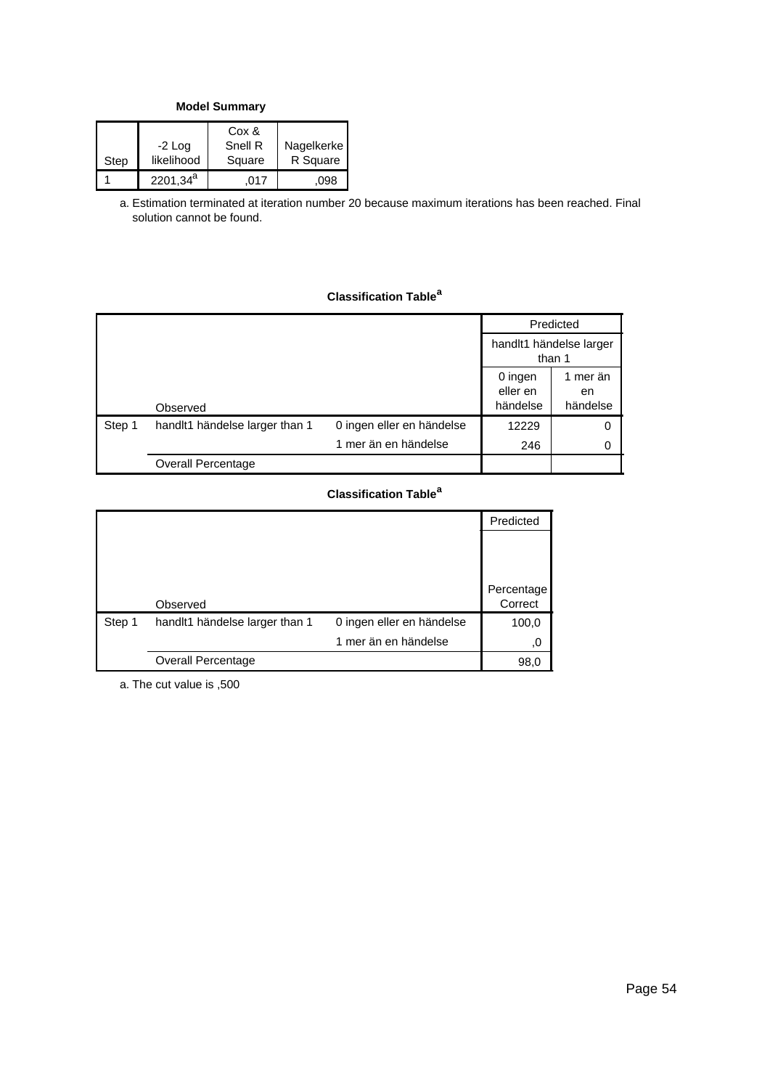**Model Summary**

| Step | $-2$ Log<br>likelihood | Cox &<br>Snell R<br>Square | Nagelkerke<br>R Square |
|------|------------------------|----------------------------|------------------------|
|      | $2201,34^a$            | .017                       | .098                   |

Estimation terminated at iteration number 20 because maximum iterations has been reached. Final a. solution cannot be found.

### **Classification Table<sup>a</sup>**

|        |                                |                           |                                   | Predicted                  |  |  |
|--------|--------------------------------|---------------------------|-----------------------------------|----------------------------|--|--|
|        |                                |                           | handlt1 händelse larger<br>than 1 |                            |  |  |
|        | Observed                       |                           | 0 ingen<br>eller en<br>händelse   | 1 mer än<br>en<br>händelse |  |  |
| Step 1 | handit1 händelse larger than 1 | 0 ingen eller en händelse | 12229                             | 0                          |  |  |
|        |                                | 1 mer än en händelse      | 246                               | 0                          |  |  |
|        | <b>Overall Percentage</b>      |                           |                                   |                            |  |  |

### **Classification Table<sup>a</sup>**

|        |                                |                           | Predicted  |
|--------|--------------------------------|---------------------------|------------|
|        |                                |                           |            |
|        |                                |                           |            |
|        |                                |                           |            |
|        |                                |                           | Percentage |
|        | Observed                       |                           | Correct    |
| Step 1 | handlt1 händelse larger than 1 | 0 ingen eller en händelse | 100,0      |
|        |                                | 1 mer än en händelse      | 0,         |
|        | <b>Overall Percentage</b>      |                           | 98,0       |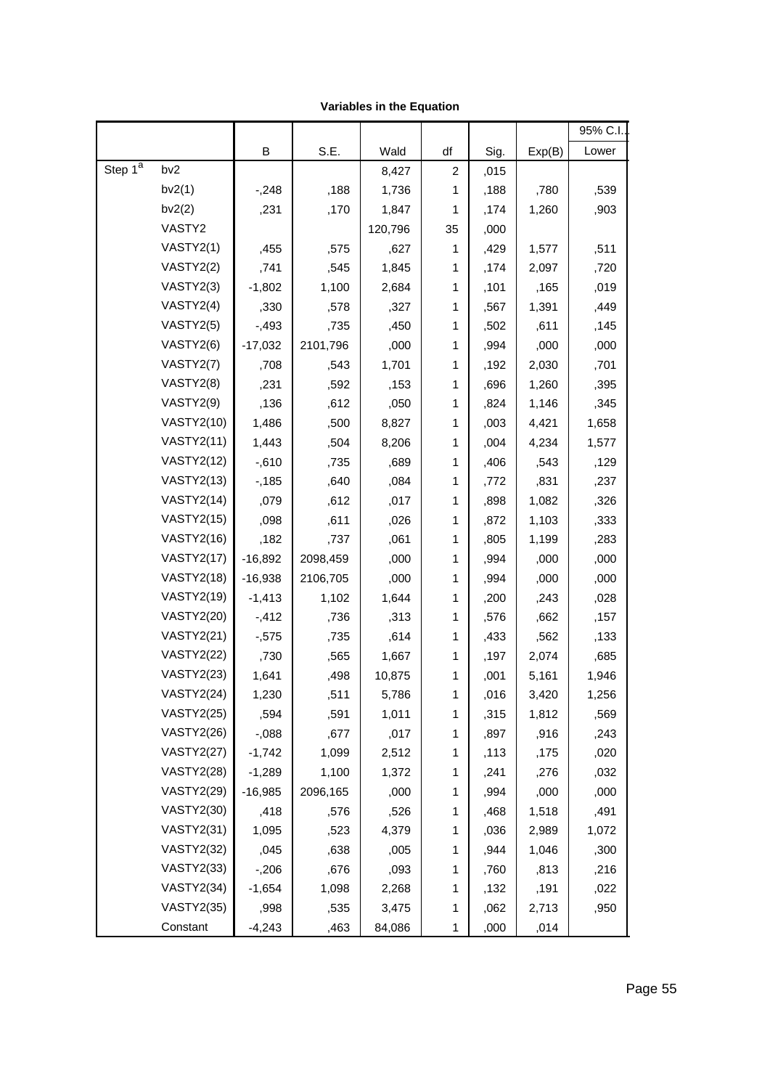| Variables in the Equation |  |  |  |
|---------------------------|--|--|--|
|---------------------------|--|--|--|

|                         |                   |           |          |         |                         |      |        | 95% C.I. |
|-------------------------|-------------------|-----------|----------|---------|-------------------------|------|--------|----------|
|                         |                   | В         | S.E.     | Wald    | df                      | Sig. | Exp(B) | Lower    |
| Step $1^{\overline{a}}$ | bv <sub>2</sub>   |           |          | 8,427   | $\overline{\mathbf{c}}$ | ,015 |        |          |
|                         | bv2(1)            | $-248$    | ,188     | 1,736   | 1                       | ,188 | ,780   | ,539     |
|                         | bv2(2)            | ,231      | ,170     | 1,847   | 1                       | ,174 | 1,260  | ,903     |
|                         | VASTY2            |           |          | 120,796 | 35                      | ,000 |        |          |
|                         | VASTY2(1)         | ,455      | ,575     | ,627    | 1                       | ,429 | 1,577  | ,511     |
|                         | VASTY2(2)         | ,741      | ,545     | 1,845   | 1                       | ,174 | 2,097  | ,720     |
|                         | VASTY2(3)         | $-1,802$  | 1,100    | 2,684   | 1                       | ,101 | ,165   | ,019     |
|                         | VASTY2(4)         | ,330      | ,578     | ,327    | 1                       | ,567 | 1,391  | ,449     |
|                         | VASTY2(5)         | $-0.493$  | ,735     | ,450    | 1                       | ,502 | ,611   | ,145     |
|                         | VASTY2(6)         | $-17,032$ | 2101,796 | ,000    | 1                       | ,994 | ,000   | ,000     |
|                         | VASTY2(7)         | ,708      | ,543     | 1,701   | 1                       | ,192 | 2,030  | ,701     |
|                         | VASTY2(8)         | ,231      | ,592     | ,153    | 1                       | ,696 | 1,260  | ,395     |
|                         | VASTY2(9)         | ,136      | ,612     | ,050    | 1                       | ,824 | 1,146  | ,345     |
|                         | <b>VASTY2(10)</b> | 1,486     | ,500     | 8,827   | 1                       | ,003 | 4,421  | 1,658    |
|                         | <b>VASTY2(11)</b> | 1,443     | ,504     | 8,206   | 1                       | ,004 | 4,234  | 1,577    |
|                         | <b>VASTY2(12)</b> | $-0.610$  | ,735     | ,689    | 1                       | ,406 | ,543   | ,129     |
|                         | <b>VASTY2(13)</b> | $-185$    | ,640     | ,084    | 1                       | ,772 | ,831   | ,237     |
|                         | <b>VASTY2(14)</b> | ,079      | ,612     | ,017    | 1                       | ,898 | 1,082  | ,326     |
|                         | <b>VASTY2(15)</b> | ,098      | ,611     | ,026    | 1                       | ,872 | 1,103  | ,333     |
|                         | <b>VASTY2(16)</b> | ,182      | ,737     | ,061    | 1                       | ,805 | 1,199  | ,283     |
|                         | <b>VASTY2(17)</b> | $-16,892$ | 2098,459 | ,000    | 1                       | ,994 | ,000   | ,000     |
|                         | <b>VASTY2(18)</b> | $-16,938$ | 2106,705 | ,000    | 1                       | ,994 | ,000   | ,000     |
|                         | <b>VASTY2(19)</b> | $-1,413$  | 1,102    | 1,644   | 1                       | ,200 | ,243   | ,028     |
|                         | <b>VASTY2(20)</b> | $-0.412$  | ,736     | ,313    | 1                       | ,576 | ,662   | ,157     |
|                         | <b>VASTY2(21)</b> | $-0.575$  | ,735     | ,614    | 1                       | ,433 | ,562   | ,133     |
|                         | <b>VASTY2(22)</b> | ,730      | ,565     | 1,667   | 1                       | ,197 | 2,074  | ,685     |
|                         | <b>VASTY2(23)</b> | 1,641     | ,498     | 10,875  | 1                       | ,001 | 5,161  | 1,946    |
|                         | <b>VASTY2(24)</b> | 1,230     | ,511     | 5,786   | 1                       | ,016 | 3,420  | 1,256    |
|                         | <b>VASTY2(25)</b> | ,594      | ,591     | 1,011   | 1                       | ,315 | 1,812  | ,569     |
|                         | <b>VASTY2(26)</b> | $-0.088$  | ,677     | ,017    | 1                       | ,897 | ,916   | ,243     |
|                         | <b>VASTY2(27)</b> | $-1,742$  | 1,099    | 2,512   | 1                       | ,113 | ,175   | ,020     |
|                         | <b>VASTY2(28)</b> | $-1,289$  | 1,100    | 1,372   | 1                       | ,241 | ,276   | ,032     |
|                         | <b>VASTY2(29)</b> | $-16,985$ | 2096,165 | ,000    | 1                       | ,994 | ,000   | ,000     |
|                         | <b>VASTY2(30)</b> | ,418      | ,576     | ,526    | 1                       | ,468 | 1,518  | ,491     |
|                         | <b>VASTY2(31)</b> | 1,095     | ,523     | 4,379   | 1                       | ,036 | 2,989  | 1,072    |
|                         | <b>VASTY2(32)</b> | ,045      | ,638     | ,005    | 1                       | ,944 | 1,046  | ,300     |
|                         | <b>VASTY2(33)</b> | $-206$    | ,676     | ,093    | 1                       | ,760 | ,813   | ,216     |
|                         | <b>VASTY2(34)</b> | $-1,654$  | 1,098    | 2,268   | 1                       | ,132 | ,191   | ,022     |
|                         | <b>VASTY2(35)</b> | ,998      | ,535     | 3,475   | 1                       | ,062 | 2,713  | ,950     |
|                         | Constant          | $-4,243$  | ,463     | 84,086  | 1                       | ,000 | ,014   |          |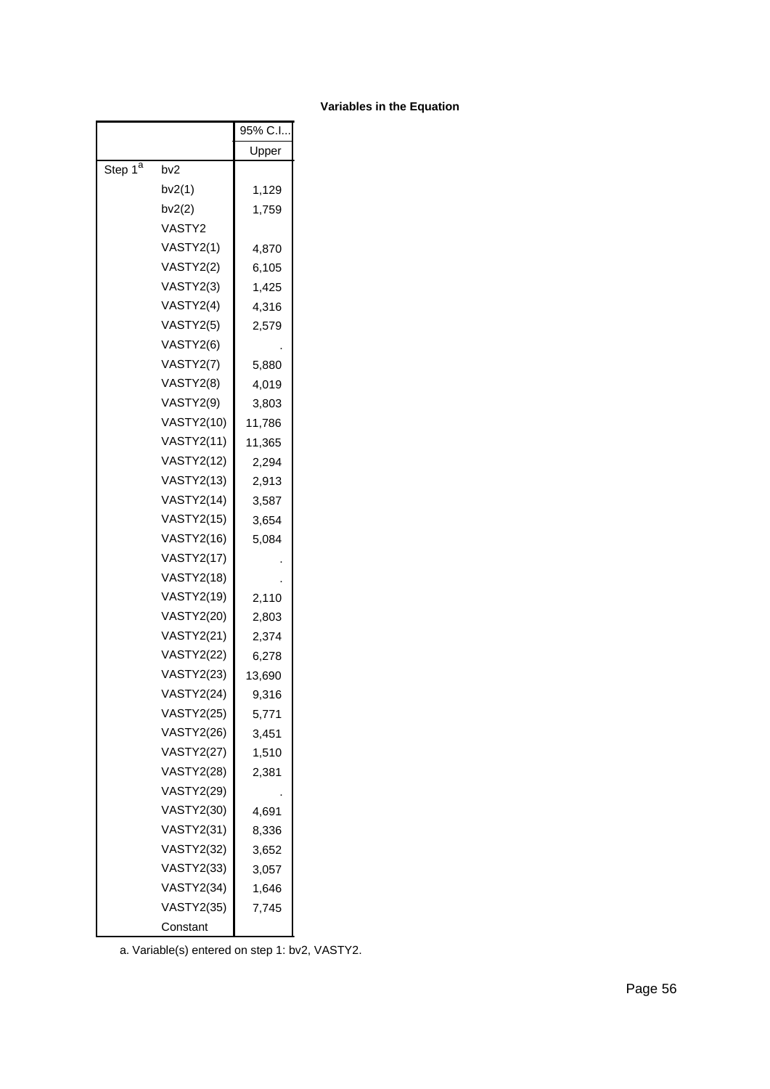|                     |                   | 95% C.I |
|---------------------|-------------------|---------|
|                     |                   | Upper   |
| Step 1 <sup>a</sup> | bv2               |         |
|                     | bv2(1)            | 1,129   |
|                     | bv2(2)            | 1,759   |
|                     | VASTY2            |         |
|                     | VASTY2(1)         | 4,870   |
|                     | VASTY2(2)         | 6,105   |
|                     | VASTY2(3)         | 1,425   |
|                     | VASTY2(4)         | 4,316   |
|                     | VASTY2(5)         | 2,579   |
|                     | VASTY2(6)         |         |
|                     | VASTY2(7)         | 5,880   |
|                     | VASTY2(8)         | 4,019   |
|                     | VASTY2(9)         | 3,803   |
|                     | <b>VASTY2(10)</b> | 11,786  |
|                     | <b>VASTY2(11)</b> | 11,365  |
|                     | <b>VASTY2(12)</b> | 2,294   |
|                     | <b>VASTY2(13)</b> | 2,913   |
|                     | <b>VASTY2(14)</b> | 3,587   |
|                     | <b>VASTY2(15)</b> | 3,654   |
|                     | <b>VASTY2(16)</b> | 5,084   |
|                     | <b>VASTY2(17)</b> |         |
|                     | <b>VASTY2(18)</b> |         |
|                     | <b>VASTY2(19)</b> | 2,110   |
|                     | <b>VASTY2(20)</b> | 2,803   |
|                     | <b>VASTY2(21)</b> | 2,374   |
|                     | <b>VASTY2(22)</b> | 6,278   |
|                     | <b>VASTY2(23)</b> | 13,690  |
|                     | <b>VASTY2(24)</b> | 9,316   |
|                     | <b>VASTY2(25)</b> | 5,771   |
|                     | <b>VASTY2(26)</b> | 3,451   |
|                     | <b>VASTY2(27)</b> | 1,510   |
|                     | <b>VASTY2(28)</b> | 2,381   |
|                     | VASTY2(29)        |         |
|                     | <b>VASTY2(30)</b> | 4,691   |
|                     | VASTY2(31)        | 8,336   |
|                     | <b>VASTY2(32)</b> | 3,652   |
|                     | VASTY2(33)        | 3,057   |
|                     | <b>VASTY2(34)</b> | 1,646   |
|                     | VASTY2(35)        | 7,745   |
|                     | Constant          |         |

a. Variable(s) entered on step 1: bv2, VASTY2.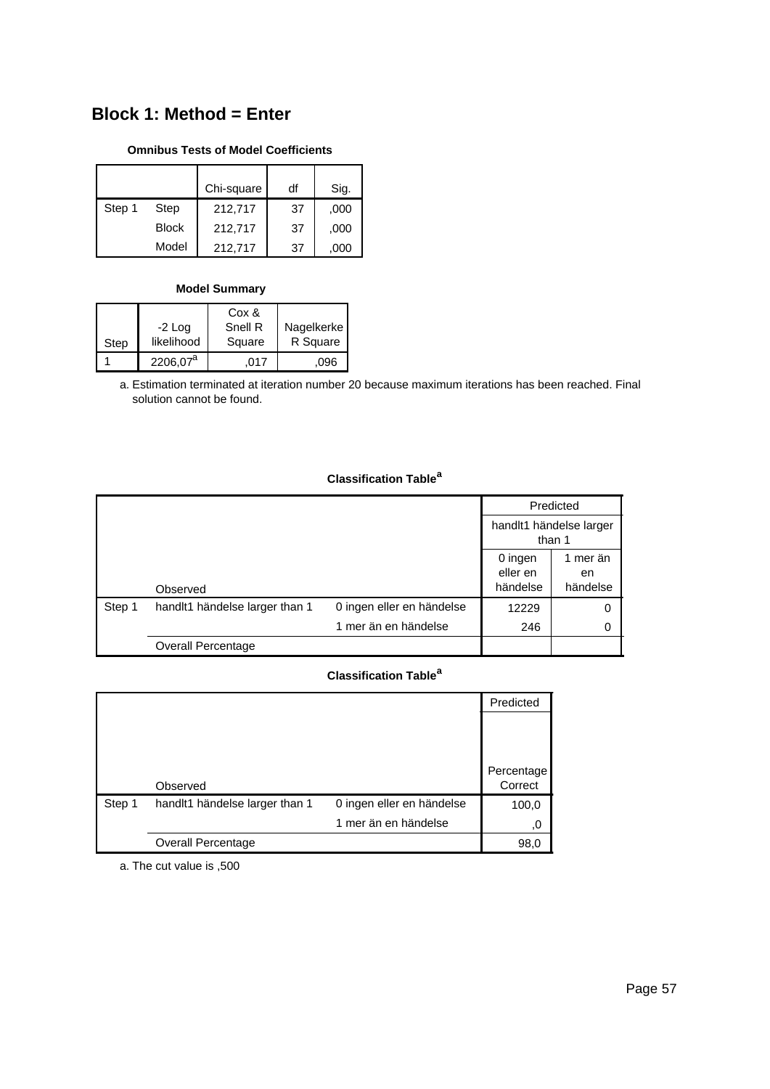### **Block 1: Method = Enter**

#### **Omnibus Tests of Model Coefficients**

|        |              | Chi-square | df | Sig. |
|--------|--------------|------------|----|------|
| Step 1 | Step         | 212,717    | 37 | ,000 |
|        | <b>Block</b> | 212,717    | 37 | ,000 |
|        | Model        | 212.717    | 37 | ,000 |

#### **Model Summary**

| Step | $-2$ Log<br>likelihood | Cox &<br>Snell R<br>Square | Nagelkerke<br>R Square |
|------|------------------------|----------------------------|------------------------|
|      | 2206,07 <sup>a</sup>   | 017                        | .096                   |

Estimation terminated at iteration number 20 because maximum iterations has been reached. Final a. solution cannot be found.

### **Classification Table<sup>a</sup>**

|        |                                |                           |                                                               | Predicted |  |  |
|--------|--------------------------------|---------------------------|---------------------------------------------------------------|-----------|--|--|
|        |                                |                           |                                                               |           |  |  |
|        | Observed                       |                           | 1 mer än<br>0 ingen<br>eller en<br>en<br>händelse<br>händelse |           |  |  |
| Step 1 | handit1 händelse larger than 1 | 0 ingen eller en händelse | 12229                                                         | 0         |  |  |
|        |                                | 1 mer än en händelse      | 246                                                           | 0         |  |  |
|        | <b>Overall Percentage</b>      |                           |                                                               |           |  |  |

### **Classification Table<sup>a</sup>**

|        |                                |                           | Predicted             |
|--------|--------------------------------|---------------------------|-----------------------|
|        |                                |                           |                       |
|        | Observed                       |                           | Percentage<br>Correct |
| Step 1 | handit1 händelse larger than 1 | 0 ingen eller en händelse | 100,0                 |
|        |                                | 1 mer än en händelse      | ,0                    |
|        | <b>Overall Percentage</b>      |                           | 98,0                  |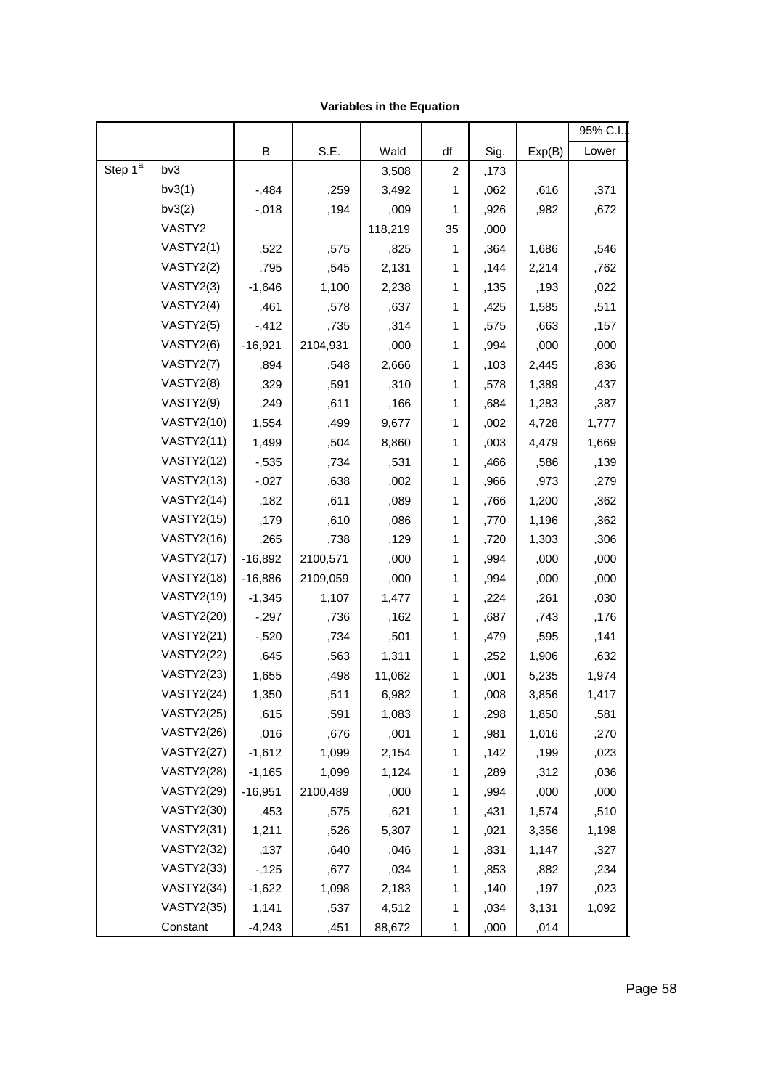|                     |                   |           |          |         |                |      |        | 95% C.I |
|---------------------|-------------------|-----------|----------|---------|----------------|------|--------|---------|
|                     |                   | В         | S.E.     | Wald    | df             | Sig. | Exp(B) | Lower   |
| Step 1 <sup>a</sup> | bv3               |           |          | 3,508   | $\overline{c}$ | ,173 |        |         |
|                     | bv3(1)            | $-0.484$  | ,259     | 3,492   | 1              | ,062 | ,616   | ,371    |
|                     | bv3(2)            | $-0.018$  | ,194     | ,009    | 1              | ,926 | ,982   | ,672    |
|                     | VASTY2            |           |          | 118,219 | 35             | ,000 |        |         |
|                     | VASTY2(1)         | ,522      | ,575     | ,825    | 1              | ,364 | 1,686  | ,546    |
|                     | VASTY2(2)         | ,795      | ,545     | 2,131   | 1              | ,144 | 2,214  | ,762    |
|                     | VASTY2(3)         | $-1,646$  | 1,100    | 2,238   | 1              | ,135 | ,193   | ,022    |
|                     | VASTY2(4)         | ,461      | ,578     | ,637    | 1              | ,425 | 1,585  | ,511    |
|                     | VASTY2(5)         | $-0.412$  | ,735     | ,314    | 1              | ,575 | ,663   | ,157    |
|                     | VASTY2(6)         | $-16,921$ | 2104,931 | ,000    | 1              | ,994 | ,000   | ,000    |
|                     | VASTY2(7)         | ,894      | ,548     | 2,666   | 1              | ,103 | 2,445  | ,836    |
|                     | VASTY2(8)         | ,329      | ,591     | ,310    | 1              | ,578 | 1,389  | ,437    |
|                     | VASTY2(9)         | ,249      | ,611     | ,166    | 1              | ,684 | 1,283  | ,387    |
|                     | <b>VASTY2(10)</b> | 1,554     | ,499     | 9,677   | 1              | ,002 | 4,728  | 1,777   |
|                     | <b>VASTY2(11)</b> | 1,499     | ,504     | 8,860   | 1              | ,003 | 4,479  | 1,669   |
|                     | <b>VASTY2(12)</b> | $-0.535$  | ,734     | ,531    | 1              | ,466 | ,586   | ,139    |
|                     | <b>VASTY2(13)</b> | $-0.027$  | ,638     | ,002    | 1              | ,966 | ,973   | ,279    |
|                     | <b>VASTY2(14)</b> | ,182      | ,611     | ,089    | 1              | ,766 | 1,200  | ,362    |
|                     | <b>VASTY2(15)</b> | ,179      | ,610     | ,086    | 1              | ,770 | 1,196  | ,362    |
|                     | <b>VASTY2(16)</b> | ,265      | ,738     | ,129    | 1              | ,720 | 1,303  | ,306    |
|                     | <b>VASTY2(17)</b> | $-16,892$ | 2100,571 | ,000    | 1              | ,994 | ,000   | ,000    |
|                     | <b>VASTY2(18)</b> | $-16,886$ | 2109,059 | ,000    | 1              | ,994 | ,000   | ,000    |
|                     | <b>VASTY2(19)</b> | $-1,345$  | 1,107    | 1,477   | 1              | ,224 | ,261   | ,030    |
|                     | <b>VASTY2(20)</b> | $-297$    | ,736     | ,162    | 1              | ,687 | ,743   | ,176    |
|                     | <b>VASTY2(21)</b> | $-0.520$  | ,734     | ,501    | 1              | ,479 | ,595   | ,141    |
|                     | <b>VASTY2(22)</b> | ,645      | ,563     | 1,311   | 1              | ,252 | 1,906  | ,632    |
|                     | <b>VASTY2(23)</b> | 1,655     | ,498     | 11,062  | 1              | ,001 | 5,235  | 1,974   |
|                     | <b>VASTY2(24)</b> | 1,350     | ,511     | 6,982   | 1              | ,008 | 3,856  | 1,417   |
|                     | <b>VASTY2(25)</b> | ,615      | ,591     | 1,083   | 1              | ,298 | 1,850  | ,581    |
|                     | <b>VASTY2(26)</b> | ,016      | ,676     | ,001    | 1              | ,981 | 1,016  | ,270    |
|                     | <b>VASTY2(27)</b> | $-1,612$  | 1,099    | 2,154   | 1              | ,142 | ,199   | ,023    |
|                     | <b>VASTY2(28)</b> | $-1,165$  | 1,099    | 1,124   | 1              | ,289 | ,312   | ,036    |
|                     | <b>VASTY2(29)</b> | $-16,951$ | 2100,489 | ,000    | 1              | ,994 | ,000   | ,000    |
|                     | <b>VASTY2(30)</b> | ,453      | ,575     | ,621    | 1              | ,431 | 1,574  | ,510    |
|                     | <b>VASTY2(31)</b> | 1,211     | ,526     | 5,307   | 1              | ,021 | 3,356  | 1,198   |
|                     | <b>VASTY2(32)</b> | ,137      | ,640     | ,046    | 1              | ,831 | 1,147  | ,327    |
|                     | <b>VASTY2(33)</b> | $-125$    | ,677     | ,034    | 1              | ,853 | ,882   | ,234    |
|                     | <b>VASTY2(34)</b> | $-1,622$  | 1,098    | 2,183   | 1              | ,140 | ,197   | ,023    |
|                     | <b>VASTY2(35)</b> | 1,141     | ,537     | 4,512   | 1              | ,034 | 3,131  | 1,092   |
|                     | Constant          | $-4,243$  | ,451     | 88,672  | $\mathbf{1}$   | ,000 | ,014   |         |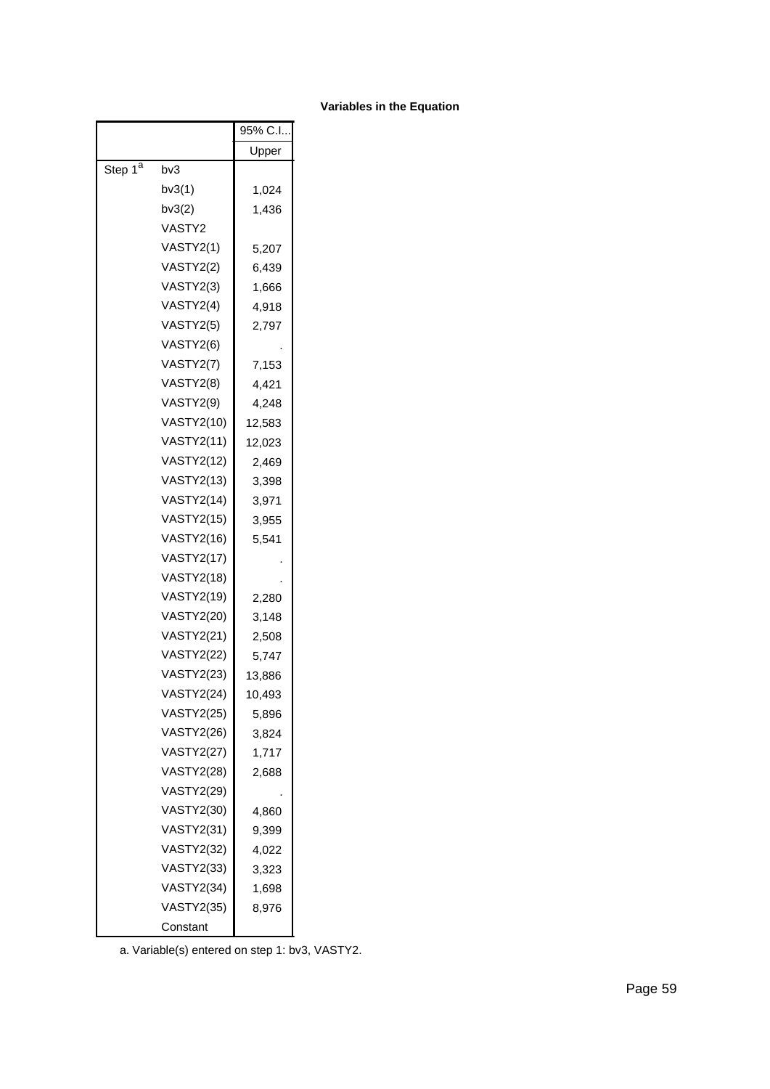|                     |                   | 95% C.I |
|---------------------|-------------------|---------|
|                     |                   | Upper   |
| Step 1 <sup>a</sup> | bv3               |         |
|                     | bv3(1)            | 1,024   |
|                     | bv3(2)            | 1,436   |
|                     | VASTY2            |         |
|                     | VASTY2(1)         | 5,207   |
|                     | VASTY2(2)         | 6,439   |
|                     | VASTY2(3)         | 1,666   |
|                     | VASTY2(4)         | 4,918   |
|                     | VASTY2(5)         | 2,797   |
|                     | VASTY2(6)         |         |
|                     | VASTY2(7)         | 7,153   |
|                     | VASTY2(8)         | 4,421   |
|                     | VASTY2(9)         | 4,248   |
|                     | <b>VASTY2(10)</b> | 12,583  |
|                     | <b>VASTY2(11)</b> | 12,023  |
|                     | <b>VASTY2(12)</b> | 2,469   |
|                     | <b>VASTY2(13)</b> | 3,398   |
|                     | <b>VASTY2(14)</b> | 3,971   |
|                     | <b>VASTY2(15)</b> | 3,955   |
|                     | <b>VASTY2(16)</b> | 5,541   |
|                     | <b>VASTY2(17)</b> |         |
|                     | <b>VASTY2(18)</b> |         |
|                     | <b>VASTY2(19)</b> | 2,280   |
|                     | <b>VASTY2(20)</b> | 3,148   |
|                     | <b>VASTY2(21)</b> | 2,508   |
|                     | <b>VASTY2(22)</b> | 5,747   |
|                     | <b>VASTY2(23)</b> | 13,886  |
|                     | <b>VASTY2(24)</b> | 10,493  |
|                     | <b>VASTY2(25)</b> | 5,896   |
|                     | <b>VASTY2(26)</b> | 3,824   |
|                     | <b>VASTY2(27)</b> | 1,717   |
|                     | <b>VASTY2(28)</b> | 2,688   |
|                     | <b>VASTY2(29)</b> |         |
|                     | <b>VASTY2(30)</b> | 4,860   |
|                     | <b>VASTY2(31)</b> | 9,399   |
|                     | <b>VASTY2(32)</b> | 4,022   |
|                     | <b>VASTY2(33)</b> | 3,323   |
|                     | <b>VASTY2(34)</b> | 1,698   |
|                     | <b>VASTY2(35)</b> | 8,976   |
|                     | Constant          |         |

a. Variable(s) entered on step 1: bv3, VASTY2.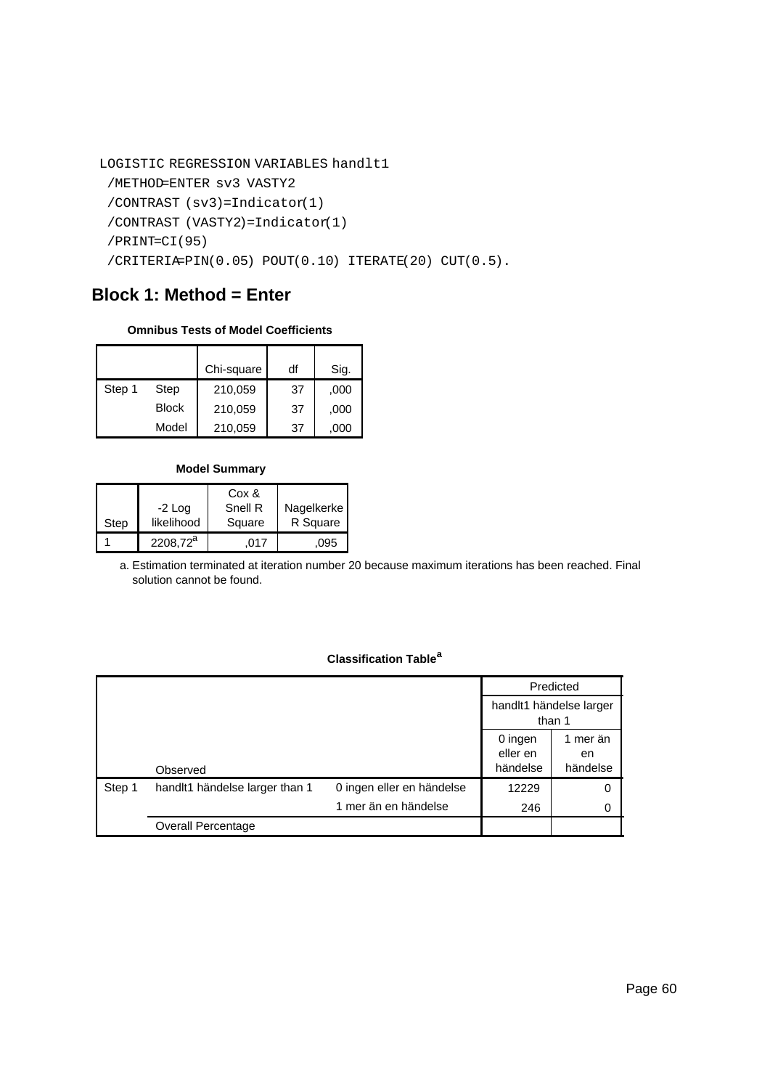```
LOGISTIC REGRESSION VARIABLES handlt1
 /METHOD=ENTER sv3 VASTY2
 /CONTRAST (sv3)=Indicator(1)
 /CONTRAST (VASTY2)=Indicator(1)
 /PRINT=CI(95)
 /CRITERIA=PIN(0.05) POUT(0.10) ITERATE(20) CUT(0.5).
```
### **Block 1: Method = Enter**

#### **Omnibus Tests of Model Coefficients**

|        |              | Chi-square | df | Sig. |
|--------|--------------|------------|----|------|
| Step 1 | Step         | 210,059    | 37 | ,000 |
|        | <b>Block</b> | 210,059    | 37 | ,000 |
|        | Model        | 210,059    | 37 | .000 |

#### **Model Summary**

| Step | $-2$ Log<br>likelihood | Cox &<br>Snell R<br>Square | Nagelkerke<br>R Square |
|------|------------------------|----------------------------|------------------------|
|      | $2208.72^a$            | .017                       | .095                   |

Estimation terminated at iteration number 20 because maximum iterations has been reached. Final a. solution cannot be found.

|        |                                |                           | Predicted<br>handlt1 händelse larger<br>than 1 |                            |
|--------|--------------------------------|---------------------------|------------------------------------------------|----------------------------|
|        |                                |                           |                                                |                            |
|        | Observed                       |                           | 0 ingen<br>eller en<br>händelse                | 1 mer än<br>en<br>händelse |
| Step 1 | handit1 händelse larger than 1 | 0 ingen eller en händelse | 12229                                          | 0                          |
|        |                                | 1 mer än en händelse      | 246                                            | 0                          |
|        | <b>Overall Percentage</b>      |                           |                                                |                            |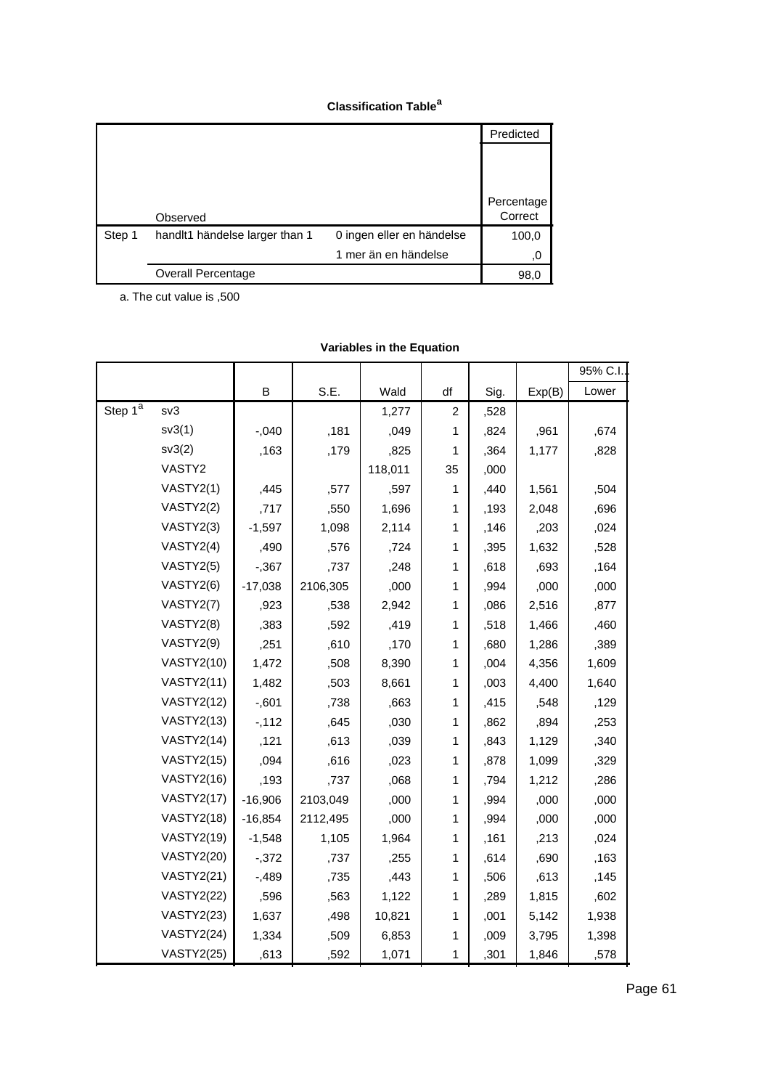## **Classification Table<sup>a</sup>**

|        |                                |                           | Predicted  |
|--------|--------------------------------|---------------------------|------------|
|        |                                |                           |            |
|        |                                |                           |            |
|        |                                |                           |            |
|        |                                |                           | Percentage |
|        | Observed                       |                           | Correct    |
| Step 1 | handlt1 händelse larger than 1 | 0 ingen eller en händelse | 100,0      |
|        |                                | 1 mer än en händelse      | ,0         |
|        | <b>Overall Percentage</b>      |                           | 98,0       |

a. The cut value is ,500

| י מווטוטוסט ווו נווס ∟קטמנוטוו |                   |           |          |         |                |      |        |         |
|--------------------------------|-------------------|-----------|----------|---------|----------------|------|--------|---------|
|                                |                   |           |          |         |                |      |        | 95% C.I |
|                                |                   | B         | S.E.     | Wald    | df             | Sig. | Exp(B) | Lower   |
| Step $1^a$                     | sv3               |           |          | 1,277   | $\overline{c}$ | ,528 |        |         |
|                                | sv3(1)            | $-0.040$  | ,181     | ,049    | 1              | ,824 | ,961   | ,674    |
|                                | sv3(2)            | ,163      | ,179     | ,825    | 1              | ,364 | 1,177  | ,828    |
|                                | VASTY2            |           |          | 118,011 | 35             | ,000 |        |         |
|                                | VASTY2(1)         | ,445      | ,577     | ,597    | $\mathbf{1}$   | ,440 | 1,561  | ,504    |
|                                | VASTY2(2)         | ,717      | ,550     | 1,696   | 1              | ,193 | 2,048  | ,696    |
|                                | VASTY2(3)         | $-1,597$  | 1,098    | 2,114   | 1              | ,146 | ,203   | ,024    |
|                                | VASTY2(4)         | ,490      | ,576     | ,724    | 1              | ,395 | 1,632  | ,528    |
|                                | VASTY2(5)         | $-0.367$  | ,737     | ,248    | 1              | ,618 | ,693   | ,164    |
|                                | VASTY2(6)         | $-17,038$ | 2106,305 | ,000    | 1              | ,994 | ,000   | ,000    |
|                                | VASTY2(7)         | ,923      | ,538     | 2,942   | 1              | ,086 | 2,516  | ,877    |
|                                | VASTY2(8)         | ,383      | ,592     | ,419    | 1              | ,518 | 1,466  | ,460    |
|                                | VASTY2(9)         | ,251      | ,610     | ,170    | 1              | ,680 | 1,286  | ,389    |
|                                | <b>VASTY2(10)</b> | 1,472     | ,508     | 8,390   | 1              | ,004 | 4,356  | 1,609   |
|                                | <b>VASTY2(11)</b> | 1,482     | ,503     | 8,661   | 1              | ,003 | 4,400  | 1,640   |
|                                | <b>VASTY2(12)</b> | $-0.601$  | ,738     | ,663    | 1              | ,415 | ,548   | ,129    |
|                                | <b>VASTY2(13)</b> | $-112$    | ,645     | ,030    | 1              | ,862 | ,894   | ,253    |
|                                | <b>VASTY2(14)</b> | ,121      | ,613     | ,039    | 1              | ,843 | 1,129  | ,340    |
|                                | <b>VASTY2(15)</b> | ,094      | ,616     | ,023    | 1              | ,878 | 1,099  | ,329    |
|                                | <b>VASTY2(16)</b> | ,193      | ,737     | ,068    | 1              | ,794 | 1,212  | ,286    |
|                                | <b>VASTY2(17)</b> | $-16,906$ | 2103,049 | ,000    | 1              | ,994 | ,000   | ,000    |
|                                | <b>VASTY2(18)</b> | $-16,854$ | 2112,495 | ,000    | 1              | ,994 | ,000   | ,000    |
|                                | <b>VASTY2(19)</b> | $-1,548$  | 1,105    | 1,964   | 1              | ,161 | ,213   | ,024    |
|                                | <b>VASTY2(20)</b> | $-0.372$  | ,737     | ,255    | 1              | ,614 | ,690   | ,163    |
|                                | <b>VASTY2(21)</b> | $-0.489$  | ,735     | ,443    | 1              | ,506 | ,613   | ,145    |
|                                | <b>VASTY2(22)</b> | ,596      | ,563     | 1,122   | 1              | ,289 | 1,815  | ,602    |
|                                | <b>VASTY2(23)</b> | 1,637     | ,498     | 10,821  | 1              | ,001 | 5,142  | 1,938   |
|                                | <b>VASTY2(24)</b> | 1,334     | ,509     | 6,853   | 1              | ,009 | 3,795  | 1,398   |
|                                | <b>VASTY2(25)</b> | ,613      | ,592     | 1,071   | 1              | ,301 | 1,846  | ,578    |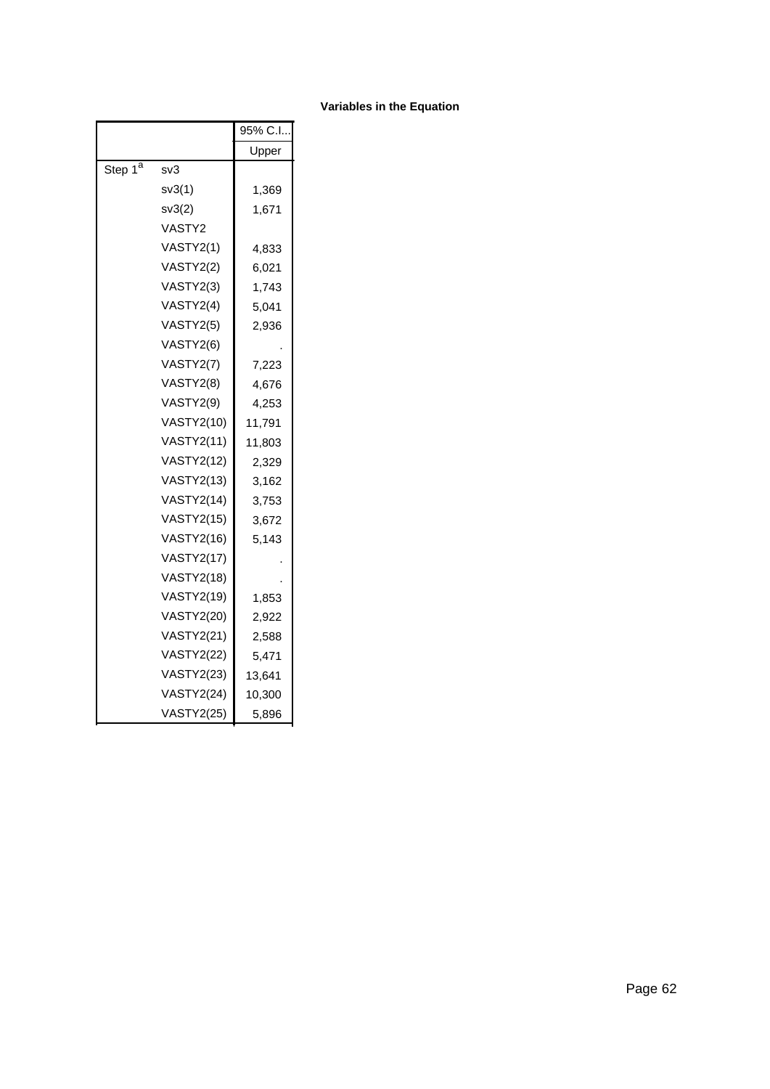|                     |                   | 95% C.I |
|---------------------|-------------------|---------|
|                     |                   | Upper   |
| Step 1 <sup>a</sup> | sv3               |         |
|                     | sv3(1)            | 1,369   |
|                     | sv3(2)            | 1,671   |
|                     | VASTY2            |         |
|                     | VASTY2(1)         | 4,833   |
|                     | VASTY2(2)         | 6,021   |
|                     | VASTY2(3)         | 1,743   |
|                     | VASTY2(4)         | 5,041   |
|                     | VASTY2(5)         | 2,936   |
|                     | VASTY2(6)         |         |
|                     | VASTY2(7)         | 7,223   |
|                     | VASTY2(8)         | 4,676   |
|                     | VASTY2(9)         | 4,253   |
|                     | <b>VASTY2(10)</b> | 11,791  |
|                     | <b>VASTY2(11)</b> | 11,803  |
|                     | <b>VASTY2(12)</b> | 2,329   |
|                     | <b>VASTY2(13)</b> | 3,162   |
|                     | <b>VASTY2(14)</b> | 3,753   |
|                     | <b>VASTY2(15)</b> | 3,672   |
|                     | <b>VASTY2(16)</b> | 5,143   |
|                     | <b>VASTY2(17)</b> |         |
|                     | <b>VASTY2(18)</b> |         |
|                     | <b>VASTY2(19)</b> | 1,853   |
|                     | <b>VASTY2(20)</b> | 2,922   |
|                     | <b>VASTY2(21)</b> | 2,588   |
|                     | <b>VASTY2(22)</b> | 5,471   |
|                     | <b>VASTY2(23)</b> | 13,641  |
|                     | <b>VASTY2(24)</b> | 10,300  |
|                     | <b>VASTY2(25)</b> | 5,896   |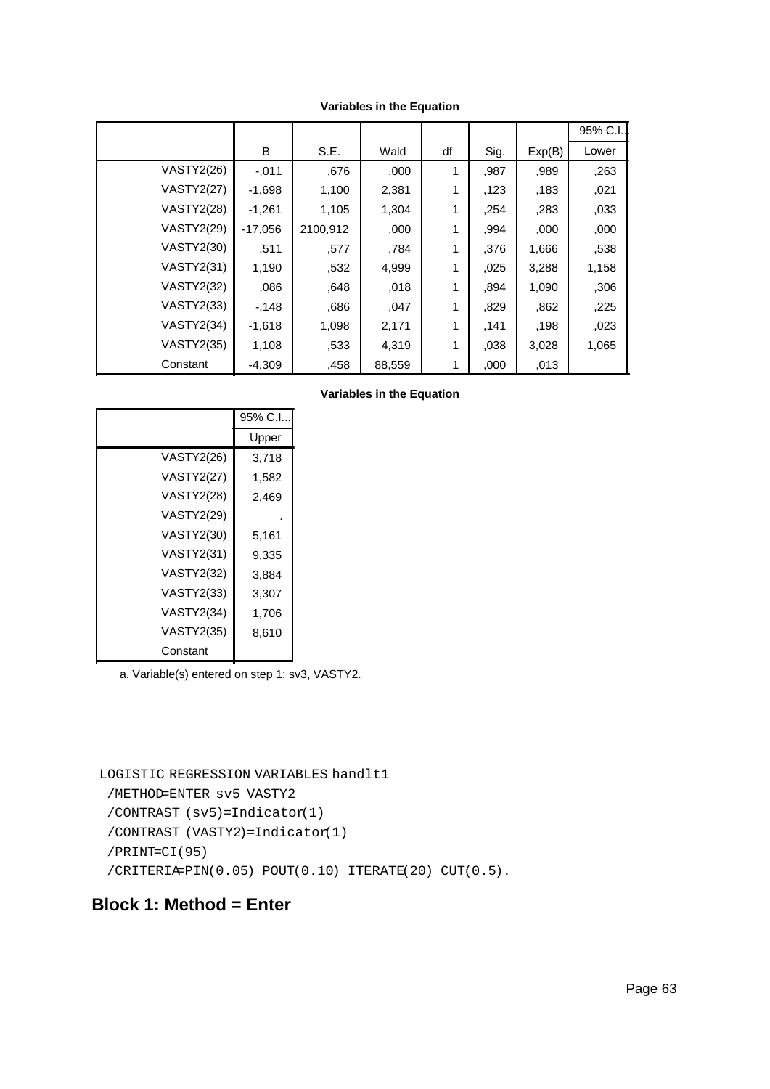|                   |           |          |        |    |      |        | 95% C.I |
|-------------------|-----------|----------|--------|----|------|--------|---------|
|                   | B         | S.E.     | Wald   | df | Sig. | Exp(B) | Lower   |
| <b>VASTY2(26)</b> | $-.011$   | ,676     | ,000   | 1  | ,987 | ,989   | ,263    |
| <b>VASTY2(27)</b> | $-1,698$  | 1,100    | 2,381  | 1  | .123 | ,183   | ,021    |
| <b>VASTY2(28)</b> | $-1,261$  | 1,105    | 1,304  | 1  | .254 | ,283   | ,033    |
| <b>VASTY2(29)</b> | $-17.056$ | 2100.912 | ,000   | 1  | .994 | ,000   | ,000    |
| <b>VASTY2(30)</b> | .511      | .577     | .784   | 1  | .376 | 1,666  | ,538    |
| <b>VASTY2(31)</b> | 1,190     | ,532     | 4,999  | 1  | ,025 | 3,288  | 1,158   |
| <b>VASTY2(32)</b> | ,086      | ,648     | ,018   | 1  | .894 | 1,090  | ,306    |
| <b>VASTY2(33)</b> | $-148$    | ,686     | 047    | 1  | .829 | ,862   | ,225    |
| <b>VASTY2(34)</b> | $-1,618$  | 1,098    | 2,171  | 1  | ,141 | ,198   | ,023    |
| <b>VASTY2(35)</b> | 1,108     | ,533     | 4,319  | 1  | ,038 | 3,028  | 1,065   |
| Constant          | $-4,309$  | ,458     | 88,559 | 1  | ,000 | ,013   |         |

**Variables in the Equation**

|                   | 95% C.I |
|-------------------|---------|
|                   | Upper   |
| <b>VASTY2(26)</b> | 3,718   |
| VASTY2(27)        | 1,582   |
| <b>VASTY2(28)</b> | 2,469   |
| <b>VASTY2(29)</b> |         |
| <b>VASTY2(30)</b> | 5,161   |
| <b>VASTY2(31)</b> | 9,335   |
| <b>VASTY2(32)</b> | 3,884   |
| <b>VASTY2(33)</b> | 3,307   |
| <b>VASTY2(34)</b> | 1,706   |
| <b>VASTY2(35)</b> | 8,610   |
| Constant          |         |

a. Variable(s) entered on step 1: sv3, VASTY2.

```
LOGISTIC REGRESSION VARIABLES handlt1
 /METHOD=ENTER sv5 VASTY2
 /CONTRAST (sv5)=Indicator(1)
 /CONTRAST (VASTY2)=Indicator(1)
 /PRINT=CI(95)
 /CRITERIA=PIN(0.05) POUT(0.10) ITERATE(20) CUT(0.5).
```
## **Block 1: Method = Enter**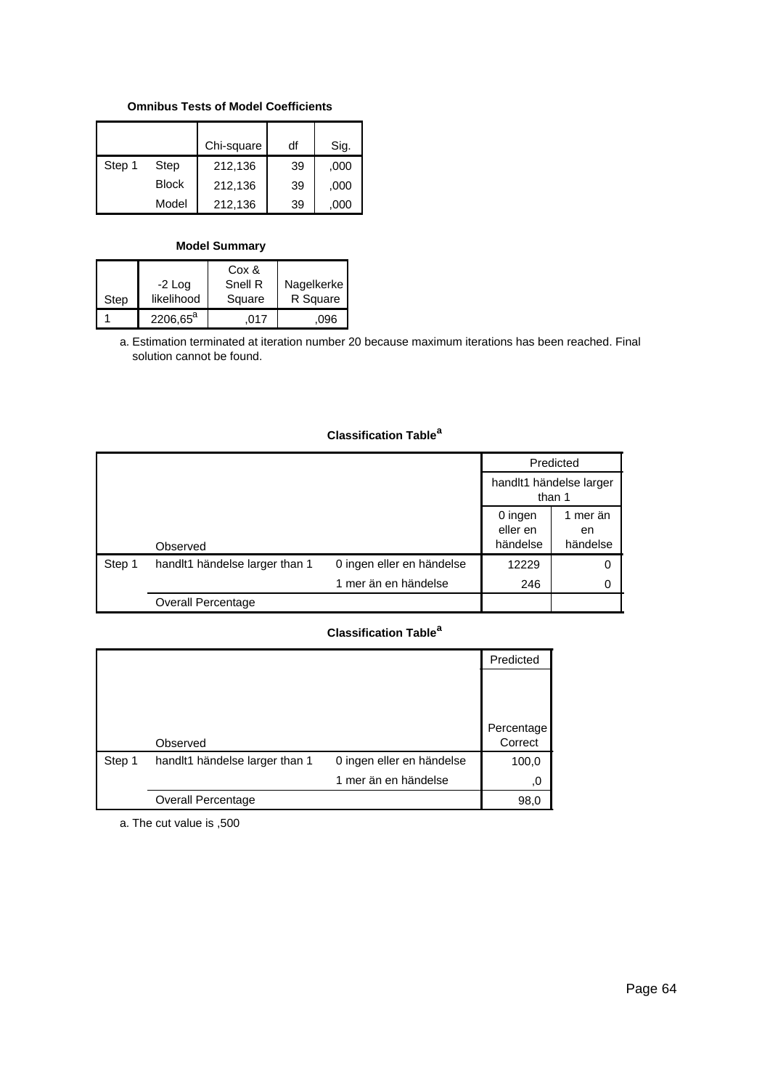## **Omnibus Tests of Model Coefficients**

|        |       | Chi-square | df | Sig. |
|--------|-------|------------|----|------|
| Step 1 | Step  | 212,136    | 39 | ,000 |
|        | Block | 212,136    | 39 | ,000 |
|        | Model | 212,136    | 39 | ,000 |

#### **Model Summary**

|      |                      | Cox &   |            |
|------|----------------------|---------|------------|
|      | $-2$ Log             | Snell R | Nagelkerke |
| Step | likelihood           | Square  | R Square   |
|      | 2206,65 <sup>a</sup> | .017    | .096       |

Estimation terminated at iteration number 20 because maximum iterations has been reached. Final a. solution cannot be found.

## **Classification Table<sup>a</sup>**

|        |                                |                           |                                   | Predicted                  |  |  |
|--------|--------------------------------|---------------------------|-----------------------------------|----------------------------|--|--|
|        |                                |                           | handlt1 händelse larger<br>than 1 |                            |  |  |
|        | Observed                       |                           | 0 ingen<br>eller en<br>händelse   | 1 mer än<br>en<br>händelse |  |  |
| Step 1 | handlt1 händelse larger than 1 | 0 ingen eller en händelse | 12229                             | 0                          |  |  |
|        |                                | 1 mer än en händelse      | 246                               | 0                          |  |  |
|        | Overall Percentage             |                           |                                   |                            |  |  |

## **Classification Table<sup>a</sup>**

|        |                                |                           | Predicted             |
|--------|--------------------------------|---------------------------|-----------------------|
|        |                                |                           |                       |
|        |                                |                           |                       |
|        |                                |                           |                       |
|        | Observed                       |                           | Percentage<br>Correct |
| Step 1 | handlt1 händelse larger than 1 | 0 ingen eller en händelse | 100,0                 |
|        |                                | 1 mer än en händelse      | 0,                    |
|        | <b>Overall Percentage</b>      |                           | 98,0                  |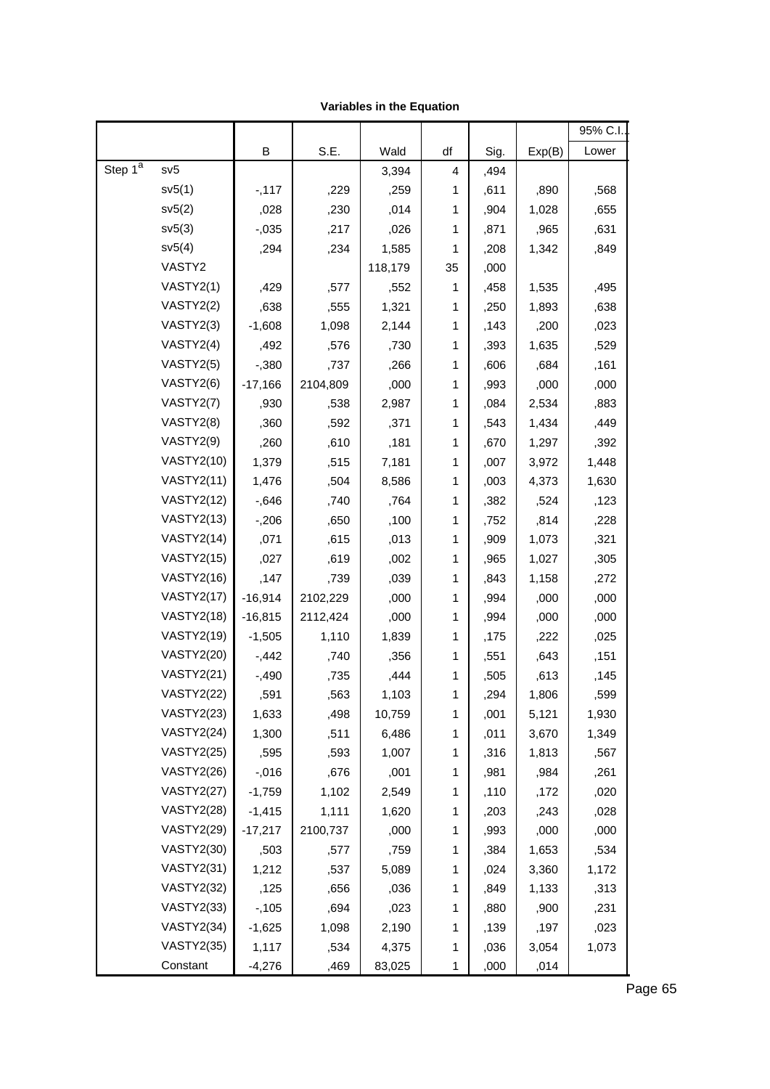|                         |                   |           |          |         |              |      |        | 95% C.I |  |
|-------------------------|-------------------|-----------|----------|---------|--------------|------|--------|---------|--|
|                         |                   | В         | S.E.     | Wald    | df           | Sig. | Exp(B) | Lower   |  |
| Step $1^{\overline{a}}$ | sv5               |           |          | 3,394   | 4            | ,494 |        |         |  |
|                         | sv5(1)            | $-117$    | ,229     | ,259    | 1            | ,611 | ,890   | ,568    |  |
|                         | sv5(2)            | ,028      | ,230     | ,014    | 1            | ,904 | 1,028  | ,655    |  |
|                         | sv5(3)            | $-0.035$  | ,217     | ,026    | 1            | ,871 | ,965   | ,631    |  |
|                         | sv5(4)            | ,294      | ,234     | 1,585   | $\mathbf{1}$ | ,208 | 1,342  | ,849    |  |
|                         | VASTY2            |           |          | 118,179 | 35           | ,000 |        |         |  |
|                         | VASTY2(1)         | ,429      | ,577     | ,552    | 1            | ,458 | 1,535  | ,495    |  |
|                         | VASTY2(2)         | ,638      | ,555     | 1,321   | 1            | ,250 | 1,893  | ,638    |  |
|                         | VASTY2(3)         | $-1,608$  | 1,098    | 2,144   | 1            | ,143 | ,200   | ,023    |  |
|                         | VASTY2(4)         | ,492      | ,576     | ,730    | 1            | ,393 | 1,635  | ,529    |  |
|                         | VASTY2(5)         | $-0.380$  | ,737     | ,266    | 1            | ,606 | ,684   | ,161    |  |
|                         | VASTY2(6)         | $-17,166$ | 2104,809 | ,000    | 1            | ,993 | ,000   | ,000    |  |
|                         | VASTY2(7)         | ,930      | ,538     | 2,987   | 1            | ,084 | 2,534  | ,883    |  |
|                         | VASTY2(8)         | ,360      | ,592     | ,371    | 1            | ,543 | 1,434  | ,449    |  |
|                         | VASTY2(9)         | ,260      | ,610     | ,181    | 1            | ,670 | 1,297  | ,392    |  |
|                         | <b>VASTY2(10)</b> | 1,379     | ,515     | 7,181   | 1            | ,007 | 3,972  | 1,448   |  |
|                         | <b>VASTY2(11)</b> | 1,476     | ,504     | 8,586   | 1            | ,003 | 4,373  | 1,630   |  |
|                         | <b>VASTY2(12)</b> | $-0.646$  | ,740     | ,764    | 1            | ,382 | ,524   | ,123    |  |
|                         | <b>VASTY2(13)</b> | $-206$    | ,650     | ,100    | 1            | ,752 | ,814   | ,228    |  |
|                         | <b>VASTY2(14)</b> | ,071      | ,615     | ,013    | 1            | ,909 | 1,073  | ,321    |  |
|                         | <b>VASTY2(15)</b> | ,027      | ,619     | ,002    | 1            | ,965 | 1,027  | ,305    |  |
|                         | <b>VASTY2(16)</b> | ,147      | ,739     | ,039    | 1            | ,843 | 1,158  | ,272    |  |
|                         | <b>VASTY2(17)</b> | $-16,914$ | 2102,229 | ,000    | 1            | ,994 | ,000   | ,000    |  |
|                         | <b>VASTY2(18)</b> | $-16,815$ | 2112,424 | ,000    | 1            | ,994 | ,000   | ,000    |  |
|                         | <b>VASTY2(19)</b> | $-1,505$  | 1,110    | 1,839   | 1            | ,175 | ,222   | ,025    |  |
|                         | <b>VASTY2(20)</b> | $-0.442$  | ,740     | ,356    | 1            | ,551 | ,643   | ,151    |  |
|                         | <b>VASTY2(21)</b> | $-0.490$  | ,735     | ,444    | 1            | ,505 | ,613   | ,145    |  |
|                         | <b>VASTY2(22)</b> | ,591      | ,563     | 1,103   | 1            | ,294 | 1,806  | ,599    |  |
|                         | <b>VASTY2(23)</b> | 1,633     | ,498     | 10,759  | 1            | ,001 | 5,121  | 1,930   |  |
|                         | <b>VASTY2(24)</b> | 1,300     | ,511     | 6,486   | 1            | ,011 | 3,670  | 1,349   |  |
|                         | <b>VASTY2(25)</b> | ,595      | ,593     | 1,007   | 1            | ,316 | 1,813  | ,567    |  |
|                         | <b>VASTY2(26)</b> | $-0.016$  | ,676     | ,001    | 1            | ,981 | ,984   | ,261    |  |
|                         | <b>VASTY2(27)</b> | $-1,759$  | 1,102    | 2,549   | 1            | ,110 | ,172   | ,020    |  |
|                         | <b>VASTY2(28)</b> | $-1,415$  | 1,111    | 1,620   | 1            | ,203 | ,243   | ,028    |  |
|                         | <b>VASTY2(29)</b> | $-17,217$ | 2100,737 | ,000    | 1            | ,993 | ,000   | ,000    |  |
|                         | <b>VASTY2(30)</b> | ,503      | ,577     | ,759    | 1            | ,384 | 1,653  | ,534    |  |
|                         | <b>VASTY2(31)</b> | 1,212     | ,537     | 5,089   | 1            | ,024 | 3,360  | 1,172   |  |
|                         | <b>VASTY2(32)</b> | ,125      | ,656     | ,036    | 1            | ,849 | 1,133  | ,313    |  |
|                         | <b>VASTY2(33)</b> | $-105$    | ,694     | ,023    | 1            | ,880 | ,900   | ,231    |  |
|                         | <b>VASTY2(34)</b> | $-1,625$  | 1,098    | 2,190   | 1            | ,139 | ,197   | ,023    |  |
|                         | <b>VASTY2(35)</b> | 1,117     | ,534     | 4,375   | 1            | ,036 | 3,054  | 1,073   |  |
|                         | Constant          | $-4,276$  | ,469     | 83,025  | $\mathbf{1}$ | ,000 | ,014   |         |  |

Page 65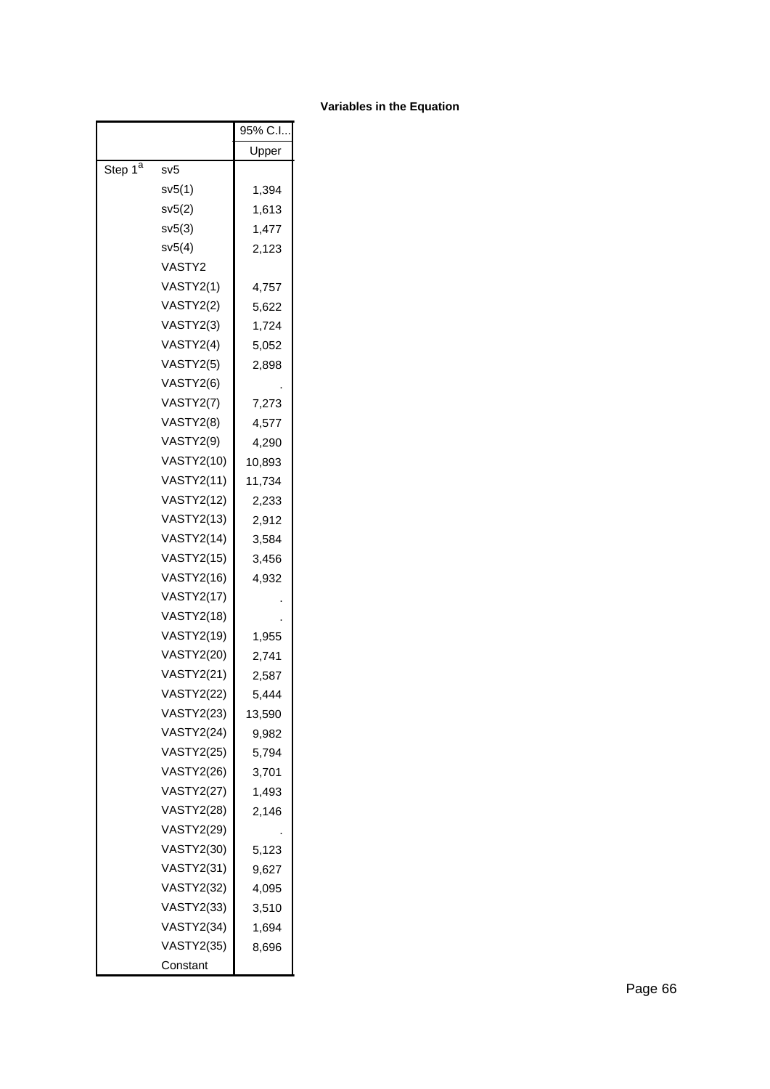|                     |                   | 95% C.I |
|---------------------|-------------------|---------|
|                     |                   | Upper   |
| Step 1 <sup>a</sup> | sv5               |         |
|                     | sv5(1)            | 1,394   |
|                     | sv5(2)            | 1,613   |
|                     | sv5(3)            | 1,477   |
|                     | sv5(4)            | 2,123   |
|                     | VASTY2            |         |
|                     | VASTY2(1)         | 4,757   |
|                     | VASTY2(2)         | 5,622   |
|                     | VASTY2(3)         | 1,724   |
|                     | VASTY2(4)         | 5,052   |
|                     | VASTY2(5)         | 2,898   |
|                     | VASTY2(6)         |         |
|                     | VASTY2(7)         | 7,273   |
|                     | VASTY2(8)         | 4,577   |
|                     | VASTY2(9)         | 4,290   |
|                     | <b>VASTY2(10)</b> | 10,893  |
|                     | <b>VASTY2(11)</b> | 11,734  |
|                     | <b>VASTY2(12)</b> | 2,233   |
|                     | <b>VASTY2(13)</b> | 2,912   |
|                     | <b>VASTY2(14)</b> | 3,584   |
|                     | <b>VASTY2(15)</b> | 3,456   |
|                     | <b>VASTY2(16)</b> | 4,932   |
|                     | <b>VASTY2(17)</b> |         |
|                     | <b>VASTY2(18)</b> |         |
|                     | <b>VASTY2(19)</b> | 1,955   |
|                     | <b>VASTY2(20)</b> | 2,741   |
|                     | <b>VASTY2(21)</b> | 2,587   |
|                     | <b>VASTY2(22)</b> | 5,444   |
|                     | <b>VASTY2(23)</b> | 13,590  |
|                     | <b>VASTY2(24)</b> | 9,982   |
|                     | <b>VASTY2(25)</b> | 5,794   |
|                     | VASTY2(26)        | 3,701   |
|                     | VASTY2(27)        | 1,493   |
|                     | <b>VASTY2(28)</b> | 2,146   |
|                     | <b>VASTY2(29)</b> |         |
|                     | <b>VASTY2(30)</b> | 5,123   |
|                     | VASTY2(31)        | 9,627   |
|                     | <b>VASTY2(32)</b> | 4,095   |
|                     | VASTY2(33)        | 3,510   |
|                     | <b>VASTY2(34)</b> | 1,694   |
|                     | <b>VASTY2(35)</b> | 8,696   |
|                     | Constant          |         |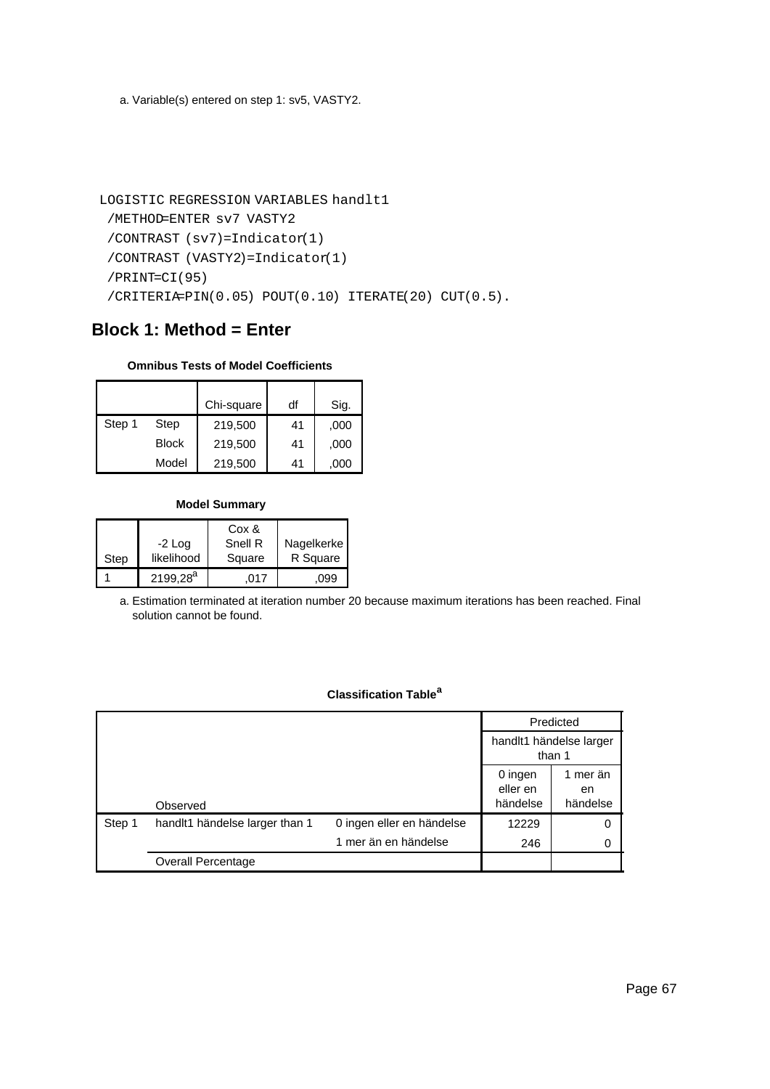a. Variable(s) entered on step 1: sv5, VASTY2.

```
LOGISTIC REGRESSION VARIABLES handlt1
 /METHOD=ENTER sv7 VASTY2
 /CONTRAST (sv7)=Indicator(1)
 /CONTRAST (VASTY2)=Indicator(1)
 /PRINT=CI(95)
 /CRITERIA=PIN(0.05) POUT(0.10) ITERATE(20) CUT(0.5).
```
# **Block 1: Method = Enter**

## **Omnibus Tests of Model Coefficients**

|        |              | Chi-square | df | Sig. |
|--------|--------------|------------|----|------|
| Step 1 | Step         | 219,500    | 41 | ,000 |
|        | <b>Block</b> | 219,500    | 41 | ,000 |
|        | Model        | 219,500    | 41 | ,000 |

#### **Model Summary**

|      | $-2$ Log      | Cox &<br>Snell R | Nagelkerke |
|------|---------------|------------------|------------|
| Step | likelihood    | Square           | R Square   |
|      | $2199,28^{a}$ | .017             | .099       |

Estimation terminated at iteration number 20 because maximum iterations has been reached. Final a. solution cannot be found.

## **Classification Table<sup>a</sup>**

|        |                                |                           | Predicted                                                     |   |  |
|--------|--------------------------------|---------------------------|---------------------------------------------------------------|---|--|
|        |                                |                           | handlt1 händelse larger<br>than 1                             |   |  |
|        | Observed                       |                           | 0 ingen<br>1 mer än<br>eller en<br>en<br>händelse<br>händelse |   |  |
| Step 1 | handlt1 händelse larger than 1 | 0 ingen eller en händelse | 12229                                                         | 0 |  |
|        |                                | 1 mer än en händelse      | 246                                                           | 0 |  |
|        | <b>Overall Percentage</b>      |                           |                                                               |   |  |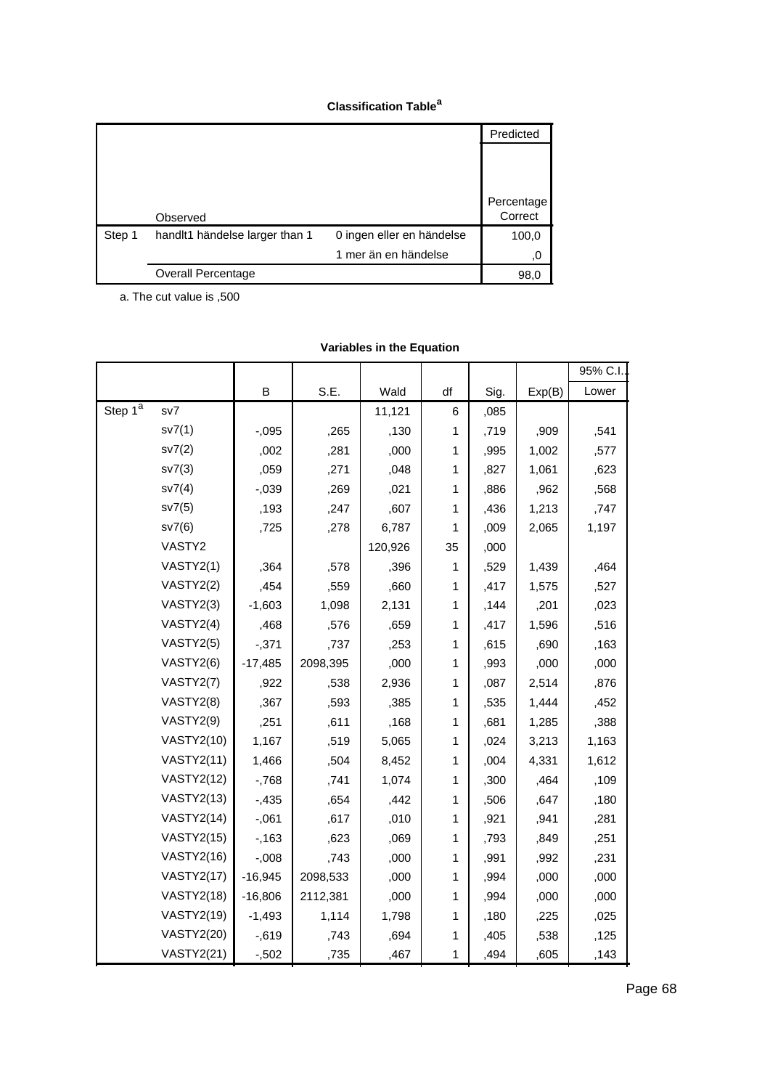## **Classification Table<sup>a</sup>**

|        |                                |                           | Predicted  |
|--------|--------------------------------|---------------------------|------------|
|        |                                |                           |            |
|        |                                |                           |            |
|        |                                |                           |            |
|        |                                |                           | Percentage |
|        | Observed                       |                           | Correct    |
| Step 1 | handit1 händelse larger than 1 | 0 ingen eller en händelse | 100,0      |
|        |                                | 1 mer än en händelse      | ,0         |
|        | <b>Overall Percentage</b>      |                           | 98,0       |

a. The cut value is ,500

|            |                   |           |          | variables in the Equation |              |      |        |         |
|------------|-------------------|-----------|----------|---------------------------|--------------|------|--------|---------|
|            |                   |           |          |                           |              |      |        | 95% C.I |
|            |                   | B         | S.E.     | Wald                      | df           | Sig. | Exp(B) | Lower   |
| Step $1^a$ | sv7               |           |          | 11,121                    | $\,6$        | ,085 |        |         |
|            | sv7(1)            | $-0.095$  | ,265     | ,130                      | 1            | ,719 | ,909   | ,541    |
|            | sv7(2)            | ,002      | ,281     | ,000                      | 1            | ,995 | 1,002  | ,577    |
|            | sv7(3)            | ,059      | ,271     | ,048                      | 1            | ,827 | 1,061  | ,623    |
|            | sv7(4)            | $-0.039$  | ,269     | ,021                      | 1            | ,886 | ,962   | ,568    |
|            | sv7(5)            | ,193      | ,247     | ,607                      | 1            | ,436 | 1,213  | ,747    |
|            | sv7(6)            | ,725      | ,278     | 6,787                     | 1            | ,009 | 2,065  | 1,197   |
|            | VASTY2            |           |          | 120,926                   | 35           | ,000 |        |         |
|            | VASTY2(1)         | ,364      | ,578     | ,396                      | 1            | ,529 | 1,439  | ,464    |
|            | VASTY2(2)         | ,454      | ,559     | ,660                      | 1            | ,417 | 1,575  | ,527    |
|            | VASTY2(3)         | $-1,603$  | 1,098    | 2,131                     | 1            | ,144 | ,201   | ,023    |
|            | VASTY2(4)         | ,468      | ,576     | ,659                      | 1            | ,417 | 1,596  | ,516    |
|            | VASTY2(5)         | $-0.371$  | ,737     | ,253                      | 1            | ,615 | ,690   | ,163    |
|            | VASTY2(6)         | $-17,485$ | 2098,395 | ,000                      | 1            | ,993 | ,000   | ,000    |
|            | VASTY2(7)         | ,922      | ,538     | 2,936                     | 1            | ,087 | 2,514  | ,876    |
|            | VASTY2(8)         | ,367      | ,593     | ,385                      | 1            | ,535 | 1,444  | ,452    |
|            | VASTY2(9)         | ,251      | ,611     | ,168                      | 1            | ,681 | 1,285  | ,388    |
|            | <b>VASTY2(10)</b> | 1,167     | ,519     | 5,065                     | 1            | ,024 | 3,213  | 1,163   |
|            | <b>VASTY2(11)</b> | 1,466     | ,504     | 8,452                     | 1            | ,004 | 4,331  | 1,612   |
|            | <b>VASTY2(12)</b> | $-768$    | ,741     | 1,074                     | 1            | ,300 | ,464   | ,109    |
|            | <b>VASTY2(13)</b> | $-0.435$  | ,654     | ,442                      | 1            | ,506 | ,647   | ,180    |
|            | <b>VASTY2(14)</b> | $-0.061$  | ,617     | ,010                      | 1            | ,921 | ,941   | ,281    |
|            | <b>VASTY2(15)</b> | $-163$    | ,623     | ,069                      | 1            | ,793 | ,849   | ,251    |
|            | <b>VASTY2(16)</b> | $-0.008$  | ,743     | ,000                      | $\mathbf{1}$ | ,991 | ,992   | ,231    |
|            | <b>VASTY2(17)</b> | $-16,945$ | 2098,533 | ,000                      | 1            | ,994 | ,000   | ,000    |
|            | <b>VASTY2(18)</b> | $-16,806$ | 2112,381 | ,000                      | 1            | ,994 | ,000   | ,000    |
|            | <b>VASTY2(19)</b> | $-1,493$  | 1,114    | 1,798                     | 1            | ,180 | ,225   | ,025    |
|            | <b>VASTY2(20)</b> | $-0.619$  | ,743     | ,694                      | 1            | ,405 | ,538   | ,125    |
|            | <b>VASTY2(21)</b> | $-0.502$  | ,735     | ,467                      | 1            | ,494 | ,605   | ,143    |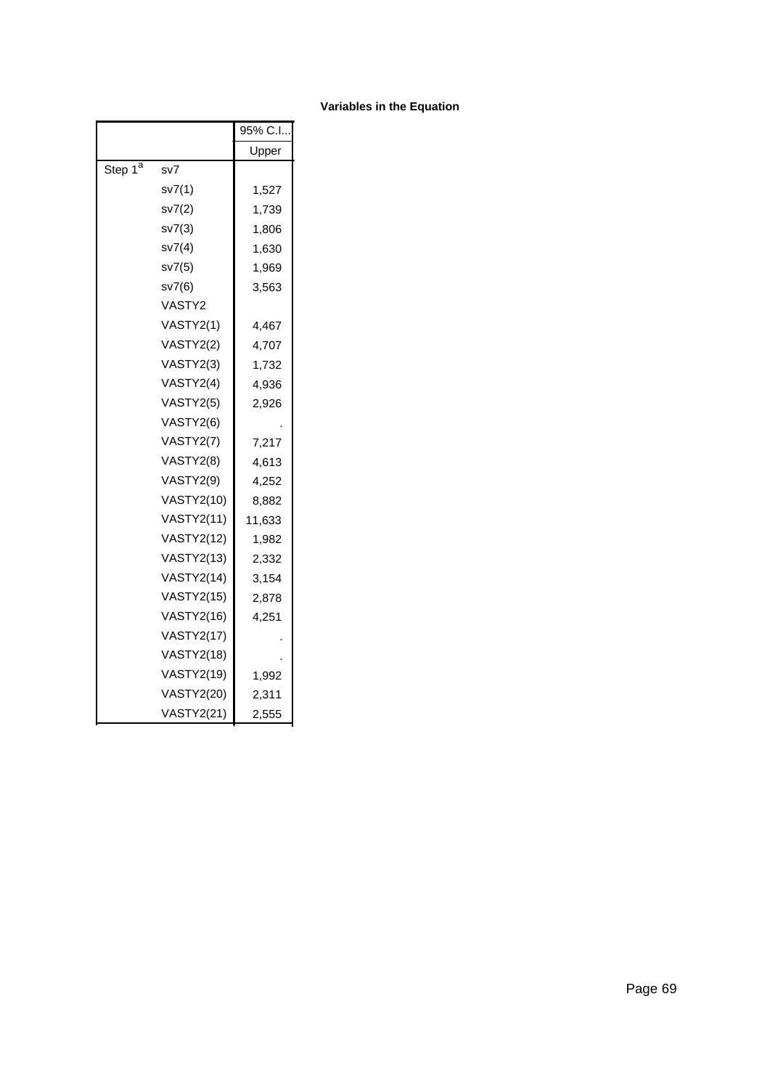|                     |                   | 95% C.I |
|---------------------|-------------------|---------|
|                     |                   | Upper   |
| Step 1 <sup>a</sup> | sv7               |         |
|                     | sv7(1)            | 1,527   |
|                     | sv7(2)            | 1,739   |
|                     | sv7(3)            | 1,806   |
|                     | sv7(4)            | 1,630   |
|                     | sv7(5)            | 1,969   |
|                     | sv7(6)            | 3,563   |
|                     | VASTY2            |         |
|                     | VASTY2(1)         | 4,467   |
|                     | VASTY2(2)         | 4,707   |
|                     | VASTY2(3)         | 1,732   |
|                     | VASTY2(4)         | 4,936   |
|                     | VASTY2(5)         | 2,926   |
|                     | VASTY2(6)         |         |
|                     | VASTY2(7)         | 7,217   |
|                     | VASTY2(8)         | 4,613   |
|                     | VASTY2(9)         | 4,252   |
|                     | <b>VASTY2(10)</b> | 8,882   |
|                     | <b>VASTY2(11)</b> | 11,633  |
|                     | <b>VASTY2(12)</b> | 1,982   |
|                     | <b>VASTY2(13)</b> | 2,332   |
|                     | <b>VASTY2(14)</b> | 3,154   |
|                     | <b>VASTY2(15)</b> | 2,878   |
|                     | <b>VASTY2(16)</b> | 4,251   |
|                     | <b>VASTY2(17)</b> |         |
|                     | <b>VASTY2(18)</b> |         |
|                     | <b>VASTY2(19)</b> | 1,992   |
|                     | <b>VASTY2(20)</b> | 2,311   |
|                     | <b>VASTY2(21)</b> | 2,555   |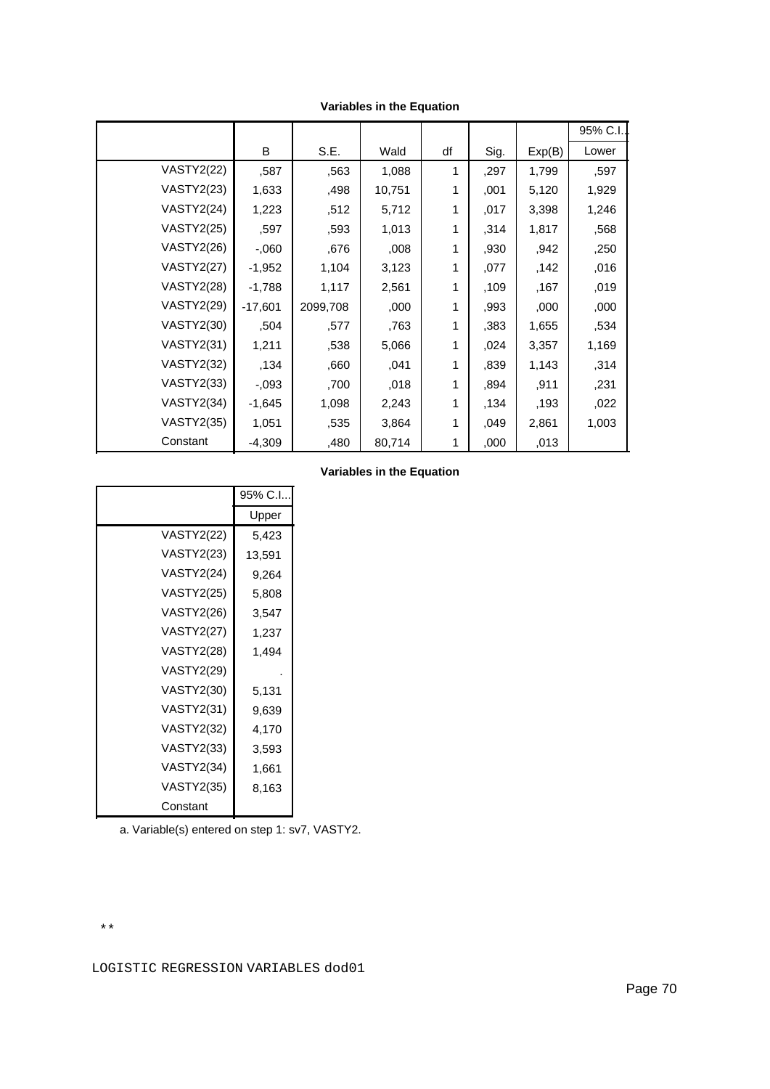|                   |           |          |        |    |      |        | 95% C.I |
|-------------------|-----------|----------|--------|----|------|--------|---------|
|                   | B         | S.E.     | Wald   | df | Sig. | Exp(B) | Lower   |
| <b>VASTY2(22)</b> | ,587      | ,563     | 1,088  | 1  | ,297 | 1,799  | ,597    |
| <b>VASTY2(23)</b> | 1,633     | ,498     | 10,751 | 1  | ,001 | 5,120  | 1,929   |
| <b>VASTY2(24)</b> | 1,223     | ,512     | 5,712  | 1  | ,017 | 3,398  | 1,246   |
| <b>VASTY2(25)</b> | .597      | ,593     | 1,013  | 1  | .314 | 1,817  | ,568    |
| <b>VASTY2(26)</b> | $-0.060$  | ,676     | ,008   | 1  | ,930 | ,942   | ,250    |
| <b>VASTY2(27)</b> | $-1,952$  | 1,104    | 3,123  | 1  | ,077 | ,142   | ,016    |
| <b>VASTY2(28)</b> | $-1,788$  | 1,117    | 2,561  | 1  | ,109 | ,167   | ,019    |
| <b>VASTY2(29)</b> | $-17,601$ | 2099,708 | ,000   | 1  | ,993 | ,000   | ,000    |
| <b>VASTY2(30)</b> | ,504      | ,577     | ,763   | 1  | ,383 | 1,655  | ,534    |
| <b>VASTY2(31)</b> | 1,211     | ,538     | 5,066  | 1  | ,024 | 3,357  | 1,169   |
| <b>VASTY2(32)</b> | ,134      | ,660     | ,041   | 1  | ,839 | 1,143  | ,314    |
| <b>VASTY2(33)</b> | $-0.093$  | ,700     | ,018   | 1  | ,894 | ,911   | ,231    |
| <b>VASTY2(34)</b> | $-1,645$  | 1,098    | 2,243  | 1  | ,134 | ,193   | ,022    |
| <b>VASTY2(35)</b> | 1,051     | ,535     | 3,864  | 1  | ,049 | 2,861  | 1,003   |
| Constant          | $-4,309$  | ,480     | 80,714 | 1  | .000 | ,013   |         |

**Variables in the Equation**

|                   | 95% C.I |
|-------------------|---------|
|                   | Upper   |
| VASTY2(22)        | 5,423   |
| VASTY2(23)        | 13,591  |
| <b>VASTY2(24)</b> | 9,264   |
| <b>VASTY2(25)</b> | 5,808   |
| <b>VASTY2(26)</b> | 3,547   |
| <b>VASTY2(27)</b> | 1,237   |
| <b>VASTY2(28)</b> | 1,494   |
| <b>VASTY2(29)</b> |         |
| <b>VASTY2(30)</b> | 5,131   |
| <b>VASTY2(31)</b> | 9,639   |
| <b>VASTY2(32)</b> | 4,170   |
| <b>VASTY2(33)</b> | 3,593   |
| <b>VASTY2(34)</b> | 1,661   |
| VASTY2(35)        | 8,163   |
| Constant          |         |

a. Variable(s) entered on step 1: sv7, VASTY2.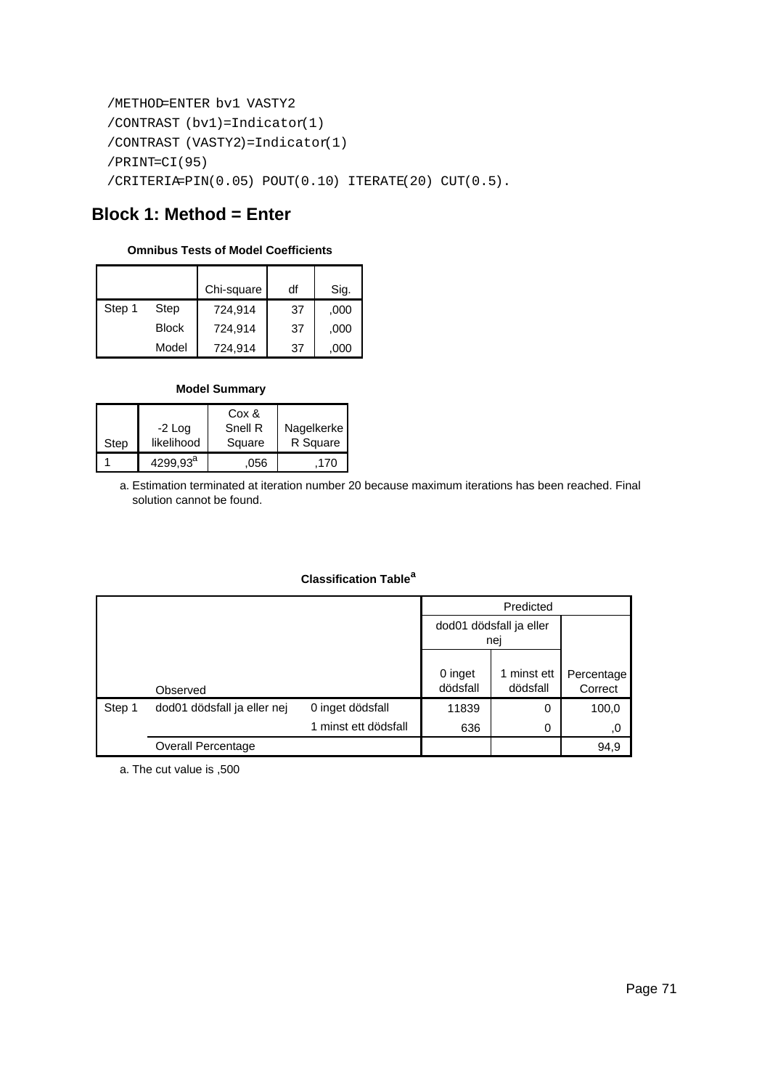```
 /METHOD=ENTER bv1 VASTY2
/CONTRAST (bv1)=Indicator(1)
/CONTRAST (VASTY2)=Indicator(1)
/PRINT=CI(95)
/CRITERIA=PIN(0.05) POUT(0.10) ITERATE(20) CUT(0.5).
```
# **Block 1: Method = Enter**

### **Omnibus Tests of Model Coefficients**

|        |              | Chi-square | df | Sig. |
|--------|--------------|------------|----|------|
| Step 1 | Step         | 724,914    | 37 | ,000 |
|        | <b>Block</b> | 724,914    | 37 | ,000 |
|        | Model        | 724,914    | 37 | ,000 |

### **Model Summary**

|      |                        | Cox &             |                        |
|------|------------------------|-------------------|------------------------|
| Step | $-2$ Log<br>likelihood | Snell R<br>Square | Nagelkerke<br>R Square |
|      | 4299.93 <sup>a</sup>   | .056              | 170                    |

Estimation terminated at iteration number 20 because maximum iterations has been reached. Final a. solution cannot be found.

### **Classification Table<sup>a</sup>**

|        |                             |                         |                     | Predicted               |                       |  |  |
|--------|-----------------------------|-------------------------|---------------------|-------------------------|-----------------------|--|--|
|        |                             | dod01 dödsfall ja eller |                     |                         |                       |  |  |
|        |                             |                         | nej                 |                         |                       |  |  |
|        |                             |                         |                     |                         |                       |  |  |
|        | Observed                    |                         | 0 inget<br>dödsfall | 1 minst ett<br>dödsfall | Percentage<br>Correct |  |  |
| Step 1 | dod01 dödsfall ja eller nej | 0 inget dödsfall        | 11839               | 0                       | 100,0                 |  |  |
|        |                             | 1 minst ett dödsfall    | 636                 | 0                       | .0                    |  |  |
|        | Overall Percentage          |                         |                     |                         | 94,9                  |  |  |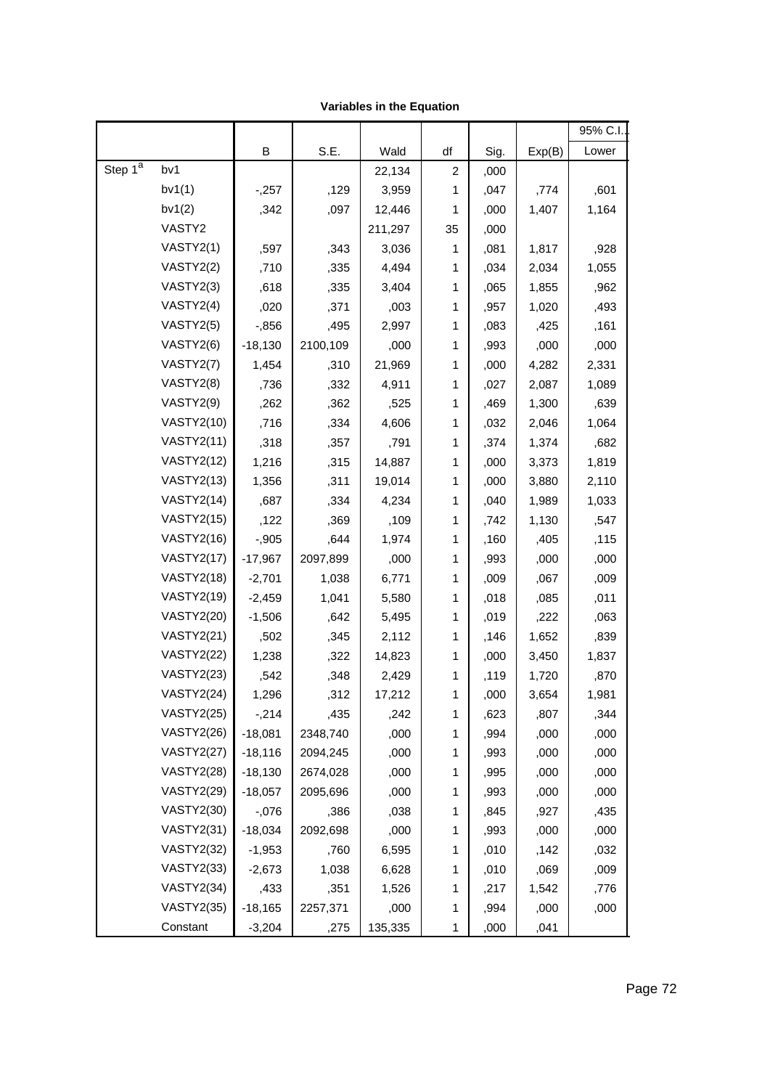|            |                   |           |          |         |                |      |        | 95% C.I. |  |
|------------|-------------------|-----------|----------|---------|----------------|------|--------|----------|--|
|            |                   | В         | S.E.     | Wald    | df             | Sig. | Exp(B) | Lower    |  |
| Step $1^a$ | bv1               |           |          | 22,134  | $\overline{c}$ | ,000 |        |          |  |
|            | bv1(1)            | $-257$    | ,129     | 3,959   | 1              | ,047 | ,774   | ,601     |  |
|            | bv1(2)            | ,342      | ,097     | 12,446  | 1              | ,000 | 1,407  | 1,164    |  |
|            | VASTY2            |           |          | 211,297 | 35             | ,000 |        |          |  |
|            | VASTY2(1)         | ,597      | ,343     | 3,036   | 1              | ,081 | 1,817  | ,928     |  |
|            | VASTY2(2)         | ,710      | ,335     | 4,494   | 1              | ,034 | 2,034  | 1,055    |  |
|            | VASTY2(3)         | ,618      | ,335     | 3,404   | 1              | ,065 | 1,855  | ,962     |  |
|            | VASTY2(4)         | ,020      | ,371     | ,003    | 1              | ,957 | 1,020  | ,493     |  |
|            | VASTY2(5)         | $-0.856$  | ,495     | 2,997   | 1              | ,083 | ,425   | ,161     |  |
|            | VASTY2(6)         | $-18,130$ | 2100,109 | ,000    | 1              | ,993 | ,000   | ,000     |  |
|            | VASTY2(7)         | 1,454     | ,310     | 21,969  | 1              | ,000 | 4,282  | 2,331    |  |
|            | VASTY2(8)         | ,736      | ,332     | 4,911   | 1              | ,027 | 2,087  | 1,089    |  |
|            | VASTY2(9)         | ,262      | ,362     | ,525    | 1              | ,469 | 1,300  | ,639     |  |
|            | <b>VASTY2(10)</b> | ,716      | ,334     | 4,606   | 1              | ,032 | 2,046  | 1,064    |  |
|            | <b>VASTY2(11)</b> | ,318      | ,357     | ,791    | 1              | ,374 | 1,374  | ,682     |  |
|            | <b>VASTY2(12)</b> | 1,216     | ,315     | 14,887  | 1              | ,000 | 3,373  | 1,819    |  |
|            | <b>VASTY2(13)</b> | 1,356     | ,311     | 19,014  | 1              | ,000 | 3,880  | 2,110    |  |
|            | <b>VASTY2(14)</b> | ,687      | ,334     | 4,234   | 1              | ,040 | 1,989  | 1,033    |  |
|            | <b>VASTY2(15)</b> | ,122      | ,369     | ,109    | 1              | ,742 | 1,130  | ,547     |  |
|            | <b>VASTY2(16)</b> | $-0.905$  | ,644     | 1,974   | 1              | ,160 | ,405   | ,115     |  |
|            | <b>VASTY2(17)</b> | $-17,967$ | 2097,899 | ,000    | 1              | ,993 | ,000   | ,000     |  |
|            | <b>VASTY2(18)</b> | $-2,701$  | 1,038    | 6,771   | 1              | ,009 | ,067   | ,009     |  |
|            | <b>VASTY2(19)</b> | $-2,459$  | 1,041    | 5,580   | 1              | ,018 | ,085   | ,011     |  |
|            | <b>VASTY2(20)</b> | $-1,506$  | ,642     | 5,495   | 1              | ,019 | ,222   | ,063     |  |
|            | <b>VASTY2(21)</b> | ,502      | ,345     | 2,112   | 1              | ,146 | 1,652  | ,839     |  |
|            | <b>VASTY2(22)</b> | 1,238     | ,322     | 14,823  | 1              | ,000 | 3,450  | 1,837    |  |
|            | <b>VASTY2(23)</b> | ,542      | ,348     | 2,429   | 1              | ,119 | 1,720  | ,870     |  |
|            | <b>VASTY2(24)</b> | 1,296     | ,312     | 17,212  | 1              | ,000 | 3,654  | 1,981    |  |
|            | <b>VASTY2(25)</b> | $-214$    | ,435     | ,242    | 1              | ,623 | ,807   | ,344     |  |
|            | <b>VASTY2(26)</b> | $-18,081$ | 2348,740 | ,000    | 1              | ,994 | ,000   | ,000     |  |
|            | <b>VASTY2(27)</b> | $-18,116$ | 2094,245 | ,000    | 1              | ,993 | ,000   | ,000     |  |
|            | <b>VASTY2(28)</b> | $-18,130$ | 2674,028 | ,000    | 1              | ,995 | ,000   | ,000     |  |
|            | <b>VASTY2(29)</b> | $-18,057$ | 2095,696 | ,000    | 1              | ,993 | ,000   | ,000     |  |
|            | <b>VASTY2(30)</b> | $-0.076$  | ,386     | ,038    | 1              | ,845 | ,927   | ,435     |  |
|            | <b>VASTY2(31)</b> | $-18,034$ | 2092,698 | ,000    | 1              | ,993 | ,000   | ,000     |  |
|            | <b>VASTY2(32)</b> | $-1,953$  | ,760     | 6,595   | 1              | ,010 | ,142   | ,032     |  |
|            | <b>VASTY2(33)</b> | $-2,673$  | 1,038    | 6,628   | 1              | ,010 | ,069   | ,009     |  |
|            | <b>VASTY2(34)</b> | ,433      | ,351     | 1,526   | 1              | ,217 | 1,542  | ,776     |  |
|            | <b>VASTY2(35)</b> | $-18,165$ | 2257,371 | ,000    | 1              | ,994 | ,000   | ,000     |  |
|            | Constant          | $-3,204$  | ,275     | 135,335 | 1              | ,000 | ,041   |          |  |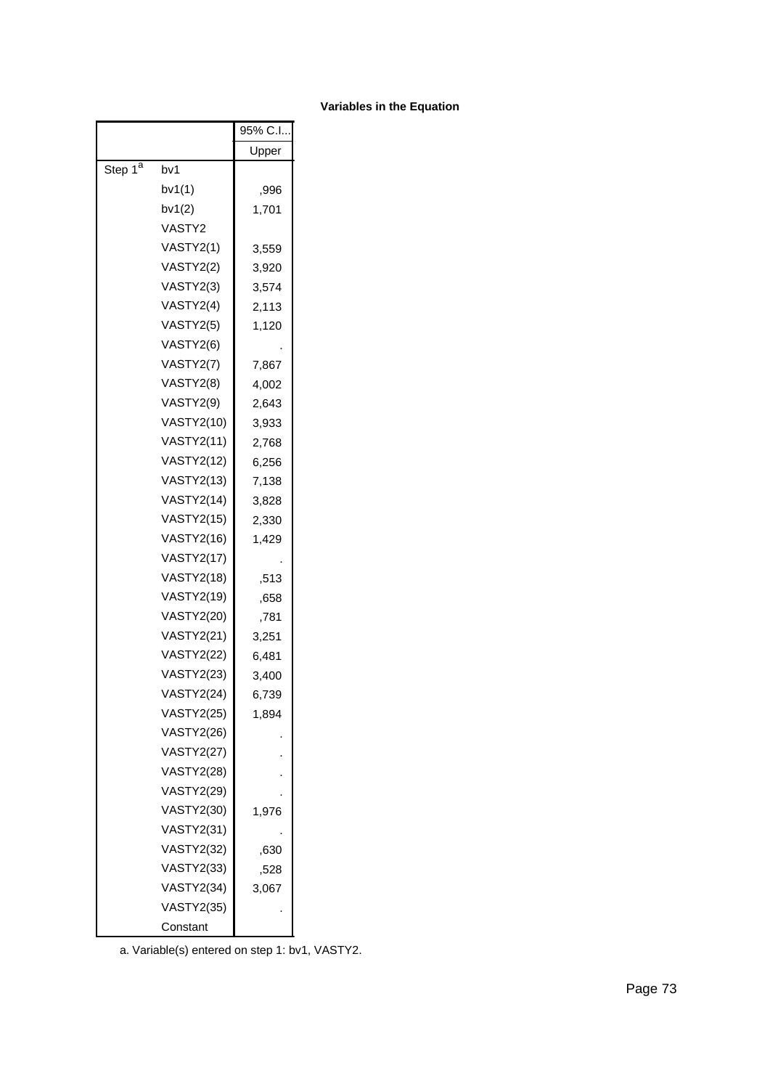|                     |                   | 95% C.I |
|---------------------|-------------------|---------|
|                     |                   | Upper   |
| Step 1 <sup>a</sup> | bv1               |         |
|                     | bv1(1)            | ,996    |
|                     | bv1(2)            | 1,701   |
|                     | VASTY2            |         |
|                     | VASTY2(1)         | 3,559   |
|                     | VASTY2(2)         | 3,920   |
|                     | VASTY2(3)         | 3,574   |
|                     | VASTY2(4)         | 2,113   |
|                     | VASTY2(5)         | 1,120   |
|                     | VASTY2(6)         |         |
|                     | VASTY2(7)         | 7,867   |
|                     | VASTY2(8)         | 4,002   |
|                     | VASTY2(9)         | 2,643   |
|                     | <b>VASTY2(10)</b> | 3,933   |
|                     | <b>VASTY2(11)</b> | 2,768   |
|                     | <b>VASTY2(12)</b> | 6,256   |
|                     | <b>VASTY2(13)</b> | 7,138   |
|                     | <b>VASTY2(14)</b> | 3,828   |
|                     | <b>VASTY2(15)</b> | 2,330   |
|                     | <b>VASTY2(16)</b> | 1,429   |
|                     | <b>VASTY2(17)</b> |         |
|                     | <b>VASTY2(18)</b> | ,513    |
|                     | <b>VASTY2(19)</b> | ,658    |
|                     | <b>VASTY2(20)</b> | ,781    |
|                     | <b>VASTY2(21)</b> | 3,251   |
|                     | <b>VASTY2(22)</b> | 6,481   |
|                     | <b>VASTY2(23)</b> | 3,400   |
|                     | <b>VASTY2(24)</b> | 6,739   |
|                     | VASTY2(25)        | 1,894   |
|                     | <b>VASTY2(26)</b> |         |
|                     | <b>VASTY2(27)</b> |         |
|                     | <b>VASTY2(28)</b> |         |
|                     | <b>VASTY2(29)</b> |         |
|                     | <b>VASTY2(30)</b> | 1,976   |
|                     | <b>VASTY2(31)</b> |         |
|                     | <b>VASTY2(32)</b> | ,630    |
|                     | <b>VASTY2(33)</b> | ,528    |
|                     | <b>VASTY2(34)</b> | 3,067   |
|                     | VASTY2(35)        |         |
|                     | Constant          |         |

a. Variable(s) entered on step 1: bv1, VASTY2.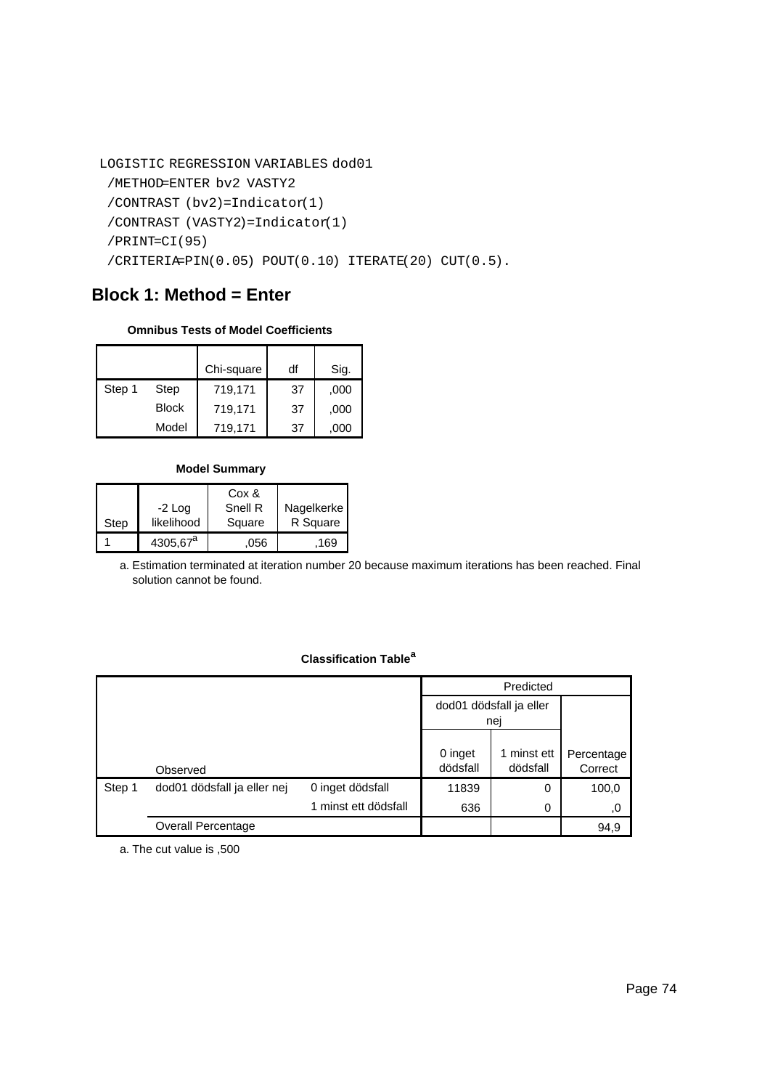```
LOGISTIC REGRESSION VARIABLES dod01
 /METHOD=ENTER bv2 VASTY2
 /CONTRAST (bv2)=Indicator(1)
 /CONTRAST (VASTY2)=Indicator(1)
 /PRINT=CI(95)
 /CRITERIA=PIN(0.05) POUT(0.10) ITERATE(20) CUT(0.5).
```
# **Block 1: Method = Enter**

#### **Omnibus Tests of Model Coefficients**

|        |              | Chi-square | df | Sig. |
|--------|--------------|------------|----|------|
| Step 1 | Step         | 719,171    | 37 | ,000 |
|        | <b>Block</b> | 719,171    | 37 | ,000 |
|        | Model        | 719,171    | 37 | ,000 |

#### **Model Summary**

| Step | $-2$ Log<br>likelihood | Cox &<br>Snell R<br>Square | Nagelkerke<br>R Square |
|------|------------------------|----------------------------|------------------------|
|      | $4305,67^a$            | .056                       | 169                    |

Estimation terminated at iteration number 20 because maximum iterations has been reached. Final a. solution cannot be found.

## **Classification Table<sup>a</sup>**

|        |                             | Predicted            |                                |                         |                       |
|--------|-----------------------------|----------------------|--------------------------------|-------------------------|-----------------------|
|        |                             |                      | dod01 dödsfall ja eller<br>nej |                         |                       |
|        | Observed                    |                      | 0 inget<br>dödsfall            | 1 minst ett<br>dödsfall | Percentage<br>Correct |
| Step 1 | dod01 dödsfall ja eller nej | 0 inget dödsfall     | 11839                          | 0                       | 100,0                 |
|        |                             | 1 minst ett dödsfall | 636                            | 0                       | ,0                    |
|        | <b>Overall Percentage</b>   |                      |                                |                         | 94,9                  |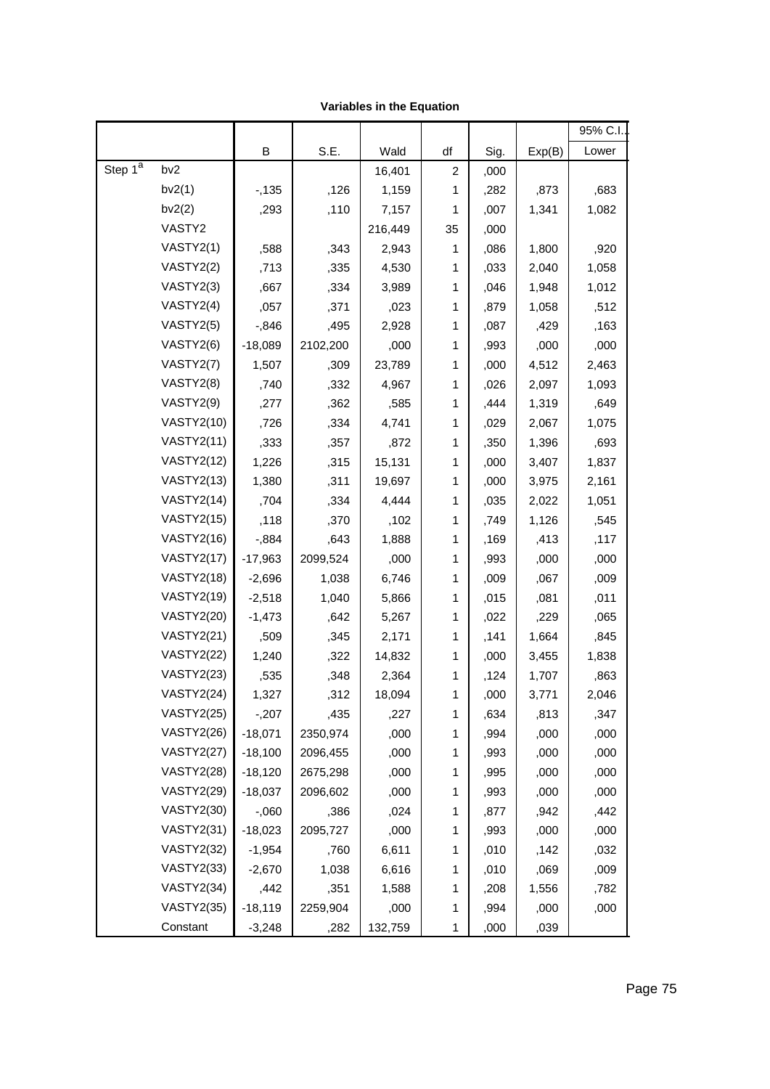| Variables in the Equation |  |  |  |
|---------------------------|--|--|--|
|---------------------------|--|--|--|

|                         |                   |           |          |         |                         |      |        | 95% C.I. |
|-------------------------|-------------------|-----------|----------|---------|-------------------------|------|--------|----------|
|                         |                   | B         | S.E.     | Wald    | df                      | Sig. | Exp(B) | Lower    |
| Step $1^{\overline{a}}$ | bv <sub>2</sub>   |           |          | 16,401  | $\overline{\mathbf{c}}$ | ,000 |        |          |
|                         | bv2(1)            | $-135$    | ,126     | 1,159   | 1                       | ,282 | ,873   | ,683     |
|                         | bv2(2)            | ,293      | ,110     | 7,157   | 1                       | ,007 | 1,341  | 1,082    |
|                         | VASTY2            |           |          | 216,449 | 35                      | ,000 |        |          |
|                         | VASTY2(1)         | ,588      | ,343     | 2,943   | 1                       | ,086 | 1,800  | ,920     |
|                         | VASTY2(2)         | ,713      | ,335     | 4,530   | 1                       | ,033 | 2,040  | 1,058    |
|                         | VASTY2(3)         | ,667      | ,334     | 3,989   | 1                       | ,046 | 1,948  | 1,012    |
|                         | VASTY2(4)         | ,057      | ,371     | ,023    | 1                       | ,879 | 1,058  | ,512     |
|                         | VASTY2(5)         | $-0.846$  | ,495     | 2,928   | 1                       | ,087 | ,429   | ,163     |
|                         | VASTY2(6)         | $-18,089$ | 2102,200 | ,000    | 1                       | ,993 | ,000   | ,000     |
|                         | VASTY2(7)         | 1,507     | ,309     | 23,789  | 1                       | ,000 | 4,512  | 2,463    |
|                         | VASTY2(8)         | ,740      | ,332     | 4,967   | 1                       | ,026 | 2,097  | 1,093    |
|                         | VASTY2(9)         | ,277      | ,362     | ,585    | 1                       | ,444 | 1,319  | ,649     |
|                         | <b>VASTY2(10)</b> | ,726      | ,334     | 4,741   | 1                       | ,029 | 2,067  | 1,075    |
|                         | <b>VASTY2(11)</b> | ,333      | ,357     | ,872    | 1                       | ,350 | 1,396  | ,693     |
|                         | <b>VASTY2(12)</b> | 1,226     | ,315     | 15,131  | 1                       | ,000 | 3,407  | 1,837    |
|                         | <b>VASTY2(13)</b> | 1,380     | ,311     | 19,697  | 1                       | ,000 | 3,975  | 2,161    |
|                         | <b>VASTY2(14)</b> | ,704      | ,334     | 4,444   | 1                       | ,035 | 2,022  | 1,051    |
|                         | <b>VASTY2(15)</b> | ,118      | ,370     | ,102    | 1                       | ,749 | 1,126  | ,545     |
|                         | <b>VASTY2(16)</b> | $-0.884$  | ,643     | 1,888   | 1                       | ,169 | ,413   | ,117     |
|                         | <b>VASTY2(17)</b> | $-17,963$ | 2099,524 | ,000    | 1                       | ,993 | ,000   | ,000     |
|                         | <b>VASTY2(18)</b> | $-2,696$  | 1,038    | 6,746   | 1                       | ,009 | ,067   | ,009     |
|                         | <b>VASTY2(19)</b> | $-2,518$  | 1,040    | 5,866   | 1                       | ,015 | ,081   | ,011     |
|                         | <b>VASTY2(20)</b> | $-1,473$  | ,642     | 5,267   | 1                       | ,022 | ,229   | ,065     |
|                         | <b>VASTY2(21)</b> | ,509      | ,345     | 2,171   | 1                       | ,141 | 1,664  | ,845     |
|                         | <b>VASTY2(22)</b> | 1,240     | ,322     | 14,832  | 1                       | ,000 | 3,455  | 1,838    |
|                         | <b>VASTY2(23)</b> | ,535      | ,348     | 2,364   | 1                       | ,124 | 1,707  | ,863     |
|                         | <b>VASTY2(24)</b> | 1,327     | 312      | 18,094  | 1                       | ,000 | 3,771  | 2,046    |
|                         | <b>VASTY2(25)</b> | $-207$    | ,435     | ,227    | 1                       | ,634 | ,813   | ,347     |
|                         | <b>VASTY2(26)</b> | $-18,071$ | 2350,974 | ,000    | 1                       | ,994 | ,000   | ,000     |
|                         | <b>VASTY2(27)</b> | $-18,100$ | 2096,455 | ,000    | 1                       | ,993 | ,000   | ,000     |
|                         | <b>VASTY2(28)</b> | $-18,120$ | 2675,298 | ,000    | 1                       | ,995 | ,000   | ,000     |
|                         | <b>VASTY2(29)</b> | $-18,037$ | 2096,602 | ,000    | 1                       | ,993 | ,000   | ,000     |
|                         | <b>VASTY2(30)</b> | $-0.060$  | ,386     | ,024    | 1                       | ,877 | ,942   | ,442     |
|                         | <b>VASTY2(31)</b> | $-18,023$ | 2095,727 | ,000    | 1                       | ,993 | ,000   | ,000     |
|                         | <b>VASTY2(32)</b> | $-1,954$  | ,760     | 6,611   | 1                       | ,010 | ,142   | ,032     |
|                         | <b>VASTY2(33)</b> | $-2,670$  | 1,038    | 6,616   | 1                       | ,010 | ,069   | ,009     |
|                         | <b>VASTY2(34)</b> | ,442      | ,351     | 1,588   | 1                       | ,208 | 1,556  | ,782     |
|                         | <b>VASTY2(35)</b> | $-18,119$ | 2259,904 | ,000    | 1                       | ,994 | ,000   | ,000     |
|                         | Constant          | $-3,248$  | ,282     | 132,759 | 1                       | ,000 | ,039   |          |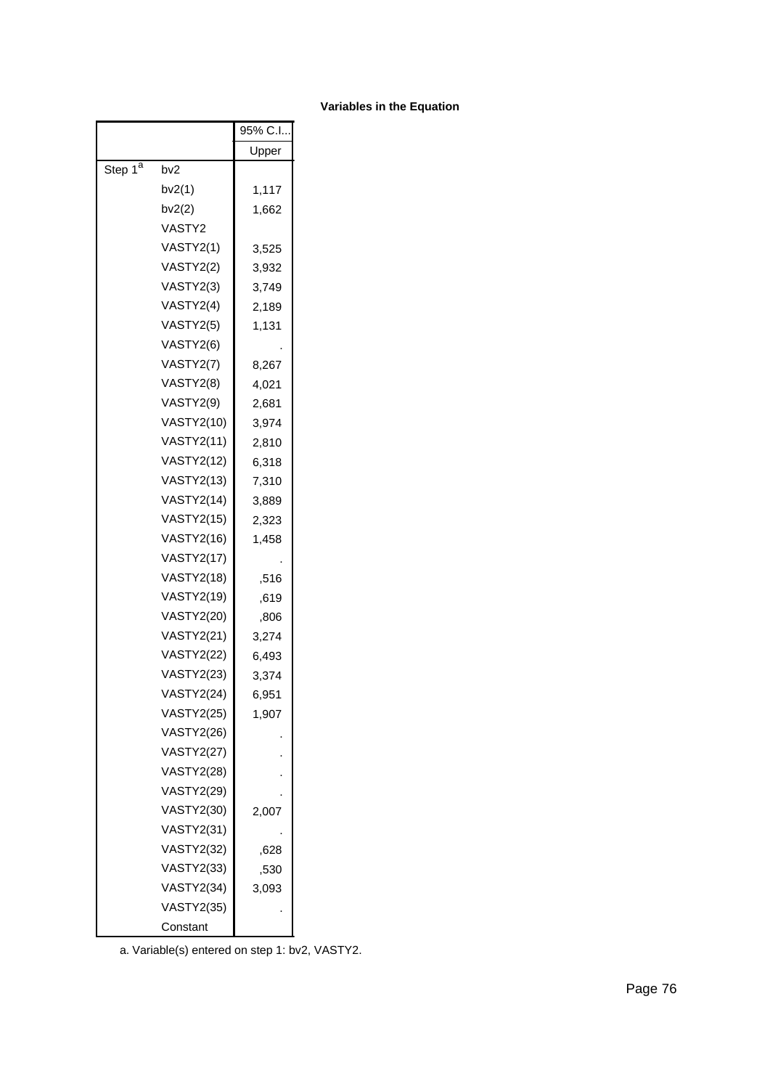|                     |                   | 95% C.I |
|---------------------|-------------------|---------|
|                     |                   | Upper   |
| Step 1 <sup>a</sup> | bv2               |         |
|                     | bv2(1)            | 1,117   |
|                     | bv2(2)            | 1,662   |
|                     | VASTY2            |         |
|                     | VASTY2(1)         | 3,525   |
|                     | VASTY2(2)         | 3,932   |
|                     | VASTY2(3)         | 3,749   |
|                     | VASTY2(4)         | 2,189   |
|                     | VASTY2(5)         | 1,131   |
|                     | VASTY2(6)         |         |
|                     | VASTY2(7)         | 8,267   |
|                     | VASTY2(8)         | 4,021   |
|                     | VASTY2(9)         | 2,681   |
|                     | <b>VASTY2(10)</b> | 3,974   |
|                     | <b>VASTY2(11)</b> | 2,810   |
|                     | <b>VASTY2(12)</b> | 6,318   |
|                     | <b>VASTY2(13)</b> | 7,310   |
|                     | <b>VASTY2(14)</b> | 3,889   |
|                     | <b>VASTY2(15)</b> | 2,323   |
|                     | <b>VASTY2(16)</b> | 1,458   |
|                     | <b>VASTY2(17)</b> |         |
|                     | <b>VASTY2(18)</b> | ,516    |
|                     | <b>VASTY2(19)</b> | ,619    |
|                     | <b>VASTY2(20)</b> | ,806    |
|                     | VASTY2(21)        | 3,274   |
|                     | <b>VASTY2(22)</b> | 6,493   |
|                     | <b>VASTY2(23)</b> | 3,374   |
|                     | <b>VASTY2(24)</b> | 6.951   |
|                     | <b>VASTY2(25)</b> | 1,907   |
|                     | <b>VASTY2(26)</b> |         |
|                     | <b>VASTY2(27)</b> |         |
|                     | <b>VASTY2(28)</b> |         |
|                     | <b>VASTY2(29)</b> |         |
|                     | <b>VASTY2(30)</b> | 2,007   |
|                     | <b>VASTY2(31)</b> |         |
|                     | <b>VASTY2(32)</b> | ,628    |
|                     | <b>VASTY2(33)</b> | ,530    |
|                     | <b>VASTY2(34)</b> | 3,093   |
|                     | <b>VASTY2(35)</b> |         |
|                     | Constant          |         |

a. Variable(s) entered on step 1: bv2, VASTY2.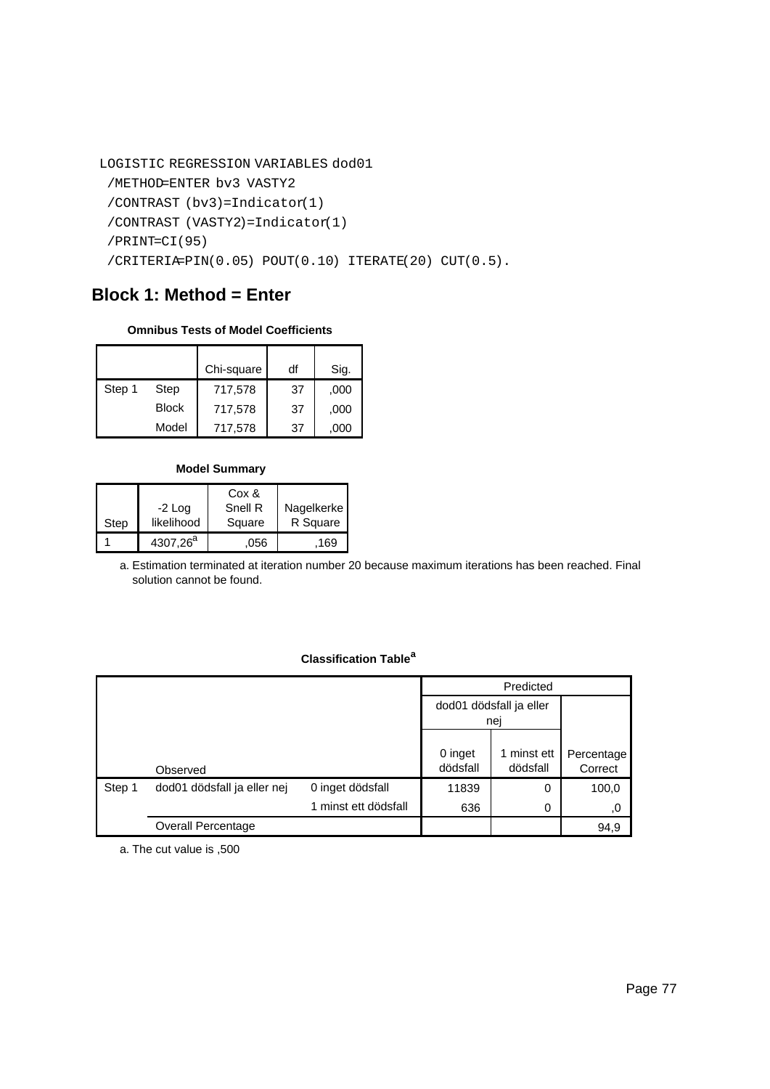```
LOGISTIC REGRESSION VARIABLES dod01
 /METHOD=ENTER bv3 VASTY2
 /CONTRAST (bv3)=Indicator(1)
 /CONTRAST (VASTY2)=Indicator(1)
 /PRINT=CI(95)
 /CRITERIA=PIN(0.05) POUT(0.10) ITERATE(20) CUT(0.5).
```
# **Block 1: Method = Enter**

### **Omnibus Tests of Model Coefficients**

|        |              | Chi-square | df | Sig. |
|--------|--------------|------------|----|------|
| Step 1 | Step         | 717,578    | 37 | ,000 |
|        | <b>Block</b> | 717,578    | 37 | ,000 |
|        | Model        | 717,578    | 37 | 000. |

#### **Model Summary**

| Step | $-2$ Log<br>likelihood | Cox &<br>Snell R<br>Square | Nagelkerke<br>R Square |
|------|------------------------|----------------------------|------------------------|
|      | 4307,26 <sup>a</sup>   | .056                       | 169                    |

Estimation terminated at iteration number 20 because maximum iterations has been reached. Final a. solution cannot be found.

## **Classification Table<sup>a</sup>**

|        |                             |                         | Predicted           |                         |                       |  |
|--------|-----------------------------|-------------------------|---------------------|-------------------------|-----------------------|--|
|        |                             | dod01 dödsfall ja eller |                     |                         |                       |  |
|        |                             |                         |                     | nej                     |                       |  |
|        | Observed                    |                         | 0 inget<br>dödsfall | 1 minst ett<br>dödsfall | Percentage<br>Correct |  |
| Step 1 | dod01 dödsfall ja eller nej | 0 inget dödsfall        | 11839               | 0                       | 100,0                 |  |
|        |                             | 1 minst ett dödsfall    | 636                 | 0                       | ,0                    |  |
|        | <b>Overall Percentage</b>   |                         |                     |                         | 94,9                  |  |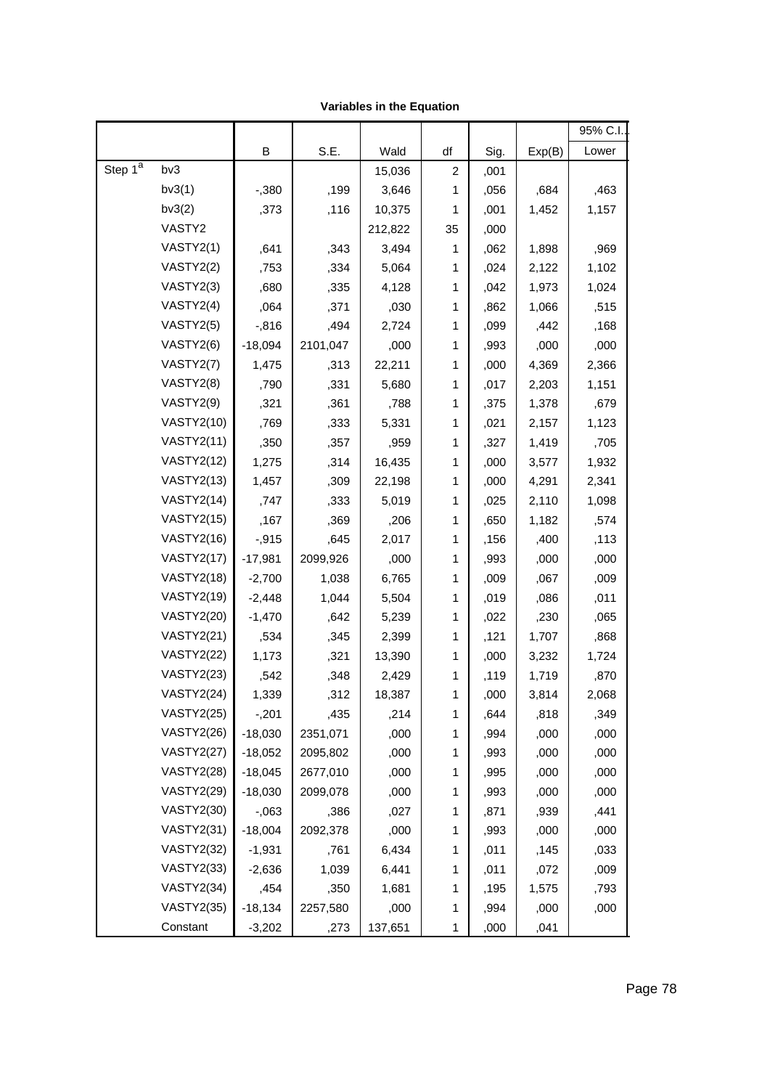|  | <b>Variables in the Equation</b> |  |
|--|----------------------------------|--|
|  |                                  |  |

|                         |                   |           |          |         |                |      |        | 95% C.I. |  |
|-------------------------|-------------------|-----------|----------|---------|----------------|------|--------|----------|--|
|                         |                   | В         | S.E.     | Wald    | df             | Sig. | Exp(B) | Lower    |  |
| Step $1^{\overline{a}}$ | bv3               |           |          | 15,036  | $\overline{c}$ | ,001 |        |          |  |
|                         | bv3(1)            | $-0.380$  | ,199     | 3,646   | 1              | ,056 | ,684   | ,463     |  |
|                         | bv3(2)            | ,373      | ,116     | 10,375  | 1              | ,001 | 1,452  | 1,157    |  |
|                         | VASTY2            |           |          | 212,822 | 35             | ,000 |        |          |  |
|                         | VASTY2(1)         | ,641      | ,343     | 3,494   | 1              | ,062 | 1,898  | ,969     |  |
|                         | VASTY2(2)         | ,753      | ,334     | 5,064   | 1              | ,024 | 2,122  | 1,102    |  |
|                         | VASTY2(3)         | ,680      | ,335     | 4,128   | 1              | ,042 | 1,973  | 1,024    |  |
|                         | VASTY2(4)         | ,064      | ,371     | ,030    | 1              | ,862 | 1,066  | ,515     |  |
|                         | VASTY2(5)         | $-0.816$  | ,494     | 2,724   | 1              | ,099 | ,442   | ,168     |  |
|                         | VASTY2(6)         | $-18,094$ | 2101,047 | ,000    | 1              | ,993 | ,000   | ,000     |  |
|                         | VASTY2(7)         | 1,475     | ,313     | 22,211  | 1              | ,000 | 4,369  | 2,366    |  |
|                         | VASTY2(8)         | ,790      | ,331     | 5,680   | 1              | ,017 | 2,203  | 1,151    |  |
|                         | VASTY2(9)         | ,321      | ,361     | ,788    | 1              | ,375 | 1,378  | ,679     |  |
|                         | <b>VASTY2(10)</b> | ,769      | ,333     | 5,331   | 1              | ,021 | 2,157  | 1,123    |  |
|                         | <b>VASTY2(11)</b> | ,350      | ,357     | ,959    | 1              | ,327 | 1,419  | ,705     |  |
|                         | <b>VASTY2(12)</b> | 1,275     | ,314     | 16,435  | 1              | ,000 | 3,577  | 1,932    |  |
|                         | <b>VASTY2(13)</b> | 1,457     | ,309     | 22,198  | 1              | ,000 | 4,291  | 2,341    |  |
|                         | <b>VASTY2(14)</b> | ,747      | ,333     | 5,019   | 1              | ,025 | 2,110  | 1,098    |  |
|                         | <b>VASTY2(15)</b> | ,167      | ,369     | ,206    | 1              | ,650 | 1,182  | ,574     |  |
|                         | <b>VASTY2(16)</b> | $-0.915$  | ,645     | 2,017   | 1              | ,156 | ,400   | ,113     |  |
|                         | <b>VASTY2(17)</b> | $-17,981$ | 2099,926 | ,000    | 1              | ,993 | ,000   | ,000     |  |
|                         | <b>VASTY2(18)</b> | $-2,700$  | 1,038    | 6,765   | 1              | ,009 | ,067   | ,009     |  |
|                         | <b>VASTY2(19)</b> | $-2,448$  | 1,044    | 5,504   | 1              | ,019 | ,086   | ,011     |  |
|                         | <b>VASTY2(20)</b> | $-1,470$  | ,642     | 5,239   | 1              | ,022 | ,230   | ,065     |  |
|                         | <b>VASTY2(21)</b> | ,534      | ,345     | 2,399   | 1              | ,121 | 1,707  | ,868     |  |
|                         | <b>VASTY2(22)</b> | 1,173     | ,321     | 13,390  | 1              | ,000 | 3,232  | 1,724    |  |
|                         | <b>VASTY2(23)</b> | ,542      | ,348     | 2,429   | 1              | ,119 | 1,719  | ,870     |  |
|                         | <b>VASTY2(24)</b> | 1,339     | ,312     | 18,387  | 1              | ,000 | 3,814  | 2,068    |  |
|                         | <b>VASTY2(25)</b> | $-201$    | ,435     | ,214    | 1              | ,644 | ,818   | ,349     |  |
|                         | <b>VASTY2(26)</b> | $-18,030$ | 2351,071 | ,000    | 1              | ,994 | ,000   | ,000     |  |
|                         | <b>VASTY2(27)</b> | $-18,052$ | 2095,802 | ,000    | 1              | ,993 | ,000   | ,000     |  |
|                         | <b>VASTY2(28)</b> | $-18,045$ | 2677,010 | ,000    | 1              | ,995 | ,000   | ,000     |  |
|                         | <b>VASTY2(29)</b> | $-18,030$ | 2099,078 | ,000    | 1              | ,993 | ,000   | ,000     |  |
|                         | <b>VASTY2(30)</b> | $-0.063$  | ,386     | ,027    | 1              | ,871 | ,939   | ,441     |  |
|                         | <b>VASTY2(31)</b> | $-18,004$ | 2092,378 | ,000    | 1              | ,993 | ,000   | ,000     |  |
|                         | <b>VASTY2(32)</b> | $-1,931$  | ,761     | 6,434   | 1              | ,011 | ,145   | ,033     |  |
|                         | <b>VASTY2(33)</b> | $-2,636$  | 1,039    | 6,441   | 1              | ,011 | ,072   | ,009     |  |
|                         | <b>VASTY2(34)</b> | ,454      | ,350     | 1,681   | 1              | ,195 | 1,575  | ,793     |  |
|                         | <b>VASTY2(35)</b> | $-18,134$ | 2257,580 | ,000    | 1              | ,994 | ,000   | ,000     |  |
|                         | Constant          | $-3,202$  | ,273     | 137,651 | 1              | ,000 | ,041   |          |  |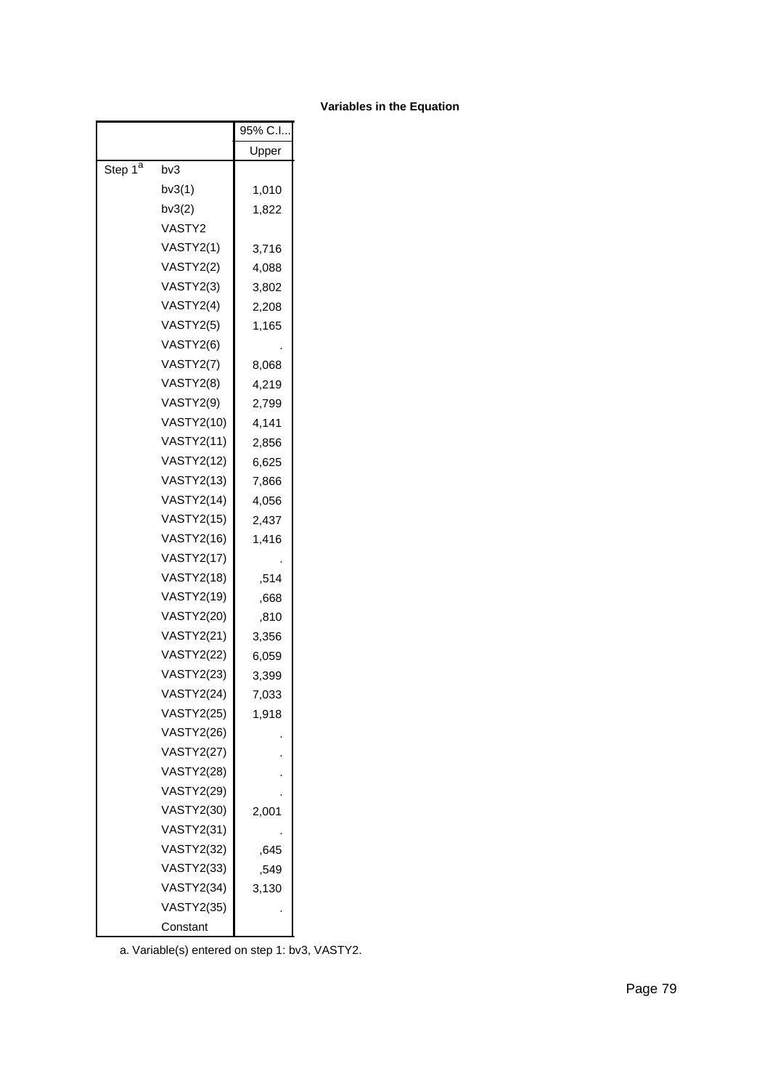|                     |                   | 95% C.I |
|---------------------|-------------------|---------|
|                     |                   | Upper   |
| Step 1 <sup>a</sup> | bv3               |         |
|                     | bv3(1)            | 1,010   |
|                     | bv3(2)            | 1,822   |
|                     | VASTY2            |         |
|                     | VASTY2(1)         | 3,716   |
|                     | VASTY2(2)         | 4,088   |
|                     | VASTY2(3)         | 3,802   |
|                     | VASTY2(4)         | 2,208   |
|                     | VASTY2(5)         | 1,165   |
|                     | VASTY2(6)         |         |
|                     | VASTY2(7)         | 8,068   |
|                     | VASTY2(8)         | 4,219   |
|                     | VASTY2(9)         | 2,799   |
|                     | <b>VASTY2(10)</b> | 4,141   |
|                     | <b>VASTY2(11)</b> | 2,856   |
|                     | <b>VASTY2(12)</b> | 6,625   |
|                     | <b>VASTY2(13)</b> | 7,866   |
|                     | <b>VASTY2(14)</b> | 4,056   |
|                     | <b>VASTY2(15)</b> | 2,437   |
|                     | <b>VASTY2(16)</b> | 1,416   |
|                     | <b>VASTY2(17)</b> |         |
|                     | <b>VASTY2(18)</b> | ,514    |
|                     | <b>VASTY2(19)</b> | ,668    |
|                     | <b>VASTY2(20)</b> | ,810    |
|                     | <b>VASTY2(21)</b> | 3,356   |
|                     | <b>VASTY2(22)</b> | 6,059   |
|                     | <b>VASTY2(23)</b> | 3,399   |
|                     | <b>VASTY2(24)</b> | 7,033   |
|                     | <b>VASTY2(25)</b> | 1,918   |
|                     | <b>VASTY2(26)</b> |         |
|                     | <b>VASTY2(27)</b> |         |
|                     | <b>VASTY2(28)</b> |         |
|                     | <b>VASTY2(29)</b> |         |
|                     | <b>VASTY2(30)</b> | 2,001   |
|                     | <b>VASTY2(31)</b> |         |
|                     | <b>VASTY2(32)</b> | .645    |
|                     | <b>VASTY2(33)</b> | ,549    |
|                     | <b>VASTY2(34)</b> | 3,130   |
|                     | <b>VASTY2(35)</b> |         |
|                     | Constant          |         |

a. Variable(s) entered on step 1: bv3, VASTY2.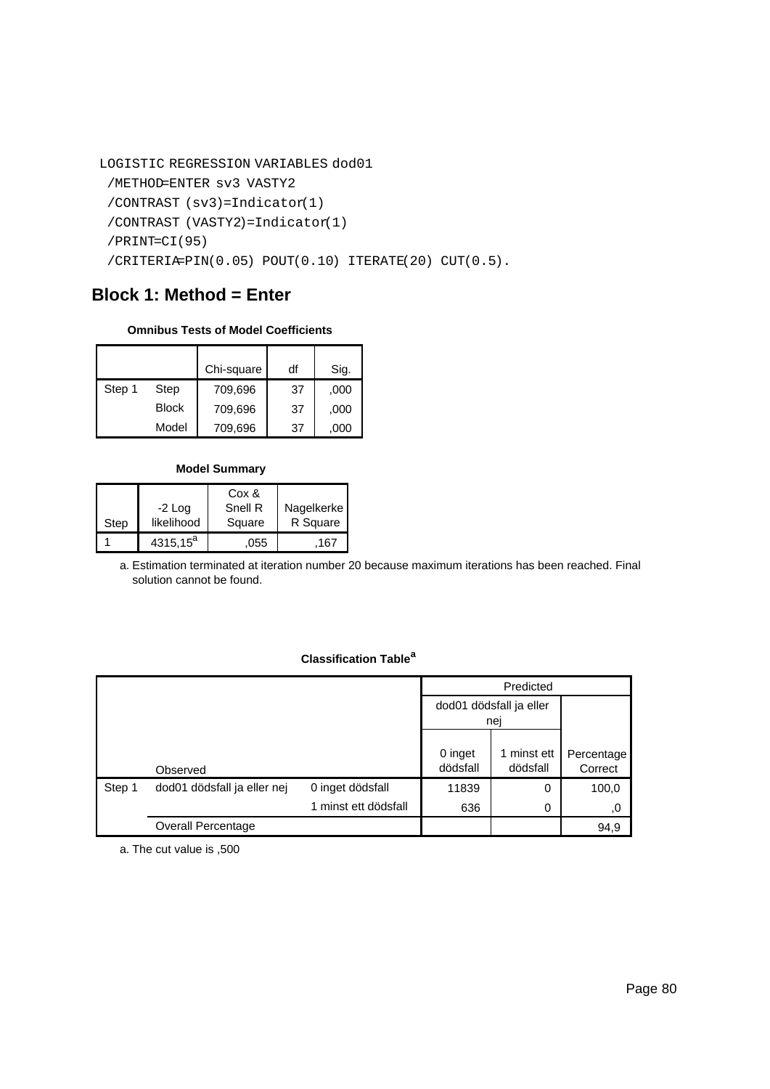```
LOGISTIC REGRESSION VARIABLES dod01
 /METHOD=ENTER sv3 VASTY2
 /CONTRAST (sv3)=Indicator(1)
 /CONTRAST (VASTY2)=Indicator(1)
 /PRINT=CI(95)
 /CRITERIA=PIN(0.05) POUT(0.10) ITERATE(20) CUT(0.5).
```
## **Block 1: Method = Enter**

#### **Omnibus Tests of Model Coefficients**

|        |              | Chi-square | df | Sig. |
|--------|--------------|------------|----|------|
| Step 1 | Step         | 709,696    | 37 | ,000 |
|        | <b>Block</b> | 709,696    | 37 | ,000 |
|        | Model        | 709,696    | 37 | .000 |

#### **Model Summary**

| Step | $-2$ Log<br>likelihood | Cox &<br>Snell R<br>Square | Nagelkerke<br>R Square |
|------|------------------------|----------------------------|------------------------|
|      | $4315,15^a$            | .055                       | .167                   |

Estimation terminated at iteration number 20 because maximum iterations has been reached. Final a. solution cannot be found.

## **Classification Table<sup>a</sup>**

|        |                             |                      |                         | Predicted               |                       |
|--------|-----------------------------|----------------------|-------------------------|-------------------------|-----------------------|
|        |                             |                      | dod01 dödsfall ja eller |                         |                       |
|        |                             |                      | nej                     |                         |                       |
|        | Observed                    |                      | 0 inget<br>dödsfall     | 1 minst ett<br>dödsfall | Percentage<br>Correct |
| Step 1 | dod01 dödsfall ja eller nej | 0 inget dödsfall     | 11839                   | 0                       | 100,0                 |
|        |                             | 1 minst ett dödsfall | 636                     | 0                       | ,0                    |
|        | <b>Overall Percentage</b>   |                      |                         |                         | 94,9                  |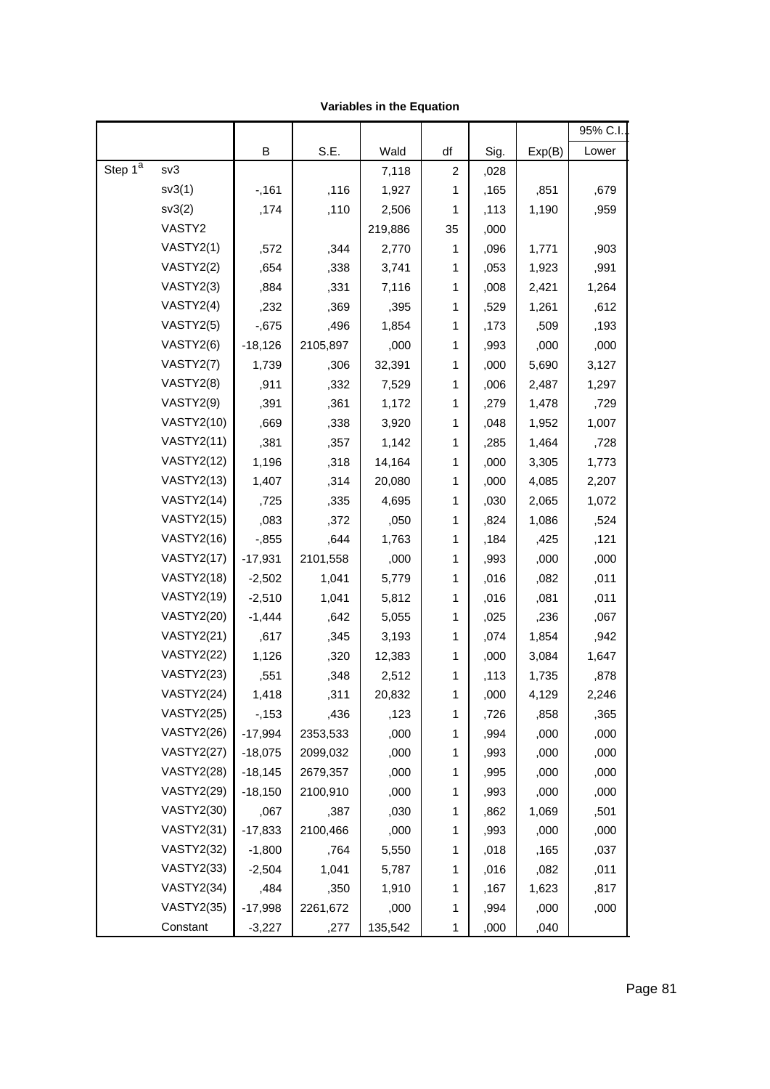|                         |                   |           |          |         |                |      |        | 95% C.I. |
|-------------------------|-------------------|-----------|----------|---------|----------------|------|--------|----------|
|                         |                   | B         | S.E.     | Wald    | df             | Sig. | Exp(B) | Lower    |
| Step $1^{\overline{a}}$ | sv3               |           |          | 7,118   | $\overline{c}$ | ,028 |        |          |
|                         | sv3(1)            | $-161$    | ,116     | 1,927   | 1              | ,165 | ,851   | ,679     |
|                         | sv3(2)            | ,174      | ,110     | 2,506   | 1              | ,113 | 1,190  | ,959     |
|                         | VASTY2            |           |          | 219,886 | 35             | ,000 |        |          |
|                         | VASTY2(1)         | ,572      | ,344     | 2,770   | 1              | ,096 | 1,771  | ,903     |
|                         | VASTY2(2)         | ,654      | ,338     | 3,741   | 1              | ,053 | 1,923  | ,991     |
|                         | VASTY2(3)         | ,884      | ,331     | 7,116   | 1              | ,008 | 2,421  | 1,264    |
|                         | VASTY2(4)         | ,232      | ,369     | ,395    | 1              | ,529 | 1,261  | ,612     |
|                         | VASTY2(5)         | $-0.675$  | ,496     | 1,854   | 1              | ,173 | ,509   | ,193     |
|                         | VASTY2(6)         | $-18,126$ | 2105,897 | ,000    | 1              | ,993 | ,000   | ,000     |
|                         | VASTY2(7)         | 1,739     | ,306     | 32,391  | 1              | ,000 | 5,690  | 3,127    |
|                         | VASTY2(8)         | ,911      | ,332     | 7,529   | 1              | ,006 | 2,487  | 1,297    |
|                         | VASTY2(9)         | ,391      | ,361     | 1,172   | 1              | ,279 | 1,478  | ,729     |
|                         | <b>VASTY2(10)</b> | ,669      | ,338     | 3,920   | 1              | ,048 | 1,952  | 1,007    |
|                         | <b>VASTY2(11)</b> | ,381      | ,357     | 1,142   | 1              | ,285 | 1,464  | ,728     |
|                         | <b>VASTY2(12)</b> | 1,196     | ,318     | 14,164  | 1              | ,000 | 3,305  | 1,773    |
|                         | <b>VASTY2(13)</b> | 1,407     | ,314     | 20,080  | 1              | ,000 | 4,085  | 2,207    |
|                         | <b>VASTY2(14)</b> | ,725      | ,335     | 4,695   | 1              | ,030 | 2,065  | 1,072    |
|                         | <b>VASTY2(15)</b> | ,083      | ,372     | ,050    | 1              | ,824 | 1,086  | ,524     |
|                         | <b>VASTY2(16)</b> | $-0.855$  | ,644     | 1,763   | 1              | ,184 | ,425   | ,121     |
|                         | <b>VASTY2(17)</b> | $-17,931$ | 2101,558 | ,000    | 1              | ,993 | ,000   | ,000     |
|                         | <b>VASTY2(18)</b> | $-2,502$  | 1,041    | 5,779   | 1              | ,016 | ,082   | ,011     |
|                         | <b>VASTY2(19)</b> | $-2,510$  | 1,041    | 5,812   | 1              | ,016 | ,081   | ,011     |
|                         | <b>VASTY2(20)</b> | $-1,444$  | ,642     | 5,055   | 1              | ,025 | ,236   | ,067     |
|                         | <b>VASTY2(21)</b> | ,617      | ,345     | 3,193   | 1              | ,074 | 1,854  | ,942     |
|                         | <b>VASTY2(22)</b> | 1,126     | ,320     | 12,383  | 1              | ,000 | 3,084  | 1,647    |
|                         | <b>VASTY2(23)</b> | ,551      | ,348     | 2,512   | 1              | ,113 | 1,735  | ,878     |
|                         | <b>VASTY2(24)</b> | 1,418     | 311,     | 20,832  | 1              | ,000 | 4,129  | 2,246    |
|                         | <b>VASTY2(25)</b> | $-153$    | ,436     | ,123    | 1              | ,726 | ,858   | ,365     |
|                         | <b>VASTY2(26)</b> | $-17,994$ | 2353,533 | ,000    | 1              | ,994 | ,000   | ,000     |
|                         | <b>VASTY2(27)</b> | $-18,075$ | 2099,032 | ,000    | 1              | ,993 | ,000   | ,000     |
|                         | <b>VASTY2(28)</b> | $-18,145$ | 2679,357 | ,000    | 1              | ,995 | ,000   | ,000     |
|                         | <b>VASTY2(29)</b> | $-18,150$ | 2100,910 | ,000    | 1              | ,993 | ,000   | ,000     |
|                         | <b>VASTY2(30)</b> | ,067      | ,387     | ,030    | 1              | ,862 | 1,069  | ,501     |
|                         | <b>VASTY2(31)</b> | $-17,833$ | 2100,466 | ,000    | 1              | ,993 | ,000   | ,000     |
|                         | <b>VASTY2(32)</b> | $-1,800$  | ,764     | 5,550   | 1              | ,018 | ,165   | ,037     |
|                         | <b>VASTY2(33)</b> | $-2,504$  | 1,041    | 5,787   | 1              | ,016 | ,082   | ,011     |
|                         | <b>VASTY2(34)</b> | ,484      | ,350     | 1,910   | 1              | ,167 | 1,623  | ,817     |
|                         | <b>VASTY2(35)</b> | $-17,998$ | 2261,672 | ,000    | 1              | ,994 | ,000   | ,000     |
|                         | Constant          | $-3,227$  | ,277     | 135,542 | 1              | ,000 | ,040   |          |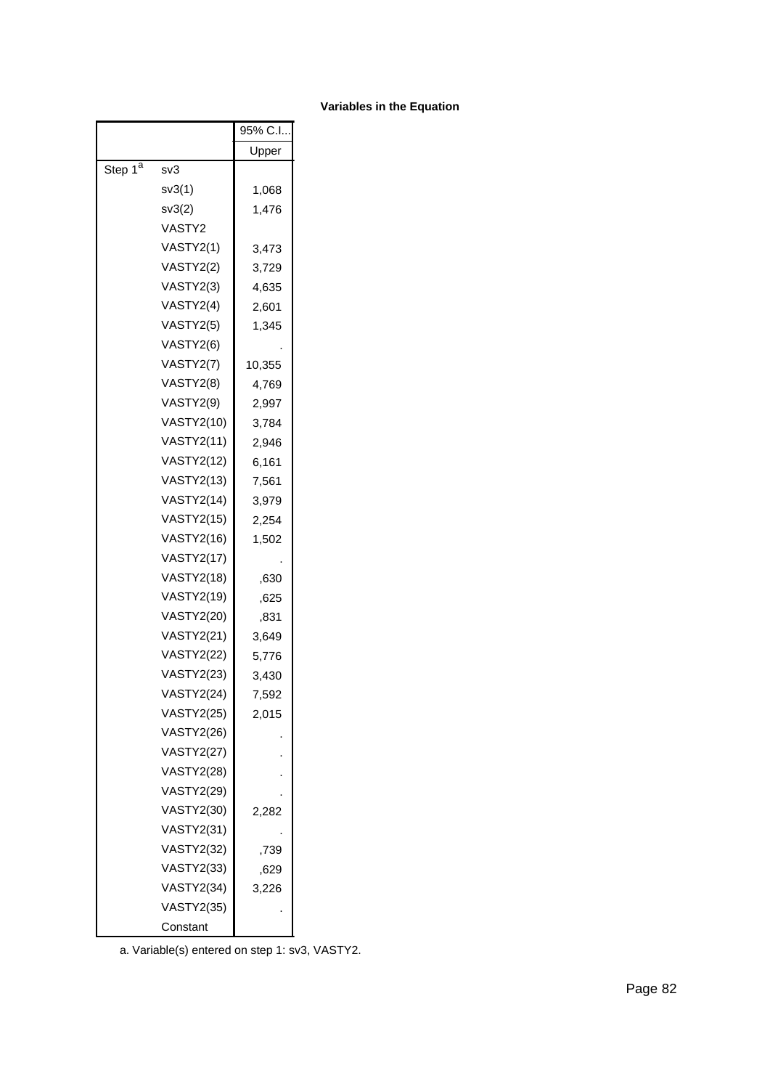|                     |                   | 95% C.I |
|---------------------|-------------------|---------|
|                     |                   | Upper   |
| Step 1 <sup>a</sup> | sv3               |         |
|                     | sv3(1)            | 1,068   |
|                     | sv3(2)            | 1,476   |
|                     | VASTY2            |         |
|                     | VASTY2(1)         | 3,473   |
|                     | VASTY2(2)         | 3,729   |
|                     | VASTY2(3)         | 4,635   |
|                     | VASTY2(4)         | 2,601   |
|                     | VASTY2(5)         | 1,345   |
|                     | VASTY2(6)         |         |
|                     | VASTY2(7)         | 10,355  |
|                     | VASTY2(8)         | 4,769   |
|                     | VASTY2(9)         | 2,997   |
|                     | <b>VASTY2(10)</b> | 3,784   |
|                     | <b>VASTY2(11)</b> | 2,946   |
|                     | <b>VASTY2(12)</b> | 6,161   |
|                     | VASTY2(13)        | 7,561   |
|                     | <b>VASTY2(14)</b> | 3,979   |
|                     | <b>VASTY2(15)</b> | 2,254   |
|                     | <b>VASTY2(16)</b> | 1,502   |
|                     | VASTY2(17)        |         |
|                     | <b>VASTY2(18)</b> | ,630    |
|                     | <b>VASTY2(19)</b> | ,625    |
|                     | <b>VASTY2(20)</b> | ,831    |
|                     | <b>VASTY2(21)</b> | 3,649   |
|                     | <b>VASTY2(22)</b> | 5,776   |
|                     | <b>VASTY2(23)</b> | 3,430   |
|                     | <b>VASTY2(24)</b> | 7.592   |
|                     | VASTY2(25)        | 2,015   |
|                     | <b>VASTY2(26)</b> |         |
|                     | <b>VASTY2(27)</b> |         |
|                     | <b>VASTY2(28)</b> |         |
|                     | VASTY2(29)        |         |
|                     | <b>VASTY2(30)</b> | 2,282   |
|                     | VASTY2(31)        |         |
|                     | <b>VASTY2(32)</b> | ,739    |
|                     | VASTY2(33)        | ,629    |
|                     | <b>VASTY2(34)</b> | 3,226   |
|                     | VASTY2(35)        |         |
|                     | Constant          |         |

a. Variable(s) entered on step 1: sv3, VASTY2.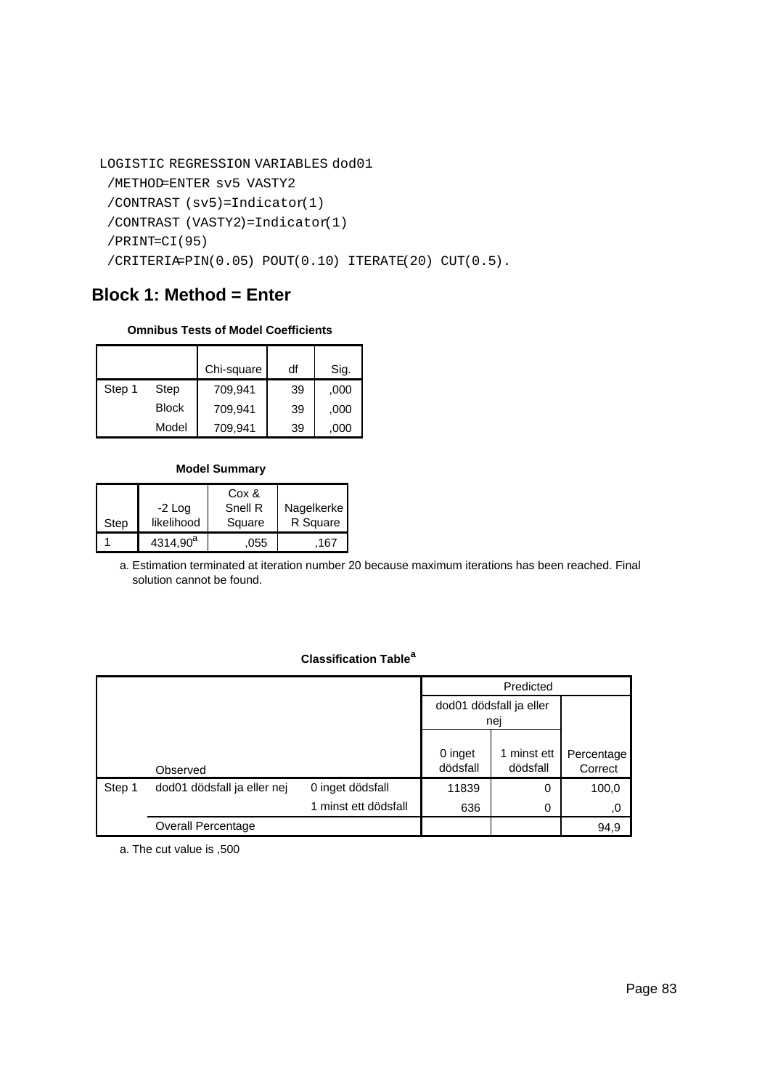```
LOGISTIC REGRESSION VARIABLES dod01
 /METHOD=ENTER sv5 VASTY2
 /CONTRAST (sv5)=Indicator(1)
 /CONTRAST (VASTY2)=Indicator(1)
 /PRINT=CI(95)
 /CRITERIA=PIN(0.05) POUT(0.10) ITERATE(20) CUT(0.5).
```
## **Block 1: Method = Enter**

#### **Omnibus Tests of Model Coefficients**

|        |              |            | df |      |
|--------|--------------|------------|----|------|
|        |              | Chi-square |    | Sig. |
| Step 1 | Step         | 709,941    | 39 | ,000 |
|        | <b>Block</b> | 709,941    | 39 | ,000 |
|        | Model        | 709,941    | 39 | .000 |

#### **Model Summary**

| Step | $-2$ Log<br>likelihood | Cox &<br>Snell R<br>Square | Nagelkerke<br>R Square |
|------|------------------------|----------------------------|------------------------|
|      | $4314,90^a$            | .055                       | .167                   |

Estimation terminated at iteration number 20 because maximum iterations has been reached. Final a. solution cannot be found.

## **Classification Table<sup>a</sup>**

|        |                             |                      |                         | Predicted               |                       |
|--------|-----------------------------|----------------------|-------------------------|-------------------------|-----------------------|
|        |                             |                      | dod01 dödsfall ja eller |                         |                       |
|        |                             |                      | nej                     |                         |                       |
|        | Observed                    |                      | 0 inget<br>dödsfall     | 1 minst ett<br>dödsfall | Percentage<br>Correct |
| Step 1 | dod01 dödsfall ja eller nej | 0 inget dödsfall     | 11839                   | 0                       | 100,0                 |
|        |                             | 1 minst ett dödsfall | 636                     | 0                       | ,0                    |
|        | <b>Overall Percentage</b>   |                      |                         |                         | 94,9                  |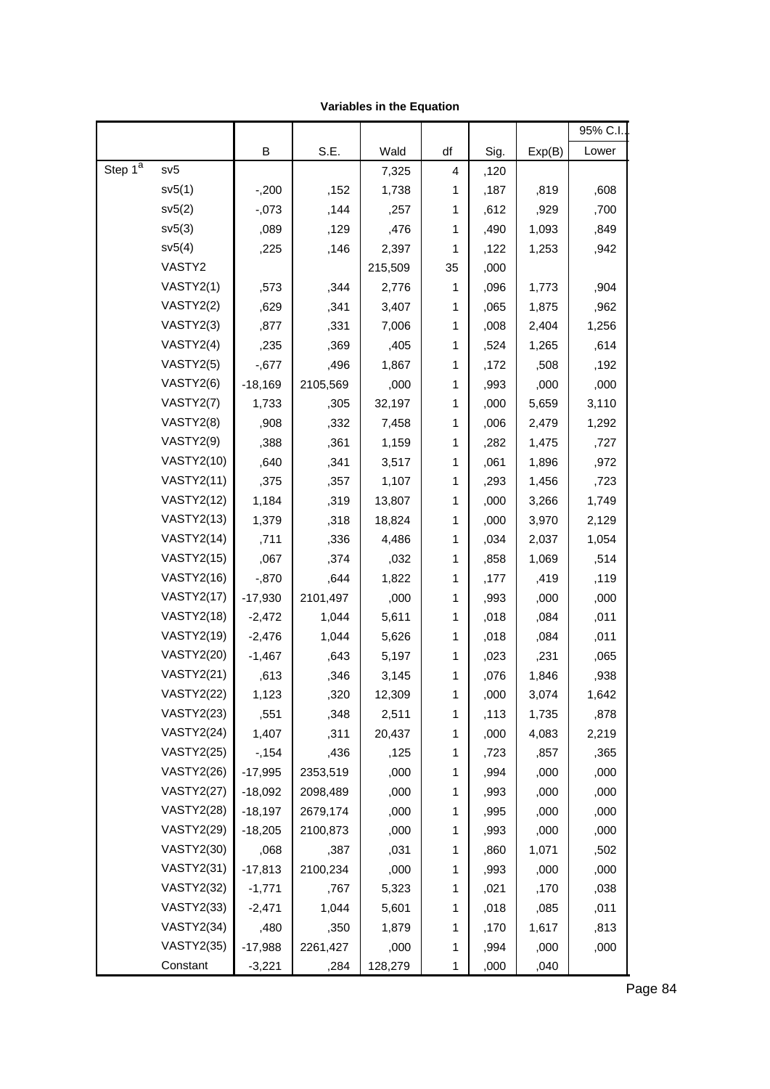|                     |                   |           |          |         |              |      |        | 95% C.I. |  |
|---------------------|-------------------|-----------|----------|---------|--------------|------|--------|----------|--|
|                     |                   | В         | S.E.     | Wald    | df           | Sig. | Exp(B) | Lower    |  |
| Step 1 <sup>a</sup> | sv5               |           |          | 7,325   | 4            | ,120 |        |          |  |
|                     | sv5(1)            | $-200$    | ,152     | 1,738   | 1            | ,187 | ,819   | ,608     |  |
|                     | sv5(2)            | $-073$    | ,144     | ,257    | 1            | ,612 | ,929   | ,700     |  |
|                     | sv5(3)            | ,089      | ,129     | ,476    | 1            | ,490 | 1,093  | ,849     |  |
|                     | sv5(4)            | ,225      | ,146     | 2,397   | 1            | ,122 | 1,253  | ,942     |  |
|                     | VASTY2            |           |          | 215,509 | 35           | ,000 |        |          |  |
|                     | VASTY2(1)         | ,573      | ,344     | 2,776   | 1            | ,096 | 1,773  | ,904     |  |
|                     | VASTY2(2)         | ,629      | ,341     | 3,407   | 1            | ,065 | 1,875  | ,962     |  |
|                     | VASTY2(3)         | ,877      | ,331     | 7,006   | $\mathbf{1}$ | ,008 | 2,404  | 1,256    |  |
|                     | VASTY2(4)         | ,235      | ,369     | ,405    | 1            | ,524 | 1,265  | ,614     |  |
|                     | VASTY2(5)         | $-0.677$  | ,496     | 1,867   | 1            | ,172 | ,508   | ,192     |  |
|                     | VASTY2(6)         | $-18,169$ | 2105,569 | ,000    | 1            | ,993 | ,000   | ,000     |  |
|                     | VASTY2(7)         | 1,733     | ,305     | 32,197  | $\mathbf{1}$ | ,000 | 5,659  | 3,110    |  |
|                     | VASTY2(8)         | ,908      | ,332     | 7,458   | 1            | ,006 | 2,479  | 1,292    |  |
|                     | VASTY2(9)         | ,388      | ,361     | 1,159   | 1            | ,282 | 1,475  | ,727     |  |
|                     | <b>VASTY2(10)</b> | ,640      | ,341     | 3,517   | 1            | ,061 | 1,896  | ,972     |  |
|                     | <b>VASTY2(11)</b> | ,375      | ,357     | 1,107   | $\mathbf{1}$ | ,293 | 1,456  | ,723     |  |
|                     | <b>VASTY2(12)</b> | 1,184     | ,319     | 13,807  | 1            | ,000 | 3,266  | 1,749    |  |
|                     | <b>VASTY2(13)</b> | 1,379     | ,318     | 18,824  | $\mathbf{1}$ | ,000 | 3,970  | 2,129    |  |
|                     | <b>VASTY2(14)</b> | ,711      | ,336     | 4,486   | 1            | ,034 | 2,037  | 1,054    |  |
|                     | <b>VASTY2(15)</b> | ,067      | ,374     | ,032    | $\mathbf{1}$ | ,858 | 1,069  | ,514     |  |
|                     | <b>VASTY2(16)</b> | $-0.870$  | ,644     | 1,822   | 1            | ,177 | ,419   | ,119     |  |
|                     | <b>VASTY2(17)</b> | $-17,930$ | 2101,497 | ,000    | $\mathbf{1}$ | ,993 | ,000   | ,000     |  |
|                     | <b>VASTY2(18)</b> | $-2,472$  | 1,044    | 5,611   | 1            | ,018 | ,084   | ,011     |  |
|                     | <b>VASTY2(19)</b> | $-2,476$  | 1,044    | 5,626   | 1            | ,018 | ,084   | ,011     |  |
|                     | <b>VASTY2(20)</b> | $-1,467$  | ,643     | 5,197   | 1            | ,023 | ,231   | ,065     |  |
|                     | <b>VASTY2(21)</b> | ,613      | ,346     | 3,145   | 1            | ,076 | 1,846  | ,938     |  |
|                     | <b>VASTY2(22)</b> | 1,123     | ,320     | 12,309  | 1            | ,000 | 3,074  | 1,642    |  |
|                     | <b>VASTY2(23)</b> | ,551      | ,348     | 2,511   | 1            | ,113 | 1,735  | ,878     |  |
|                     | <b>VASTY2(24)</b> | 1,407     | ,311     | 20,437  | 1            | ,000 | 4,083  | 2,219    |  |
|                     | <b>VASTY2(25)</b> | $-154$    | ,436     | ,125    | 1            | ,723 | ,857   | ,365     |  |
|                     | <b>VASTY2(26)</b> | $-17,995$ | 2353,519 | ,000    | 1            | ,994 | ,000   | ,000     |  |
|                     | <b>VASTY2(27)</b> | $-18,092$ | 2098,489 | ,000    | 1            | ,993 | ,000   | ,000     |  |
|                     | <b>VASTY2(28)</b> | $-18,197$ | 2679,174 | ,000    | 1            | ,995 | ,000   | ,000     |  |
|                     | <b>VASTY2(29)</b> | $-18,205$ | 2100,873 | ,000    | 1            | ,993 | ,000   | ,000     |  |
|                     | <b>VASTY2(30)</b> | ,068      | ,387     | ,031    | 1            | ,860 | 1,071  | ,502     |  |
|                     | <b>VASTY2(31)</b> | $-17,813$ | 2100,234 | ,000    | 1            | ,993 | ,000   | ,000     |  |
|                     | <b>VASTY2(32)</b> | $-1,771$  | ,767     | 5,323   | 1            | ,021 | ,170   | ,038     |  |
|                     | <b>VASTY2(33)</b> | $-2,471$  | 1,044    | 5,601   | 1            | ,018 | ,085   | ,011     |  |
|                     | <b>VASTY2(34)</b> | ,480      | ,350     | 1,879   | 1            | ,170 | 1,617  | ,813     |  |
|                     | <b>VASTY2(35)</b> | $-17,988$ | 2261,427 | ,000    | 1            | ,994 | ,000   | ,000     |  |
|                     | Constant          | $-3,221$  | ,284     | 128,279 | 1            | ,000 | ,040   |          |  |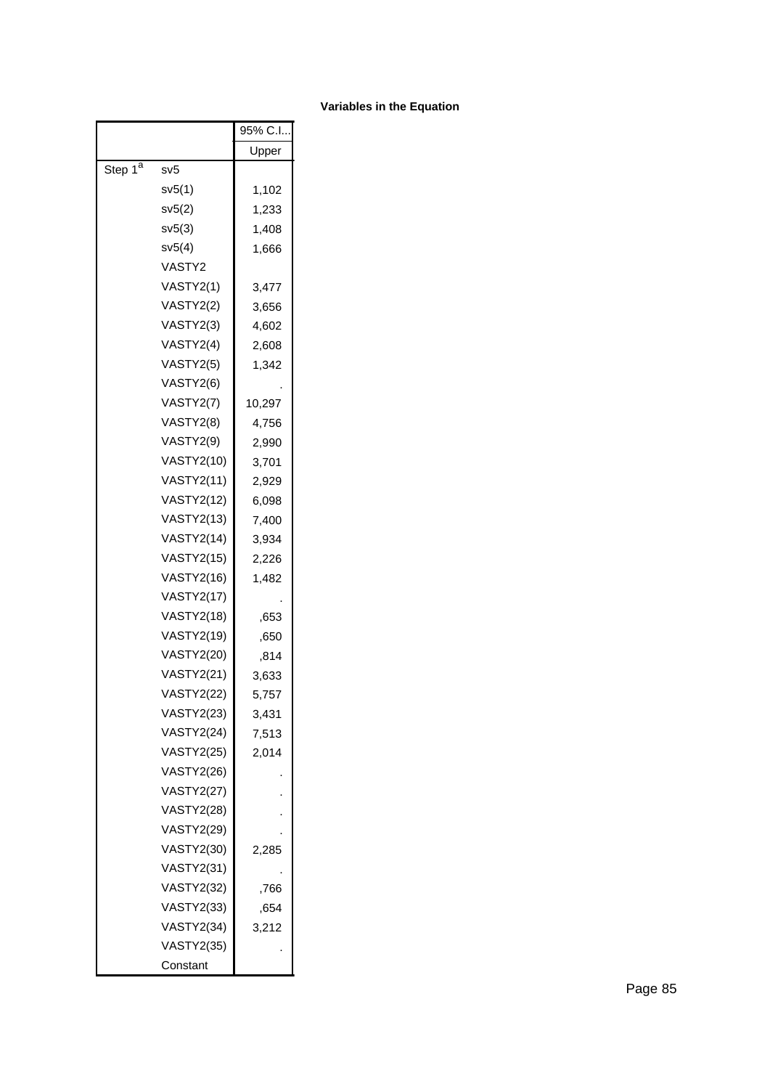|                     |                   | 95% C.I |
|---------------------|-------------------|---------|
|                     |                   | Upper   |
| Step 1 <sup>a</sup> | sv5               |         |
|                     | sv5(1)            | 1,102   |
|                     | sv5(2)            | 1,233   |
|                     | sv5(3)            | 1,408   |
|                     | sv5(4)            | 1,666   |
|                     | VASTY2            |         |
|                     | VASTY2(1)         | 3,477   |
|                     | VASTY2(2)         | 3,656   |
|                     | VASTY2(3)         | 4,602   |
|                     | VASTY2(4)         | 2,608   |
|                     | VASTY2(5)         | 1,342   |
|                     | VASTY2(6)         |         |
|                     | VASTY2(7)         | 10,297  |
|                     | VASTY2(8)         | 4,756   |
|                     | VASTY2(9)         | 2,990   |
|                     | <b>VASTY2(10)</b> | 3,701   |
|                     | <b>VASTY2(11)</b> | 2,929   |
|                     | <b>VASTY2(12)</b> | 6,098   |
|                     | <b>VASTY2(13)</b> | 7,400   |
|                     | <b>VASTY2(14)</b> | 3,934   |
|                     | <b>VASTY2(15)</b> | 2,226   |
|                     | <b>VASTY2(16)</b> | 1,482   |
|                     | <b>VASTY2(17)</b> |         |
|                     | <b>VASTY2(18)</b> | ,653    |
|                     | <b>VASTY2(19)</b> | ,650    |
|                     | <b>VASTY2(20)</b> | ,814    |
|                     | <b>VASTY2(21)</b> | 3,633   |
|                     | <b>VASTY2(22)</b> | 5,757   |
|                     | <b>VASTY2(23)</b> | 3,431   |
|                     | <b>VASTY2(24)</b> | 7,513   |
|                     | <b>VASTY2(25)</b> | 2,014   |
|                     | <b>VASTY2(26)</b> |         |
|                     | <b>VASTY2(27)</b> |         |
|                     | <b>VASTY2(28)</b> |         |
|                     | <b>VASTY2(29)</b> |         |
|                     | <b>VASTY2(30)</b> | 2,285   |
|                     | <b>VASTY2(31)</b> |         |
|                     | <b>VASTY2(32)</b> | ,766    |
|                     | <b>VASTY2(33)</b> | ,654    |
|                     | <b>VASTY2(34)</b> | 3,212   |
|                     | <b>VASTY2(35)</b> |         |
|                     | Constant          |         |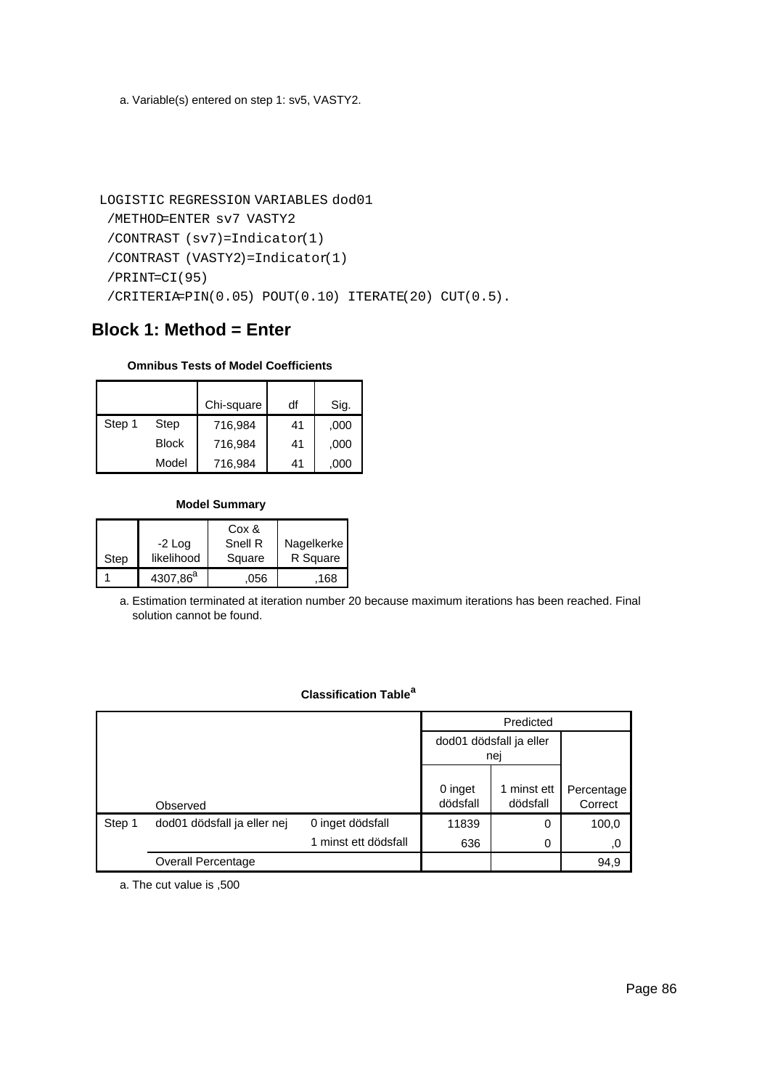a. Variable(s) entered on step 1: sv5, VASTY2.

```
LOGISTIC REGRESSION VARIABLES dod01
 /METHOD=ENTER sv7 VASTY2
 /CONTRAST (sv7)=Indicator(1)
 /CONTRAST (VASTY2)=Indicator(1)
 /PRINT=CI(95)
 /CRITERIA=PIN(0.05) POUT(0.10) ITERATE(20) CUT(0.5).
```
## **Block 1: Method = Enter**

### **Omnibus Tests of Model Coefficients**

|        |              | Chi-square | df | Sig. |
|--------|--------------|------------|----|------|
| Step 1 | Step         | 716,984    | 41 | ,000 |
|        | <b>Block</b> | 716,984    | 41 | ,000 |
|        | Model        | 716,984    | 41 | ,000 |

#### **Model Summary**

|      | $-2$ Log             | Cox &<br>Snell R | Nagelkerke |
|------|----------------------|------------------|------------|
| Step | likelihood           | Square           | R Square   |
|      | 4307,86 <sup>a</sup> | .056             | 168        |

Estimation terminated at iteration number 20 because maximum iterations has been reached. Final a. solution cannot be found.

## **Classification Table<sup>a</sup>**

|        |                             | Predicted            |                         |                         |                       |
|--------|-----------------------------|----------------------|-------------------------|-------------------------|-----------------------|
|        |                             |                      | dod01 dödsfall ja eller |                         |                       |
|        |                             |                      |                         | nej                     |                       |
|        | Observed                    |                      | 0 inget<br>dödsfall     | 1 minst ett<br>dödsfall | Percentage<br>Correct |
| Step 1 | dod01 dödsfall ja eller nej | 0 inget dödsfall     | 11839                   | 0                       | 100,0                 |
|        |                             | 1 minst ett dödsfall | 636                     | 0                       | .0                    |
|        | Overall Percentage          |                      |                         |                         | 94,9                  |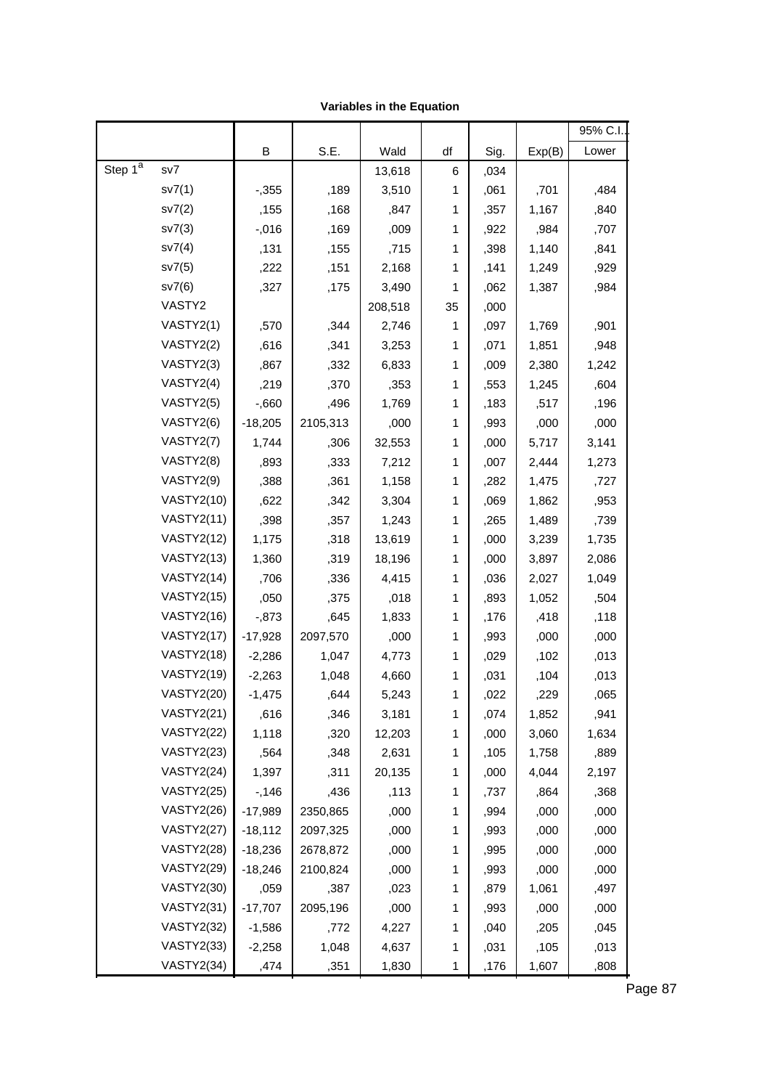| Variables in the Equation |  |  |  |
|---------------------------|--|--|--|
|---------------------------|--|--|--|

|            |                   |           |          |         |    |      |        | 95% C.I. |  |
|------------|-------------------|-----------|----------|---------|----|------|--------|----------|--|
|            |                   | В         | S.E.     | Wald    | df | Sig. | Exp(B) | Lower    |  |
| Step $1^a$ | sv7               |           |          | 13,618  | 6  | ,034 |        |          |  |
|            | sv7(1)            | $-0.355$  | ,189     | 3,510   | 1  | ,061 | ,701   | ,484     |  |
|            | sv7(2)            | ,155      | ,168     | ,847    | 1  | ,357 | 1,167  | ,840     |  |
|            | sv7(3)            | $-0.016$  | ,169     | ,009    | 1  | ,922 | ,984   | ,707     |  |
|            | sv7(4)            | ,131      | ,155     | ,715    | 1  | ,398 | 1,140  | ,841     |  |
|            | sv7(5)            | ,222      | ,151     | 2,168   | 1  | ,141 | 1,249  | ,929     |  |
|            | sv7(6)            | ,327      | ,175     | 3,490   | 1  | ,062 | 1,387  | ,984     |  |
|            | VASTY2            |           |          | 208,518 | 35 | ,000 |        |          |  |
|            | VASTY2(1)         | ,570      | ,344     | 2,746   | 1  | ,097 | 1,769  | ,901     |  |
|            | VASTY2(2)         | ,616      | ,341     | 3,253   | 1  | ,071 | 1,851  | ,948     |  |
|            | VASTY2(3)         | ,867      | ,332     | 6,833   | 1  | ,009 | 2,380  | 1,242    |  |
|            | VASTY2(4)         | ,219      | ,370     | ,353    | 1  | ,553 | 1,245  | ,604     |  |
|            | VASTY2(5)         | $-0.660$  | ,496     | 1,769   | 1  | ,183 | ,517   | ,196     |  |
|            | VASTY2(6)         | $-18,205$ | 2105,313 | ,000    | 1  | ,993 | ,000   | ,000     |  |
|            | VASTY2(7)         | 1,744     | ,306     | 32,553  | 1  | ,000 | 5,717  | 3,141    |  |
|            | VASTY2(8)         | ,893      | ,333     | 7,212   | 1  | ,007 | 2,444  | 1,273    |  |
|            | VASTY2(9)         | ,388      | ,361     | 1,158   | 1  | ,282 | 1,475  | ,727     |  |
|            | <b>VASTY2(10)</b> | ,622      | ,342     | 3,304   | 1  | ,069 | 1,862  | ,953     |  |
|            | <b>VASTY2(11)</b> | ,398      | ,357     | 1,243   | 1  | ,265 | 1,489  | ,739     |  |
|            | <b>VASTY2(12)</b> | 1,175     | ,318     | 13,619  | 1  | ,000 | 3,239  | 1,735    |  |
|            | <b>VASTY2(13)</b> | 1,360     | ,319     | 18,196  | 1  | ,000 | 3,897  | 2,086    |  |
|            | <b>VASTY2(14)</b> | ,706      | ,336     | 4,415   | 1  | ,036 | 2,027  | 1,049    |  |
|            | <b>VASTY2(15)</b> | ,050      | ,375     | ,018    | 1  | ,893 | 1,052  | ,504     |  |
|            | <b>VASTY2(16)</b> | $-0.873$  | ,645     | 1,833   | 1  | ,176 | ,418   | ,118     |  |
|            | <b>VASTY2(17)</b> | $-17,928$ | 2097,570 | ,000    | 1  | ,993 | ,000   | ,000     |  |
|            | <b>VASTY2(18)</b> | $-2,286$  | 1,047    | 4,773   | 1  | ,029 | ,102   | ,013     |  |
|            | <b>VASTY2(19)</b> | $-2,263$  | 1,048    | 4,660   | 1  | ,031 | ,104   | ,013     |  |
|            | <b>VASTY2(20)</b> | $-1,475$  | ,644     | 5,243   | 1  | ,022 | ,229   | ,065     |  |
|            | <b>VASTY2(21)</b> | ,616      | ,346     | 3,181   | 1  | ,074 | 1,852  | ,941     |  |
|            | <b>VASTY2(22)</b> | 1,118     | ,320     | 12,203  | 1  | ,000 | 3,060  | 1,634    |  |
|            | <b>VASTY2(23)</b> | ,564      | ,348     | 2,631   | 1  | ,105 | 1,758  | ,889     |  |
|            | <b>VASTY2(24)</b> | 1,397     | ,311     | 20,135  | 1  | ,000 | 4,044  | 2,197    |  |
|            | <b>VASTY2(25)</b> | $-146$    | ,436     | ,113    | 1  | ,737 | ,864   | ,368     |  |
|            | <b>VASTY2(26)</b> | $-17,989$ | 2350,865 | ,000    | 1  | ,994 | ,000   | ,000     |  |
|            | <b>VASTY2(27)</b> | $-18,112$ | 2097,325 | ,000    | 1  | ,993 | ,000   | ,000     |  |
|            | <b>VASTY2(28)</b> | $-18,236$ | 2678,872 | ,000    | 1  | ,995 | ,000   | ,000     |  |
|            | <b>VASTY2(29)</b> | $-18,246$ | 2100,824 | ,000    | 1  | ,993 | ,000   | ,000     |  |
|            | <b>VASTY2(30)</b> | ,059      | ,387     | ,023    | 1  | ,879 | 1,061  | ,497     |  |
|            | <b>VASTY2(31)</b> | $-17,707$ | 2095,196 | ,000    | 1  | ,993 | ,000   | ,000     |  |
|            | <b>VASTY2(32)</b> | $-1,586$  | ,772     | 4,227   | 1  | ,040 | ,205   | ,045     |  |
|            | <b>VASTY2(33)</b> | $-2,258$  | 1,048    | 4,637   | 1  | ,031 | ,105   | ,013     |  |
|            | <b>VASTY2(34)</b> | ,474      | ,351     | 1,830   | 1  | ,176 | 1,607  | ,808     |  |

-<br>Page 87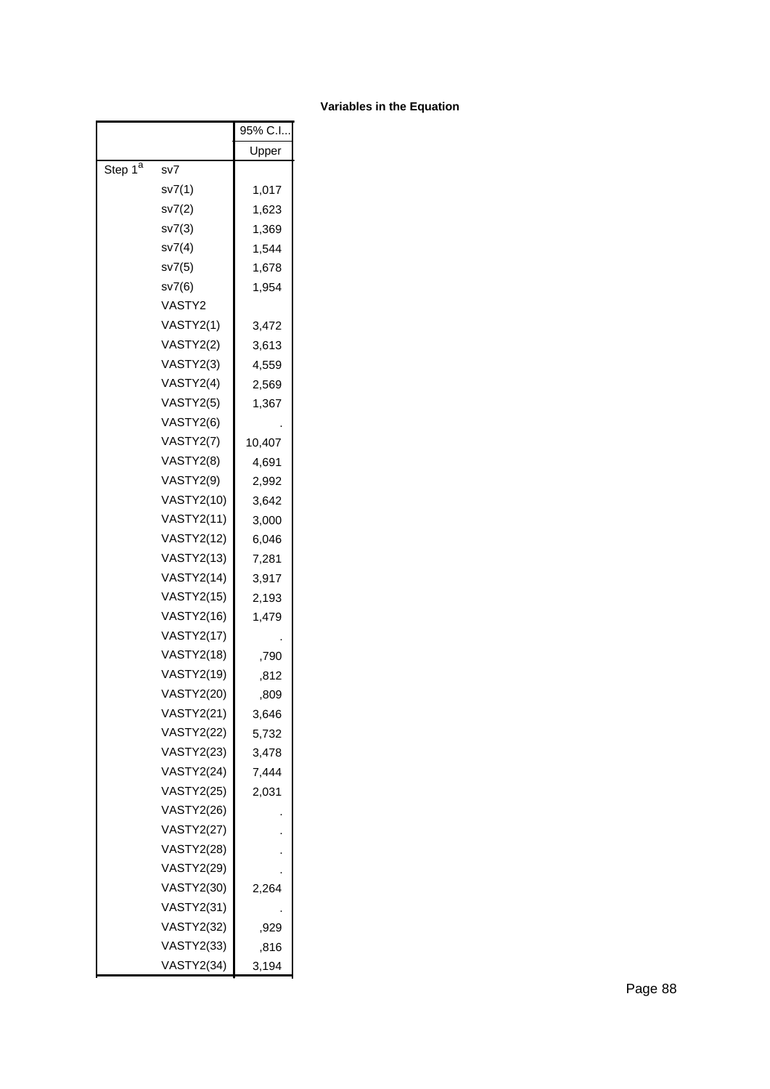|                     |                   | 95% C.I |
|---------------------|-------------------|---------|
|                     |                   | Upper   |
| Step 1 <sup>a</sup> | sv7               |         |
|                     | sv7(1)            | 1,017   |
|                     | sv7(2)            | 1,623   |
|                     | sv7(3)            | 1,369   |
|                     | sv7(4)            | 1,544   |
|                     | sv7(5)            | 1,678   |
|                     | sv7(6)            | 1,954   |
|                     | VASTY2            |         |
|                     | VASTY2(1)         | 3,472   |
|                     | VASTY2(2)         | 3,613   |
|                     | VASTY2(3)         | 4,559   |
|                     | VASTY2(4)         | 2,569   |
|                     | VASTY2(5)         | 1,367   |
|                     | VASTY2(6)         |         |
|                     | VASTY2(7)         | 10,407  |
|                     | VASTY2(8)         | 4,691   |
|                     | VASTY2(9)         | 2,992   |
|                     | <b>VASTY2(10)</b> | 3,642   |
|                     | <b>VASTY2(11)</b> | 3,000   |
|                     | <b>VASTY2(12)</b> | 6,046   |
|                     | <b>VASTY2(13)</b> | 7,281   |
|                     | <b>VASTY2(14)</b> | 3,917   |
|                     | <b>VASTY2(15)</b> | 2,193   |
|                     | <b>VASTY2(16)</b> | 1,479   |
|                     | <b>VASTY2(17)</b> |         |
|                     | <b>VASTY2(18)</b> | ,790    |
|                     | <b>VASTY2(19)</b> | ,812    |
|                     | <b>VASTY2(20)</b> | .809    |
|                     | VASTY2(21)        | 3,646   |
|                     | <b>VASTY2(22)</b> | 5,732   |
|                     | <b>VASTY2(23)</b> | 3,478   |
|                     | <b>VASTY2(24)</b> | 7,444   |
|                     | VASTY2(25)        | 2,031   |
|                     | <b>VASTY2(26)</b> |         |
|                     | <b>VASTY2(27)</b> |         |
|                     | <b>VASTY2(28)</b> |         |
|                     | VASTY2(29)        |         |
|                     | <b>VASTY2(30)</b> | 2,264   |
|                     | VASTY2(31)        |         |
|                     | <b>VASTY2(32)</b> | ,929    |
|                     | VASTY2(33)        | ,816    |
|                     | <b>VASTY2(34)</b> | 3,194   |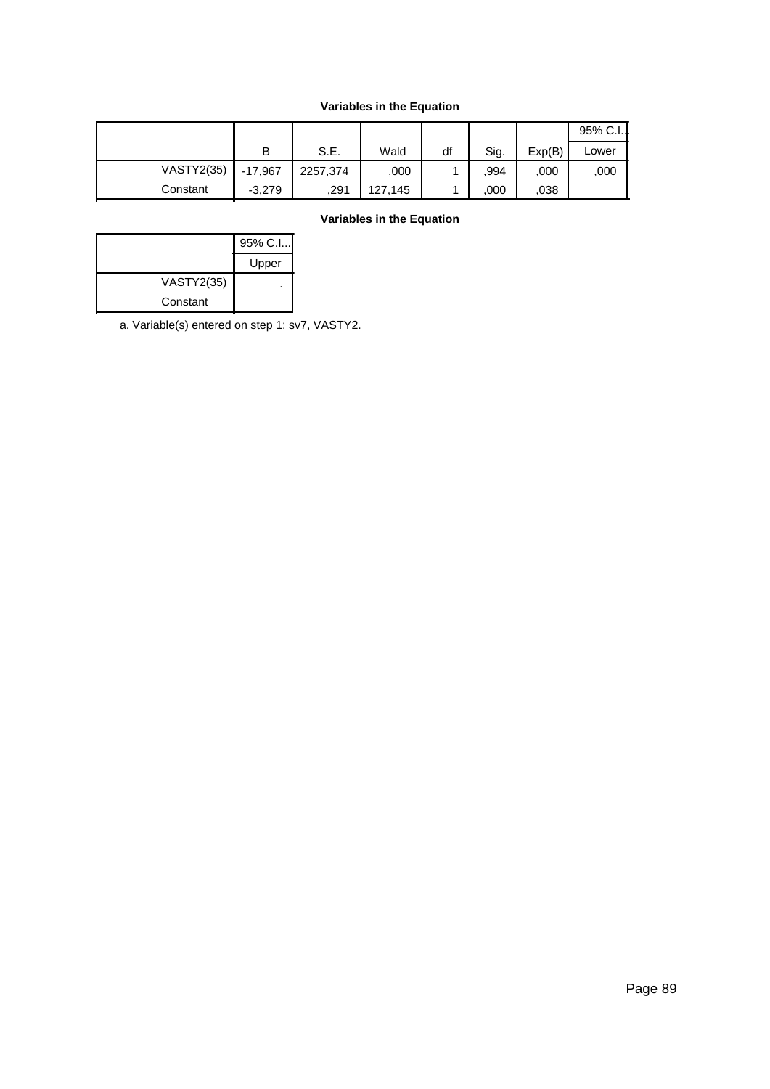|                   |           |          |         |    |      |        | 95% C.I. |
|-------------------|-----------|----------|---------|----|------|--------|----------|
|                   | B         | S.E.     | Wald    | df | Sig. | Exp(B) | Lower    |
| <b>VASTY2(35)</b> | $-17,967$ | 2257,374 | .000    |    | .994 | ,000   | ,000     |
| Constant          | $-3.279$  | .291     | 127,145 |    | ,000 | .038   |          |

## **Variables in the Equation**

|                   | 95% C.I |
|-------------------|---------|
|                   | Upper   |
| <b>VASTY2(35)</b> |         |
| Constant          |         |

a. Variable(s) entered on step 1: sv7, VASTY2.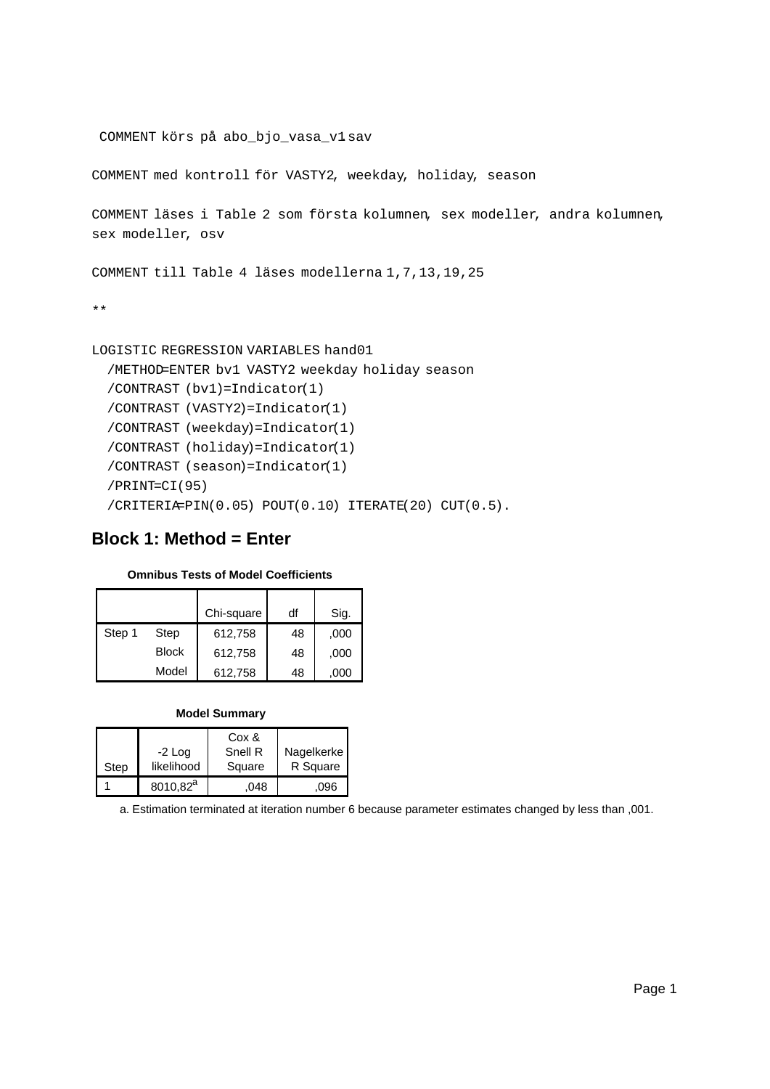```
COMMENT körs på abo_bjo_vasa_v1.sav
```
COMMENT med kontroll för VASTY2, weekday, holiday, season

COMMENT läses i Table 2 som första kolumnen, sex modeller, andra kolumnen, sex modeller, osv

COMMENT till Table 4 läses modellerna 1,7,13,19,25

\*\*

```
LOGISTIC REGRESSION VARIABLES hand01
```

```
 /METHOD=ENTER bv1 VASTY2 weekday holiday season
```

```
 /CONTRAST (bv1)=Indicator(1)
/CONTRAST (VASTY2)=Indicator(1)
/CONTRAST (weekday)=Indicator(1)
/CONTRAST (holiday)=Indicator(1)
/CONTRAST (season)=Indicator(1)
/PRINT=CI(95)
/CRITERIA=PIN(0.05) POUT(0.10) ITERATE(20) CUT(0.5).
```
## **Block 1: Method = Enter**

#### **Omnibus Tests of Model Coefficients**

|        |              | Chi-square | df | Sig. |
|--------|--------------|------------|----|------|
| Step 1 | Step         | 612,758    | 48 | ,000 |
|        | <b>Block</b> | 612,758    | 48 | ,000 |
|        | Model        | 612,758    | 48 | .000 |

#### **Model Summary**

|      |                      | Cox &   |            |
|------|----------------------|---------|------------|
|      | $-2$ Log             | Snell R | Nagelkerke |
| Step | likelihood           | Square  | R Square   |
|      | 8010,82 <sup>a</sup> | 048     | .096       |

a. Estimation terminated at iteration number 6 because parameter estimates changed by less than ,001.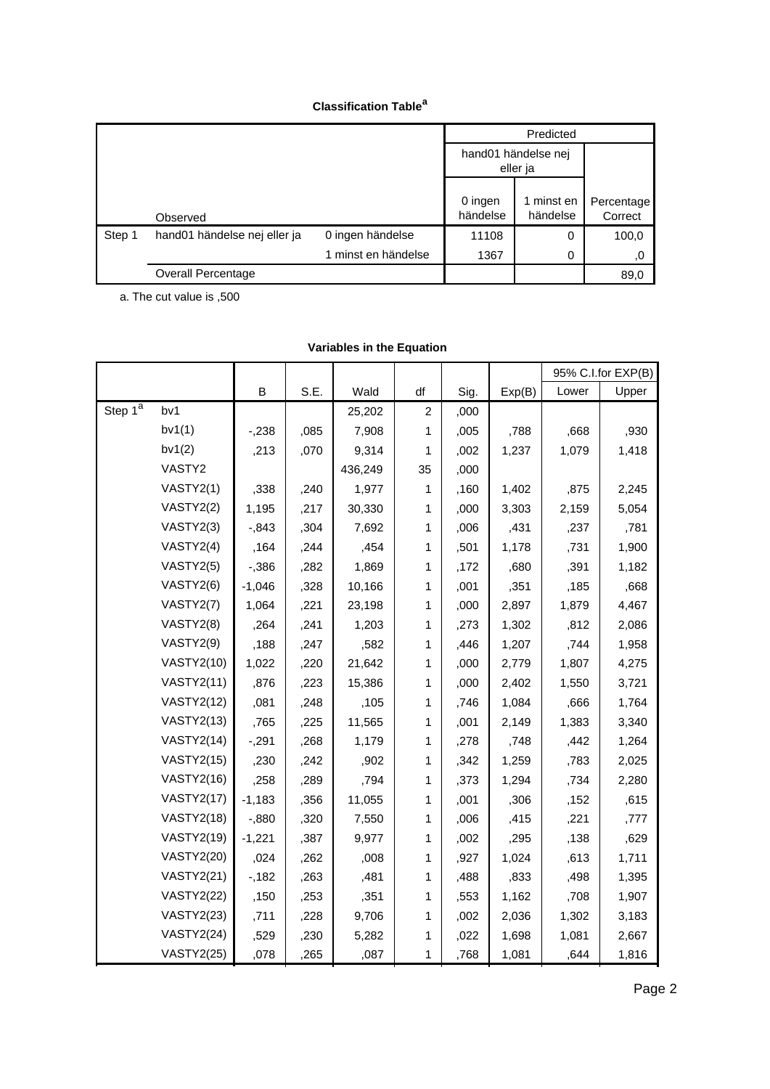## **Classification Table<sup>a</sup>**

|        |                              |                     |                     | hand01 händelse nej<br>eller ja |                       |
|--------|------------------------------|---------------------|---------------------|---------------------------------|-----------------------|
|        | Observed                     |                     | 0 ingen<br>händelse | minst en<br>händelse            | Percentage<br>Correct |
| Step 1 | hand01 händelse nej eller ja | 0 ingen händelse    | 11108               | 0                               | 100,0                 |
|        |                              | 1 minst en händelse | 1367                | 0                               | ,0                    |
|        | <b>Overall Percentage</b>    |                     |                     |                                 | 89,0                  |

a. The cut value is ,500

|                         |                   |          |      |         |                |      |        |       | 95% C.I.for EXP(B) |
|-------------------------|-------------------|----------|------|---------|----------------|------|--------|-------|--------------------|
|                         |                   | B        | S.E. | Wald    | df             | Sig. | Exp(B) | Lower | Upper              |
| Step $1^{\overline{a}}$ | bv1               |          |      | 25,202  | $\overline{c}$ | ,000 |        |       |                    |
|                         | bv1(1)            | $-238$   | ,085 | 7,908   | 1              | ,005 | ,788   | ,668  | ,930               |
|                         | bv1(2)            | ,213     | ,070 | 9,314   | 1              | ,002 | 1,237  | 1,079 | 1,418              |
|                         | VASTY2            |          |      | 436,249 | 35             | ,000 |        |       |                    |
|                         | VASTY2(1)         | ,338     | ,240 | 1,977   | 1              | ,160 | 1,402  | ,875  | 2,245              |
|                         | VASTY2(2)         | 1,195    | ,217 | 30,330  | 1              | ,000 | 3,303  | 2,159 | 5,054              |
|                         | VASTY2(3)         | $-0.843$ | ,304 | 7,692   | 1              | ,006 | ,431   | ,237  | ,781               |
|                         | VASTY2(4)         | ,164     | ,244 | ,454    | 1              | ,501 | 1,178  | ,731  | 1,900              |
|                         | VASTY2(5)         | $-0.386$ | ,282 | 1,869   | 1              | ,172 | ,680   | ,391  | 1,182              |
|                         | VASTY2(6)         | $-1,046$ | ,328 | 10,166  | 1              | ,001 | ,351   | ,185  | ,668               |
|                         | VASTY2(7)         | 1,064    | ,221 | 23,198  | 1              | ,000 | 2,897  | 1,879 | 4,467              |
|                         | VASTY2(8)         | ,264     | ,241 | 1,203   | 1              | ,273 | 1,302  | ,812  | 2,086              |
|                         | VASTY2(9)         | ,188     | ,247 | ,582    | 1              | ,446 | 1,207  | ,744  | 1,958              |
|                         | <b>VASTY2(10)</b> | 1,022    | ,220 | 21,642  | 1              | ,000 | 2,779  | 1,807 | 4,275              |
|                         | <b>VASTY2(11)</b> | ,876     | ,223 | 15,386  | 1              | ,000 | 2,402  | 1,550 | 3,721              |
|                         | <b>VASTY2(12)</b> | ,081     | ,248 | ,105    | 1              | ,746 | 1,084  | ,666  | 1,764              |
|                         | <b>VASTY2(13)</b> | ,765     | ,225 | 11,565  | 1              | ,001 | 2,149  | 1,383 | 3,340              |
|                         | <b>VASTY2(14)</b> | $-291$   | ,268 | 1,179   | 1              | ,278 | ,748   | ,442  | 1,264              |
|                         | <b>VASTY2(15)</b> | ,230     | ,242 | ,902    | 1              | ,342 | 1,259  | ,783  | 2,025              |
|                         | <b>VASTY2(16)</b> | ,258     | ,289 | ,794    | 1              | ,373 | 1,294  | ,734  | 2,280              |
|                         | <b>VASTY2(17)</b> | $-1,183$ | ,356 | 11,055  | 1              | ,001 | ,306   | ,152  | ,615               |
|                         | <b>VASTY2(18)</b> | $-0.880$ | ,320 | 7,550   | 1              | ,006 | ,415   | ,221  | ,777               |
|                         | <b>VASTY2(19)</b> | $-1,221$ | ,387 | 9,977   | 1              | ,002 | ,295   | ,138  | ,629               |
|                         | <b>VASTY2(20)</b> | ,024     | ,262 | ,008    | 1              | ,927 | 1,024  | ,613  | 1,711              |
|                         | <b>VASTY2(21)</b> | $-182$   | ,263 | ,481    | 1              | ,488 | ,833   | ,498  | 1,395              |
|                         | <b>VASTY2(22)</b> | ,150     | ,253 | ,351    | 1              | ,553 | 1,162  | ,708  | 1,907              |
|                         | <b>VASTY2(23)</b> | ,711     | ,228 | 9,706   | 1              | ,002 | 2,036  | 1,302 | 3,183              |
|                         | <b>VASTY2(24)</b> | ,529     | ,230 | 5,282   | 1              | ,022 | 1,698  | 1,081 | 2,667              |
|                         | <b>VASTY2(25)</b> | ,078     | ,265 | ,087    | 1              | ,768 | 1,081  | ,644  | 1,816              |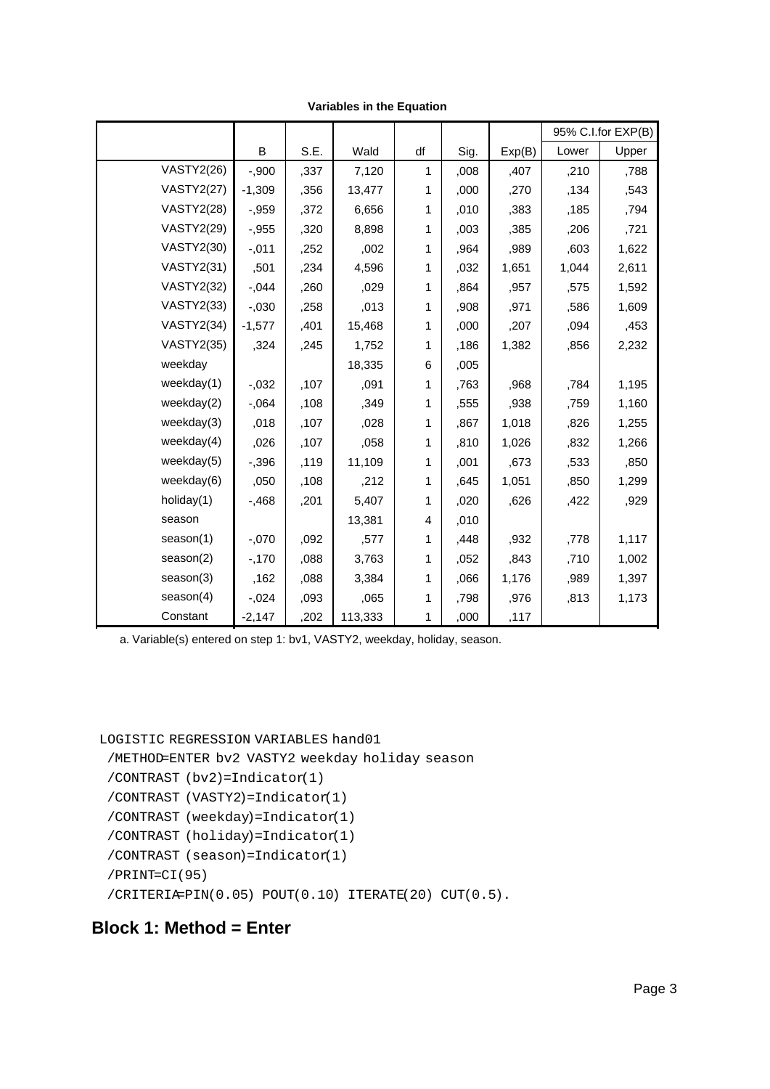|                   |          |      |         |    |      |        |       | 95% C.I.for EXP(B) |
|-------------------|----------|------|---------|----|------|--------|-------|--------------------|
|                   | B        | S.E. | Wald    | df | Sig. | Exp(B) | Lower | Upper              |
| <b>VASTY2(26)</b> | $-0.900$ | ,337 | 7,120   | 1  | ,008 | ,407   | ,210  | ,788               |
| <b>VASTY2(27)</b> | $-1,309$ | ,356 | 13,477  | 1  | ,000 | ,270   | ,134  | ,543               |
| <b>VASTY2(28)</b> | $-0.959$ | ,372 | 6,656   | 1  | ,010 | ,383   | ,185  | ,794               |
| <b>VASTY2(29)</b> | $-0.955$ | ,320 | 8,898   | 1  | ,003 | ,385   | ,206  | ,721               |
| <b>VASTY2(30)</b> | $-0.011$ | ,252 | ,002    | 1  | ,964 | ,989   | ,603  | 1,622              |
| <b>VASTY2(31)</b> | ,501     | ,234 | 4,596   | 1  | ,032 | 1,651  | 1,044 | 2,611              |
| <b>VASTY2(32)</b> | $-0.044$ | ,260 | ,029    | 1  | ,864 | ,957   | ,575  | 1,592              |
| <b>VASTY2(33)</b> | $-0.030$ | ,258 | ,013    | 1  | ,908 | ,971   | ,586  | 1,609              |
| <b>VASTY2(34)</b> | $-1,577$ | ,401 | 15,468  | 1  | ,000 | ,207   | ,094  | ,453               |
| <b>VASTY2(35)</b> | ,324     | ,245 | 1,752   | 1  | ,186 | 1,382  | ,856  | 2,232              |
| weekday           |          |      | 18,335  | 6  | ,005 |        |       |                    |
| weekday $(1)$     | $-0.032$ | ,107 | ,091    | 1  | ,763 | ,968   | ,784  | 1,195              |
| weekday(2)        | $-0.064$ | ,108 | ,349    | 1  | ,555 | ,938   | ,759  | 1,160              |
| weekday(3)        | ,018     | ,107 | ,028    | 1  | ,867 | 1,018  | ,826  | 1,255              |
| weekday $(4)$     | ,026     | ,107 | ,058    | 1  | ,810 | 1,026  | ,832  | 1,266              |
| weekday(5)        | $-0.396$ | ,119 | 11,109  | 1  | ,001 | ,673   | ,533  | ,850               |
| weekday(6)        | ,050     | ,108 | .212    | 1  | ,645 | 1,051  | ,850  | 1,299              |
| holiday(1)        | $-0.468$ | ,201 | 5,407   | 1  | ,020 | ,626   | ,422  | ,929               |
| season            |          |      | 13,381  | 4  | ,010 |        |       |                    |
| season(1)         | $-0.070$ | ,092 | ,577    | 1  | ,448 | ,932   | ,778  | 1,117              |
| season(2)         | $-170$   | ,088 | 3,763   | 1  | ,052 | ,843   | ,710  | 1,002              |
| season(3)         | ,162     | ,088 | 3,384   | 1  | ,066 | 1,176  | ,989  | 1,397              |
| season(4)         | $-0.024$ | ,093 | ,065    | 1  | ,798 | ,976   | ,813  | 1,173              |
| Constant          | $-2,147$ | ,202 | 113,333 | 1  | ,000 | ,117   |       |                    |

**Variables in the Equation**

a. Variable(s) entered on step 1: bv1, VASTY2, weekday, holiday, season.

```
LOGISTIC REGRESSION VARIABLES hand01
```
/METHOD=ENTER bv2 VASTY2 weekday holiday season

```
 /CONTRAST (bv2)=Indicator(1)
```

```
 /CONTRAST (VASTY2)=Indicator(1)
```

```
 /CONTRAST (weekday)=Indicator(1)
```

```
 /CONTRAST (holiday)=Indicator(1)
```

```
 /CONTRAST (season)=Indicator(1)
```

```
 /PRINT=CI(95)
```

```
 /CRITERIA=PIN(0.05) POUT(0.10) ITERATE(20) CUT(0.5).
```
# **Block 1: Method = Enter**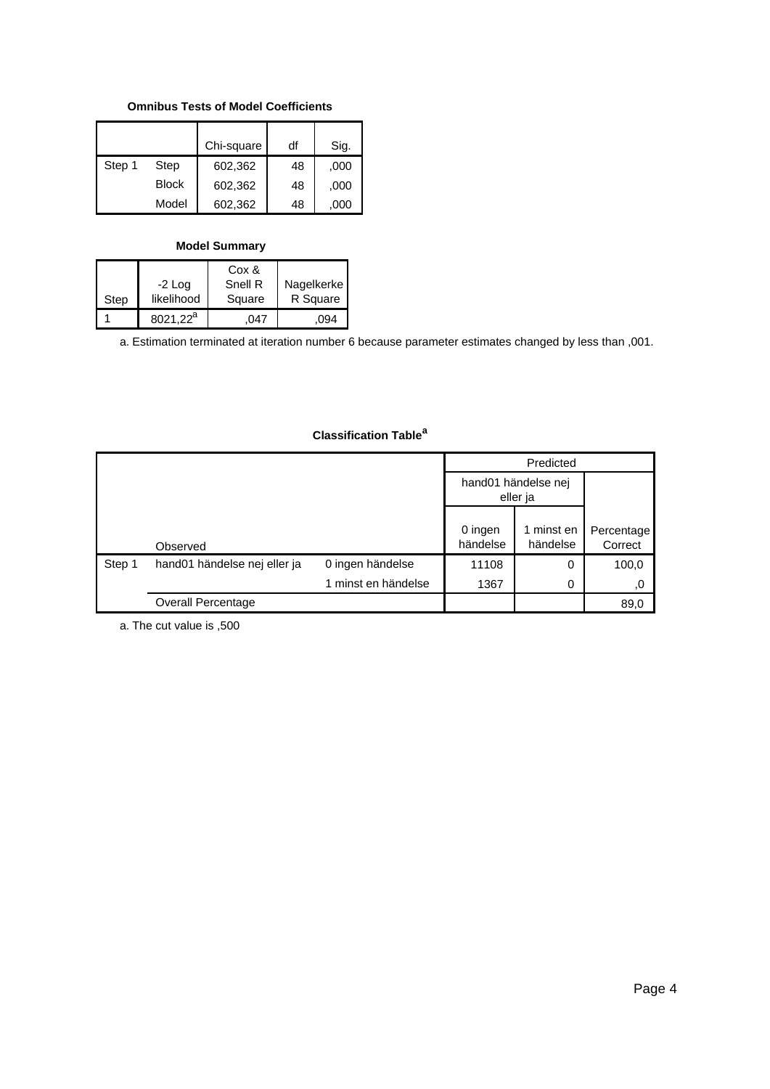## **Omnibus Tests of Model Coefficients**

|        |              | Chi-square | df | Sig. |
|--------|--------------|------------|----|------|
| Step 1 | Step         | 602,362    | 48 | ,000 |
|        | <b>Block</b> | 602,362    | 48 | ,000 |
|        | Model        | 602,362    | 48 | ,000 |

### **Model Summary**

|      |                      | Cox &   |            |
|------|----------------------|---------|------------|
|      | $-2$ Log             | Snell R | Nagelkerke |
| Step | likelihood           | Square  | R Square   |
|      | 8021.22 <sup>a</sup> | (147)   | .094       |

a. Estimation terminated at iteration number 6 because parameter estimates changed by less than ,001.

## **Classification Table<sup>a</sup>**

|        |                              |                     | Predicted                       |                      |                       |  |
|--------|------------------------------|---------------------|---------------------------------|----------------------|-----------------------|--|
|        |                              |                     | hand01 händelse nej<br>eller ja |                      |                       |  |
|        | Observed                     |                     | 0 ingen<br>händelse             | minst en<br>händelse | Percentage<br>Correct |  |
| Step 1 | hand01 händelse nej eller ja | 0 ingen händelse    | 11108                           | 0                    | 100,0                 |  |
|        |                              | 1 minst en händelse | 1367                            | 0                    | .0                    |  |
|        | Overall Percentage           |                     |                                 |                      | 89,0                  |  |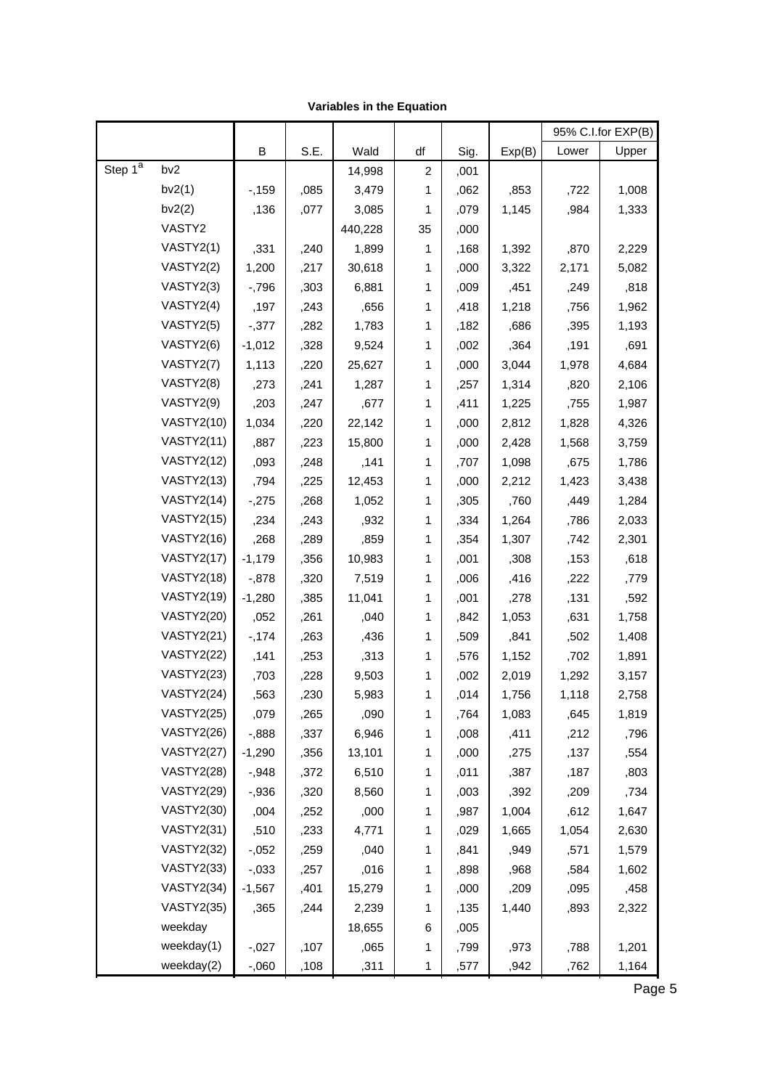|                     |                   |          |      |         |                |      |        |       | 95% C.I.for EXP(B) |
|---------------------|-------------------|----------|------|---------|----------------|------|--------|-------|--------------------|
|                     |                   | В        | S.E. | Wald    | df             | Sig. | Exp(B) | Lower | Upper              |
| Step 1 <sup>a</sup> | bv <sub>2</sub>   |          |      | 14,998  | $\overline{c}$ | ,001 |        |       |                    |
|                     | bv2(1)            | $-159$   | ,085 | 3,479   | 1              | ,062 | ,853   | ,722  | 1,008              |
|                     | bv2(2)            | ,136     | ,077 | 3,085   | 1              | ,079 | 1,145  | ,984  | 1,333              |
|                     | VASTY2            |          |      | 440,228 | 35             | ,000 |        |       |                    |
|                     | VASTY2(1)         | ,331     | ,240 | 1,899   | 1              | ,168 | 1,392  | ,870  | 2,229              |
|                     | VASTY2(2)         | 1,200    | ,217 | 30,618  | 1              | ,000 | 3,322  | 2,171 | 5,082              |
|                     | VASTY2(3)         | $-796$   | ,303 | 6,881   | 1              | ,009 | ,451   | ,249  | ,818               |
|                     | VASTY2(4)         | ,197     | ,243 | ,656    | 1              | ,418 | 1,218  | ,756  | 1,962              |
|                     | VASTY2(5)         | $-0.377$ | ,282 | 1,783   | 1              | ,182 | ,686   | ,395  | 1,193              |
|                     | VASTY2(6)         | $-1,012$ | ,328 | 9,524   | 1              | ,002 | ,364   | ,191  | ,691               |
|                     | VASTY2(7)         | 1,113    | ,220 | 25,627  | 1              | ,000 | 3,044  | 1,978 | 4,684              |
|                     | VASTY2(8)         | ,273     | ,241 | 1,287   | 1              | ,257 | 1,314  | ,820  | 2,106              |
|                     | VASTY2(9)         | ,203     | ,247 | ,677    | 1              | ,411 | 1,225  | ,755  | 1,987              |
|                     | <b>VASTY2(10)</b> | 1,034    | ,220 | 22,142  | 1              | ,000 | 2,812  | 1,828 | 4,326              |
|                     | <b>VASTY2(11)</b> | ,887     | ,223 | 15,800  | 1              | ,000 | 2,428  | 1,568 | 3,759              |
|                     | <b>VASTY2(12)</b> | ,093     | ,248 | ,141    | 1              | ,707 | 1,098  | ,675  | 1,786              |
|                     | <b>VASTY2(13)</b> | ,794     | ,225 | 12,453  | 1              | ,000 | 2,212  | 1,423 | 3,438              |
|                     | <b>VASTY2(14)</b> | $-275$   | ,268 | 1,052   | 1              | ,305 | ,760   | ,449  | 1,284              |
|                     | <b>VASTY2(15)</b> | ,234     | ,243 | ,932    | 1              | ,334 | 1,264  | ,786  | 2,033              |
|                     | <b>VASTY2(16)</b> | ,268     | ,289 | ,859    | 1              | ,354 | 1,307  | ,742  | 2,301              |
|                     | <b>VASTY2(17)</b> | $-1,179$ | ,356 | 10,983  | 1              | ,001 | ,308   | ,153  | ,618               |
|                     | <b>VASTY2(18)</b> | $-0.878$ | ,320 | 7,519   | 1              | ,006 | ,416   | ,222  | ,779               |
|                     | <b>VASTY2(19)</b> | $-1,280$ | ,385 | 11,041  | 1              | ,001 | ,278   | ,131  | ,592               |
|                     | <b>VASTY2(20)</b> | ,052     | ,261 | ,040    | 1              | ,842 | 1,053  | ,631  | 1,758              |
|                     | <b>VASTY2(21)</b> | $-174$   | ,263 | ,436    | 1              | ,509 | ,841   | ,502  | 1,408              |
|                     | <b>VASTY2(22)</b> | ,141     | ,253 | ,313    | 1              | ,576 | 1,152  | ,702  | 1,891              |
|                     | <b>VASTY2(23)</b> | ,703     | ,228 | 9,503   | 1              | ,002 | 2,019  | 1,292 | 3,157              |
|                     | <b>VASTY2(24)</b> | ,563     | ,230 | 5,983   | 1              | ,014 | 1,756  | 1,118 | 2,758              |
|                     | <b>VASTY2(25)</b> | ,079     | ,265 | ,090    | 1              | ,764 | 1,083  | ,645  | 1,819              |
|                     | <b>VASTY2(26)</b> | $-0.888$ | ,337 | 6,946   | 1              | ,008 | ,411   | ,212  | ,796               |
|                     | <b>VASTY2(27)</b> | $-1,290$ | ,356 | 13,101  | 1              | ,000 | ,275   | ,137  | ,554               |
|                     | <b>VASTY2(28)</b> | $-0.948$ | ,372 | 6,510   | 1              | ,011 | ,387   | ,187  | ,803               |
|                     | <b>VASTY2(29)</b> | $-0.936$ | ,320 | 8,560   | 1              | ,003 | ,392   | ,209  | ,734               |
|                     | <b>VASTY2(30)</b> | ,004     | ,252 | ,000    | 1              | ,987 | 1,004  | ,612  | 1,647              |
|                     | <b>VASTY2(31)</b> | ,510     | ,233 | 4,771   | 1              | ,029 | 1,665  | 1,054 | 2,630              |
|                     | <b>VASTY2(32)</b> | $-0.052$ | ,259 | ,040    | 1              | ,841 | ,949   | ,571  | 1,579              |
|                     | <b>VASTY2(33)</b> | $-0.033$ | ,257 | ,016    | 1              | ,898 | ,968   | ,584  | 1,602              |
|                     | <b>VASTY2(34)</b> | $-1,567$ | ,401 | 15,279  | 1              | ,000 | ,209   | ,095  | ,458               |
|                     | <b>VASTY2(35)</b> | ,365     | ,244 | 2,239   | 1              | ,135 | 1,440  | ,893  | 2,322              |
|                     | weekday           |          |      | 18,655  | 6              | ,005 |        |       |                    |
|                     | weekday(1)        | $-0.027$ | ,107 | ,065    | 1              | ,799 | ,973   | ,788  | 1,201              |
|                     | weekday(2)        | $-0.060$ | ,108 | ,311    | $\mathbf{1}$   | ,577 | ,942   | ,762  | 1,164              |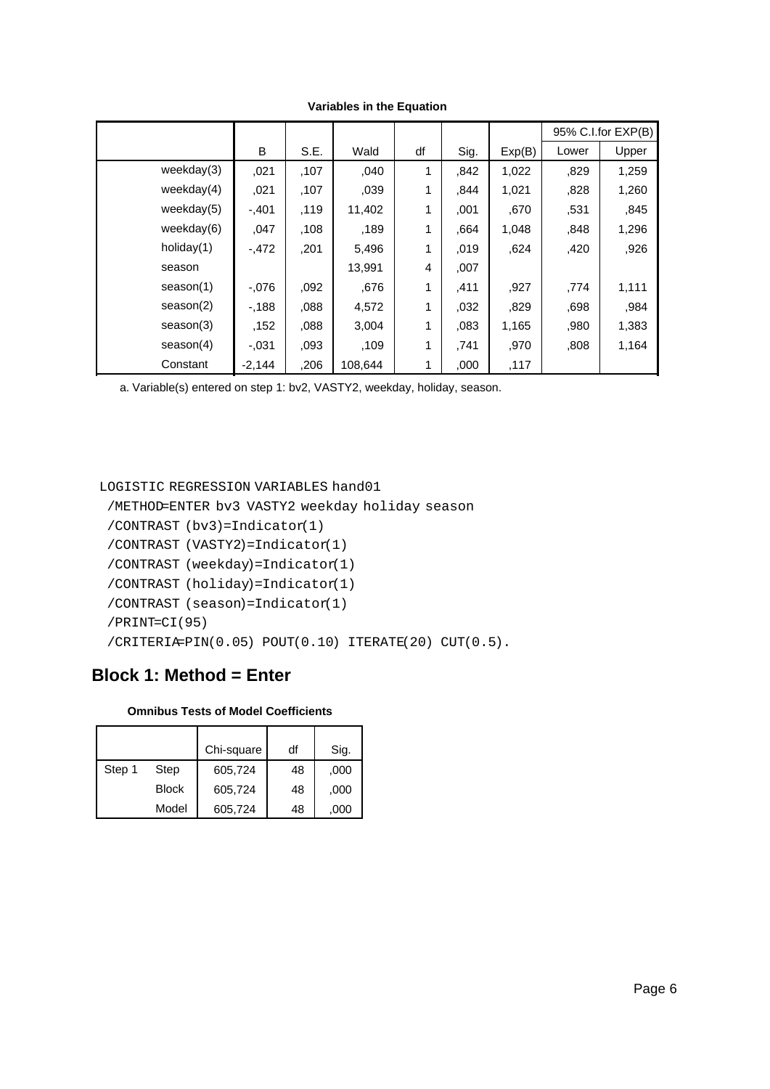|               |          |      |         |    |      |        |       | 95% C.I.for EXP(B) |
|---------------|----------|------|---------|----|------|--------|-------|--------------------|
|               | B        | S.E. | Wald    | df | Sig. | Exp(B) | Lower | Upper              |
| weekday(3)    | ,021     | ,107 | ,040    | 1  | ,842 | 1,022  | ,829  | 1,259              |
| weekday $(4)$ | ,021     | ,107 | ,039    | 1  | .844 | 1,021  | ,828  | 1,260              |
| weekday $(5)$ | $-.401$  | .119 | 11,402  | 1  | ,001 | .670   | ,531  | ,845               |
| weekday $(6)$ | ,047     | .108 | .189    | 1  | .664 | 1,048  | ,848  | 1,296              |
| holiday $(1)$ | $-.472$  | ,201 | 5,496   | 1  | ,019 | ,624   | ,420  | ,926               |
| season        |          |      | 13,991  | 4  | ,007 |        |       |                    |
| season(1)     | $-.076$  | ,092 | .676    | 1  | ,411 | ,927   | ,774  | 1,111              |
| season(2)     | $-188$   | .088 | 4,572   | 1  | ,032 | ,829   | ,698  | ,984               |
| season(3)     | ,152     | ,088 | 3,004   | 1  | .083 | 1,165  | ,980  | 1,383              |
| season(4)     | $-.031$  | ,093 | .109    | 1  | .741 | .970   | ,808  | 1,164              |
| Constant      | $-2,144$ | ,206 | 108,644 | 1  | ,000 | ,117   |       |                    |

**Variables in the Equation**

a. Variable(s) entered on step 1: bv2, VASTY2, weekday, holiday, season.

### LOGISTIC REGRESSION VARIABLES hand01

/METHOD=ENTER bv3 VASTY2 weekday holiday season

```
 /CONTRAST (bv3)=Indicator(1)
```

```
 /CONTRAST (VASTY2)=Indicator(1)
```

```
 /CONTRAST (weekday)=Indicator(1)
```

```
 /CONTRAST (holiday)=Indicator(1)
```

```
 /CONTRAST (season)=Indicator(1)
```

```
 /PRINT=CI(95)
```
/CRITERIA=PIN(0.05) POUT(0.10) ITERATE(20) CUT(0.5).

## **Block 1: Method = Enter**

### **Omnibus Tests of Model Coefficients**

|        |              | Chi-square | df | Sig. |
|--------|--------------|------------|----|------|
| Step 1 | Step         | 605,724    | 48 | ,000 |
|        | <b>Block</b> | 605,724    | 48 | ,000 |
|        | Model        | 605,724    | 48 | .000 |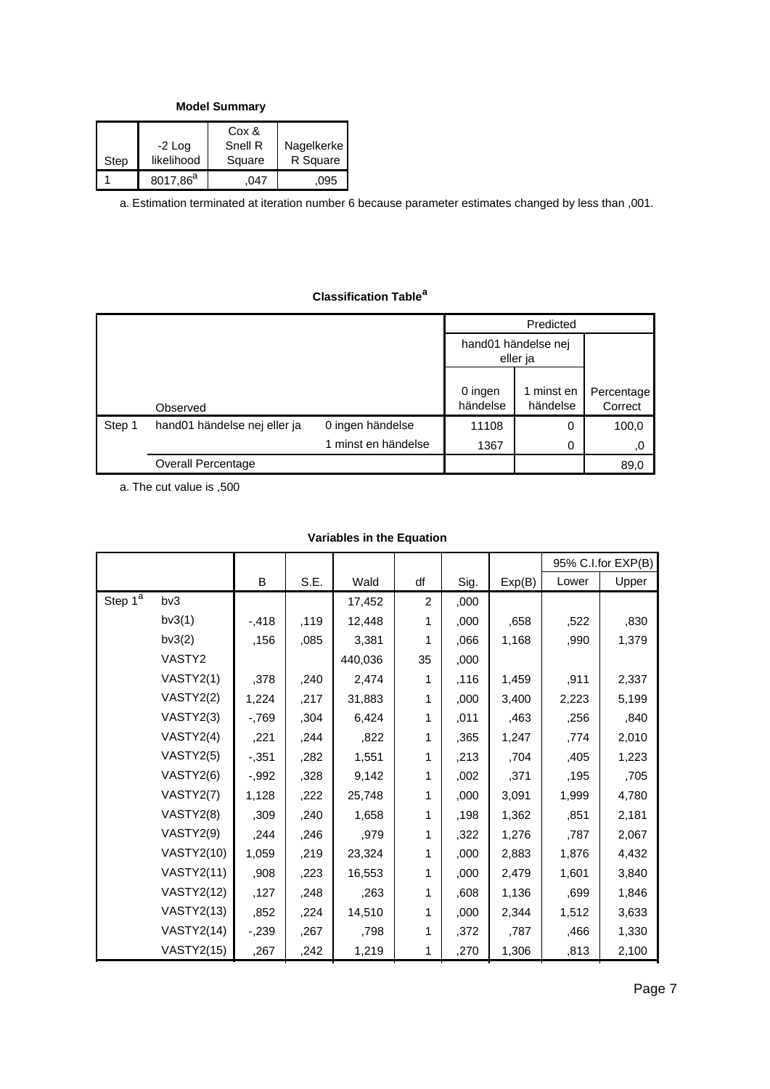**Model Summary**

| Step | $-2$ Log<br>likelihood | Cox &<br>Snell R<br>Square | Nagelkerke<br>R Square |
|------|------------------------|----------------------------|------------------------|
|      | $8017,86^{a}$          | 047                        | .095                   |

a. Estimation terminated at iteration number 6 because parameter estimates changed by less than ,001.

## **Classification Table<sup>a</sup>**

|        |                              |                     | Predicted                       |                      |                       |  |
|--------|------------------------------|---------------------|---------------------------------|----------------------|-----------------------|--|
|        |                              |                     | hand01 händelse nej<br>eller ja |                      |                       |  |
|        | Observed                     |                     | 0 ingen<br>händelse             | minst en<br>händelse | Percentage<br>Correct |  |
| Step 1 | hand01 händelse nej eller ja | 0 ingen händelse    | 11108                           | 0                    | 100,0                 |  |
|        |                              | 1 minst en händelse | 1367                            | 0                    | ,0                    |  |
|        | Overall Percentage           |                     |                                 |                      | 89,0                  |  |

a. The cut value is ,500

|                       |                   |          |      |         |    |      |        |       | 95% C.I.for EXP(B) |
|-----------------------|-------------------|----------|------|---------|----|------|--------|-------|--------------------|
|                       |                   | B        | S.E. | Wald    | df | Sig. | Exp(B) | Lower | Upper              |
| Step $\overline{1^a}$ | bv3               |          |      | 17,452  | 2  | ,000 |        |       |                    |
|                       | bv3(1)            | $-0.418$ | ,119 | 12,448  | 1  | ,000 | ,658   | ,522  | ,830               |
|                       | bv3(2)            | ,156     | ,085 | 3,381   | 1  | .066 | 1,168  | ,990  | 1,379              |
|                       | VASTY2            |          |      | 440,036 | 35 | ,000 |        |       |                    |
|                       | VASTY2(1)         | ,378     | ,240 | 2,474   | 1  | ,116 | 1,459  | ,911  | 2,337              |
|                       | VASTY2(2)         | 1,224    | ,217 | 31,883  | 1  | ,000 | 3,400  | 2,223 | 5,199              |
|                       | VASTY2(3)         | $-769$   | ,304 | 6,424   | 1  | ,011 | ,463   | .256  | .840               |
|                       | VASTY2(4)         | ,221     | ,244 | ,822    | 1  | ,365 | 1,247  | ,774  | 2,010              |
|                       | VASTY2(5)         | $-0.351$ | ,282 | 1,551   | 1  | ,213 | ,704   | ,405  | 1,223              |
|                       | VASTY2(6)         | $-0.992$ | ,328 | 9,142   | 1  | ,002 | ,371   | ,195  | ,705               |
|                       | VASTY2(7)         | 1,128    | ,222 | 25,748  | 1  | ,000 | 3,091  | 1,999 | 4,780              |
|                       | VASTY2(8)         | ,309     | ,240 | 1,658   | 1  | ,198 | 1,362  | ,851  | 2,181              |
|                       | VASTY2(9)         | ,244     | ,246 | ,979    | 1  | ,322 | 1,276  | ,787  | 2,067              |
|                       | <b>VASTY2(10)</b> | 1,059    | ,219 | 23,324  | 1  | ,000 | 2,883  | 1,876 | 4,432              |
|                       | <b>VASTY2(11)</b> | ,908     | ,223 | 16,553  | 1  | ,000 | 2,479  | 1,601 | 3,840              |
|                       | <b>VASTY2(12)</b> | ,127     | ,248 | ,263    | 1  | ,608 | 1,136  | ,699  | 1,846              |
|                       | <b>VASTY2(13)</b> | ,852     | ,224 | 14,510  | 1  | ,000 | 2,344  | 1,512 | 3,633              |
|                       | <b>VASTY2(14)</b> | $-239$   | ,267 | ,798    | 1  | ,372 | ,787   | ,466  | 1,330              |
|                       | <b>VASTY2(15)</b> | ,267     | ,242 | 1,219   | 1  | ,270 | 1,306  | ,813  | 2,100              |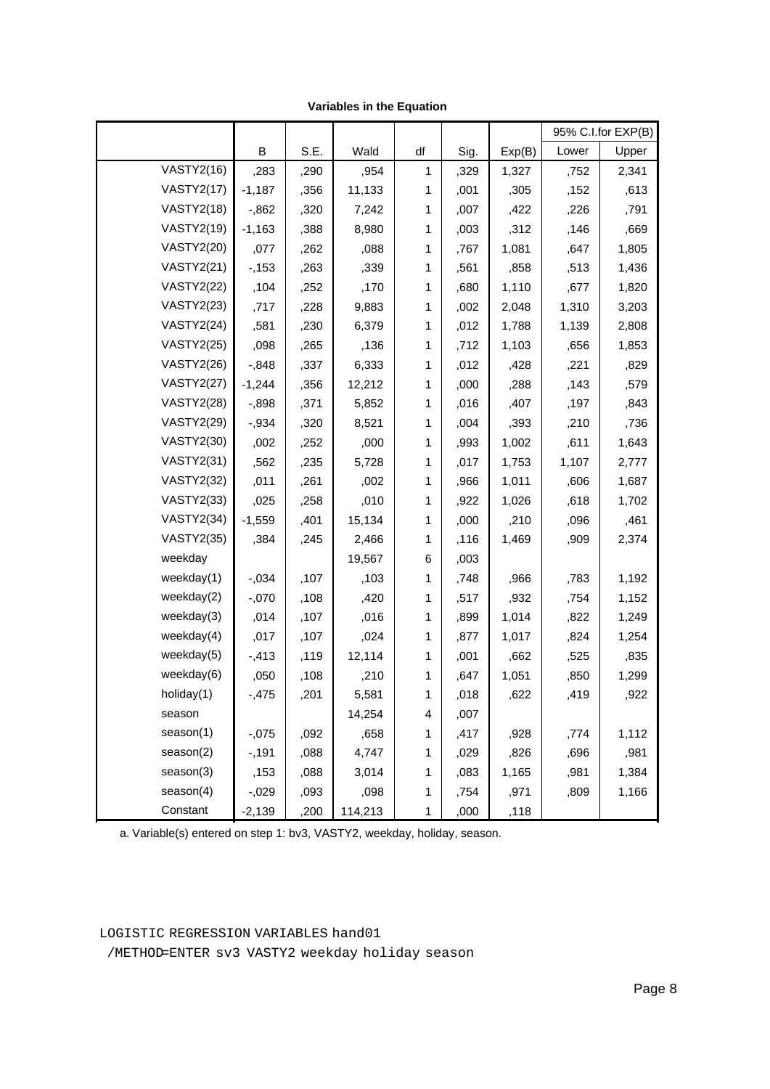|                   |          |      |         |              |      |        |       | 95% C.I.for EXP(B) |
|-------------------|----------|------|---------|--------------|------|--------|-------|--------------------|
|                   | В        | S.E. | Wald    | df           | Sig. | Exp(B) | Lower | Upper              |
| <b>VASTY2(16)</b> | ,283     | ,290 | ,954    | 1            | ,329 | 1,327  | ,752  | 2,341              |
| <b>VASTY2(17)</b> | $-1,187$ | ,356 | 11,133  | 1            | ,001 | ,305   | ,152  | ,613               |
| <b>VASTY2(18)</b> | $-0.862$ | ,320 | 7,242   | 1            | ,007 | ,422   | ,226  | ,791               |
| <b>VASTY2(19)</b> | $-1,163$ | ,388 | 8,980   | 1            | ,003 | ,312   | ,146  | ,669               |
| <b>VASTY2(20)</b> | ,077     | ,262 | ,088    | 1            | ,767 | 1,081  | ,647  | 1,805              |
| <b>VASTY2(21)</b> | $-153$   | ,263 | ,339    | 1            | ,561 | ,858   | ,513  | 1,436              |
| <b>VASTY2(22)</b> | ,104     | ,252 | ,170    | 1            | ,680 | 1,110  | ,677  | 1,820              |
| <b>VASTY2(23)</b> | ,717     | ,228 | 9,883   | 1            | ,002 | 2,048  | 1,310 | 3,203              |
| <b>VASTY2(24)</b> | ,581     | ,230 | 6,379   | 1            | ,012 | 1,788  | 1,139 | 2,808              |
| <b>VASTY2(25)</b> | ,098     | ,265 | ,136    | 1            | ,712 | 1,103  | ,656  | 1,853              |
| <b>VASTY2(26)</b> | $-0.848$ | ,337 | 6,333   | 1            | ,012 | ,428   | ,221  | ,829               |
| <b>VASTY2(27)</b> | $-1,244$ | ,356 | 12,212  | 1            | ,000 | ,288   | ,143  | ,579               |
| <b>VASTY2(28)</b> | $-0.898$ | ,371 | 5,852   | 1            | ,016 | ,407   | ,197  | ,843               |
| <b>VASTY2(29)</b> | $-0.934$ | ,320 | 8,521   | 1            | ,004 | ,393   | ,210  | ,736               |
| <b>VASTY2(30)</b> | ,002     | ,252 | ,000    | 1            | ,993 | 1,002  | ,611  | 1,643              |
| <b>VASTY2(31)</b> | ,562     | ,235 | 5,728   | 1            | ,017 | 1,753  | 1,107 | 2,777              |
| <b>VASTY2(32)</b> | ,011     | ,261 | ,002    | 1            | ,966 | 1,011  | ,606  | 1,687              |
| <b>VASTY2(33)</b> | ,025     | ,258 | ,010    | 1            | ,922 | 1,026  | ,618  | 1,702              |
| <b>VASTY2(34)</b> | $-1,559$ | ,401 | 15,134  | 1            | ,000 | ,210   | ,096  | ,461               |
| <b>VASTY2(35)</b> | ,384     | ,245 | 2,466   | 1            | ,116 | 1,469  | ,909  | 2,374              |
| weekday           |          |      | 19,567  | 6            | ,003 |        |       |                    |
| weekday(1)        | $-0.034$ | ,107 | ,103    | 1            | ,748 | ,966   | ,783  | 1,192              |
| weekday $(2)$     | $-0.070$ | ,108 | ,420    | 1            | ,517 | ,932   | ,754  | 1,152              |
| weekday(3)        | ,014     | ,107 | ,016    | 1            | ,899 | 1,014  | ,822  | 1,249              |
| weekday $(4)$     | ,017     | ,107 | ,024    | 1            | ,877 | 1,017  | ,824  | 1,254              |
| weekday(5)        | $-0.413$ | ,119 | 12,114  | 1            | ,001 | ,662   | ,525  | ,835               |
| weekday(6)        | ,050     | ,108 | ,210    | 1            | ,647 | 1,051  | ,850  | 1,299              |
| holiday(1)        | $-0.475$ | ,201 | 5,581   | 1            | ,018 | ,622   | ,419  | ,922               |
| season            |          |      | 14,254  | 4            | ,007 |        |       |                    |
| season(1)         | $-0.075$ | ,092 | ,658    | 1            | ,417 | ,928   | ,774  | 1,112              |
| season(2)         | $-191$   | ,088 | 4,747   | 1            | ,029 | ,826   | ,696  | ,981               |
| season(3)         | ,153     | ,088 | 3,014   | 1            | ,083 | 1,165  | ,981  | 1,384              |
| season(4)         | $-0.029$ | ,093 | ,098    | 1            | ,754 | ,971   | ,809  | 1,166              |
| Constant          | $-2,139$ | ,200 | 114,213 | $\mathbf{1}$ | ,000 | ,118   |       |                    |

**Variables in the Equation**

a. Variable(s) entered on step 1: bv3, VASTY2, weekday, holiday, season.

LOGISTIC REGRESSION VARIABLES hand01 /METHOD=ENTER sv3 VASTY2 weekday holiday season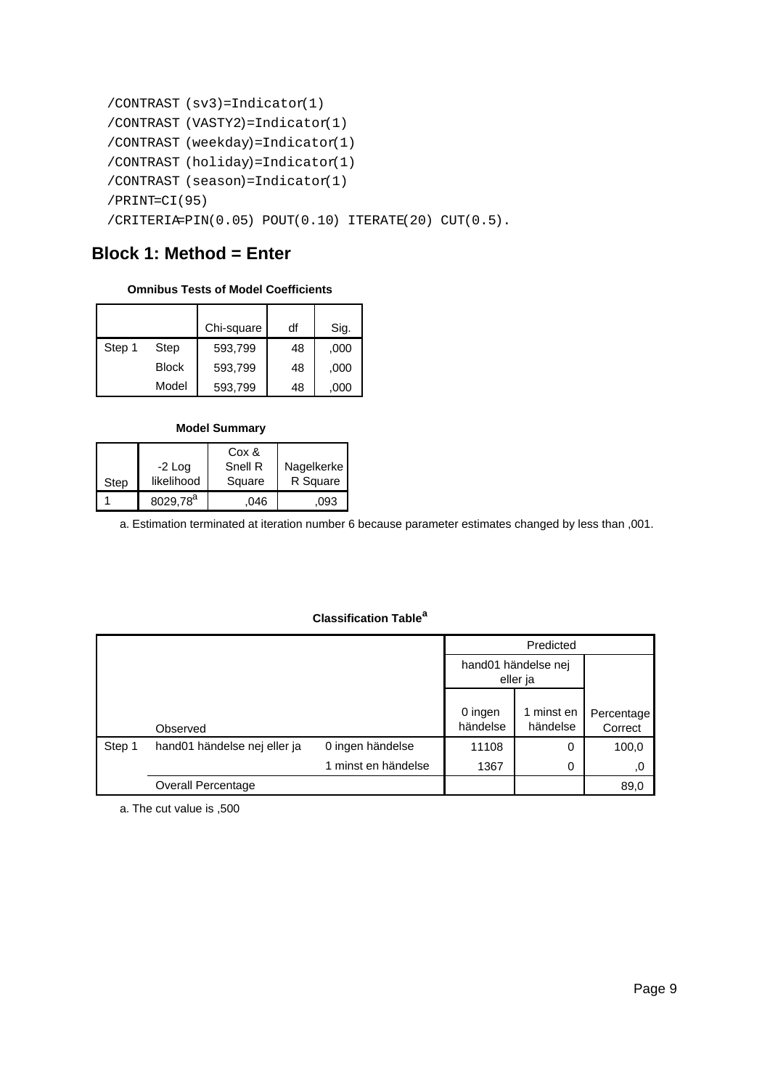```
 /CONTRAST (sv3)=Indicator(1)
/CONTRAST (VASTY2)=Indicator(1)
/CONTRAST (weekday)=Indicator(1)
/CONTRAST (holiday)=Indicator(1)
/CONTRAST (season)=Indicator(1)
/PRINT=CI(95)
/CRITERIA=PIN(0.05) POUT(0.10) ITERATE(20) CUT(0.5).
```
## **Block 1: Method = Enter**

#### **Omnibus Tests of Model Coefficients**

|        |              | Chi-square | df | Sig. |
|--------|--------------|------------|----|------|
| Step 1 | Step         | 593.799    | 48 | ,000 |
|        | <b>Block</b> | 593.799    | 48 | ,000 |
|        | Model        | 593,799    | 48 | .000 |

#### **Model Summary**

|      | $-2$ Log             | Cox &<br>Snell R |                        |
|------|----------------------|------------------|------------------------|
| Step | likelihood           | Square           | Nagelkerke<br>R Square |
|      | 8029,78 <sup>a</sup> | .046             | .093                   |

a. Estimation terminated at iteration number 6 because parameter estimates changed by less than ,001.

#### **Classification Table<sup>a</sup>**

|        |                              |                     | Predicted                       |                      |                       |  |
|--------|------------------------------|---------------------|---------------------------------|----------------------|-----------------------|--|
|        |                              |                     | hand01 händelse nej<br>eller ja |                      |                       |  |
|        | Observed                     |                     | 0 ingen<br>händelse             | minst en<br>händelse | Percentage<br>Correct |  |
| Step 1 | hand01 händelse nej eller ja | 0 ingen händelse    | 11108                           | 0                    | 100,0                 |  |
|        |                              | 1 minst en händelse | 1367                            | 0                    | ,0                    |  |
|        | <b>Overall Percentage</b>    |                     |                                 |                      | 89,0                  |  |

a. The cut value is ,500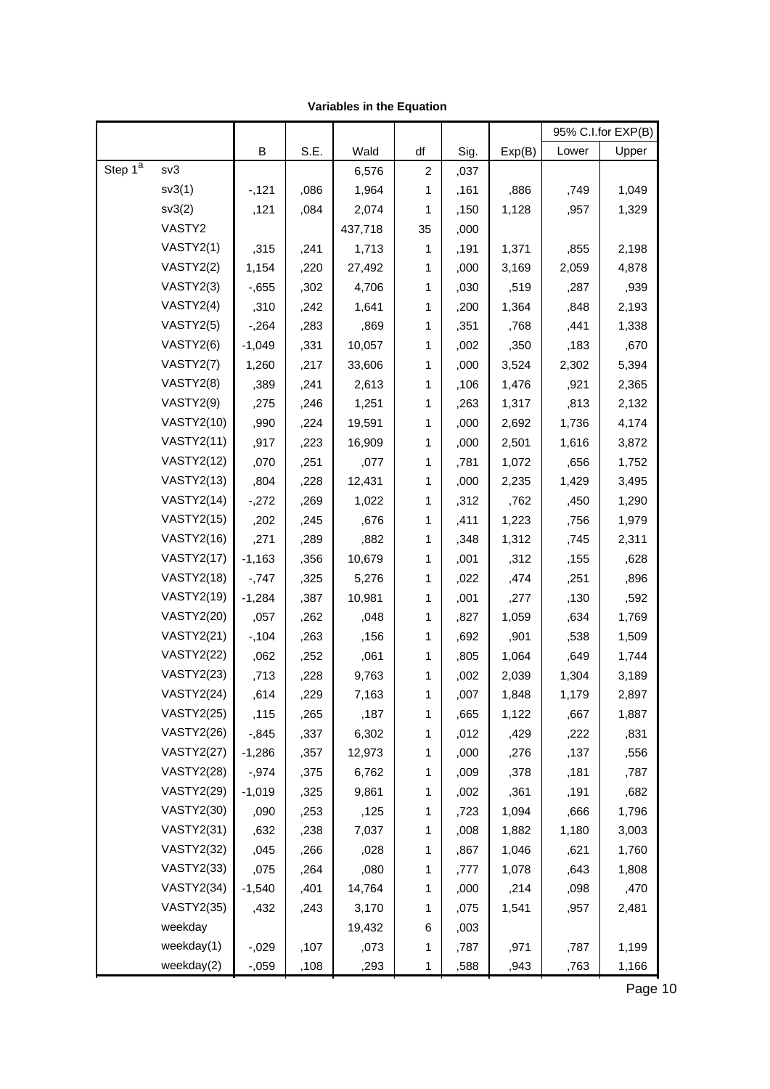|                     |                   |          |      |         |              |      |        |       | 95% C.I.for EXP(B) |
|---------------------|-------------------|----------|------|---------|--------------|------|--------|-------|--------------------|
|                     |                   | B        | S.E. | Wald    | df           | Sig. | Exp(B) | Lower | Upper              |
| Step 1 <sup>a</sup> | sv3               |          |      | 6,576   | 2            | ,037 |        |       |                    |
|                     | sv3(1)            | $-121$   | ,086 | 1,964   | 1            | ,161 | ,886   | ,749  | 1,049              |
|                     | sv3(2)            | ,121     | ,084 | 2,074   | 1            | ,150 | 1,128  | ,957  | 1,329              |
|                     | VASTY2            |          |      | 437,718 | 35           | ,000 |        |       |                    |
|                     | VASTY2(1)         | ,315     | ,241 | 1,713   | 1            | ,191 | 1,371  | ,855  | 2,198              |
|                     | VASTY2(2)         | 1,154    | ,220 | 27,492  | 1            | ,000 | 3,169  | 2,059 | 4,878              |
|                     | VASTY2(3)         | $-0.655$ | ,302 | 4,706   | 1            | ,030 | ,519   | ,287  | ,939               |
|                     | VASTY2(4)         | ,310     | ,242 | 1,641   | 1            | ,200 | 1,364  | ,848  | 2,193              |
|                     | VASTY2(5)         | $-264$   | ,283 | ,869    | 1            | ,351 | ,768   | ,441  | 1,338              |
|                     | VASTY2(6)         | $-1,049$ | ,331 | 10,057  | 1            | ,002 | ,350   | ,183  | ,670               |
|                     | VASTY2(7)         | 1,260    | ,217 | 33,606  | 1            | ,000 | 3,524  | 2,302 | 5,394              |
|                     | VASTY2(8)         | ,389     | ,241 | 2,613   | 1            | ,106 | 1,476  | ,921  | 2,365              |
|                     | VASTY2(9)         | ,275     | ,246 | 1,251   | 1            | ,263 | 1,317  | ,813  | 2,132              |
|                     | <b>VASTY2(10)</b> | ,990     | ,224 | 19,591  | 1            | ,000 | 2,692  | 1,736 | 4,174              |
|                     | <b>VASTY2(11)</b> | ,917     | ,223 | 16,909  | 1            | ,000 | 2,501  | 1,616 | 3,872              |
|                     | <b>VASTY2(12)</b> | ,070     | ,251 | ,077    | 1            | ,781 | 1,072  | ,656  | 1,752              |
|                     | <b>VASTY2(13)</b> | ,804     | ,228 | 12,431  | 1            | ,000 | 2,235  | 1,429 | 3,495              |
|                     | <b>VASTY2(14)</b> | $-272$   | ,269 | 1,022   | 1            | ,312 | ,762   | ,450  | 1,290              |
|                     | <b>VASTY2(15)</b> | ,202     | ,245 | ,676    | 1            | ,411 | 1,223  | ,756  | 1,979              |
|                     | <b>VASTY2(16)</b> | ,271     | ,289 | ,882    | 1            | ,348 | 1,312  | ,745  | 2,311              |
|                     | <b>VASTY2(17)</b> | $-1,163$ | ,356 | 10,679  | 1            | ,001 | ,312   | ,155  | ,628               |
|                     | <b>VASTY2(18)</b> | $-747$   | ,325 | 5,276   | 1            | ,022 | ,474   | ,251  | ,896               |
|                     | <b>VASTY2(19)</b> | $-1,284$ | ,387 | 10,981  | 1            | ,001 | ,277   | ,130  | ,592               |
|                     | <b>VASTY2(20)</b> | ,057     | ,262 | ,048    | 1            | ,827 | 1,059  | ,634  | 1,769              |
|                     | <b>VASTY2(21)</b> | $-104$   | ,263 | ,156    | 1            | ,692 | ,901   | ,538  | 1,509              |
|                     | <b>VASTY2(22)</b> | ,062     | ,252 | ,061    | 1            | ,805 | 1,064  | ,649  | 1,744              |
|                     | <b>VASTY2(23)</b> | ,713     | ,228 | 9,763   | 1            | ,002 | 2,039  | 1,304 | 3,189              |
|                     | <b>VASTY2(24)</b> | ,614     | 229  | 7,163   | 1            | ,007 | 1,848  | 1,179 | 2,897              |
|                     | <b>VASTY2(25)</b> | ,115     | ,265 | ,187    | 1            | ,665 | 1,122  | ,667  | 1,887              |
|                     | <b>VASTY2(26)</b> | $-0.845$ | ,337 | 6,302   | 1            | ,012 | ,429   | ,222  | ,831               |
|                     | <b>VASTY2(27)</b> | $-1,286$ | ,357 | 12,973  | 1            | ,000 | ,276   | ,137  | ,556               |
|                     | <b>VASTY2(28)</b> | $-0.974$ | ,375 | 6,762   | 1            | ,009 | ,378   | ,181  | ,787               |
|                     | <b>VASTY2(29)</b> | $-1,019$ | ,325 | 9,861   | 1            | ,002 | ,361   | ,191  | ,682               |
|                     | <b>VASTY2(30)</b> | ,090     | ,253 | ,125    | 1            | ,723 | 1,094  | ,666  | 1,796              |
|                     | <b>VASTY2(31)</b> | ,632     | ,238 | 7,037   | 1            | ,008 | 1,882  | 1,180 | 3,003              |
|                     | <b>VASTY2(32)</b> | ,045     | ,266 | ,028    | 1            | ,867 | 1,046  | ,621  | 1,760              |
|                     | <b>VASTY2(33)</b> | ,075     | ,264 | ,080    | 1            | ,777 | 1,078  | ,643  | 1,808              |
|                     | <b>VASTY2(34)</b> | $-1,540$ | ,401 | 14,764  | 1            | ,000 | ,214   | ,098  | ,470               |
|                     | <b>VASTY2(35)</b> | ,432     | ,243 | 3,170   | 1            | ,075 | 1,541  | ,957  | 2,481              |
|                     | weekday           |          |      | 19,432  | 6            | ,003 |        |       |                    |
|                     | weekday(1)        | $-0.029$ | ,107 | ,073    | 1            | ,787 | ,971   | ,787  | 1,199              |
|                     | weekday(2)        | $-0.059$ | ,108 | ,293    | $\mathbf{1}$ | ,588 | ,943   | ,763  | 1,166              |

#### **Variables in the Equation**

 $\overline{P}$  Page 10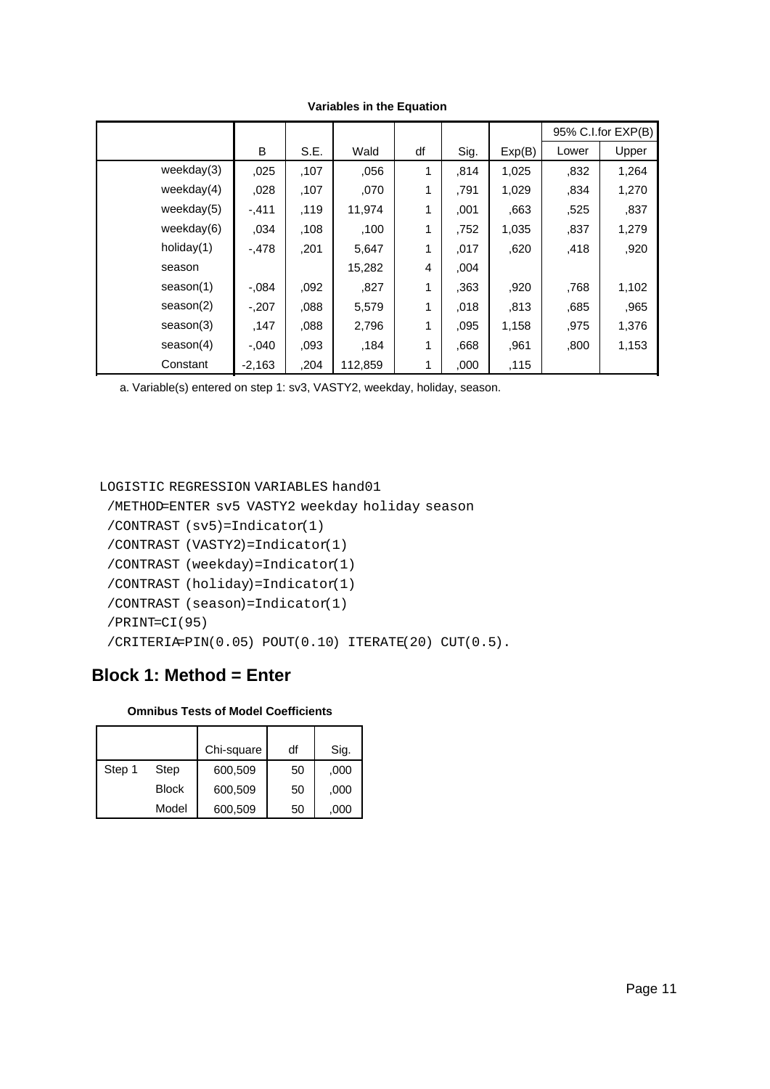|               |          |      |         |    |      |        |       | 95% C.I.for EXP(B) |
|---------------|----------|------|---------|----|------|--------|-------|--------------------|
|               | B        | S.E. | Wald    | df | Sig. | Exp(B) | Lower | Upper              |
| weekday(3)    | ,025     | ,107 | ,056    | 1  | ,814 | 1,025  | ,832  | 1,264              |
| weekday $(4)$ | ,028     | ,107 | ,070    | 1  | .791 | 1,029  | ,834  | 1,270              |
| weekday $(5)$ | $-.411$  | ,119 | 11,974  | 1  | ,001 | ,663   | ,525  | ,837               |
| weekday $(6)$ | .034     | .108 | .100    | 1  | .752 | 1,035  | ,837  | 1,279              |
| holiday $(1)$ | $-.478$  | ,201 | 5,647   | 1  | .017 | ,620   | ,418  | ,920               |
| season        |          |      | 15,282  | 4  | ,004 |        |       |                    |
| season(1)     | $-.084$  | ,092 | .827    | 1  | .363 | ,920   | ,768  | 1,102              |
| season(2)     | $-.207$  | ,088 | 5,579   | 1  | .018 | ,813   | ,685  | ,965               |
| season(3)     | .147     | ,088 | 2,796   | 1  | .095 | 1,158  | ,975  | 1,376              |
| season(4)     | $-.040$  | ,093 | .184    | 1  | .668 | .961   | ,800  | 1,153              |
| Constant      | $-2,163$ | ,204 | 112,859 | 1  | ,000 | ,115   |       |                    |

**Variables in the Equation**

a. Variable(s) entered on step 1: sv3, VASTY2, weekday, holiday, season.

#### LOGISTIC REGRESSION VARIABLES hand01

/METHOD=ENTER sv5 VASTY2 weekday holiday season

```
 /CONTRAST (sv5)=Indicator(1)
```

```
 /CONTRAST (VASTY2)=Indicator(1)
```

```
 /CONTRAST (weekday)=Indicator(1)
```

```
 /CONTRAST (holiday)=Indicator(1)
```

```
 /CONTRAST (season)=Indicator(1)
```

```
 /PRINT=CI(95)
```
/CRITERIA=PIN(0.05) POUT(0.10) ITERATE(20) CUT(0.5).

## **Block 1: Method = Enter**

### **Omnibus Tests of Model Coefficients**

|        |              | Chi-square | df | Sig. |
|--------|--------------|------------|----|------|
| Step 1 | Step         | 600,509    | 50 | ,000 |
|        | <b>Block</b> | 600,509    | 50 | ,000 |
|        | Model        | 600,509    | 50 | .000 |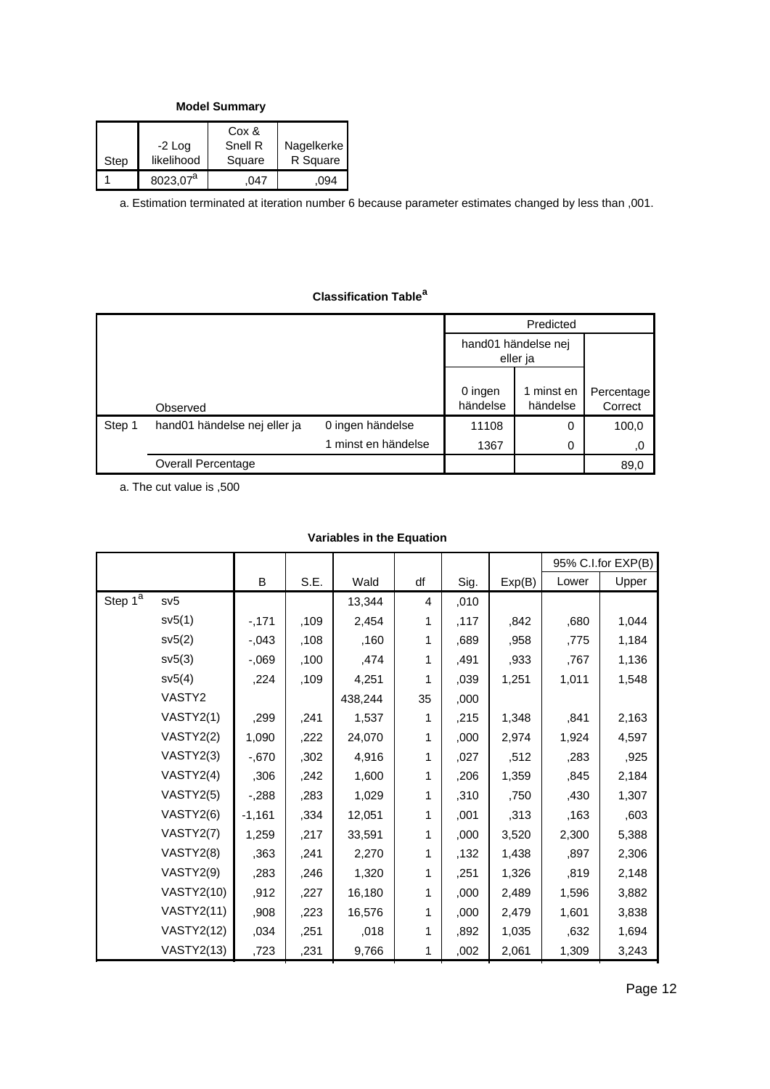**Model Summary**

| Step | $-2$ Log<br>likelihood | Cox &<br>Snell R<br>Square | Nagelkerke<br>R Square |
|------|------------------------|----------------------------|------------------------|
|      | 8023.07 <sup>a</sup>   | 047                        | .094                   |

a. Estimation terminated at iteration number 6 because parameter estimates changed by less than ,001.

### **Classification Table<sup>a</sup>**

|        |                              | Predicted           |                     |                      |                       |
|--------|------------------------------|---------------------|---------------------|----------------------|-----------------------|
|        |                              |                     |                     |                      |                       |
|        | Observed                     |                     | 0 ingen<br>händelse | minst en<br>händelse | Percentage<br>Correct |
| Step 1 | hand01 händelse nej eller ja | 0 ingen händelse    | 11108               | 0                    | 100,0                 |
|        |                              | 1 minst en händelse | 1367                | 0                    | ,0                    |
|        | Overall Percentage           |                     |                     |                      | 89,0                  |

a. The cut value is ,500

#### **Variables in the Equation**

|                       |                   |          |      |         |    |      |        |       | 95% C.I.for EXP(B) |
|-----------------------|-------------------|----------|------|---------|----|------|--------|-------|--------------------|
|                       |                   | B        | S.E. | Wald    | df | Sig. | Exp(B) | Lower | Upper              |
| Step $\overline{1^a}$ | sv5               |          |      | 13,344  | 4  | ,010 |        |       |                    |
|                       | sv5(1)            | $-171$   | ,109 | 2,454   | 1  | ,117 | ,842   | ,680  | 1,044              |
|                       | sv5(2)            | $-0.043$ | ,108 | ,160    | 1  | ,689 | ,958   | ,775  | 1,184              |
|                       | sv5(3)            | $-0.069$ | ,100 | ,474    | 1  | ,491 | ,933   | ,767  | 1,136              |
|                       | sv5(4)            | ,224     | ,109 | 4,251   | 1  | ,039 | 1,251  | 1,011 | 1,548              |
|                       | VASTY2            |          |      | 438,244 | 35 | ,000 |        |       |                    |
|                       | VASTY2(1)         | ,299     | ,241 | 1,537   | 1  | ,215 | 1,348  | ,841  | 2,163              |
|                       | VASTY2(2)         | 1,090    | ,222 | 24,070  | 1  | ,000 | 2,974  | 1,924 | 4,597              |
|                       | VASTY2(3)         | $-0.670$ | ,302 | 4,916   | 1  | ,027 | ,512   | ,283  | ,925               |
|                       | VASTY2(4)         | ,306     | ,242 | 1,600   | 1  | ,206 | 1,359  | ,845  | 2,184              |
|                       | VASTY2(5)         | $-288$   | ,283 | 1,029   | 1  | ,310 | ,750   | ,430  | 1,307              |
|                       | VASTY2(6)         | $-1,161$ | ,334 | 12,051  | 1  | ,001 | ,313   | ,163  | ,603               |
|                       | VASTY2(7)         | 1,259    | ,217 | 33,591  | 1  | ,000 | 3,520  | 2,300 | 5,388              |
|                       | VASTY2(8)         | ,363     | ,241 | 2,270   | 1  | ,132 | 1,438  | ,897  | 2,306              |
|                       | VASTY2(9)         | ,283     | ,246 | 1,320   | 1  | ,251 | 1,326  | ,819  | 2,148              |
|                       | <b>VASTY2(10)</b> | ,912     | ,227 | 16,180  | 1  | ,000 | 2,489  | 1,596 | 3,882              |
|                       | <b>VASTY2(11)</b> | ,908     | ,223 | 16,576  | 1  | ,000 | 2,479  | 1,601 | 3,838              |
|                       | <b>VASTY2(12)</b> | ,034     | ,251 | ,018    | 1  | ,892 | 1,035  | ,632  | 1,694              |
|                       | <b>VASTY2(13)</b> | ,723     | ,231 | 9,766   | 1  | ,002 | 2,061  | 1,309 | 3,243              |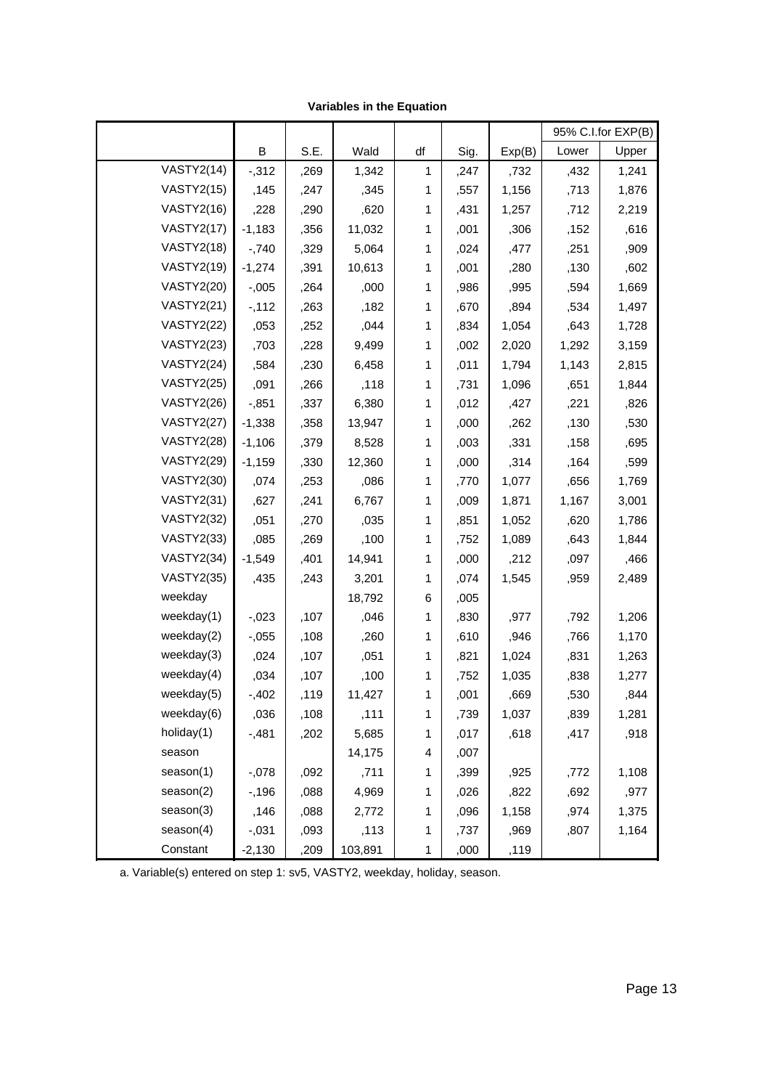|                   |          |      |         |              |      |        |       | 95% C.I.for EXP(B) |
|-------------------|----------|------|---------|--------------|------|--------|-------|--------------------|
|                   | В        | S.E. | Wald    | df           | Sig. | Exp(B) | Lower | Upper              |
| <b>VASTY2(14)</b> | $-0.312$ | ,269 | 1,342   | 1            | ,247 | ,732   | ,432  | 1,241              |
| <b>VASTY2(15)</b> | ,145     | ,247 | ,345    | 1            | ,557 | 1,156  | ,713  | 1,876              |
| <b>VASTY2(16)</b> | ,228     | ,290 | ,620    | 1            | ,431 | 1,257  | ,712  | 2,219              |
| <b>VASTY2(17)</b> | $-1,183$ | ,356 | 11,032  | 1            | ,001 | ,306   | ,152  | ,616               |
| <b>VASTY2(18)</b> | $-740$   | ,329 | 5,064   | 1            | ,024 | ,477   | ,251  | ,909               |
| <b>VASTY2(19)</b> | $-1,274$ | ,391 | 10,613  | 1            | ,001 | ,280   | ,130  | ,602               |
| <b>VASTY2(20)</b> | $-0.005$ | ,264 | ,000    | 1            | ,986 | ,995   | ,594  | 1,669              |
| <b>VASTY2(21)</b> | $-112$   | ,263 | ,182    | 1            | ,670 | ,894   | ,534  | 1,497              |
| <b>VASTY2(22)</b> | ,053     | ,252 | ,044    | 1            | ,834 | 1,054  | ,643  | 1,728              |
| <b>VASTY2(23)</b> | ,703     | ,228 | 9,499   | 1            | ,002 | 2,020  | 1,292 | 3,159              |
| <b>VASTY2(24)</b> | ,584     | ,230 | 6,458   | 1            | ,011 | 1,794  | 1,143 | 2,815              |
| <b>VASTY2(25)</b> | ,091     | ,266 | ,118    | 1            | ,731 | 1,096  | ,651  | 1,844              |
| <b>VASTY2(26)</b> | $-0.851$ | ,337 | 6,380   | 1            | ,012 | ,427   | ,221  | ,826               |
| <b>VASTY2(27)</b> | $-1,338$ | ,358 | 13,947  | 1            | ,000 | ,262   | ,130  | ,530               |
| <b>VASTY2(28)</b> | $-1,106$ | ,379 | 8,528   | 1            | ,003 | ,331   | ,158  | ,695               |
| <b>VASTY2(29)</b> | $-1,159$ | ,330 | 12,360  | 1            | ,000 | ,314   | ,164  | ,599               |
| <b>VASTY2(30)</b> | ,074     | ,253 | ,086    | 1            | ,770 | 1,077  | ,656  | 1,769              |
| <b>VASTY2(31)</b> | ,627     | ,241 | 6,767   | 1            | ,009 | 1,871  | 1,167 | 3,001              |
| <b>VASTY2(32)</b> | ,051     | ,270 | ,035    | 1            | ,851 | 1,052  | ,620  | 1,786              |
| <b>VASTY2(33)</b> | ,085     | ,269 | ,100    | 1            | ,752 | 1,089  | ,643  | 1,844              |
| <b>VASTY2(34)</b> | $-1,549$ | ,401 | 14,941  | $\mathbf{1}$ | ,000 | ,212   | ,097  | ,466               |
| <b>VASTY2(35)</b> | ,435     | ,243 | 3,201   | 1            | ,074 | 1,545  | ,959  | 2,489              |
| weekday           |          |      | 18,792  | 6            | ,005 |        |       |                    |
| weekday(1)        | $-0.023$ | ,107 | ,046    | 1            | ,830 | ,977   | ,792  | 1,206              |
| weekday $(2)$     | $-0.055$ | ,108 | ,260    | 1            | ,610 | ,946   | ,766  | 1,170              |
| weekday(3)        | ,024     | ,107 | ,051    | 1            | ,821 | 1,024  | ,831  | 1,263              |
| weekday(4)        | ,034     | ,107 | ,100    | $\mathbf{1}$ | ,752 | 1,035  | ,838  | 1,277              |
| weekday(5)        | $-402$   | ,119 | 11,427  | 1            | ,001 | ,669   | ,530  | ,844               |
| weekday(6)        | ,036     | ,108 | ,111    | 1            | ,739 | 1,037  | ,839  | 1,281              |
| holiday(1)        | $-0.481$ | ,202 | 5,685   | 1            | ,017 | ,618   | ,417  | ,918               |
| season            |          |      | 14,175  | 4            | ,007 |        |       |                    |
| season(1)         | $-0.078$ | ,092 | ,711    | 1            | ,399 | ,925   | ,772  | 1,108              |
| season(2)         | $-196$   | ,088 | 4,969   | 1            | ,026 | ,822   | ,692  | ,977               |
| season(3)         | ,146     | ,088 | 2,772   | 1            | ,096 | 1,158  | ,974  | 1,375              |
| season(4)         | $-0.031$ | ,093 | ,113    | $\mathbf{1}$ | ,737 | ,969   | ,807  | 1,164              |
| Constant          | $-2,130$ | ,209 | 103,891 | 1            | ,000 | ,119   |       |                    |

**Variables in the Equation**

a. Variable(s) entered on step 1: sv5, VASTY2, weekday, holiday, season.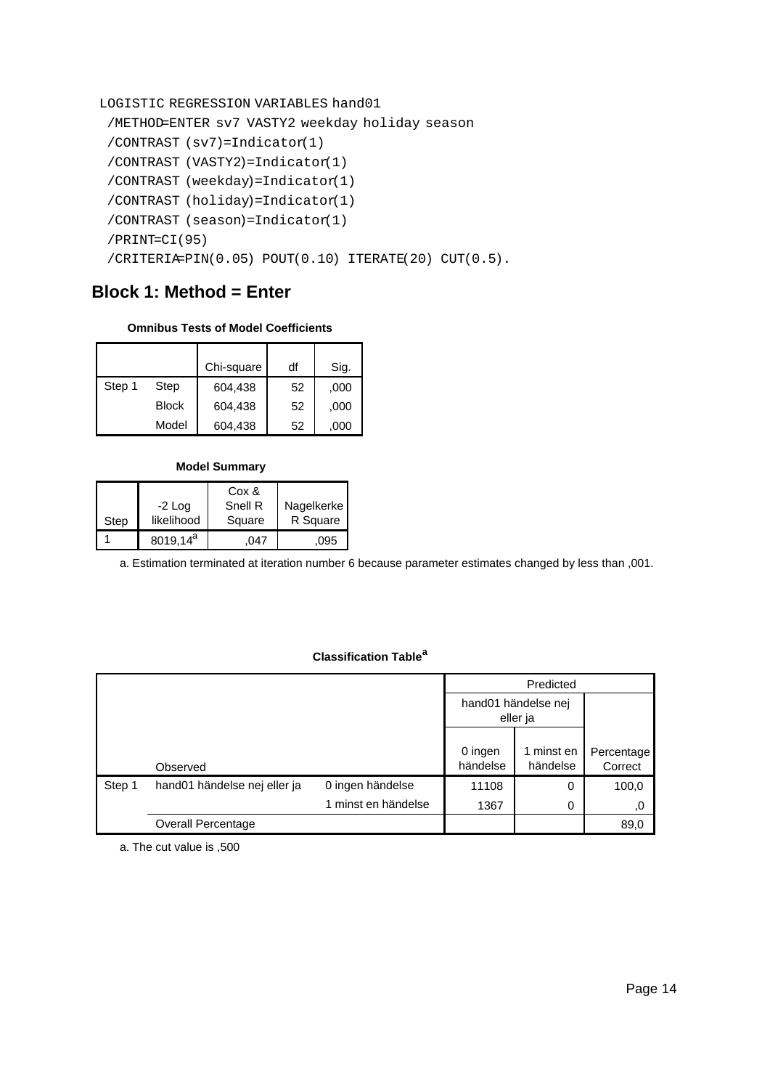```
LOGISTIC REGRESSION VARIABLES hand01
 /METHOD=ENTER sv7 VASTY2 weekday holiday season
 /CONTRAST (sv7)=Indicator(1)
 /CONTRAST (VASTY2)=Indicator(1)
 /CONTRAST (weekday)=Indicator(1)
 /CONTRAST (holiday)=Indicator(1)
 /CONTRAST (season)=Indicator(1)
 /PRINT=CI(95)
 /CRITERIA=PIN(0.05) POUT(0.10) ITERATE(20) CUT(0.5).
```
# **Block 1: Method = Enter**

#### **Omnibus Tests of Model Coefficients**

|        |       | Chi-square | df | Sig. |
|--------|-------|------------|----|------|
| Step 1 | Step  | 604,438    | 52 | ,000 |
|        | Block | 604,438    | 52 | ,000 |
|        | Model | 604,438    | 52 | .000 |

#### **Model Summary**

| Step | $-2$ Log<br>likelihood | Cox &<br>Snell R<br>Square | Nagelkerke<br>R Square |
|------|------------------------|----------------------------|------------------------|
|      | $8019,14^a$            | 047                        | .095                   |

a. Estimation terminated at iteration number 6 because parameter estimates changed by less than ,001.

### **Classification Table<sup>a</sup>**

|        |                              |                                 |                     | Predicted            |                       |
|--------|------------------------------|---------------------------------|---------------------|----------------------|-----------------------|
|        |                              | hand01 händelse nej<br>eller ja |                     |                      |                       |
|        | Observed                     |                                 | 0 ingen<br>händelse | minst en<br>händelse | Percentage<br>Correct |
| Step 1 | hand01 händelse nej eller ja | 0 ingen händelse                | 11108               | 0                    | 100,0                 |
|        |                              | 1 minst en händelse             | 1367                | 0                    | ,0                    |
|        | <b>Overall Percentage</b>    |                                 |                     |                      | 89,0                  |

a. The cut value is ,500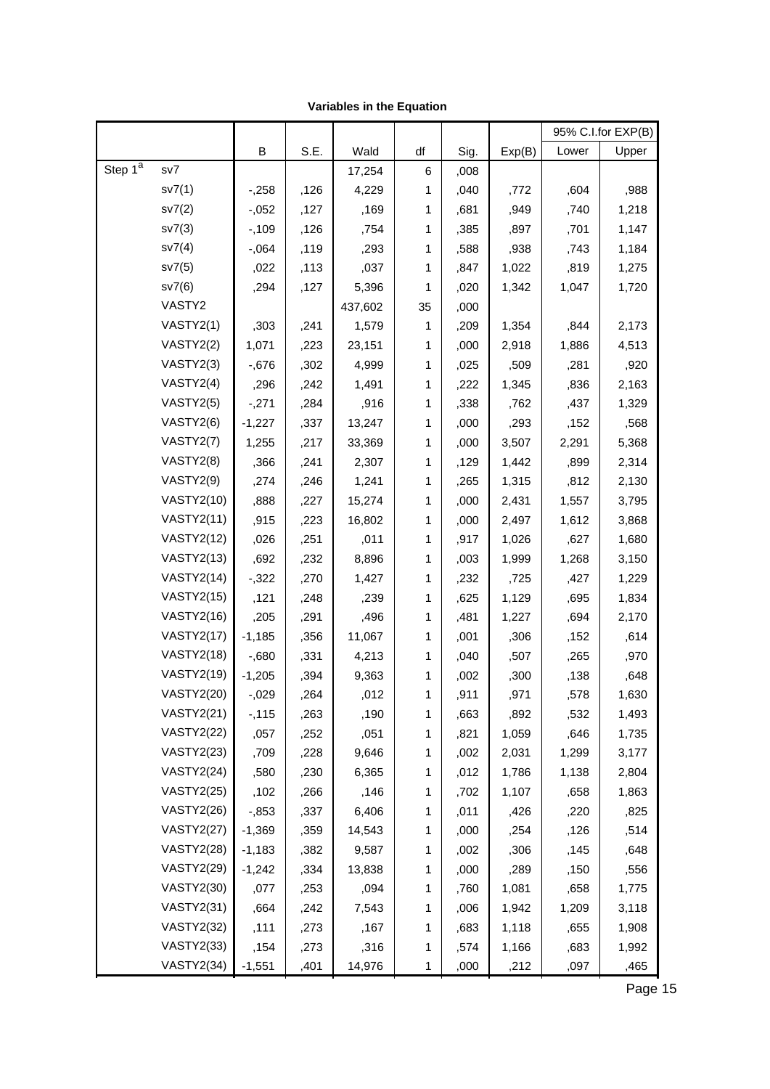|                     |                   |          |      |         |              |      |        |       | 95% C.I.for EXP(B) |
|---------------------|-------------------|----------|------|---------|--------------|------|--------|-------|--------------------|
|                     |                   | B        | S.E. | Wald    | df           | Sig. | Exp(B) | Lower | Upper              |
| Step 1 <sup>a</sup> | sv7               |          |      | 17,254  | 6            | ,008 |        |       |                    |
|                     | sv7(1)            | $-258$   | ,126 | 4,229   | 1            | ,040 | ,772   | ,604  | ,988               |
|                     | sv7(2)            | $-0.052$ | ,127 | ,169    | 1            | ,681 | ,949   | ,740  | 1,218              |
|                     | sv7(3)            | $-109$   | ,126 | ,754    | 1            | ,385 | ,897   | ,701  | 1,147              |
|                     | sv7(4)            | $-0.064$ | ,119 | ,293    | 1            | ,588 | ,938   | ,743  | 1,184              |
|                     | sv7(5)            | ,022     | ,113 | ,037    | 1            | ,847 | 1,022  | ,819  | 1,275              |
|                     | sv7(6)            | ,294     | ,127 | 5,396   | 1            | ,020 | 1,342  | 1,047 | 1,720              |
|                     | VASTY2            |          |      | 437,602 | 35           | ,000 |        |       |                    |
|                     | VASTY2(1)         | ,303     | ,241 | 1,579   | 1            | ,209 | 1,354  | ,844  | 2,173              |
|                     | VASTY2(2)         | 1,071    | ,223 | 23,151  | 1            | ,000 | 2,918  | 1,886 | 4,513              |
|                     | VASTY2(3)         | $-0.676$ | ,302 | 4,999   | 1            | ,025 | ,509   | ,281  | ,920               |
|                     | VASTY2(4)         | ,296     | ,242 | 1,491   | 1            | ,222 | 1,345  | ,836  | 2,163              |
|                     | VASTY2(5)         | $-271$   | ,284 | ,916    | 1            | ,338 | ,762   | ,437  | 1,329              |
|                     | VASTY2(6)         | $-1,227$ | ,337 | 13,247  | 1            | ,000 | ,293   | ,152  | ,568               |
|                     | VASTY2(7)         | 1,255    | ,217 | 33,369  | 1            | ,000 | 3,507  | 2,291 | 5,368              |
|                     | VASTY2(8)         | ,366     | ,241 | 2,307   | 1            | ,129 | 1,442  | ,899  | 2,314              |
|                     | VASTY2(9)         | ,274     | ,246 | 1,241   | 1            | ,265 | 1,315  | ,812  | 2,130              |
|                     | <b>VASTY2(10)</b> | ,888     | ,227 | 15,274  | 1            | ,000 | 2,431  | 1,557 | 3,795              |
|                     | <b>VASTY2(11)</b> | ,915     | ,223 | 16,802  | 1            | ,000 | 2,497  | 1,612 | 3,868              |
|                     | <b>VASTY2(12)</b> | ,026     | ,251 | ,011    | 1            | ,917 | 1,026  | ,627  | 1,680              |
|                     | <b>VASTY2(13)</b> | ,692     | ,232 | 8,896   | 1            | ,003 | 1,999  | 1,268 | 3,150              |
|                     | <b>VASTY2(14)</b> | $-322$   | ,270 | 1,427   | 1            | ,232 | ,725   | ,427  | 1,229              |
|                     | <b>VASTY2(15)</b> | ,121     | ,248 | ,239    | 1            | ,625 | 1,129  | ,695  | 1,834              |
|                     | <b>VASTY2(16)</b> | ,205     | ,291 | ,496    | 1            | ,481 | 1,227  | ,694  | 2,170              |
|                     | <b>VASTY2(17)</b> | $-1,185$ | ,356 | 11,067  | 1            | ,001 | ,306   | ,152  | ,614               |
|                     | <b>VASTY2(18)</b> | $-0.680$ | ,331 | 4,213   | 1            | ,040 | ,507   | ,265  | ,970               |
|                     | <b>VASTY2(19)</b> | $-1,205$ | ,394 | 9,363   | 1            | ,002 | ,300   | ,138  | ,648               |
|                     | <b>VASTY2(20)</b> | $-0.029$ | ,264 | ,012    | $\mathbf{1}$ | ,911 | ,971   | ,578  | 1,630              |
|                     | <b>VASTY2(21)</b> | $-115$   | ,263 | ,190    | 1            | ,663 | ,892   | ,532  | 1,493              |
|                     | <b>VASTY2(22)</b> | ,057     | ,252 | ,051    | 1            | ,821 | 1,059  | ,646  | 1,735              |
|                     | <b>VASTY2(23)</b> | ,709     | ,228 | 9,646   | 1            | ,002 | 2,031  | 1,299 | 3,177              |
|                     | <b>VASTY2(24)</b> | ,580     | ,230 | 6,365   | 1            | ,012 | 1,786  | 1,138 | 2,804              |
|                     | <b>VASTY2(25)</b> | ,102     | ,266 | ,146    | 1            | ,702 | 1,107  | ,658  | 1,863              |
|                     | <b>VASTY2(26)</b> | $-0.853$ | ,337 | 6,406   | 1            | ,011 | ,426   | ,220  | ,825               |
|                     | <b>VASTY2(27)</b> | $-1,369$ | ,359 | 14,543  | 1            | ,000 | ,254   | ,126  | ,514               |
|                     | <b>VASTY2(28)</b> | $-1,183$ | ,382 | 9,587   | 1            | ,002 | ,306   | ,145  | ,648               |
|                     | <b>VASTY2(29)</b> | $-1,242$ | ,334 | 13,838  | 1            | ,000 | ,289   | ,150  | ,556               |
|                     | <b>VASTY2(30)</b> | ,077     | ,253 | ,094    | 1            | ,760 | 1,081  | ,658  | 1,775              |
|                     | <b>VASTY2(31)</b> | ,664     | ,242 | 7,543   | 1            | ,006 | 1,942  | 1,209 | 3,118              |
|                     | <b>VASTY2(32)</b> | ,111     | ,273 | ,167    | 1            | ,683 | 1,118  | ,655  | 1,908              |
|                     | <b>VASTY2(33)</b> | ,154     | ,273 | ,316    | 1            | ,574 | 1,166  | ,683  | 1,992              |
|                     | <b>VASTY2(34)</b> | $-1,551$ | ,401 | 14,976  | $\mathbf{1}$ | ,000 | ,212   | ,097  | ,465               |

**Variables in the Equation**

 $\frac{34}{2}$  Page 15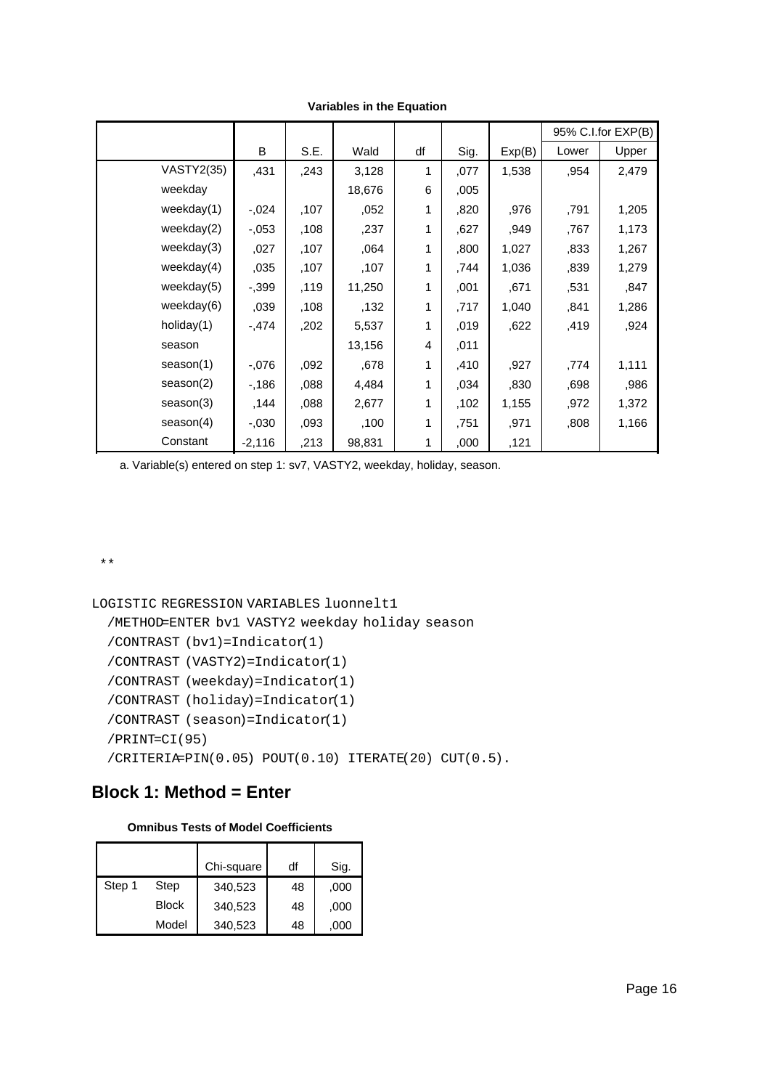|                   |          |      |        |    |      |        |       | 95% C.I.for EXP(B) |
|-------------------|----------|------|--------|----|------|--------|-------|--------------------|
|                   | В        | S.E. | Wald   | df | Sig. | Exp(B) | Lower | Upper              |
| <b>VASTY2(35)</b> | ,431     | ,243 | 3,128  | 1  | ,077 | 1,538  | ,954  | 2,479              |
| weekday           |          |      | 18,676 | 6  | ,005 |        |       |                    |
| weekday $(1)$     | $-0.024$ | ,107 | 052    | 1  | ,820 | ,976   | ,791  | 1,205              |
| weekday(2)        | $-0.053$ | ,108 | ,237   | 1  | ,627 | ,949   | ,767  | 1,173              |
| weekday(3)        | ,027     | ,107 | ,064   | 1  | ,800 | 1,027  | ,833  | 1,267              |
| weekday(4)        | ,035     | ,107 | ,107   | 1  | ,744 | 1,036  | ,839  | 1,279              |
| weekday $(5)$     | $-0.399$ | ,119 | 11,250 | 1  | ,001 | .671   | ,531  | ,847               |
| weekday(6)        | ,039     | ,108 | ,132   | 1  | ,717 | 1,040  | ,841  | 1,286              |
| holiday(1)        | $-0.474$ | ,202 | 5,537  | 1  | ,019 | ,622   | ,419  | ,924               |
| season            |          |      | 13,156 | 4  | ,011 |        |       |                    |
| season(1)         | $-0.076$ | ,092 | ,678   | 1  | ,410 | ,927   | ,774  | 1,111              |
| season(2)         | $-186$   | ,088 | 4,484  | 1  | ,034 | ,830   | ,698  | ,986               |
| season(3)         | ,144     | ,088 | 2,677  | 1  | ,102 | 1,155  | ,972  | 1,372              |
| season(4)         | $-0.030$ | ,093 | ,100   | 1  | ,751 | ,971   | ,808  | 1,166              |
| Constant          | $-2,116$ | ,213 | 98,831 | 1  | ,000 | ,121   |       |                    |

**Variables in the Equation**

a. Variable(s) entered on step 1: sv7, VASTY2, weekday, holiday, season.

\*\*

```
LOGISTIC REGRESSION VARIABLES luonnelt1
```

```
 /METHOD=ENTER bv1 VASTY2 weekday holiday season
/CONTRAST (bv1)=Indicator(1)
/CONTRAST (VASTY2)=Indicator(1)
/CONTRAST (weekday)=Indicator(1)
/CONTRAST (holiday)=Indicator(1)
/CONTRAST (season)=Indicator(1)
/PRINT=CI(95)
/CRITERIA=PIN(0.05) POUT(0.10) ITERATE(20) CUT(0.5).
```
# **Block 1: Method = Enter**

|  |  | <b>Omnibus Tests of Model Coefficients</b> |
|--|--|--------------------------------------------|
|  |  |                                            |

|        |              | Chi-square | df | Sig. |
|--------|--------------|------------|----|------|
| Step 1 | Step         | 340,523    | 48 | ,000 |
|        | <b>Block</b> | 340,523    | 48 | ,000 |
|        | Model        | 340,523    | 48 | .000 |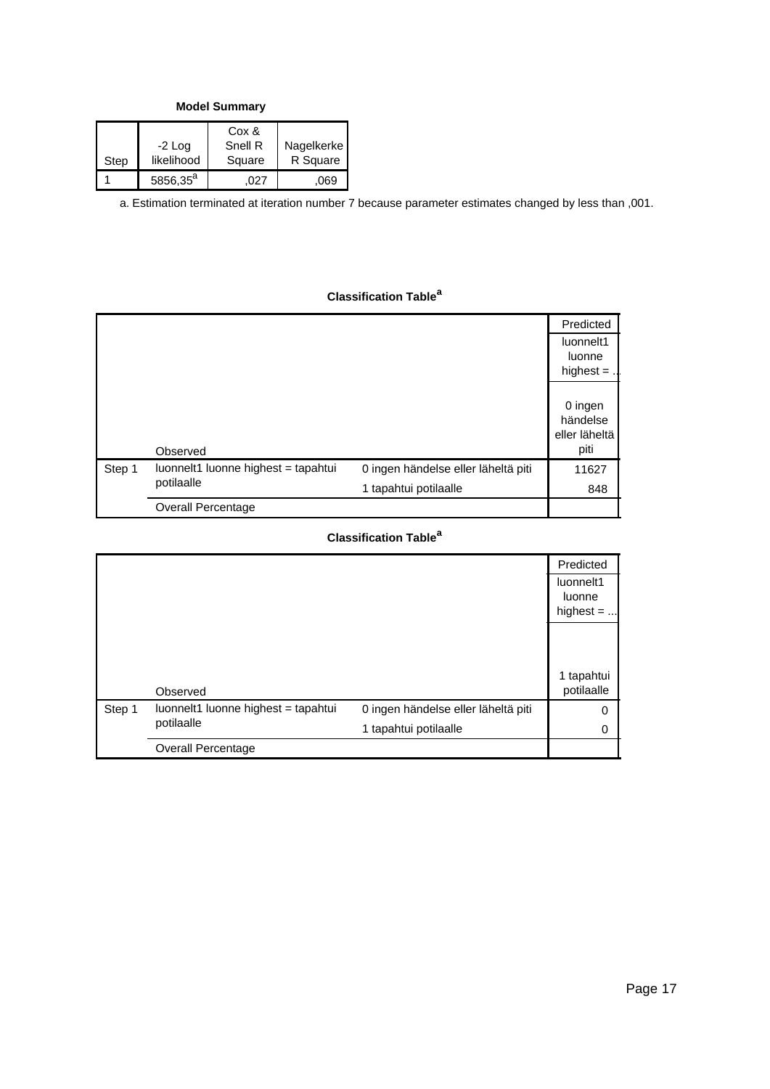**Model Summary**

| Step | $-2$ Log<br>likelihood | Cox &<br>Snell R<br>Square | Nagelkerke<br>R Square |
|------|------------------------|----------------------------|------------------------|
|      | $5856,35^a$            | 027                        | .069                   |

a. Estimation terminated at iteration number 7 because parameter estimates changed by less than ,001.

### **Classification Table<sup>a</sup>**

|        |                                     |                                     | Predicted     |
|--------|-------------------------------------|-------------------------------------|---------------|
|        |                                     |                                     | luonnelt1     |
|        |                                     |                                     | luonne        |
|        |                                     |                                     | highest $=$ . |
|        |                                     |                                     |               |
|        |                                     |                                     | 0 ingen       |
|        |                                     |                                     | händelse      |
|        |                                     |                                     | eller läheltä |
|        | Observed                            |                                     | piti          |
| Step 1 | luonnelt1 luonne highest = tapahtui | 0 ingen händelse eller läheltä piti | 11627         |
|        | potilaalle                          | 1 tapahtui potilaalle               | 848           |
|        | <b>Overall Percentage</b>           |                                     |               |

|        |                                     |                                     | Predicted                          |
|--------|-------------------------------------|-------------------------------------|------------------------------------|
|        |                                     |                                     | luonnelt1<br>luonne<br>highest $=$ |
|        |                                     |                                     | 1 tapahtui                         |
|        | Observed                            |                                     | potilaalle                         |
| Step 1 | luonnelt1 luonne highest = tapahtui | 0 ingen händelse eller läheltä piti | 0                                  |
|        | potilaalle                          | 1 tapahtui potilaalle               | 0                                  |
|        | <b>Overall Percentage</b>           |                                     |                                    |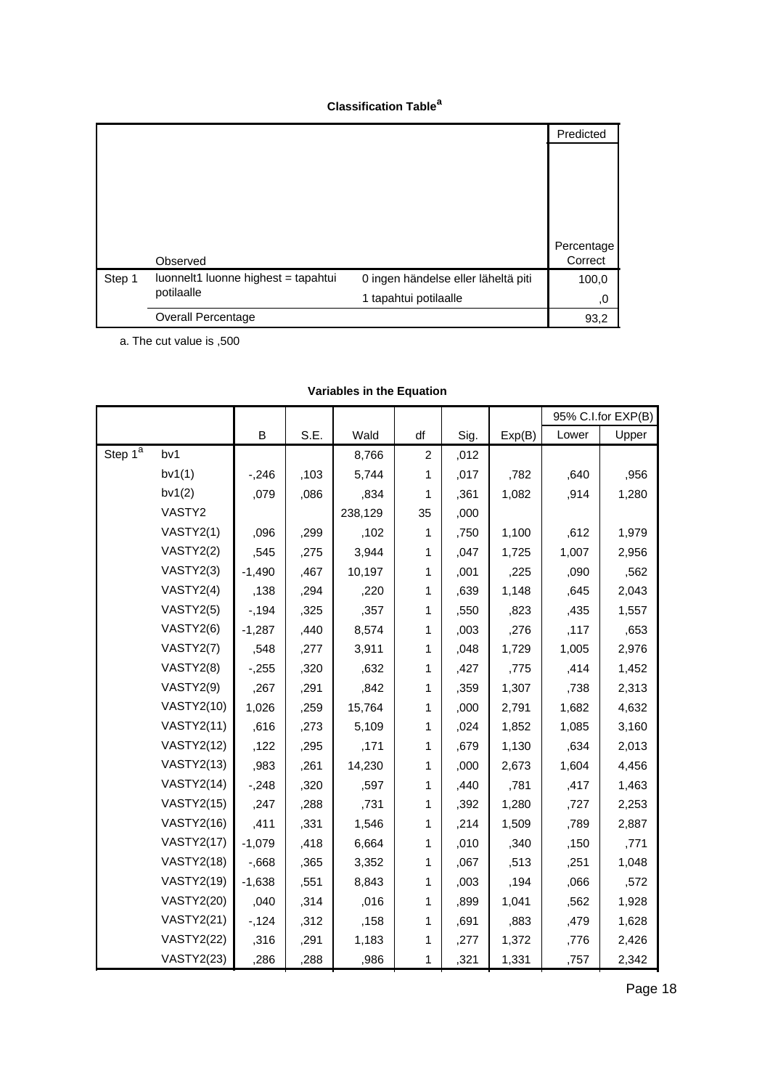#### **Classification Table<sup>a</sup>**

|        |                                     |                                     | Predicted  |
|--------|-------------------------------------|-------------------------------------|------------|
|        |                                     |                                     |            |
|        |                                     |                                     |            |
|        |                                     |                                     |            |
|        |                                     |                                     |            |
|        |                                     |                                     |            |
|        |                                     |                                     | Percentage |
|        | Observed                            |                                     | Correct    |
| Step 1 | luonnelt1 luonne highest = tapahtui | 0 ingen händelse eller läheltä piti | 100,0      |
|        | potilaalle                          | 1 tapahtui potilaalle               | 0,         |
|        | Overall Percentage                  |                                     | 93,2       |

a. The cut value is ,500

|            |                   |          |      |         |                |      |        |       | 95% C.I.for EXP(B) |
|------------|-------------------|----------|------|---------|----------------|------|--------|-------|--------------------|
|            |                   | B        | S.E. | Wald    | df             | Sig. | Exp(B) | Lower | Upper              |
| Step $1^a$ | bv1               |          |      | 8,766   | $\overline{c}$ | ,012 |        |       |                    |
|            | bv1(1)            | $-246$   | ,103 | 5,744   | 1              | ,017 | ,782   | ,640  | ,956               |
|            | bv1(2)            | ,079     | ,086 | ,834    | 1              | ,361 | 1,082  | ,914  | 1,280              |
|            | VASTY2            |          |      | 238,129 | 35             | ,000 |        |       |                    |
|            | VASTY2(1)         | ,096     | ,299 | ,102    | 1              | .750 | 1,100  | ,612  | 1,979              |
|            | VASTY2(2)         | ,545     | ,275 | 3,944   | 1              | ,047 | 1,725  | 1,007 | 2,956              |
|            | VASTY2(3)         | $-1,490$ | .467 | 10,197  | 1              | ,001 | .225   | ,090  | ,562               |
|            | VASTY2(4)         | ,138     | ,294 | ,220    | 1              | ,639 | 1,148  | ,645  | 2,043              |
|            | VASTY2(5)         | $-194$   | ,325 | ,357    | 1              | ,550 | ,823   | ,435  | 1,557              |
|            | VASTY2(6)         | $-1,287$ | ,440 | 8,574   | 1              | ,003 | ,276   | ,117  | ,653               |
|            | VASTY2(7)         | ,548     | ,277 | 3,911   | 1              | .048 | 1,729  | 1,005 | 2,976              |
|            | VASTY2(8)         | $-255$   | ,320 | .632    | 1              | ,427 | ,775   | .414  | 1,452              |
|            | VASTY2(9)         | ,267     | ,291 | ,842    | 1              | ,359 | 1,307  | ,738  | 2,313              |
|            | <b>VASTY2(10)</b> | 1,026    | .259 | 15,764  | 1              | ,000 | 2,791  | 1,682 | 4,632              |
|            | <b>VASTY2(11)</b> | ,616     | ,273 | 5,109   | 1              | ,024 | 1,852  | 1,085 | 3,160              |
|            | <b>VASTY2(12)</b> | ,122     | ,295 | ,171    | 1              | ,679 | 1,130  | ,634  | 2,013              |
|            | <b>VASTY2(13)</b> | ,983     | ,261 | 14,230  | 1              | ,000 | 2,673  | 1,604 | 4,456              |
|            | <b>VASTY2(14)</b> | $-248$   | ,320 | ,597    | 1              | ,440 | ,781   | ,417  | 1,463              |
|            | <b>VASTY2(15)</b> | ,247     | ,288 | ,731    | 1              | ,392 | 1,280  | ,727  | 2,253              |
|            | <b>VASTY2(16)</b> | ,411     | ,331 | 1,546   | 1              | ,214 | 1,509  | ,789  | 2,887              |
|            | <b>VASTY2(17)</b> | $-1,079$ | ,418 | 6,664   | 1              | ,010 | ,340   | ,150  | ,771               |
|            | <b>VASTY2(18)</b> | $-0.668$ | ,365 | 3,352   | 1              | ,067 | ,513   | ,251  | 1,048              |
|            | <b>VASTY2(19)</b> | $-1,638$ | ,551 | 8,843   | 1              | ,003 | ,194   | ,066  | ,572               |
|            | <b>VASTY2(20)</b> | ,040     | ,314 | ,016    | 1              | ,899 | 1,041  | ,562  | 1,928              |
|            | <b>VASTY2(21)</b> | $-124$   | ,312 | ,158    | 1              | ,691 | ,883   | ,479  | 1,628              |
|            | <b>VASTY2(22)</b> | ,316     | ,291 | 1,183   | 1              | ,277 | 1,372  | ,776  | 2,426              |
|            | <b>VASTY2(23)</b> | ,286     | ,288 | ,986    | 1              | ,321 | 1,331  | ,757  | 2,342              |

## **Variables in the Equation**

,263 ,286 ,287  $\geq$  357  $\geq$  367  $\geq$  367  $\geq$ Page 18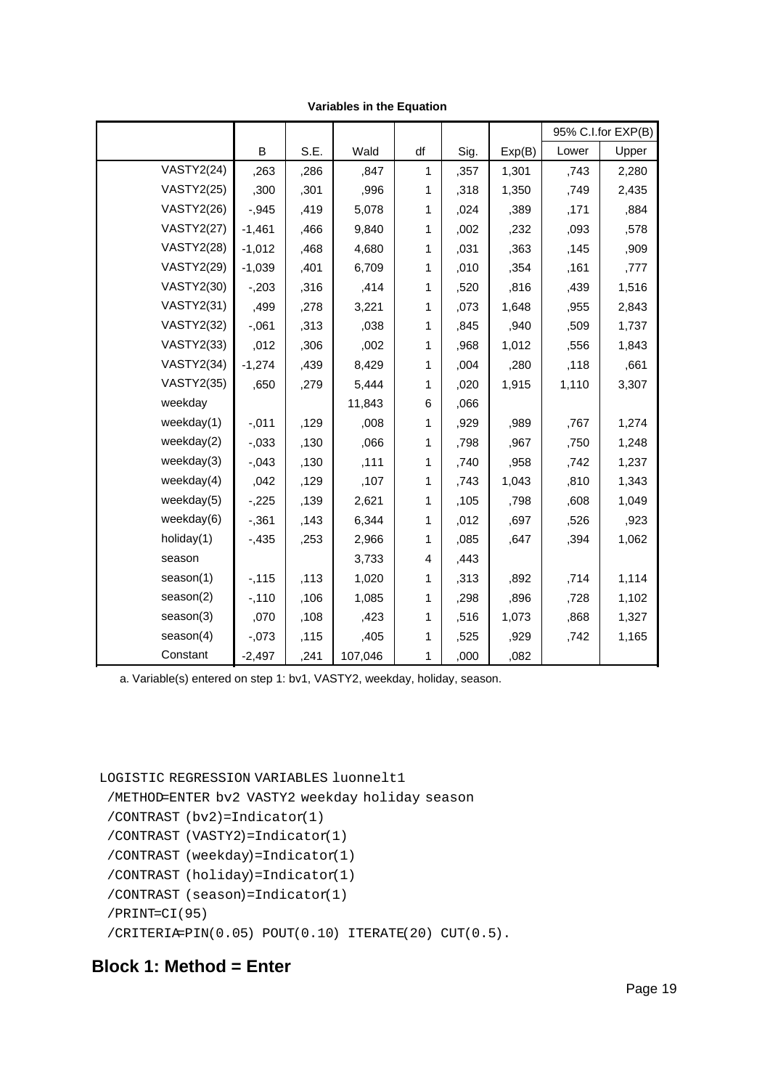|                   |          |      |         |    |      |        |       | 95% C.I.for EXP(B) |
|-------------------|----------|------|---------|----|------|--------|-------|--------------------|
|                   | B        | S.E. | Wald    | df | Sig. | Exp(B) | Lower | Upper              |
| <b>VASTY2(24)</b> | ,263     | ,286 | ,847    | 1  | ,357 | 1,301  | ,743  | 2,280              |
| <b>VASTY2(25)</b> | ,300     | ,301 | ,996    | 1  | ,318 | 1,350  | .749  | 2,435              |
| <b>VASTY2(26)</b> | $-0.945$ | ,419 | 5,078   | 1  | ,024 | ,389   | ,171  | ,884               |
| <b>VASTY2(27)</b> | $-1,461$ | ,466 | 9,840   | 1  | ,002 | ,232   | ,093  | ,578               |
| <b>VASTY2(28)</b> | $-1,012$ | ,468 | 4,680   | 1  | ,031 | ,363   | ,145  | ,909               |
| <b>VASTY2(29)</b> | $-1,039$ | ,401 | 6,709   | 1  | ,010 | ,354   | ,161  | ,777               |
| <b>VASTY2(30)</b> | $-203$   | ,316 | ,414    | 1  | ,520 | ,816   | ,439  | 1,516              |
| <b>VASTY2(31)</b> | ,499     | ,278 | 3,221   | 1  | ,073 | 1,648  | ,955  | 2,843              |
| <b>VASTY2(32)</b> | $-0.061$ | ,313 | ,038    | 1  | ,845 | ,940   | ,509  | 1,737              |
| <b>VASTY2(33)</b> | ,012     | ,306 | ,002    | 1  | ,968 | 1,012  | ,556  | 1,843              |
| <b>VASTY2(34)</b> | $-1,274$ | ,439 | 8,429   | 1  | ,004 | ,280   | ,118  | ,661               |
| <b>VASTY2(35)</b> | ,650     | ,279 | 5,444   | 1  | ,020 | 1,915  | 1,110 | 3,307              |
| weekday           |          |      | 11,843  | 6  | ,066 |        |       |                    |
| weekday(1)        | $-0.011$ | ,129 | ,008    | 1  | ,929 | ,989   | ,767  | 1,274              |
| weekday(2)        | $-0.033$ | ,130 | ,066    | 1  | ,798 | ,967   | ,750  | 1,248              |
| weekday(3)        | $-0.043$ | ,130 | ,111    | 1  | ,740 | ,958   | ,742  | 1,237              |
| weekday $(4)$     | ,042     | ,129 | ,107    | 1  | ,743 | 1,043  | ,810  | 1,343              |
| weekday(5)        | $-225$   | ,139 | 2,621   | 1  | ,105 | ,798   | ,608  | 1,049              |
| weekday $(6)$     | $-0.361$ | ,143 | 6,344   | 1  | ,012 | ,697   | ,526  | ,923               |
| holiday(1)        | $-0.435$ | ,253 | 2,966   | 1  | ,085 | ,647   | ,394  | 1,062              |
| season            |          |      | 3,733   | 4  | ,443 |        |       |                    |
| season(1)         | $-115$   | ,113 | 1,020   | 1  | ,313 | ,892   | ,714  | 1,114              |
| season(2)         | $-110$   | ,106 | 1,085   | 1  | ,298 | ,896   | ,728  | 1,102              |
| season(3)         | ,070     | ,108 | ,423    | 1  | ,516 | 1,073  | ,868  | 1,327              |
| season(4)         | $-073$   | ,115 | ,405    | 1  | ,525 | ,929   | ,742  | 1,165              |
| Constant          | $-2,497$ | ,241 | 107,046 | 1  | ,000 | ,082   |       |                    |

**Variables in the Equation**

a. Variable(s) entered on step 1: bv1, VASTY2, weekday, holiday, season.

```
LOGISTIC REGRESSION VARIABLES luonnelt1
```

```
 /METHOD=ENTER bv2 VASTY2 weekday holiday season
/CONTRAST (bv2)=Indicator(1)
/CONTRAST (VASTY2)=Indicator(1)
/CONTRAST (weekday)=Indicator(1)
/CONTRAST (holiday)=Indicator(1)
/CONTRAST (season)=Indicator(1)
/PRINT=CI(95)
/CRITERIA=PIN(0.05) POUT(0.10) ITERATE(20) CUT(0.5).
```
# **Block 1: Method = Enter**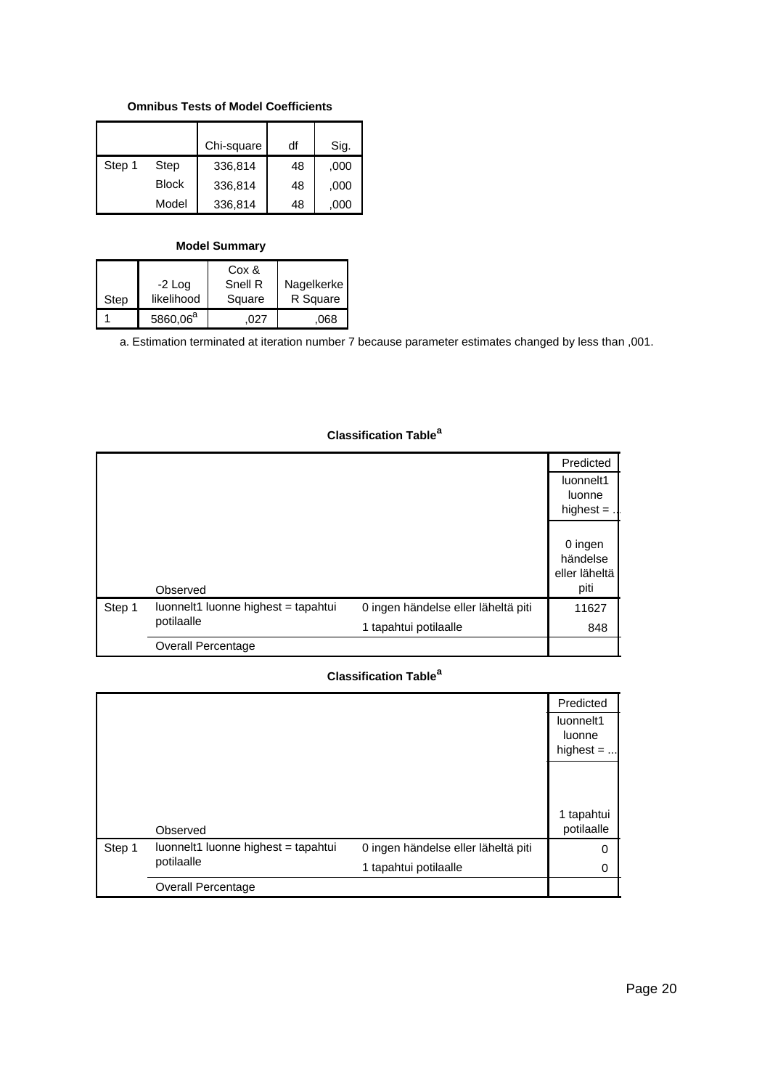#### **Omnibus Tests of Model Coefficients**

|        |              | Chi-square | df | Sig. |
|--------|--------------|------------|----|------|
| Step 1 | Step         | 336,814    | 48 | ,000 |
|        | <b>Block</b> | 336,814    | 48 | ,000 |
|        | Model        | 336,814    | 48 | .000 |

#### **Model Summary**

|      |             | Cox &   |            |
|------|-------------|---------|------------|
|      | $-2$ Log    | Snell R | Nagelkerke |
| Step | likelihood  | Square  | R Square   |
|      | $5860,06^a$ | 027     | .068       |

a. Estimation terminated at iteration number 7 because parameter estimates changed by less than ,001.

|        |                                     |                                     | Predicted     |
|--------|-------------------------------------|-------------------------------------|---------------|
|        |                                     |                                     | luonnelt1     |
|        |                                     |                                     | luonne        |
|        |                                     |                                     | highest $=$ . |
|        |                                     |                                     |               |
|        |                                     |                                     | 0 ingen       |
|        |                                     |                                     | händelse      |
|        |                                     |                                     | eller läheltä |
|        | Observed                            |                                     | piti          |
| Step 1 | luonnelt1 luonne highest = tapahtui | 0 ingen händelse eller läheltä piti | 11627         |
|        | potilaalle                          | 1 tapahtui potilaalle               | 848           |
|        | Overall Percentage                  |                                     |               |

#### **Classification Table<sup>a</sup>**

|        |                                     |                                     | Predicted                          |  |
|--------|-------------------------------------|-------------------------------------|------------------------------------|--|
|        |                                     |                                     | luonnelt1<br>luonne<br>highest $=$ |  |
|        |                                     |                                     | 1 tapahtui                         |  |
|        | Observed                            |                                     | potilaalle                         |  |
| Step 1 | luonnelt1 luonne highest = tapahtui | 0 ingen händelse eller läheltä piti | 0                                  |  |
|        | potilaalle                          | 1 tapahtui potilaalle               | 0                                  |  |
|        | <b>Overall Percentage</b>           |                                     |                                    |  |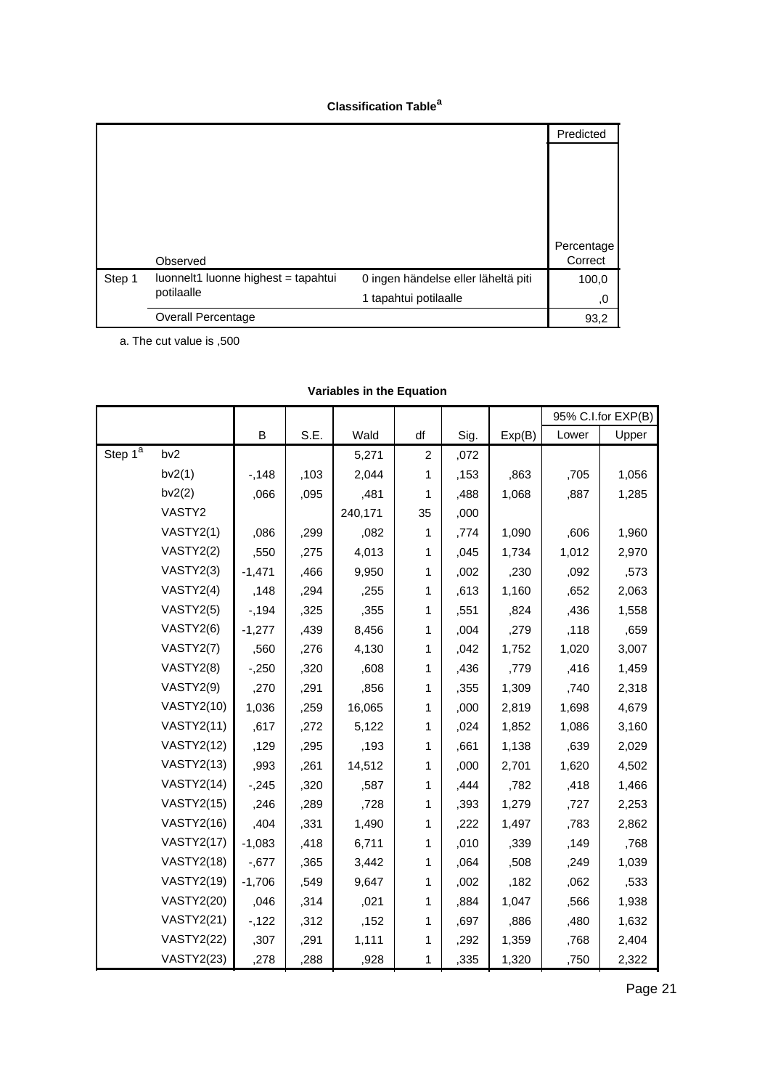#### **Classification Table<sup>a</sup>**

|        |                                     |                                     | Predicted  |
|--------|-------------------------------------|-------------------------------------|------------|
|        |                                     |                                     |            |
|        |                                     |                                     |            |
|        |                                     |                                     |            |
|        |                                     |                                     |            |
|        |                                     |                                     |            |
|        |                                     |                                     | Percentage |
|        | Observed                            |                                     | Correct    |
| Step 1 | luonnelt1 luonne highest = tapahtui | 0 ingen händelse eller läheltä piti | 100,0      |
|        | potilaalle                          | 1 tapahtui potilaalle               | 0,         |
|        | <b>Overall Percentage</b>           |                                     | 93,2       |

a. The cut value is ,500

|                         |                   |          |      |         |                |      |        |       | 95% C.I.for EXP(B) |
|-------------------------|-------------------|----------|------|---------|----------------|------|--------|-------|--------------------|
|                         |                   | B        | S.E. | Wald    | df             | Sig. | Exp(B) | Lower | Upper              |
| Step $1^{\overline{a}}$ | bv <sub>2</sub>   |          |      | 5,271   | $\overline{c}$ | ,072 |        |       |                    |
|                         | bv2(1)            | $-148$   | ,103 | 2,044   | 1              | ,153 | ,863   | ,705  | 1,056              |
|                         | bv2(2)            | ,066     | ,095 | .481    | 1              | .488 | 1,068  | .887  | 1,285              |
|                         | VASTY2            |          |      | 240,171 | 35             | ,000 |        |       |                    |
|                         | VASTY2(1)         | ,086     | ,299 | ,082    | 1              | ,774 | 1,090  | ,606  | 1,960              |
|                         | VASTY2(2)         | ,550     | ,275 | 4,013   | 1              | ,045 | 1,734  | 1,012 | 2,970              |
|                         | VASTY2(3)         | $-1,471$ | ,466 | 9,950   | 1              | ,002 | ,230   | ,092  | ,573               |
|                         | VASTY2(4)         | ,148     | ,294 | ,255    | 1              | .613 | 1,160  | ,652  | 2,063              |
|                         | VASTY2(5)         | $-194$   | ,325 | ,355    | 1              | ,551 | ,824   | ,436  | 1,558              |
|                         | VASTY2(6)         | $-1,277$ | ,439 | 8,456   | 1              | ,004 | ,279   | ,118  | ,659               |
|                         | VASTY2(7)         | ,560     | ,276 | 4,130   | 1              | ,042 | 1,752  | 1,020 | 3,007              |
|                         | VASTY2(8)         | $-250$   | ,320 | ,608    | 1              | ,436 | ,779   | ,416  | 1,459              |
|                         | VASTY2(9)         | ,270     | ,291 | ,856    | 1              | .355 | 1,309  | ,740  | 2,318              |
|                         | <b>VASTY2(10)</b> | 1,036    | ,259 | 16,065  | 1              | ,000 | 2,819  | 1,698 | 4,679              |
|                         | <b>VASTY2(11)</b> | ,617     | ,272 | 5,122   | 1              | ,024 | 1,852  | 1,086 | 3,160              |
|                         | <b>VASTY2(12)</b> | ,129     | ,295 | ,193    | 1              | ,661 | 1,138  | ,639  | 2,029              |
|                         | <b>VASTY2(13)</b> | ,993     | ,261 | 14,512  | 1              | ,000 | 2,701  | 1,620 | 4,502              |
|                         | <b>VASTY2(14)</b> | $-0.245$ | ,320 | .587    | 1              | ,444 | ,782   | ,418  | 1,466              |
|                         | <b>VASTY2(15)</b> | ,246     | ,289 | ,728    | 1              | ,393 | 1,279  | ,727  | 2,253              |
|                         | <b>VASTY2(16)</b> | ,404     | ,331 | 1,490   | 1              | ,222 | 1,497  | ,783  | 2,862              |
|                         | <b>VASTY2(17)</b> | $-1,083$ | ,418 | 6,711   | 1              | ,010 | ,339   | ,149  | ,768               |
|                         | <b>VASTY2(18)</b> | $-0.677$ | ,365 | 3,442   | 1              | ,064 | ,508   | ,249  | 1,039              |
|                         | <b>VASTY2(19)</b> | $-1,706$ | ,549 | 9,647   | 1              | ,002 | ,182   | ,062  | ,533               |
|                         | <b>VASTY2(20)</b> | ,046     | ,314 | ,021    | 1              | ,884 | 1,047  | ,566  | 1,938              |
|                         | <b>VASTY2(21)</b> | $-122$   | ,312 | ,152    | 1              | ,697 | ,886   | ,480  | 1,632              |
|                         | <b>VASTY2(22)</b> | ,307     | ,291 | 1,111   | 1              | ,292 | 1,359  | ,768  | 2,404              |
|                         | <b>VASTY2(23)</b> | ,278     | ,288 | ,928    | 1              | ,335 | 1,320  | ,750  | 2,322              |

## **Variables in the Equation**

,280 ,286  $\sim$  286  $\sim$  286  $\sim$  286  $\sim$  286  $\sim$  286  $\sim$  287  $\sim$  287  $\sim$  287  $\sim$  287  $\sim$  287  $\sim$  287  $\sim$  287  $\sim$  287  $\sim$  287  $\sim$  287  $\sim$  287  $\sim$  287  $\sim$  287  $\sim$  287  $\sim$  287  $\sim$  287  $\sim$  287  $\sim$  287  $\sim$ Page 21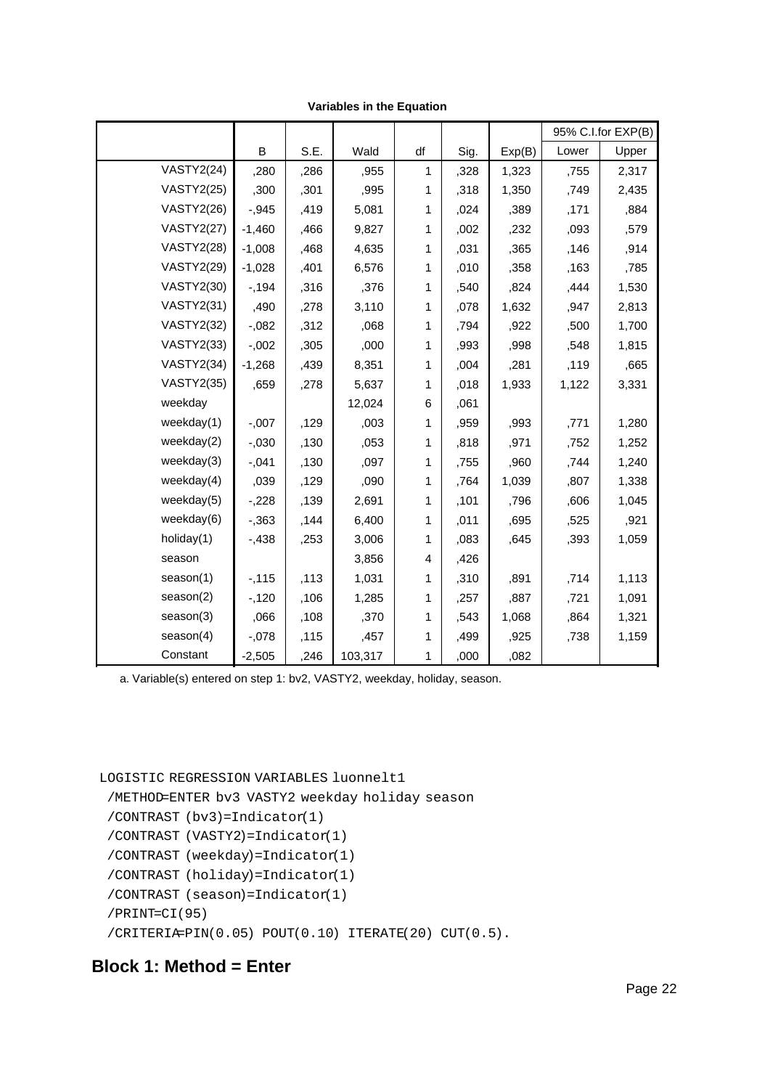|                   |          |      |         |    |      |        |       | 95% C.I.for EXP(B) |
|-------------------|----------|------|---------|----|------|--------|-------|--------------------|
|                   | B        | S.E. | Wald    | df | Sig. | Exp(B) | Lower | Upper              |
| <b>VASTY2(24)</b> | ,280     | ,286 | ,955    | 1  | ,328 | 1,323  | ,755  | 2,317              |
| <b>VASTY2(25)</b> | ,300     | ,301 | ,995    | 1  | ,318 | 1,350  | ,749  | 2,435              |
| <b>VASTY2(26)</b> | $-0.945$ | ,419 | 5,081   | 1  | ,024 | ,389   | ,171  | ,884               |
| <b>VASTY2(27)</b> | $-1,460$ | ,466 | 9,827   | 1  | ,002 | ,232   | ,093  | ,579               |
| <b>VASTY2(28)</b> | $-1,008$ | ,468 | 4,635   | 1  | ,031 | ,365   | ,146  | ,914               |
| <b>VASTY2(29)</b> | $-1,028$ | ,401 | 6,576   | 1  | ,010 | ,358   | ,163  | ,785               |
| <b>VASTY2(30)</b> | $-194$   | ,316 | ,376    | 1  | ,540 | ,824   | ,444  | 1,530              |
| <b>VASTY2(31)</b> | ,490     | ,278 | 3,110   | 1  | ,078 | 1,632  | ,947  | 2,813              |
| <b>VASTY2(32)</b> | $-0.082$ | ,312 | ,068    | 1  | ,794 | ,922   | ,500  | 1,700              |
| <b>VASTY2(33)</b> | $-0.002$ | ,305 | ,000    | 1  | ,993 | ,998   | ,548  | 1,815              |
| <b>VASTY2(34)</b> | $-1,268$ | ,439 | 8,351   | 1  | ,004 | ,281   | ,119  | ,665               |
| <b>VASTY2(35)</b> | ,659     | ,278 | 5,637   | 1  | ,018 | 1,933  | 1,122 | 3,331              |
| weekday           |          |      | 12,024  | 6  | ,061 |        |       |                    |
| weekday(1)        | $-0.007$ | ,129 | ,003    | 1  | ,959 | ,993   | ,771  | 1,280              |
| weekday $(2)$     | $-.030$  | ,130 | ,053    | 1  | ,818 | ,971   | ,752  | 1,252              |
| weekday(3)        | $-0.041$ | ,130 | ,097    | 1  | ,755 | ,960   | ,744  | 1,240              |
| weekday $(4)$     | ,039     | ,129 | ,090    | 1  | ,764 | 1,039  | ,807  | 1,338              |
| weekday(5)        | $-228$   | ,139 | 2,691   | 1  | ,101 | ,796   | ,606  | 1,045              |
| weekday(6)        | $-0.363$ | ,144 | 6,400   | 1  | ,011 | ,695   | ,525  | ,921               |
| holiday(1)        | $-0.438$ | ,253 | 3,006   | 1  | ,083 | ,645   | ,393  | 1,059              |
| season            |          |      | 3,856   | 4  | ,426 |        |       |                    |
| season(1)         | $-115$   | ,113 | 1,031   | 1  | ,310 | ,891   | ,714  | 1,113              |
| season(2)         | $-120$   | ,106 | 1,285   | 1  | ,257 | ,887   | ,721  | 1,091              |
| season(3)         | ,066     | ,108 | ,370    | 1  | ,543 | 1,068  | ,864  | 1,321              |
| season(4)         | $-.078$  | ,115 | ,457    | 1  | ,499 | ,925   | ,738  | 1,159              |
| Constant          | $-2,505$ | ,246 | 103,317 | 1  | ,000 | ,082   |       |                    |

**Variables in the Equation**

a. Variable(s) entered on step 1: bv2, VASTY2, weekday, holiday, season.

```
LOGISTIC REGRESSION VARIABLES luonnelt1
```

```
 /METHOD=ENTER bv3 VASTY2 weekday holiday season
/CONTRAST (bv3)=Indicator(1)
/CONTRAST (VASTY2)=Indicator(1)
/CONTRAST (weekday)=Indicator(1)
/CONTRAST (holiday)=Indicator(1)
/CONTRAST (season)=Indicator(1)
/PRINT=CI(95)
/CRITERIA=PIN(0.05) POUT(0.10) ITERATE(20) CUT(0.5).
```
# **Block 1: Method = Enter**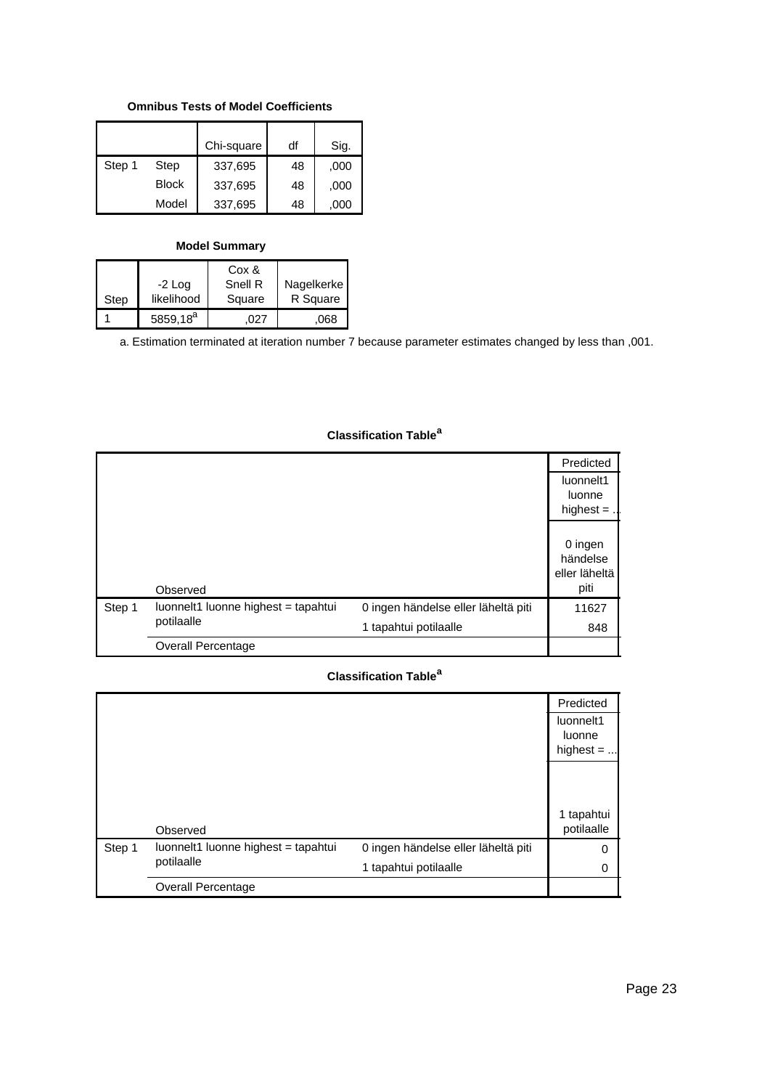#### **Omnibus Tests of Model Coefficients**

|        |              | Chi-square | df | Sig. |
|--------|--------------|------------|----|------|
| Step 1 | Step         | 337,695    | 48 | ,000 |
|        | <b>Block</b> | 337,695    | 48 | ,000 |
|        | Model        | 337,695    | 48 | ,000 |

#### **Model Summary**

|      |             | Cox &   |            |
|------|-------------|---------|------------|
|      | -2 Log      | Snell R | Nagelkerke |
| Step | likelihood  | Square  | R Square   |
|      | $5859,18^a$ | 027     | 068        |

a. Estimation terminated at iteration number 7 because parameter estimates changed by less than ,001.

|        |                                     |                                     | Predicted     |
|--------|-------------------------------------|-------------------------------------|---------------|
|        |                                     |                                     | luonnelt1     |
|        |                                     |                                     | luonne        |
|        |                                     |                                     | highest $=$ . |
|        |                                     |                                     |               |
|        |                                     |                                     | 0 ingen       |
|        |                                     |                                     | händelse      |
|        |                                     |                                     | eller läheltä |
|        | Observed                            |                                     | piti          |
| Step 1 | luonnelt1 luonne highest = tapahtui | 0 ingen händelse eller läheltä piti | 11627         |
|        | potilaalle                          | 1 tapahtui potilaalle               | 848           |
|        | Overall Percentage                  |                                     |               |

#### **Classification Table<sup>a</sup>**

|        |                                     |                                     | Predicted                          |  |
|--------|-------------------------------------|-------------------------------------|------------------------------------|--|
|        |                                     |                                     | luonnelt1<br>luonne<br>highest $=$ |  |
|        |                                     |                                     | 1 tapahtui                         |  |
|        | Observed                            |                                     | potilaalle                         |  |
| Step 1 | luonnelt1 luonne highest = tapahtui | 0 ingen händelse eller läheltä piti | 0                                  |  |
|        | potilaalle                          | 1 tapahtui potilaalle               | 0                                  |  |
|        | <b>Overall Percentage</b>           |                                     |                                    |  |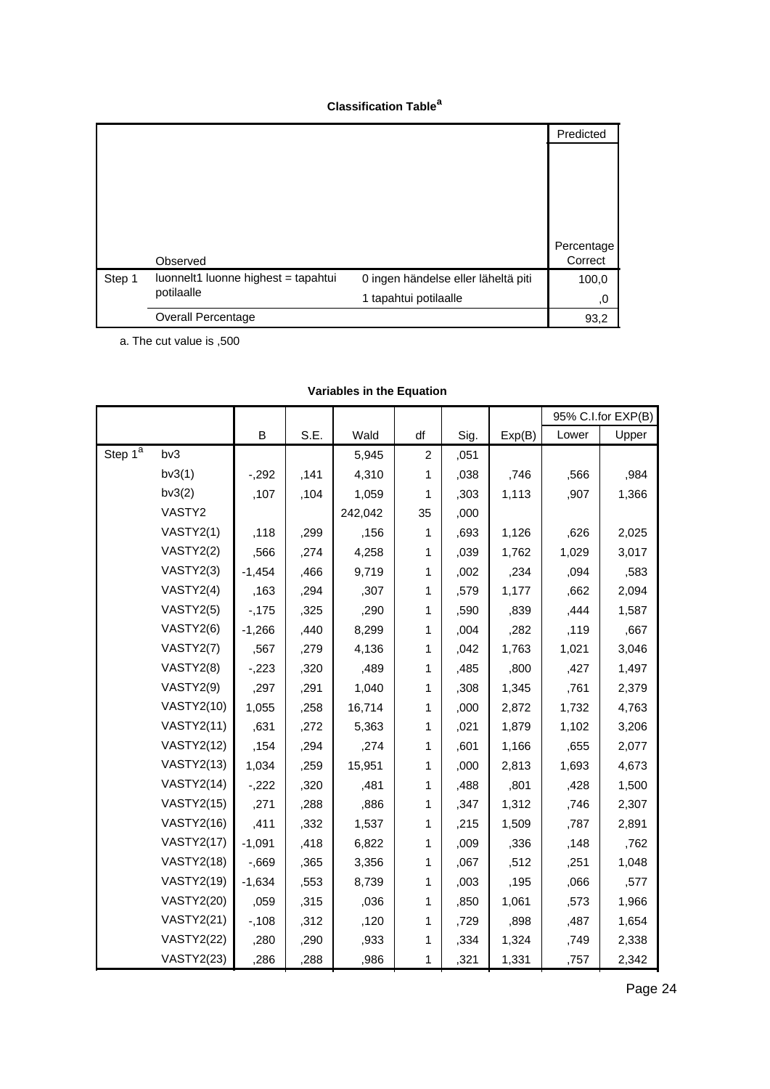#### **Classification Table<sup>a</sup>**

|        |                                     |                                     | Predicted  |
|--------|-------------------------------------|-------------------------------------|------------|
|        |                                     |                                     |            |
|        |                                     |                                     |            |
|        |                                     |                                     |            |
|        |                                     |                                     |            |
|        |                                     |                                     |            |
|        |                                     |                                     | Percentage |
|        | Observed                            |                                     | Correct    |
| Step 1 | luonnelt1 luonne highest = tapahtui | 0 ingen händelse eller läheltä piti | 100,0      |
|        | potilaalle                          | 1 tapahtui potilaalle               | 0,         |
|        | Overall Percentage                  |                                     | 93,2       |

a. The cut value is ,500

|                         |                   |          |      |         |                |      |        |       | 95% C.I.for EXP(B) |
|-------------------------|-------------------|----------|------|---------|----------------|------|--------|-------|--------------------|
|                         |                   | B        | S.E. | Wald    | df             | Sig. | Exp(B) | Lower | Upper              |
| Step $1^{\overline{a}}$ | bv3               |          |      | 5,945   | $\overline{c}$ | ,051 |        |       |                    |
|                         | bv3(1)            | $-292$   | ,141 | 4,310   | 1              | ,038 | ,746   | ,566  | ,984               |
|                         | bv3(2)            | ,107     | ,104 | 1,059   | 1              | ,303 | 1,113  | ,907  | 1,366              |
|                         | VASTY2            |          |      | 242,042 | 35             | ,000 |        |       |                    |
|                         | VASTY2(1)         | ,118     | ,299 | ,156    | 1              | ,693 | 1,126  | ,626  | 2,025              |
|                         | VASTY2(2)         | ,566     | ,274 | 4,258   | 1              | ,039 | 1,762  | 1,029 | 3,017              |
|                         | VASTY2(3)         | $-1,454$ | ,466 | 9,719   | 1              | ,002 | ,234   | ,094  | ,583               |
|                         | VASTY2(4)         | ,163     | ,294 | ,307    | 1              | .579 | 1,177  | ,662  | 2,094              |
|                         | VASTY2(5)         | $-175$   | ,325 | ,290    | 1              | ,590 | ,839   | ,444  | 1,587              |
|                         | VASTY2(6)         | $-1,266$ | ,440 | 8,299   | 1              | ,004 | ,282   | ,119  | ,667               |
|                         | VASTY2(7)         | ,567     | ,279 | 4,136   | 1              | ,042 | 1,763  | 1,021 | 3,046              |
|                         | VASTY2(8)         | $-223$   | ,320 | ,489    | 1              | ,485 | ,800   | ,427  | 1,497              |
|                         | VASTY2(9)         | ,297     | ,291 | 1,040   | 1              | ,308 | 1,345  | ,761  | 2,379              |
|                         | <b>VASTY2(10)</b> | 1,055    | ,258 | 16,714  | 1              | ,000 | 2,872  | 1,732 | 4,763              |
|                         | <b>VASTY2(11)</b> | ,631     | ,272 | 5,363   | 1              | ,021 | 1,879  | 1,102 | 3,206              |
|                         | <b>VASTY2(12)</b> | ,154     | ,294 | ,274    | 1              | ,601 | 1,166  | ,655  | 2,077              |
|                         | <b>VASTY2(13)</b> | 1,034    | ,259 | 15,951  | 1              | ,000 | 2,813  | 1,693 | 4,673              |
|                         | <b>VASTY2(14)</b> | $-222$   | ,320 | .481    | 1              | ,488 | ,801   | ,428  | 1,500              |
|                         | <b>VASTY2(15)</b> | ,271     | ,288 | ,886    | 1              | ,347 | 1,312  | ,746  | 2,307              |
|                         | <b>VASTY2(16)</b> | ,411     | ,332 | 1,537   | 1              | ,215 | 1,509  | ,787  | 2,891              |
|                         | <b>VASTY2(17)</b> | $-1,091$ | ,418 | 6,822   | 1              | ,009 | ,336   | ,148  | ,762               |
|                         | <b>VASTY2(18)</b> | $-0.669$ | ,365 | 3,356   | 1              | ,067 | ,512   | ,251  | 1,048              |
|                         | <b>VASTY2(19)</b> | $-1,634$ | ,553 | 8,739   | 1              | ,003 | ,195   | ,066  | ,577               |
|                         | <b>VASTY2(20)</b> | ,059     | ,315 | ,036    | 1              | ,850 | 1,061  | ,573  | 1,966              |
|                         | <b>VASTY2(21)</b> | $-108$   | ,312 | ,120    | 1              | ,729 | ,898   | ,487  | 1,654              |
|                         | <b>VASTY2(22)</b> | ,280     | ,290 | ,933    | 1              | ,334 | 1,324  | ,749  | 2,338              |
|                         | <b>VASTY2(23)</b> | ,286     | ,288 | ,986    | 1              | ,321 | 1,331  | ,757  | 2,342              |

## **Variables in the Equation**

,290  $\pm$  290  $\pm$  290  $\pm$  290  $\pm$  290  $\pm$  310  $\pm$  310  $\pm$  310  $\pm$  310  $\pm$  310  $\pm$ Page 24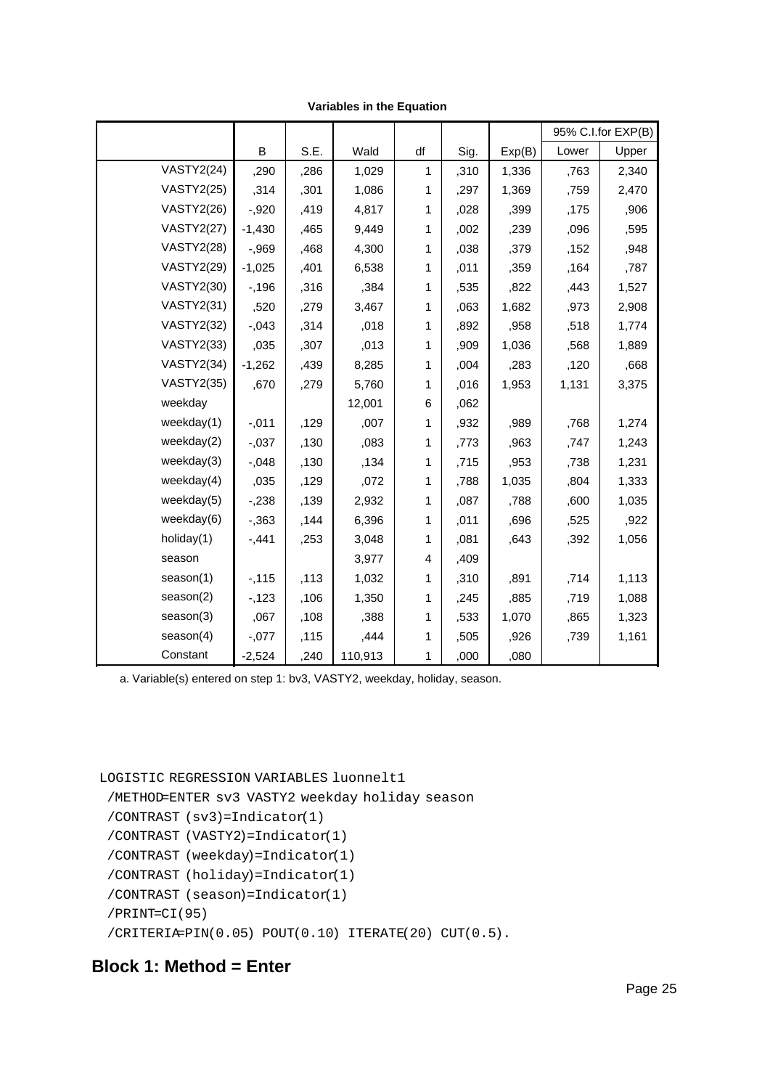|                   |          |      |         |    |      |        |       | 95% C.I.for EXP(B) |
|-------------------|----------|------|---------|----|------|--------|-------|--------------------|
|                   | B        | S.E. | Wald    | df | Sig. | Exp(B) | Lower | Upper              |
| <b>VASTY2(24)</b> | ,290     | ,286 | 1,029   | 1  | ,310 | 1,336  | ,763  | 2,340              |
| <b>VASTY2(25)</b> | ,314     | ,301 | 1,086   | 1  | ,297 | 1,369  | ,759  | 2,470              |
| <b>VASTY2(26)</b> | $-0.920$ | ,419 | 4,817   | 1  | ,028 | ,399   | ,175  | ,906               |
| <b>VASTY2(27)</b> | $-1,430$ | ,465 | 9,449   | 1  | ,002 | ,239   | ,096  | ,595               |
| <b>VASTY2(28)</b> | $-0.969$ | ,468 | 4,300   | 1  | ,038 | ,379   | ,152  | ,948               |
| <b>VASTY2(29)</b> | $-1,025$ | ,401 | 6,538   | 1  | ,011 | ,359   | ,164  | ,787               |
| <b>VASTY2(30)</b> | $-196$   | ,316 | ,384    | 1  | ,535 | ,822   | ,443  | 1,527              |
| <b>VASTY2(31)</b> | ,520     | ,279 | 3,467   | 1  | ,063 | 1,682  | ,973  | 2,908              |
| <b>VASTY2(32)</b> | $-0.043$ | ,314 | ,018    | 1  | ,892 | ,958   | ,518  | 1,774              |
| <b>VASTY2(33)</b> | ,035     | ,307 | ,013    | 1  | ,909 | 1,036  | ,568  | 1,889              |
| <b>VASTY2(34)</b> | $-1,262$ | ,439 | 8,285   | 1  | ,004 | ,283   | ,120  | ,668               |
| <b>VASTY2(35)</b> | ,670     | ,279 | 5,760   | 1  | ,016 | 1,953  | 1,131 | 3,375              |
| weekday           |          |      | 12,001  | 6  | ,062 |        |       |                    |
| weekday(1)        | $-0.011$ | ,129 | ,007    | 1  | ,932 | ,989   | ,768  | 1,274              |
| weekday $(2)$     | $-.037$  | ,130 | ,083    | 1  | ,773 | ,963   | ,747  | 1,243              |
| weekday(3)        | $-0.048$ | ,130 | ,134    | 1  | ,715 | ,953   | ,738  | 1,231              |
| weekday $(4)$     | ,035     | ,129 | ,072    | 1  | ,788 | 1,035  | ,804  | 1,333              |
| weekday(5)        | $-238$   | ,139 | 2,932   | 1  | ,087 | ,788   | ,600  | 1,035              |
| weekday(6)        | $-0.363$ | ,144 | 6,396   | 1  | ,011 | ,696   | ,525  | ,922               |
| holiday(1)        | $-0.441$ | ,253 | 3,048   | 1  | ,081 | ,643   | ,392  | 1,056              |
| season            |          |      | 3,977   | 4  | ,409 |        |       |                    |
| season(1)         | $-115$   | ,113 | 1,032   | 1  | ,310 | ,891   | ,714  | 1,113              |
| season(2)         | $-123$   | ,106 | 1,350   | 1  | ,245 | ,885   | ,719  | 1,088              |
| season(3)         | ,067     | ,108 | ,388    | 1  | ,533 | 1,070  | ,865  | 1,323              |
| season(4)         | $-0.077$ | ,115 | ,444    | 1  | ,505 | ,926   | ,739  | 1,161              |
| Constant          | $-2,524$ | ,240 | 110,913 | 1  | ,000 | ,080   |       |                    |

**Variables in the Equation**

a. Variable(s) entered on step 1: bv3, VASTY2, weekday, holiday, season.

```
LOGISTIC REGRESSION VARIABLES luonnelt1
```

```
 /METHOD=ENTER sv3 VASTY2 weekday holiday season
/CONTRAST (sv3)=Indicator(1)
/CONTRAST (VASTY2)=Indicator(1)
/CONTRAST (weekday)=Indicator(1)
/CONTRAST (holiday)=Indicator(1)
/CONTRAST (season)=Indicator(1)
/PRINT=CI(95)
/CRITERIA=PIN(0.05) POUT(0.10) ITERATE(20) CUT(0.5).
```
# **Block 1: Method = Enter**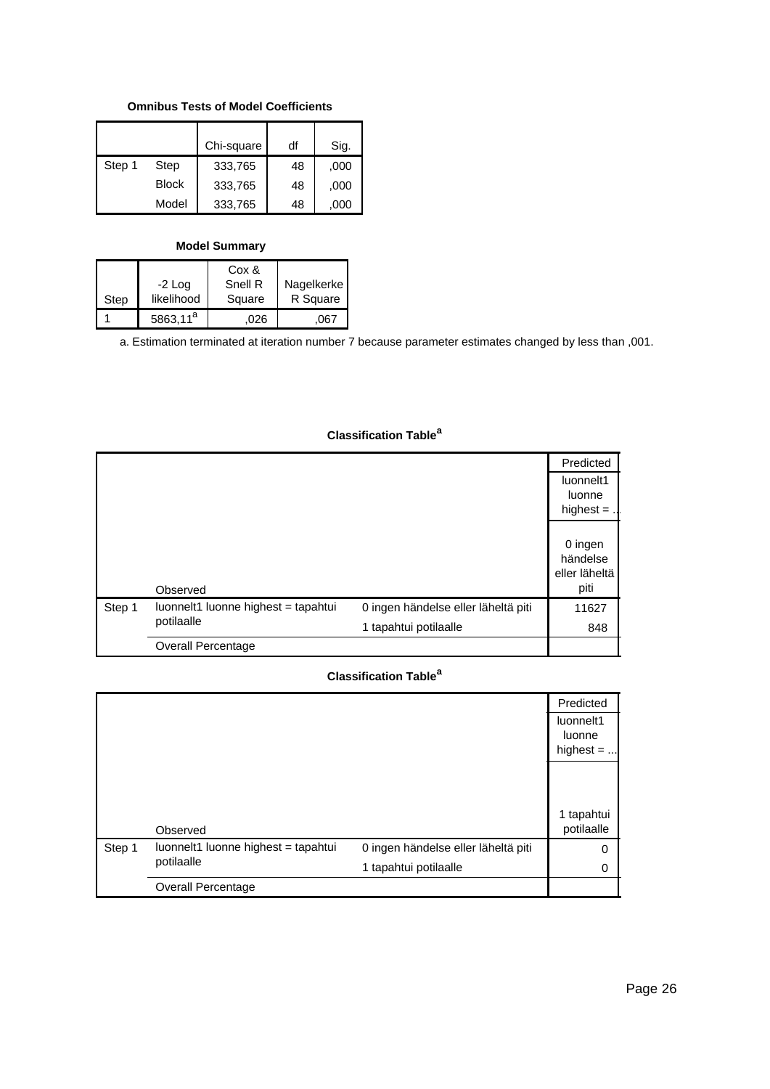#### **Omnibus Tests of Model Coefficients**

|        |              | Chi-square | df | Sig. |
|--------|--------------|------------|----|------|
| Step 1 | Step         | 333,765    | 48 | ,000 |
|        | <b>Block</b> | 333,765    | 48 | ,000 |
|        | Model        | 333,765    | 48 | .000 |

#### **Model Summary**

|      |                      | Cox &             |                        |
|------|----------------------|-------------------|------------------------|
| Step | -2 Log<br>likelihood | Snell R<br>Square | Nagelkerke<br>R Square |
|      | 5863,11 <sup>a</sup> | 026               | 067                    |

a. Estimation terminated at iteration number 7 because parameter estimates changed by less than ,001.

|        |                                     |                                     | Predicted     |
|--------|-------------------------------------|-------------------------------------|---------------|
|        |                                     |                                     | luonnelt1     |
|        |                                     |                                     | luonne        |
|        |                                     |                                     | highest $=$ . |
|        |                                     |                                     |               |
|        |                                     |                                     | 0 ingen       |
|        |                                     |                                     | händelse      |
|        |                                     |                                     | eller läheltä |
|        | Observed                            |                                     | piti          |
| Step 1 | luonnelt1 luonne highest = tapahtui | 0 ingen händelse eller läheltä piti | 11627         |
|        | potilaalle                          | 1 tapahtui potilaalle               | 848           |
|        | Overall Percentage                  |                                     |               |

#### **Classification Table<sup>a</sup>**

|        |                                     |                                     | Predicted                          |  |
|--------|-------------------------------------|-------------------------------------|------------------------------------|--|
|        |                                     |                                     | luonnelt1<br>luonne<br>highest $=$ |  |
|        |                                     |                                     | 1 tapahtui                         |  |
|        | Observed                            |                                     | potilaalle                         |  |
| Step 1 | luonnelt1 luonne highest = tapahtui | 0 ingen händelse eller läheltä piti | 0                                  |  |
|        | potilaalle                          | 1 tapahtui potilaalle               | 0                                  |  |
|        | <b>Overall Percentage</b>           |                                     |                                    |  |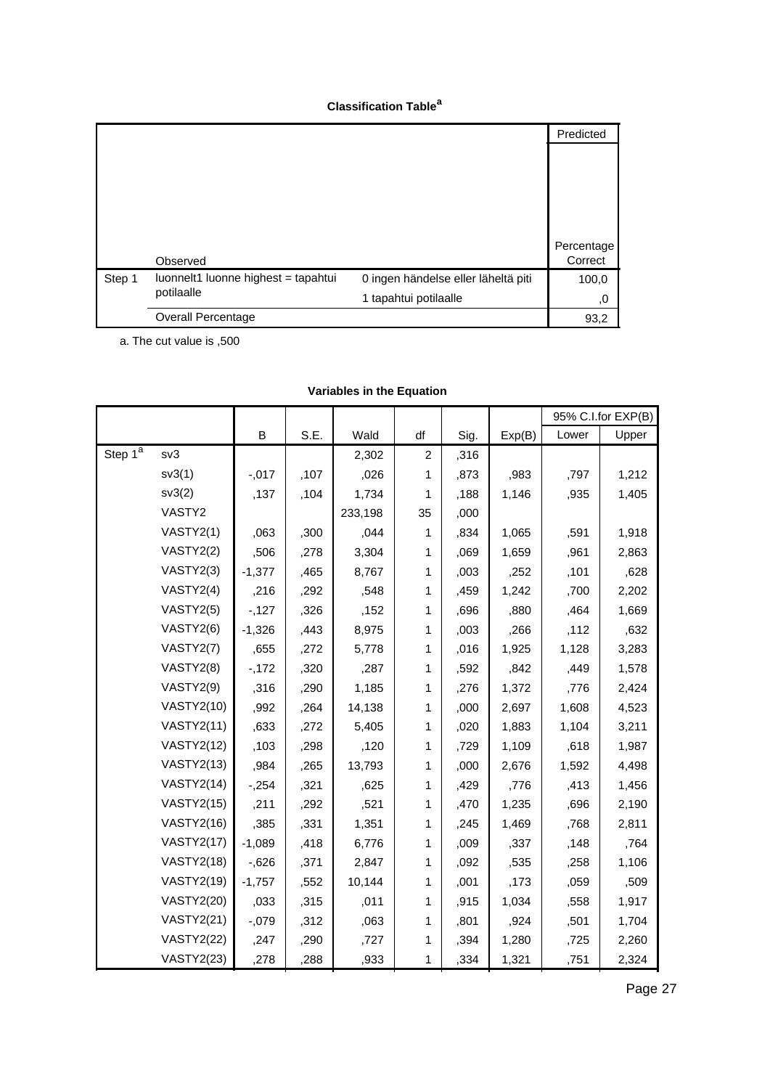#### **Classification Table<sup>a</sup>**

|        |                                     |                                     | Predicted  |
|--------|-------------------------------------|-------------------------------------|------------|
|        |                                     |                                     |            |
|        |                                     |                                     |            |
|        |                                     |                                     |            |
|        |                                     |                                     |            |
|        |                                     |                                     |            |
|        |                                     |                                     | Percentage |
|        | Observed                            |                                     | Correct    |
| Step 1 | luonnelt1 luonne highest = tapahtui | 0 ingen händelse eller läheltä piti | 100,0      |
|        | potilaalle                          | 1 tapahtui potilaalle               | ,0         |
|        | <b>Overall Percentage</b>           |                                     | 93,2       |

a. The cut value is ,500

|            |                   |          |      |         |                |      |        |       | 95% C.I.for EXP(B) |
|------------|-------------------|----------|------|---------|----------------|------|--------|-------|--------------------|
|            |                   | B        | S.E. | Wald    | df             | Sig. | Exp(B) | Lower | Upper              |
| Step $1^a$ | sv3               |          |      | 2,302   | $\overline{c}$ | ,316 |        |       |                    |
|            | sv3(1)            | $-0.017$ | ,107 | ,026    | 1              | ,873 | ,983   | ,797  | 1,212              |
|            | sv3(2)            | ,137     | ,104 | 1,734   | 1              | ,188 | 1,146  | ,935  | 1,405              |
|            | VASTY2            |          |      | 233,198 | 35             | ,000 |        |       |                    |
|            | VASTY2(1)         | ,063     | ,300 | ,044    | 1              | .834 | 1,065  | ,591  | 1,918              |
|            | VASTY2(2)         | ,506     | ,278 | 3,304   | 1              | ,069 | 1,659  | ,961  | 2,863              |
|            | VASTY2(3)         | $-1,377$ | .465 | 8,767   | 1              | ,003 | ,252   | ,101  | ,628               |
|            | VASTY2(4)         | ,216     | ,292 | ,548    | 1              | ,459 | 1,242  | ,700  | 2,202              |
|            | VASTY2(5)         | $-127$   | ,326 | ,152    | 1              | ,696 | ,880   | ,464  | 1,669              |
|            | VASTY2(6)         | $-1,326$ | ,443 | 8,975   | 1              | ,003 | ,266   | ,112  | ,632               |
|            | VASTY2(7)         | ,655     | ,272 | 5,778   | 1              | ,016 | 1,925  | 1,128 | 3,283              |
|            | VASTY2(8)         | $-172$   | ,320 | ,287    | 1              | ,592 | ,842   | .449  | 1,578              |
|            | VASTY2(9)         | ,316     | ,290 | 1,185   | 1              | ,276 | 1,372  | ,776  | 2,424              |
|            | <b>VASTY2(10)</b> | ,992     | .264 | 14,138  | 1              | ,000 | 2,697  | 1,608 | 4,523              |
|            | <b>VASTY2(11)</b> | ,633     | ,272 | 5,405   | 1              | ,020 | 1,883  | 1,104 | 3,211              |
|            | <b>VASTY2(12)</b> | ,103     | ,298 | ,120    | 1              | ,729 | 1,109  | ,618  | 1,987              |
|            | <b>VASTY2(13)</b> | ,984     | ,265 | 13,793  | 1              | ,000 | 2,676  | 1,592 | 4,498              |
|            | <b>VASTY2(14)</b> | $-254$   | ,321 | ,625    | 1              | ,429 | ,776   | ,413  | 1,456              |
|            | <b>VASTY2(15)</b> | ,211     | ,292 | ,521    | 1              | ,470 | 1,235  | ,696  | 2,190              |
|            | <b>VASTY2(16)</b> | ,385     | ,331 | 1,351   | 1              | ,245 | 1,469  | ,768  | 2,811              |
|            | <b>VASTY2(17)</b> | $-1,089$ | .418 | 6,776   | 1              | ,009 | ,337   | ,148  | ,764               |
|            | <b>VASTY2(18)</b> | $-0.626$ | ,371 | 2,847   | 1              | ,092 | ,535   | ,258  | 1,106              |
|            | <b>VASTY2(19)</b> | $-1,757$ | ,552 | 10,144  | 1              | ,001 | ,173   | ,059  | ,509               |
|            | <b>VASTY2(20)</b> | ,033     | ,315 | ,011    | 1              | ,915 | 1,034  | ,558  | 1,917              |
|            | <b>VASTY2(21)</b> | $-0.079$ | ,312 | ,063    | 1              | ,801 | ,924   | ,501  | 1,704              |
|            | <b>VASTY2(22)</b> | ,247     | ,290 | ,727    | 1              | ,394 | 1,280  | ,725  | 2,260              |
|            | <b>VASTY2(23)</b> | ,278     | ,288 | ,933    | 1              | ,334 | 1,321  | ,751  | 2,324              |

## **Variables in the Equation**

,  $307$  ,  $285$  1,  $285$  1,  $285$  1,  $285$  1,  $285$  1,  $285$  1,  $285$  1,  $285$  1,  $285$  1,  $285$  1,  $285$  1,  $285$  1,  $285$  1,  $285$  1,  $285$  1,  $285$  1,  $285$  1,  $285$  1,  $285$  1,  $285$  1,  $285$  1,  $285$  1,  $285$  1,  $285$ Page 27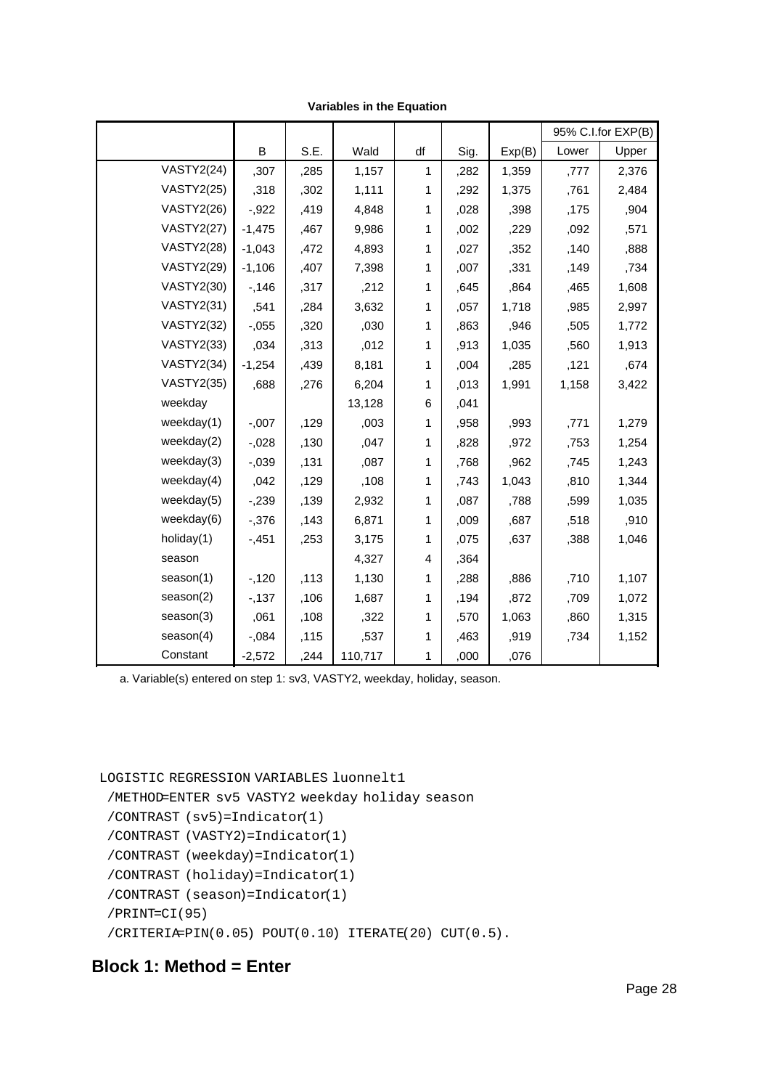|                   |          |      |         |    |      |        |       | 95% C.I.for EXP(B) |
|-------------------|----------|------|---------|----|------|--------|-------|--------------------|
|                   | B        | S.E. | Wald    | df | Sig. | Exp(B) | Lower | Upper              |
| <b>VASTY2(24)</b> | ,307     | ,285 | 1,157   | 1  | ,282 | 1,359  | ,777  | 2,376              |
| <b>VASTY2(25)</b> | ,318     | ,302 | 1,111   | 1  | ,292 | 1,375  | ,761  | 2,484              |
| <b>VASTY2(26)</b> | $-0.922$ | ,419 | 4,848   | 1  | ,028 | ,398   | ,175  | ,904               |
| <b>VASTY2(27)</b> | $-1,475$ | ,467 | 9,986   | 1  | ,002 | ,229   | ,092  | ,571               |
| <b>VASTY2(28)</b> | $-1,043$ | ,472 | 4,893   | 1  | ,027 | ,352   | ,140  | ,888               |
| <b>VASTY2(29)</b> | $-1,106$ | ,407 | 7,398   | 1  | ,007 | ,331   | ,149  | ,734               |
| <b>VASTY2(30)</b> | $-146$   | ,317 | ,212    | 1  | ,645 | ,864   | ,465  | 1,608              |
| <b>VASTY2(31)</b> | ,541     | ,284 | 3,632   | 1  | ,057 | 1,718  | ,985  | 2,997              |
| <b>VASTY2(32)</b> | $-0.055$ | ,320 | ,030    | 1  | ,863 | ,946   | ,505  | 1,772              |
| <b>VASTY2(33)</b> | ,034     | ,313 | ,012    |    | ,913 | 1,035  | ,560  | 1,913              |
| <b>VASTY2(34)</b> |          |      |         | 1  |      |        |       |                    |
|                   | $-1,254$ | ,439 | 8,181   | 1  | ,004 | ,285   | ,121  | ,674               |
| <b>VASTY2(35)</b> | ,688     | ,276 | 6,204   | 1  | ,013 | 1,991  | 1,158 | 3,422              |
| weekday           |          |      | 13,128  | 6  | ,041 |        |       |                    |
| weekday(1)        | $-0.007$ | ,129 | ,003    | 1  | ,958 | ,993   | ,771  | 1,279              |
| weekday(2)        | $-0.028$ | ,130 | ,047    | 1  | ,828 | ,972   | ,753  | 1,254              |
| weekday(3)        | $-0.039$ | ,131 | ,087    | 1  | ,768 | ,962   | ,745  | 1,243              |
| weekday $(4)$     | ,042     | ,129 | ,108    | 1  | ,743 | 1,043  | ,810  | 1,344              |
| weekday(5)        | $-239$   | ,139 | 2,932   | 1  | ,087 | ,788   | ,599  | 1,035              |
| weekday $(6)$     | $-0.376$ | ,143 | 6,871   | 1  | ,009 | ,687   | ,518  | ,910               |
| holiday(1)        | $-0.451$ | ,253 | 3,175   | 1  | ,075 | ,637   | ,388  | 1,046              |
| season            |          |      | 4,327   | 4  | ,364 |        |       |                    |
| season(1)         | $-120$   | ,113 | 1,130   | 1  | ,288 | ,886   | ,710  | 1,107              |
| season(2)         | $-137$   | ,106 | 1,687   | 1  | ,194 | ,872   | ,709  | 1,072              |
| season(3)         | ,061     | ,108 | ,322    | 1  | ,570 | 1,063  | ,860  | 1,315              |
| season(4)         | $-0.084$ | ,115 | ,537    | 1  | ,463 | ,919   | ,734  | 1,152              |
| Constant          | $-2,572$ | ,244 | 110,717 | 1  | ,000 | ,076   |       |                    |

**Variables in the Equation**

a. Variable(s) entered on step 1: sv3, VASTY2, weekday, holiday, season.

```
LOGISTIC REGRESSION VARIABLES luonnelt1
```

```
 /METHOD=ENTER sv5 VASTY2 weekday holiday season
/CONTRAST (sv5)=Indicator(1)
/CONTRAST (VASTY2)=Indicator(1)
/CONTRAST (weekday)=Indicator(1)
/CONTRAST (holiday)=Indicator(1)
/CONTRAST (season)=Indicator(1)
/PRINT=CI(95)
/CRITERIA=PIN(0.05) POUT(0.10) ITERATE(20) CUT(0.5).
```
# **Block 1: Method = Enter**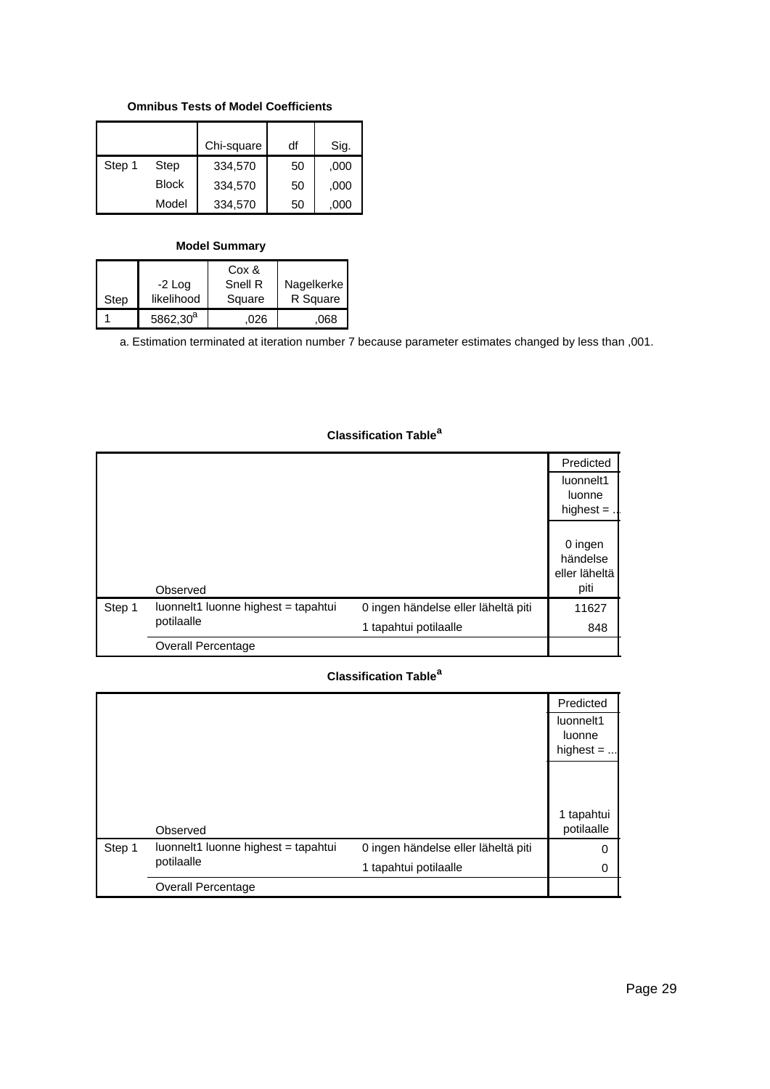#### **Omnibus Tests of Model Coefficients**

|        |              | Chi-square | df | Sig. |
|--------|--------------|------------|----|------|
| Step 1 | Step         | 334,570    | 50 | ,000 |
|        | <b>Block</b> | 334,570    | 50 | ,000 |
|        | Model        | 334,570    | 50 | .000 |

#### **Model Summary**

|      |               | Cox &   |            |
|------|---------------|---------|------------|
|      | $-2$ Log      | Snell R | Nagelkerke |
| Step | likelihood    | Square  | R Square   |
|      | $5862,30^{a}$ | .026    | .068       |

a. Estimation terminated at iteration number 7 because parameter estimates changed by less than ,001.

|        |                                     |                                     | Predicted<br>luonnelt1<br>luonne<br>highest $=$ . |
|--------|-------------------------------------|-------------------------------------|---------------------------------------------------|
|        | Observed                            |                                     | 0 ingen<br>händelse<br>eller läheltä<br>piti      |
| Step 1 | luonnelt1 luonne highest = tapahtui | 0 ingen händelse eller läheltä piti | 11627                                             |
|        | potilaalle                          | 1 tapahtui potilaalle               | 848                                               |
|        | <b>Overall Percentage</b>           |                                     |                                                   |

### **Classification Table<sup>a</sup>**

|        |                                     |                                     | Predicted                          |
|--------|-------------------------------------|-------------------------------------|------------------------------------|
|        |                                     |                                     | luonnelt1<br>luonne<br>highest $=$ |
|        |                                     |                                     | 1 tapahtui                         |
|        | Observed                            |                                     | potilaalle                         |
| Step 1 | luonnelt1 luonne highest = tapahtui | 0 ingen händelse eller läheltä piti | 0                                  |
|        | potilaalle                          | 1 tapahtui potilaalle               | 0                                  |
|        | <b>Overall Percentage</b>           |                                     |                                    |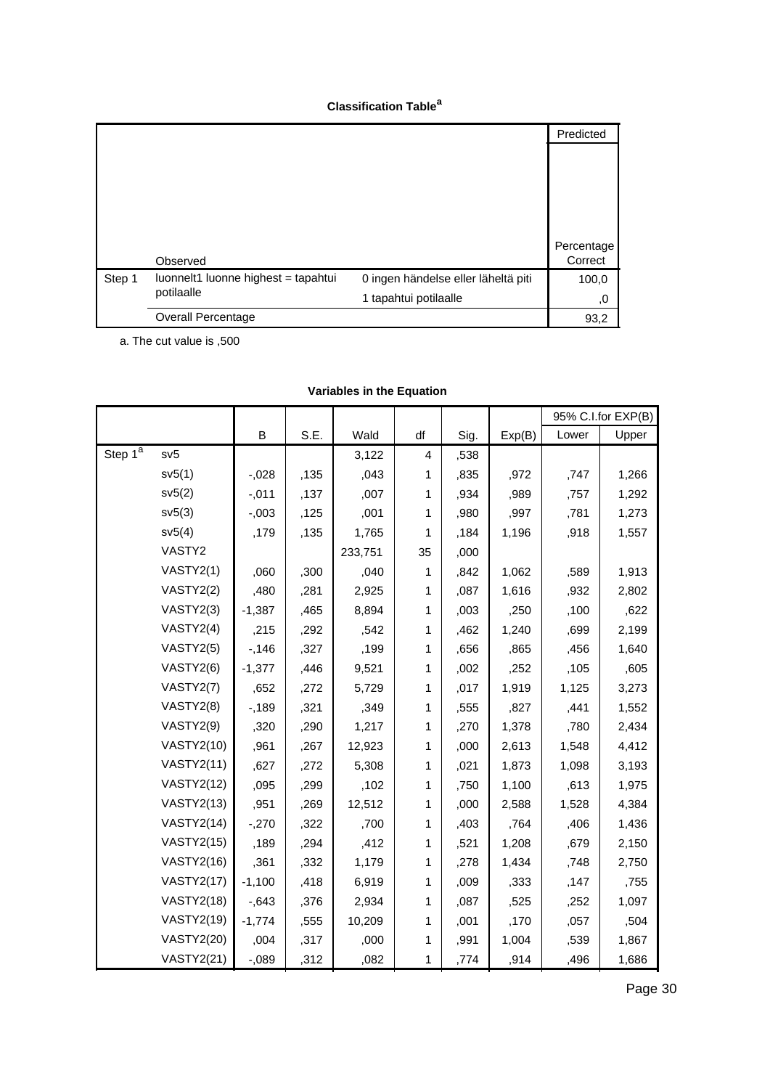#### **Classification Table<sup>a</sup>**

|        |                                     |                                     | Predicted  |
|--------|-------------------------------------|-------------------------------------|------------|
|        |                                     |                                     |            |
|        |                                     |                                     |            |
|        |                                     |                                     |            |
|        |                                     |                                     |            |
|        |                                     |                                     |            |
|        |                                     |                                     | Percentage |
|        | Observed                            |                                     | Correct    |
| Step 1 | luonnelt1 luonne highest = tapahtui | 0 ingen händelse eller läheltä piti | 100,0      |
|        | potilaalle                          | 1 tapahtui potilaalle               | 0,         |
|        | Overall Percentage                  |                                     | 93,2       |

a. The cut value is ,500

|            |                   |          |      |         |                |      |        |       | 95% C.I.for EXP(B) |
|------------|-------------------|----------|------|---------|----------------|------|--------|-------|--------------------|
|            |                   | B        | S.E. | Wald    | df             | Sig. | Exp(B) | Lower | Upper              |
| Step $1^a$ | sv5               |          |      | 3,122   | $\overline{4}$ | ,538 |        |       |                    |
|            | sv5(1)            | $-0.028$ | ,135 | ,043    | 1              | ,835 | ,972   | ,747  | 1,266              |
|            | sv5(2)            | $-0.011$ | ,137 | ,007    | 1              | ,934 | ,989   | ,757  | 1,292              |
|            | sv5(3)            | $-0.003$ | ,125 | ,001    | 1              | .980 | ,997   | ,781  | 1,273              |
|            | sv5(4)            | ,179     | ,135 | 1,765   | 1              | ,184 | 1,196  | ,918  | 1,557              |
|            | VASTY2            |          |      | 233,751 | 35             | ,000 |        |       |                    |
|            | VASTY2(1)         | ,060     | ,300 | 040     | 1              | .842 | 1,062  | .589  | 1,913              |
|            | VASTY2(2)         | ,480     | ,281 | 2,925   | 1              | ,087 | 1,616  | ,932  | 2,802              |
|            | VASTY2(3)         | $-1,387$ | ,465 | 8,894   | 1              | ,003 | ,250   | ,100  | ,622               |
|            | VASTY2(4)         | ,215     | ,292 | .542    | 1              | .462 | 1,240  | .699  | 2,199              |
|            | VASTY2(5)         | $-0.146$ | ,327 | ,199    | 1              | ,656 | ,865   | ,456  | 1,640              |
|            | VASTY2(6)         | $-1,377$ | ,446 | 9,521   | 1              | ,002 | ,252   | ,105  | ,605               |
|            | VASTY2(7)         | ,652     | ,272 | 5,729   | 1              | ,017 | 1,919  | 1,125 | 3,273              |
|            | VASTY2(8)         | $-189$   | ,321 | ,349    | 1              | ,555 | ,827   | ,441  | 1,552              |
|            | VASTY2(9)         | ,320     | ,290 | 1,217   | 1              | ,270 | 1,378  | ,780  | 2,434              |
|            | <b>VASTY2(10)</b> | ,961     | ,267 | 12,923  | 1              | ,000 | 2,613  | 1,548 | 4,412              |
|            | <b>VASTY2(11)</b> | ,627     | ,272 | 5,308   | 1              | ,021 | 1,873  | 1,098 | 3,193              |
|            | <b>VASTY2(12)</b> | ,095     | ,299 | ,102    | 1              | ,750 | 1,100  | ,613  | 1,975              |
|            | <b>VASTY2(13)</b> | ,951     | ,269 | 12,512  | 1              | ,000 | 2,588  | 1,528 | 4,384              |
|            | <b>VASTY2(14)</b> | $-270$   | ,322 | ,700    | 1              | ,403 | ,764   | ,406  | 1,436              |
|            | <b>VASTY2(15)</b> | ,189     | ,294 | ,412    | 1              | ,521 | 1,208  | ,679  | 2,150              |
|            | <b>VASTY2(16)</b> | ,361     | ,332 | 1,179   | 1              | .278 | 1,434  | ,748  | 2,750              |
|            | <b>VASTY2(17)</b> | $-1,100$ | ,418 | 6,919   | 1              | ,009 | ,333   | ,147  | ,755               |
|            | <b>VASTY2(18)</b> | $-0.643$ | ,376 | 2,934   | 1              | ,087 | ,525   | ,252  | 1,097              |
|            | <b>VASTY2(19)</b> | $-1,774$ | ,555 | 10,209  | 1              | .001 | ,170   | ,057  | ,504               |
|            | <b>VASTY2(20)</b> | ,004     | ,317 | ,000    | 1              | ,991 | 1,004  | ,539  | 1,867              |
|            | <b>VASTY2(21)</b> | $-0.089$ | ,312 | ,082    | 1              | ,774 | ,914   | ,496  | 1,686              |

## **Variables in the Equation**

,245 ,290 ,713 1 ,398 1,277 ,724 2,255 Page 30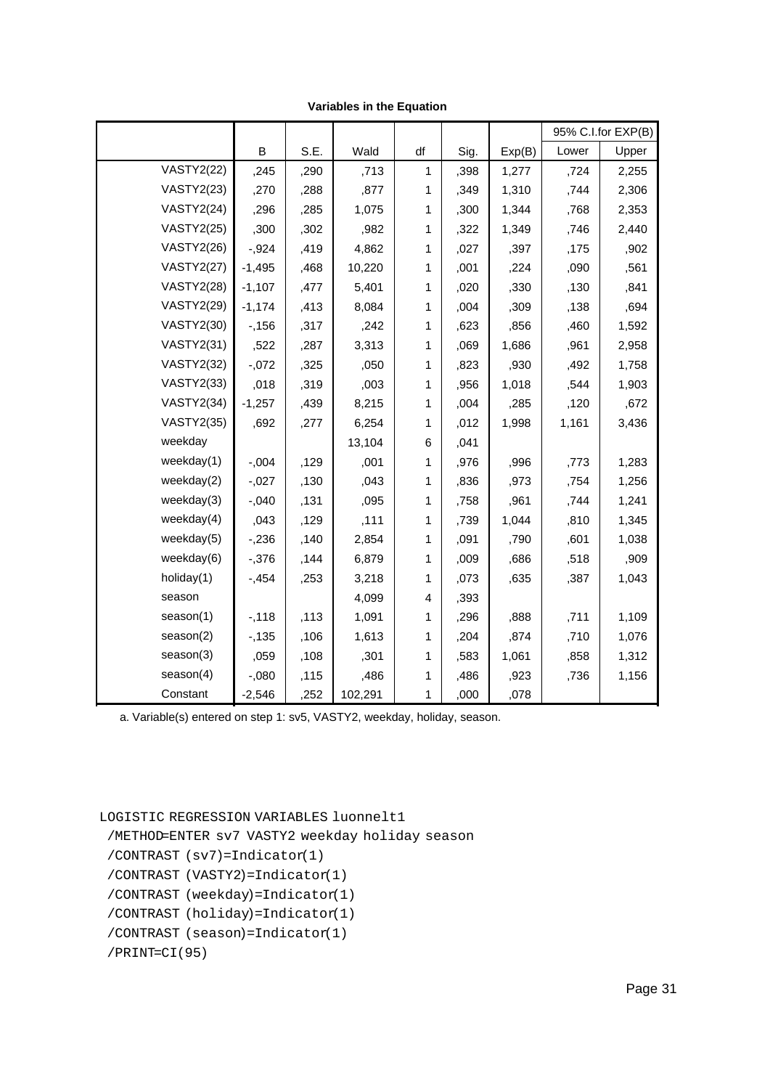|                   |          |      |         |    |      |        |       | 95% C.I.for EXP(B) |
|-------------------|----------|------|---------|----|------|--------|-------|--------------------|
|                   | B        | S.E. | Wald    | df | Sig. | Exp(B) | Lower | Upper              |
| <b>VASTY2(22)</b> | ,245     | ,290 | ,713    | 1  | ,398 | 1,277  | ,724  | 2,255              |
| <b>VASTY2(23)</b> | ,270     | ,288 | ,877    | 1  | ,349 | 1,310  | ,744  | 2,306              |
| <b>VASTY2(24)</b> | ,296     | ,285 | 1,075   | 1  | ,300 | 1,344  | ,768  | 2,353              |
| <b>VASTY2(25)</b> | ,300     | ,302 | ,982    | 1  | ,322 | 1,349  | ,746  | 2,440              |
| <b>VASTY2(26)</b> | $-0.924$ | ,419 | 4,862   | 1  | ,027 | ,397   | ,175  | ,902               |
| <b>VASTY2(27)</b> | $-1,495$ | ,468 | 10,220  | 1  | ,001 | ,224   | ,090  | ,561               |
| <b>VASTY2(28)</b> | $-1,107$ | ,477 | 5,401   | 1  | ,020 | ,330   | ,130  | ,841               |
| <b>VASTY2(29)</b> | $-1,174$ | ,413 | 8,084   | 1  | ,004 | ,309   | ,138  | ,694               |
| <b>VASTY2(30)</b> | $-156$   | ,317 | ,242    | 1  | ,623 | ,856   | ,460  | 1,592              |
| <b>VASTY2(31)</b> | ,522     | ,287 | 3,313   | 1  | ,069 | 1,686  | ,961  | 2,958              |
| <b>VASTY2(32)</b> | $-0.072$ | ,325 | ,050    | 1  | ,823 | ,930   | ,492  | 1,758              |
| <b>VASTY2(33)</b> | ,018     | ,319 | ,003    | 1  | ,956 | 1,018  | ,544  | 1,903              |
| <b>VASTY2(34)</b> | $-1,257$ | ,439 | 8,215   | 1  | ,004 | ,285   | ,120  | ,672               |
| <b>VASTY2(35)</b> | ,692     | ,277 | 6,254   | 1  | ,012 | 1,998  | 1,161 | 3,436              |
| weekday           |          |      | 13,104  | 6  | ,041 |        |       |                    |
| weekday(1)        | $-0.004$ | ,129 | ,001    | 1  | ,976 | ,996   | ,773  | 1,283              |
| weekday(2)        | $-0.027$ | ,130 | ,043    | 1  | ,836 | ,973   | ,754  | 1,256              |
| weekday(3)        | $-0.040$ | ,131 | ,095    | 1  | ,758 | ,961   | ,744  | 1,241              |
| weekday(4)        | ,043     | ,129 | ,111    | 1  | ,739 | 1,044  | ,810  | 1,345              |
| weekday $(5)$     | $-236$   | ,140 | 2,854   | 1  | ,091 | ,790   | ,601  | 1,038              |
| weekday(6)        | $-0.376$ | ,144 | 6,879   | 1  | ,009 | ,686   | ,518  | ,909               |
| holiday(1)        | $-0.454$ | ,253 | 3,218   | 1  | ,073 | ,635   | ,387  | 1,043              |
| season            |          |      | 4,099   | 4  | ,393 |        |       |                    |
| season(1)         | $-118$   | ,113 | 1,091   | 1  | ,296 | ,888   | ,711  | 1,109              |
| season(2)         | $-135$   | ,106 | 1,613   | 1  | ,204 | ,874   | ,710  | 1,076              |
| season(3)         | ,059     | ,108 | ,301    | 1  | ,583 | 1,061  | ,858  | 1,312              |
| season(4)         | $-0.080$ | ,115 | ,486    | 1  | ,486 | ,923   | ,736  | 1,156              |
| Constant          | $-2,546$ | ,252 | 102,291 | 1  | ,000 | ,078   |       |                    |

**Variables in the Equation**

a. Variable(s) entered on step 1: sv5, VASTY2, weekday, holiday, season.

LOGISTIC REGRESSION VARIABLES luonnelt1

/METHOD=ENTER sv7 VASTY2 weekday holiday season

/CONTRAST (sv7)=Indicator(1)

/CONTRAST (VASTY2)=Indicator(1)

/CONTRAST (weekday)=Indicator(1)

/CONTRAST (holiday)=Indicator(1)

/CONTRAST (season)=Indicator(1)

/PRINT=CI(95)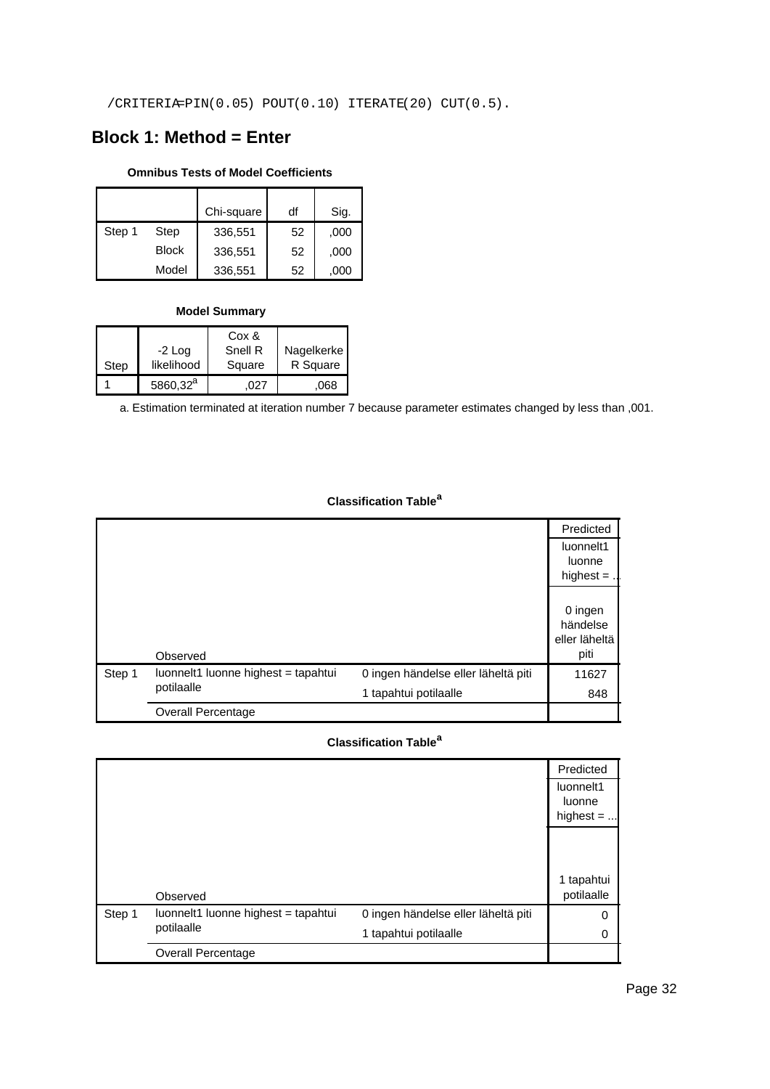/CRITERIA=PIN(0.05) POUT(0.10) ITERATE(20) CUT(0.5).

## **Block 1: Method = Enter**

#### **Omnibus Tests of Model Coefficients**

|        |              | Chi-square | df | Sig. |
|--------|--------------|------------|----|------|
| Step 1 | Step         | 336,551    | 52 | ,000 |
|        | <b>Block</b> | 336,551    | 52 | ,000 |
|        | Model        | 336,551    | 52 | .000 |

#### **Model Summary**

|      |                | Cox &   |            |
|------|----------------|---------|------------|
|      | $-2$ Log       | Snell R | Nagelkerke |
| Step | likelihood     | Square  | R Square   |
|      | 5860,32 $^{a}$ | .027    | .068       |

a. Estimation terminated at iteration number 7 because parameter estimates changed by less than ,001.

#### **Classification Table<sup>a</sup>**

|        |                                     |                                     | Predicted     |
|--------|-------------------------------------|-------------------------------------|---------------|
|        |                                     |                                     | luonnelt1     |
|        |                                     |                                     | luonne        |
|        |                                     |                                     | highest $=$ . |
|        |                                     |                                     |               |
|        |                                     |                                     | 0 ingen       |
|        |                                     |                                     | händelse      |
|        |                                     |                                     | eller läheltä |
|        | Observed                            |                                     | piti          |
| Step 1 | luonnelt1 luonne highest = tapahtui | 0 ingen händelse eller läheltä piti | 11627         |
|        | potilaalle                          | 1 tapahtui potilaalle               | 848           |
|        | Overall Percentage                  |                                     |               |

|        |                                     |                                     | Predicted   |
|--------|-------------------------------------|-------------------------------------|-------------|
|        |                                     |                                     | luonnelt1   |
|        |                                     |                                     | luonne      |
|        |                                     |                                     | highest $=$ |
|        |                                     |                                     |             |
|        |                                     |                                     |             |
|        |                                     |                                     | 1 tapahtui  |
|        | Observed                            |                                     | potilaalle  |
| Step 1 | luonnelt1 luonne highest = tapahtui | 0 ingen händelse eller läheltä piti | 0           |
|        | potilaalle                          | 1 tapahtui potilaalle               | 0           |
|        | Overall Percentage                  |                                     |             |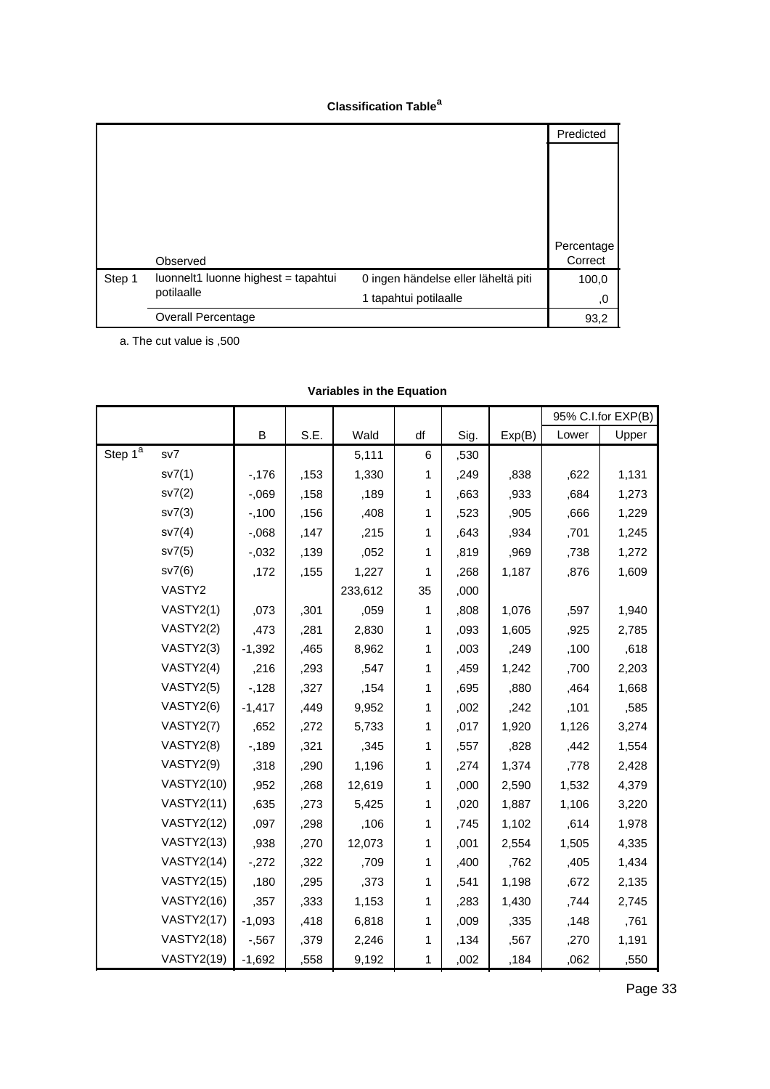#### **Classification Table<sup>a</sup>**

|        |                                     |                                     | Predicted  |
|--------|-------------------------------------|-------------------------------------|------------|
|        |                                     |                                     |            |
|        |                                     |                                     |            |
|        |                                     |                                     |            |
|        |                                     |                                     |            |
|        |                                     |                                     |            |
|        |                                     |                                     | Percentage |
|        | Observed                            |                                     | Correct    |
| Step 1 | luonnelt1 luonne highest = tapahtui | 0 ingen händelse eller läheltä piti | 100,0      |
|        | potilaalle                          | 1 tapahtui potilaalle               | 0,         |
|        | Overall Percentage                  |                                     | 93,2       |

a. The cut value is ,500

|            |                   |          |      |         |    |      |        |       | 95% C.I.for EXP(B) |
|------------|-------------------|----------|------|---------|----|------|--------|-------|--------------------|
|            |                   | B        | S.E. | Wald    | df | Sig. | Exp(B) | Lower | Upper              |
| Step $1^a$ | sv7               |          |      | 5,111   | 6  | ,530 |        |       |                    |
|            | sv7(1)            | $-176$   | ,153 | 1,330   | 1  | ,249 | ,838   | ,622  | 1,131              |
|            | sv7(2)            | $-0.069$ | ,158 | ,189    | 1  | ,663 | ,933   | ,684  | 1,273              |
|            | sv7(3)            | $-100$   | ,156 | ,408    | 1  | ,523 | ,905   | ,666  | 1,229              |
|            | sv7(4)            | $-0.068$ | ,147 | ,215    | 1  | ,643 | ,934   | ,701  | 1,245              |
|            | sv7(5)            | $-0.032$ | ,139 | ,052    | 1  | .819 | ,969   | ,738  | 1,272              |
|            | sv7(6)            | ,172     | ,155 | 1,227   | 1  | ,268 | 1,187  | ,876  | 1,609              |
|            | VASTY2            |          |      | 233,612 | 35 | ,000 |        |       |                    |
|            | VASTY2(1)         | ,073     | ,301 | .059    | 1  | .808 | 1,076  | ,597  | 1,940              |
|            | VASTY2(2)         | ,473     | ,281 | 2,830   | 1  | ,093 | 1,605  | ,925  | 2,785              |
|            | VASTY2(3)         | $-1,392$ | ,465 | 8,962   | 1  | ,003 | ,249   | ,100  | ,618               |
|            | VASTY2(4)         | ,216     | ,293 | ,547    | 1  | ,459 | 1,242  | ,700  | 2,203              |
|            | VASTY2(5)         | $-128$   | ,327 | ,154    | 1  | ,695 | ,880   | ,464  | 1,668              |
|            | VASTY2(6)         | $-1,417$ | .449 | 9,952   | 1  | ,002 | ,242   | ,101  | ,585               |
|            | VASTY2(7)         | ,652     | ,272 | 5,733   | 1  | ,017 | 1,920  | 1,126 | 3,274              |
|            | VASTY2(8)         | $-189$   | ,321 | ,345    | 1  | ,557 | ,828   | ,442  | 1,554              |
|            | VASTY2(9)         | ,318     | ,290 | 1,196   | 1  | .274 | 1,374  | ,778  | 2,428              |
|            | <b>VASTY2(10)</b> | ,952     | ,268 | 12,619  | 1  | ,000 | 2,590  | 1,532 | 4,379              |
|            | <b>VASTY2(11)</b> | ,635     | ,273 | 5,425   | 1  | ,020 | 1,887  | 1,106 | 3,220              |
|            | <b>VASTY2(12)</b> | ,097     | ,298 | ,106    | 1  | ,745 | 1,102  | ,614  | 1,978              |
|            | <b>VASTY2(13)</b> | ,938     | ,270 | 12,073  | 1  | ,001 | 2,554  | 1,505 | 4,335              |
|            | <b>VASTY2(14)</b> | $-272$   | ,322 | ,709    | 1  | ,400 | ,762   | ,405  | 1,434              |
|            | <b>VASTY2(15)</b> | ,180     | ,295 | ,373    | 1  | ,541 | 1,198  | ,672  | 2,135              |
|            | <b>VASTY2(16)</b> | ,357     | ,333 | 1,153   | 1  | ,283 | 1,430  | ,744  | 2,745              |
|            | <b>VASTY2(17)</b> | $-1,093$ | ,418 | 6,818   | 1  | ,009 | ,335   | ,148  | ,761               |
|            | <b>VASTY2(18)</b> | $-0.567$ | ,379 | 2,246   | 1  | ,134 | ,567   | ,270  | 1,191              |
|            | <b>VASTY2(19)</b> | $-1,692$ | ,558 | 9,192   | 1  | ,002 | ,184   | ,062  | ,550               |

## **Variables in the Equation**

 $-$ ,008  $-$ ,001  $-$ ,001  $-$ ,001  $-$ ,001  $-$ ,001  $-$ ,001  $-$ ,001  $-$ ,001  $-$ ,001  $-$ ,001  $-$ ,001  $-$ ,001  $-$ ,001  $-$ ,001  $-$ ,001  $-$ ,001  $-$ ,001  $-$ ,001  $-$ ,001  $-$ ,001  $-$ ,001  $-$ ,001  $-$ ,001  $-$ ,001  $-$ ,001  $-$ ,001  $-$ ,0 Page 33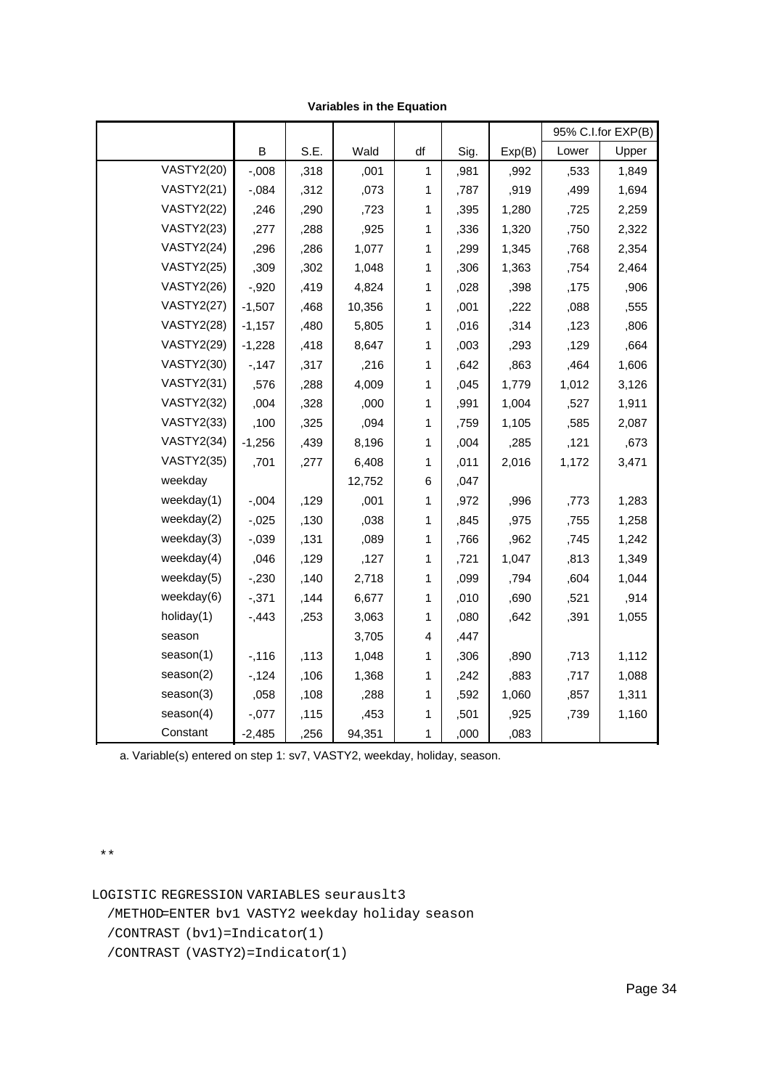|                   |          |      |        |              |      |        |       | 95% C.I.for EXP(B) |
|-------------------|----------|------|--------|--------------|------|--------|-------|--------------------|
|                   | B        | S.E. | Wald   | df           | Sig. | Exp(B) | Lower | Upper              |
| <b>VASTY2(20)</b> | $-0.008$ | ,318 | ,001   | 1            | ,981 | ,992   | ,533  | 1,849              |
| <b>VASTY2(21)</b> | $-0.084$ | ,312 | ,073   | 1            | ,787 | ,919   | ,499  | 1,694              |
| <b>VASTY2(22)</b> | ,246     | ,290 | ,723   | 1            | ,395 | 1,280  | ,725  | 2,259              |
| <b>VASTY2(23)</b> | ,277     | ,288 | ,925   | 1            | ,336 | 1,320  | ,750  | 2,322              |
| <b>VASTY2(24)</b> | ,296     | ,286 | 1,077  | 1            | ,299 | 1,345  | ,768  | 2,354              |
| <b>VASTY2(25)</b> | ,309     | ,302 | 1,048  | 1            | ,306 | 1,363  | ,754  | 2,464              |
| <b>VASTY2(26)</b> | $-0.920$ | ,419 | 4,824  | 1            | ,028 | ,398   | ,175  | ,906               |
| <b>VASTY2(27)</b> | $-1,507$ | ,468 | 10,356 | 1            | ,001 | ,222   | ,088  | ,555               |
| <b>VASTY2(28)</b> | $-1,157$ | ,480 | 5,805  | 1            | ,016 | ,314   | ,123  | ,806               |
| <b>VASTY2(29)</b> | $-1,228$ | ,418 | 8,647  | 1            | ,003 | ,293   | ,129  | ,664               |
| <b>VASTY2(30)</b> | $-147$   | ,317 | ,216   | 1            | .642 | ,863   | ,464  | 1,606              |
| <b>VASTY2(31)</b> | ,576     | ,288 | 4,009  | 1            | ,045 | 1,779  | 1,012 | 3,126              |
| <b>VASTY2(32)</b> | ,004     | ,328 | ,000   | 1            | ,991 | 1,004  | ,527  | 1,911              |
| <b>VASTY2(33)</b> | ,100     | ,325 | ,094   | 1            | ,759 | 1,105  | ,585  | 2,087              |
| <b>VASTY2(34)</b> | $-1,256$ | ,439 | 8,196  | 1            | ,004 | ,285   | ,121  | ,673               |
| <b>VASTY2(35)</b> | ,701     | ,277 | 6,408  | 1            | ,011 | 2,016  | 1,172 | 3,471              |
| weekday           |          |      | 12,752 | 6            | ,047 |        |       |                    |
| weekday(1)        | $-0.004$ | ,129 | ,001   | 1            | ,972 | ,996   | ,773  | 1,283              |
| weekday(2)        | $-0.025$ | ,130 | ,038   | 1            | ,845 | ,975   | ,755  | 1,258              |
| weekday(3)        | $-0.039$ | ,131 | ,089   | 1            | ,766 | ,962   | ,745  | 1,242              |
| weekday(4)        | ,046     | ,129 | ,127   | 1            | ,721 | 1,047  | ,813  | 1,349              |
| weekday(5)        | $-230$   | ,140 | 2,718  | 1            | ,099 | ,794   | ,604  | 1,044              |
| weekday(6)        | $-0.371$ | ,144 | 6,677  | 1            | ,010 | ,690   | ,521  | ,914               |
| holiday(1)        | $-0.443$ | ,253 | 3,063  | 1            | ,080 | ,642   | ,391  | 1,055              |
| season            |          |      | 3,705  | 4            | ,447 |        |       |                    |
| season(1)         | $-0.116$ | ,113 | 1,048  | 1            | ,306 | ,890   | ,713  | 1,112              |
| season(2)         | $-124$   | ,106 | 1,368  | 1            | ,242 | ,883   | ,717  | 1,088              |
| season(3)         | ,058     | ,108 | ,288   | 1            | ,592 | 1,060  | ,857  | 1,311              |
| season(4)         | $-0.077$ | ,115 | ,453   | 1            | ,501 | ,925   | ,739  | 1,160              |
| Constant          | $-2,485$ | ,256 | 94,351 | $\mathbf{1}$ | ,000 | ,083   |       |                    |

**Variables in the Equation**

a. Variable(s) entered on step 1: sv7, VASTY2, weekday, holiday, season.

\*\*

LOGISTIC REGRESSION VARIABLES seurauslt3 /METHOD=ENTER bv1 VASTY2 weekday holiday season /CONTRAST (bv1)=Indicator(1) /CONTRAST (VASTY2)=Indicator(1)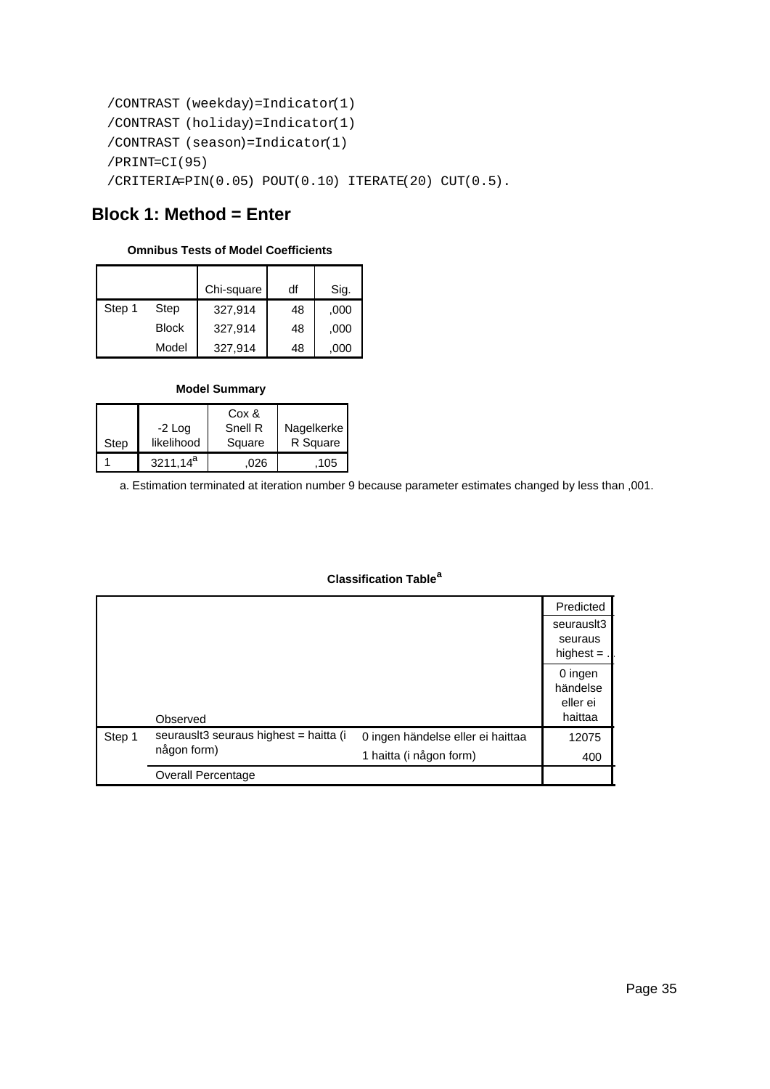```
 /CONTRAST (weekday)=Indicator(1)
/CONTRAST (holiday)=Indicator(1)
/CONTRAST (season)=Indicator(1)
/PRINT=CI(95)
/CRITERIA=PIN(0.05) POUT(0.10) ITERATE(20) CUT(0.5).
```
# **Block 1: Method = Enter**

#### **Omnibus Tests of Model Coefficients**

|        |              | Chi-square | df | Sig. |
|--------|--------------|------------|----|------|
| Step 1 | Step         | 327,914    | 48 | ,000 |
|        | <b>Block</b> | 327,914    | 48 | ,000 |
|        | Model        | 327,914    | 48 | ,000 |

#### **Model Summary**

| Step | $-2$ Log<br>likelihood | Cox &<br>Snell R<br>Square | Nagelkerke<br>R Square |
|------|------------------------|----------------------------|------------------------|
|      |                        |                            | .105                   |
|      | $3211.14^a$            | .026                       |                        |

a. Estimation terminated at iteration number 9 because parameter estimates changed by less than ,001.

|        |                                        |                                   | Predicted   |
|--------|----------------------------------------|-----------------------------------|-------------|
|        |                                        |                                   | seurausit3  |
|        |                                        |                                   | seuraus     |
|        |                                        |                                   | highest $=$ |
|        |                                        |                                   | 0 ingen     |
|        |                                        |                                   | händelse    |
|        |                                        |                                   | eller ei    |
|        | Observed                               |                                   | haittaa     |
| Step 1 | seurauslt3 seuraus highest = haitta (i | 0 ingen händelse eller ei haittaa | 12075       |
|        | någon form)                            | 1 haitta (i någon form)           | 400         |
|        | Overall Percentage                     |                                   |             |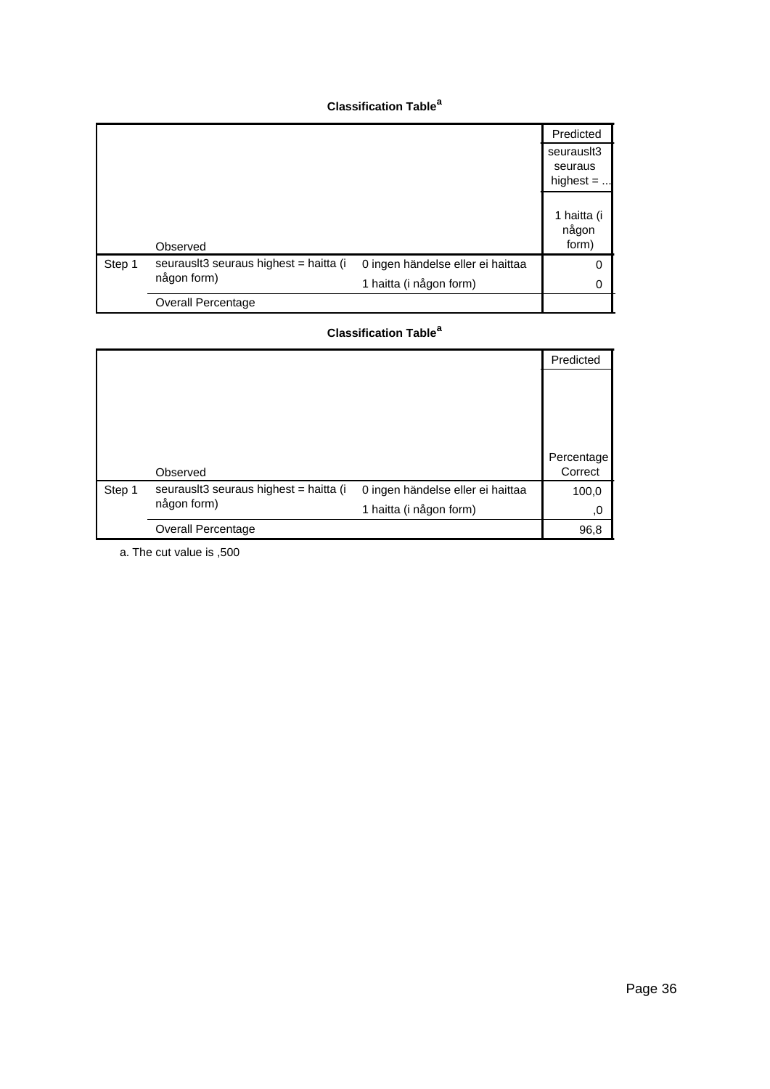#### **Classification Table<sup>a</sup>**

|        |                                                       |                                   | Predicted    |
|--------|-------------------------------------------------------|-----------------------------------|--------------|
|        |                                                       |                                   | seurausit3   |
|        |                                                       |                                   | seuraus      |
|        |                                                       |                                   | highest $= $ |
|        |                                                       |                                   |              |
|        |                                                       |                                   | 1 haitta (i  |
|        |                                                       |                                   | någon        |
|        | Observed                                              |                                   | form)        |
| Step 1 | seurausit3 seuraus highest = haitta (i<br>någon form) | 0 ingen händelse eller ei haittaa | 0            |
|        |                                                       | 1 haitta (i någon form)           | 0            |
|        | Overall Percentage                                    |                                   |              |

## **Classification Table<sup>a</sup>**

|        |                                        |                                   | Predicted  |
|--------|----------------------------------------|-----------------------------------|------------|
|        |                                        |                                   |            |
|        |                                        |                                   |            |
|        |                                        |                                   |            |
|        |                                        |                                   |            |
|        |                                        |                                   | Percentage |
|        | Observed                               |                                   | Correct    |
| Step 1 | seurauslt3 seuraus highest = haitta (i | 0 ingen händelse eller ei haittaa | 100,0      |
|        | någon form)                            | 1 haitta (i någon form)           | ,0         |
|        | <b>Overall Percentage</b>              |                                   | 96,8       |

a. The cut value is ,500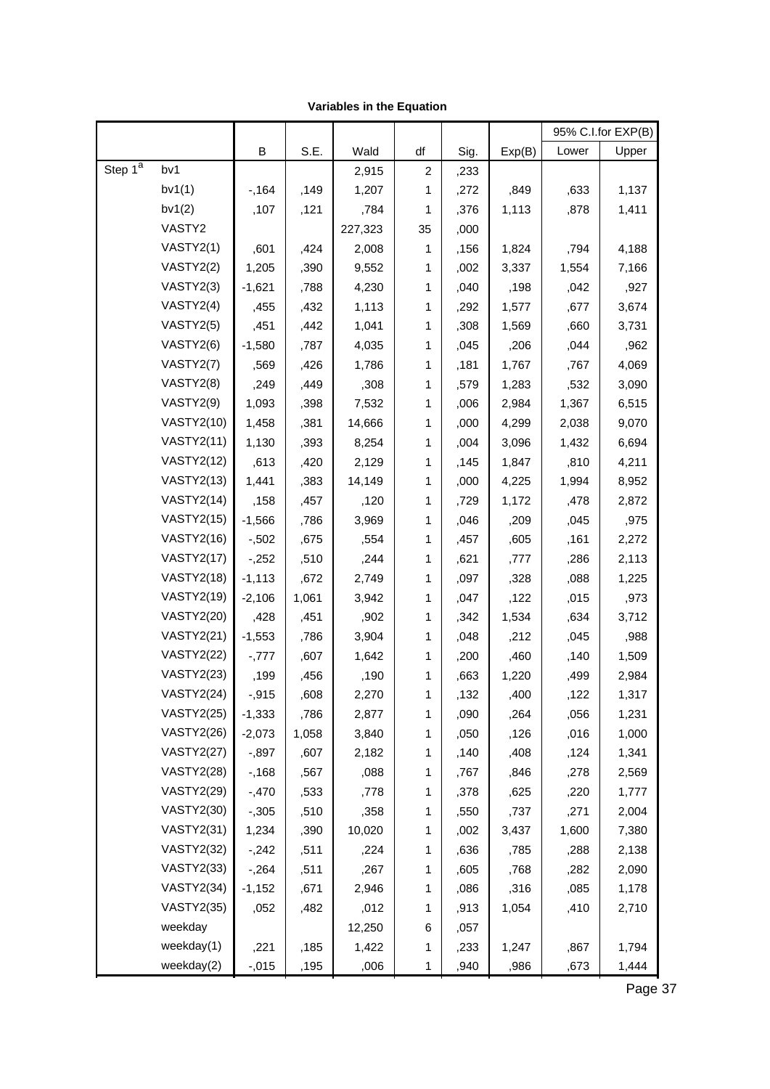|                     |                   |          |       |         |              |      |        |       | 95% C.I.for EXP(B) |
|---------------------|-------------------|----------|-------|---------|--------------|------|--------|-------|--------------------|
|                     |                   | B        | S.E.  | Wald    | df           | Sig. | Exp(B) | Lower | Upper              |
| Step 1 <sup>a</sup> | bv1               |          |       | 2,915   | 2            | ,233 |        |       |                    |
|                     | bv1(1)            | $-164$   | ,149  | 1,207   | 1            | ,272 | ,849   | ,633  | 1,137              |
|                     | bv1(2)            | ,107     | ,121  | ,784    | 1            | ,376 | 1,113  | ,878  | 1,411              |
|                     | VASTY2            |          |       | 227,323 | 35           | ,000 |        |       |                    |
|                     | VASTY2(1)         | ,601     | ,424  | 2,008   | 1            | ,156 | 1,824  | ,794  | 4,188              |
|                     | VASTY2(2)         | 1,205    | ,390  | 9,552   | 1            | ,002 | 3,337  | 1,554 | 7,166              |
|                     | VASTY2(3)         | $-1,621$ | ,788  | 4,230   | 1            | ,040 | ,198   | ,042  | ,927               |
|                     | VASTY2(4)         | ,455     | ,432  | 1,113   | 1            | ,292 | 1,577  | ,677  | 3,674              |
|                     | VASTY2(5)         | ,451     | ,442  | 1,041   | 1            | ,308 | 1,569  | ,660  | 3,731              |
|                     | VASTY2(6)         | $-1,580$ | ,787  | 4,035   | 1            | ,045 | ,206   | ,044  | ,962               |
|                     | VASTY2(7)         | ,569     | ,426  | 1,786   | 1            | ,181 | 1,767  | ,767  | 4,069              |
|                     | VASTY2(8)         | ,249     | ,449  | ,308    | 1            | ,579 | 1,283  | ,532  | 3,090              |
|                     | VASTY2(9)         | 1,093    | ,398  | 7,532   | 1            | ,006 | 2,984  | 1,367 | 6,515              |
|                     | <b>VASTY2(10)</b> | 1,458    | ,381  | 14,666  | 1            | ,000 | 4,299  | 2,038 | 9,070              |
|                     | <b>VASTY2(11)</b> | 1,130    | ,393  | 8,254   | 1            | ,004 | 3,096  | 1,432 | 6,694              |
|                     | <b>VASTY2(12)</b> | ,613     | ,420  | 2,129   | 1            | ,145 | 1,847  | ,810  | 4,211              |
|                     | <b>VASTY2(13)</b> | 1,441    | ,383  | 14,149  | 1            | ,000 | 4,225  | 1,994 | 8,952              |
|                     | <b>VASTY2(14)</b> | ,158     | ,457  | ,120    | 1            | ,729 | 1,172  | ,478  | 2,872              |
|                     | <b>VASTY2(15)</b> | $-1,566$ | ,786  | 3,969   | 1            | ,046 | ,209   | ,045  | ,975               |
|                     | <b>VASTY2(16)</b> | $-0.502$ | ,675  | ,554    | 1            | ,457 | ,605   | ,161  | 2,272              |
|                     | <b>VASTY2(17)</b> | $-252$   | ,510  | ,244    | 1            | ,621 | ,777   | ,286  | 2,113              |
|                     | <b>VASTY2(18)</b> | $-1,113$ | ,672  | 2,749   | 1            | ,097 | ,328   | ,088  | 1,225              |
|                     | <b>VASTY2(19)</b> | $-2,106$ | 1,061 | 3,942   | 1            | ,047 | ,122   | ,015  | ,973               |
|                     | <b>VASTY2(20)</b> | ,428     | ,451  | ,902    | 1            | ,342 | 1,534  | ,634  | 3,712              |
|                     | <b>VASTY2(21)</b> | $-1,553$ | ,786  | 3,904   | 1            | ,048 | ,212   | ,045  | ,988               |
|                     | <b>VASTY2(22)</b> | $-777$   | ,607  | 1,642   | 1            | ,200 | ,460   | ,140  | 1,509              |
|                     | <b>VASTY2(23)</b> | ,199     | ,456  | ,190    | 1            | ,663 | 1,220  | ,499  | 2,984              |
|                     | <b>VASTY2(24)</b> | $-0.915$ | ,608  | 2,270   | 1            | 132  | ,400   | ,122  | 1,317              |
|                     | <b>VASTY2(25)</b> | $-1,333$ | ,786  | 2,877   | 1            | ,090 | ,264   | ,056  | 1,231              |
|                     | <b>VASTY2(26)</b> | $-2,073$ | 1,058 | 3,840   | 1            | ,050 | ,126   | ,016  | 1,000              |
|                     | <b>VASTY2(27)</b> | $-0.897$ | ,607  | 2,182   | 1            | ,140 | ,408   | ,124  | 1,341              |
|                     | <b>VASTY2(28)</b> | $-168$   | ,567  | ,088    | 1            | ,767 | ,846   | ,278  | 2,569              |
|                     | <b>VASTY2(29)</b> | $-470$   | ,533  | ,778    | 1            | ,378 | ,625   | ,220  | 1,777              |
|                     | <b>VASTY2(30)</b> | $-0.305$ | ,510  | ,358    | 1            | ,550 | ,737   | ,271  | 2,004              |
|                     | <b>VASTY2(31)</b> | 1,234    | ,390  | 10,020  | 1            | ,002 | 3,437  | 1,600 | 7,380              |
|                     | <b>VASTY2(32)</b> | $-242$   | ,511  | ,224    | 1            | ,636 | ,785   | ,288  | 2,138              |
|                     | <b>VASTY2(33)</b> | $-264$   | ,511  | ,267    | 1            | ,605 | ,768   | ,282  | 2,090              |
|                     | <b>VASTY2(34)</b> | $-1,152$ | ,671  | 2,946   | 1            | ,086 | ,316   | ,085  | 1,178              |
|                     | <b>VASTY2(35)</b> | ,052     | ,482  | ,012    | 1            | ,913 | 1,054  | ,410  | 2,710              |
|                     | weekday           |          |       | 12,250  | 6            | ,057 |        |       |                    |
|                     | weekday(1)        | ,221     | ,185  | 1,422   | 1            | ,233 | 1,247  | ,867  | 1,794              |
|                     | weekday(2)        | $-0.015$ | ,195  | ,006    | $\mathbf{1}$ | ,940 | ,986   | ,673  | 1,444              |

#### **Variables in the Equation**

 $\overline{P}$  Page 37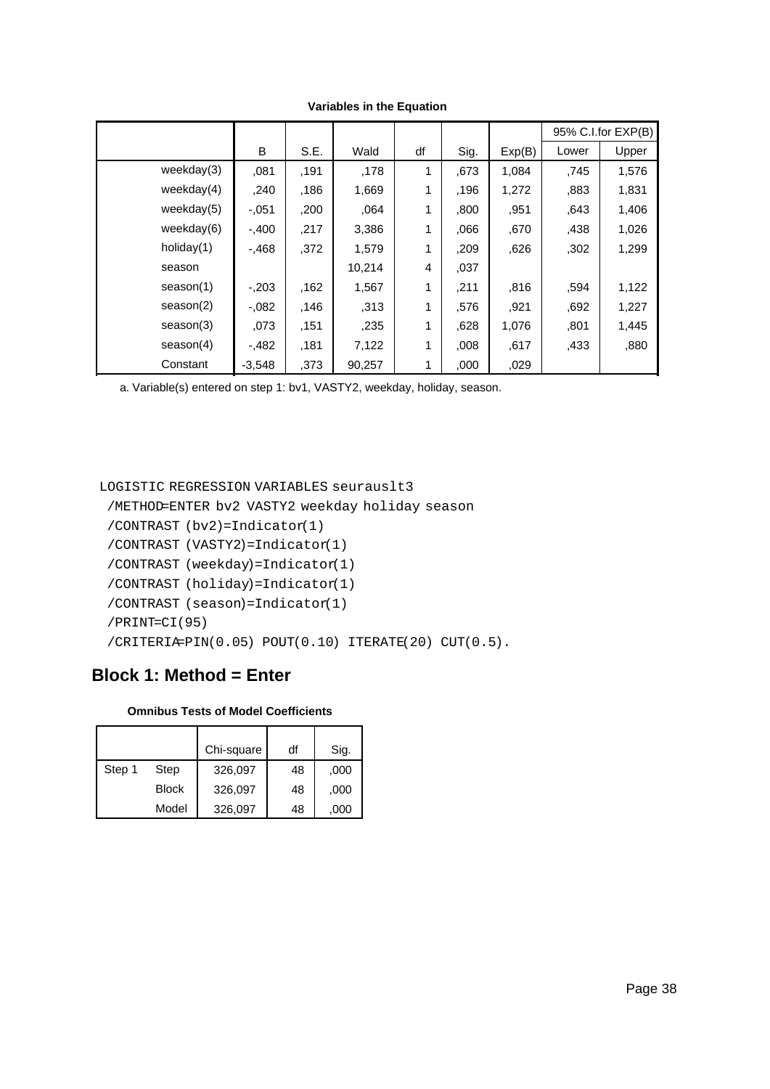|               |          |      |        |    |      |        |       | 95% C.I.for EXP(B) |
|---------------|----------|------|--------|----|------|--------|-------|--------------------|
|               | B        | S.E. | Wald   | df | Sig. | Exp(B) | Lower | Upper              |
| weekday(3)    | ,081     | ,191 | .178   | 1  | ,673 | 1,084  | ,745  | 1,576              |
| weekday $(4)$ | ,240     | ,186 | 1,669  | 1  | ,196 | 1,272  | ,883  | 1,831              |
| weekday $(5)$ | $-.051$  | ,200 | 064    | 1  | .800 | ,951   | ,643  | 1,406              |
| weekday(6)    | $-.400$  | ,217 | 3,386  | 1  | .066 | .670   | ,438  | 1,026              |
| holiday $(1)$ | $-.468$  | .372 | 1,579  | 1  | ,209 | ,626   | ,302  | 1,299              |
| season        |          |      | 10,214 | 4  | ,037 |        |       |                    |
| season(1)     | $-.203$  | ,162 | 1,567  | 1  | .211 | ,816   | ,594  | 1,122              |
| season(2)     | $-.082$  | ,146 | .313   | 1  | .576 | ,921   | ,692  | 1,227              |
| season(3)     | .073     | ,151 | ,235   | 1  | .628 | 1,076  | ,801  | 1,445              |
| season(4)     | $-.482$  | .181 | 7,122  | 1  | .008 | ,617   | ,433  | ,880               |
| Constant      | $-3,548$ | .373 | 90,257 | 1  | ,000 | ,029   |       |                    |

**Variables in the Equation**

a. Variable(s) entered on step 1: bv1, VASTY2, weekday, holiday, season.

#### LOGISTIC REGRESSION VARIABLES seurauslt3

/METHOD=ENTER bv2 VASTY2 weekday holiday season

```
 /CONTRAST (bv2)=Indicator(1)
```

```
 /CONTRAST (VASTY2)=Indicator(1)
```

```
 /CONTRAST (weekday)=Indicator(1)
```

```
 /CONTRAST (holiday)=Indicator(1)
```

```
 /CONTRAST (season)=Indicator(1)
```

```
 /PRINT=CI(95)
```

```
 /CRITERIA=PIN(0.05) POUT(0.10) ITERATE(20) CUT(0.5).
```
## **Block 1: Method = Enter**

### **Omnibus Tests of Model Coefficients**

|        |              | Chi-square | df | Sig. |
|--------|--------------|------------|----|------|
| Step 1 | Step         | 326,097    | 48 | ,000 |
|        | <b>Block</b> | 326,097    | 48 | ,000 |
|        | Model        | 326,097    | 48 | .000 |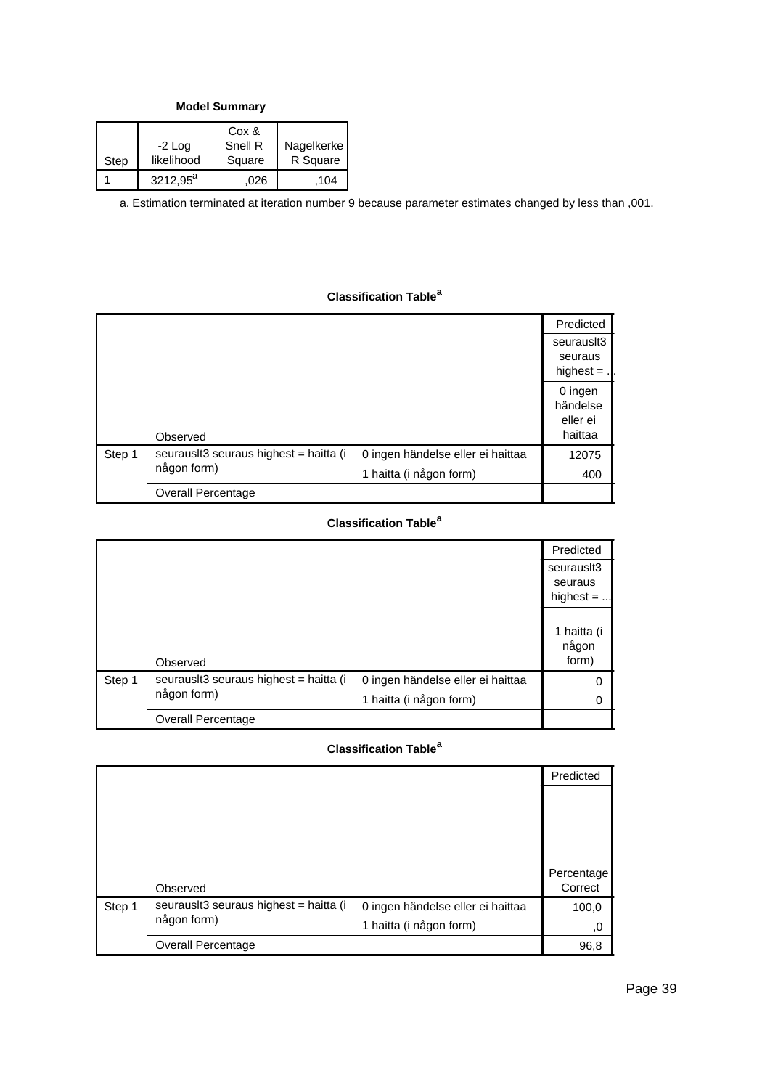**Model Summary**

| Step | $-2$ Log<br>likelihood | Cox &<br>Snell R<br>Square | Nagelkerke<br>R Square |
|------|------------------------|----------------------------|------------------------|
|      | $3212,95^a$            | 026                        | 104                    |

a. Estimation terminated at iteration number 9 because parameter estimates changed by less than ,001.

## **Classification Table<sup>a</sup>**

|        |                                                       |                                                              | Predicted<br>seurausit3<br>seuraus<br>highest $=$ . |
|--------|-------------------------------------------------------|--------------------------------------------------------------|-----------------------------------------------------|
|        | Observed                                              |                                                              | 0 ingen<br>händelse<br>eller ei<br>haittaa          |
| Step 1 | seurauslt3 seuraus highest = haitta (i<br>någon form) | 0 ingen händelse eller ei haittaa<br>1 haitta (i någon form) | 12075<br>400                                        |
|        | <b>Overall Percentage</b>                             |                                                              |                                                     |

## **Classification Table<sup>a</sup>**

|        |                                        |                                   | Predicted   |
|--------|----------------------------------------|-----------------------------------|-------------|
|        |                                        |                                   | seurausit3  |
|        |                                        |                                   | seuraus     |
|        |                                        |                                   | highest $=$ |
|        |                                        |                                   |             |
|        |                                        |                                   | 1 haitta (i |
|        |                                        |                                   | någon       |
|        | Observed                               |                                   | form)       |
| Step 1 | seurausit3 seuraus highest = haitta (i | 0 ingen händelse eller ei haittaa | 0           |
|        | någon form)                            | 1 haitta (i någon form)           | 0           |
|        | Overall Percentage                     |                                   |             |

|        |                                        |                                   | Predicted             |
|--------|----------------------------------------|-----------------------------------|-----------------------|
|        |                                        |                                   |                       |
|        | Observed                               |                                   | Percentage<br>Correct |
| Step 1 | seurausit3 seuraus highest = haitta (i | 0 ingen händelse eller ei haittaa | 100,0                 |
|        | någon form)                            | 1 haitta (i någon form)           | .0                    |
|        | <b>Overall Percentage</b>              |                                   | 96,8                  |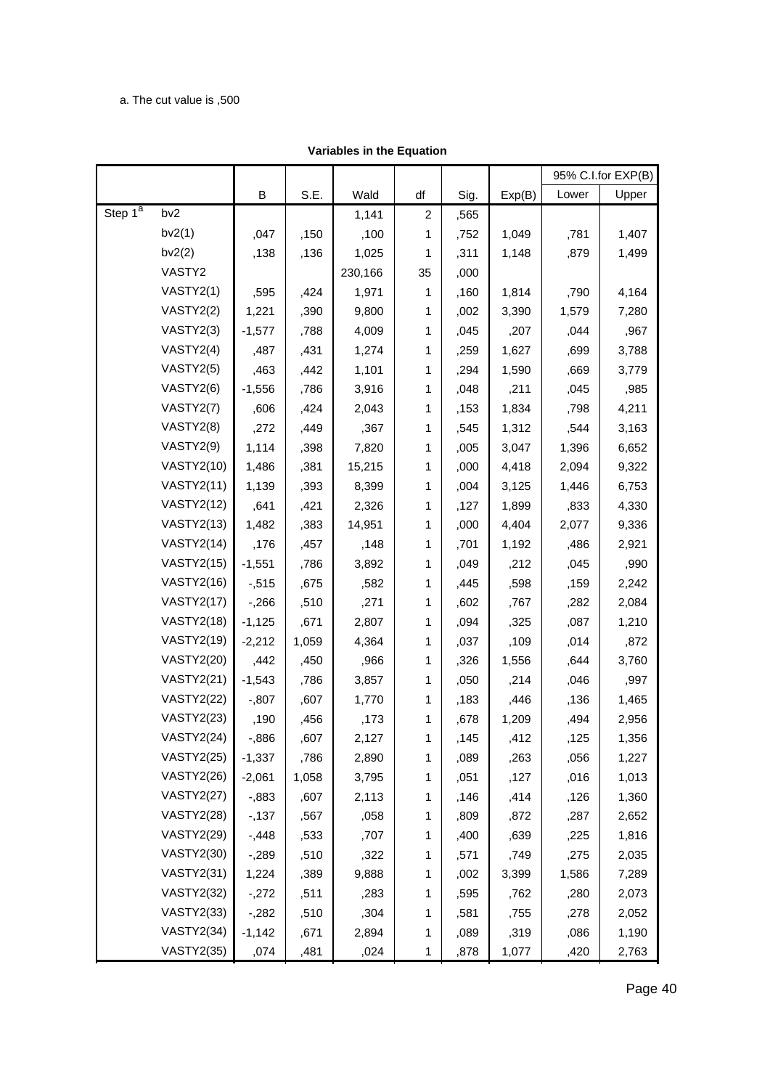#### a. The cut value is ,500

|                         |                   |          |       |         |                         |      |        |       | 95% C.I.for EXP(B) |
|-------------------------|-------------------|----------|-------|---------|-------------------------|------|--------|-------|--------------------|
|                         |                   | B        | S.E.  | Wald    | df                      | Sig. | Exp(B) | Lower | Upper              |
| Step $1^{\overline{a}}$ | bv <sub>2</sub>   |          |       | 1,141   | $\overline{\mathbf{c}}$ | ,565 |        |       |                    |
|                         | bv2(1)            | ,047     | ,150  | ,100    | 1                       | ,752 | 1,049  | ,781  | 1,407              |
|                         | bv2(2)            | ,138     | ,136  | 1,025   | 1                       | ,311 | 1,148  | ,879  | 1,499              |
|                         | VASTY2            |          |       | 230,166 | 35                      | ,000 |        |       |                    |
|                         | VASTY2(1)         | ,595     | ,424  | 1,971   | 1                       | ,160 | 1,814  | ,790  | 4,164              |
|                         | VASTY2(2)         | 1,221    | ,390  | 9,800   | 1                       | ,002 | 3,390  | 1,579 | 7,280              |
|                         | VASTY2(3)         | $-1,577$ | ,788  | 4,009   | 1                       | ,045 | ,207   | ,044  | ,967               |
|                         | VASTY2(4)         | ,487     | ,431  | 1,274   | 1                       | ,259 | 1,627  | ,699  | 3,788              |
|                         | VASTY2(5)         | ,463     | ,442  | 1,101   | 1                       | ,294 | 1,590  | ,669  | 3,779              |
|                         | VASTY2(6)         | $-1,556$ | ,786  | 3,916   | 1                       | ,048 | ,211   | ,045  | ,985               |
|                         | VASTY2(7)         | ,606     | ,424  | 2,043   | 1                       | ,153 | 1,834  | ,798  | 4,211              |
|                         | VASTY2(8)         | ,272     | ,449  | ,367    | 1                       | ,545 | 1,312  | ,544  | 3,163              |
|                         | VASTY2(9)         | 1,114    | ,398  | 7,820   | 1                       | ,005 | 3,047  | 1,396 | 6,652              |
|                         | <b>VASTY2(10)</b> | 1,486    | ,381  | 15,215  | 1                       | ,000 | 4,418  | 2,094 | 9,322              |
|                         | <b>VASTY2(11)</b> | 1,139    | ,393  | 8,399   | 1                       | ,004 | 3,125  | 1,446 | 6,753              |
|                         | <b>VASTY2(12)</b> | ,641     | ,421  | 2,326   | 1                       | ,127 | 1,899  | ,833  | 4,330              |
|                         | <b>VASTY2(13)</b> | 1,482    | ,383  | 14,951  | 1                       | ,000 | 4,404  | 2,077 | 9,336              |
|                         | <b>VASTY2(14)</b> | ,176     | ,457  | ,148    | 1                       | ,701 | 1,192  | ,486  | 2,921              |
|                         | <b>VASTY2(15)</b> | $-1,551$ | ,786  | 3,892   | 1                       | ,049 | ,212   | ,045  | ,990               |
|                         | <b>VASTY2(16)</b> | $-0.515$ | ,675  | ,582    | 1                       | ,445 | ,598   | ,159  | 2,242              |
|                         | <b>VASTY2(17)</b> | $-266$   | ,510  | ,271    | 1                       | ,602 | ,767   | ,282  | 2,084              |
|                         | <b>VASTY2(18)</b> | $-1,125$ | ,671  | 2,807   | 1                       | ,094 | ,325   | ,087  | 1,210              |
|                         | <b>VASTY2(19)</b> | $-2,212$ | 1,059 | 4,364   | 1                       | ,037 | ,109   | ,014  | ,872               |
|                         | <b>VASTY2(20)</b> | ,442     | ,450  | ,966    | 1                       | ,326 | 1,556  | ,644  | 3,760              |
|                         | <b>VASTY2(21)</b> | $-1,543$ | ,786  | 3,857   | 1                       | ,050 | ,214   | ,046  | ,997               |
|                         | <b>VASTY2(22)</b> | $-0.807$ | ,607  | 1,770   | 1                       | ,183 | ,446   | ,136  | 1,465              |
|                         | <b>VASTY2(23)</b> | ,190     | ,456  | ,173    | $\mathbf{1}$            | ,678 | 1,209  | ,494  | 2,956              |
|                         | <b>VASTY2(24)</b> | $-0.886$ | .607  | 2,127   | 1                       | .145 | .412   | .125  | 1,356              |
|                         | <b>VASTY2(25)</b> | $-1,337$ | ,786  | 2,890   | 1                       | ,089 | ,263   | ,056  | 1,227              |
|                         | <b>VASTY2(26)</b> | $-2,061$ | 1,058 | 3,795   | 1                       | ,051 | ,127   | ,016  | 1,013              |
|                         | <b>VASTY2(27)</b> | $-0.883$ | ,607  | 2,113   | 1                       | ,146 | ,414   | ,126  | 1,360              |
|                         | <b>VASTY2(28)</b> | $-137$   | ,567  | ,058    | 1                       | ,809 | ,872   | ,287  | 2,652              |
|                         | <b>VASTY2(29)</b> | $-0.448$ | ,533  | ,707    | 1                       | ,400 | ,639   | ,225  | 1,816              |
|                         | <b>VASTY2(30)</b> | $-289$   | ,510  | ,322    | 1                       | ,571 | ,749   | ,275  | 2,035              |
|                         | <b>VASTY2(31)</b> | 1,224    | ,389  | 9,888   | 1                       | ,002 | 3,399  | 1,586 | 7,289              |
|                         | <b>VASTY2(32)</b> | $-272$   | ,511  | ,283    | 1                       | ,595 | ,762   | ,280  | 2,073              |
|                         | <b>VASTY2(33)</b> | $-282$   | ,510  | ,304    | 1                       | ,581 | ,755   | ,278  | 2,052              |
|                         | <b>VASTY2(34)</b> | $-1,142$ | ,671  | 2,894   | 1                       | ,089 | ,319   | ,086  | 1,190              |
|                         | <b>VASTY2(35)</b> | ,074     | ,481  | ,024    | 1                       | ,878 | 1,077  | ,420  | 2,763              |

#### **Variables in the Equation**

Page 40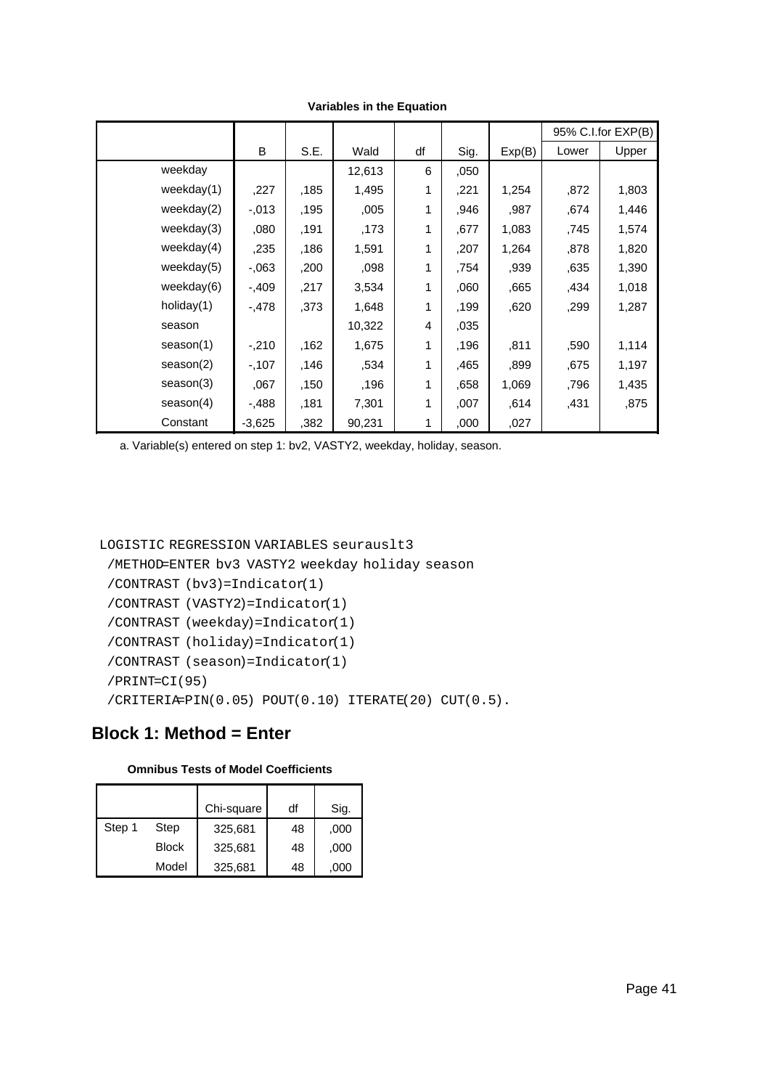|               |          |      |        |                |      |        | 95% C.I.for EXP(B) |       |
|---------------|----------|------|--------|----------------|------|--------|--------------------|-------|
|               | B        | S.E. | Wald   | df             | Sig. | Exp(B) | Lower              | Upper |
| weekday       |          |      | 12,613 | 6              | ,050 |        |                    |       |
| weekday(1)    | ,227     | ,185 | 1,495  | 1              | ,221 | 1,254  | ,872               | 1,803 |
| weekday(2)    | $-0.013$ | ,195 | ,005   | 1              | ,946 | ,987   | ,674               | 1,446 |
| weekday(3)    | ,080     | ,191 | ,173   | 1              | ,677 | 1,083  | ,745               | 1,574 |
| weekday $(4)$ | ,235     | ,186 | 1,591  | 1              | ,207 | 1,264  | ,878               | 1,820 |
| weekday(5)    | $-0.063$ | ,200 | .098   | 1              | ,754 | ,939   | ,635               | 1,390 |
| weekday(6)    | $-0.409$ | ,217 | 3,534  | 1              | ,060 | ,665   | ,434               | 1,018 |
| holiday(1)    | $-478$   | ,373 | 1,648  | 1              | ,199 | ,620   | ,299               | 1,287 |
| season        |          |      | 10,322 | $\overline{4}$ | ,035 |        |                    |       |
| season(1)     | $-210$   | ,162 | 1,675  | 1              | ,196 | ,811   | ,590               | 1,114 |
| season(2)     | $-107$   | ,146 | ,534   | 1              | ,465 | ,899   | ,675               | 1,197 |
| season(3)     | ,067     | ,150 | ,196   | 1              | ,658 | 1,069  | ,796               | 1,435 |
| season(4)     | $-.488$  | ,181 | 7,301  | 1              | ,007 | ,614   | ,431               | ,875  |
| Constant      | $-3,625$ | .382 | 90,231 | 1              | ,000 | ,027   |                    |       |

**Variables in the Equation**

a. Variable(s) entered on step 1: bv2, VASTY2, weekday, holiday, season.

```
LOGISTIC REGRESSION VARIABLES seurauslt3
 /METHOD=ENTER bv3 VASTY2 weekday holiday season
 /CONTRAST (bv3)=Indicator(1)
 /CONTRAST (VASTY2)=Indicator(1)
 /CONTRAST (weekday)=Indicator(1)
 /CONTRAST (holiday)=Indicator(1)
 /CONTRAST (season)=Indicator(1)
 /PRINT=CI(95)
 /CRITERIA=PIN(0.05) POUT(0.10) ITERATE(20) CUT(0.5).
```
# **Block 1: Method = Enter**

|  |  |  |  | <b>Omnibus Tests of Model Coefficients</b> |
|--|--|--|--|--------------------------------------------|
|--|--|--|--|--------------------------------------------|

|        |              | Chi-square | df | Sig. |
|--------|--------------|------------|----|------|
| Step 1 | Step         | 325,681    | 48 | ,000 |
|        | <b>Block</b> | 325,681    | 48 | ,000 |
|        | Model        | 325,681    | 48 | .000 |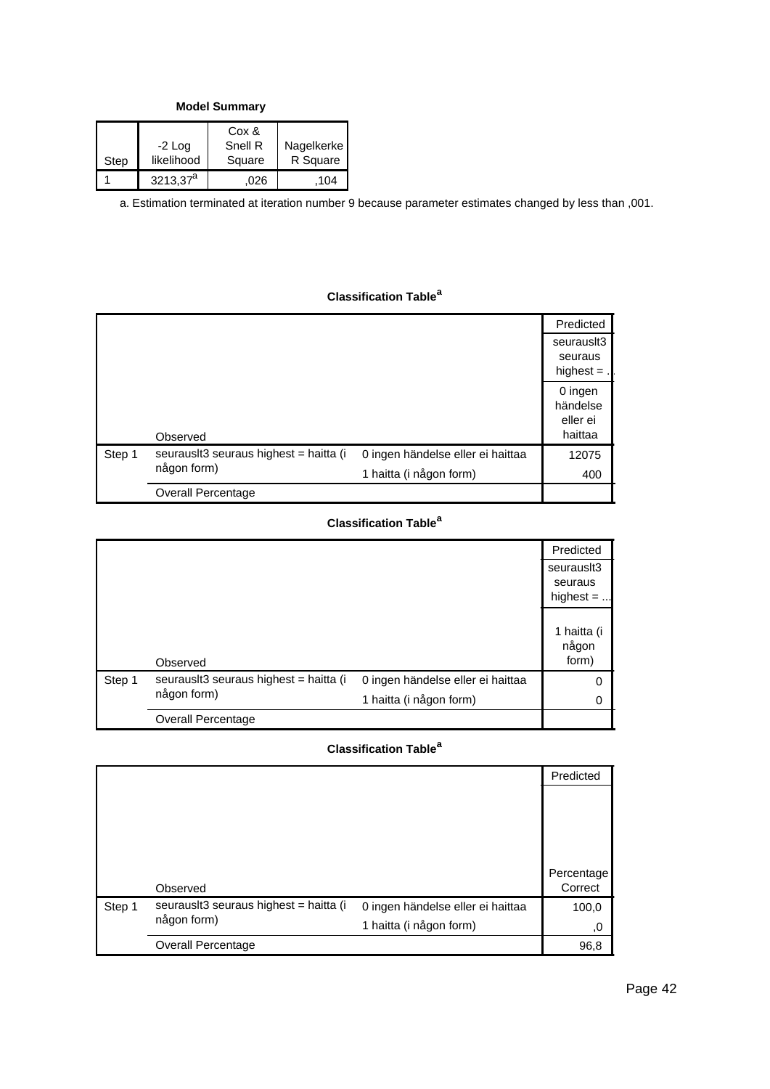**Model Summary**

| Step | $-2$ Log<br>likelihood | Cox &<br>Snell R<br>Square | Nagelkerke<br>R Square |
|------|------------------------|----------------------------|------------------------|
|      | $3213,37^a$            | 026                        | 104                    |

a. Estimation terminated at iteration number 9 because parameter estimates changed by less than ,001.

## **Classification Table<sup>a</sup>**

|        |                                                       |                                                              | Predicted<br>seurausit3<br>seuraus<br>highest $=$ . |
|--------|-------------------------------------------------------|--------------------------------------------------------------|-----------------------------------------------------|
|        | Observed                                              |                                                              | 0 ingen<br>händelse<br>eller ei<br>haittaa          |
| Step 1 | seurauslt3 seuraus highest = haitta (i<br>någon form) | 0 ingen händelse eller ei haittaa<br>1 haitta (i någon form) | 12075<br>400                                        |
|        | <b>Overall Percentage</b>                             |                                                              |                                                     |

### **Classification Table<sup>a</sup>**

|        |                                        |                                   | Predicted    |
|--------|----------------------------------------|-----------------------------------|--------------|
|        |                                        |                                   | seurausit3   |
|        |                                        |                                   | seuraus      |
|        |                                        |                                   | highest $= $ |
|        |                                        |                                   |              |
|        |                                        |                                   | 1 haitta (i  |
|        |                                        |                                   | någon        |
|        | Observed                               |                                   | form)        |
| Step 1 | seurauslt3 seuraus highest = haitta (i | 0 ingen händelse eller ei haittaa | 0            |
|        | någon form)                            | 1 haitta (i någon form)           | 0            |
|        | Overall Percentage                     |                                   |              |

|        |                                        |                                   | Predicted             |
|--------|----------------------------------------|-----------------------------------|-----------------------|
|        |                                        |                                   |                       |
|        | Observed                               |                                   | Percentage<br>Correct |
| Step 1 | seurausit3 seuraus highest = haitta (i | 0 ingen händelse eller ei haittaa | 100,0                 |
|        | någon form)                            | 1 haitta (i någon form)           | .0                    |
|        | <b>Overall Percentage</b>              |                                   | 96,8                  |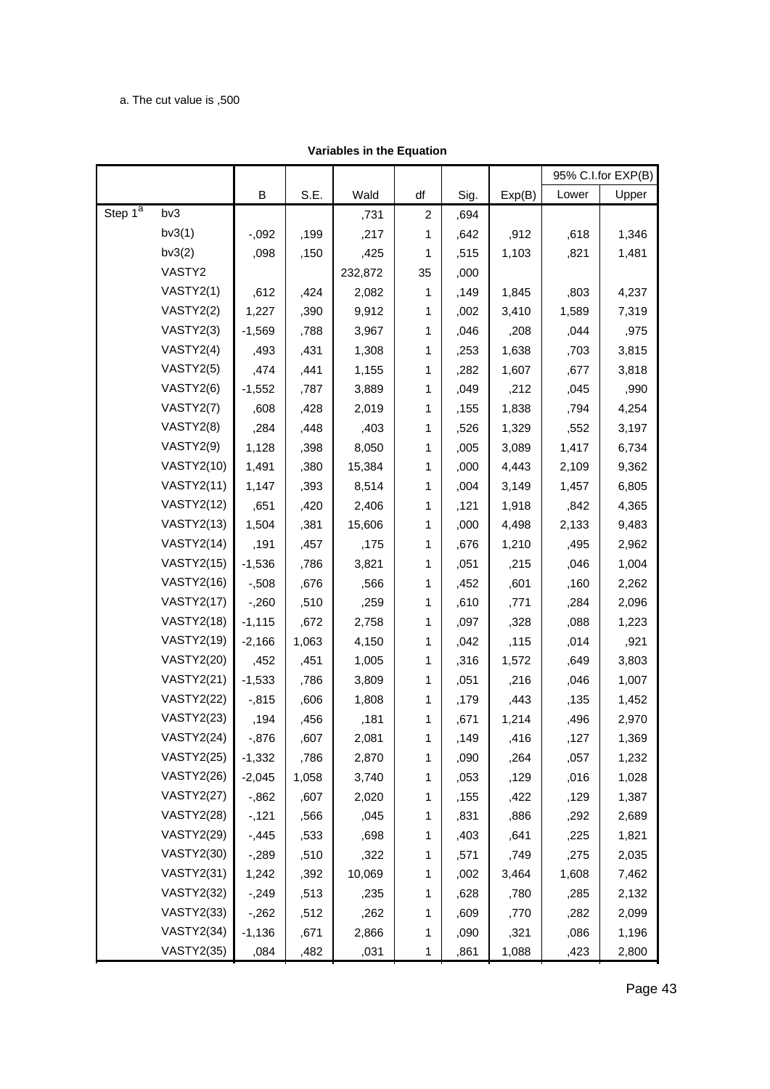#### a. The cut value is ,500

|                         |                   |          |       |         |                         |      |        |       | 95% C.I.for EXP(B) |
|-------------------------|-------------------|----------|-------|---------|-------------------------|------|--------|-------|--------------------|
|                         |                   | B        | S.E.  | Wald    | df                      | Sig. | Exp(B) | Lower | Upper              |
| Step $1^{\overline{a}}$ | bv3               |          |       | ,731    | $\overline{\mathbf{c}}$ | ,694 |        |       |                    |
|                         | bv3(1)            | $-0.092$ | ,199  | ,217    | 1                       | ,642 | ,912   | ,618  | 1,346              |
|                         | bv3(2)            | ,098     | ,150  | ,425    | 1                       | ,515 | 1,103  | ,821  | 1,481              |
|                         | VASTY2            |          |       | 232,872 | 35                      | ,000 |        |       |                    |
|                         | VASTY2(1)         | ,612     | ,424  | 2,082   | 1                       | ,149 | 1,845  | ,803  | 4,237              |
|                         | VASTY2(2)         | 1,227    | ,390  | 9,912   | 1                       | ,002 | 3,410  | 1,589 | 7,319              |
|                         | VASTY2(3)         | $-1,569$ | ,788  | 3,967   | 1                       | ,046 | ,208   | ,044  | ,975               |
|                         | VASTY2(4)         | ,493     | ,431  | 1,308   | 1                       | ,253 | 1,638  | ,703  | 3,815              |
|                         | VASTY2(5)         | ,474     | ,441  | 1,155   | 1                       | ,282 | 1,607  | ,677  | 3,818              |
|                         | VASTY2(6)         | $-1,552$ | ,787  | 3,889   | 1                       | ,049 | ,212   | ,045  | ,990               |
|                         | VASTY2(7)         | ,608     | ,428  | 2,019   | 1                       | ,155 | 1,838  | ,794  | 4,254              |
|                         | VASTY2(8)         | ,284     | ,448  | ,403    | 1                       | ,526 | 1,329  | ,552  | 3,197              |
|                         | VASTY2(9)         | 1,128    | ,398  | 8,050   | 1                       | ,005 | 3,089  | 1,417 | 6,734              |
|                         | <b>VASTY2(10)</b> | 1,491    | ,380  | 15,384  | 1                       | ,000 | 4,443  | 2,109 | 9,362              |
|                         | <b>VASTY2(11)</b> | 1,147    | ,393  | 8,514   | 1                       | ,004 | 3,149  | 1,457 | 6,805              |
|                         | <b>VASTY2(12)</b> | ,651     | ,420  | 2,406   | 1                       | ,121 | 1,918  | ,842  | 4,365              |
|                         | <b>VASTY2(13)</b> | 1,504    | ,381  | 15,606  | 1                       | ,000 | 4,498  | 2,133 | 9,483              |
|                         | <b>VASTY2(14)</b> | ,191     | ,457  | ,175    | 1                       | ,676 | 1,210  | ,495  | 2,962              |
|                         | <b>VASTY2(15)</b> | $-1,536$ | ,786  | 3,821   | 1                       | ,051 | ,215   | ,046  | 1,004              |
|                         | <b>VASTY2(16)</b> | $-0.508$ | ,676  | ,566    | 1                       | ,452 | ,601   | ,160  | 2,262              |
|                         | <b>VASTY2(17)</b> | $-260$   | ,510  | ,259    | 1                       | ,610 | ,771   | ,284  | 2,096              |
|                         | <b>VASTY2(18)</b> | $-1,115$ | ,672  | 2,758   | 1                       | ,097 | ,328   | ,088  | 1,223              |
|                         | <b>VASTY2(19)</b> | $-2,166$ | 1,063 | 4,150   | 1                       | ,042 | ,115   | ,014  | ,921               |
|                         | <b>VASTY2(20)</b> | ,452     | ,451  | 1,005   | 1                       | ,316 | 1,572  | ,649  | 3,803              |
|                         | <b>VASTY2(21)</b> | $-1,533$ | ,786  | 3,809   | 1                       | ,051 | ,216   | ,046  | 1,007              |
|                         | <b>VASTY2(22)</b> | $-0.815$ | ,606  | 1,808   | 1                       | ,179 | ,443   | ,135  | 1,452              |
|                         | <b>VASTY2(23)</b> | ,194     | ,456  | ,181    | $\mathbf{1}$            | ,671 | 1,214  | ,496  | 2,970              |
|                         | <b>VASTY2(24)</b> | $-0.876$ | .607  | 2,081   | 1                       | .149 | ,416   | .127  | 1,369              |
|                         | <b>VASTY2(25)</b> | $-1,332$ | ,786  | 2,870   | 1                       | ,090 | ,264   | ,057  | 1,232              |
|                         | <b>VASTY2(26)</b> | $-2,045$ | 1,058 | 3,740   | 1                       | ,053 | ,129   | ,016  | 1,028              |
|                         | <b>VASTY2(27)</b> | $-0.862$ | ,607  | 2,020   | 1                       | ,155 | ,422   | ,129  | 1,387              |
|                         | <b>VASTY2(28)</b> | $-121$   | ,566  | ,045    | 1                       | ,831 | ,886   | ,292  | 2,689              |
|                         | <b>VASTY2(29)</b> | $-0.445$ | ,533  | ,698    | 1                       | ,403 | ,641   | ,225  | 1,821              |
|                         | <b>VASTY2(30)</b> | $-289$   | ,510  | ,322    | 1                       | ,571 | ,749   | ,275  | 2,035              |
|                         | <b>VASTY2(31)</b> | 1,242    | ,392  | 10,069  | 1                       | ,002 | 3,464  | 1,608 | 7,462              |
|                         | <b>VASTY2(32)</b> | $-249$   | ,513  | ,235    | 1                       | ,628 | ,780   | ,285  | 2,132              |
|                         | <b>VASTY2(33)</b> | $-262$   | ,512  | ,262    | 1                       | ,609 | ,770   | ,282  | 2,099              |
|                         | <b>VASTY2(34)</b> | $-1,136$ | ,671  | 2,866   | 1                       | ,090 | ,321   | ,086  | 1,196              |
|                         | <b>VASTY2(35)</b> | ,084     | ,482  | ,031    | 1                       | ,861 | 1,088  | ,423  | 2,800              |

#### **Variables in the Equation**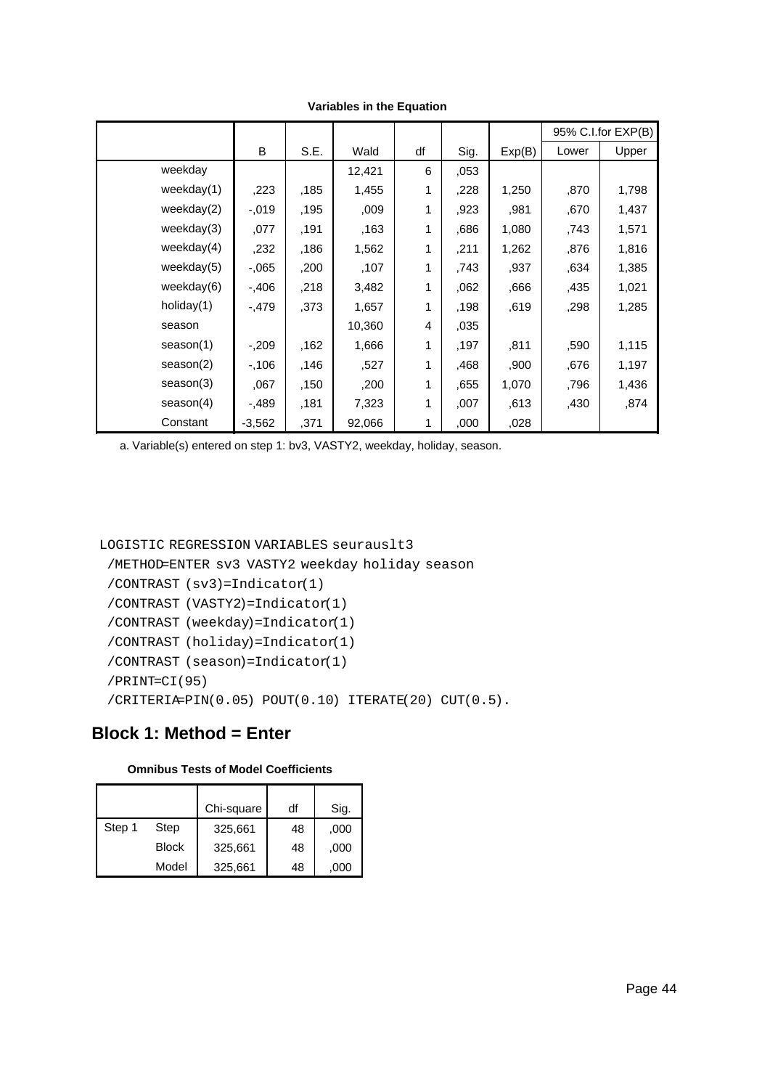|               |          |      |        |    |      |        |       | 95% C.I.for EXP(B) |
|---------------|----------|------|--------|----|------|--------|-------|--------------------|
|               | B        | S.E. | Wald   | df | Sig. | Exp(B) | Lower | Upper              |
| weekday       |          |      | 12,421 | 6  | ,053 |        |       |                    |
| weekday(1)    | ,223     | ,185 | 1,455  | 1  | ,228 | 1,250  | ,870  | 1,798              |
| weekday(2)    | $-0.019$ | ,195 | ,009   | 1  | ,923 | ,981   | ,670  | 1,437              |
| weekday(3)    | ,077     | ,191 | ,163   | 1  | .686 | 1,080  | ,743  | 1,571              |
| weekday $(4)$ | ,232     | ,186 | 1,562  | 1  | ,211 | 1,262  | ,876  | 1,816              |
| weekday(5)    | $-0.065$ | ,200 | ,107   | 1  | .743 | ,937   | ,634  | 1,385              |
| weekday(6)    | $-0.406$ | ,218 | 3,482  | 1  | ,062 | ,666   | ,435  | 1,021              |
| holiday(1)    | $-.479$  | ,373 | 1,657  | 1  | ,198 | ,619   | ,298  | 1,285              |
| season        |          |      | 10,360 | 4  | ,035 |        |       |                    |
| season(1)     | $-209$   | ,162 | 1,666  | 1  | ,197 | ,811   | ,590  | 1,115              |
| season(2)     | $-106$   | ,146 | ,527   | 1  | ,468 | ,900   | ,676  | 1,197              |
| season(3)     | ,067     | ,150 | ,200   | 1  | ,655 | 1,070  | ,796  | 1,436              |
| season(4)     | -,489    | ,181 | 7,323  | 1  | ,007 | ,613   | ,430  | ,874               |
| Constant      | $-3,562$ | .371 | 92,066 | 1  | ,000 | ,028   |       |                    |

**Variables in the Equation**

a. Variable(s) entered on step 1: bv3, VASTY2, weekday, holiday, season.

```
LOGISTIC REGRESSION VARIABLES seurauslt3
 /METHOD=ENTER sv3 VASTY2 weekday holiday season
 /CONTRAST (sv3)=Indicator(1)
 /CONTRAST (VASTY2)=Indicator(1)
 /CONTRAST (weekday)=Indicator(1)
 /CONTRAST (holiday)=Indicator(1)
 /CONTRAST (season)=Indicator(1)
 /PRINT=CI(95)
 /CRITERIA=PIN(0.05) POUT(0.10) ITERATE(20) CUT(0.5).
```

|  |  |  |  | <b>Omnibus Tests of Model Coefficients</b> |
|--|--|--|--|--------------------------------------------|
|--|--|--|--|--------------------------------------------|

|        |              | Chi-square | df | Sig. |
|--------|--------------|------------|----|------|
| Step 1 | Step         | 325,661    | 48 | ,000 |
|        | <b>Block</b> | 325,661    | 48 | ,000 |
|        | Model        | 325,661    | 48 | .000 |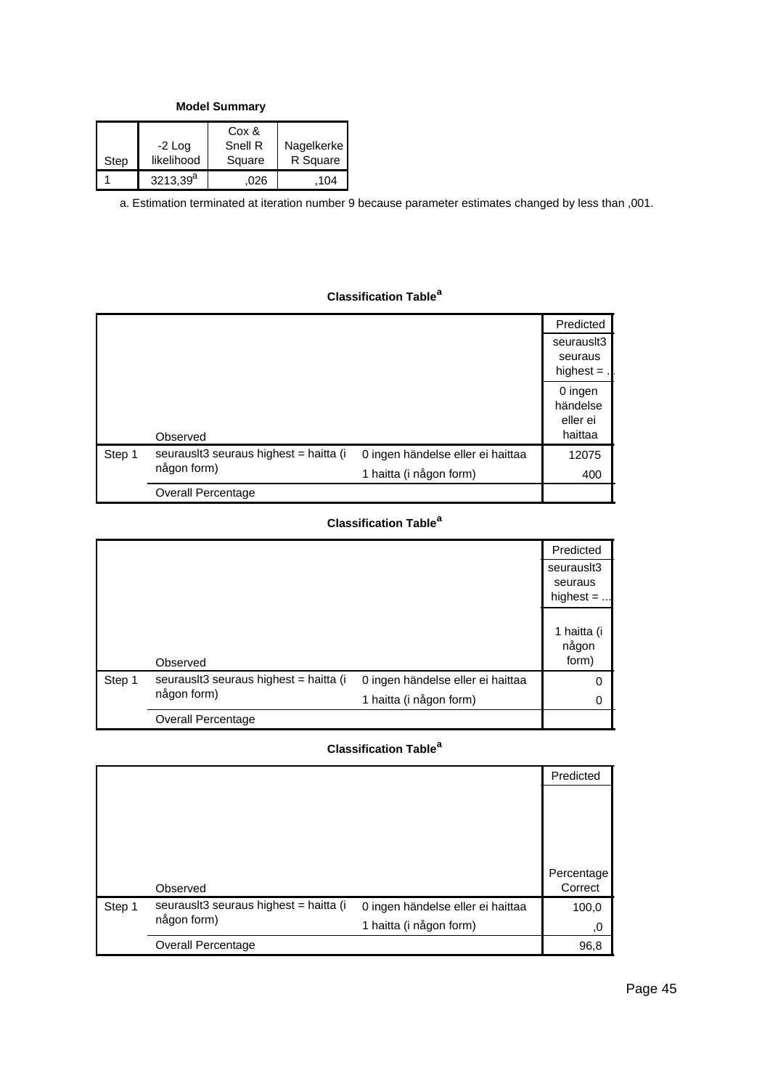**Model Summary**

| Step | $-2$ Log<br>likelihood | Cox &<br>Snell R<br>Square | Nagelkerke<br>R Square |
|------|------------------------|----------------------------|------------------------|
|      | $3213.39^{a}$          | 026                        | 104                    |

a. Estimation terminated at iteration number 9 because parameter estimates changed by less than ,001.

# **Classification Table<sup>a</sup>**

|        |                                                       |                                                              | Predicted<br>seurausit3<br>seuraus<br>highest $=$ . |
|--------|-------------------------------------------------------|--------------------------------------------------------------|-----------------------------------------------------|
|        | Observed                                              |                                                              | 0 ingen<br>händelse<br>eller ei<br>haittaa          |
| Step 1 | seurauslt3 seuraus highest = haitta (i<br>någon form) | 0 ingen händelse eller ei haittaa<br>1 haitta (i någon form) | 12075<br>400                                        |
|        | <b>Overall Percentage</b>                             |                                                              |                                                     |

## **Classification Table<sup>a</sup>**

|        |                                        |                                   | Predicted                     |
|--------|----------------------------------------|-----------------------------------|-------------------------------|
|        |                                        |                                   | seurausit3                    |
|        |                                        |                                   | seuraus                       |
|        |                                        |                                   | highest $= $                  |
|        | Observed                               |                                   | 1 haitta (i<br>någon<br>form) |
| Step 1 | seurausit3 seuraus highest = haitta (i | 0 ingen händelse eller ei haittaa | 0                             |
|        | någon form)                            | 1 haitta (i någon form)           | 0                             |
|        | <b>Overall Percentage</b>              |                                   |                               |

## **Classification Table<sup>a</sup>**

|        |                                        |                                   | Predicted             |
|--------|----------------------------------------|-----------------------------------|-----------------------|
|        |                                        |                                   |                       |
|        | Observed                               |                                   | Percentage<br>Correct |
| Step 1 | seurausit3 seuraus highest = haitta (i | 0 ingen händelse eller ei haittaa | 100,0                 |
|        | någon form)                            | 1 haitta (i någon form)           | .0                    |
|        | <b>Overall Percentage</b>              |                                   | 96,8                  |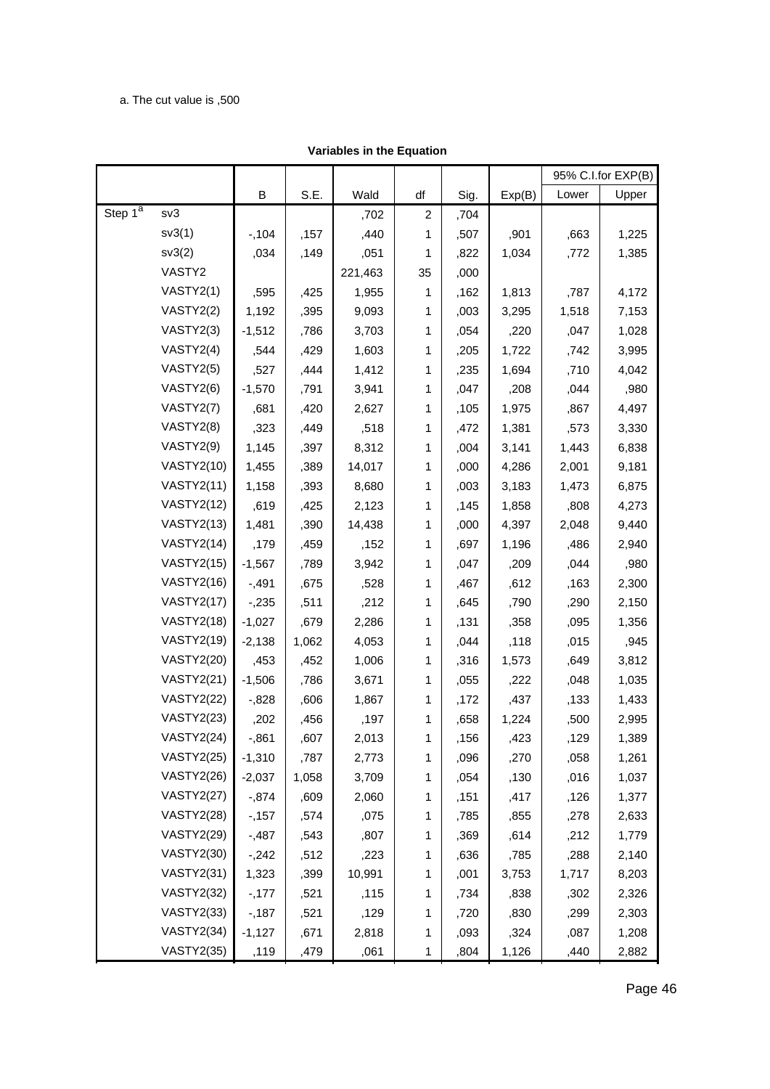#### a. The cut value is ,500

|                         |                   |          |       |         |                |      |        |       | 95% C.I.for EXP(B) |
|-------------------------|-------------------|----------|-------|---------|----------------|------|--------|-------|--------------------|
|                         |                   | B        | S.E.  | Wald    | df             | Sig. | Exp(B) | Lower | Upper              |
| Step $1^{\overline{a}}$ | sv3               |          |       | ,702    | $\overline{c}$ | ,704 |        |       |                    |
|                         | sv3(1)            | $-104$   | ,157  | ,440    | 1              | ,507 | ,901   | ,663  | 1,225              |
|                         | sv3(2)            | ,034     | ,149  | ,051    | 1              | ,822 | 1,034  | ,772  | 1,385              |
|                         | VASTY2            |          |       | 221,463 | 35             | ,000 |        |       |                    |
|                         | VASTY2(1)         | ,595     | ,425  | 1,955   | 1              | ,162 | 1,813  | ,787  | 4,172              |
|                         | VASTY2(2)         | 1,192    | ,395  | 9,093   | 1              | ,003 | 3,295  | 1,518 | 7,153              |
|                         | VASTY2(3)         | $-1,512$ | ,786  | 3,703   | 1              | ,054 | ,220   | ,047  | 1,028              |
|                         | VASTY2(4)         | ,544     | ,429  | 1,603   | 1              | ,205 | 1,722  | ,742  | 3,995              |
|                         | VASTY2(5)         | ,527     | ,444  | 1,412   | 1              | ,235 | 1,694  | ,710  | 4,042              |
|                         | VASTY2(6)         | $-1,570$ | ,791  | 3,941   | 1              | ,047 | ,208   | ,044  | ,980               |
|                         | VASTY2(7)         | ,681     | ,420  | 2,627   | 1              | ,105 | 1,975  | ,867  | 4,497              |
|                         | VASTY2(8)         | ,323     | ,449  | ,518    | 1              | ,472 | 1,381  | ,573  | 3,330              |
|                         | VASTY2(9)         | 1,145    | ,397  | 8,312   | 1              | ,004 | 3,141  | 1,443 | 6,838              |
|                         | <b>VASTY2(10)</b> | 1,455    | ,389  | 14,017  | 1              | ,000 | 4,286  | 2,001 | 9,181              |
|                         | <b>VASTY2(11)</b> | 1,158    | ,393  | 8,680   | 1              | ,003 | 3,183  | 1,473 | 6,875              |
|                         | <b>VASTY2(12)</b> | ,619     | ,425  | 2,123   | 1              | ,145 | 1,858  | ,808  | 4,273              |
|                         | <b>VASTY2(13)</b> | 1,481    | ,390  | 14,438  | 1              | ,000 | 4,397  | 2,048 | 9,440              |
|                         | <b>VASTY2(14)</b> | ,179     | ,459  | ,152    | 1              | ,697 | 1,196  | ,486  | 2,940              |
|                         | <b>VASTY2(15)</b> | $-1,567$ | ,789  | 3,942   | 1              | ,047 | ,209   | ,044  | ,980               |
|                         | <b>VASTY2(16)</b> | $-0.491$ | ,675  | ,528    | 1              | ,467 | ,612   | ,163  | 2,300              |
|                         | <b>VASTY2(17)</b> | $-235$   | ,511  | ,212    | 1              | ,645 | ,790   | ,290  | 2,150              |
|                         | <b>VASTY2(18)</b> | $-1,027$ | ,679  | 2,286   | 1              | ,131 | ,358   | ,095  | 1,356              |
|                         | <b>VASTY2(19)</b> | $-2,138$ | 1,062 | 4,053   | 1              | ,044 | ,118   | ,015  | ,945               |
|                         | <b>VASTY2(20)</b> | ,453     | ,452  | 1,006   | 1              | ,316 | 1,573  | ,649  | 3,812              |
|                         | <b>VASTY2(21)</b> | $-1,506$ | ,786  | 3,671   | 1              | ,055 | ,222   | ,048  | 1,035              |
|                         | <b>VASTY2(22)</b> | $-0.828$ | ,606  | 1,867   | 1              | ,172 | ,437   | ,133  | 1,433              |
|                         | <b>VASTY2(23)</b> | ,202     | ,456  | ,197    | 1              | ,658 | 1,224  | ,500  | 2,995              |
|                         | <b>VASTY2(24)</b> | $-0.861$ | ,607  | 2,013   | 1              | ,156 | ,423   | ,129  | 1,389              |
|                         | <b>VASTY2(25)</b> | $-1,310$ | ,787  | 2,773   | 1              | ,096 | ,270   | ,058  | 1,261              |
|                         | <b>VASTY2(26)</b> | $-2,037$ | 1,058 | 3,709   | 1              | ,054 | ,130   | ,016  | 1,037              |
|                         | <b>VASTY2(27)</b> | $-0.874$ | ,609  | 2,060   | 1              | ,151 | ,417   | ,126  | 1,377              |
|                         | <b>VASTY2(28)</b> | $-157$   | ,574  | ,075    | 1              | ,785 | ,855   | ,278  | 2,633              |
|                         | <b>VASTY2(29)</b> | $-0.487$ | ,543  | ,807    | 1              | ,369 | ,614   | ,212  | 1,779              |
|                         | <b>VASTY2(30)</b> | $-242$   | ,512  | ,223    | 1              | ,636 | ,785   | ,288  | 2,140              |
|                         | <b>VASTY2(31)</b> | 1,323    | ,399  | 10,991  | 1              | ,001 | 3,753  | 1,717 | 8,203              |
|                         | <b>VASTY2(32)</b> | $-177$   | ,521  | ,115    | 1              | ,734 | ,838   | ,302  | 2,326              |
|                         | <b>VASTY2(33)</b> | $-187$   | ,521  | ,129    | 1              | ,720 | ,830   | ,299  | 2,303              |
|                         | <b>VASTY2(34)</b> | $-1,127$ | ,671  | 2,818   | 1              | ,093 | ,324   | ,087  | 1,208              |
|                         | <b>VASTY2(35)</b> | ,119     | ,479  | ,061    | $\mathbf{1}$   | ,804 | 1,126  | ,440  | 2,882              |

### **Variables in the Equation**

Page 46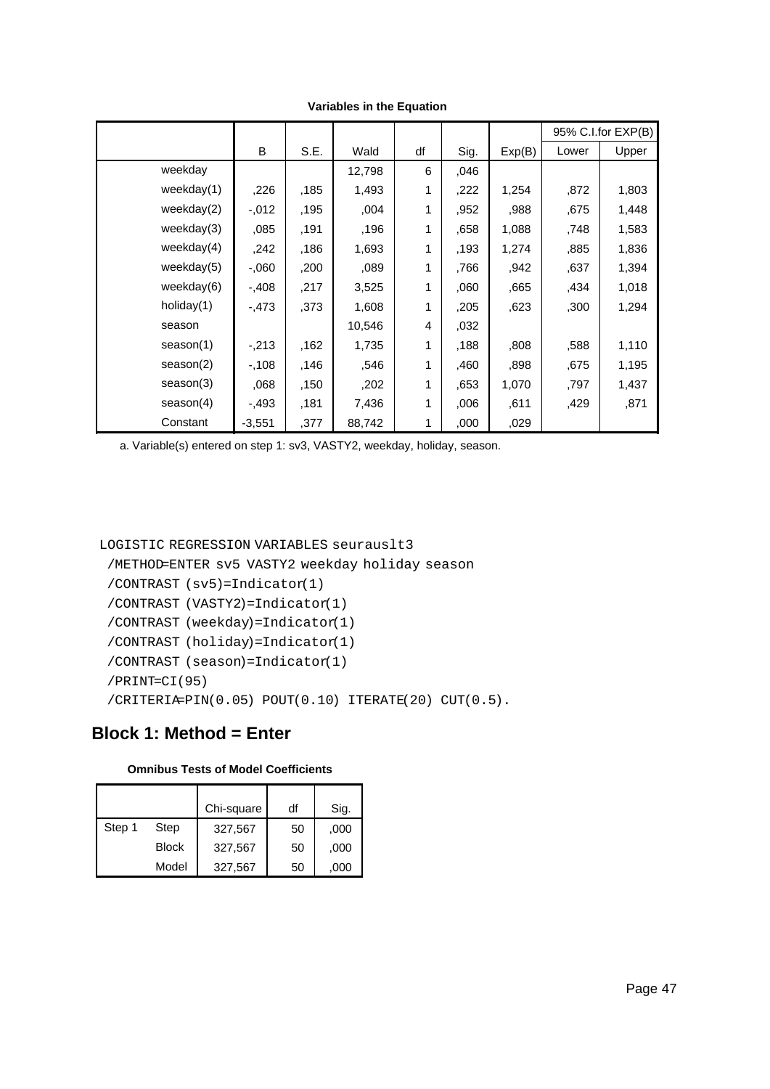|               |          |      |        |    |      |        |       | 95% C.I.for EXP(B) |
|---------------|----------|------|--------|----|------|--------|-------|--------------------|
|               | B        | S.E. | Wald   | df | Sig. | Exp(B) | Lower | Upper              |
| weekday       |          |      | 12,798 | 6  | ,046 |        |       |                    |
| weekday(1)    | ,226     | ,185 | 1,493  | 1  | ,222 | 1,254  | ,872  | 1,803              |
| weekday(2)    | $-0.012$ | ,195 | ,004   | 1  | ,952 | ,988   | ,675  | 1,448              |
| weekday(3)    | ,085     | ,191 | ,196   | 1  | ,658 | 1,088  | ,748  | 1,583              |
| weekday(4)    | .242     | ,186 | 1,693  | 1  | ,193 | 1,274  | ,885  | 1,836              |
| weekday $(5)$ | $-0.060$ | ,200 | .089   | 1  | .766 | ,942   | ,637  | 1,394              |
| weekday(6)    | $-0.408$ | ,217 | 3,525  | 1  | ,060 | ,665   | ,434  | 1,018              |
| holiday(1)    | $-.473$  | ,373 | 1,608  | 1  | ,205 | ,623   | ,300  | 1,294              |
| season        |          |      | 10,546 | 4  | ,032 |        |       |                    |
| season(1)     | $-213$   | ,162 | 1,735  | 1  | ,188 | ,808   | ,588  | 1,110              |
| season(2)     | $-108$   | ,146 | ,546   | 1  | ,460 | ,898   | ,675  | 1,195              |
| season(3)     | ,068     | ,150 | ,202   | 1  | ,653 | 1,070  | ,797  | 1,437              |
| season(4)     | $-.493$  | ,181 | 7,436  | 1  | ,006 | ,611   | ,429  | ,871               |
| Constant      | $-3,551$ | ,377 | 88,742 | 1  | ,000 | ,029   |       |                    |

**Variables in the Equation**

a. Variable(s) entered on step 1: sv3, VASTY2, weekday, holiday, season.

```
LOGISTIC REGRESSION VARIABLES seurauslt3
 /METHOD=ENTER sv5 VASTY2 weekday holiday season
 /CONTRAST (sv5)=Indicator(1)
 /CONTRAST (VASTY2)=Indicator(1)
 /CONTRAST (weekday)=Indicator(1)
 /CONTRAST (holiday)=Indicator(1)
 /CONTRAST (season)=Indicator(1)
 /PRINT=CI(95)
```
/CRITERIA=PIN(0.05) POUT(0.10) ITERATE(20) CUT(0.5).

|  |  |  |  | <b>Omnibus Tests of Model Coefficients</b> |
|--|--|--|--|--------------------------------------------|
|--|--|--|--|--------------------------------------------|

|        |              | Chi-square | df | Sig. |
|--------|--------------|------------|----|------|
| Step 1 | Step         | 327,567    | 50 | ,000 |
|        | <b>Block</b> | 327,567    | 50 | ,000 |
|        | Model        | 327,567    | 50 | .000 |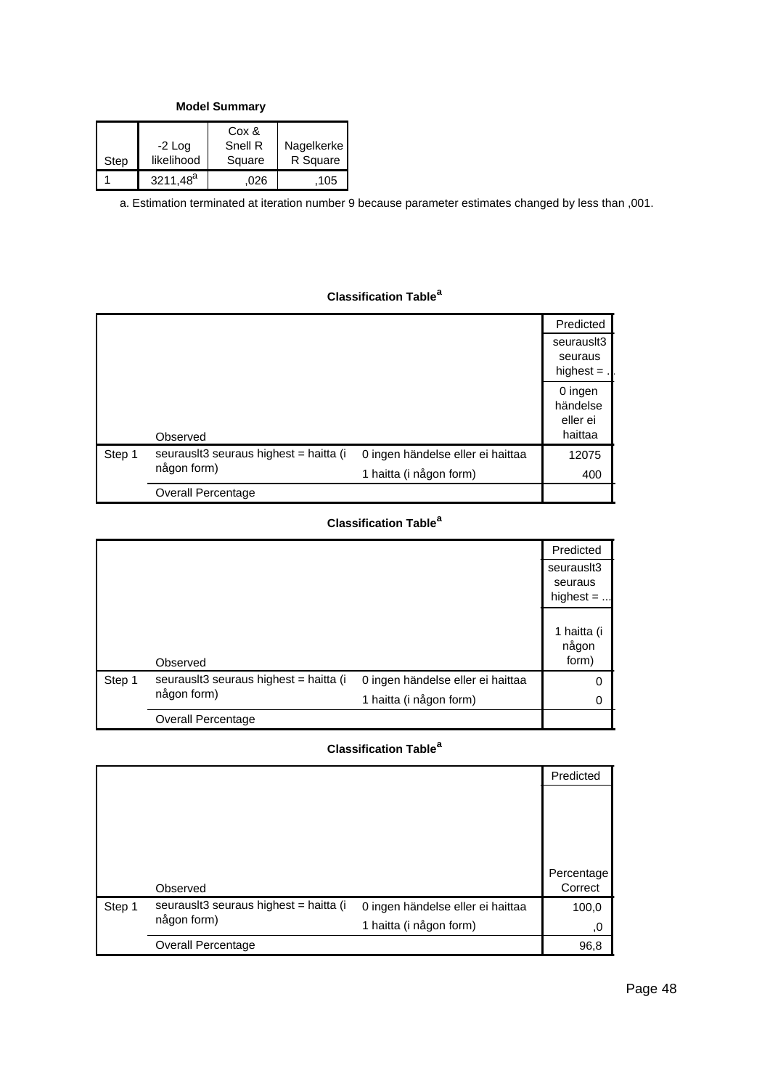**Model Summary**

| Step | $-2$ Log<br>likelihood | Cox &<br>Snell R<br>Square | Nagelkerke<br>R Square |
|------|------------------------|----------------------------|------------------------|
|      | $3211,48^a$            | 026                        | 105                    |

a. Estimation terminated at iteration number 9 because parameter estimates changed by less than ,001.

# **Classification Table<sup>a</sup>**

|        |                                        |                                   | Predicted                                  |
|--------|----------------------------------------|-----------------------------------|--------------------------------------------|
|        |                                        |                                   | seurausit3<br>seuraus<br>highest $=$ .     |
|        | Observed                               |                                   | 0 ingen<br>händelse<br>eller ei<br>haittaa |
| Step 1 | seurauslt3 seuraus highest = haitta (i | 0 ingen händelse eller ei haittaa | 12075                                      |
|        | någon form)                            | 1 haitta (i någon form)           | 400                                        |
|        | <b>Overall Percentage</b>              |                                   |                                            |

## **Classification Table<sup>a</sup>**

|        |                                        |                                   | Predicted                     |
|--------|----------------------------------------|-----------------------------------|-------------------------------|
|        |                                        |                                   | seurausit3                    |
|        |                                        |                                   | seuraus                       |
|        |                                        |                                   | highest $=$                   |
|        | Observed                               |                                   | 1 haitta (i<br>någon<br>form) |
| Step 1 | seurausit3 seuraus highest = haitta (i | 0 ingen händelse eller ei haittaa | 0                             |
|        | någon form)                            | 1 haitta (i någon form)           | 0                             |
|        | <b>Overall Percentage</b>              |                                   |                               |

## **Classification Table<sup>a</sup>**

|        |                                        |                                   | Predicted             |
|--------|----------------------------------------|-----------------------------------|-----------------------|
|        |                                        |                                   |                       |
|        | Observed                               |                                   | Percentage<br>Correct |
| Step 1 | seurausit3 seuraus highest = haitta (i | 0 ingen händelse eller ei haittaa | 100,0                 |
|        | någon form)                            | 1 haitta (i någon form)           | .0                    |
|        | <b>Overall Percentage</b>              |                                   | 96,8                  |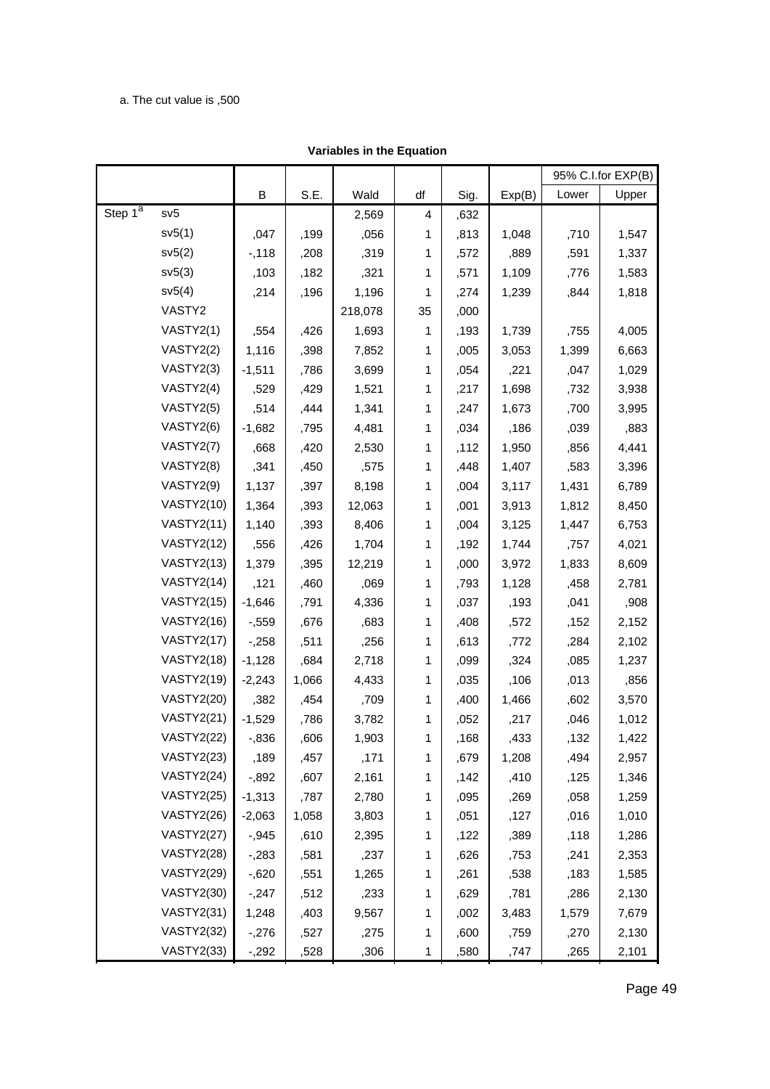### a. The cut value is ,500

|                         |                   |          |       |         |              |      |        |       | 95% C.I.for EXP(B) |
|-------------------------|-------------------|----------|-------|---------|--------------|------|--------|-------|--------------------|
|                         |                   | В        | S.E.  | Wald    | df           | Sig. | Exp(B) | Lower | Upper              |
| Step $1^{\overline{a}}$ | sv5               |          |       | 2,569   | 4            | ,632 |        |       |                    |
|                         | sv5(1)            | ,047     | ,199  | ,056    | 1            | ,813 | 1,048  | ,710  | 1,547              |
|                         | sv5(2)            | $-118$   | ,208  | ,319    | 1            | ,572 | ,889   | ,591  | 1,337              |
|                         | sv5(3)            | ,103     | ,182  | ,321    | 1            | ,571 | 1,109  | ,776  | 1,583              |
|                         | sv5(4)            | ,214     | ,196  | 1,196   | 1            | ,274 | 1,239  | ,844  | 1,818              |
|                         | VASTY2            |          |       | 218,078 | 35           | ,000 |        |       |                    |
|                         | VASTY2(1)         | ,554     | ,426  | 1,693   | 1            | ,193 | 1,739  | ,755  | 4,005              |
|                         | VASTY2(2)         | 1,116    | ,398  | 7,852   | 1            | ,005 | 3,053  | 1,399 | 6,663              |
|                         | VASTY2(3)         | $-1,511$ | ,786  | 3,699   | 1            | ,054 | ,221   | ,047  | 1,029              |
|                         | VASTY2(4)         | ,529     | ,429  | 1,521   | 1            | ,217 | 1,698  | ,732  | 3,938              |
|                         | VASTY2(5)         | ,514     | ,444  | 1,341   | 1            | ,247 | 1,673  | ,700  | 3,995              |
|                         | VASTY2(6)         | $-1,682$ | ,795  | 4,481   | 1            | ,034 | ,186   | ,039  | ,883               |
|                         | VASTY2(7)         | ,668     | ,420  | 2,530   | 1            | ,112 | 1,950  | ,856  | 4,441              |
|                         | VASTY2(8)         | ,341     | ,450  | ,575    | 1            | ,448 | 1,407  | ,583  | 3,396              |
|                         | VASTY2(9)         | 1,137    | ,397  | 8,198   | 1            | ,004 | 3,117  | 1,431 | 6,789              |
|                         | <b>VASTY2(10)</b> | 1,364    | ,393  | 12,063  | 1            | ,001 | 3,913  | 1,812 | 8,450              |
|                         | <b>VASTY2(11)</b> | 1,140    | ,393  | 8,406   | 1            | ,004 | 3,125  | 1,447 | 6,753              |
|                         | <b>VASTY2(12)</b> | ,556     | ,426  | 1,704   | 1            | ,192 | 1,744  | ,757  | 4,021              |
|                         | <b>VASTY2(13)</b> | 1,379    | ,395  | 12,219  | 1            | ,000 | 3,972  | 1,833 | 8,609              |
|                         | <b>VASTY2(14)</b> | ,121     | ,460  | ,069    | 1            | ,793 | 1,128  | ,458  | 2,781              |
|                         | <b>VASTY2(15)</b> | $-1,646$ | ,791  | 4,336   | 1            | ,037 | ,193   | ,041  | ,908               |
|                         | <b>VASTY2(16)</b> | $-0.559$ | ,676  | ,683    | 1            | ,408 | ,572   | ,152  | 2,152              |
|                         | <b>VASTY2(17)</b> | $-258$   | ,511  | ,256    | 1            | ,613 | ,772   | ,284  | 2,102              |
|                         | <b>VASTY2(18)</b> | $-1,128$ | ,684  | 2,718   | 1            | ,099 | ,324   | ,085  | 1,237              |
|                         | <b>VASTY2(19)</b> | $-2,243$ | 1,066 | 4,433   | 1            | ,035 | ,106   | ,013  | ,856               |
|                         | <b>VASTY2(20)</b> | ,382     | ,454  | ,709    | 1            | ,400 | 1,466  | ,602  | 3,570              |
|                         | <b>VASTY2(21)</b> | $-1,529$ | ,786  | 3,782   | 1            | ,052 | ,217   | ,046  | 1,012              |
|                         | <b>VASTY2(22)</b> | $-0.836$ | ,606  | 1,903   | 1            | ,168 | ,433   | ,132  | 1,422              |
|                         | <b>VASTY2(23)</b> | ,189     | ,457  | ,171    | 1            | ,679 | 1,208  | ,494  | 2,957              |
|                         | <b>VASTY2(24)</b> | $-0.892$ | ,607  | 2,161   | 1            | ,142 | ,410   | ,125  | 1,346              |
|                         | <b>VASTY2(25)</b> | $-1,313$ | ,787  | 2,780   | 1            | ,095 | ,269   | ,058  | 1,259              |
|                         | <b>VASTY2(26)</b> | $-2,063$ | 1,058 | 3,803   | 1            | ,051 | ,127   | ,016  | 1,010              |
|                         | <b>VASTY2(27)</b> | $-0.945$ | ,610  | 2,395   | 1            | ,122 | ,389   | ,118  | 1,286              |
|                         | <b>VASTY2(28)</b> | $-283$   | ,581  | ,237    | 1            | ,626 | ,753   | ,241  | 2,353              |
|                         | <b>VASTY2(29)</b> | $-0.620$ | ,551  | 1,265   | 1            | ,261 | ,538   | ,183  | 1,585              |
|                         | <b>VASTY2(30)</b> | $-247$   | ,512  | ,233    | 1            | ,629 | ,781   | ,286  | 2,130              |
|                         | <b>VASTY2(31)</b> | 1,248    | ,403  | 9,567   | 1            | ,002 | 3,483  | 1,579 | 7,679              |
|                         | <b>VASTY2(32)</b> | $-276$   | ,527  | ,275    | 1            | ,600 | ,759   | ,270  | 2,130              |
|                         | <b>VASTY2(33)</b> | $-292$   | ,528  | ,306    | $\mathbf{1}$ | ,580 | ,747   | ,265  | 2,101              |

### **Variables in the Equation**

Page 49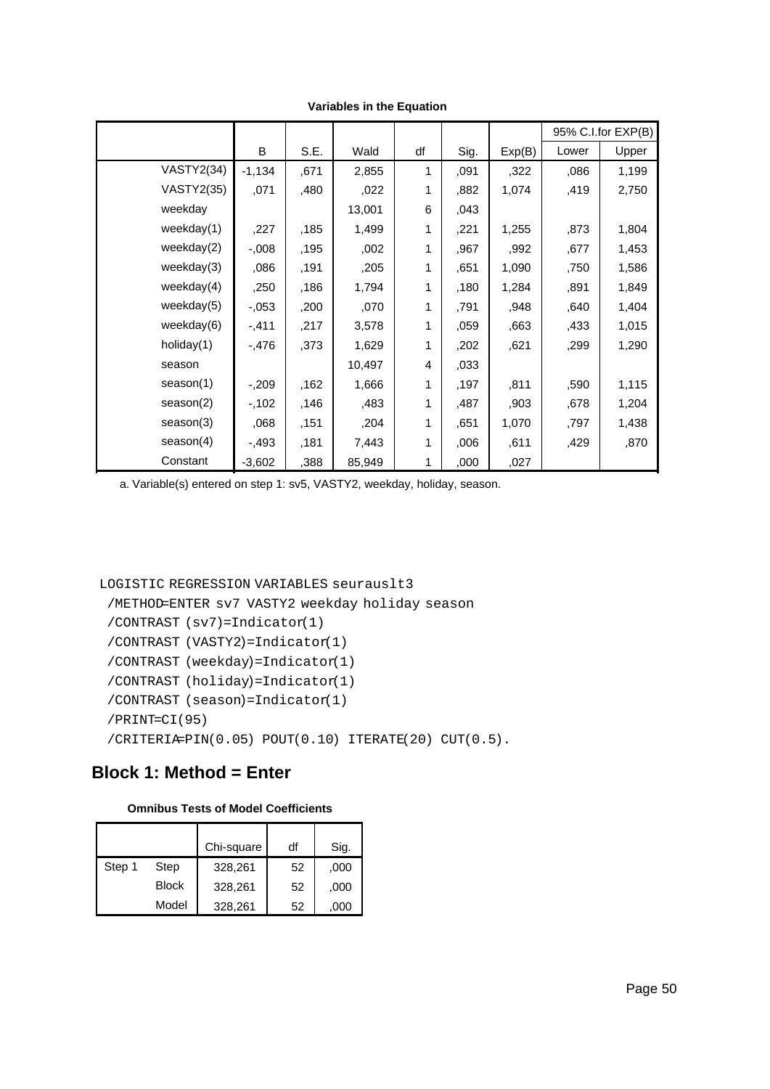|                   |          |      |        |                |      |        |       | 95% C.I.for EXP(B) |
|-------------------|----------|------|--------|----------------|------|--------|-------|--------------------|
|                   | B        | S.E. | Wald   | df             | Sig. | Exp(B) | Lower | Upper              |
| <b>VASTY2(34)</b> | $-1,134$ | ,671 | 2,855  | 1              | ,091 | ,322   | ,086  | 1,199              |
| <b>VASTY2(35)</b> | ,071     | ,480 | ,022   | 1              | ,882 | 1,074  | ,419  | 2,750              |
| weekday           |          |      | 13,001 | 6              | ,043 |        |       |                    |
| weekday(1)        | ,227     | ,185 | 1,499  | 1              | ,221 | 1,255  | ,873  | 1,804              |
| weekday(2)        | $-0.008$ | ,195 | ,002   | 1              | ,967 | ,992   | ,677  | 1,453              |
| weekday(3)        | ,086     | ,191 | ,205   | 1              | ,651 | 1,090  | ,750  | 1,586              |
| weekday $(4)$     | ,250     | ,186 | 1,794  | 1              | ,180 | 1,284  | ,891  | 1,849              |
| weekday(5)        | $-0.053$ | ,200 | ,070   | 1              | ,791 | ,948   | ,640  | 1,404              |
| weekday(6)        | $-0.411$ | ,217 | 3,578  | 1              | ,059 | ,663   | ,433  | 1,015              |
| holiday(1)        | $-0.476$ | ,373 | 1,629  | 1              | ,202 | ,621   | ,299  | 1,290              |
| season            |          |      | 10,497 | $\overline{4}$ | ,033 |        |       |                    |
| season(1)         | $-209$   | ,162 | 1,666  | 1              | ,197 | ,811   | ,590  | 1,115              |
| season(2)         | $-102$   | ,146 | ,483   | 1              | ,487 | ,903   | ,678  | 1,204              |
| season(3)         | ,068     | ,151 | ,204   | 1              | ,651 | 1,070  | ,797  | 1,438              |
| season(4)         | $-0.493$ | ,181 | 7,443  | 1              | ,006 | ,611   | ,429  | ,870               |
| Constant          | $-3,602$ | ,388 | 85,949 | 1              | ,000 | ,027   |       |                    |

**Variables in the Equation**

a. Variable(s) entered on step 1: sv5, VASTY2, weekday, holiday, season.

```
LOGISTIC REGRESSION VARIABLES seurauslt3
 /METHOD=ENTER sv7 VASTY2 weekday holiday season
 /CONTRAST (sv7)=Indicator(1)
 /CONTRAST (VASTY2)=Indicator(1)
 /CONTRAST (weekday)=Indicator(1)
 /CONTRAST (holiday)=Indicator(1)
 /CONTRAST (season)=Indicator(1)
 /PRINT=CI(95)
 /CRITERIA=PIN(0.05) POUT(0.10) ITERATE(20) CUT(0.5).
```

|  |  |  |  | <b>Omnibus Tests of Model Coefficients</b> |
|--|--|--|--|--------------------------------------------|
|--|--|--|--|--------------------------------------------|

|        |              | Chi-square | df | Sig. |
|--------|--------------|------------|----|------|
|        |              |            |    |      |
| Step 1 | Step         | 328,261    | 52 | ,000 |
|        | <b>Block</b> | 328,261    | 52 | ,000 |
|        | Model        | 328,261    | 52 | .000 |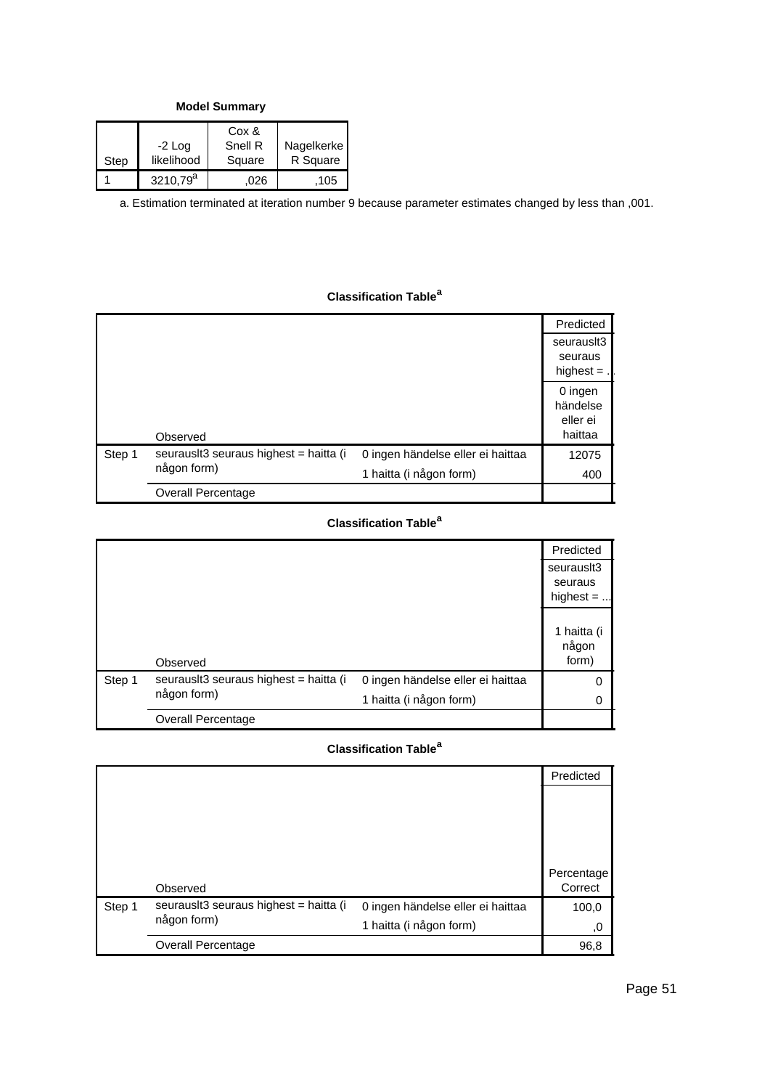**Model Summary**

| Step | $-2$ Log<br>likelihood | Cox &<br>Snell R<br>Square | Nagelkerke<br>R Square |
|------|------------------------|----------------------------|------------------------|
|      | 3210,79 <sup>a</sup>   | 026                        | 105                    |

a. Estimation terminated at iteration number 9 because parameter estimates changed by less than ,001.

## **Classification Table<sup>a</sup>**

|        |                                                       |                                                              | Predicted<br>seurausit3<br>seuraus<br>highest $=$ . |
|--------|-------------------------------------------------------|--------------------------------------------------------------|-----------------------------------------------------|
|        | Observed                                              |                                                              | 0 ingen<br>händelse<br>eller ei<br>haittaa          |
| Step 1 | seurauslt3 seuraus highest = haitta (i<br>någon form) | 0 ingen händelse eller ei haittaa<br>1 haitta (i någon form) | 12075<br>400                                        |
|        | <b>Overall Percentage</b>                             |                                                              |                                                     |

## **Classification Table<sup>a</sup>**

|        |                                        |                                   | Predicted                     |
|--------|----------------------------------------|-----------------------------------|-------------------------------|
|        |                                        |                                   | seurausit3                    |
|        |                                        |                                   | seuraus                       |
|        |                                        |                                   | highest $=$                   |
|        | Observed                               |                                   | 1 haitta (i<br>någon<br>form) |
| Step 1 | seurausit3 seuraus highest = haitta (i | 0 ingen händelse eller ei haittaa | 0                             |
|        | någon form)                            | 1 haitta (i någon form)           | 0                             |
|        | <b>Overall Percentage</b>              |                                   |                               |

## **Classification Table<sup>a</sup>**

|        |                                        |                                   | Predicted             |
|--------|----------------------------------------|-----------------------------------|-----------------------|
|        |                                        |                                   |                       |
|        | Observed                               |                                   | Percentage<br>Correct |
| Step 1 | seurausit3 seuraus highest = haitta (i | 0 ingen händelse eller ei haittaa | 100,0                 |
|        | någon form)                            | 1 haitta (i någon form)           | .0                    |
|        | <b>Overall Percentage</b>              |                                   | 96,8                  |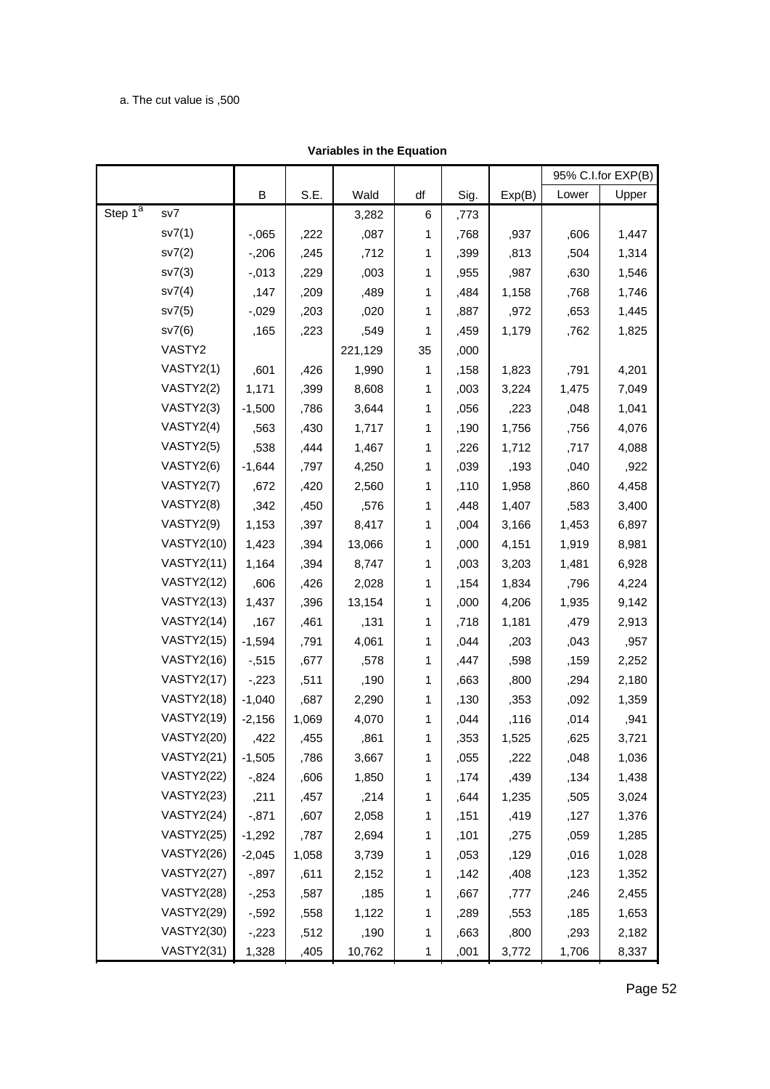### a. The cut value is ,500

|                     |                   |          |       |         |              |      |        |       | 95% C.I.for EXP(B) |
|---------------------|-------------------|----------|-------|---------|--------------|------|--------|-------|--------------------|
|                     |                   | B        | S.E.  | Wald    | df           | Sig. | Exp(B) | Lower | Upper              |
| Step 1 <sup>a</sup> | sv7               |          |       | 3,282   | 6            | ,773 |        |       |                    |
|                     | sv7(1)            | $-0.065$ | ,222  | ,087    | 1            | ,768 | ,937   | ,606  | 1,447              |
|                     | sv7(2)            | $-206$   | ,245  | ,712    | 1            | ,399 | ,813   | ,504  | 1,314              |
|                     | sv7(3)            | $-0.013$ | ,229  | ,003    | 1            | ,955 | ,987   | ,630  | 1,546              |
|                     | sv7(4)            | ,147     | ,209  | ,489    | 1            | ,484 | 1,158  | ,768  | 1,746              |
|                     | sv7(5)            | $-0.029$ | ,203  | ,020    | 1            | ,887 | ,972   | ,653  | 1,445              |
|                     | sv7(6)            | ,165     | ,223  | ,549    | 1            | ,459 | 1,179  | ,762  | 1,825              |
|                     | VASTY2            |          |       | 221,129 | 35           | ,000 |        |       |                    |
|                     | VASTY2(1)         | ,601     | ,426  | 1,990   | 1            | ,158 | 1,823  | ,791  | 4,201              |
|                     | VASTY2(2)         | 1,171    | ,399  | 8,608   | 1            | ,003 | 3,224  | 1,475 | 7,049              |
|                     | VASTY2(3)         | $-1,500$ | ,786  | 3,644   | 1            | ,056 | ,223   | ,048  | 1,041              |
|                     | VASTY2(4)         | ,563     | ,430  | 1,717   | 1            | ,190 | 1,756  | ,756  | 4,076              |
|                     | VASTY2(5)         | ,538     | ,444  | 1,467   | 1            | ,226 | 1,712  | ,717  | 4,088              |
|                     | VASTY2(6)         | $-1,644$ | ,797  | 4,250   | 1            | ,039 | ,193   | ,040  | ,922               |
|                     | VASTY2(7)         | ,672     | ,420  | 2,560   | 1            | ,110 | 1,958  | ,860  | 4,458              |
|                     | VASTY2(8)         | ,342     | ,450  | ,576    | 1            | ,448 | 1,407  | ,583  | 3,400              |
|                     | VASTY2(9)         | 1,153    | ,397  | 8,417   | 1            | ,004 | 3,166  | 1,453 | 6,897              |
|                     | <b>VASTY2(10)</b> | 1,423    | ,394  | 13,066  | 1            | ,000 | 4,151  | 1,919 | 8,981              |
|                     | <b>VASTY2(11)</b> | 1,164    | ,394  | 8,747   | 1            | ,003 | 3,203  | 1,481 | 6,928              |
|                     | <b>VASTY2(12)</b> | ,606     | ,426  | 2,028   | 1            | ,154 | 1,834  | ,796  | 4,224              |
|                     | <b>VASTY2(13)</b> | 1,437    | ,396  | 13,154  | 1            | ,000 | 4,206  | 1,935 | 9,142              |
|                     | <b>VASTY2(14)</b> | ,167     | ,461  | ,131    | 1            | ,718 | 1,181  | ,479  | 2,913              |
|                     | <b>VASTY2(15)</b> | $-1,594$ | ,791  | 4,061   | 1            | ,044 | ,203   | ,043  | ,957               |
|                     | <b>VASTY2(16)</b> | $-0.515$ | ,677  | ,578    | 1            | ,447 | ,598   | ,159  | 2,252              |
|                     | <b>VASTY2(17)</b> | $-223$   | ,511  | ,190    | 1            | ,663 | ,800   | ,294  | 2,180              |
|                     | <b>VASTY2(18)</b> | $-1,040$ | ,687  | 2,290   | 1            | ,130 | ,353   | ,092  | 1,359              |
|                     | <b>VASTY2(19)</b> | $-2,156$ | 1,069 | 4,070   | 1            | ,044 | ,116   | ,014  | ,941               |
|                     | <b>VASTY2(20)</b> | ,422     | ,455  | ,861    | 1            | ,353 | 1,525  | ,625  | 3,721              |
|                     | <b>VASTY2(21)</b> | $-1,505$ | ,786  | 3,667   | 1            | ,055 | ,222   | ,048  | 1,036              |
|                     | <b>VASTY2(22)</b> | $-0.824$ | ,606  | 1,850   | 1            | ,174 | ,439   | ,134  | 1,438              |
|                     | <b>VASTY2(23)</b> | ,211     | ,457  | ,214    | 1            | ,644 | 1,235  | ,505  | 3,024              |
|                     | <b>VASTY2(24)</b> | $-0.871$ | ,607  | 2,058   | 1            | ,151 | ,419   | ,127  | 1,376              |
|                     | <b>VASTY2(25)</b> | $-1,292$ | ,787  | 2,694   | 1            | ,101 | ,275   | ,059  | 1,285              |
|                     | <b>VASTY2(26)</b> | $-2,045$ | 1,058 | 3,739   | 1            | ,053 | ,129   | ,016  | 1,028              |
|                     | <b>VASTY2(27)</b> | $-0.897$ | ,611  | 2,152   | 1            | ,142 | ,408   | ,123  | 1,352              |
|                     | <b>VASTY2(28)</b> | $-253$   | ,587  | ,185    | 1            | ,667 | ,777   | ,246  | 2,455              |
|                     | <b>VASTY2(29)</b> | $-0.592$ | ,558  | 1,122   | 1            | ,289 | ,553   | ,185  | 1,653              |
|                     | <b>VASTY2(30)</b> | $-223$   | ,512  | ,190    | 1            | ,663 | ,800   | ,293  | 2,182              |
|                     | <b>VASTY2(31)</b> | 1,328    | ,405  | 10,762  | $\mathbf{1}$ | ,001 | 3,772  | 1,706 | 8,337              |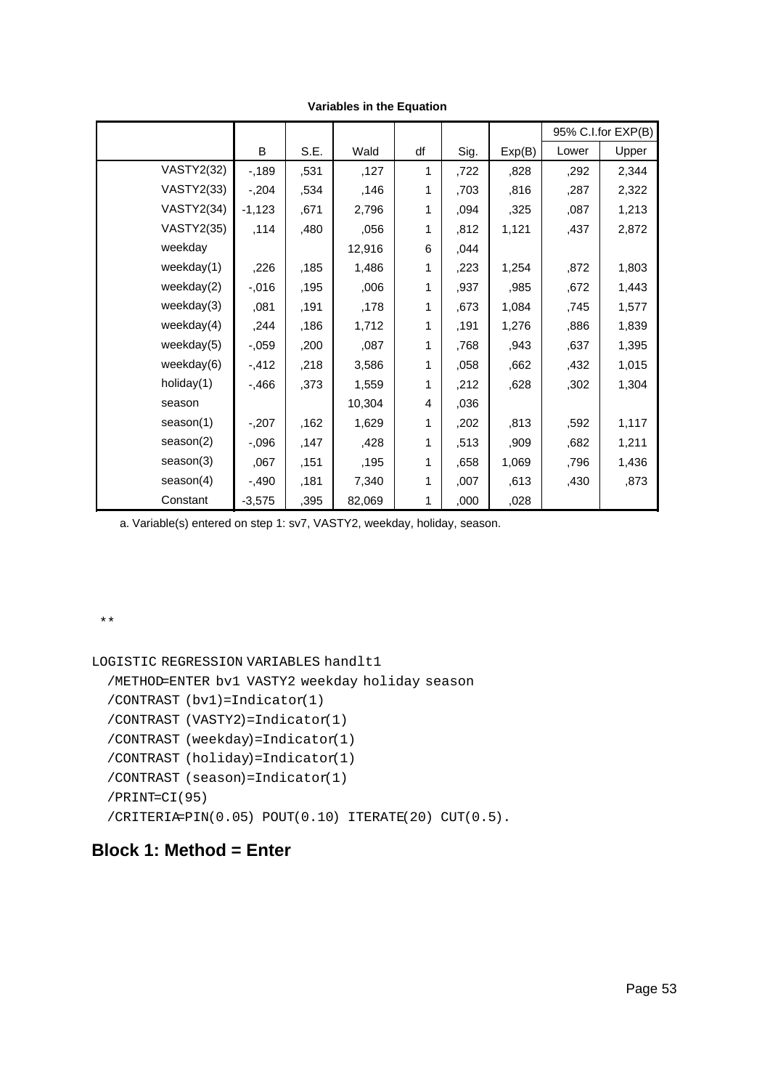|                   |          |      |        |    |      |        |       | 95% C.I.for EXP(B) |
|-------------------|----------|------|--------|----|------|--------|-------|--------------------|
|                   | B        | S.E. | Wald   | df | Sig. | Exp(B) | Lower | Upper              |
| <b>VASTY2(32)</b> | $-189$   | ,531 | ,127   | 1  | ,722 | ,828   | ,292  | 2,344              |
| <b>VASTY2(33)</b> | $-204$   | ,534 | ,146   | 1  | ,703 | ,816   | ,287  | 2,322              |
| <b>VASTY2(34)</b> | $-1,123$ | ,671 | 2,796  | 1  | ,094 | ,325   | ,087  | 1,213              |
| <b>VASTY2(35)</b> | ,114     | ,480 | ,056   | 1  | ,812 | 1,121  | ,437  | 2,872              |
| weekday           |          |      | 12,916 | 6  | ,044 |        |       |                    |
| weekday $(1)$     | ,226     | ,185 | 1,486  | 1  | ,223 | 1,254  | ,872  | 1,803              |
| weekday $(2)$     | $-0.016$ | ,195 | ,006   | 1  | ,937 | ,985   | ,672  | 1,443              |
| weekday(3)        | ,081     | ,191 | ,178   | 1  | ,673 | 1,084  | ,745  | 1,577              |
| weekday $(4)$     | ,244     | ,186 | 1,712  | 1  | ,191 | 1,276  | ,886  | 1,839              |
| weekday(5)        | $-0.059$ | ,200 | ,087   | 1  | ,768 | ,943   | ,637  | 1,395              |
| weekday(6)        | $-0.412$ | ,218 | 3,586  | 1  | ,058 | ,662   | ,432  | 1,015              |
| holiday(1)        | $-0.466$ | ,373 | 1,559  | 1  | ,212 | ,628   | ,302  | 1,304              |
| season            |          |      | 10,304 | 4  | ,036 |        |       |                    |
| season(1)         | $-207$   | ,162 | 1,629  | 1  | ,202 | ,813   | ,592  | 1,117              |
| season(2)         | $-0.096$ | ,147 | ,428   | 1  | ,513 | ,909   | ,682  | 1,211              |
| season(3)         | ,067     | ,151 | ,195   | 1  | ,658 | 1,069  | ,796  | 1,436              |
| season(4)         | $-0.490$ | ,181 | 7,340  | 1  | ,007 | ,613   | ,430  | ,873               |
| Constant          | $-3,575$ | ,395 | 82,069 | 1  | ,000 | ,028   |       |                    |

**Variables in the Equation**

a. Variable(s) entered on step 1: sv7, VASTY2, weekday, holiday, season.

#### \*\*

```
LOGISTIC REGRESSION VARIABLES handlt1
```

```
 /METHOD=ENTER bv1 VASTY2 weekday holiday season
/CONTRAST (bv1)=Indicator(1)
/CONTRAST (VASTY2)=Indicator(1)
/CONTRAST (weekday)=Indicator(1)
/CONTRAST (holiday)=Indicator(1)
/CONTRAST (season)=Indicator(1)
/PRINT=CI(95)
/CRITERIA=PIN(0.05) POUT(0.10) ITERATE(20) CUT(0.5).
```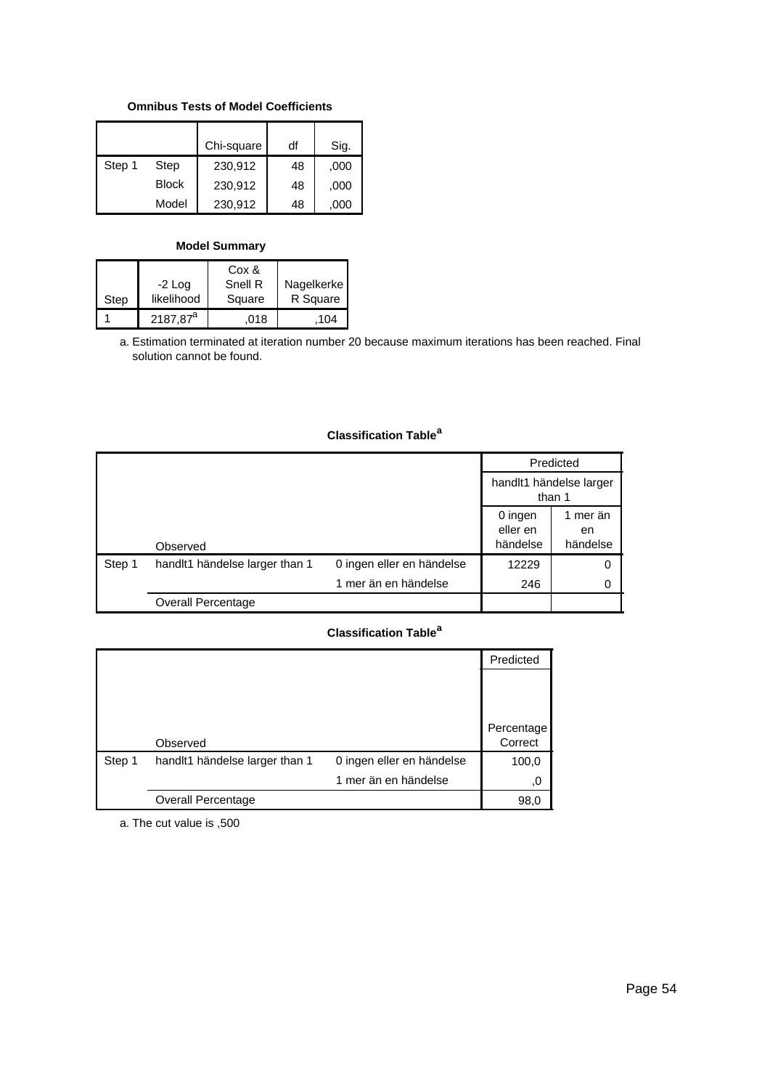### **Omnibus Tests of Model Coefficients**

|        |              | Chi-square | df | Sig. |
|--------|--------------|------------|----|------|
| Step 1 | Step         | 230,912    | 48 | ,000 |
|        | <b>Block</b> | 230,912    | 48 | ,000 |
|        | Model        | 230,912    | 48 | ,000 |

#### **Model Summary**

|      |             | Cox &   |            |
|------|-------------|---------|------------|
|      | $-2$ Log    | Snell R | Nagelkerke |
| Step | likelihood  | Square  | R Square   |
|      | $2187.87^a$ | .018    | 104        |

Estimation terminated at iteration number 20 because maximum iterations has been reached. Final a. solution cannot be found.

### **Classification Table<sup>a</sup>**

|        |                                |                           |                                   | Predicted                  |
|--------|--------------------------------|---------------------------|-----------------------------------|----------------------------|
|        |                                |                           | handlt1 händelse larger<br>than 1 |                            |
|        | Observed                       |                           | 0 ingen<br>eller en<br>händelse   | 1 mer än<br>en<br>händelse |
| Step 1 | handlt1 händelse larger than 1 | 0 ingen eller en händelse | 12229                             | 0                          |
|        |                                | 1 mer än en händelse      | 246                               | 0                          |
|        | <b>Overall Percentage</b>      |                           |                                   |                            |

# **Classification Table<sup>a</sup>**

|        |                                |                           | Predicted             |
|--------|--------------------------------|---------------------------|-----------------------|
|        |                                |                           |                       |
|        |                                |                           |                       |
|        |                                |                           |                       |
|        | Observed                       |                           | Percentage<br>Correct |
| Step 1 | handlt1 händelse larger than 1 | 0 ingen eller en händelse | 100,0                 |
|        |                                | 1 mer än en händelse      | 0,                    |
|        | <b>Overall Percentage</b>      |                           | 98,0                  |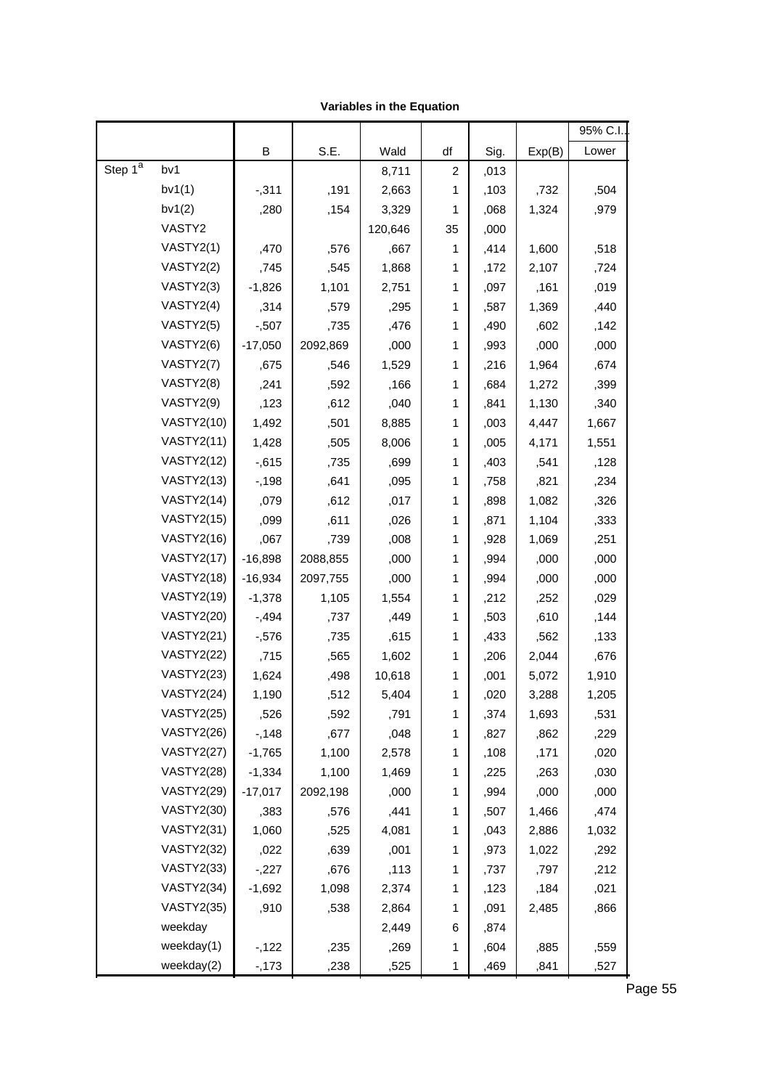| Variables in the Equation |  |  |  |
|---------------------------|--|--|--|
|---------------------------|--|--|--|

|                     |                   |           |          |         |                |      |        | 95% C.I |  |
|---------------------|-------------------|-----------|----------|---------|----------------|------|--------|---------|--|
|                     |                   | В         | S.E.     | Wald    | df             | Sig. | Exp(B) | Lower   |  |
| Step 1 <sup>a</sup> | bv1               |           |          | 8,711   | $\overline{c}$ | ,013 |        |         |  |
|                     | bv1(1)            | $-0.311$  | ,191     | 2,663   | 1              | ,103 | ,732   | ,504    |  |
|                     | bv1(2)            | ,280      | ,154     | 3,329   | $\mathbf{1}$   | ,068 | 1,324  | ,979    |  |
|                     | VASTY2            |           |          | 120,646 | 35             | ,000 |        |         |  |
|                     | VASTY2(1)         | ,470      | ,576     | ,667    | 1              | ,414 | 1,600  | ,518    |  |
|                     | VASTY2(2)         | ,745      | ,545     | 1,868   | 1              | ,172 | 2,107  | ,724    |  |
|                     | VASTY2(3)         | $-1,826$  | 1,101    | 2,751   | 1              | ,097 | ,161   | ,019    |  |
|                     | VASTY2(4)         | ,314      | ,579     | ,295    | 1              | ,587 | 1,369  | ,440    |  |
|                     | VASTY2(5)         | $-0.507$  | ,735     | ,476    | 1              | ,490 | ,602   | ,142    |  |
|                     | VASTY2(6)         | $-17,050$ | 2092,869 | ,000    | 1              | ,993 | ,000   | ,000    |  |
|                     | VASTY2(7)         | ,675      | ,546     | 1,529   | 1              | ,216 | 1,964  | ,674    |  |
|                     | VASTY2(8)         | ,241      | ,592     | ,166    | 1              | ,684 | 1,272  | ,399    |  |
|                     | VASTY2(9)         | ,123      | ,612     | ,040    | 1              | ,841 | 1,130  | ,340    |  |
|                     | <b>VASTY2(10)</b> | 1,492     | ,501     | 8,885   | 1              | ,003 | 4,447  | 1,667   |  |
|                     | <b>VASTY2(11)</b> | 1,428     | ,505     | 8,006   | 1              | ,005 | 4,171  | 1,551   |  |
|                     | <b>VASTY2(12)</b> | $-0.615$  | ,735     | ,699    | 1              | ,403 | ,541   | ,128    |  |
|                     | <b>VASTY2(13)</b> | $-198$    | ,641     | ,095    | 1              | ,758 | ,821   | ,234    |  |
|                     | <b>VASTY2(14)</b> | ,079      | ,612     | ,017    | 1              | ,898 | 1,082  | ,326    |  |
|                     | <b>VASTY2(15)</b> | ,099      | ,611     | ,026    | 1              | ,871 | 1,104  | ,333    |  |
|                     | <b>VASTY2(16)</b> | ,067      | ,739     | ,008    | 1              | ,928 | 1,069  | ,251    |  |
|                     | <b>VASTY2(17)</b> | $-16,898$ | 2088,855 | ,000    | 1              | ,994 | ,000   | ,000    |  |
|                     | <b>VASTY2(18)</b> | $-16,934$ | 2097,755 | ,000    | 1              | ,994 | ,000   | ,000    |  |
|                     | <b>VASTY2(19)</b> | $-1,378$  | 1,105    | 1,554   | 1              | ,212 | ,252   | ,029    |  |
|                     | <b>VASTY2(20)</b> | $-0.494$  | ,737     | ,449    | 1              | ,503 | ,610   | ,144    |  |
|                     | <b>VASTY2(21)</b> | $-0.576$  | ,735     | ,615    | 1              | ,433 | ,562   | ,133    |  |
|                     | <b>VASTY2(22)</b> | ,715      | ,565     | 1,602   | 1              | ,206 | 2,044  | ,676    |  |
|                     | <b>VASTY2(23)</b> | 1,624     | ,498     | 10,618  | 1              | ,001 | 5,072  | 1,910   |  |
|                     | <b>VASTY2(24)</b> | 1,190     | ,512     | 5,404   | 1              | ,020 | 3,288  | 1,205   |  |
|                     | <b>VASTY2(25)</b> | ,526      | ,592     | ,791    | 1              | ,374 | 1,693  | ,531    |  |
|                     | <b>VASTY2(26)</b> | $-148$    | ,677     | ,048    | 1              | ,827 | ,862   | ,229    |  |
|                     | <b>VASTY2(27)</b> | $-1,765$  | 1,100    | 2,578   | 1              | ,108 | ,171   | ,020    |  |
|                     | <b>VASTY2(28)</b> | $-1,334$  | 1,100    | 1,469   | 1              | ,225 | ,263   | ,030    |  |
|                     | <b>VASTY2(29)</b> | $-17,017$ | 2092,198 | ,000    | 1              | ,994 | ,000   | ,000    |  |
|                     | <b>VASTY2(30)</b> | ,383      | ,576     | ,441    | 1              | ,507 | 1,466  | ,474    |  |
|                     | <b>VASTY2(31)</b> | 1,060     | ,525     | 4,081   | 1              | ,043 | 2,886  | 1,032   |  |
|                     | <b>VASTY2(32)</b> | ,022      | ,639     | ,001    | 1              | ,973 | 1,022  | ,292    |  |
|                     | <b>VASTY2(33)</b> | $-227$    | ,676     | ,113    | 1              | ,737 | ,797   | ,212    |  |
|                     | <b>VASTY2(34)</b> | $-1,692$  | 1,098    | 2,374   | 1              | ,123 | ,184   | ,021    |  |
|                     | <b>VASTY2(35)</b> | ,910      | ,538     | 2,864   | 1              | ,091 | 2,485  | ,866    |  |
|                     | weekday           |           |          | 2,449   | 6              | ,874 |        |         |  |
|                     | weekday(1)        | $-122$    | ,235     | ,269    | $\mathbf{1}$   | ,604 | ,885   | ,559    |  |
|                     | weekday(2)        | $-173$    | ,238     | ,525    | 1              | ,469 | ,841   | ,527    |  |

,007 ,229  $\pm$  229  $\pm$  229  $\pm$  229  $\pm$  229  $\pm$  239  $\pm$  239  $\pm$  235  $\pm$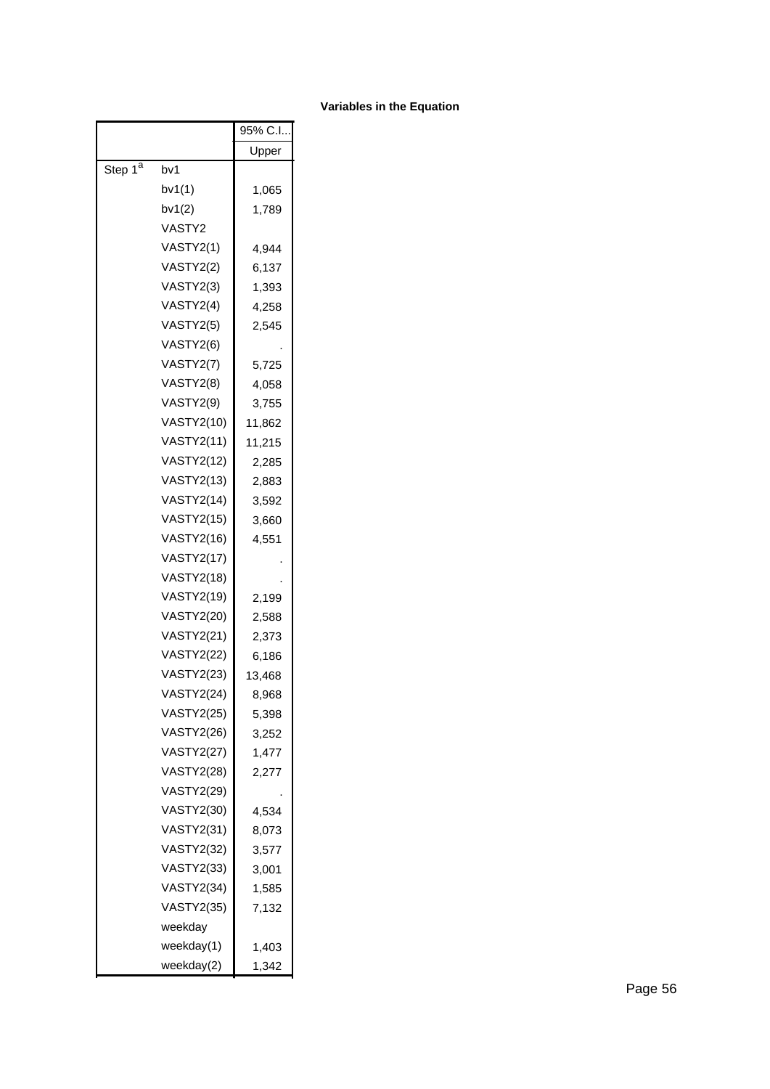|                     |                   | 95% C.I |
|---------------------|-------------------|---------|
|                     |                   | Upper   |
| Step 1 <sup>a</sup> | bv1               |         |
|                     | bv1(1)            | 1,065   |
|                     | bv1(2)            | 1,789   |
|                     | VASTY2            |         |
|                     | VASTY2(1)         | 4,944   |
|                     | VASTY2(2)         | 6,137   |
|                     | VASTY2(3)         | 1,393   |
|                     | VASTY2(4)         | 4,258   |
|                     | VASTY2(5)         | 2,545   |
|                     | VASTY2(6)         |         |
|                     | VASTY2(7)         | 5,725   |
|                     | VASTY2(8)         | 4,058   |
|                     | VASTY2(9)         | 3,755   |
|                     | <b>VASTY2(10)</b> | 11,862  |
|                     | <b>VASTY2(11)</b> | 11,215  |
|                     | <b>VASTY2(12)</b> | 2,285   |
|                     | <b>VASTY2(13)</b> | 2,883   |
|                     | <b>VASTY2(14)</b> | 3,592   |
|                     | <b>VASTY2(15)</b> | 3,660   |
|                     | <b>VASTY2(16)</b> | 4,551   |
|                     | <b>VASTY2(17)</b> |         |
|                     | <b>VASTY2(18)</b> |         |
|                     | <b>VASTY2(19)</b> | 2,199   |
|                     | <b>VASTY2(20)</b> | 2,588   |
|                     | VASTY2(21)        | 2,373   |
|                     | <b>VASTY2(22)</b> | 6,186   |
|                     | <b>VASTY2(23)</b> | 13,468  |
|                     | <b>VASTY2(24)</b> | 8,968   |
|                     | <b>VASTY2(25)</b> | 5,398   |
|                     | <b>VASTY2(26)</b> | 3,252   |
|                     | <b>VASTY2(27)</b> | 1,477   |
|                     | <b>VASTY2(28)</b> | 2,277   |
|                     | <b>VASTY2(29)</b> |         |
|                     | <b>VASTY2(30)</b> | 4,534   |
|                     | <b>VASTY2(31)</b> | 8,073   |
|                     | <b>VASTY2(32)</b> | 3,577   |
|                     | <b>VASTY2(33)</b> | 3,001   |
|                     | <b>VASTY2(34)</b> | 1,585   |
|                     | VASTY2(35)        | 7,132   |
|                     | weekday           |         |
|                     | weekday(1)        | 1,403   |
|                     | weekday(2)        | 1,342   |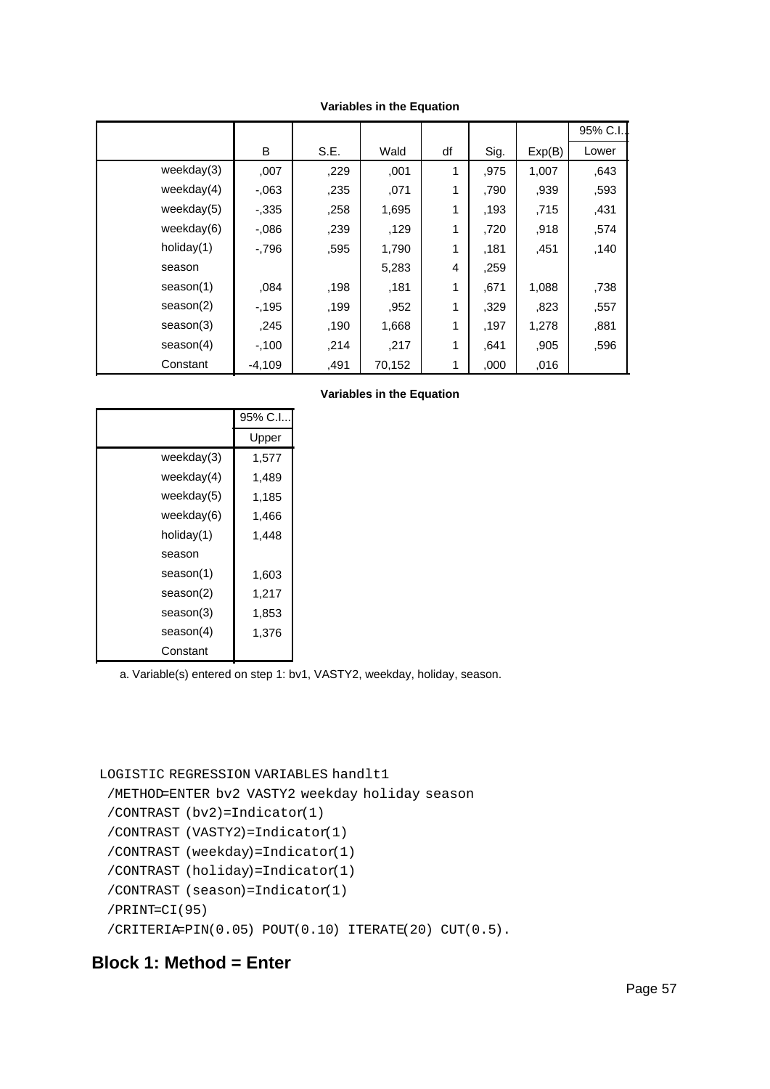|               |          |      |        |    |      |        | 95% C.I. |
|---------------|----------|------|--------|----|------|--------|----------|
|               | B        | S.E. | Wald   | df | Sig. | Exp(B) | Lower    |
| weekday $(3)$ | ,007     | ,229 | ,001   | 1  | ,975 | 1,007  | ,643     |
| weekday $(4)$ | $-063$   | ,235 | ,071   | 1  | ,790 | ,939   | ,593     |
| weekday $(5)$ | $-0.335$ | ,258 | 1,695  | 1  | .193 | ,715   | ,431     |
| weekday(6)    | $-0.086$ | ,239 | ,129   | 1  | .720 | ,918   | ,574     |
| holiday(1)    | $-796$   | ,595 | 1,790  | 1  | ,181 | ,451   | ,140     |
| season        |          |      | 5,283  | 4  | .259 |        |          |
| season(1)     | ,084     | ,198 | ,181   | 1  | ,671 | 1,088  | ,738     |
| season(2)     | $-195$   | ,199 | ,952   | 1  | ,329 | ,823   | ,557     |
| season(3)     | ,245     | ,190 | 1,668  | 1  | .197 | 1,278  | ,881     |
| season(4)     | $-100$   | ,214 | ,217   | 1  | ,641 | ,905   | ,596     |
| Constant      | $-4,109$ | ,491 | 70,152 | 1  | ,000 | .016   |          |

#### **Variables in the Equation**

|            | 95% C.I |
|------------|---------|
|            | Upper   |
| weekday(3) | 1,577   |
| weekday(4) | 1,489   |
| weekday(5) | 1,185   |
| weekday(6) | 1,466   |
| holiday(1) | 1,448   |
| season     |         |
| season(1)  | 1,603   |
| season(2)  | 1,217   |
| season(3)  | 1,853   |
| season(4)  | 1,376   |
| Constant   |         |

a. Variable(s) entered on step 1: bv1, VASTY2, weekday, holiday, season.

```
LOGISTIC REGRESSION VARIABLES handlt1
```
/METHOD=ENTER bv2 VASTY2 weekday holiday season

```
 /CONTRAST (bv2)=Indicator(1)
```

```
 /CONTRAST (VASTY2)=Indicator(1)
```

```
 /CONTRAST (weekday)=Indicator(1)
```

```
 /CONTRAST (holiday)=Indicator(1)
```

```
 /CONTRAST (season)=Indicator(1)
```

```
 /PRINT=CI(95)
```

```
 /CRITERIA=PIN(0.05) POUT(0.10) ITERATE(20) CUT(0.5).
```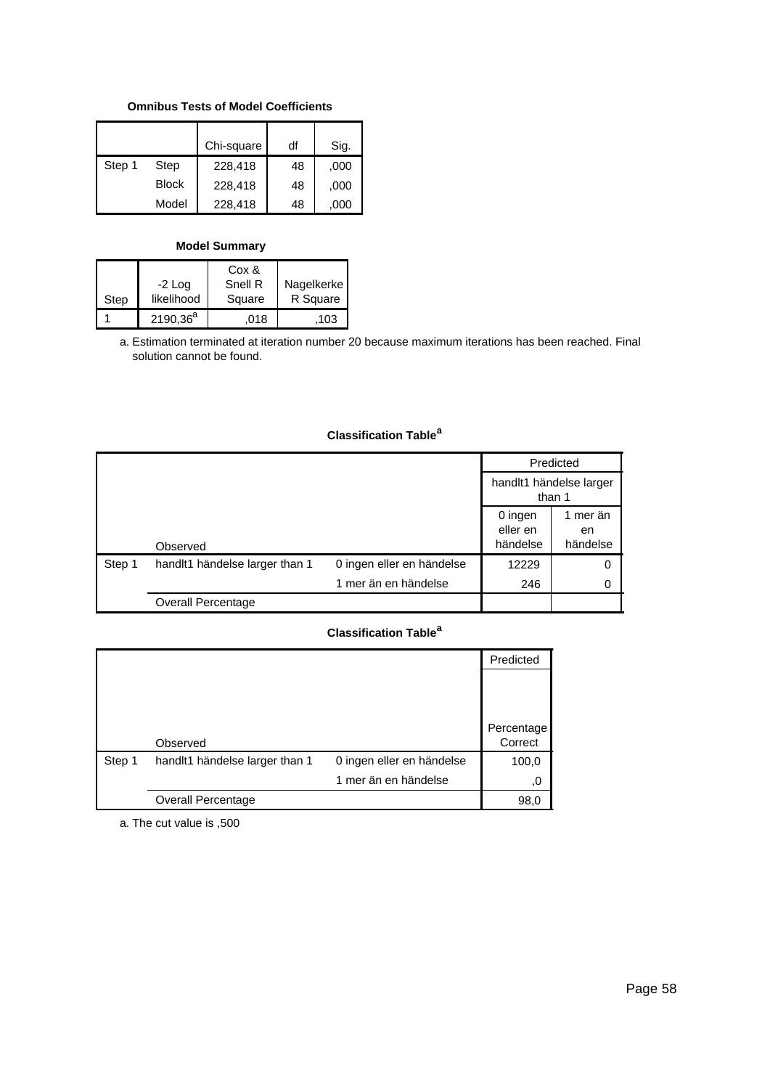### **Omnibus Tests of Model Coefficients**

|        |              | Chi-square | df | Sig. |
|--------|--------------|------------|----|------|
| Step 1 | Step         | 228,418    | 48 | ,000 |
|        | <b>Block</b> | 228,418    | 48 | ,000 |
|        | Model        | 228,418    | 48 | .000 |

#### **Model Summary**

|      |               | Cox &   |            |
|------|---------------|---------|------------|
|      | $-2$ Log      | Snell R | Nagelkerke |
| Step | likelihood    | Square  | R Square   |
|      | $2190,36^{a}$ | 018     | 103        |

Estimation terminated at iteration number 20 because maximum iterations has been reached. Final a. solution cannot be found.

### **Classification Table<sup>a</sup>**

|        |                                |                           | Predicted                       |                                   |  |  |
|--------|--------------------------------|---------------------------|---------------------------------|-----------------------------------|--|--|
|        |                                |                           |                                 | handlt1 händelse larger<br>than 1 |  |  |
|        | Observed                       |                           | 0 ingen<br>eller en<br>händelse | 1 mer än<br>en<br>händelse        |  |  |
| Step 1 | handlt1 händelse larger than 1 | 0 ingen eller en händelse | 12229                           | 0                                 |  |  |
|        |                                | 1 mer än en händelse      | 246                             | 0                                 |  |  |
|        | Overall Percentage             |                           |                                 |                                   |  |  |

# **Classification Table<sup>a</sup>**

|        |                                |                           | Predicted  |
|--------|--------------------------------|---------------------------|------------|
|        |                                |                           |            |
|        |                                |                           |            |
|        |                                |                           | Percentage |
|        | Observed                       |                           | Correct    |
| Step 1 | handlt1 händelse larger than 1 | 0 ingen eller en händelse | 100,0      |
|        |                                | 1 mer än en händelse      | 0,         |
|        | <b>Overall Percentage</b>      |                           | 98,0       |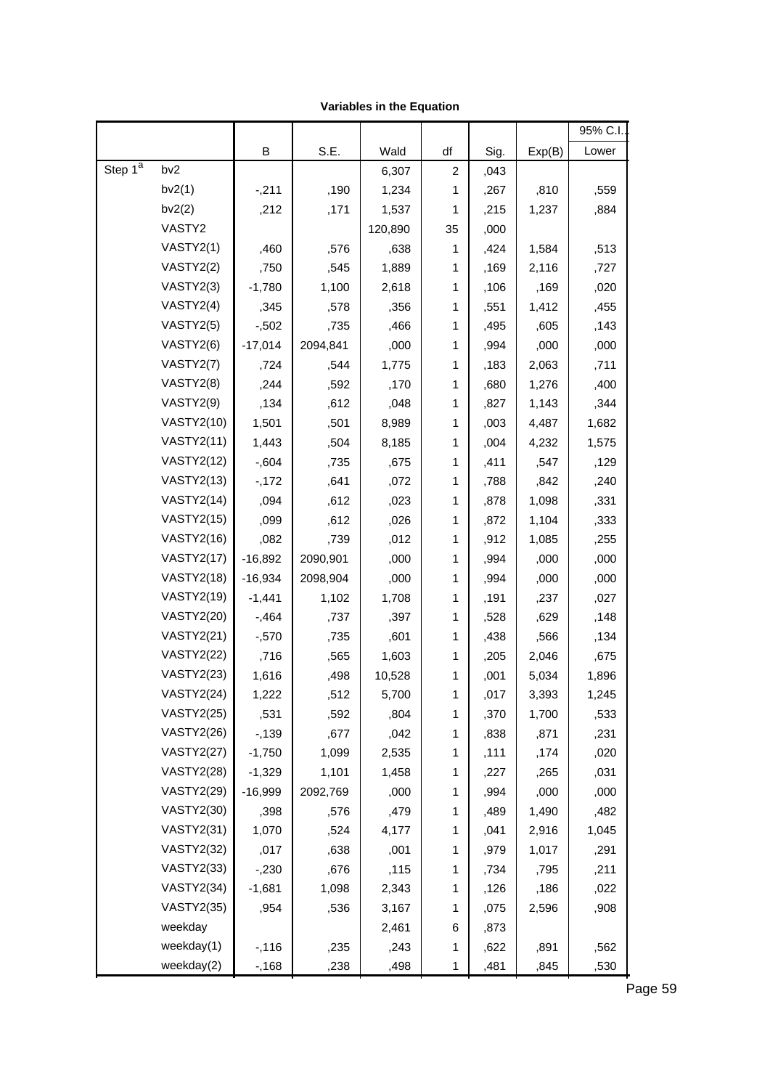| Variables in the Equation |  |  |  |
|---------------------------|--|--|--|
|---------------------------|--|--|--|

|                         |                   |           |          |         |                |      |        | 95% C.I. |
|-------------------------|-------------------|-----------|----------|---------|----------------|------|--------|----------|
|                         |                   | B         | S.E.     | Wald    | df             | Sig. | Exp(B) | Lower    |
| Step $1^{\overline{a}}$ | bv <sub>2</sub>   |           |          | 6,307   | $\overline{c}$ | ,043 |        |          |
|                         | bv2(1)            | $-211$    | ,190     | 1,234   | 1              | ,267 | ,810   | ,559     |
|                         | bv2(2)            | ,212      | ,171     | 1,537   | 1              | ,215 | 1,237  | ,884     |
|                         | VASTY2            |           |          | 120,890 | 35             | ,000 |        |          |
|                         | VASTY2(1)         | ,460      | ,576     | ,638    | 1              | ,424 | 1,584  | ,513     |
|                         | VASTY2(2)         | ,750      | ,545     | 1,889   | 1              | ,169 | 2,116  | ,727     |
|                         | VASTY2(3)         | $-1,780$  | 1,100    | 2,618   | 1              | ,106 | ,169   | ,020     |
|                         | VASTY2(4)         | ,345      | ,578     | ,356    | 1              | ,551 | 1,412  | ,455     |
|                         | VASTY2(5)         | $-0.502$  | ,735     | ,466    | 1              | ,495 | ,605   | ,143     |
|                         | VASTY2(6)         | $-17,014$ | 2094,841 | ,000    | 1              | ,994 | ,000   | ,000     |
|                         | VASTY2(7)         | ,724      | ,544     | 1,775   | 1              | ,183 | 2,063  | ,711     |
|                         | VASTY2(8)         | ,244      | ,592     | ,170    | 1              | ,680 | 1,276  | ,400     |
|                         | VASTY2(9)         | ,134      | ,612     | ,048    | 1              | ,827 | 1,143  | ,344     |
|                         | <b>VASTY2(10)</b> | 1,501     | ,501     | 8,989   | 1              | ,003 | 4,487  | 1,682    |
|                         | <b>VASTY2(11)</b> | 1,443     | ,504     | 8,185   | 1              | ,004 | 4,232  | 1,575    |
|                         | <b>VASTY2(12)</b> | $-0.604$  | ,735     | ,675    | 1              | ,411 | ,547   | ,129     |
|                         | <b>VASTY2(13)</b> | $-172$    | ,641     | ,072    | 1              | ,788 | ,842   | ,240     |
|                         | <b>VASTY2(14)</b> | ,094      | ,612     | ,023    | 1              | ,878 | 1,098  | ,331     |
|                         | <b>VASTY2(15)</b> | ,099      | ,612     | ,026    | 1              | ,872 | 1,104  | ,333     |
|                         | <b>VASTY2(16)</b> | ,082      | ,739     | ,012    | 1              | ,912 | 1,085  | ,255     |
|                         | <b>VASTY2(17)</b> | $-16,892$ | 2090,901 | ,000    | 1              | ,994 | ,000   | ,000     |
|                         | <b>VASTY2(18)</b> | $-16,934$ | 2098,904 | ,000    | 1              | ,994 | ,000   | ,000     |
|                         | <b>VASTY2(19)</b> | $-1,441$  | 1,102    | 1,708   | 1              | ,191 | ,237   | ,027     |
|                         | <b>VASTY2(20)</b> | $-0.464$  | ,737     | ,397    | 1              | ,528 | ,629   | ,148     |
|                         | <b>VASTY2(21)</b> | $-0.570$  | ,735     | ,601    | 1              | ,438 | ,566   | ,134     |
|                         | <b>VASTY2(22)</b> | ,716      | ,565     | 1,603   | 1              | ,205 | 2,046  | ,675     |
|                         | <b>VASTY2(23)</b> | 1,616     | ,498     | 10,528  | 1              | ,001 | 5,034  | 1,896    |
|                         | <b>VASTY2(24)</b> | 1,222     | ,512     | 5,700   | 1              | ,017 | 3,393  | 1,245    |
|                         | <b>VASTY2(25)</b> | ,531      | ,592     | ,804    | 1              | ,370 | 1,700  | ,533     |
|                         | <b>VASTY2(26)</b> | $-139$    | ,677     | ,042    | 1              | ,838 | ,871   | ,231     |
|                         | <b>VASTY2(27)</b> | $-1,750$  | 1,099    | 2,535   | 1              | ,111 | ,174   | ,020     |
|                         | <b>VASTY2(28)</b> | $-1,329$  | 1,101    | 1,458   | 1              | ,227 | ,265   | ,031     |
|                         | <b>VASTY2(29)</b> | $-16,999$ | 2092,769 | ,000    | 1              | ,994 | ,000   | ,000     |
|                         | <b>VASTY2(30)</b> | ,398      | ,576     | ,479    | 1              | ,489 | 1,490  | ,482     |
|                         | <b>VASTY2(31)</b> | 1,070     | ,524     | 4,177   | 1              | ,041 | 2,916  | 1,045    |
|                         | <b>VASTY2(32)</b> | ,017      | ,638     | ,001    | 1              | ,979 | 1,017  | ,291     |
|                         | <b>VASTY2(33)</b> | $-230$    | ,676     | ,115    | 1              | ,734 | ,795   | ,211     |
|                         | <b>VASTY2(34)</b> | $-1,681$  | 1,098    | 2,343   | 1              | ,126 | ,186   | ,022     |
|                         | <b>VASTY2(35)</b> | ,954      | ,536     | 3,167   | 1              | ,075 | 2,596  | ,908     |
|                         | weekday           |           |          | 2,461   | 6              | ,873 |        |          |
|                         | weekday(1)        | $-116$    | ,235     | ,243    | 1              | ,622 | ,891   | ,562     |
|                         | weekday(2)        | $-168$    | ,238     | ,498    | 1              | ,481 | ,845   | ,530     |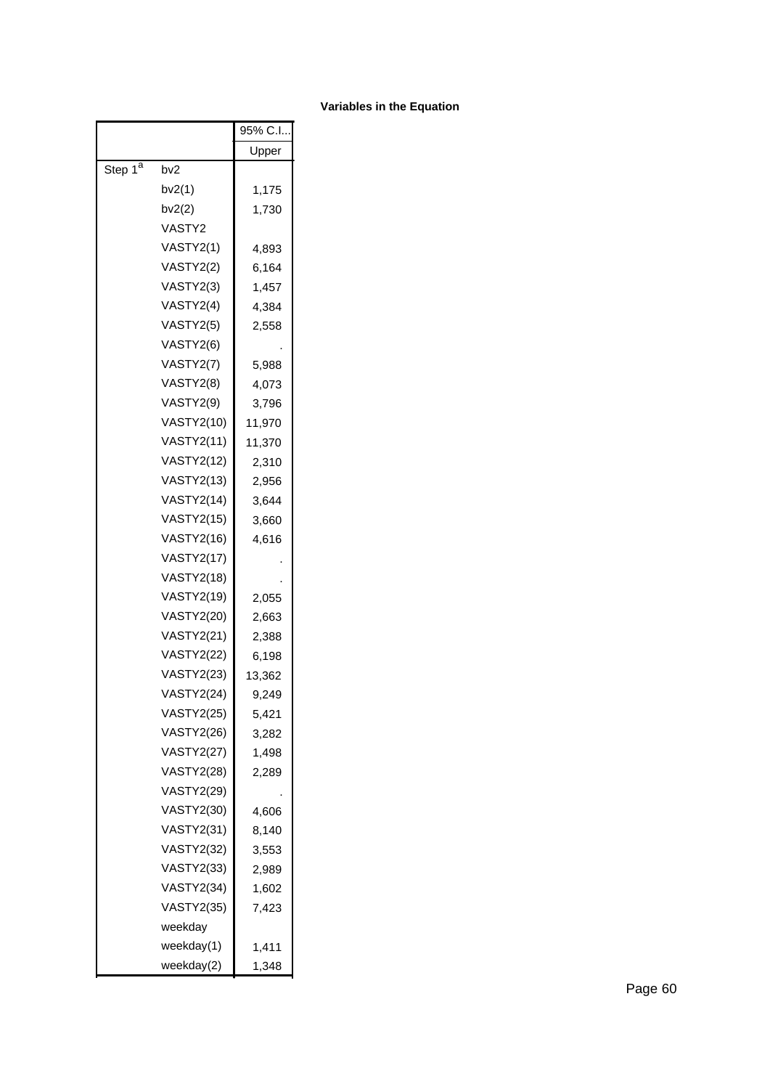|                     |                   | 95% C.I |
|---------------------|-------------------|---------|
|                     |                   | Upper   |
| Step 1 <sup>a</sup> | bv2               |         |
|                     | bv2(1)            | 1,175   |
|                     | bv2(2)            | 1,730   |
|                     | VASTY2            |         |
|                     | VASTY2(1)         | 4,893   |
|                     | VASTY2(2)         | 6,164   |
|                     | VASTY2(3)         | 1,457   |
|                     | VASTY2(4)         | 4,384   |
|                     | VASTY2(5)         | 2,558   |
|                     | VASTY2(6)         |         |
|                     | VASTY2(7)         | 5,988   |
|                     | VASTY2(8)         | 4,073   |
|                     | VASTY2(9)         | 3,796   |
|                     | <b>VASTY2(10)</b> | 11,970  |
|                     | <b>VASTY2(11)</b> | 11,370  |
|                     | <b>VASTY2(12)</b> | 2,310   |
|                     | <b>VASTY2(13)</b> | 2,956   |
|                     | <b>VASTY2(14)</b> | 3,644   |
|                     | <b>VASTY2(15)</b> | 3,660   |
|                     | <b>VASTY2(16)</b> | 4,616   |
|                     | <b>VASTY2(17)</b> |         |
|                     | <b>VASTY2(18)</b> |         |
|                     | <b>VASTY2(19)</b> | 2,055   |
|                     | <b>VASTY2(20)</b> | 2,663   |
|                     | <b>VASTY2(21)</b> | 2,388   |
|                     | <b>VASTY2(22)</b> | 6,198   |
|                     | <b>VASTY2(23)</b> | 13,362  |
|                     | <b>VASTY2(24)</b> | 9,249   |
|                     | <b>VASTY2(25)</b> | 5,421   |
|                     | <b>VASTY2(26)</b> | 3,282   |
|                     | <b>VASTY2(27)</b> | 1,498   |
|                     | <b>VASTY2(28)</b> | 2,289   |
|                     | <b>VASTY2(29)</b> |         |
|                     | <b>VASTY2(30)</b> | 4,606   |
|                     | <b>VASTY2(31)</b> | 8,140   |
|                     | <b>VASTY2(32)</b> | 3,553   |
|                     | <b>VASTY2(33)</b> | 2,989   |
|                     | <b>VASTY2(34)</b> | 1,602   |
|                     | VASTY2(35)        | 7,423   |
|                     | weekday           |         |
|                     | weekday(1)        | 1,411   |
|                     | weekday(2)        | 1,348   |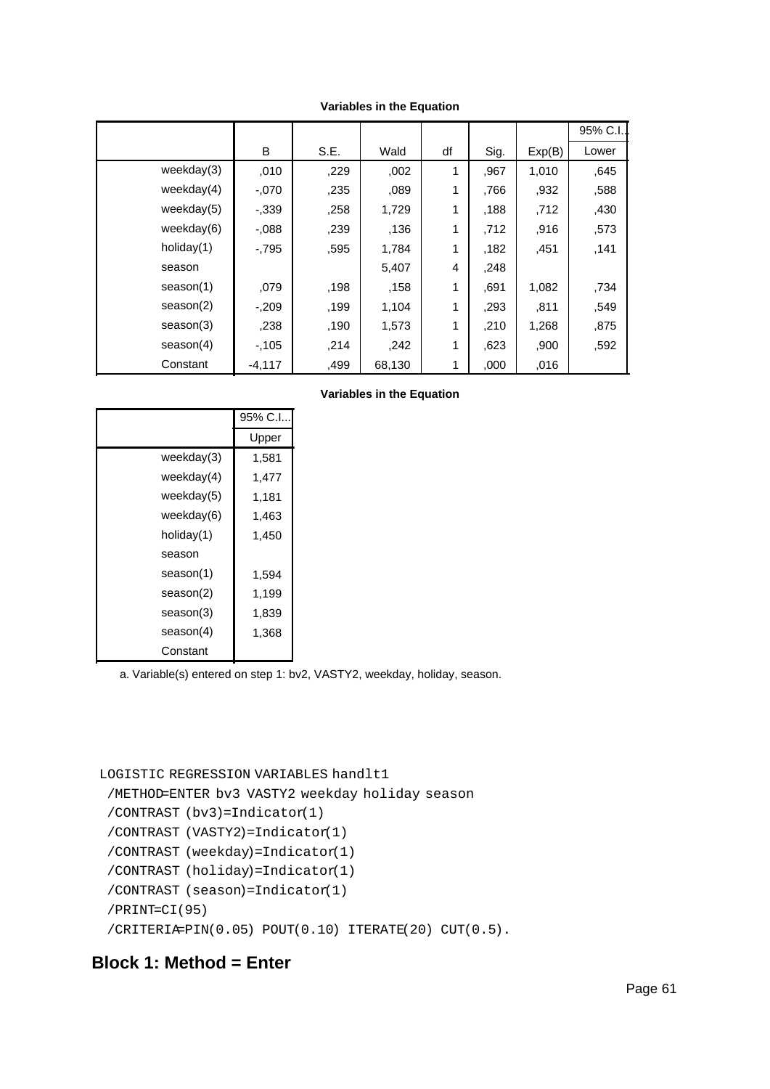|               |          |      |        |    |      |        | 95% C.I. |
|---------------|----------|------|--------|----|------|--------|----------|
|               | B        | S.E. | Wald   | df | Sig. | Exp(B) | Lower    |
| weekday $(3)$ | ,010     | ,229 | ,002   | 1  | ,967 | 1,010  | ,645     |
| weekday $(4)$ | $-.070$  | ,235 | ,089   | 1  | .766 | ,932   | ,588     |
| weekday(5)    | $-0.339$ | ,258 | 1,729  | 1  | .188 | ,712   | ,430     |
| weekday $(6)$ | $-0.088$ | ,239 | ,136   | 1  | .712 | ,916   | ,573     |
| holiday(1)    | $-795$   | ,595 | 1,784  | 1  | ,182 | ,451   | ,141     |
| season        |          |      | 5,407  | 4  | .248 |        |          |
| season(1)     | ,079     | ,198 | ,158   | 1  | ,691 | 1,082  | ,734     |
| season(2)     | $-209$   | ,199 | 1,104  | 1  | ,293 | ,811   | ,549     |
| season(3)     | ,238     | ,190 | 1,573  | 1  | ,210 | 1,268  | ,875     |
| season(4)     | $-105$   | ,214 | ,242   | 1  | ,623 | ,900   | ,592     |
| Constant      | $-4,117$ | ,499 | 68,130 | 1  | ,000 | ,016   |          |

**Variables in the Equation**

|               | 95% C.I |
|---------------|---------|
|               | Upper   |
| weekday(3)    | 1,581   |
| weekday $(4)$ | 1,477   |
| weekday $(5)$ | 1,181   |
| weekday(6)    | 1,463   |
| holiday(1)    | 1,450   |
| season        |         |
| season(1)     | 1,594   |
| season(2)     | 1,199   |
| season(3)     | 1,839   |
| season(4)     | 1,368   |
| Constant      |         |

a. Variable(s) entered on step 1: bv2, VASTY2, weekday, holiday, season.

```
LOGISTIC REGRESSION VARIABLES handlt1
```
/METHOD=ENTER bv3 VASTY2 weekday holiday season

```
 /CONTRAST (bv3)=Indicator(1)
```

```
 /CONTRAST (VASTY2)=Indicator(1)
```

```
 /CONTRAST (weekday)=Indicator(1)
```

```
 /CONTRAST (holiday)=Indicator(1)
```

```
 /CONTRAST (season)=Indicator(1)
/PRINT=CI(95)
```

```
 /CRITERIA=PIN(0.05) POUT(0.10) ITERATE(20) CUT(0.5).
```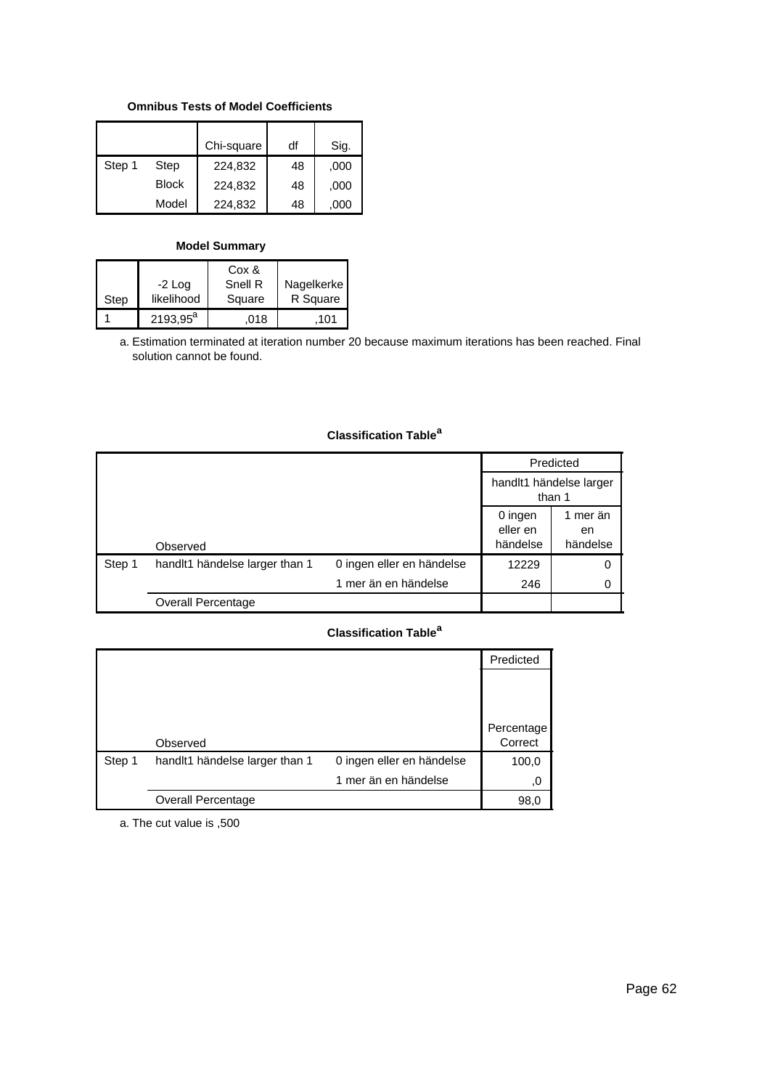### **Omnibus Tests of Model Coefficients**

|        |              | Chi-square | df | Sig. |
|--------|--------------|------------|----|------|
| Step 1 | Step         | 224,832    | 48 | ,000 |
|        | <b>Block</b> | 224,832    | 48 | ,000 |
|        | Model        | 224,832    | 48 | .000 |

#### **Model Summary**

|      |                      | Cox &   |            |
|------|----------------------|---------|------------|
|      | $-2$ Log             | Snell R | Nagelkerke |
| Step | likelihood           | Square  | R Square   |
|      | 2193,95 <sup>a</sup> | 018     | 101        |

Estimation terminated at iteration number 20 because maximum iterations has been reached. Final a. solution cannot be found.

## **Classification Table<sup>a</sup>**

|        |                                |                           | Predicted                       |                                   |  |  |
|--------|--------------------------------|---------------------------|---------------------------------|-----------------------------------|--|--|
|        |                                |                           |                                 | handlt1 händelse larger<br>than 1 |  |  |
|        | Observed                       |                           | 0 ingen<br>eller en<br>händelse | 1 mer än<br>en<br>händelse        |  |  |
| Step 1 | handlt1 händelse larger than 1 | 0 ingen eller en händelse | 12229                           | 0                                 |  |  |
|        |                                | 1 mer än en händelse      | 246                             | 0                                 |  |  |
|        | Overall Percentage             |                           |                                 |                                   |  |  |

# **Classification Table<sup>a</sup>**

|        |                                |                           | Predicted             |
|--------|--------------------------------|---------------------------|-----------------------|
|        |                                |                           |                       |
|        |                                |                           |                       |
|        |                                |                           |                       |
|        | Observed                       |                           | Percentage<br>Correct |
| Step 1 | handlt1 händelse larger than 1 | 0 ingen eller en händelse | 100,0                 |
|        |                                | 1 mer än en händelse      | 0,                    |
|        | <b>Overall Percentage</b>      |                           | 98,0                  |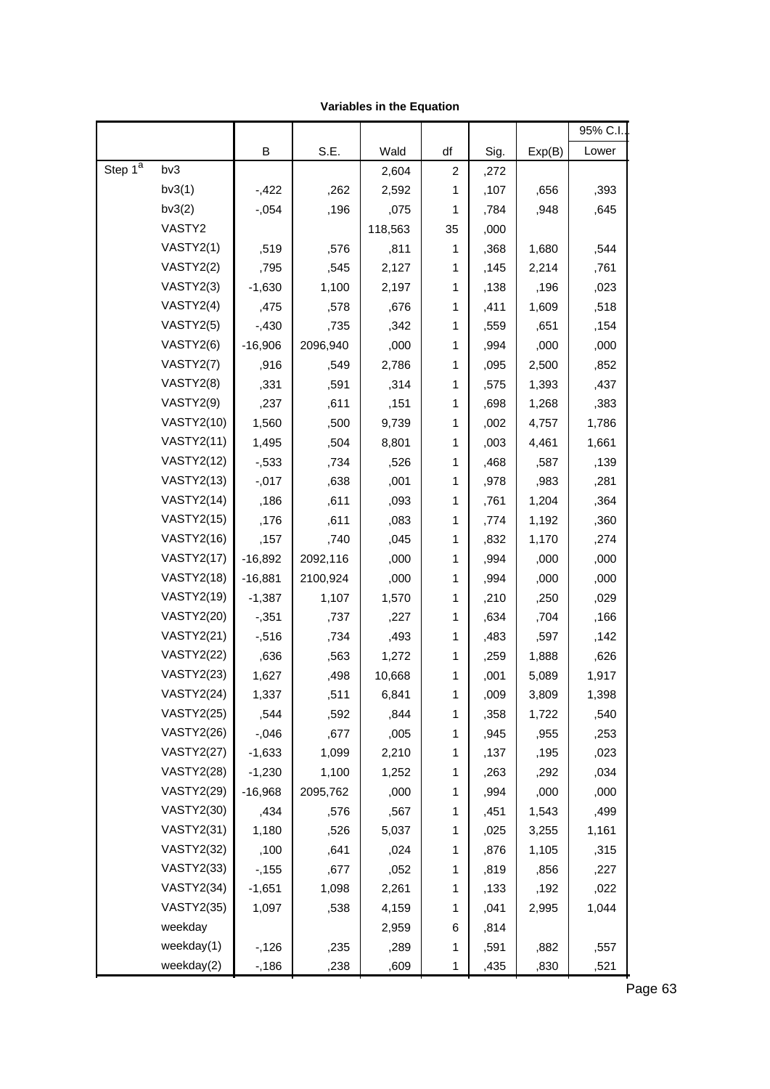|                         |                   |           |          |         |                         |      |        | 95% C.I |
|-------------------------|-------------------|-----------|----------|---------|-------------------------|------|--------|---------|
|                         |                   | В         | S.E.     | Wald    | df                      | Sig. | Exp(B) | Lower   |
| Step $1^{\overline{a}}$ | bv3               |           |          | 2,604   | $\overline{\mathbf{c}}$ | ,272 |        |         |
|                         | bv3(1)            | $-422$    | ,262     | 2,592   | 1                       | ,107 | ,656   | ,393    |
|                         | bv3(2)            | $-0.054$  | ,196     | ,075    | 1                       | ,784 | ,948   | ,645    |
|                         | VASTY2            |           |          | 118,563 | 35                      | ,000 |        |         |
|                         | VASTY2(1)         | ,519      | ,576     | ,811    | 1                       | ,368 | 1,680  | ,544    |
|                         | VASTY2(2)         | ,795      | ,545     | 2,127   | 1                       | ,145 | 2,214  | ,761    |
|                         | VASTY2(3)         | $-1,630$  | 1,100    | 2,197   | 1                       | ,138 | ,196   | ,023    |
|                         | VASTY2(4)         | ,475      | ,578     | ,676    | 1                       | ,411 | 1,609  | ,518    |
|                         | VASTY2(5)         | $-0.430$  | ,735     | ,342    | 1                       | ,559 | ,651   | ,154    |
|                         | VASTY2(6)         | $-16,906$ | 2096,940 | ,000    | 1                       | ,994 | ,000   | ,000    |
|                         | VASTY2(7)         | ,916      | ,549     | 2,786   | 1                       | ,095 | 2,500  | ,852    |
|                         | VASTY2(8)         | ,331      | ,591     | ,314    | 1                       | ,575 | 1,393  | ,437    |
|                         | VASTY2(9)         | ,237      | ,611     | ,151    | 1                       | ,698 | 1,268  | ,383    |
|                         | <b>VASTY2(10)</b> | 1,560     | ,500     | 9,739   | 1                       | ,002 | 4,757  | 1,786   |
|                         | <b>VASTY2(11)</b> | 1,495     | ,504     | 8,801   | 1                       | ,003 | 4,461  | 1,661   |
|                         | <b>VASTY2(12)</b> | $-0.533$  | ,734     | ,526    | 1                       | ,468 | ,587   | ,139    |
|                         | <b>VASTY2(13)</b> | $-0.017$  | ,638     | ,001    | 1                       | ,978 | ,983   | ,281    |
|                         | <b>VASTY2(14)</b> | ,186      | ,611     | ,093    | 1                       | ,761 | 1,204  | ,364    |
|                         | <b>VASTY2(15)</b> | ,176      | ,611     | ,083    | 1                       | ,774 | 1,192  | ,360    |
|                         | <b>VASTY2(16)</b> | ,157      | ,740     | ,045    | 1                       | ,832 | 1,170  | ,274    |
|                         | <b>VASTY2(17)</b> | $-16,892$ | 2092,116 | ,000    | 1                       | ,994 | ,000   | ,000    |
|                         | <b>VASTY2(18)</b> | $-16,881$ | 2100,924 | ,000    | 1                       | ,994 | ,000   | ,000    |
|                         | <b>VASTY2(19)</b> | $-1,387$  | 1,107    | 1,570   | 1                       | ,210 | ,250   | ,029    |
|                         | <b>VASTY2(20)</b> | $-0.351$  | ,737     | ,227    | 1                       | ,634 | ,704   | ,166    |
|                         | <b>VASTY2(21)</b> | $-0.516$  | ,734     | ,493    | 1                       | ,483 | ,597   | ,142    |
|                         | <b>VASTY2(22)</b> | ,636      | ,563     | 1,272   | 1                       | ,259 | 1,888  | ,626    |
|                         | <b>VASTY2(23)</b> | 1,627     | ,498     | 10,668  | 1                       | ,001 | 5,089  | 1,917   |
|                         | <b>VASTY2(24)</b> | 1,337     | ,511     | 6,841   | 1                       | ,009 | 3,809  | 1,398   |
|                         | <b>VASTY2(25)</b> | ,544      | ,592     | ,844    | 1                       | ,358 | 1,722  | ,540    |
|                         | <b>VASTY2(26)</b> | $-0.046$  | ,677     | ,005    | 1                       | ,945 | ,955   | ,253    |
|                         | <b>VASTY2(27)</b> | $-1,633$  | 1,099    | 2,210   | 1                       | ,137 | ,195   | ,023    |
|                         | <b>VASTY2(28)</b> | $-1,230$  | 1,100    | 1,252   | 1                       | ,263 | ,292   | ,034    |
|                         | <b>VASTY2(29)</b> | $-16,968$ | 2095,762 | ,000    | 1                       | ,994 | ,000   | ,000    |
|                         | <b>VASTY2(30)</b> | ,434      | ,576     | ,567    | 1                       | ,451 | 1,543  | ,499    |
|                         | <b>VASTY2(31)</b> | 1,180     | ,526     | 5,037   | 1                       | ,025 | 3,255  | 1,161   |
|                         | <b>VASTY2(32)</b> | ,100      | ,641     | ,024    | 1                       | ,876 | 1,105  | ,315    |
|                         | <b>VASTY2(33)</b> | $-155$    | ,677     | ,052    | 1                       | ,819 | ,856   | ,227    |
|                         | <b>VASTY2(34)</b> | $-1,651$  | 1,098    | 2,261   | 1                       | ,133 | ,192   | ,022    |
|                         | <b>VASTY2(35)</b> | 1,097     | ,538     | 4,159   | 1                       | ,041 | 2,995  | 1,044   |
|                         | weekday           |           |          | 2,959   | 6                       | ,814 |        |         |
|                         | weekday(1)        | $-126$    | ,235     | ,289    | 1                       | ,591 | ,882   | ,557    |
|                         | weekday(2)        | $-186$    | ,238     | ,609    | 1                       | ,435 | ,830   | ,521    |

-<br>Page 63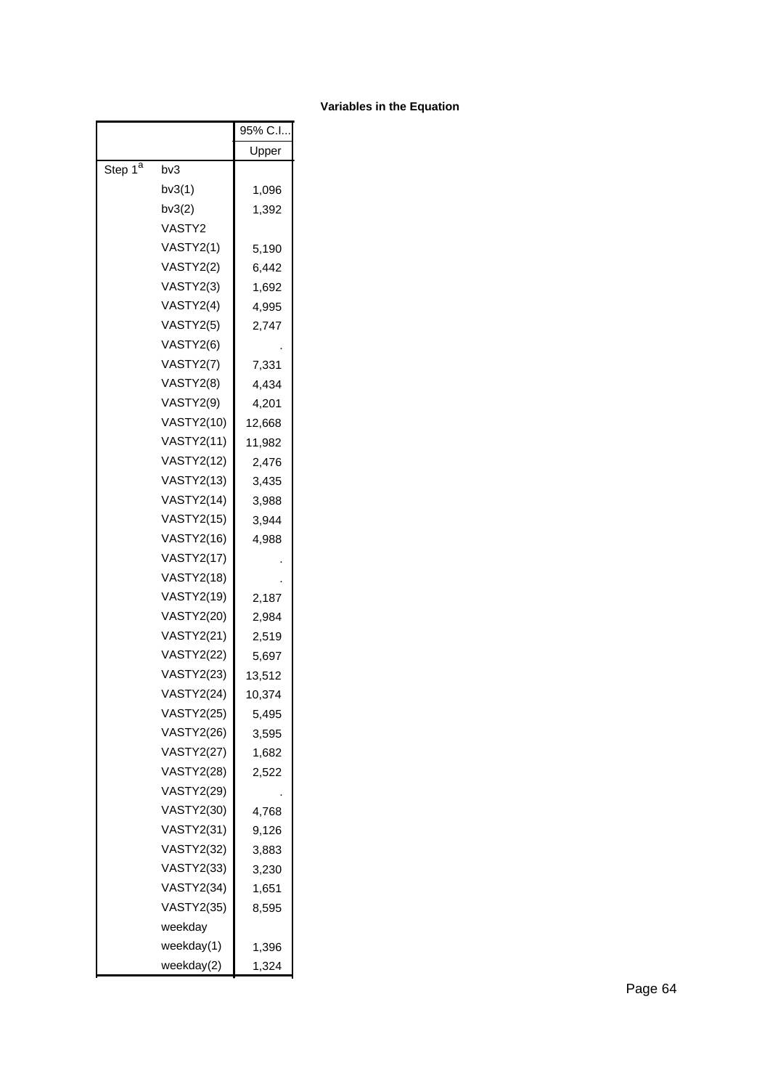|                     |                   | 95% C.I |
|---------------------|-------------------|---------|
|                     |                   | Upper   |
| Step 1 <sup>a</sup> | bv3               |         |
|                     | bv3(1)            | 1,096   |
|                     | bv3(2)            | 1,392   |
|                     | VASTY2            |         |
|                     | VASTY2(1)         | 5,190   |
|                     | VASTY2(2)         | 6,442   |
|                     | VASTY2(3)         | 1,692   |
|                     | VASTY2(4)         | 4,995   |
|                     | VASTY2(5)         | 2,747   |
|                     | VASTY2(6)         |         |
|                     | VASTY2(7)         | 7,331   |
|                     | VASTY2(8)         | 4,434   |
|                     | VASTY2(9)         | 4,201   |
|                     | <b>VASTY2(10)</b> | 12,668  |
|                     | <b>VASTY2(11)</b> | 11,982  |
|                     | <b>VASTY2(12)</b> | 2,476   |
|                     | <b>VASTY2(13)</b> | 3,435   |
|                     | <b>VASTY2(14)</b> | 3,988   |
|                     | <b>VASTY2(15)</b> | 3,944   |
|                     | <b>VASTY2(16)</b> | 4,988   |
|                     | <b>VASTY2(17)</b> |         |
|                     | <b>VASTY2(18)</b> |         |
|                     | <b>VASTY2(19)</b> | 2,187   |
|                     | <b>VASTY2(20)</b> | 2,984   |
|                     | <b>VASTY2(21)</b> | 2,519   |
|                     | <b>VASTY2(22)</b> | 5,697   |
|                     | <b>VASTY2(23)</b> | 13,512  |
|                     | <b>VASTY2(24)</b> | 10,374  |
|                     | VASTY2(25)        | 5,495   |
|                     | <b>VASTY2(26)</b> | 3,595   |
|                     | <b>VASTY2(27)</b> | 1,682   |
|                     | <b>VASTY2(28)</b> | 2,522   |
|                     | <b>VASTY2(29)</b> |         |
|                     | <b>VASTY2(30)</b> | 4,768   |
|                     | <b>VASTY2(31)</b> | 9,126   |
|                     | <b>VASTY2(32)</b> | 3,883   |
|                     | <b>VASTY2(33)</b> | 3,230   |
|                     | <b>VASTY2(34)</b> | 1,651   |
|                     | VASTY2(35)        | 8,595   |
|                     | weekday           |         |
|                     | weekday(1)        | 1,396   |
|                     | weekday(2)        | 1,324   |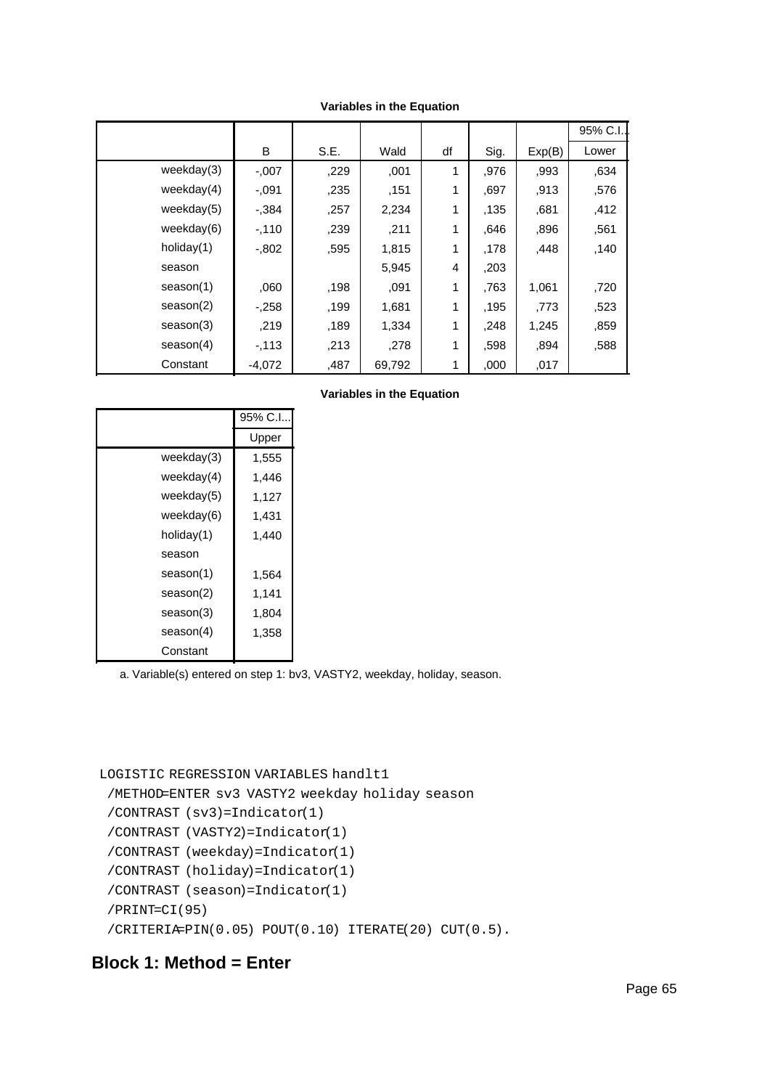|               |          |      |        |    |      |        | 95% C.I. |
|---------------|----------|------|--------|----|------|--------|----------|
|               | B        | S.E. | Wald   | df | Sig. | Exp(B) | Lower    |
| weekday $(3)$ | $-0.007$ | ,229 | ,001   | 1  | ,976 | ,993   | ,634     |
| weekday $(4)$ | $-0.091$ | ,235 | ,151   | 1  | ,697 | ,913   | ,576     |
| weekday(5)    | $-.384$  | ,257 | 2,234  | 1  | .135 | ,681   | ,412     |
| weekday $(6)$ | $-110$   | ,239 | ,211   | 1  | .646 | ,896   | ,561     |
| holiday(1)    | $-0.802$ | ,595 | 1,815  | 1  | .178 | ,448   | ,140     |
| season        |          |      | 5,945  | 4  | ,203 |        |          |
| season(1)     | ,060     | ,198 | ,091   | 1  | .763 | 1,061  | ,720     |
| season(2)     | $-258$   | ,199 | 1,681  | 1  | ,195 | ,773   | ,523     |
| season(3)     | ,219     | ,189 | 1,334  | 1  | .248 | 1,245  | ,859     |
| season(4)     | $-113$   | ,213 | .278   | 1  | ,598 | ,894   | ,588     |
| Constant      | $-4,072$ | ,487 | 69,792 | 1  | ,000 | ,017   |          |

**Variables in the Equation**

|               | 95% C.I |
|---------------|---------|
|               | Upper   |
| weekday(3)    | 1,555   |
| weekday $(4)$ | 1,446   |
| weekday $(5)$ | 1,127   |
| weekday(6)    | 1,431   |
| holiday(1)    | 1.440   |
| season        |         |
| season(1)     | 1,564   |
| season(2)     | 1,141   |
| season(3)     | 1,804   |
| season(4)     | 1,358   |
| Constant      |         |

a. Variable(s) entered on step 1: bv3, VASTY2, weekday, holiday, season.

```
LOGISTIC REGRESSION VARIABLES handlt1
```
/METHOD=ENTER sv3 VASTY2 weekday holiday season

```
 /CONTRAST (sv3)=Indicator(1)
/CONTRAST (VASTY2)=Indicator(1)
```

```
 /CONTRAST (weekday)=Indicator(1)
```

```
 /CONTRAST (holiday)=Indicator(1)
```

```
 /CONTRAST (season)=Indicator(1)
```

```
 /PRINT=CI(95)
```

```
 /CRITERIA=PIN(0.05) POUT(0.10) ITERATE(20) CUT(0.5).
```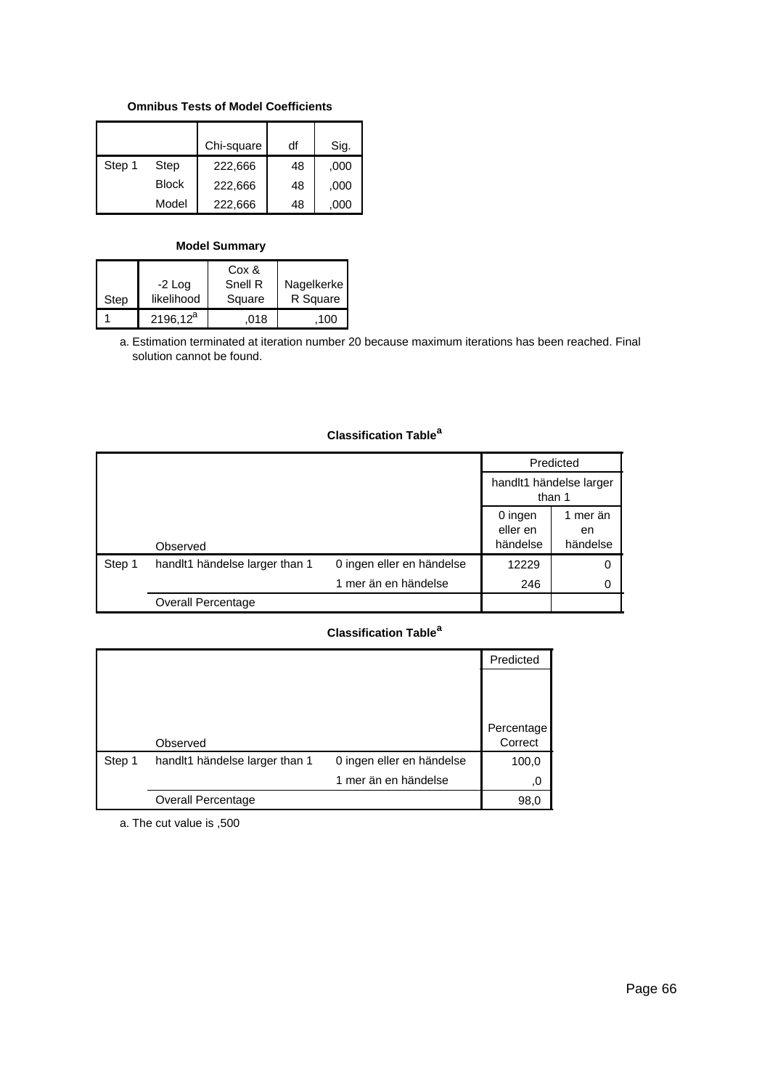### **Omnibus Tests of Model Coefficients**

|        |              | Chi-square | df | Sig. |
|--------|--------------|------------|----|------|
| Step 1 | Step         | 222,666    | 48 | ,000 |
|        | <b>Block</b> | 222,666    | 48 | ,000 |
|        | Model        | 222,666    | 48 | ,000 |

#### **Model Summary**

|      |             | Cox &   |            |
|------|-------------|---------|------------|
|      | $-2$ Log    | Snell R | Nagelkerke |
| Step | likelihood  | Square  | R Square   |
|      | $2196.12^a$ | 018     | 100        |

Estimation terminated at iteration number 20 because maximum iterations has been reached. Final a. solution cannot be found.

### **Classification Table<sup>a</sup>**

|        |                                |                           |                                 | Predicted                         |
|--------|--------------------------------|---------------------------|---------------------------------|-----------------------------------|
|        |                                |                           |                                 | handlt1 händelse larger<br>than 1 |
|        | Observed                       |                           | 0 ingen<br>eller en<br>händelse | 1 mer än<br>en<br>händelse        |
| Step 1 | handlt1 händelse larger than 1 | 0 ingen eller en händelse | 12229                           | 0                                 |
|        |                                | 1 mer än en händelse      | 246                             | 0                                 |
|        | Overall Percentage             |                           |                                 |                                   |

# **Classification Table<sup>a</sup>**

|        |                                |                           | Predicted             |
|--------|--------------------------------|---------------------------|-----------------------|
|        |                                |                           |                       |
|        |                                |                           |                       |
|        |                                |                           |                       |
|        | Observed                       |                           | Percentage<br>Correct |
| Step 1 | handlt1 händelse larger than 1 | 0 ingen eller en händelse | 100,0                 |
|        |                                | 1 mer än en händelse      | 0,                    |
|        | <b>Overall Percentage</b>      |                           | 98,0                  |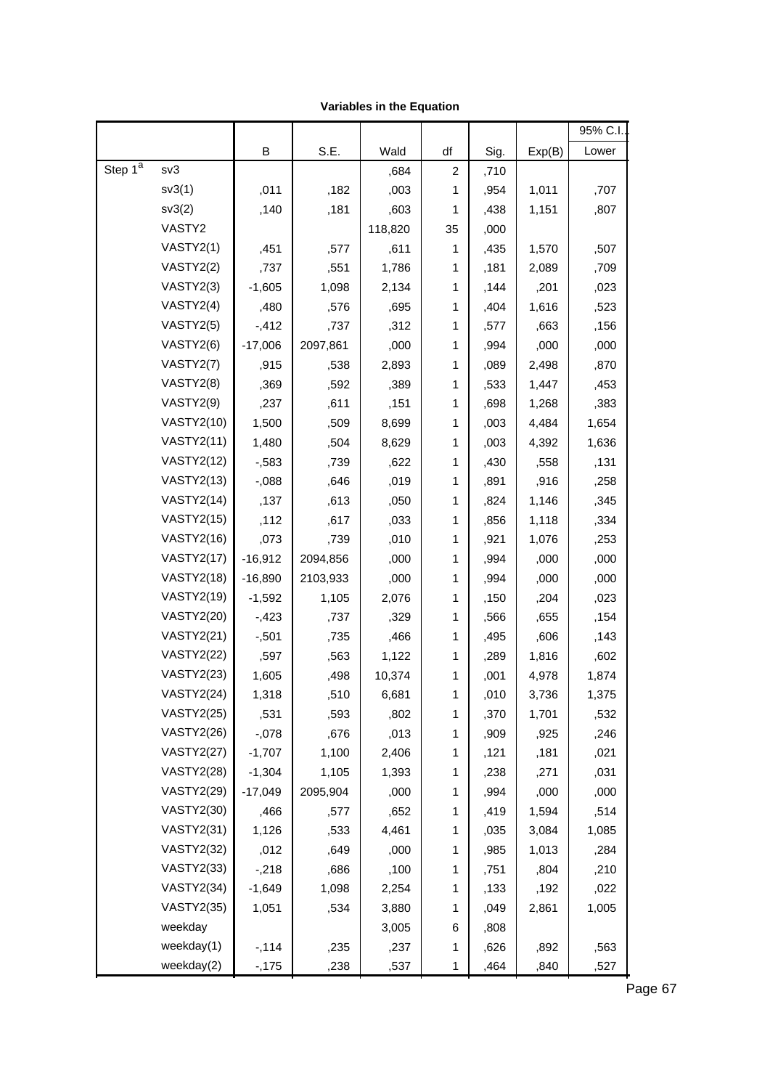| Variables in the Equation |  |  |  |
|---------------------------|--|--|--|
|---------------------------|--|--|--|

|                         |                   |           |          |         |                  |      |        | 95% C.I |
|-------------------------|-------------------|-----------|----------|---------|------------------|------|--------|---------|
|                         |                   | В         | S.E.     | Wald    | df               | Sig. | Exp(B) | Lower   |
| Step $1^{\overline{a}}$ | sv3               |           |          | ,684    | $\boldsymbol{2}$ | ,710 |        |         |
|                         | sv3(1)            | ,011      | ,182     | ,003    | 1                | ,954 | 1,011  | ,707    |
|                         | sv3(2)            | ,140      | ,181     | ,603    | 1                | ,438 | 1,151  | ,807    |
|                         | VASTY2            |           |          | 118,820 | 35               | ,000 |        |         |
|                         | VASTY2(1)         | ,451      | ,577     | ,611    | 1                | ,435 | 1,570  | ,507    |
|                         | VASTY2(2)         | ,737      | ,551     | 1,786   | 1                | ,181 | 2,089  | ,709    |
|                         | VASTY2(3)         | $-1,605$  | 1,098    | 2,134   | 1                | ,144 | ,201   | ,023    |
|                         | VASTY2(4)         | ,480      | ,576     | ,695    | 1                | ,404 | 1,616  | ,523    |
|                         | VASTY2(5)         | $-0.412$  | ,737     | ,312    | $\mathbf{1}$     | ,577 | ,663   | ,156    |
|                         | VASTY2(6)         | $-17,006$ | 2097,861 | ,000    | 1                | ,994 | ,000   | ,000    |
|                         | VASTY2(7)         | ,915      | ,538     | 2,893   | $\mathbf{1}$     | ,089 | 2,498  | ,870    |
|                         | VASTY2(8)         | ,369      | ,592     | ,389    | 1                | ,533 | 1,447  | ,453    |
|                         | VASTY2(9)         | ,237      | ,611     | ,151    | $\mathbf{1}$     | ,698 | 1,268  | ,383    |
|                         | <b>VASTY2(10)</b> | 1,500     | ,509     | 8,699   | 1                | ,003 | 4,484  | 1,654   |
|                         | <b>VASTY2(11)</b> | 1,480     | ,504     | 8,629   | $\mathbf{1}$     | ,003 | 4,392  | 1,636   |
|                         | <b>VASTY2(12)</b> | $-0.583$  | ,739     | ,622    | 1                | ,430 | ,558   | ,131    |
|                         | <b>VASTY2(13)</b> | $-0.088$  | ,646     | ,019    | $\mathbf{1}$     | ,891 | ,916   | ,258    |
|                         | <b>VASTY2(14)</b> | ,137      | ,613     | ,050    | 1                | ,824 | 1,146  | ,345    |
|                         | <b>VASTY2(15)</b> | ,112      | ,617     | ,033    | $\mathbf{1}$     | ,856 | 1,118  | ,334    |
|                         | <b>VASTY2(16)</b> | ,073      | ,739     | ,010    | 1                | ,921 | 1,076  | ,253    |
|                         | <b>VASTY2(17)</b> | $-16,912$ | 2094,856 | ,000    | $\mathbf{1}$     | ,994 | ,000   | ,000    |
|                         | <b>VASTY2(18)</b> | $-16,890$ | 2103,933 | ,000    | 1                | ,994 | ,000   | ,000    |
|                         | <b>VASTY2(19)</b> | $-1,592$  | 1,105    | 2,076   | $\mathbf{1}$     | ,150 | ,204   | ,023    |
|                         | <b>VASTY2(20)</b> | $-0.423$  | ,737     | ,329    | 1                | ,566 | ,655   | ,154    |
|                         | <b>VASTY2(21)</b> | $-0.501$  | ,735     | ,466    | $\mathbf{1}$     | ,495 | ,606   | ,143    |
|                         | <b>VASTY2(22)</b> | ,597      | ,563     | 1,122   | 1                | ,289 | 1,816  | ,602    |
|                         | <b>VASTY2(23)</b> | 1,605     | ,498     | 10,374  | $\mathbf{1}$     | ,001 | 4,978  | 1,874   |
|                         | <b>VASTY2(24)</b> | 1,318     | ,510     | 6,681   | 1                | ,010 | 3,736  | 1,375   |
|                         | <b>VASTY2(25)</b> | ,531      | ,593     | ,802    | 1                | ,370 | 1,701  | ,532    |
|                         | <b>VASTY2(26)</b> | $-0.078$  | ,676     | ,013    | 1                | ,909 | ,925   | ,246    |
|                         | <b>VASTY2(27)</b> | $-1,707$  | 1,100    | 2,406   | 1                | ,121 | ,181   | ,021    |
|                         | <b>VASTY2(28)</b> | $-1,304$  | 1,105    | 1,393   | 1                | ,238 | ,271   | ,031    |
|                         | <b>VASTY2(29)</b> | $-17,049$ | 2095,904 | ,000    | 1                | ,994 | ,000   | ,000    |
|                         | <b>VASTY2(30)</b> | ,466      | ,577     | ,652    | 1                | ,419 | 1,594  | ,514    |
|                         | <b>VASTY2(31)</b> | 1,126     | ,533     | 4,461   | 1                | ,035 | 3,084  | 1,085   |
|                         | <b>VASTY2(32)</b> | ,012      | ,649     | ,000    | 1                | ,985 | 1,013  | ,284    |
|                         | <b>VASTY2(33)</b> | $-218$    | ,686     | ,100    | 1                | ,751 | ,804   | ,210    |
|                         | <b>VASTY2(34)</b> | $-1,649$  | 1,098    | 2,254   | 1                | ,133 | ,192   | ,022    |
|                         | <b>VASTY2(35)</b> | 1,051     | ,534     | 3,880   | 1                | ,049 | 2,861  | 1,005   |
|                         | weekday           |           |          | 3,005   | 6                | ,808 |        |         |
|                         | weekday(1)        | $-114$    | ,235     | ,237    | 1                | ,626 | ,892   | ,563    |
|                         | weekday(2)        | $-175$    | ,238     | ,537    | 1                | ,464 | ,840   | ,527    |

,004 ,229 ,229  $\mu$  ,229  $\mu$  ,2394  $\mu$  ,2394  $\mu$  ,2394  $\mu$  ,2394  $\mu$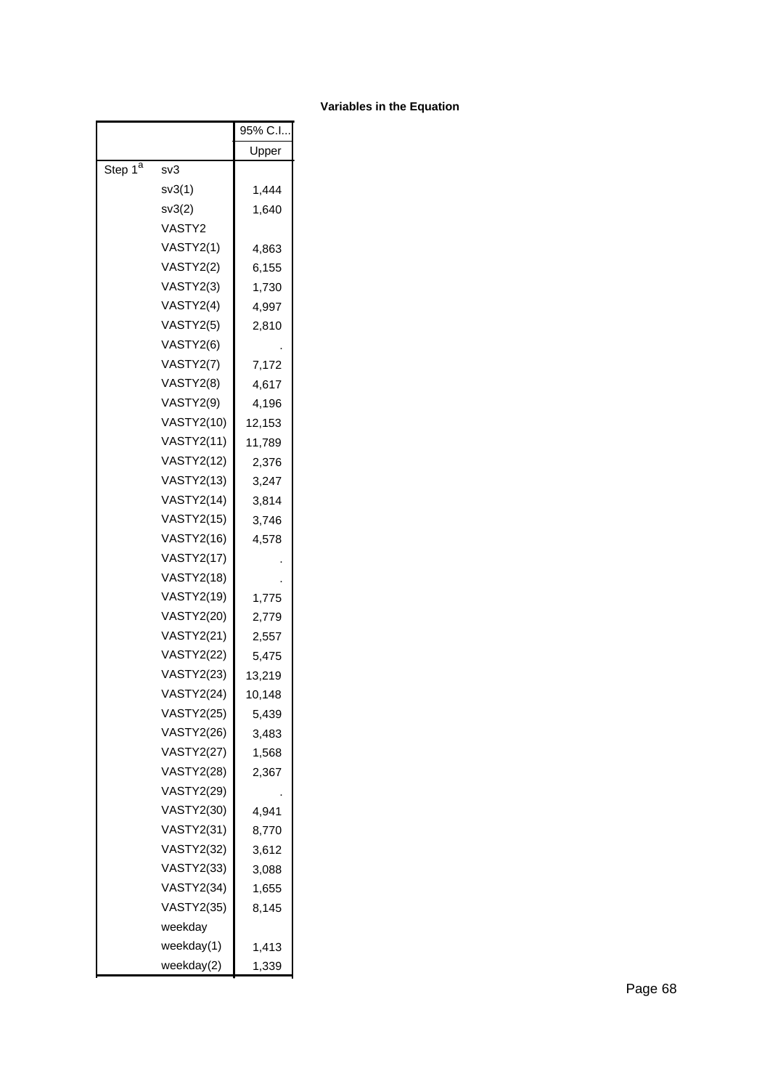|                     |                   | 95% C.I |
|---------------------|-------------------|---------|
|                     |                   | Upper   |
| Step 1 <sup>a</sup> | sv3               |         |
|                     | sv3(1)            | 1,444   |
|                     | sv3(2)            | 1,640   |
|                     | VASTY2            |         |
|                     | VASTY2(1)         | 4,863   |
|                     | VASTY2(2)         | 6,155   |
|                     | VASTY2(3)         | 1,730   |
|                     | VASTY2(4)         | 4,997   |
|                     | VASTY2(5)         | 2,810   |
|                     | VASTY2(6)         |         |
|                     | VASTY2(7)         | 7,172   |
|                     | VASTY2(8)         | 4,617   |
|                     | VASTY2(9)         | 4,196   |
|                     | <b>VASTY2(10)</b> | 12,153  |
|                     | <b>VASTY2(11)</b> | 11,789  |
|                     | <b>VASTY2(12)</b> | 2,376   |
|                     | <b>VASTY2(13)</b> | 3,247   |
|                     | <b>VASTY2(14)</b> | 3,814   |
|                     | <b>VASTY2(15)</b> | 3,746   |
|                     | <b>VASTY2(16)</b> | 4,578   |
|                     | <b>VASTY2(17)</b> |         |
|                     | <b>VASTY2(18)</b> |         |
|                     | <b>VASTY2(19)</b> | 1,775   |
|                     | <b>VASTY2(20)</b> | 2,779   |
|                     | VASTY2(21)        | 2,557   |
|                     | <b>VASTY2(22)</b> | 5,475   |
|                     | <b>VASTY2(23)</b> | 13,219  |
|                     | <b>VASTY2(24)</b> | 10,148  |
|                     | <b>VASTY2(25)</b> | 5,439   |
|                     | <b>VASTY2(26)</b> | 3,483   |
|                     | <b>VASTY2(27)</b> | 1,568   |
|                     | <b>VASTY2(28)</b> | 2,367   |
|                     | <b>VASTY2(29)</b> |         |
|                     | <b>VASTY2(30)</b> | 4,941   |
|                     | <b>VASTY2(31)</b> | 8,770   |
|                     | <b>VASTY2(32)</b> | 3,612   |
|                     | VASTY2(33)        | 3,088   |
|                     | <b>VASTY2(34)</b> | 1,655   |
|                     | VASTY2(35)        | 8,145   |
|                     | weekday           |         |
|                     | weekday(1)        | 1,413   |
|                     | weekday(2)        | 1,339   |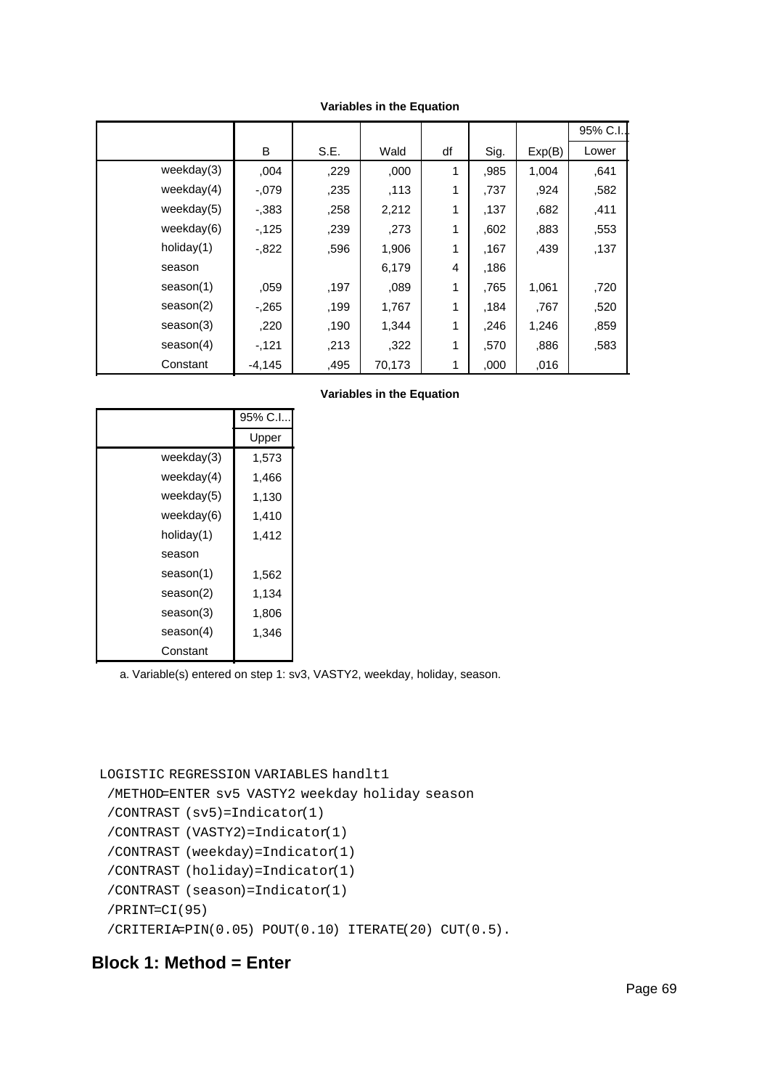|               |          |      |        |    |      |        | 95% C.I. |
|---------------|----------|------|--------|----|------|--------|----------|
|               | B        | S.E. | Wald   | df | Sig. | Exp(B) | Lower    |
| weekday(3)    | ,004     | ,229 | ,000   | 1  | ,985 | 1,004  | ,641     |
| weekday $(4)$ | $-0.079$ | ,235 | ,113   | 1  | ,737 | ,924   | ,582     |
| weekday(5)    | $-0.383$ | ,258 | 2,212  | 1  | .137 | ,682   | ,411     |
| weekday(6)    | $-125$   | ,239 | ,273   | 1  | .602 | ,883   | ,553     |
| holiday(1)    | $-0.822$ | ,596 | 1,906  | 1  | ,167 | ,439   | ,137     |
| season        |          |      | 6,179  | 4  | .186 |        |          |
| season(1)     | ,059     | ,197 | ,089   | 1  | ,765 | 1,061  | ,720     |
| season(2)     | $-265$   | ,199 | 1,767  | 1  | ,184 | .767   | ,520     |
| season(3)     | ,220     | ,190 | 1,344  | 1  | ,246 | 1,246  | ,859     |
| season(4)     | $-121$   | ,213 | ,322   | 1  | .570 | ,886   | ,583     |
| Constant      | $-4,145$ | ,495 | 70,173 | 1  | ,000 | .016   |          |

#### **Variables in the Equation**

|               | 95% C.I |
|---------------|---------|
|               | Upper   |
| weekday(3)    | 1,573   |
| weekday $(4)$ | 1,466   |
| weekday(5)    | 1,130   |
| weekday(6)    | 1,410   |
| holiday(1)    | 1.412   |
| season        |         |
| season(1)     | 1,562   |
| season(2)     | 1,134   |
| season(3)     | 1,806   |
| season(4)     | 1,346   |
| Constant      |         |

a. Variable(s) entered on step 1: sv3, VASTY2, weekday, holiday, season.

```
LOGISTIC REGRESSION VARIABLES handlt1
```
/METHOD=ENTER sv5 VASTY2 weekday holiday season

```
 /CONTRAST (sv5)=Indicator(1)
/CONTRAST (VASTY2)=Indicator(1)
```

```
 /CONTRAST (weekday)=Indicator(1)
```

```
 /CONTRAST (holiday)=Indicator(1)
```

```
 /CONTRAST (season)=Indicator(1)
```

```
 /PRINT=CI(95)
```

```
 /CRITERIA=PIN(0.05) POUT(0.10) ITERATE(20) CUT(0.5).
```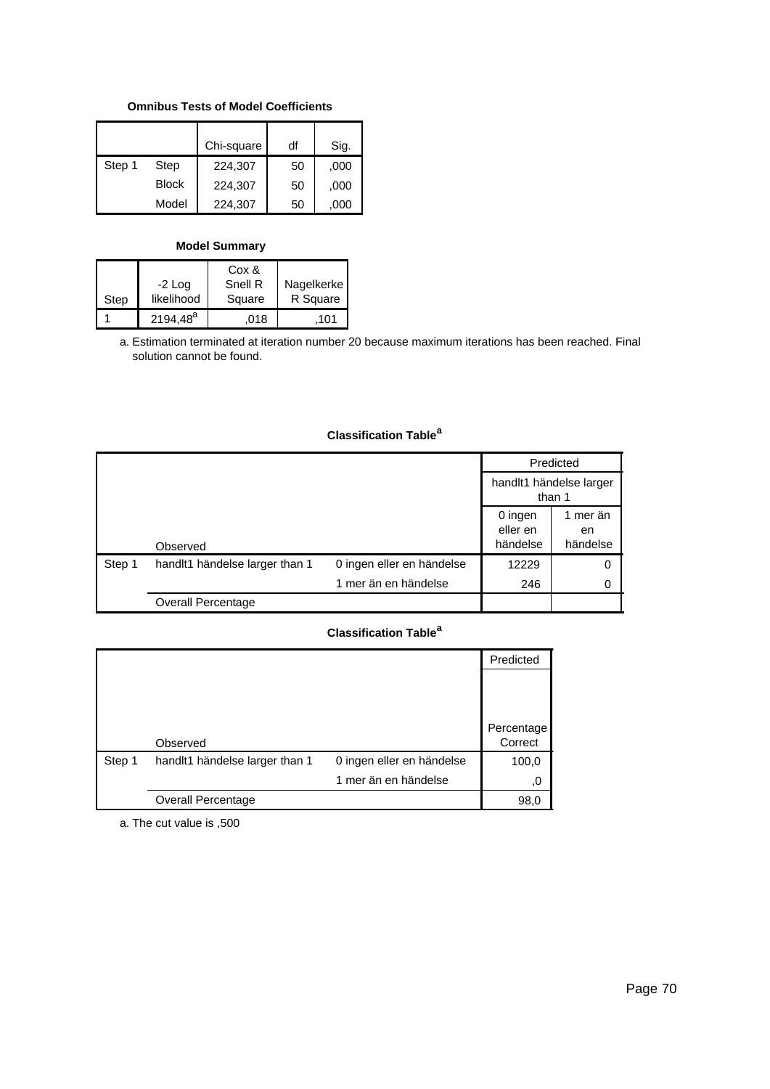### **Omnibus Tests of Model Coefficients**

|        |              | Chi-square | df | Sig. |
|--------|--------------|------------|----|------|
| Step 1 | Step         | 224,307    | 50 | ,000 |
|        | <b>Block</b> | 224,307    | 50 | ,000 |
|        | Model        | 224,307    | 50 | .000 |

#### **Model Summary**

|      |             | Cox &   |            |
|------|-------------|---------|------------|
|      | $-2$ Log    | Snell R | Nagelkerke |
| Step | likelihood  | Square  | R Square   |
|      | $2194,48^a$ | .018    | 101        |

Estimation terminated at iteration number 20 because maximum iterations has been reached. Final a. solution cannot be found.

## **Classification Table<sup>a</sup>**

|        |                                |                           |                                   | Predicted                  |  |
|--------|--------------------------------|---------------------------|-----------------------------------|----------------------------|--|
|        |                                |                           | handlt1 händelse larger<br>than 1 |                            |  |
|        | Observed                       |                           | 0 ingen<br>eller en<br>händelse   | 1 mer än<br>en<br>händelse |  |
| Step 1 | handlt1 händelse larger than 1 | 0 ingen eller en händelse | 12229                             | 0                          |  |
|        |                                | 1 mer än en händelse      | 246                               | 0                          |  |
|        | Overall Percentage             |                           |                                   |                            |  |

# **Classification Table<sup>a</sup>**

|        |                                |                           | Predicted             |
|--------|--------------------------------|---------------------------|-----------------------|
|        |                                |                           |                       |
|        |                                |                           |                       |
|        |                                |                           |                       |
|        | Observed                       |                           | Percentage<br>Correct |
| Step 1 | handlt1 händelse larger than 1 | 0 ingen eller en händelse | 100,0                 |
|        |                                | 1 mer än en händelse      | 0,                    |
|        | <b>Overall Percentage</b>      |                           | 98,0                  |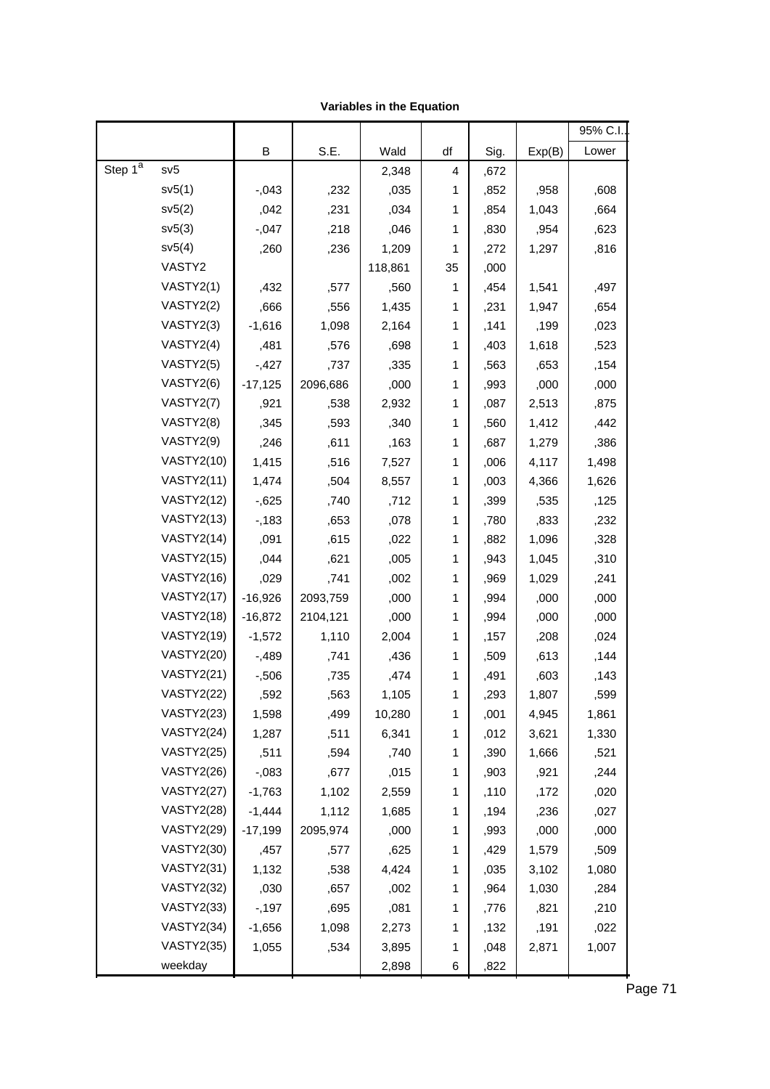| Variables in the Equation |  |  |  |
|---------------------------|--|--|--|
|---------------------------|--|--|--|

|                     |                   |           |          |         |              |      |        | 95% C.I. |  |
|---------------------|-------------------|-----------|----------|---------|--------------|------|--------|----------|--|
|                     |                   | В         | S.E.     | Wald    | df           | Sig. | Exp(B) | Lower    |  |
| Step 1 <sup>a</sup> | sv5               |           |          | 2,348   | 4            | ,672 |        |          |  |
|                     | sv5(1)            | $-0.043$  | ,232     | ,035    | 1            | ,852 | ,958   | ,608     |  |
|                     | sv5(2)            | ,042      | ,231     | ,034    | 1            | ,854 | 1,043  | ,664     |  |
|                     | sv5(3)            | $-0.047$  | ,218     | ,046    | 1            | ,830 | ,954   | ,623     |  |
|                     | sv5(4)            | ,260      | ,236     | 1,209   | 1            | ,272 | 1,297  | ,816     |  |
|                     | VASTY2            |           |          | 118,861 | 35           | ,000 |        |          |  |
|                     | VASTY2(1)         | ,432      | ,577     | ,560    | 1            | ,454 | 1,541  | ,497     |  |
|                     | VASTY2(2)         | ,666      | ,556     | 1,435   | 1            | ,231 | 1,947  | ,654     |  |
|                     | VASTY2(3)         | $-1,616$  | 1,098    | 2,164   | 1            | ,141 | ,199   | ,023     |  |
|                     | VASTY2(4)         | ,481      | ,576     | ,698    | 1            | ,403 | 1,618  | ,523     |  |
|                     | VASTY2(5)         | $-427$    | ,737     | ,335    | 1            | ,563 | ,653   | ,154     |  |
|                     | VASTY2(6)         | $-17,125$ | 2096,686 | ,000    | 1            | ,993 | ,000   | ,000     |  |
|                     | VASTY2(7)         | ,921      | ,538     | 2,932   | 1            | ,087 | 2,513  | ,875     |  |
|                     | VASTY2(8)         | ,345      | ,593     | ,340    | 1            | ,560 | 1,412  | ,442     |  |
|                     | VASTY2(9)         | ,246      | ,611     | ,163    | 1            | ,687 | 1,279  | ,386     |  |
|                     | <b>VASTY2(10)</b> | 1,415     | ,516     | 7,527   | 1            | ,006 | 4,117  | 1,498    |  |
|                     | <b>VASTY2(11)</b> | 1,474     | ,504     | 8,557   | 1            | ,003 | 4,366  | 1,626    |  |
|                     | <b>VASTY2(12)</b> | $-0.625$  | ,740     | ,712    | 1            | ,399 | ,535   | ,125     |  |
|                     | <b>VASTY2(13)</b> | $-183$    | ,653     | ,078    | 1            | ,780 | ,833   | ,232     |  |
|                     | <b>VASTY2(14)</b> | ,091      | ,615     | ,022    | 1            | ,882 | 1,096  | ,328     |  |
|                     | <b>VASTY2(15)</b> | ,044      | ,621     | ,005    | 1            | ,943 | 1,045  | ,310     |  |
|                     | <b>VASTY2(16)</b> | ,029      | ,741     | ,002    | 1            | ,969 | 1,029  | ,241     |  |
|                     | <b>VASTY2(17)</b> | $-16,926$ | 2093,759 | ,000    | 1            | ,994 | ,000   | ,000     |  |
|                     | <b>VASTY2(18)</b> | $-16,872$ | 2104,121 | ,000    | 1            | ,994 | ,000   | ,000     |  |
|                     | <b>VASTY2(19)</b> | $-1,572$  | 1,110    | 2,004   | 1            | ,157 | ,208   | ,024     |  |
|                     | <b>VASTY2(20)</b> | $-0.489$  | ,741     | ,436    | $\mathbf{1}$ | ,509 | ,613   | ,144     |  |
|                     | <b>VASTY2(21)</b> | $-0.506$  | ,735     | ,474    | $\mathbf{1}$ | ,491 | ,603   | ,143     |  |
|                     | <b>VASTY2(22)</b> | ,592      | ,563     | 1,105   | 1            | 293  | 1,807  | ,599     |  |
|                     | <b>VASTY2(23)</b> | 1,598     | ,499     | 10,280  | 1            | ,001 | 4,945  | 1,861    |  |
|                     | <b>VASTY2(24)</b> | 1,287     | ,511     | 6,341   | 1            | ,012 | 3,621  | 1,330    |  |
|                     | <b>VASTY2(25)</b> | ,511      | ,594     | ,740    | 1            | ,390 | 1,666  | ,521     |  |
|                     | <b>VASTY2(26)</b> | $-0.083$  | ,677     | ,015    | 1            | ,903 | ,921   | ,244     |  |
|                     | <b>VASTY2(27)</b> | $-1,763$  | 1,102    | 2,559   | 1            | ,110 | ,172   | ,020     |  |
|                     | <b>VASTY2(28)</b> | $-1,444$  | 1,112    | 1,685   | 1            | ,194 | ,236   | ,027     |  |
|                     | <b>VASTY2(29)</b> | $-17,199$ | 2095,974 | ,000    | 1            | ,993 | ,000   | ,000     |  |
|                     | <b>VASTY2(30)</b> | ,457      | ,577     | ,625    | 1            | ,429 | 1,579  | ,509     |  |
|                     | <b>VASTY2(31)</b> | 1,132     | ,538     | 4,424   | 1            | ,035 | 3,102  | 1,080    |  |
|                     | <b>VASTY2(32)</b> | ,030      | ,657     | ,002    | 1            | ,964 | 1,030  | ,284     |  |
|                     | <b>VASTY2(33)</b> | $-197$    | ,695     | ,081    | $\mathbf{1}$ | ,776 | ,821   | ,210     |  |
|                     | <b>VASTY2(34)</b> | $-1,656$  | 1,098    | 2,273   | 1            | ,132 | ,191   | ,022     |  |
|                     | <b>VASTY2(35)</b> | 1,055     | ,534     | 3,895   | $\mathbf{1}$ | ,048 | 2,871  | 1,007    |  |
|                     | weekday           |           |          | 2,898   | 6            | ,822 |        |          |  |

-,108 ,235 ,213 1 ,644 ,897 ,567 Page1,42171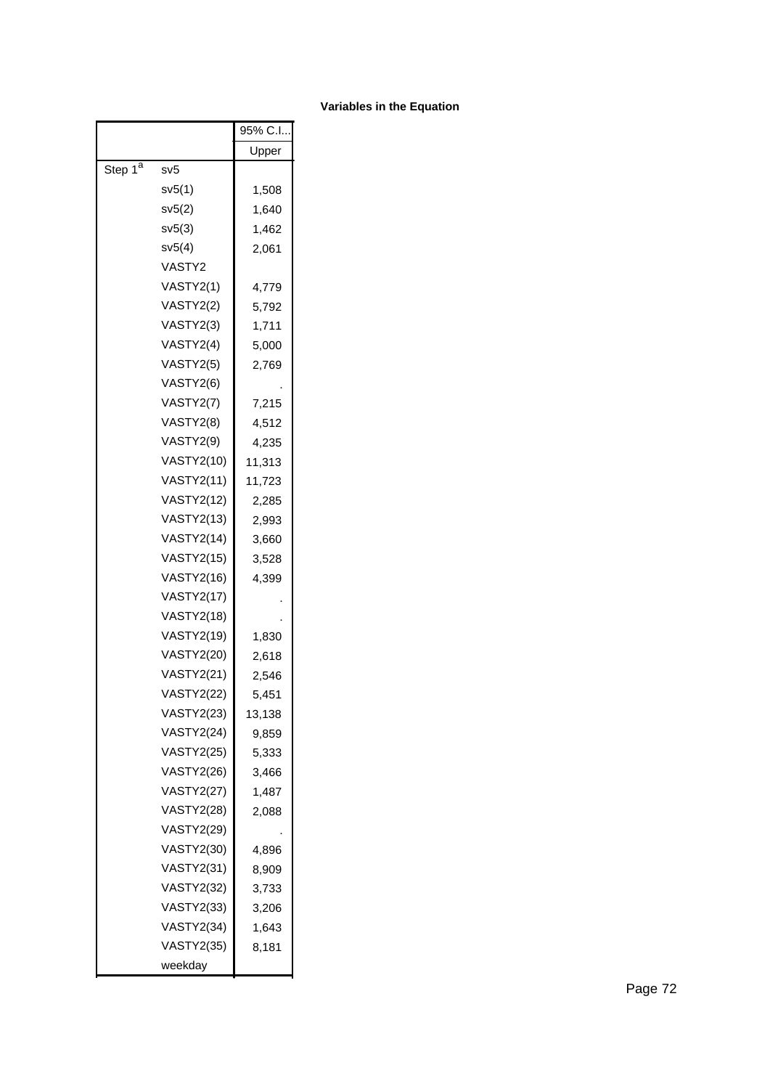|                     |                   | 95% C.I |
|---------------------|-------------------|---------|
|                     |                   | Upper   |
| Step 1 <sup>a</sup> | sv5               |         |
|                     | sv5(1)            | 1,508   |
|                     | sv5(2)            | 1,640   |
|                     | sv5(3)            | 1,462   |
|                     | sv5(4)            | 2,061   |
|                     | VASTY2            |         |
|                     | VASTY2(1)         | 4,779   |
|                     | VASTY2(2)         | 5,792   |
|                     | VASTY2(3)         | 1,711   |
|                     | VASTY2(4)         | 5,000   |
|                     | VASTY2(5)         | 2,769   |
|                     | VASTY2(6)         |         |
|                     | VASTY2(7)         | 7,215   |
|                     | VASTY2(8)         | 4,512   |
|                     | VASTY2(9)         | 4,235   |
|                     | <b>VASTY2(10)</b> | 11,313  |
|                     | <b>VASTY2(11)</b> | 11,723  |
|                     | <b>VASTY2(12)</b> | 2,285   |
|                     | <b>VASTY2(13)</b> | 2,993   |
|                     | <b>VASTY2(14)</b> | 3,660   |
|                     | <b>VASTY2(15)</b> | 3,528   |
|                     | <b>VASTY2(16)</b> | 4,399   |
|                     | <b>VASTY2(17)</b> |         |
|                     | <b>VASTY2(18)</b> |         |
|                     | <b>VASTY2(19)</b> | 1,830   |
|                     | <b>VASTY2(20)</b> | 2,618   |
|                     | <b>VASTY2(21)</b> | 2,546   |
|                     | <b>VASTY2(22)</b> | 5,451   |
|                     | <b>VASTY2(23)</b> | 13,138  |
|                     | <b>VASTY2(24)</b> | 9,859   |
|                     | <b>VASTY2(25)</b> | 5,333   |
|                     | <b>VASTY2(26)</b> | 3,466   |
|                     | <b>VASTY2(27)</b> | 1,487   |
|                     | <b>VASTY2(28)</b> | 2,088   |
|                     | <b>VASTY2(29)</b> |         |
|                     | <b>VASTY2(30)</b> | 4,896   |
|                     | <b>VASTY2(31)</b> | 8,909   |
|                     | <b>VASTY2(32)</b> | 3,733   |
|                     | <b>VASTY2(33)</b> | 3,206   |
|                     | <b>VASTY2(34)</b> | 1,643   |
|                     | <b>VASTY2(35)</b> | 8,181   |
|                     | weekday           |         |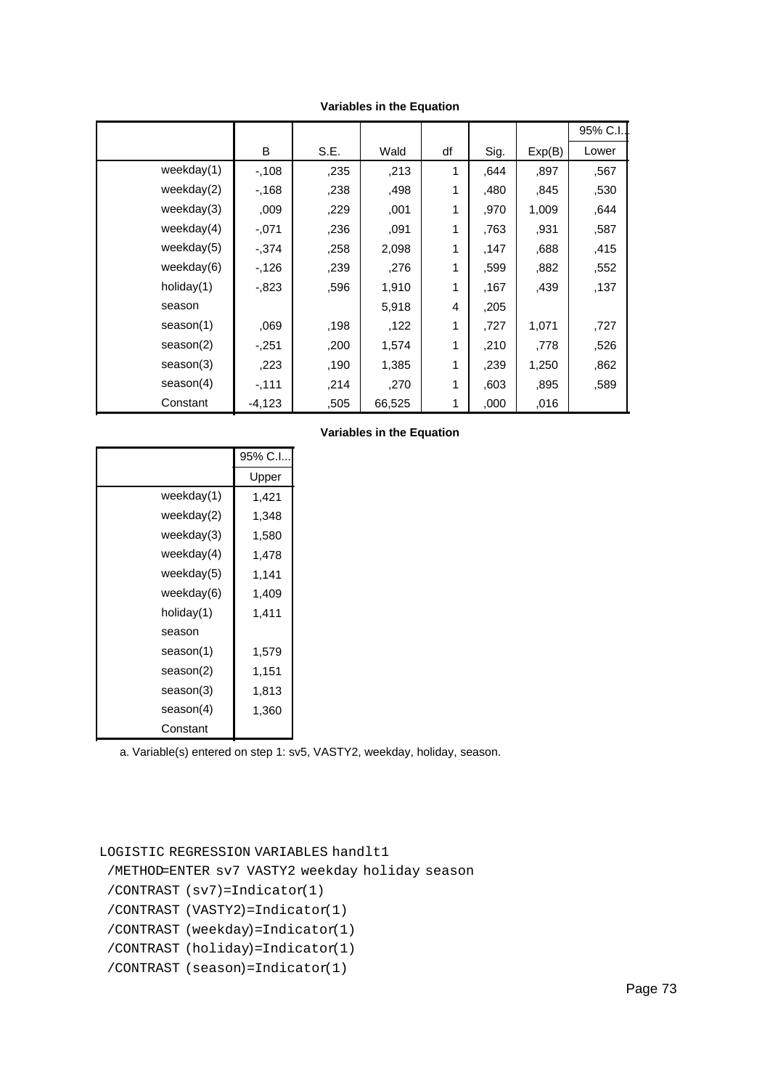|                  |          |      |        |    |      |        | 95% C.I. |
|------------------|----------|------|--------|----|------|--------|----------|
|                  | B        | S.E. | Wald   | df | Sig. | Exp(B) | Lower    |
| weekday $(1)$    | $-108$   | ,235 | ,213   | 1  | ,644 | ,897   | ,567     |
| weekday(2)       | $-168$   | .238 | ,498   | 1  | .480 | ,845   | ,530     |
| weekday(3)       | ,009     | ,229 | ,001   | 1  | .970 | 1,009  | ,644     |
| weekday $(4)$    | $-.071$  | ,236 | ,091   | 1  | .763 | .931   | ,587     |
| weekday(5)       | $-0.374$ | ,258 | 2,098  | 1  | ,147 | ,688   | ,415     |
| weekday(6)       | $-126$   | .239 | .276   | 1  | .599 | ,882   | ,552     |
| $h$ oliday $(1)$ | $-0.823$ | ,596 | 1,910  | 1  | ,167 | ,439   | ,137     |
| season           |          |      | 5,918  | 4  | ,205 |        |          |
| season(1)        | ,069     | ,198 | ,122   | 1  | ,727 | 1,071  | ,727     |
| season(2)        | $-251$   | ,200 | 1,574  | 1  | ,210 | ,778   | ,526     |
| season(3)        | ,223     | ,190 | 1,385  | 1  | ,239 | 1,250  | ,862     |
| season(4)        | $-111$   | ,214 | ,270   | 1  | ,603 | ,895   | ,589     |
| Constant         | $-4,123$ | ,505 | 66,525 | 1  | ,000 | ,016   |          |

|               | 95% C.I |
|---------------|---------|
|               | Upper   |
| weekday $(1)$ | 1,421   |
| weekday $(2)$ | 1,348   |
| weekday(3)    | 1,580   |
| weekday $(4)$ | 1,478   |
| weekday(5)    | 1,141   |
| weekday(6)    | 1,409   |
| holiday(1)    | 1,411   |
| season        |         |
| season(1)     | 1,579   |
| season(2)     | 1,151   |
| season(3)     | 1,813   |
| season(4)     | 1,360   |
| Constant      |         |

#### **Variables in the Equation**

a. Variable(s) entered on step 1: sv5, VASTY2, weekday, holiday, season.

#### LOGISTIC REGRESSION VARIABLES handlt1

/METHOD=ENTER sv7 VASTY2 weekday holiday season

```
 /CONTRAST (sv7)=Indicator(1)
```

```
 /CONTRAST (VASTY2)=Indicator(1)
```

```
 /CONTRAST (weekday)=Indicator(1)
```

```
 /CONTRAST (holiday)=Indicator(1)
```

```
 /CONTRAST (season)=Indicator(1)
```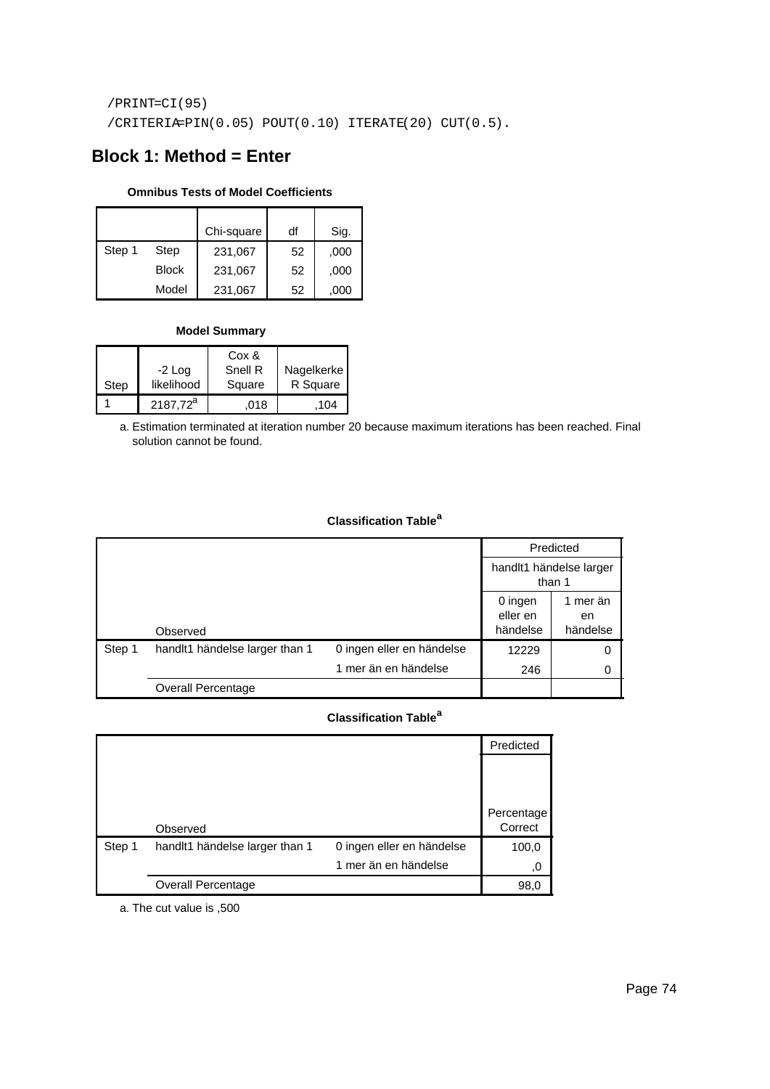/PRINT=CI(95) /CRITERIA=PIN(0.05) POUT(0.10) ITERATE(20) CUT(0.5).

# **Block 1: Method = Enter**

### **Omnibus Tests of Model Coefficients**

|        |              | Chi-square | df | Sig. |
|--------|--------------|------------|----|------|
| Step 1 | Step         | 231,067    | 52 | ,000 |
|        | <b>Block</b> | 231,067    | 52 | ,000 |
|        | Model        | 231,067    | 52 | ,000 |

### **Model Summary**

|      |             | Cox &   |            |
|------|-------------|---------|------------|
|      | $-2$ Log    | Snell R | Nagelkerke |
| Step | likelihood  | Square  | R Square   |
|      | $2187,72^a$ | .018    | 104        |

Estimation terminated at iteration number 20 because maximum iterations has been reached. Final a. solution cannot be found.

## **Classification Table<sup>a</sup>**

|        |                                |                           |                                   | Predicted                  |  |  |
|--------|--------------------------------|---------------------------|-----------------------------------|----------------------------|--|--|
|        |                                |                           | handlt1 händelse larger<br>than 1 |                            |  |  |
|        | Observed                       |                           | 0 ingen<br>eller en<br>händelse   | 1 mer än<br>en<br>händelse |  |  |
| Step 1 | handit1 händelse larger than 1 | 0 ingen eller en händelse | 12229                             | 0                          |  |  |
|        |                                | 1 mer än en händelse      | 246                               | 0                          |  |  |
|        | Overall Percentage             |                           |                                   |                            |  |  |

# **Classification Table<sup>a</sup>**

|        |                                |                           | Predicted             |
|--------|--------------------------------|---------------------------|-----------------------|
|        |                                |                           |                       |
|        |                                |                           |                       |
|        |                                |                           |                       |
|        | Observed                       |                           | Percentage<br>Correct |
|        |                                |                           |                       |
| Step 1 | handit1 händelse larger than 1 | 0 ingen eller en händelse | 100,0                 |
|        |                                | 1 mer än en händelse      | ,0                    |
|        | Overall Percentage             |                           | 98,0                  |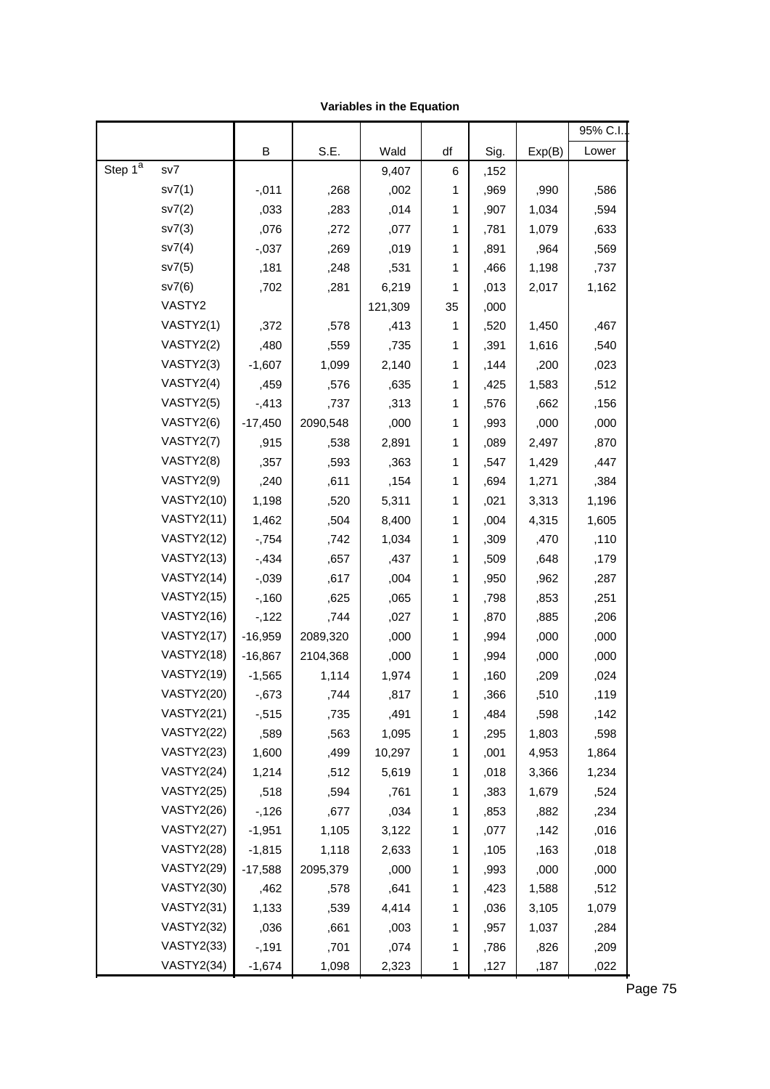| Variables in the Equation |  |  |  |
|---------------------------|--|--|--|
|---------------------------|--|--|--|

|                     |                   |           |          |         |              |      |        | 95% C.I. |  |
|---------------------|-------------------|-----------|----------|---------|--------------|------|--------|----------|--|
|                     |                   | В         | S.E.     | Wald    | df           | Sig. | Exp(B) | Lower    |  |
| Step 1 <sup>a</sup> | sv7               |           |          | 9,407   | 6            | ,152 |        |          |  |
|                     | sv7(1)            | $-0.011$  | ,268     | ,002    | 1            | ,969 | ,990   | ,586     |  |
|                     | sv7(2)            | ,033      | ,283     | ,014    | 1            | ,907 | 1,034  | ,594     |  |
|                     | sv7(3)            | ,076      | ,272     | ,077    | 1            | ,781 | 1,079  | ,633     |  |
|                     | sv7(4)            | $-0.037$  | ,269     | ,019    | $\mathbf{1}$ | ,891 | ,964   | ,569     |  |
|                     | sv7(5)            | ,181      | ,248     | ,531    | $\mathbf{1}$ | ,466 | 1,198  | ,737     |  |
|                     | sv7(6)            | ,702      | ,281     | 6,219   | 1            | ,013 | 2,017  | 1,162    |  |
|                     | VASTY2            |           |          | 121,309 | 35           | ,000 |        |          |  |
|                     | VASTY2(1)         | ,372      | ,578     | ,413    | 1            | ,520 | 1,450  | ,467     |  |
|                     | VASTY2(2)         | ,480      | ,559     | ,735    | 1            | ,391 | 1,616  | ,540     |  |
|                     | VASTY2(3)         | $-1,607$  | 1,099    | 2,140   | 1            | ,144 | ,200   | ,023     |  |
|                     | VASTY2(4)         | ,459      | ,576     | ,635    | 1            | ,425 | 1,583  | ,512     |  |
|                     | VASTY2(5)         | $-0.413$  | ,737     | ,313    | $\mathbf{1}$ | ,576 | ,662   | ,156     |  |
|                     | VASTY2(6)         | $-17,450$ | 2090,548 | ,000    | 1            | ,993 | ,000   | ,000     |  |
|                     | VASTY2(7)         | ,915      | ,538     | 2,891   | $\mathbf{1}$ | ,089 | 2,497  | ,870     |  |
|                     | VASTY2(8)         | ,357      | ,593     | ,363    | 1            | ,547 | 1,429  | ,447     |  |
|                     | VASTY2(9)         | ,240      | ,611     | ,154    | $\mathbf{1}$ | ,694 | 1,271  | ,384     |  |
|                     | <b>VASTY2(10)</b> | 1,198     | ,520     | 5,311   | 1            | ,021 | 3,313  | 1,196    |  |
|                     | <b>VASTY2(11)</b> | 1,462     | ,504     | 8,400   | $\mathbf{1}$ | ,004 | 4,315  | 1,605    |  |
|                     | <b>VASTY2(12)</b> | $-754$    | ,742     | 1,034   | 1            | ,309 | ,470   | ,110     |  |
|                     | <b>VASTY2(13)</b> | $-0.434$  | ,657     | ,437    | $\mathbf{1}$ | ,509 | ,648   | ,179     |  |
|                     | <b>VASTY2(14)</b> | $-0.039$  | ,617     | ,004    | 1            | ,950 | ,962   | ,287     |  |
|                     | <b>VASTY2(15)</b> | $-160$    | ,625     | ,065    | $\mathbf{1}$ | ,798 | ,853   | ,251     |  |
|                     | <b>VASTY2(16)</b> | $-122$    | ,744     | ,027    | 1            | ,870 | ,885   | ,206     |  |
|                     | <b>VASTY2(17)</b> | $-16,959$ | 2089,320 | ,000    | 1            | ,994 | ,000   | ,000     |  |
|                     | <b>VASTY2(18)</b> | $-16,867$ | 2104,368 | ,000    | 1            | ,994 | ,000   | ,000     |  |
|                     | <b>VASTY2(19)</b> | $-1,565$  | 1,114    | 1,974   | 1            | ,160 | ,209   | ,024     |  |
|                     | <b>VASTY2(20)</b> | $-0.673$  | ,744     | ,817    | 1            | ,366 | ,510   | ,119     |  |
|                     | <b>VASTY2(21)</b> | $-0.515$  | ,735     | ,491    | 1            | ,484 | ,598   | ,142     |  |
|                     | <b>VASTY2(22)</b> | ,589      | ,563     | 1,095   | 1            | ,295 | 1,803  | ,598     |  |
|                     | <b>VASTY2(23)</b> | 1,600     | ,499     | 10,297  | 1            | ,001 | 4,953  | 1,864    |  |
|                     | <b>VASTY2(24)</b> | 1,214     | ,512     | 5,619   | 1            | ,018 | 3,366  | 1,234    |  |
|                     | <b>VASTY2(25)</b> | ,518      | ,594     | ,761    | 1            | ,383 | 1,679  | ,524     |  |
|                     | <b>VASTY2(26)</b> | $-126$    | ,677     | ,034    | 1            | ,853 | ,882   | ,234     |  |
|                     | <b>VASTY2(27)</b> | $-1,951$  | 1,105    | 3,122   | 1            | ,077 | ,142   | ,016     |  |
|                     | <b>VASTY2(28)</b> | $-1,815$  | 1,118    | 2,633   | 1            | ,105 | ,163   | ,018     |  |
|                     | <b>VASTY2(29)</b> | $-17,588$ | 2095,379 | ,000    | 1            | ,993 | ,000   | ,000     |  |
|                     | <b>VASTY2(30)</b> | ,462      | ,578     | ,641    | 1            | ,423 | 1,588  | ,512     |  |
|                     | <b>VASTY2(31)</b> | 1,133     | ,539     | 4,414   | 1            | ,036 | 3,105  | 1,079    |  |
|                     | <b>VASTY2(32)</b> | ,036      | ,661     | ,003    | 1            | ,957 | 1,037  | ,284     |  |
|                     | <b>VASTY2(33)</b> | $-191$    | ,701     | ,074    | 1            | ,786 | ,826   | ,209     |  |
|                     | <b>VASTY2(34)</b> | $-1,674$  | 1,098    | 2,323   | $\mathbf{1}$ | ,127 | ,187   | ,022     |  |

,990 ,535  $\sim$ 900 ,9416  $\sim$ 900 ,942  $\sim$ 910 ,942  $\sim$ 910 ,942  $\sim$ 910 ,942  $\sim$ 910 ,942  $\sim$ 910 ,942  $\sim$ 910 ,942  $\sim$ 910 ,942  $\sim$ 910 ,942  $\sim$ 910 ,942  $\sim$ 910 ,942  $\sim$ 910 ,942  $\sim$ 910 ,942  $\sim$ 910 ,942  $\sim$ 910 ,942  $\$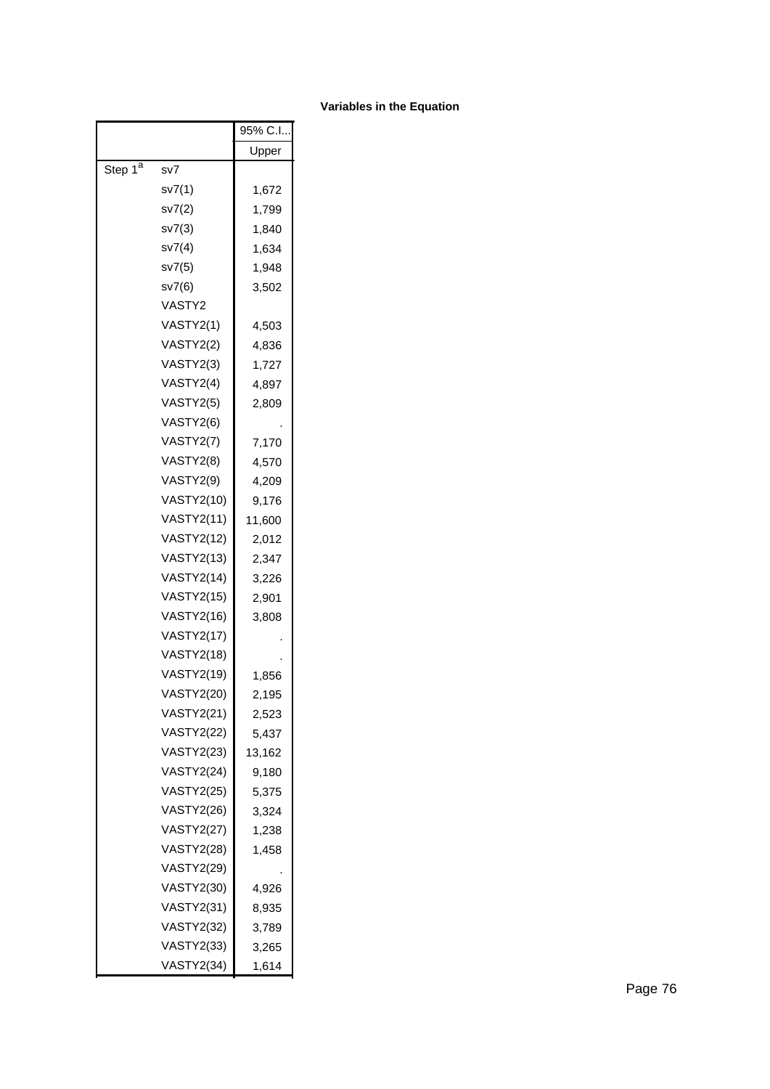|                     |                   | 95% C.I |
|---------------------|-------------------|---------|
|                     |                   | Upper   |
| Step 1 <sup>a</sup> | sv7               |         |
|                     | sv7(1)            | 1,672   |
|                     | sv7(2)            | 1,799   |
|                     | sv7(3)            | 1,840   |
|                     | sv7(4)            | 1,634   |
|                     | sv7(5)            | 1,948   |
|                     | sv7(6)            | 3,502   |
|                     | VASTY2            |         |
|                     | VASTY2(1)         | 4,503   |
|                     | VASTY2(2)         | 4,836   |
|                     | VASTY2(3)         | 1,727   |
|                     | VASTY2(4)         | 4,897   |
|                     | VASTY2(5)         | 2,809   |
|                     | VASTY2(6)         |         |
|                     | VASTY2(7)         | 7,170   |
|                     | VASTY2(8)         | 4,570   |
|                     | VASTY2(9)         | 4,209   |
|                     | <b>VASTY2(10)</b> | 9,176   |
|                     | <b>VASTY2(11)</b> | 11,600  |
|                     | <b>VASTY2(12)</b> | 2,012   |
|                     | <b>VASTY2(13)</b> | 2,347   |
|                     | <b>VASTY2(14)</b> | 3,226   |
|                     | <b>VASTY2(15)</b> | 2,901   |
|                     | <b>VASTY2(16)</b> | 3,808   |
|                     | <b>VASTY2(17)</b> |         |
|                     | <b>VASTY2(18)</b> |         |
|                     | <b>VASTY2(19)</b> | 1,856   |
|                     | <b>VASTY2(20)</b> | 2.195   |
|                     | VASTY2(21)        | 2,523   |
|                     | <b>VASTY2(22)</b> | 5,437   |
|                     | <b>VASTY2(23)</b> | 13,162  |
|                     | <b>VASTY2(24)</b> | 9,180   |
|                     | VASTY2(25)        | 5,375   |
|                     | <b>VASTY2(26)</b> | 3,324   |
|                     | <b>VASTY2(27)</b> | 1,238   |
|                     | <b>VASTY2(28)</b> | 1,458   |
|                     | VASTY2(29)        |         |
|                     | <b>VASTY2(30)</b> | 4,926   |
|                     | <b>VASTY2(31)</b> | 8,935   |
|                     | <b>VASTY2(32)</b> | 3,789   |
|                     | <b>VASTY2(33)</b> | 3,265   |
|                     | <b>VASTY2(34)</b> | 1,614   |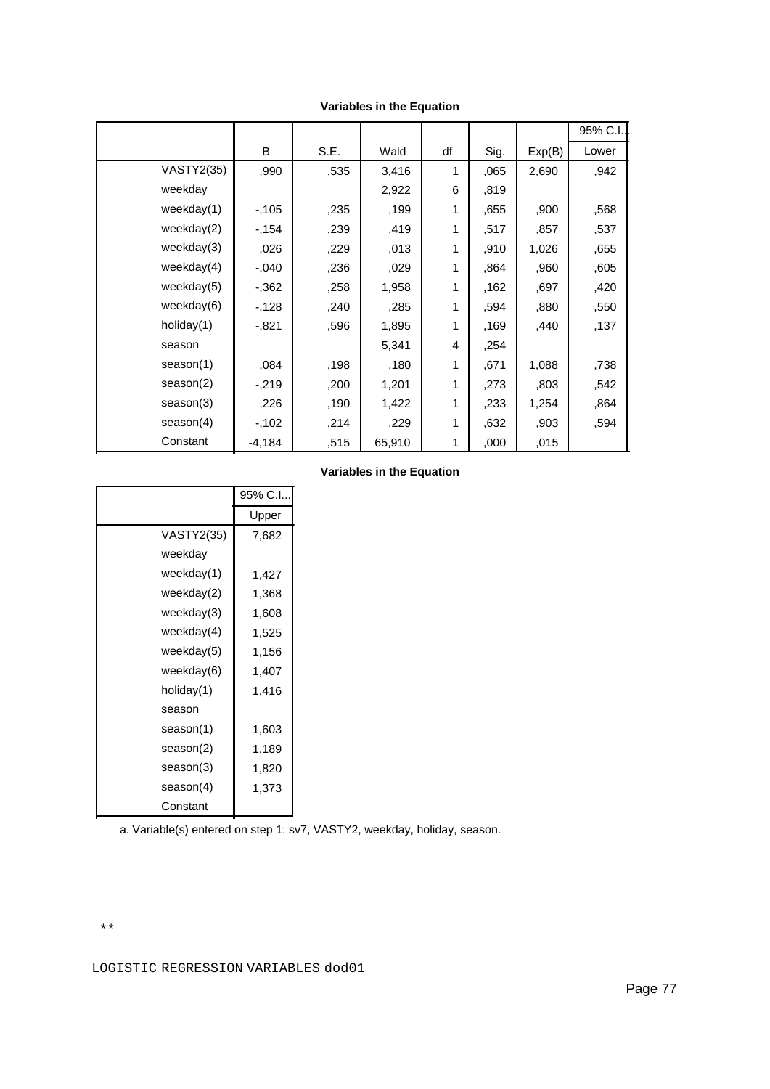|                   |          |      |        |    |      |        | 95% C.I. |
|-------------------|----------|------|--------|----|------|--------|----------|
|                   | B        | S.E. | Wald   | df | Sig. | Exp(B) | Lower    |
| <b>VASTY2(35)</b> | ,990     | ,535 | 3,416  | 1  | ,065 | 2,690  | ,942     |
| weekday           |          |      | 2,922  | 6  | ,819 |        |          |
| weekday(1)        | $-105$   | ,235 | ,199   | 1  | ,655 | ,900   | ,568     |
| weekday $(2)$     | $-154$   | ,239 | ,419   | 1  | ,517 | ,857   | ,537     |
| weekday(3)        | ,026     | ,229 | ,013   | 1  | .910 | 1,026  | ,655     |
| weekday $(4)$     | $-0.040$ | ,236 | ,029   | 1  | ,864 | ,960   | ,605     |
| weekday(5)        | $-0.362$ | ,258 | 1,958  | 1  | ,162 | ,697   | ,420     |
| weekday(6)        | $-128$   | ,240 | ,285   | 1  | ,594 | ,880   | ,550     |
| holiday(1)        | $-0.821$ | ,596 | 1,895  | 1  | ,169 | ,440   | ,137     |
| season            |          |      | 5,341  | 4  | ,254 |        |          |
| season(1)         | ,084     | ,198 | ,180   | 1  | ,671 | 1,088  | ,738     |
| season(2)         | $-219$   | ,200 | 1,201  | 1  | .273 | ,803   | ,542     |
| season(3)         | ,226     | ,190 | 1,422  | 1  | ,233 | 1,254  | ,864     |
| season(4)         | $-102$   | ,214 | ,229   | 1  | ,632 | ,903   | ,594     |
| Constant          | $-4,184$ | ,515 | 65,910 | 1  | ,000 | ,015   |          |

|               | 95% C.I |
|---------------|---------|
|               | Upper   |
| VASTY2(35)    | 7,682   |
| weekday       |         |
| weekday(1)    | 1,427   |
| weekday(2)    | 1,368   |
| weekday(3)    | 1,608   |
| weekday $(4)$ | 1,525   |
| weekday $(5)$ | 1,156   |
| weekday(6)    | 1,407   |
| holiday(1)    | 1,416   |
| season        |         |
| season(1)     | 1,603   |
| season(2)     | 1,189   |
| season(3)     | 1,820   |
| season(4)     | 1,373   |
| Constant      |         |

a. Variable(s) entered on step 1: sv7, VASTY2, weekday, holiday, season.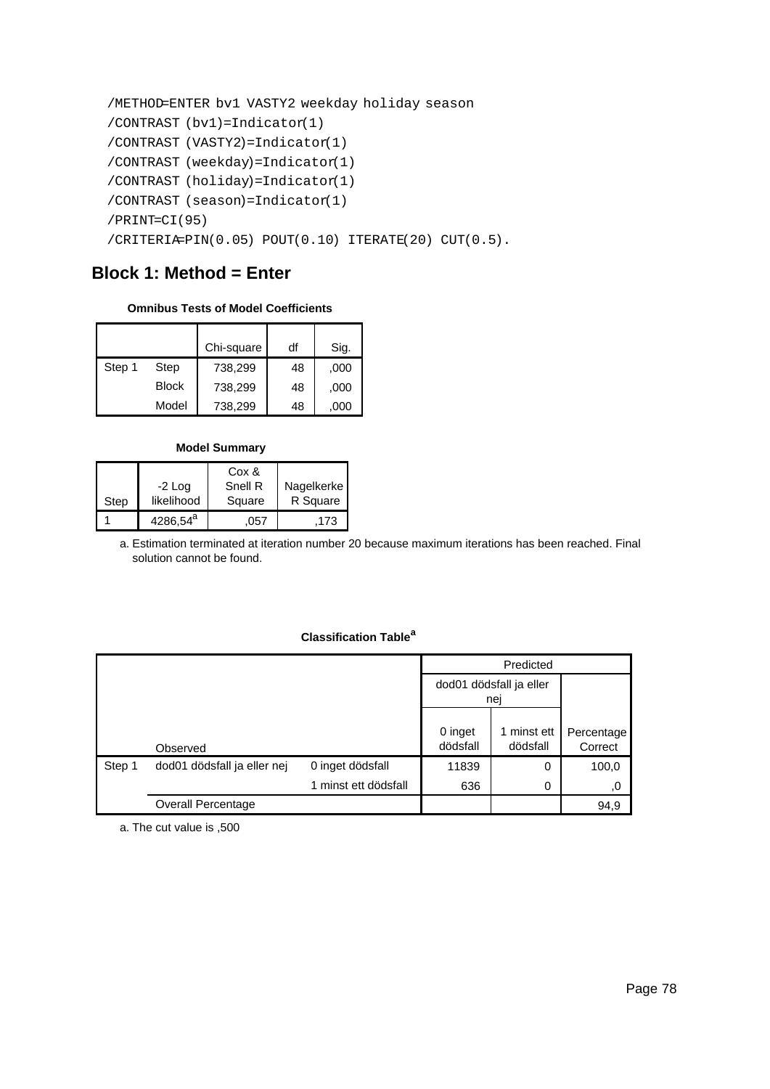```
 /METHOD=ENTER bv1 VASTY2 weekday holiday season
/CONTRAST (bv1)=Indicator(1)
/CONTRAST (VASTY2)=Indicator(1)
/CONTRAST (weekday)=Indicator(1)
/CONTRAST (holiday)=Indicator(1)
/CONTRAST (season)=Indicator(1)
/PRINT=CI(95)
/CRITERIA=PIN(0.05) POUT(0.10) ITERATE(20) CUT(0.5).
```
# **Block 1: Method = Enter**

#### **Omnibus Tests of Model Coefficients**

|        |              | Chi-square | df | Sig. |
|--------|--------------|------------|----|------|
| Step 1 | Step         | 738,299    | 48 | ,000 |
|        | <b>Block</b> | 738,299    | 48 | ,000 |
|        | Model        | 738.299    | 48 | ,000 |

#### **Model Summary**

|      |                      | Cox &   |            |
|------|----------------------|---------|------------|
|      | $-2$ Log             | Snell R | Nagelkerke |
| Step | likelihood           | Square  | R Square   |
|      | 4286,54 <sup>a</sup> | .057    | .173       |

Estimation terminated at iteration number 20 because maximum iterations has been reached. Final a. solution cannot be found.

### **Classification Table<sup>a</sup>**

|        |                             |                      |                     | Predicted                      |                       |
|--------|-----------------------------|----------------------|---------------------|--------------------------------|-----------------------|
|        |                             |                      |                     | dod01 dödsfall ja eller<br>nej |                       |
|        | Observed                    |                      | 0 inget<br>dödsfall | 1 minst ett<br>dödsfall        | Percentage<br>Correct |
| Step 1 | dod01 dödsfall ja eller nej | 0 inget dödsfall     | 11839               | 0                              | 100,0                 |
|        |                             | 1 minst ett dödsfall | 636                 | 0                              | ,0                    |
|        | <b>Overall Percentage</b>   |                      |                     |                                | 94,9                  |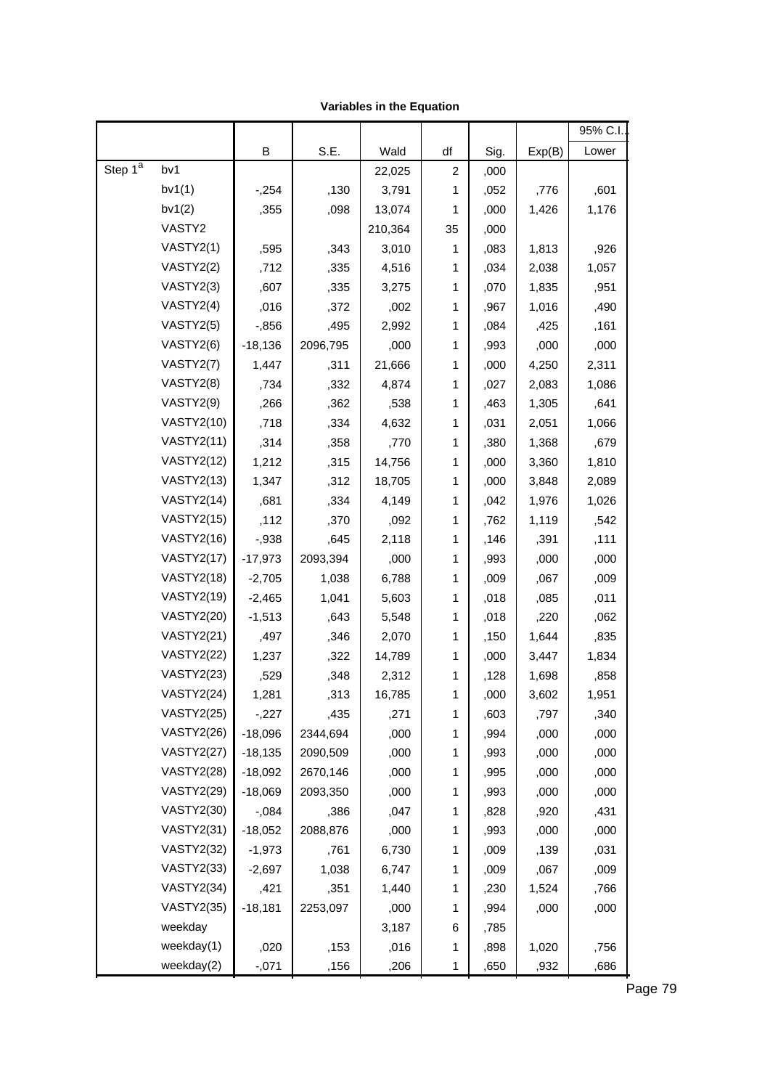| <b>Variables in the Equation</b> |  |  |  |
|----------------------------------|--|--|--|
|----------------------------------|--|--|--|

|                         |                   |           |          |         |                |      |        | 95% C.I |  |
|-------------------------|-------------------|-----------|----------|---------|----------------|------|--------|---------|--|
|                         |                   | B         | S.E.     | Wald    | df             | Sig. | Exp(B) | Lower   |  |
| Step $1^{\overline{a}}$ | bv1               |           |          | 22,025  | $\overline{c}$ | ,000 |        |         |  |
|                         | bv1(1)            | $-254$    | ,130     | 3,791   | 1              | ,052 | ,776   | ,601    |  |
|                         | bv1(2)            | ,355      | ,098     | 13,074  | 1              | ,000 | 1,426  | 1,176   |  |
|                         | VASTY2            |           |          | 210,364 | 35             | ,000 |        |         |  |
|                         | VASTY2(1)         | ,595      | ,343     | 3,010   | 1              | ,083 | 1,813  | ,926    |  |
|                         | VASTY2(2)         | ,712      | ,335     | 4,516   | 1              | ,034 | 2,038  | 1,057   |  |
|                         | VASTY2(3)         | ,607      | ,335     | 3,275   | $\mathbf{1}$   | ,070 | 1,835  | ,951    |  |
|                         | VASTY2(4)         | ,016      | ,372     | ,002    | $\mathbf{1}$   | ,967 | 1,016  | ,490    |  |
|                         | VASTY2(5)         | $-0.856$  | ,495     | 2,992   | $\mathbf{1}$   | ,084 | ,425   | ,161    |  |
|                         | VASTY2(6)         | $-18,136$ | 2096,795 | ,000    | $\mathbf{1}$   | ,993 | ,000   | ,000    |  |
|                         | VASTY2(7)         | 1,447     | ,311     | 21,666  | 1              | ,000 | 4,250  | 2,311   |  |
|                         | VASTY2(8)         | ,734      | ,332     | 4,874   | 1              | ,027 | 2,083  | 1,086   |  |
|                         | VASTY2(9)         | ,266      | ,362     | ,538    | 1              | ,463 | 1,305  | ,641    |  |
|                         | <b>VASTY2(10)</b> | ,718      | ,334     | 4,632   | 1              | ,031 | 2,051  | 1,066   |  |
|                         | <b>VASTY2(11)</b> | ,314      | ,358     | ,770    | 1              | ,380 | 1,368  | ,679    |  |
|                         | <b>VASTY2(12)</b> | 1,212     | ,315     | 14,756  | 1              | ,000 | 3,360  | 1,810   |  |
|                         | <b>VASTY2(13)</b> | 1,347     | ,312     | 18,705  | 1              | ,000 | 3,848  | 2,089   |  |
|                         | <b>VASTY2(14)</b> | ,681      | ,334     | 4,149   | 1              | ,042 | 1,976  | 1,026   |  |
|                         | <b>VASTY2(15)</b> | ,112      | ,370     | ,092    | $\mathbf{1}$   | ,762 | 1,119  | ,542    |  |
|                         | <b>VASTY2(16)</b> | $-0.938$  | ,645     | 2,118   | $\mathbf{1}$   | ,146 | ,391   | ,111    |  |
|                         | <b>VASTY2(17)</b> | $-17,973$ | 2093,394 | ,000    | 1              | ,993 | ,000   | ,000    |  |
|                         | <b>VASTY2(18)</b> | $-2,705$  | 1,038    | 6,788   | 1              | ,009 | ,067   | ,009    |  |
|                         | <b>VASTY2(19)</b> | $-2,465$  | 1,041    | 5,603   | 1              | ,018 | ,085   | ,011    |  |
|                         | <b>VASTY2(20)</b> | $-1,513$  | ,643     | 5,548   | $\mathbf{1}$   | ,018 | ,220   | ,062    |  |
|                         | <b>VASTY2(21)</b> | ,497      | ,346     | 2,070   | 1              | ,150 | 1,644  | ,835    |  |
|                         | <b>VASTY2(22)</b> | 1,237     | ,322     | 14,789  | 1              | ,000 | 3,447  | 1,834   |  |
|                         | <b>VASTY2(23)</b> | ,529      | ,348     | 2,312   | 1              | ,128 | 1,698  | ,858    |  |
|                         | <b>VASTY2(24)</b> | 1,281     | ,313     | 16,785  | 1              | ,000 | 3,602  | 1,951   |  |
|                         | <b>VASTY2(25)</b> | $-227$    | ,435     | ,271    | 1              | ,603 | ,797   | ,340    |  |
|                         | <b>VASTY2(26)</b> | $-18,096$ | 2344,694 | ,000    | 1              | ,994 | ,000   | ,000    |  |
|                         | <b>VASTY2(27)</b> | $-18,135$ | 2090,509 | ,000    | 1              | ,993 | ,000   | ,000    |  |
|                         | <b>VASTY2(28)</b> | $-18,092$ | 2670,146 | ,000    | 1              | ,995 | ,000   | ,000    |  |
|                         | <b>VASTY2(29)</b> | $-18,069$ | 2093,350 | ,000    | 1              | ,993 | ,000   | ,000    |  |
|                         | <b>VASTY2(30)</b> | $-0.084$  | ,386     | ,047    | 1              | ,828 | ,920   | ,431    |  |
|                         | <b>VASTY2(31)</b> | $-18,052$ | 2088,876 | ,000    | 1              | ,993 | ,000   | ,000    |  |
|                         | <b>VASTY2(32)</b> | $-1,973$  | ,761     | 6,730   | 1              | ,009 | ,139   | ,031    |  |
|                         | <b>VASTY2(33)</b> | $-2,697$  | 1,038    | 6,747   | 1              | ,009 | ,067   | ,009    |  |
|                         | <b>VASTY2(34)</b> | ,421      | ,351     | 1,440   | 1              | ,230 | 1,524  | ,766    |  |
|                         | <b>VASTY2(35)</b> | $-18,181$ | 2253,097 | ,000    | 1              | ,994 | ,000   | ,000    |  |
|                         | weekday           |           |          | 3,187   | 6              | ,785 |        |         |  |
|                         | weekday(1)        | ,020      | ,153     | ,016    | 1              | ,898 | 1,020  | ,756    |  |
|                         | weekday(2)        | $-071$    | ,156     | ,206    | 1              | ,650 | ,932   | ,686    |  |

,040  $\sim$  1400  $\sim$  1400  $\sim$  153  $\sim$  153  $\sim$  153  $\sim$  153  $\sim$  153  $\sim$  153  $\sim$  153  $\sim$  153  $\sim$  153  $\sim$  153  $\sim$  153  $\sim$  153  $\sim$  153  $\sim$  153  $\sim$  153  $\sim$  153  $\sim$  153  $\sim$  153  $\sim$  153  $\sim$  153  $\sim$  153  $\sim$  15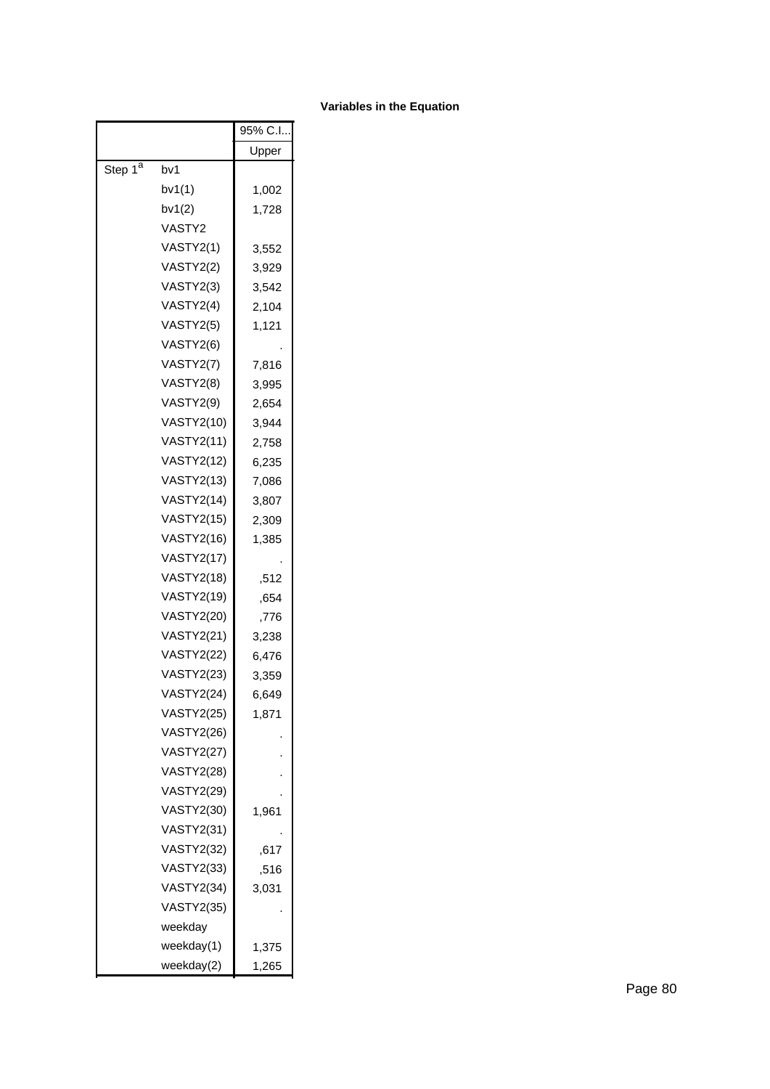|                     |                   | 95% C.I |
|---------------------|-------------------|---------|
|                     |                   | Upper   |
| Step 1 <sup>a</sup> | bv1               |         |
|                     | bv1(1)            | 1,002   |
|                     | bv1(2)            | 1,728   |
|                     | VASTY2            |         |
|                     | VASTY2(1)         | 3,552   |
|                     | VASTY2(2)         | 3,929   |
|                     | VASTY2(3)         | 3,542   |
|                     | VASTY2(4)         | 2,104   |
|                     | VASTY2(5)         | 1,121   |
|                     | VASTY2(6)         |         |
|                     | VASTY2(7)         | 7,816   |
|                     | VASTY2(8)         | 3,995   |
|                     | VASTY2(9)         | 2,654   |
|                     | <b>VASTY2(10)</b> | 3,944   |
|                     | <b>VASTY2(11)</b> | 2,758   |
|                     | <b>VASTY2(12)</b> | 6,235   |
|                     | <b>VASTY2(13)</b> | 7,086   |
|                     | <b>VASTY2(14)</b> | 3,807   |
|                     | <b>VASTY2(15)</b> | 2,309   |
|                     | <b>VASTY2(16)</b> | 1,385   |
|                     | <b>VASTY2(17)</b> |         |
|                     | <b>VASTY2(18)</b> | ,512    |
|                     | <b>VASTY2(19)</b> | ,654    |
|                     | <b>VASTY2(20)</b> | ,776    |
|                     | <b>VASTY2(21)</b> | 3,238   |
|                     | <b>VASTY2(22)</b> | 6,476   |
|                     | <b>VASTY2(23)</b> | 3,359   |
|                     | <b>VASTY2(24)</b> | 6,649   |
|                     | VASTY2(25)        | 1,871   |
|                     | <b>VASTY2(26)</b> |         |
|                     | <b>VASTY2(27)</b> |         |
|                     | <b>VASTY2(28)</b> |         |
|                     | <b>VASTY2(29)</b> |         |
|                     | <b>VASTY2(30)</b> | 1,961   |
|                     | <b>VASTY2(31)</b> |         |
|                     | <b>VASTY2(32)</b> | ,617    |
|                     | <b>VASTY2(33)</b> | ,516    |
|                     | <b>VASTY2(34)</b> | 3,031   |
|                     | <b>VASTY2(35)</b> |         |
|                     | weekday           |         |
|                     | weekday(1)        | 1,375   |
|                     | weekday(2)        | 1,265   |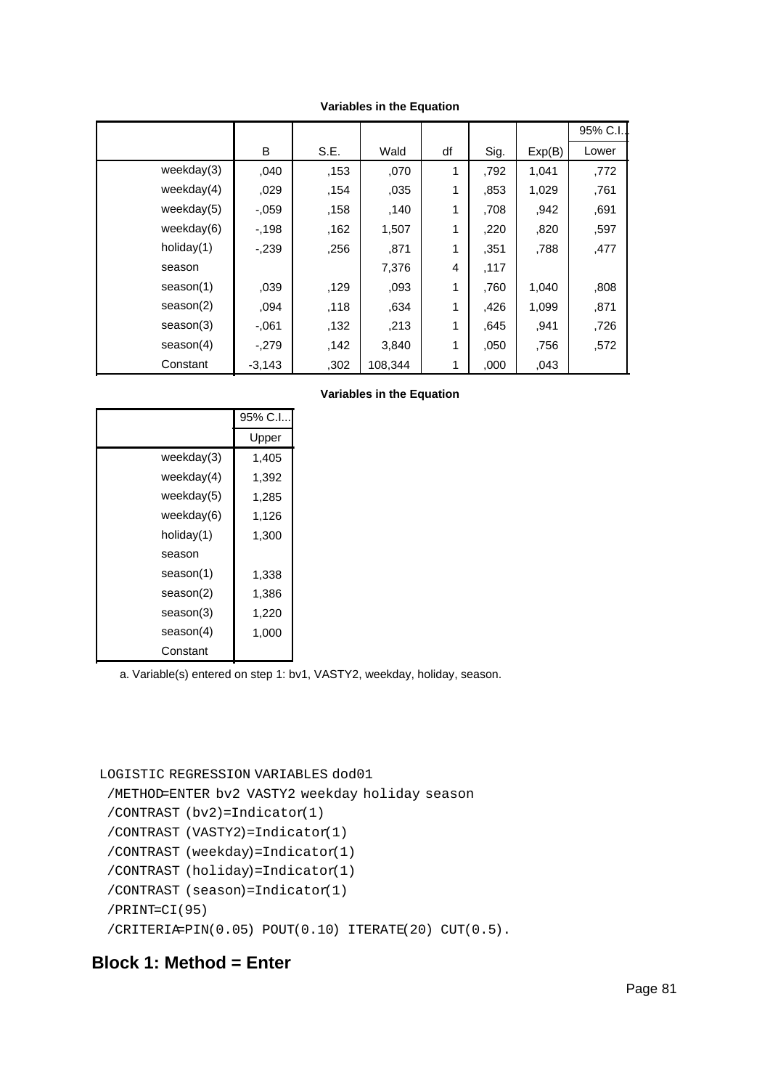|               |          |      |         |    |       |        | 95% C.I. |
|---------------|----------|------|---------|----|-------|--------|----------|
|               | B        | S.E. | Wald    | df | Sig.  | Exp(B) | Lower    |
| weekday $(3)$ | ,040     | ,153 | ,070    | 1  | ,792  | 1,041  | ,772     |
| weekday $(4)$ | ,029     | ,154 | ,035    | 1  | ,853  | 1,029  | ,761     |
| weekday $(5)$ | $-.059$  | ,158 | ,140    | 1  | .708  | ,942   | ,691     |
| weekday(6)    | $-198$   | ,162 | 1,507   | 1  | ,220  | ,820   | ,597     |
| holiday(1)    | $-239$   | ,256 | ,871    | 1  | ,351  | ,788   | ,477     |
| season        |          |      | 7,376   | 4  | , 117 |        |          |
| season(1)     | ,039     | ,129 | ,093    | 1  | ,760  | 1,040  | ,808     |
| season(2)     | ,094     | ,118 | ,634    | 1  | ,426  | 1,099  | ,871     |
| season(3)     | $-.061$  | ,132 | ,213    | 1  | .645  | .941   | ,726     |
| season(4)     | $-.279$  | ,142 | 3,840   | 1  | .050  | ,756   | ,572     |
| Constant      | $-3,143$ | ,302 | 108,344 | 1  | ,000  | .043   |          |

#### **Variables in the Equation**

|            | 95% C.I |
|------------|---------|
|            | Upper   |
| weekday(3) | 1,405   |
| weekday(4) | 1,392   |
| weekday(5) | 1,285   |
| weekday(6) | 1,126   |
| holiday(1) | 1,300   |
| season     |         |
| season(1)  | 1,338   |
| season(2)  | 1,386   |
| season(3)  | 1,220   |
| season(4)  | 1,000   |
| Constant   |         |

a. Variable(s) entered on step 1: bv1, VASTY2, weekday, holiday, season.

```
LOGISTIC REGRESSION VARIABLES dod01
```
/METHOD=ENTER bv2 VASTY2 weekday holiday season

```
 /CONTRAST (bv2)=Indicator(1)
```

```
 /CONTRAST (VASTY2)=Indicator(1)
```

```
 /CONTRAST (weekday)=Indicator(1)
```

```
 /CONTRAST (holiday)=Indicator(1)
```

```
 /CONTRAST (season)=Indicator(1)
```

```
 /PRINT=CI(95)
```

```
 /CRITERIA=PIN(0.05) POUT(0.10) ITERATE(20) CUT(0.5).
```
# **Block 1: Method = Enter**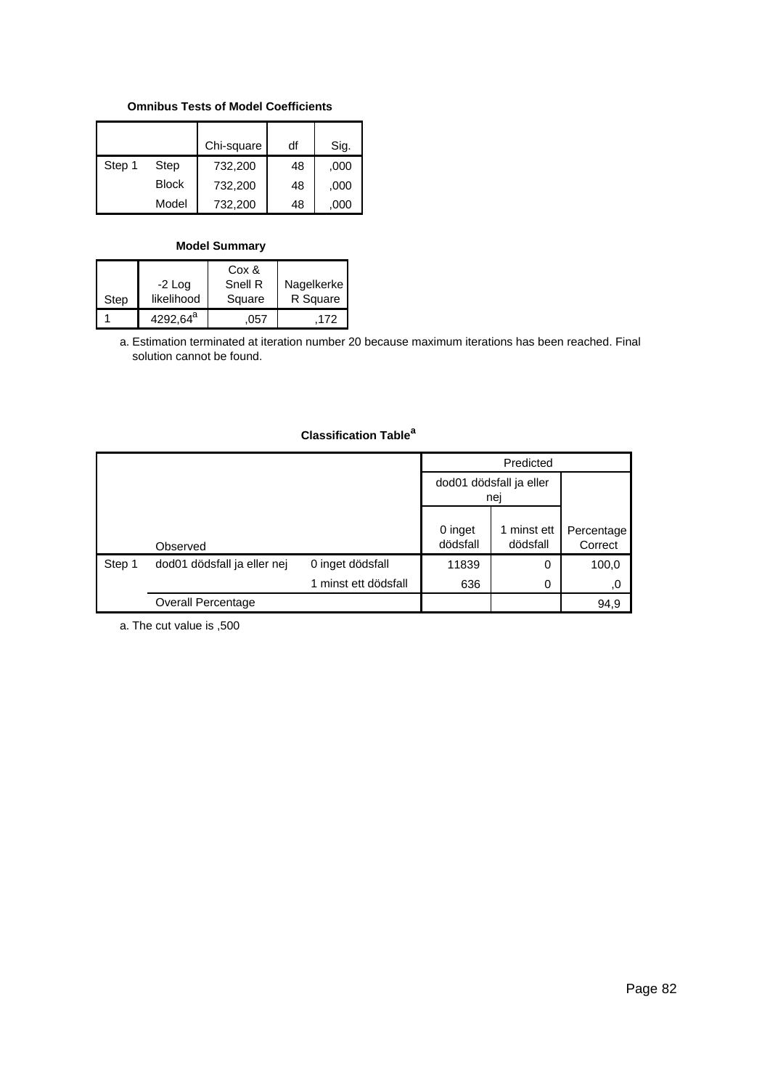### **Omnibus Tests of Model Coefficients**

|        |              | Chi-square | df | Sig. |
|--------|--------------|------------|----|------|
| Step 1 | Step         | 732,200    | 48 | ,000 |
|        | <b>Block</b> | 732,200    | 48 | ,000 |
|        | Model        | 732,200    | 48 | .000 |

### **Model Summary**

|      |                      | Cox &   |            |
|------|----------------------|---------|------------|
|      | $-2$ Log             | Snell R | Nagelkerke |
| Step | likelihood           | Square  | R Square   |
|      | 4292.64 <sup>a</sup> | 057     | 172        |

Estimation terminated at iteration number 20 because maximum iterations has been reached. Final a. solution cannot be found.

## **Classification Table<sup>a</sup>**

|        |                             |                      |                                | Predicted               |                       |
|--------|-----------------------------|----------------------|--------------------------------|-------------------------|-----------------------|
|        |                             |                      | dod01 dödsfall ja eller<br>nej |                         |                       |
|        | Observed                    |                      | 0 inget<br>dödsfall            | 1 minst ett<br>dödsfall | Percentage<br>Correct |
| Step 1 | dod01 dödsfall ja eller nej | 0 inget dödsfall     | 11839                          | 0                       | 100,0                 |
|        |                             | 1 minst ett dödsfall | 636                            | 0                       | .0                    |
|        | <b>Overall Percentage</b>   |                      |                                |                         | 94,9                  |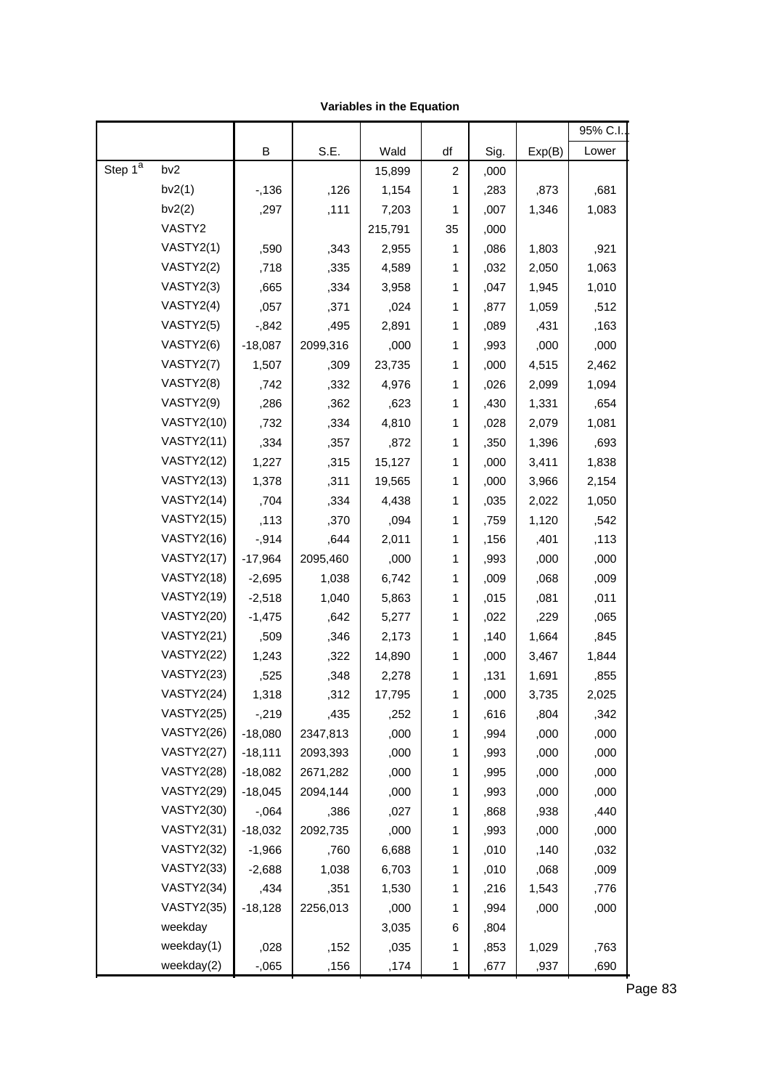| Variables in the Equation |  |  |  |
|---------------------------|--|--|--|
|---------------------------|--|--|--|

|                     |                   |           |          |         |                |      |        | 95% C.I. |  |
|---------------------|-------------------|-----------|----------|---------|----------------|------|--------|----------|--|
|                     |                   | В         | S.E.     | Wald    | df             | Sig. | Exp(B) | Lower    |  |
| Step 1 <sup>a</sup> | bv2               |           |          | 15,899  | $\overline{c}$ | ,000 |        |          |  |
|                     | bv2(1)            | $-136$    | ,126     | 1,154   | 1              | ,283 | ,873   | ,681     |  |
|                     | bv2(2)            | ,297      | ,111     | 7,203   | 1              | ,007 | 1,346  | 1,083    |  |
|                     | VASTY2            |           |          | 215,791 | 35             | ,000 |        |          |  |
|                     | VASTY2(1)         | ,590      | ,343     | 2,955   | 1              | ,086 | 1,803  | ,921     |  |
|                     | VASTY2(2)         | ,718      | ,335     | 4,589   | 1              | ,032 | 2,050  | 1,063    |  |
|                     | VASTY2(3)         | ,665      | ,334     | 3,958   | 1              | ,047 | 1,945  | 1,010    |  |
|                     | VASTY2(4)         | ,057      | ,371     | ,024    | 1              | ,877 | 1,059  | ,512     |  |
|                     | VASTY2(5)         | $-0.842$  | ,495     | 2,891   | 1              | ,089 | ,431   | ,163     |  |
|                     | VASTY2(6)         | $-18,087$ | 2099,316 | ,000    | 1              | ,993 | ,000   | ,000     |  |
|                     | VASTY2(7)         | 1,507     | ,309     | 23,735  | 1              | ,000 | 4,515  | 2,462    |  |
|                     | VASTY2(8)         | ,742      | ,332     | 4,976   | 1              | ,026 | 2,099  | 1,094    |  |
|                     | VASTY2(9)         | ,286      | ,362     | ,623    | 1              | ,430 | 1,331  | ,654     |  |
|                     | <b>VASTY2(10)</b> | ,732      | ,334     | 4,810   | 1              | ,028 | 2,079  | 1,081    |  |
|                     | <b>VASTY2(11)</b> | ,334      | ,357     | ,872    | 1              | ,350 | 1,396  | ,693     |  |
|                     | <b>VASTY2(12)</b> | 1,227     | ,315     | 15,127  | 1              | ,000 | 3,411  | 1,838    |  |
|                     | <b>VASTY2(13)</b> | 1,378     | ,311     | 19,565  | 1              | ,000 | 3,966  | 2,154    |  |
|                     | <b>VASTY2(14)</b> | ,704      | ,334     | 4,438   | 1              | ,035 | 2,022  | 1,050    |  |
|                     | <b>VASTY2(15)</b> | ,113      | ,370     | ,094    | 1              | ,759 | 1,120  | ,542     |  |
|                     | <b>VASTY2(16)</b> | $-0.914$  | ,644     | 2,011   | 1              | ,156 | ,401   | ,113     |  |
|                     | <b>VASTY2(17)</b> | $-17,964$ | 2095,460 | ,000    | 1              | ,993 | ,000   | ,000     |  |
|                     | <b>VASTY2(18)</b> | $-2,695$  | 1,038    | 6,742   | 1              | ,009 | ,068   | ,009     |  |
|                     | <b>VASTY2(19)</b> | $-2,518$  | 1,040    | 5,863   | 1              | ,015 | ,081   | ,011     |  |
|                     | <b>VASTY2(20)</b> | $-1,475$  | ,642     | 5,277   | 1              | ,022 | ,229   | ,065     |  |
|                     | <b>VASTY2(21)</b> | ,509      | ,346     | 2,173   | 1              | ,140 | 1,664  | ,845     |  |
|                     | <b>VASTY2(22)</b> | 1,243     | ,322     | 14,890  | $\mathbf{1}$   | ,000 | 3,467  | 1,844    |  |
|                     | <b>VASTY2(23)</b> | ,525      | ,348     | 2,278   | $\mathbf{1}$   | ,131 | 1,691  | ,855     |  |
|                     | <b>VASTY2(24)</b> | 1,318     | ,312     | 17,795  | $\mathbf 1$    | ,000 | 3,735  | 2,025    |  |
|                     | <b>VASTY2(25)</b> | $-219$    | ,435     | ,252    | 1              | ,616 | ,804   | ,342     |  |
|                     | <b>VASTY2(26)</b> | $-18,080$ | 2347,813 | ,000    | 1              | ,994 | ,000   | ,000     |  |
|                     | <b>VASTY2(27)</b> | $-18,111$ | 2093,393 | ,000    | 1              | ,993 | ,000   | ,000     |  |
|                     | <b>VASTY2(28)</b> | $-18,082$ | 2671,282 | ,000    | 1              | ,995 | ,000   | ,000     |  |
|                     | <b>VASTY2(29)</b> | $-18,045$ | 2094,144 | ,000    | 1              | ,993 | ,000   | ,000     |  |
|                     | <b>VASTY2(30)</b> | $-0.064$  | ,386     | ,027    | 1              | ,868 | ,938   | ,440     |  |
|                     | <b>VASTY2(31)</b> | $-18,032$ | 2092,735 | ,000    | 1              | ,993 | ,000   | ,000     |  |
|                     | <b>VASTY2(32)</b> | $-1,966$  | ,760     | 6,688   | 1              | ,010 | ,140   | ,032     |  |
|                     | <b>VASTY2(33)</b> | $-2,688$  | 1,038    | 6,703   | 1              | ,010 | ,068   | ,009     |  |
|                     | <b>VASTY2(34)</b> | ,434      | ,351     | 1,530   | 1              | ,216 | 1,543  | ,776     |  |
|                     | <b>VASTY2(35)</b> | $-18,128$ | 2256,013 | ,000    | 1              | ,994 | ,000   | ,000     |  |
|                     | weekday           |           |          | 3,035   | 6              | ,804 |        |          |  |
|                     | weekday(1)        | ,028      | ,152     | ,035    | 1              | ,853 | 1,029  | ,763     |  |
|                     | weekday(2)        | $-0.065$  | ,156     | ,174    | $\mathbf{1}$   | ,677 | ,937   | ,690     |  |

,041 ,153 ,071 1 ,790 1,041 ,772 Page1,40583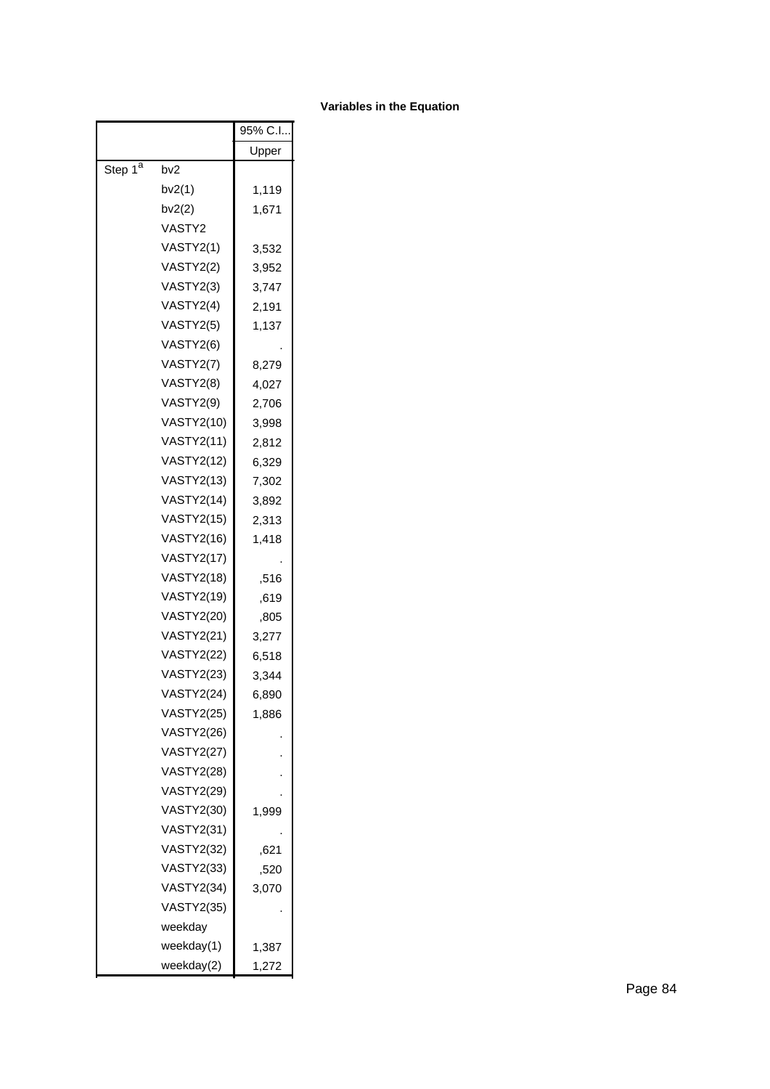|                     |                   | 95% C.I |
|---------------------|-------------------|---------|
|                     |                   | Upper   |
| Step 1 <sup>a</sup> | bv2               |         |
|                     | bv2(1)            | 1,119   |
|                     | bv2(2)            | 1,671   |
|                     | VASTY2            |         |
|                     | VASTY2(1)         | 3,532   |
|                     | VASTY2(2)         | 3,952   |
|                     | VASTY2(3)         | 3,747   |
|                     | VASTY2(4)         | 2,191   |
|                     | VASTY2(5)         | 1,137   |
|                     | VASTY2(6)         |         |
|                     | VASTY2(7)         | 8,279   |
|                     | VASTY2(8)         | 4,027   |
|                     | VASTY2(9)         | 2,706   |
|                     | <b>VASTY2(10)</b> | 3,998   |
|                     | <b>VASTY2(11)</b> | 2,812   |
|                     | <b>VASTY2(12)</b> | 6,329   |
|                     | <b>VASTY2(13)</b> | 7,302   |
|                     | <b>VASTY2(14)</b> | 3,892   |
|                     | <b>VASTY2(15)</b> | 2,313   |
|                     | <b>VASTY2(16)</b> | 1,418   |
|                     | <b>VASTY2(17)</b> |         |
|                     | <b>VASTY2(18)</b> | ,516    |
|                     | <b>VASTY2(19)</b> | ,619    |
|                     | <b>VASTY2(20)</b> | ,805    |
|                     | VASTY2(21)        | 3,277   |
|                     | <b>VASTY2(22)</b> | 6,518   |
|                     | <b>VASTY2(23)</b> | 3,344   |
|                     | <b>VASTY2(24)</b> | 6,890   |
|                     | <b>VASTY2(25)</b> | 1,886   |
|                     | <b>VASTY2(26)</b> |         |
|                     | <b>VASTY2(27)</b> |         |
|                     | <b>VASTY2(28)</b> |         |
|                     | <b>VASTY2(29)</b> |         |
|                     | <b>VASTY2(30)</b> | 1,999   |
|                     | <b>VASTY2(31)</b> |         |
|                     | <b>VASTY2(32)</b> | ,621    |
|                     | <b>VASTY2(33)</b> | ,520    |
|                     | <b>VASTY2(34)</b> | 3,070   |
|                     | VASTY2(35)        |         |
|                     | weekday           |         |
|                     | weekday(1)        | 1,387   |
|                     | weekday(2)        | 1,272   |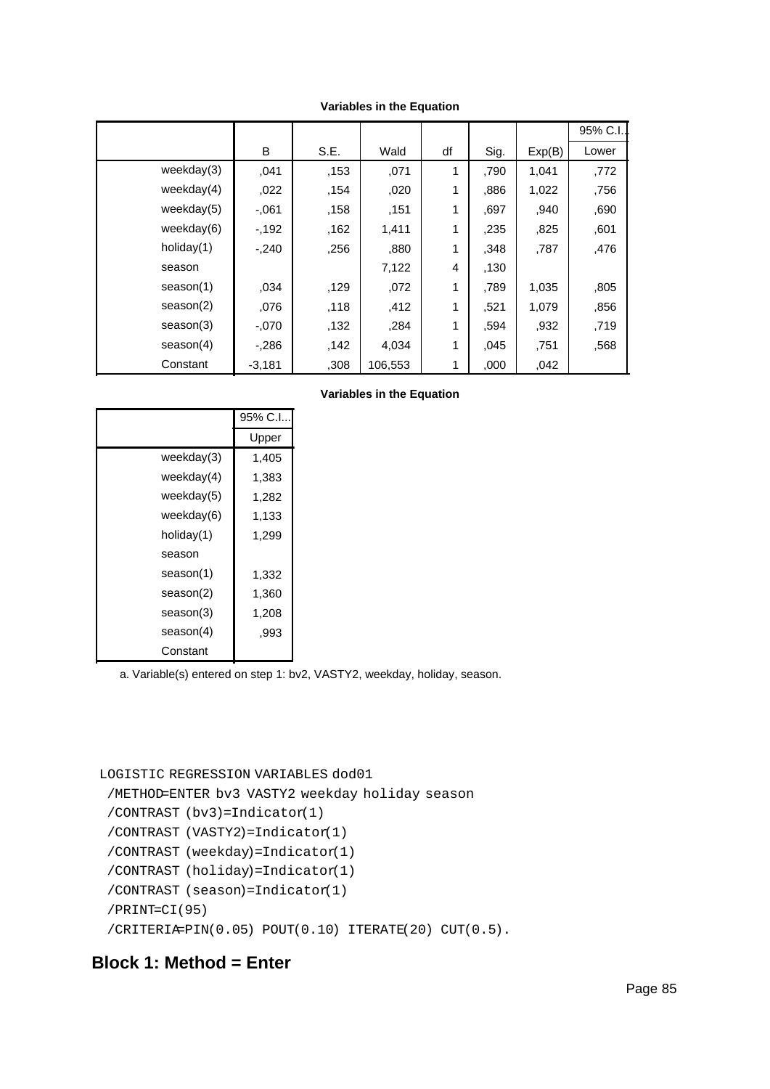|               |          |      |         |    |      |        | 95% C.I. |
|---------------|----------|------|---------|----|------|--------|----------|
|               | B        | S.E. | Wald    | df | Sig. | Exp(B) | Lower    |
| weekday $(3)$ | ,041     | ,153 | ,071    | 1  | .790 | 1,041  | ,772     |
| weekday $(4)$ | ,022     | ,154 | ,020    | 1  | ,886 | 1,022  | ,756     |
| weekday $(5)$ | $-.061$  | ,158 | ,151    | 1  | .697 | ,940   | ,690     |
| weekday(6)    | $-192$   | ,162 | 1,411   | 1  | .235 | ,825   | ,601     |
| holiday(1)    | $-240$   | ,256 | ,880    | 1  | .348 | ,787   | ,476     |
| season        |          |      | 7,122   | 4  | .130 |        |          |
| season(1)     | ,034     | ,129 | ,072    | 1  | ,789 | 1,035  | ,805     |
| season(2)     | ,076     | ,118 | ,412    | 1  | ,521 | 1,079  | ,856     |
| season(3)     | $-.070$  | ,132 | .284    | 1  | .594 | .932   | .719     |
| season(4)     | $-0.286$ | ,142 | 4,034   | 1  | .045 | ,751   | ,568     |
| Constant      | $-3,181$ | .308 | 106,553 | 1  | ,000 | 042    |          |

**Variables in the Equation**

|               | 95% C.I |
|---------------|---------|
|               | Upper   |
| weekday(3)    | 1,405   |
| weekday $(4)$ | 1,383   |
| weekday $(5)$ | 1,282   |
| weekday(6)    | 1,133   |
| holiday(1)    | 1,299   |
| season        |         |
| season(1)     | 1,332   |
| season(2)     | 1,360   |
| season(3)     | 1,208   |
| season(4)     | .993    |
| Constant      |         |

a. Variable(s) entered on step 1: bv2, VASTY2, weekday, holiday, season.

```
LOGISTIC REGRESSION VARIABLES dod01
```
/METHOD=ENTER bv3 VASTY2 weekday holiday season

```
 /CONTRAST (bv3)=Indicator(1)
```

```
 /CONTRAST (VASTY2)=Indicator(1)
```

```
 /CONTRAST (weekday)=Indicator(1)
```

```
 /CONTRAST (holiday)=Indicator(1)
```

```
 /CONTRAST (season)=Indicator(1)
```

```
 /PRINT=CI(95)
```

```
 /CRITERIA=PIN(0.05) POUT(0.10) ITERATE(20) CUT(0.5).
```
# **Block 1: Method = Enter**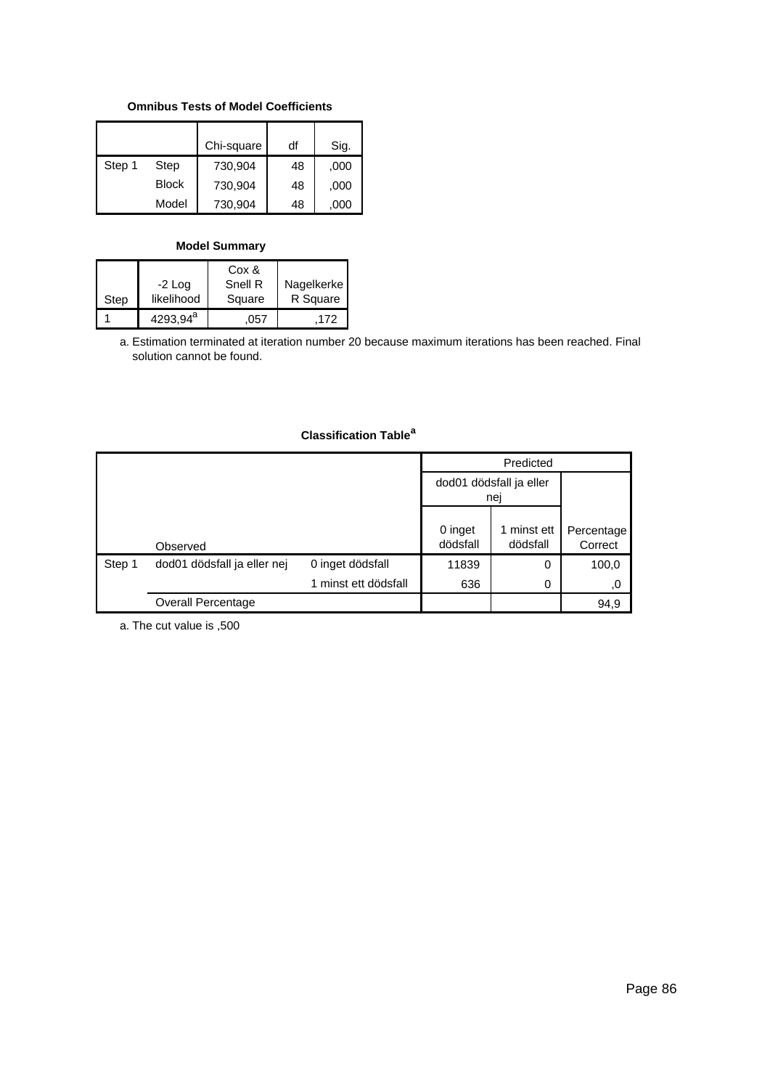### **Omnibus Tests of Model Coefficients**

|        |              | Chi-square | df | Sig. |
|--------|--------------|------------|----|------|
| Step 1 | Step         | 730,904    | 48 | ,000 |
|        | <b>Block</b> | 730,904    | 48 | ,000 |
|        | Model        | 730,904    | 48 | ,000 |

### **Model Summary**

|      |             | Cox &   |            |
|------|-------------|---------|------------|
|      | $-2$ Log    | Snell R | Nagelkerke |
| Step | likelihood  | Square  | R Square   |
|      | $4293.94^a$ | 057     | .172       |

Estimation terminated at iteration number 20 because maximum iterations has been reached. Final a. solution cannot be found.

## **Classification Table<sup>a</sup>**

|        |                             |                      |                     | Predicted                      |                       |
|--------|-----------------------------|----------------------|---------------------|--------------------------------|-----------------------|
|        |                             |                      |                     | dod01 dödsfall ja eller<br>nei |                       |
|        | Observed                    |                      | 0 inget<br>dödsfall | 1 minst ett<br>dödsfall        | Percentage<br>Correct |
| Step 1 | dod01 dödsfall ja eller nej | 0 inget dödsfall     | 11839               | 0                              | 100,0                 |
|        |                             | 1 minst ett dödsfall | 636                 | 0                              | .0                    |
|        | <b>Overall Percentage</b>   |                      |                     |                                | 94,9                  |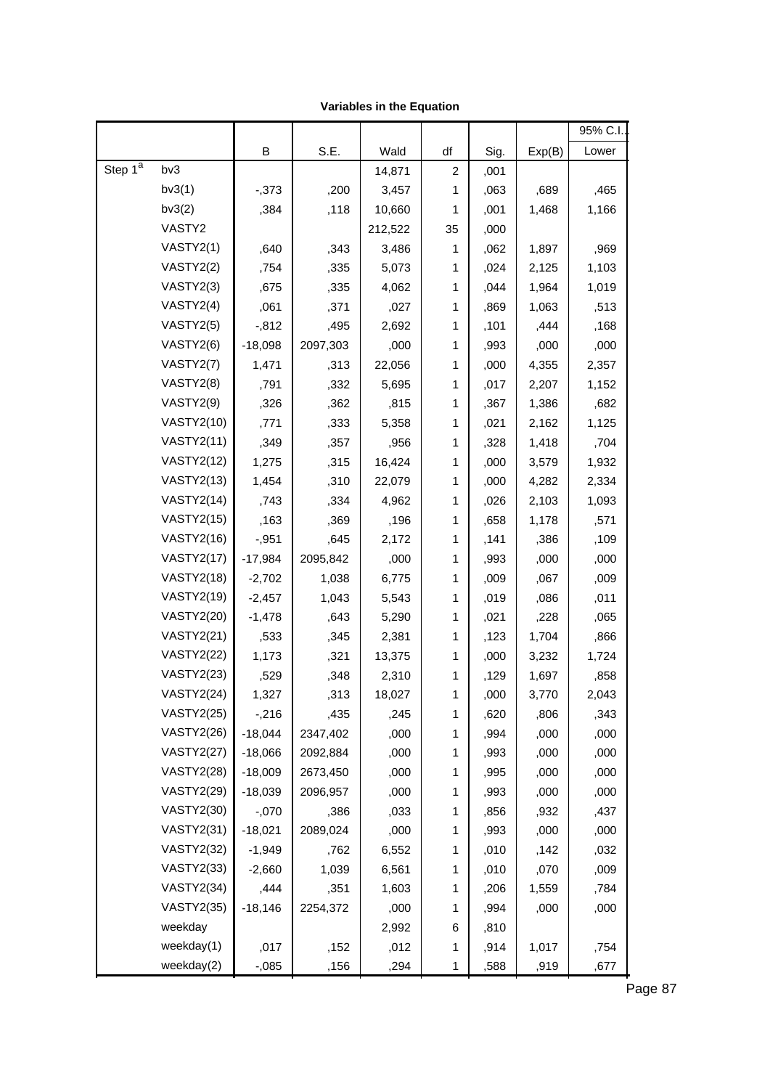| Variables in the Equation |  |  |  |
|---------------------------|--|--|--|
|---------------------------|--|--|--|

|                     |                   |           |          |         |                  |      |        | 95% C.I |  |
|---------------------|-------------------|-----------|----------|---------|------------------|------|--------|---------|--|
|                     |                   | B         | S.E.     | Wald    | df               | Sig. | Exp(B) | Lower   |  |
| Step 1 <sup>a</sup> | bv3               |           |          | 14,871  | $\boldsymbol{2}$ | ,001 |        |         |  |
|                     | bv3(1)            | $-0.373$  | ,200     | 3,457   | 1                | ,063 | ,689   | ,465    |  |
|                     | bv3(2)            | ,384      | ,118     | 10,660  | 1                | ,001 | 1,468  | 1,166   |  |
|                     | VASTY2            |           |          | 212,522 | 35               | ,000 |        |         |  |
|                     | VASTY2(1)         | ,640      | ,343     | 3,486   | 1                | ,062 | 1,897  | ,969    |  |
|                     | VASTY2(2)         | ,754      | ,335     | 5,073   | 1                | ,024 | 2,125  | 1,103   |  |
|                     | VASTY2(3)         | ,675      | ,335     | 4,062   | $\mathbf{1}$     | ,044 | 1,964  | 1,019   |  |
|                     | VASTY2(4)         | ,061      | ,371     | ,027    | 1                | ,869 | 1,063  | ,513    |  |
|                     | VASTY2(5)         | $-0.812$  | ,495     | 2,692   | $\mathbf{1}$     | ,101 | ,444   | ,168    |  |
|                     | VASTY2(6)         | $-18,098$ | 2097,303 | ,000    | 1                | ,993 | ,000   | ,000    |  |
|                     | VASTY2(7)         | 1,471     | ,313     | 22,056  | $\mathbf{1}$     | ,000 | 4,355  | 2,357   |  |
|                     | VASTY2(8)         | ,791      | ,332     | 5,695   | 1                | ,017 | 2,207  | 1,152   |  |
|                     | VASTY2(9)         | ,326      | ,362     | ,815    | $\mathbf{1}$     | ,367 | 1,386  | ,682    |  |
|                     | <b>VASTY2(10)</b> | ,771      | ,333     | 5,358   | 1                | ,021 | 2,162  | 1,125   |  |
|                     | <b>VASTY2(11)</b> | ,349      | ,357     | ,956    | $\mathbf{1}$     | ,328 | 1,418  | ,704    |  |
|                     | <b>VASTY2(12)</b> | 1,275     | ,315     | 16,424  | 1                | ,000 | 3,579  | 1,932   |  |
|                     | <b>VASTY2(13)</b> | 1,454     | ,310     | 22,079  | $\mathbf{1}$     | ,000 | 4,282  | 2,334   |  |
|                     | <b>VASTY2(14)</b> | ,743      | ,334     | 4,962   | 1                | ,026 | 2,103  | 1,093   |  |
|                     | <b>VASTY2(15)</b> | ,163      | ,369     | ,196    | $\mathbf{1}$     | ,658 | 1,178  | ,571    |  |
|                     | <b>VASTY2(16)</b> | $-0.951$  | ,645     | 2,172   | 1                | ,141 | ,386   | ,109    |  |
|                     | <b>VASTY2(17)</b> | $-17,984$ | 2095,842 | ,000    | $\mathbf{1}$     | ,993 | ,000   | ,000    |  |
|                     | <b>VASTY2(18)</b> | $-2,702$  | 1,038    | 6,775   | 1                | ,009 | ,067   | ,009    |  |
|                     | <b>VASTY2(19)</b> | $-2,457$  | 1,043    | 5,543   | $\mathbf{1}$     | ,019 | ,086   | ,011    |  |
|                     | <b>VASTY2(20)</b> | $-1,478$  | ,643     | 5,290   | 1                | ,021 | ,228   | ,065    |  |
|                     | <b>VASTY2(21)</b> | ,533      | ,345     | 2,381   | 1                | ,123 | 1,704  | ,866    |  |
|                     | <b>VASTY2(22)</b> | 1,173     | ,321     | 13,375  | 1                | ,000 | 3,232  | 1,724   |  |
|                     | <b>VASTY2(23)</b> | ,529      | ,348     | 2,310   | $\mathbf{1}$     | ,129 | 1,697  | ,858    |  |
|                     | <b>VASTY2(24)</b> | 1,327     | ,313     | 18,027  | 1                | ,000 | 3,770  | 2,043   |  |
|                     | <b>VASTY2(25)</b> | $-216$    | ,435     | ,245    | 1                | ,620 | ,806   | ,343    |  |
|                     | <b>VASTY2(26)</b> | $-18,044$ | 2347,402 | ,000    | 1                | ,994 | ,000   | ,000    |  |
|                     | <b>VASTY2(27)</b> | $-18,066$ | 2092,884 | ,000    | 1                | ,993 | ,000   | ,000    |  |
|                     | <b>VASTY2(28)</b> | $-18,009$ | 2673,450 | ,000    | 1                | ,995 | ,000   | ,000    |  |
|                     | <b>VASTY2(29)</b> | $-18,039$ | 2096,957 | ,000    | 1                | ,993 | ,000   | ,000    |  |
|                     | <b>VASTY2(30)</b> | $-0.070$  | ,386     | ,033    | 1                | ,856 | ,932   | ,437    |  |
|                     | <b>VASTY2(31)</b> | $-18,021$ | 2089,024 | ,000    | 1                | ,993 | ,000   | ,000    |  |
|                     | <b>VASTY2(32)</b> | $-1,949$  | ,762     | 6,552   | 1                | ,010 | ,142   | ,032    |  |
|                     | <b>VASTY2(33)</b> | $-2,660$  | 1,039    | 6,561   | 1                | ,010 | ,070   | ,009    |  |
|                     | <b>VASTY2(34)</b> | ,444      | ,351     | 1,603   | 1                | ,206 | 1,559  | ,784    |  |
|                     | <b>VASTY2(35)</b> | $-18,146$ | 2254,372 | ,000    | 1                | ,994 | ,000   | ,000    |  |
|                     | weekday           |           |          | 2,992   | 6                | ,810 |        |         |  |
|                     | weekday(1)        | ,017      | ,152     | ,012    | 1                | ,914 | 1,017  | ,754    |  |
|                     | weekday(2)        | $-0.085$  | ,156     | ,294    | 1                | ,588 | ,919   | ,677    |  |

Page 87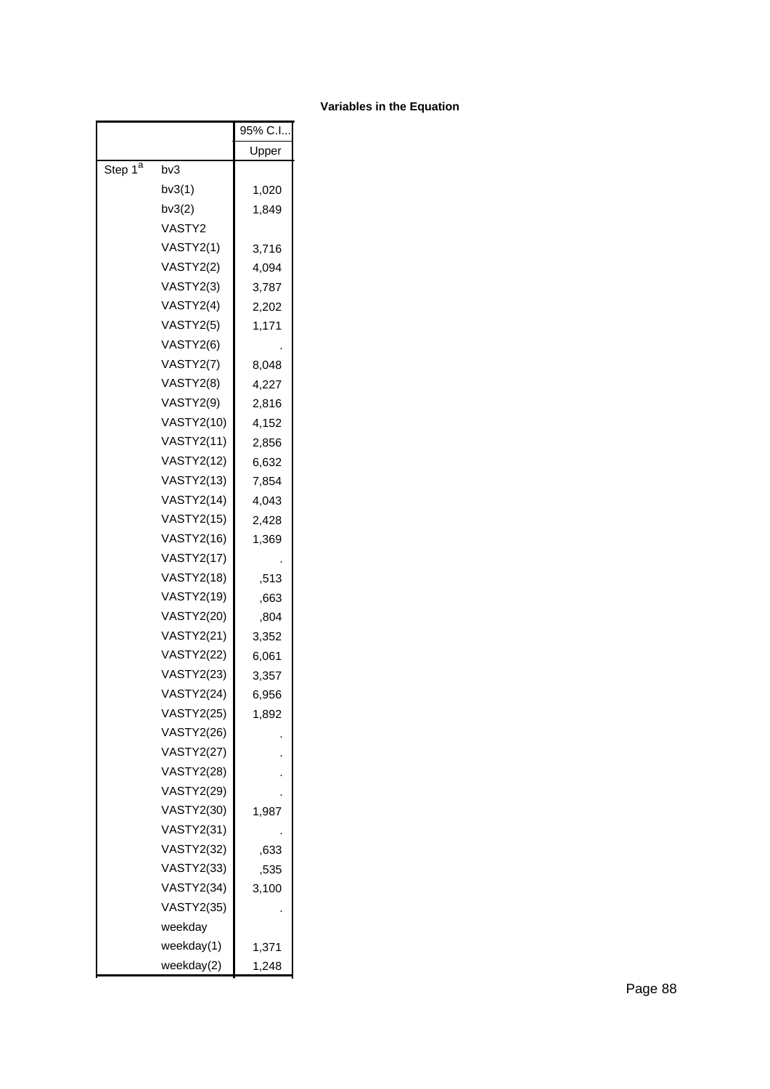|                     |                   | 95% C.I |
|---------------------|-------------------|---------|
|                     |                   | Upper   |
| Step 1 <sup>a</sup> | bv3               |         |
|                     | bv3(1)            | 1,020   |
|                     | bv3(2)            | 1,849   |
|                     | VASTY2            |         |
|                     | VASTY2(1)         | 3,716   |
|                     | VASTY2(2)         | 4,094   |
|                     | VASTY2(3)         | 3,787   |
|                     | VASTY2(4)         | 2,202   |
|                     | VASTY2(5)         | 1,171   |
|                     | VASTY2(6)         |         |
|                     | VASTY2(7)         | 8,048   |
|                     | VASTY2(8)         | 4,227   |
|                     | VASTY2(9)         | 2,816   |
|                     | <b>VASTY2(10)</b> | 4,152   |
|                     | <b>VASTY2(11)</b> | 2,856   |
|                     | <b>VASTY2(12)</b> | 6,632   |
|                     | <b>VASTY2(13)</b> | 7,854   |
|                     | <b>VASTY2(14)</b> | 4,043   |
|                     | <b>VASTY2(15)</b> | 2,428   |
|                     | <b>VASTY2(16)</b> | 1,369   |
|                     | <b>VASTY2(17)</b> |         |
|                     | <b>VASTY2(18)</b> | ,513    |
|                     | <b>VASTY2(19)</b> | ,663    |
|                     | <b>VASTY2(20)</b> | ,804    |
|                     | <b>VASTY2(21)</b> | 3,352   |
|                     | <b>VASTY2(22)</b> | 6,061   |
|                     | <b>VASTY2(23)</b> | 3,357   |
|                     | <b>VASTY2(24)</b> | 6,956   |
|                     | <b>VASTY2(25)</b> | 1,892   |
|                     | <b>VASTY2(26)</b> |         |
|                     | <b>VASTY2(27)</b> |         |
|                     | <b>VASTY2(28)</b> |         |
|                     | <b>VASTY2(29)</b> |         |
|                     | <b>VASTY2(30)</b> | 1,987   |
|                     | <b>VASTY2(31)</b> |         |
|                     | <b>VASTY2(32)</b> | .633    |
|                     | <b>VASTY2(33)</b> | ,535    |
|                     | <b>VASTY2(34)</b> | 3,100   |
|                     | VASTY2(35)        |         |
|                     | weekday           |         |
|                     | weekday(1)        | 1,371   |
|                     | weekday(2)        | 1,248   |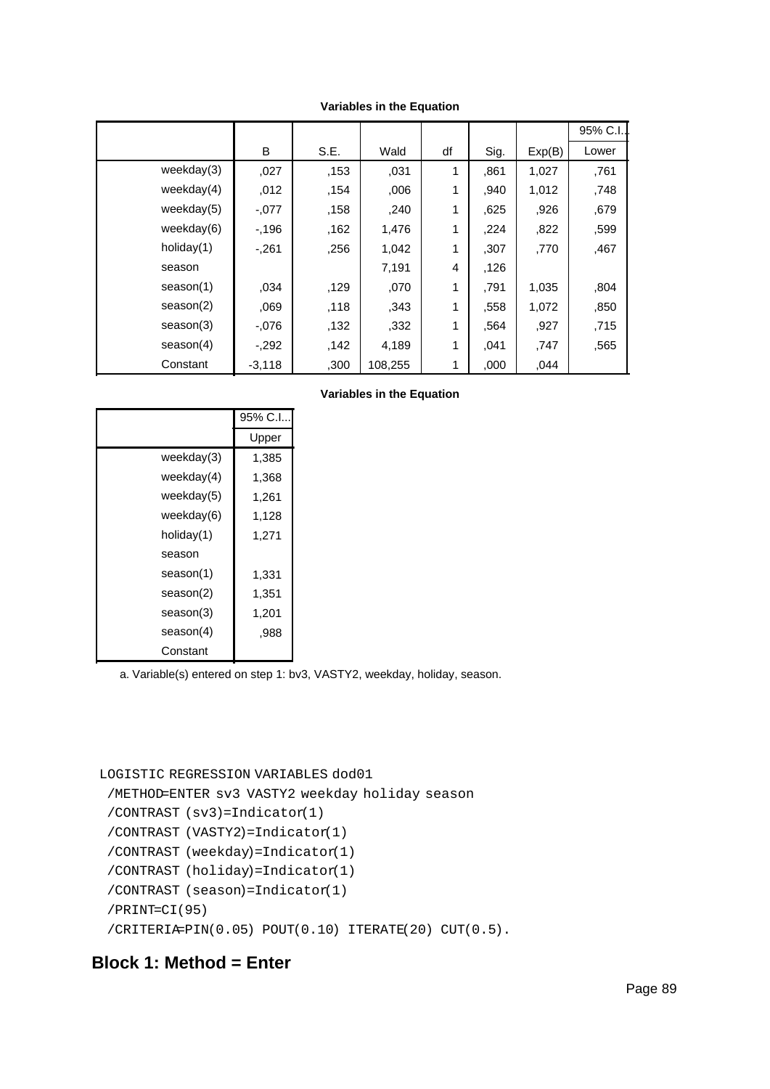|               |          |      |         |    |      |        | 95% C.I |
|---------------|----------|------|---------|----|------|--------|---------|
|               | B        | S.E. | Wald    | df | Sig. | Exp(B) | Lower   |
| weekday(3)    | ,027     | ,153 | ,031    | 1  | ,861 | 1,027  | ,761    |
| weekday $(4)$ | ,012     | ,154 | ,006    | 1  | .940 | 1,012  | ,748    |
| weekday $(5)$ | $-.077$  | ,158 | ,240    | 1  | .625 | ,926   | .679    |
| weekday(6)    | $-196$   | ,162 | 1,476   | 1  | .224 | ,822   | ,599    |
| holiday(1)    | $-.261$  | ,256 | 1,042   | 1  | ,307 | ,770   | ,467    |
| season        |          |      | 7,191   | 4  | ,126 |        |         |
| season(1)     | ,034     | ,129 | .070    | 1  | .791 | 1,035  | .804    |
| season(2)     | ,069     | ,118 | ,343    | 1  | ,558 | 1,072  | ,850    |
| season(3)     | $-.076$  | ,132 | ,332    | 1  | .564 | ,927   | ,715    |
| season(4)     | $-292$   | ,142 | 4,189   | 1  | ,041 | ,747   | ,565    |
| Constant      | $-3,118$ | ,300 | 108,255 | 1  | ,000 | ,044   |         |

#### **Variables in the Equation**

|            | 95% C.I |
|------------|---------|
|            | Upper   |
| weekday(3) | 1,385   |
| weekday(4) | 1,368   |
| weekday(5) | 1,261   |
| weekday(6) | 1,128   |
| holiday(1) | 1,271   |
| season     |         |
| season(1)  | 1,331   |
| season(2)  | 1,351   |
| season(3)  | 1,201   |
| season(4)  | .988    |
| Constant   |         |

a. Variable(s) entered on step 1: bv3, VASTY2, weekday, holiday, season.

```
LOGISTIC REGRESSION VARIABLES dod01
```
/METHOD=ENTER sv3 VASTY2 weekday holiday season

```
 /CONTRAST (sv3)=Indicator(1)
```

```
 /CONTRAST (VASTY2)=Indicator(1)
```

```
 /CONTRAST (weekday)=Indicator(1)
```

```
 /CONTRAST (holiday)=Indicator(1)
```

```
 /CONTRAST (season)=Indicator(1)
```

```
 /PRINT=CI(95)
```

```
 /CRITERIA=PIN(0.05) POUT(0.10) ITERATE(20) CUT(0.5).
```
# **Block 1: Method = Enter**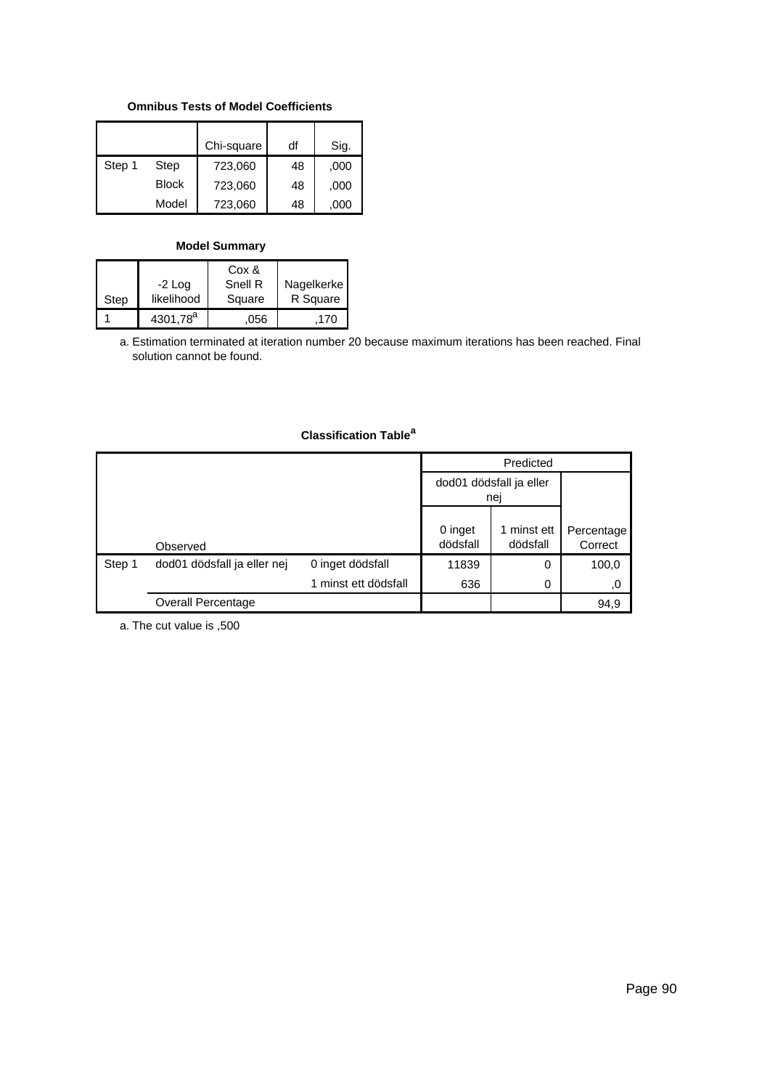### **Omnibus Tests of Model Coefficients**

|        |              | Chi-square | df | Sig. |
|--------|--------------|------------|----|------|
| Step 1 | Step         | 723,060    | 48 | ,000 |
|        | <b>Block</b> | 723,060    | 48 | ,000 |
|        | Model        | 723,060    | 48 | .000 |

### **Model Summary**

|      |             | Cox &   |            |
|------|-------------|---------|------------|
|      | $-2$ Log    | Snell R | Nagelkerke |
| Step | likelihood  | Square  | R Square   |
|      | $4301,78^a$ | .056    | 170        |

Estimation terminated at iteration number 20 because maximum iterations has been reached. Final a. solution cannot be found.

## **Classification Table<sup>a</sup>**

|        |                             |                      |                     | Predicted                      |                       |
|--------|-----------------------------|----------------------|---------------------|--------------------------------|-----------------------|
|        |                             |                      |                     | dod01 dödsfall ja eller<br>nei |                       |
|        | Observed                    |                      | 0 inget<br>dödsfall | 1 minst ett<br>dödsfall        | Percentage<br>Correct |
| Step 1 | dod01 dödsfall ja eller nej | 0 inget dödsfall     | 11839               | 0                              | 100,0                 |
|        |                             | 1 minst ett dödsfall | 636                 | 0                              | .0                    |
|        | <b>Overall Percentage</b>   |                      |                     |                                | 94,9                  |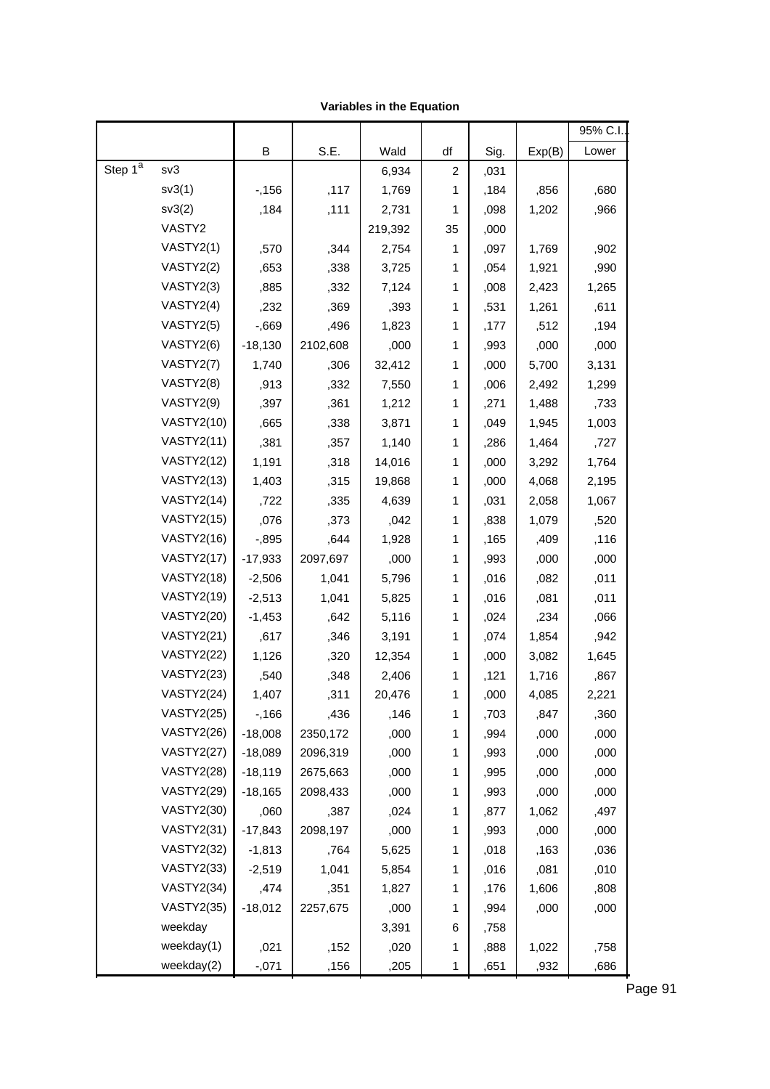|                     |                   |           |          |         |                |      |        | 95% C.I. |
|---------------------|-------------------|-----------|----------|---------|----------------|------|--------|----------|
|                     |                   | В         | S.E.     | Wald    | df             | Sig. | Exp(B) | Lower    |
| Step 1 <sup>a</sup> | sv3               |           |          | 6,934   | $\overline{c}$ | ,031 |        |          |
|                     | sv3(1)            | $-156$    | ,117     | 1,769   | 1              | ,184 | ,856   | ,680     |
|                     | sv3(2)            | ,184      | ,111     | 2,731   | 1              | ,098 | 1,202  | ,966     |
|                     | VASTY2            |           |          | 219,392 | 35             | ,000 |        |          |
|                     | VASTY2(1)         | ,570      | ,344     | 2,754   | 1              | ,097 | 1,769  | ,902     |
|                     | VASTY2(2)         | ,653      | ,338     | 3,725   | 1              | ,054 | 1,921  | ,990     |
|                     | VASTY2(3)         | ,885      | ,332     | 7,124   | 1              | ,008 | 2,423  | 1,265    |
|                     | VASTY2(4)         | ,232      | ,369     | ,393    | 1              | ,531 | 1,261  | ,611     |
|                     | VASTY2(5)         | $-0.669$  | ,496     | 1,823   | 1              | ,177 | ,512   | ,194     |
|                     | VASTY2(6)         | $-18,130$ | 2102,608 | ,000    | 1              | ,993 | ,000   | ,000     |
|                     | VASTY2(7)         | 1,740     | ,306     | 32,412  | 1              | ,000 | 5,700  | 3,131    |
|                     | VASTY2(8)         | ,913      | ,332     | 7,550   | 1              | ,006 | 2,492  | 1,299    |
|                     | VASTY2(9)         | ,397      | ,361     | 1,212   | 1              | ,271 | 1,488  | ,733     |
|                     | <b>VASTY2(10)</b> | ,665      | ,338     | 3,871   | 1              | ,049 | 1,945  | 1,003    |
|                     | <b>VASTY2(11)</b> | ,381      | ,357     | 1,140   | 1              | ,286 | 1,464  | ,727     |
|                     | <b>VASTY2(12)</b> | 1,191     | ,318     | 14,016  | 1              | ,000 | 3,292  | 1,764    |
|                     | <b>VASTY2(13)</b> | 1,403     | ,315     | 19,868  | 1              | ,000 | 4,068  | 2,195    |
|                     | <b>VASTY2(14)</b> | ,722      | ,335     | 4,639   | 1              | ,031 | 2,058  | 1,067    |
|                     | <b>VASTY2(15)</b> | ,076      | ,373     | ,042    | 1              | ,838 | 1,079  | ,520     |
|                     | <b>VASTY2(16)</b> | $-0.895$  | ,644     | 1,928   | 1              | ,165 | ,409   | ,116     |
|                     | <b>VASTY2(17)</b> | $-17,933$ | 2097,697 | ,000    | 1              | ,993 | ,000   | ,000     |
|                     | <b>VASTY2(18)</b> | $-2,506$  | 1,041    | 5,796   | 1              | ,016 | ,082   | ,011     |
|                     | <b>VASTY2(19)</b> | $-2,513$  | 1,041    | 5,825   | 1              | ,016 | ,081   | ,011     |
|                     | <b>VASTY2(20)</b> | $-1,453$  | ,642     | 5,116   | 1              | ,024 | ,234   | ,066     |
|                     | <b>VASTY2(21)</b> | ,617      | ,346     | 3,191   | 1              | ,074 | 1,854  | ,942     |
|                     | <b>VASTY2(22)</b> | 1,126     | ,320     | 12,354  | $\mathbf{1}$   | ,000 | 3,082  | 1,645    |
|                     | <b>VASTY2(23)</b> | ,540      | ,348     | 2,406   | $\mathbf{1}$   | ,121 | 1,716  | ,867     |
|                     | <b>VASTY2(24)</b> | 1,407     | ,311     | 20,476  | $\mathbf 1$    | ,000 | 4,085  | 2,221    |
|                     | <b>VASTY2(25)</b> | $-166$    | ,436     | ,146    | 1              | ,703 | ,847   | ,360     |
|                     | <b>VASTY2(26)</b> | $-18,008$ | 2350,172 | ,000    | 1              | ,994 | ,000   | ,000     |
|                     | <b>VASTY2(27)</b> | $-18,089$ | 2096,319 | ,000    | 1              | ,993 | ,000   | ,000     |
|                     | <b>VASTY2(28)</b> | $-18,119$ | 2675,663 | ,000    | 1              | ,995 | ,000   | ,000     |
|                     | <b>VASTY2(29)</b> | $-18,165$ | 2098,433 | ,000    | 1              | ,993 | ,000   | ,000     |
|                     | <b>VASTY2(30)</b> | ,060      | ,387     | ,024    | 1              | ,877 | 1,062  | ,497     |
|                     | <b>VASTY2(31)</b> | $-17,843$ | 2098,197 | ,000    | 1              | ,993 | ,000   | ,000     |
|                     | <b>VASTY2(32)</b> | $-1,813$  | ,764     | 5,625   | 1              | ,018 | ,163   | ,036     |
|                     | <b>VASTY2(33)</b> | $-2,519$  | 1,041    | 5,854   | 1              | ,016 | ,081   | ,010     |
|                     | <b>VASTY2(34)</b> | ,474      | ,351     | 1,827   | 1              | ,176 | 1,606  | ,808     |
|                     | <b>VASTY2(35)</b> | $-18,012$ | 2257,675 | ,000    | 1              | ,994 | ,000   | ,000     |
|                     | weekday           |           |          | 3,391   | 6              | ,758 |        |          |
|                     | weekday(1)        | ,021      | ,152     | ,020    | 1              | ,888 | 1,022  | ,758     |
|                     | weekday(2)        | $-071$    | ,156     | ,205    | $\mathbf{1}$   | ,651 | ,932   | ,686     |

,045  $\mu$  ,153  $\mu$  ,153  $\mu$  ,153  $\mu$  ,153  $\mu$  ,153  $\mu$  ,153  $\mu$  ,153  $\mu$  ,153  $\mu$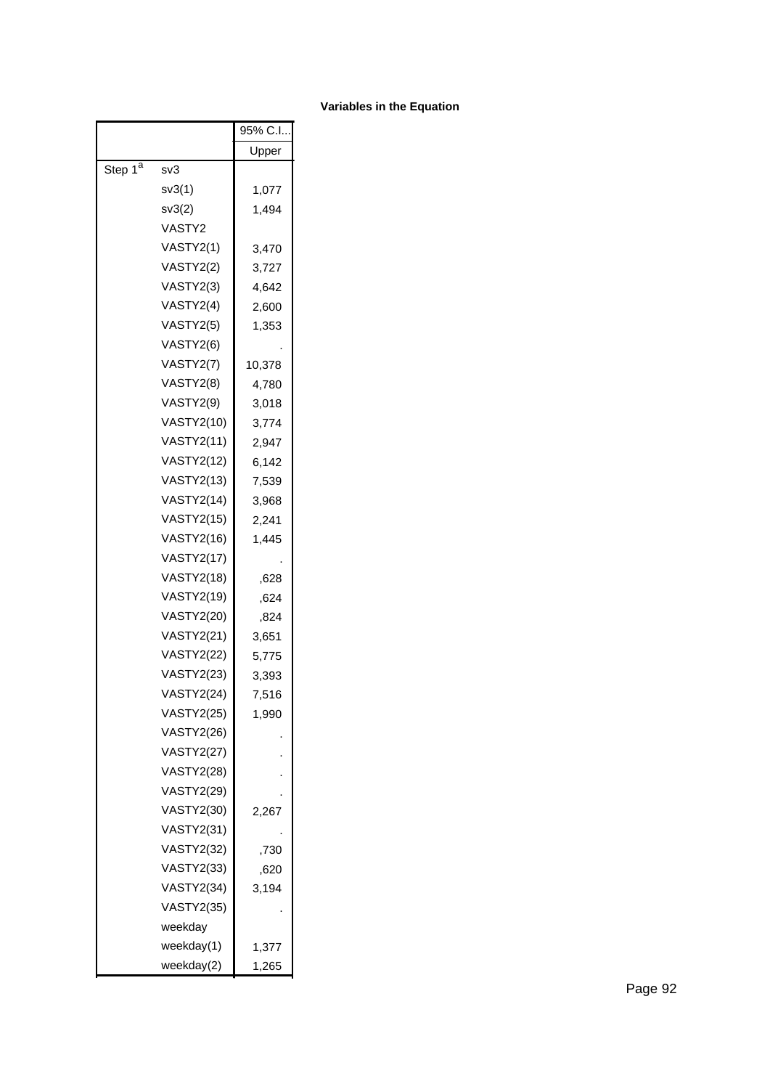|                     |                   | 95% C.I |
|---------------------|-------------------|---------|
|                     |                   | Upper   |
| Step 1 <sup>a</sup> | sv3               |         |
|                     | sv3(1)            | 1,077   |
|                     | sv3(2)            | 1,494   |
|                     | VASTY2            |         |
|                     | VASTY2(1)         | 3,470   |
|                     | VASTY2(2)         | 3,727   |
|                     | VASTY2(3)         | 4,642   |
|                     | VASTY2(4)         | 2,600   |
|                     | VASTY2(5)         | 1,353   |
|                     | VASTY2(6)         |         |
|                     | VASTY2(7)         | 10,378  |
|                     | VASTY2(8)         | 4,780   |
|                     | VASTY2(9)         | 3,018   |
|                     | <b>VASTY2(10)</b> | 3,774   |
|                     | <b>VASTY2(11)</b> | 2,947   |
|                     | <b>VASTY2(12)</b> | 6,142   |
|                     | <b>VASTY2(13)</b> | 7,539   |
|                     | <b>VASTY2(14)</b> | 3,968   |
|                     | <b>VASTY2(15)</b> | 2,241   |
|                     | <b>VASTY2(16)</b> | 1,445   |
|                     | <b>VASTY2(17)</b> |         |
|                     | <b>VASTY2(18)</b> | ,628    |
|                     | <b>VASTY2(19)</b> | ,624    |
|                     | <b>VASTY2(20)</b> | ,824    |
|                     | VASTY2(21)        | 3,651   |
|                     | <b>VASTY2(22)</b> | 5,775   |
|                     | <b>VASTY2(23)</b> | 3,393   |
|                     | <b>VASTY2(24)</b> | 7,516   |
|                     | <b>VASTY2(25)</b> | 1,990   |
|                     | <b>VASTY2(26)</b> |         |
|                     | <b>VASTY2(27)</b> |         |
|                     | <b>VASTY2(28)</b> |         |
|                     | <b>VASTY2(29)</b> |         |
|                     | <b>VASTY2(30)</b> | 2,267   |
|                     | <b>VASTY2(31)</b> |         |
|                     | <b>VASTY2(32)</b> | ,730    |
|                     | <b>VASTY2(33)</b> | ,620    |
|                     | <b>VASTY2(34)</b> | 3,194   |
|                     | VASTY2(35)        |         |
|                     | weekday           |         |
|                     | weekday(1)        | 1,377   |
|                     | weekday(2)        | 1,265   |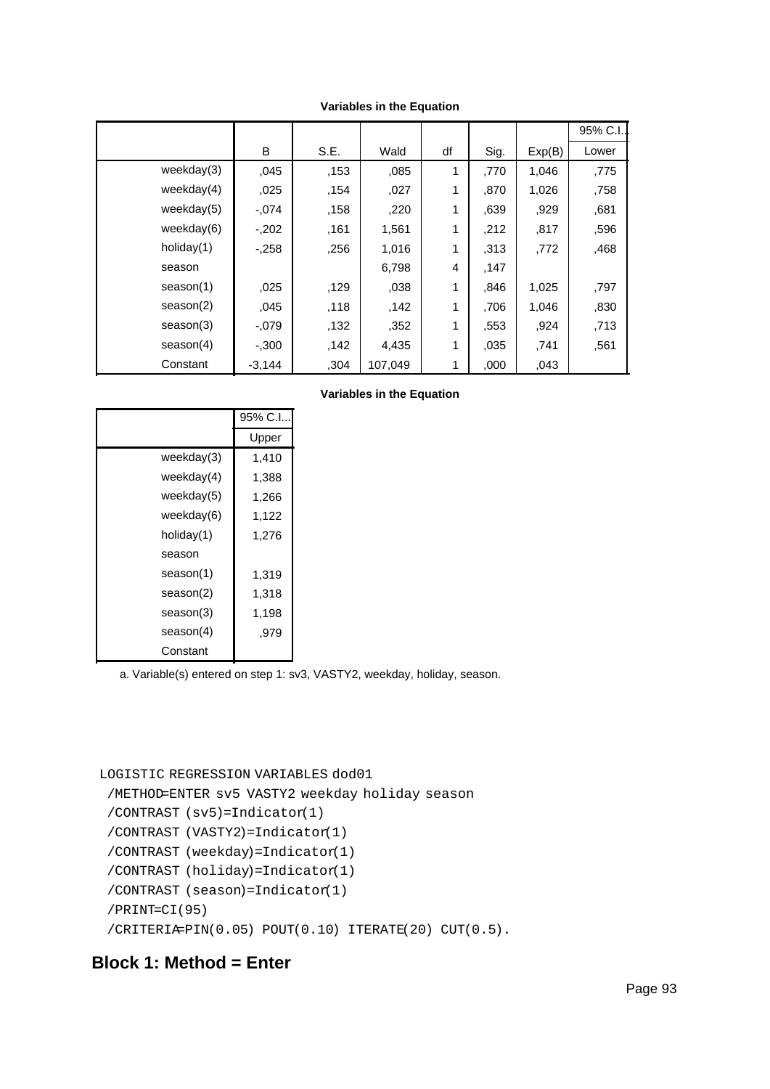|               |          |      |         |    |      |        | 95% C.I |
|---------------|----------|------|---------|----|------|--------|---------|
|               | B        | S.E. | Wald    | df | Sig. | Exp(B) | Lower   |
| weekday $(3)$ | ,045     | ,153 | ,085    | 1  | .770 | 1,046  | .775    |
| weekday $(4)$ | ,025     | ,154 | ,027    | 1  | ,870 | 1,026  | ,758    |
| weekday $(5)$ | $-.074$  | ,158 | ,220    | 1  | .639 | ,929   | ,681    |
| weekday(6)    | $-202$   | ,161 | 1,561   | 1  | .212 | ,817   | ,596    |
| holiday(1)    | $-258$   | ,256 | 1,016   | 1  | ,313 | ,772   | ,468    |
| season        |          |      | 6,798   | 4  | .147 |        |         |
| season(1)     | ,025     | ,129 | ,038    | 1  | ,846 | 1,025  | ,797    |
| season(2)     | ,045     | ,118 | ,142    | 1  | .706 | 1,046  | ,830    |
| season(3)     | $-.079$  | ,132 | ,352    | 1  | .553 | ,924   | ,713    |
| season(4)     | $-.300$  | ,142 | 4,435   | 1  | .035 | ,741   | ,561    |
| Constant      | $-3,144$ | .304 | 107,049 | 1  | ,000 | .043   |         |

#### **Variables in the Equation**

|               | 95% C.I |
|---------------|---------|
|               | Upper   |
| weekday(3)    | 1,410   |
| weekday $(4)$ | 1,388   |
| weekday $(5)$ | 1,266   |
| weekday(6)    | 1,122   |
| holiday(1)    | 1,276   |
| season        |         |
| season(1)     | 1,319   |
| season(2)     | 1,318   |
| season(3)     | 1,198   |
| season(4)     | .979    |
| Constant      |         |

a. Variable(s) entered on step 1: sv3, VASTY2, weekday, holiday, season.

```
LOGISTIC REGRESSION VARIABLES dod01
```
/METHOD=ENTER sv5 VASTY2 weekday holiday season

```
 /CONTRAST (sv5)=Indicator(1)
```

```
 /CONTRAST (VASTY2)=Indicator(1)
```

```
 /CONTRAST (weekday)=Indicator(1)
```

```
 /CONTRAST (holiday)=Indicator(1)
```

```
 /CONTRAST (season)=Indicator(1)
```

```
 /PRINT=CI(95)
```

```
 /CRITERIA=PIN(0.05) POUT(0.10) ITERATE(20) CUT(0.5).
```
# **Block 1: Method = Enter**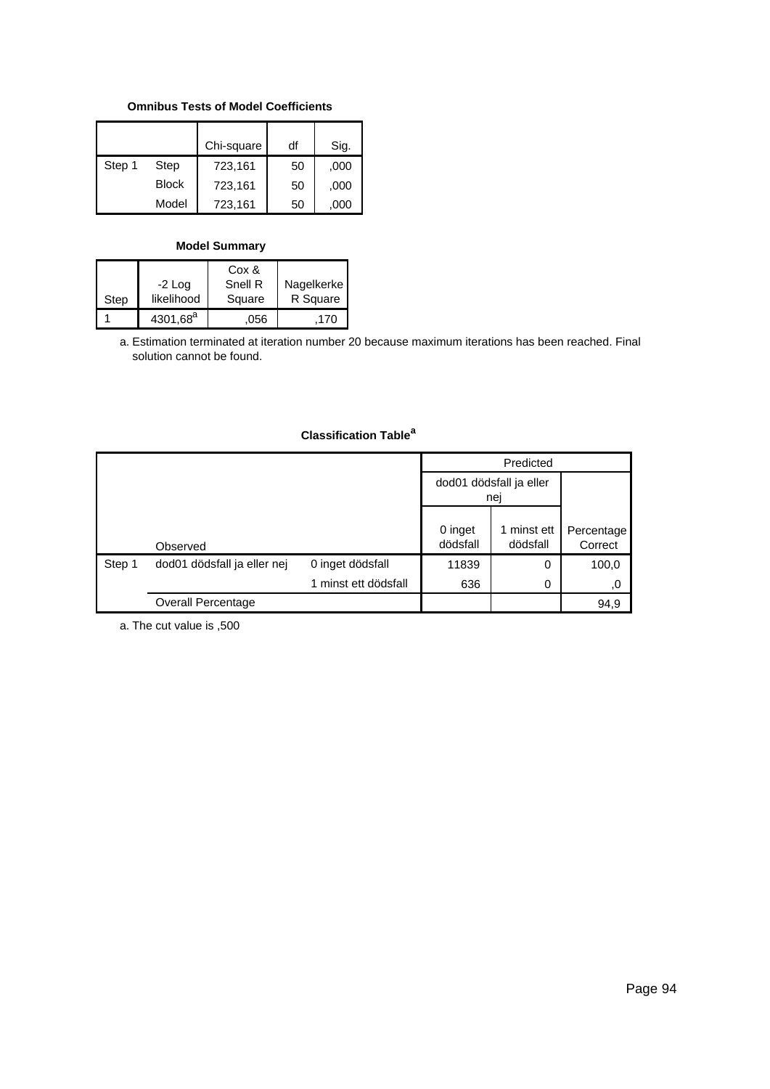### **Omnibus Tests of Model Coefficients**

|        |              | Chi-square | df | Sig. |
|--------|--------------|------------|----|------|
| Step 1 | Step         | 723,161    | 50 | ,000 |
|        | <b>Block</b> | 723,161    | 50 | ,000 |
|        | Model        | 723,161    | 50 | .000 |

### **Model Summary**

|      |             | Cox &   |            |
|------|-------------|---------|------------|
|      | $-2$ Log    | Snell R | Nagelkerke |
| Step | likelihood  | Square  | R Square   |
|      | $4301,68^a$ | .056    | 170        |

Estimation terminated at iteration number 20 because maximum iterations has been reached. Final a. solution cannot be found.

## **Classification Table<sup>a</sup>**

|        |                             |                      | dod01 dödsfall ja eller<br>nej |                         |                       |
|--------|-----------------------------|----------------------|--------------------------------|-------------------------|-----------------------|
|        | Observed                    |                      | 0 inget<br>dödsfall            | 1 minst ett<br>dödsfall | Percentage<br>Correct |
| Step 1 | dod01 dödsfall ja eller nej | 0 inget dödsfall     | 11839                          | 0                       | 100,0                 |
|        |                             | 1 minst ett dödsfall | 636                            | 0                       | .0                    |
|        | <b>Overall Percentage</b>   |                      |                                |                         | 94,9                  |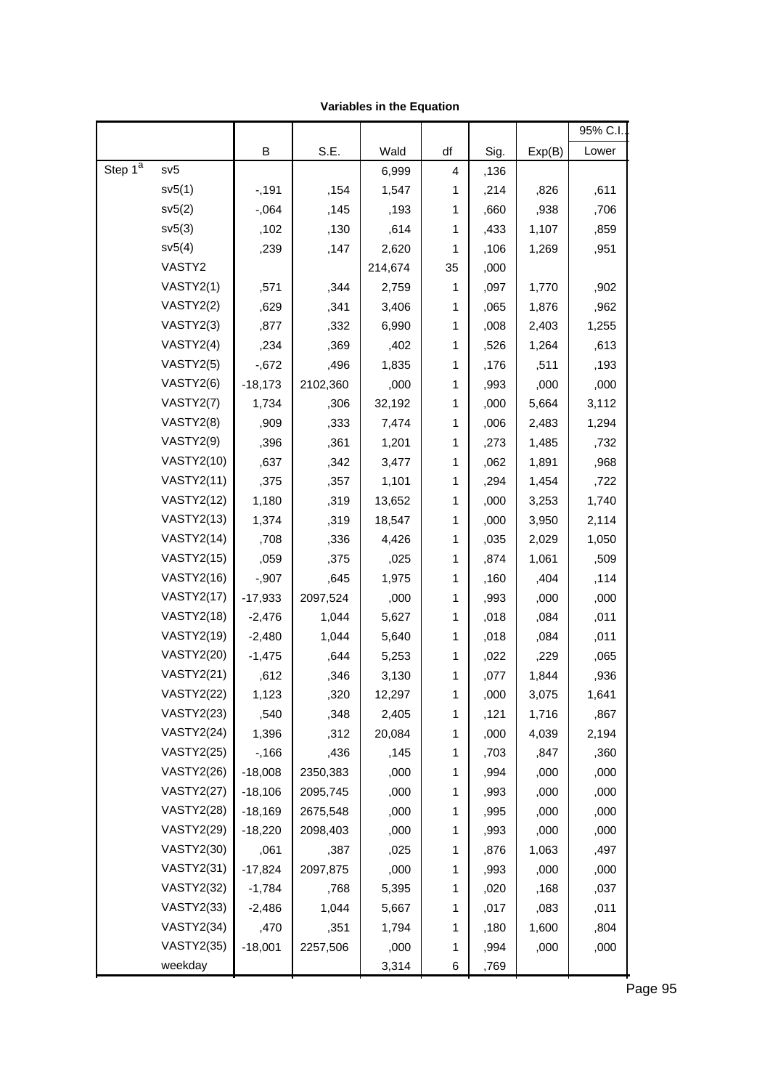| Variables in the Equation |  |  |  |
|---------------------------|--|--|--|
|---------------------------|--|--|--|

|                     |                   |           |          |         |              |      |        | 95% C.I. |
|---------------------|-------------------|-----------|----------|---------|--------------|------|--------|----------|
|                     |                   | В         | S.E.     | Wald    | df           | Sig. | Exp(B) | Lower    |
| Step 1 <sup>a</sup> | sv5               |           |          | 6,999   | 4            | ,136 |        |          |
|                     | sv5(1)            | $-191$    | ,154     | 1,547   | 1            | ,214 | ,826   | ,611     |
|                     | sv5(2)            | $-0.064$  | ,145     | ,193    | 1            | ,660 | ,938   | ,706     |
|                     | sv5(3)            | ,102      | ,130     | ,614    | 1            | ,433 | 1,107  | ,859     |
|                     | sv5(4)            | ,239      | ,147     | 2,620   | 1            | ,106 | 1,269  | ,951     |
|                     | VASTY2            |           |          | 214,674 | 35           | ,000 |        |          |
|                     | VASTY2(1)         | ,571      | ,344     | 2,759   | 1            | ,097 | 1,770  | ,902     |
|                     | VASTY2(2)         | ,629      | ,341     | 3,406   | 1            | ,065 | 1,876  | ,962     |
|                     | VASTY2(3)         | ,877      | ,332     | 6,990   | 1            | ,008 | 2,403  | 1,255    |
|                     | VASTY2(4)         | ,234      | ,369     | ,402    | 1            | ,526 | 1,264  | ,613     |
|                     | VASTY2(5)         | $-0.672$  | ,496     | 1,835   | 1            | ,176 | ,511   | ,193     |
|                     | VASTY2(6)         | $-18,173$ | 2102,360 | ,000    | 1            | ,993 | ,000   | ,000     |
|                     | VASTY2(7)         | 1,734     | ,306     | 32,192  | 1            | ,000 | 5,664  | 3,112    |
|                     | VASTY2(8)         | ,909      | ,333     | 7,474   | 1            | ,006 | 2,483  | 1,294    |
|                     | VASTY2(9)         | ,396      | ,361     | 1,201   | 1            | ,273 | 1,485  | ,732     |
|                     | <b>VASTY2(10)</b> | ,637      | ,342     | 3,477   | 1            | ,062 | 1,891  | ,968     |
|                     | <b>VASTY2(11)</b> | ,375      | ,357     | 1,101   | 1            | ,294 | 1,454  | ,722     |
|                     | <b>VASTY2(12)</b> | 1,180     | ,319     | 13,652  | 1            | ,000 | 3,253  | 1,740    |
|                     | <b>VASTY2(13)</b> | 1,374     | ,319     | 18,547  | 1            | ,000 | 3,950  | 2,114    |
|                     | <b>VASTY2(14)</b> | ,708      | ,336     | 4,426   | 1            | ,035 | 2,029  | 1,050    |
|                     | <b>VASTY2(15)</b> | ,059      | ,375     | ,025    | 1            | ,874 | 1,061  | ,509     |
|                     | <b>VASTY2(16)</b> | $-0.907$  | ,645     | 1,975   | 1            | ,160 | ,404   | ,114     |
|                     | <b>VASTY2(17)</b> | $-17,933$ | 2097,524 | ,000    | 1            | ,993 | ,000   | ,000     |
|                     | <b>VASTY2(18)</b> | $-2,476$  | 1,044    | 5,627   | 1            | ,018 | ,084   | ,011     |
|                     | <b>VASTY2(19)</b> | $-2,480$  | 1,044    | 5,640   | 1            | ,018 | ,084   | ,011     |
|                     | <b>VASTY2(20)</b> | $-1,475$  | ,644     | 5,253   | $\mathbf{1}$ | ,022 | ,229   | ,065     |
|                     | <b>VASTY2(21)</b> | ,612      | ,346     | 3,130   | $\mathbf{1}$ | ,077 | 1,844  | ,936     |
|                     | <b>VASTY2(22)</b> | 1,123     | ,320     | 12,297  | 1            | ,000 | 3,075  | 1,641    |
|                     | <b>VASTY2(23)</b> | ,540      | ,348     | 2,405   | 1            | ,121 | 1,716  | ,867     |
|                     | <b>VASTY2(24)</b> | 1,396     | ,312     | 20,084  | 1            | ,000 | 4,039  | 2,194    |
|                     | <b>VASTY2(25)</b> | $-166$    | ,436     | ,145    | 1            | ,703 | ,847   | ,360     |
|                     | <b>VASTY2(26)</b> | $-18,008$ | 2350,383 | ,000    | 1            | ,994 | ,000   | ,000     |
|                     | <b>VASTY2(27)</b> | $-18,106$ | 2095,745 | ,000    | 1            | ,993 | ,000   | ,000     |
|                     | <b>VASTY2(28)</b> | $-18,169$ | 2675,548 | ,000    | 1            | ,995 | ,000   | ,000     |
|                     | <b>VASTY2(29)</b> | $-18,220$ | 2098,403 | ,000    | 1            | ,993 | ,000   | ,000     |
|                     | <b>VASTY2(30)</b> | ,061      | ,387     | ,025    | 1            | ,876 | 1,063  | ,497     |
|                     | <b>VASTY2(31)</b> | $-17,824$ | 2097,875 | ,000    | 1            | ,993 | ,000   | ,000     |
|                     | <b>VASTY2(32)</b> | $-1,784$  | ,768     | 5,395   | 1            | ,020 | ,168   | ,037     |
|                     | <b>VASTY2(33)</b> | $-2,486$  | 1,044    | 5,667   | 1            | ,017 | ,083   | ,011     |
|                     | <b>VASTY2(34)</b> | ,470      | ,351     | 1,794   | 1            | ,180 | 1,600  | ,804     |
|                     | <b>VASTY2(35)</b> | $-18,001$ | 2257,506 | ,000    | 1            | ,994 | ,000   | ,000     |
|                     | weekday           |           |          | 3,314   | 6            | ,769 |        |          |

,025 ,152 ,026 1 ,871 1,025 ,760 Page1,38295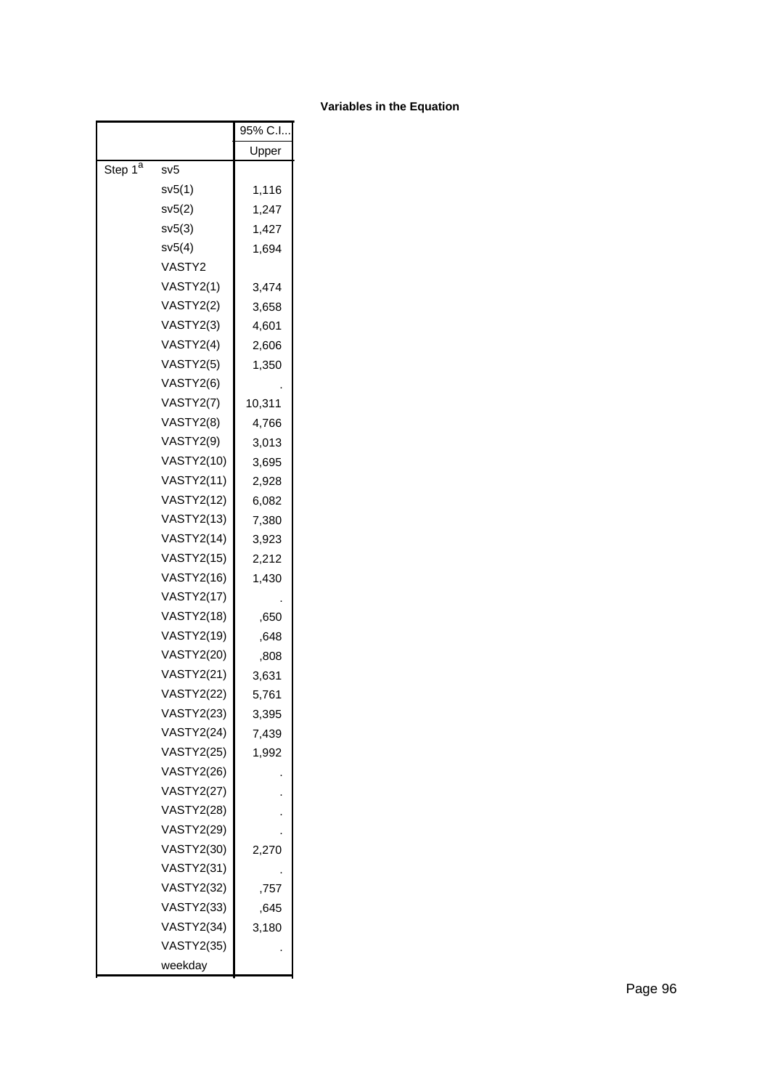|                     |                   | 95% C.I |
|---------------------|-------------------|---------|
|                     |                   | Upper   |
| Step 1 <sup>a</sup> | sv5               |         |
|                     | sv5(1)            | 1,116   |
|                     | sv5(2)            | 1,247   |
|                     | sv5(3)            | 1,427   |
|                     | sv5(4)            | 1,694   |
|                     | VASTY2            |         |
|                     | VASTY2(1)         | 3,474   |
|                     | VASTY2(2)         | 3,658   |
|                     | VASTY2(3)         | 4,601   |
|                     | VASTY2(4)         | 2,606   |
|                     | VASTY2(5)         | 1,350   |
|                     | VASTY2(6)         |         |
|                     | VASTY2(7)         | 10,311  |
|                     | VASTY2(8)         | 4,766   |
|                     | VASTY2(9)         | 3,013   |
|                     | <b>VASTY2(10)</b> | 3,695   |
|                     | <b>VASTY2(11)</b> | 2,928   |
|                     | <b>VASTY2(12)</b> | 6,082   |
|                     | <b>VASTY2(13)</b> | 7,380   |
|                     | <b>VASTY2(14)</b> | 3,923   |
|                     | VASTY2(15)        | 2,212   |
|                     | <b>VASTY2(16)</b> | 1,430   |
|                     | <b>VASTY2(17)</b> |         |
|                     | <b>VASTY2(18)</b> | ,650    |
|                     | <b>VASTY2(19)</b> | .648    |
|                     | <b>VASTY2(20)</b> | ,808    |
|                     | <b>VASTY2(21)</b> | 3,631   |
|                     | <b>VASTY2(22)</b> | 5.761   |
|                     | <b>VASTY2(23)</b> | 3.395   |
|                     | <b>VASTY2(24)</b> | 7,439   |
|                     | <b>VASTY2(25)</b> | 1,992   |
|                     | <b>VASTY2(26)</b> |         |
|                     | <b>VASTY2(27)</b> |         |
|                     | <b>VASTY2(28)</b> |         |
|                     | <b>VASTY2(29)</b> |         |
|                     | <b>VASTY2(30)</b> | 2,270   |
|                     | <b>VASTY2(31)</b> |         |
|                     | <b>VASTY2(32)</b> | ,757    |
|                     | VASTY2(33)        | ,645    |
|                     | <b>VASTY2(34)</b> | 3,180   |
|                     | <b>VASTY2(35)</b> |         |
|                     | weekday           |         |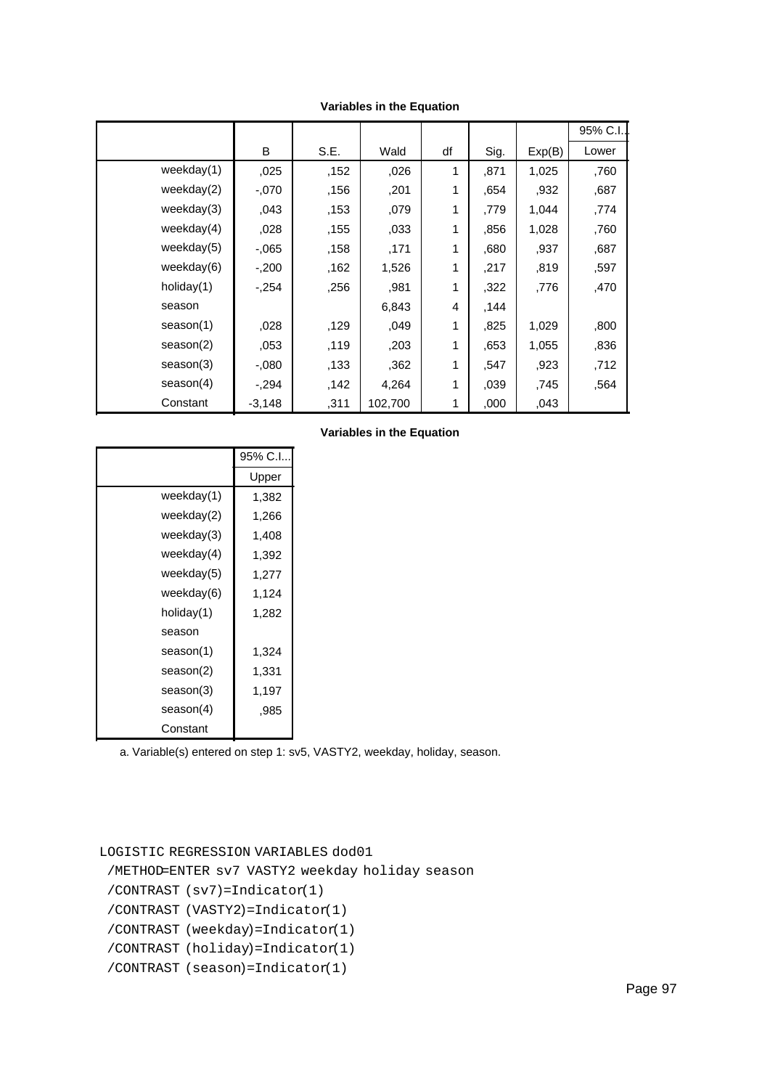|               |          |      |         |    |      |        | 95% C.I. |
|---------------|----------|------|---------|----|------|--------|----------|
|               | B        | S.E. | Wald    | df | Sig. | Exp(B) | Lower    |
| weekday $(1)$ | ,025     | ,152 | ,026    | 1  | ,871 | 1,025  | .760     |
| weekday(2)    | $-.070$  | ,156 | ,201    | 1  | .654 | ,932   | ,687     |
| weekday(3)    | ,043     | ,153 | ,079    | 1  | .779 | 1,044  | ,774     |
| weekday $(4)$ | ,028     | ,155 | ,033    | 1  | .856 | 1,028  | ,760     |
| weekday(5)    | $-0.065$ | ,158 | ,171    | 1  | .680 | .937   | ,687     |
| weekday(6)    | $-200$   | ,162 | 1,526   | 1  | ,217 | ,819   | ,597     |
| holiday $(1)$ | $-254$   | ,256 | ,981    | 1  | ,322 | .776   | ,470     |
| season        |          |      | 6,843   | 4  | ,144 |        |          |
| season(1)     | ,028     | ,129 | ,049    | 1  | ,825 | 1,029  | ,800     |
| season(2)     | ,053     | ,119 | ,203    | 1  | ,653 | 1,055  | ,836     |
| season(3)     | $-0.080$ | ,133 | ,362    | 1  | ,547 | ,923   | ,712     |
| season(4)     | $-294$   | ,142 | 4,264   | 1  | ,039 | ,745   | ,564     |
| Constant      | $-3,148$ | ,311 | 102,700 | 1  | ,000 | ,043   |          |

|               | 95% C.I |
|---------------|---------|
|               | Upper   |
| weekday $(1)$ | 1,382   |
| weekday $(2)$ | 1,266   |
| weekday(3)    | 1,408   |
| weekday $(4)$ | 1,392   |
| weekday(5)    | 1,277   |
| weekday(6)    | 1,124   |
| holiday(1)    | 1,282   |
| season        |         |
| season(1)     | 1,324   |
| season(2)     | 1,331   |
| season(3)     | 1,197   |
| season(4)     | .985    |
| Constant      |         |

#### **Variables in the Equation**

a. Variable(s) entered on step 1: sv5, VASTY2, weekday, holiday, season.

#### LOGISTIC REGRESSION VARIABLES dod01

/METHOD=ENTER sv7 VASTY2 weekday holiday season

/CONTRAST (sv7)=Indicator(1)

/CONTRAST (VASTY2)=Indicator(1)

/CONTRAST (weekday)=Indicator(1)

/CONTRAST (holiday)=Indicator(1)

/CONTRAST (season)=Indicator(1)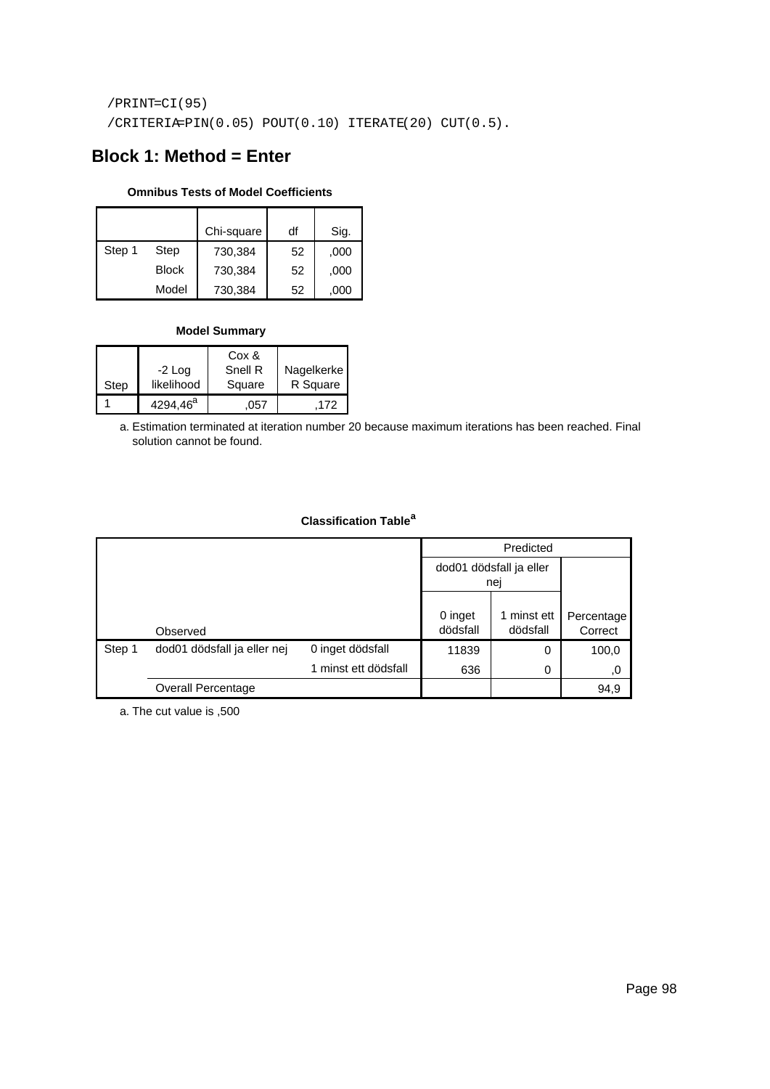/PRINT=CI(95) /CRITERIA=PIN(0.05) POUT(0.10) ITERATE(20) CUT(0.5).

# **Block 1: Method = Enter**

## **Omnibus Tests of Model Coefficients**

|        |              | Chi-square | df | Sig. |
|--------|--------------|------------|----|------|
| Step 1 | Step         | 730,384    | 52 | ,000 |
|        | <b>Block</b> | 730,384    | 52 | ,000 |
|        | Model        | 730,384    | 52 | .000 |

## **Model Summary**

|      |                      | Cox &   |            |
|------|----------------------|---------|------------|
|      | $-2$ Log             | Snell R | Nagelkerke |
| Step | likelihood           | Square  | R Square   |
|      | 4294,46 <sup>a</sup> | .057    | .172       |

Estimation terminated at iteration number 20 because maximum iterations has been reached. Final a. solution cannot be found.

## **Classification Table<sup>a</sup>**

|        |                             |                      |                     | Predicted               |                       |
|--------|-----------------------------|----------------------|---------------------|-------------------------|-----------------------|
|        |                             |                      |                     | dod01 dödsfall ja eller |                       |
|        |                             |                      |                     | nej                     |                       |
|        | Observed                    |                      | 0 inget<br>dödsfall | 1 minst ett<br>dödsfall | Percentage<br>Correct |
| Step 1 | dod01 dödsfall ja eller nej | 0 inget dödsfall     | 11839               | 0                       | 100,0                 |
|        |                             | 1 minst ett dödsfall | 636                 | 0                       | ,0                    |
|        | Overall Percentage          |                      |                     |                         | 94,9                  |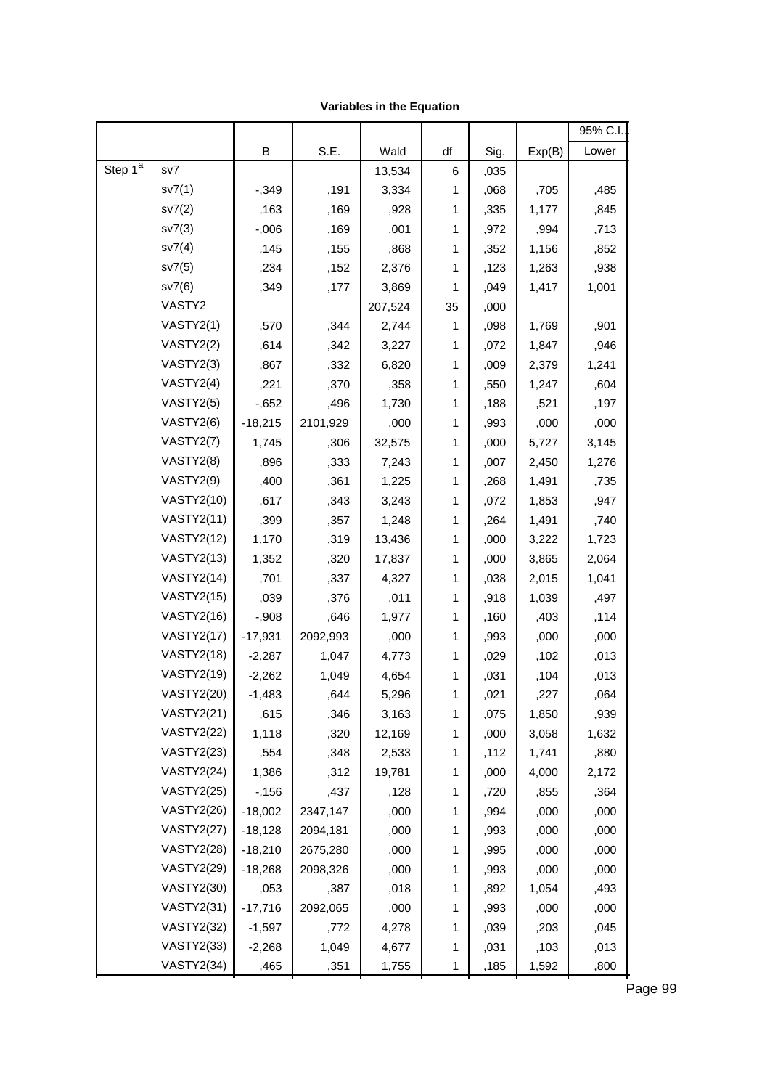| Variables in the Equation |  |  |  |
|---------------------------|--|--|--|
|---------------------------|--|--|--|

|                     |                   |           |          |         |    |      |        | 95% C.I |  |
|---------------------|-------------------|-----------|----------|---------|----|------|--------|---------|--|
|                     |                   | В         | S.E.     | Wald    | df | Sig. | Exp(B) | Lower   |  |
| Step 1 <sup>a</sup> | sv7               |           |          | 13,534  | 6  | ,035 |        |         |  |
|                     | sv7(1)            | $-0.349$  | ,191     | 3,334   | 1  | ,068 | ,705   | ,485    |  |
|                     | sv7(2)            | ,163      | ,169     | ,928    | 1  | ,335 | 1,177  | ,845    |  |
|                     | sv7(3)            | $-0.06$   | ,169     | ,001    | 1  | ,972 | ,994   | ,713    |  |
|                     | sv7(4)            | ,145      | ,155     | ,868    | 1  | ,352 | 1,156  | ,852    |  |
|                     | sv7(5)            | ,234      | ,152     | 2,376   | 1  | ,123 | 1,263  | ,938    |  |
|                     | sv7(6)            | ,349      | ,177     | 3,869   | 1  | ,049 | 1,417  | 1,001   |  |
|                     | VASTY2            |           |          | 207,524 | 35 | ,000 |        |         |  |
|                     | VASTY2(1)         | ,570      | ,344     | 2,744   | 1  | ,098 | 1,769  | ,901    |  |
|                     | VASTY2(2)         | ,614      | ,342     | 3,227   | 1  | ,072 | 1,847  | ,946    |  |
|                     | VASTY2(3)         | ,867      | ,332     | 6,820   | 1  | ,009 | 2,379  | 1,241   |  |
|                     | VASTY2(4)         | ,221      | ,370     | ,358    | 1  | ,550 | 1,247  | ,604    |  |
|                     | VASTY2(5)         | $-0.652$  | ,496     | 1,730   | 1  | ,188 | ,521   | ,197    |  |
|                     | VASTY2(6)         | $-18,215$ | 2101,929 | ,000    | 1  | ,993 | ,000   | ,000    |  |
|                     | VASTY2(7)         | 1,745     | ,306     | 32,575  | 1  | ,000 | 5,727  | 3,145   |  |
|                     | VASTY2(8)         | ,896      | ,333     | 7,243   | 1  | ,007 | 2,450  | 1,276   |  |
|                     | VASTY2(9)         | ,400      | ,361     | 1,225   | 1  | ,268 | 1,491  | ,735    |  |
|                     | <b>VASTY2(10)</b> | ,617      | ,343     | 3,243   | 1  | ,072 | 1,853  | ,947    |  |
|                     | <b>VASTY2(11)</b> | ,399      | ,357     | 1,248   | 1  | ,264 | 1,491  | ,740    |  |
|                     | <b>VASTY2(12)</b> | 1,170     | ,319     | 13,436  | 1  | ,000 | 3,222  | 1,723   |  |
|                     | <b>VASTY2(13)</b> | 1,352     | ,320     | 17,837  | 1  | ,000 | 3,865  | 2,064   |  |
|                     | <b>VASTY2(14)</b> | ,701      | ,337     | 4,327   | 1  | ,038 | 2,015  | 1,041   |  |
|                     | <b>VASTY2(15)</b> | ,039      | ,376     | ,011    | 1  | ,918 | 1,039  | ,497    |  |
|                     | <b>VASTY2(16)</b> | $-0.908$  | ,646     | 1,977   | 1  | ,160 | ,403   | ,114    |  |
|                     | <b>VASTY2(17)</b> | $-17,931$ | 2092,993 | ,000    | 1  | ,993 | ,000   | ,000    |  |
|                     | <b>VASTY2(18)</b> | $-2,287$  | 1,047    | 4,773   | 1  | ,029 | ,102   | ,013    |  |
|                     | <b>VASTY2(19)</b> | $-2,262$  | 1,049    | 4,654   | 1  | ,031 | ,104   | ,013    |  |
|                     | <b>VASTY2(20)</b> | $-1,483$  | .644     | 5,296   | 1  | ,021 | .227   | ,064    |  |
|                     | <b>VASTY2(21)</b> | ,615      | ,346     | 3,163   | 1  | ,075 | 1,850  | ,939    |  |
|                     | <b>VASTY2(22)</b> | 1,118     | ,320     | 12,169  | 1  | ,000 | 3,058  | 1,632   |  |
|                     | <b>VASTY2(23)</b> | ,554      | ,348     | 2,533   | 1  | ,112 | 1,741  | ,880    |  |
|                     | <b>VASTY2(24)</b> | 1,386     | ,312     | 19,781  | 1  | ,000 | 4,000  | 2,172   |  |
|                     | <b>VASTY2(25)</b> | $-156$    | ,437     | ,128    | 1  | ,720 | ,855   | ,364    |  |
|                     | <b>VASTY2(26)</b> | $-18,002$ | 2347,147 | ,000    | 1  | ,994 | ,000   | ,000    |  |
|                     | <b>VASTY2(27)</b> | $-18,128$ | 2094,181 | ,000    | 1  | ,993 | ,000   | ,000    |  |
|                     | <b>VASTY2(28)</b> | $-18,210$ | 2675,280 | ,000    | 1  | ,995 | ,000   | ,000    |  |
|                     | <b>VASTY2(29)</b> | $-18,268$ | 2098,326 | ,000    | 1  | ,993 | ,000   | ,000    |  |
|                     | <b>VASTY2(30)</b> | ,053      | ,387     | ,018    | 1  | ,892 | 1,054  | ,493    |  |
|                     | <b>VASTY2(31)</b> | $-17,716$ | 2092,065 | ,000    | 1  | ,993 | ,000   | ,000    |  |
|                     | <b>VASTY2(32)</b> | $-1,597$  | ,772     | 4,278   | 1  | ,039 | ,203   | ,045    |  |
|                     | <b>VASTY2(33)</b> | $-2,268$  | 1,049    | 4,677   | 1  | ,031 | ,103   | ,013    |  |
|                     | <b>VASTY2(34)</b> | ,465      | ,351     | 1,755   | 1  | ,185 | 1,592  | ,800    |  |

-<br>Page 99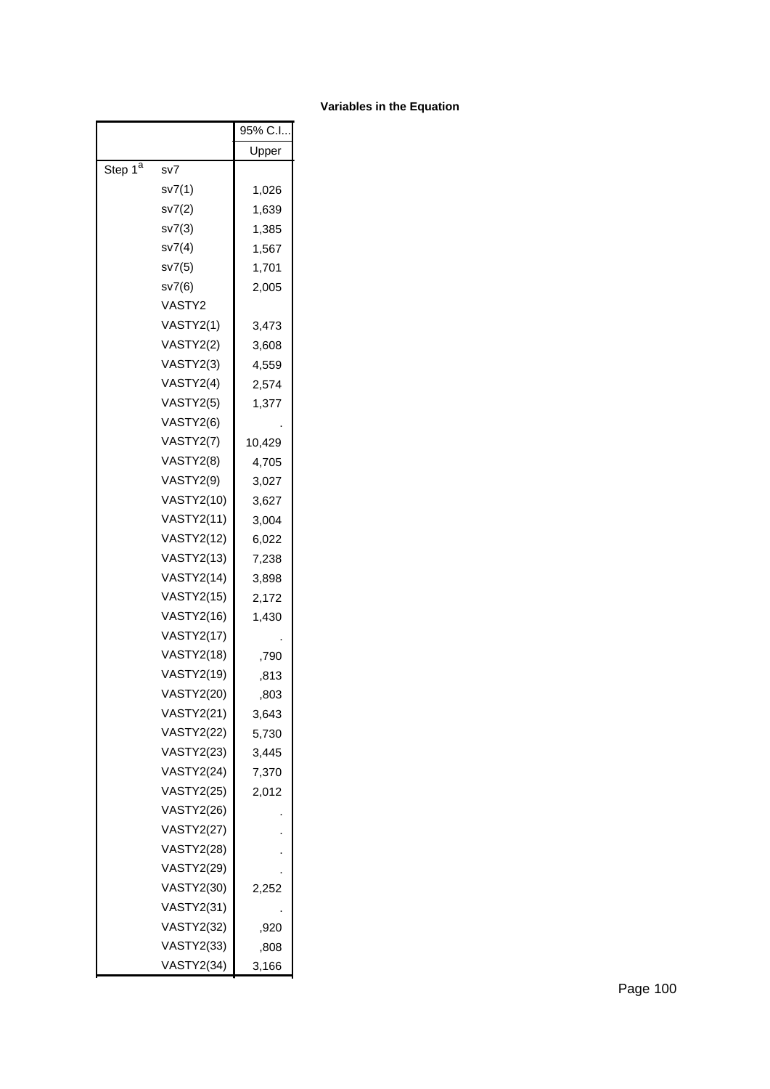|                     |                   | 95% C.I |
|---------------------|-------------------|---------|
|                     |                   | Upper   |
| Step 1 <sup>a</sup> | sv7               |         |
|                     | sv7(1)            | 1,026   |
|                     | sv7(2)            | 1,639   |
|                     | sv7(3)            | 1,385   |
|                     | sv7(4)            | 1,567   |
|                     | sv7(5)            | 1,701   |
|                     | sv7(6)            | 2,005   |
|                     | VASTY2            |         |
|                     | VASTY2(1)         | 3,473   |
|                     | VASTY2(2)         | 3,608   |
|                     | VASTY2(3)         | 4,559   |
|                     | VASTY2(4)         | 2,574   |
|                     | VASTY2(5)         | 1,377   |
|                     | VASTY2(6)         |         |
|                     | VASTY2(7)         | 10,429  |
|                     | VASTY2(8)         | 4,705   |
|                     | VASTY2(9)         | 3,027   |
|                     | <b>VASTY2(10)</b> | 3,627   |
|                     | <b>VASTY2(11)</b> | 3,004   |
|                     | <b>VASTY2(12)</b> | 6,022   |
|                     | VASTY2(13)        | 7,238   |
|                     | <b>VASTY2(14)</b> | 3,898   |
|                     | <b>VASTY2(15)</b> | 2,172   |
|                     | <b>VASTY2(16)</b> | 1,430   |
|                     | <b>VASTY2(17)</b> |         |
|                     | <b>VASTY2(18)</b> | .790    |
|                     | <b>VASTY2(19)</b> | ,813    |
|                     | <b>VASTY2(20)</b> | .803    |
|                     | VASTY2(21)        | 3,643   |
|                     | <b>VASTY2(22)</b> | 5,730   |
|                     | <b>VASTY2(23)</b> | 3,445   |
|                     | <b>VASTY2(24)</b> | 7,370   |
|                     | VASTY2(25)        | 2,012   |
|                     | <b>VASTY2(26)</b> |         |
|                     | <b>VASTY2(27)</b> |         |
|                     | <b>VASTY2(28)</b> |         |
|                     | VASTY2(29)        |         |
|                     | <b>VASTY2(30)</b> | 2,252   |
|                     | <b>VASTY2(31)</b> |         |
|                     | <b>VASTY2(32)</b> | ,920    |
|                     | <b>VASTY2(33)</b> | ,808    |
|                     | <b>VASTY2(34)</b> | 3,166   |